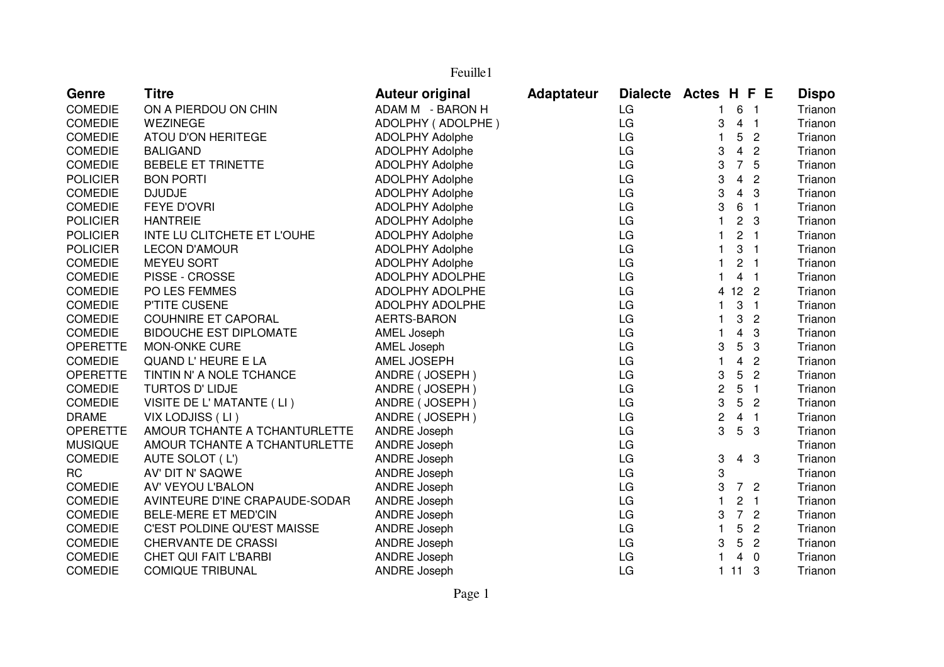| Feuille1        |                                |                        |                   |    |                                                           |              |  |  |  |
|-----------------|--------------------------------|------------------------|-------------------|----|-----------------------------------------------------------|--------------|--|--|--|
| Genre           | <b>Titre</b>                   | <b>Auteur original</b> | <b>Adaptateur</b> |    | Dialecte Actes H F E                                      | <b>Dispo</b> |  |  |  |
| <b>COMEDIE</b>  | ON A PIERDOU ON CHIN           | ADAM M - BARON H       |                   | LG | 6 <sub>1</sub><br>$\mathbf{1}$                            | Trianon      |  |  |  |
| <b>COMEDIE</b>  | WEZINEGE                       | ADOLPHY (ADOLPHE)      |                   | LG | 3<br>4 <sub>1</sub>                                       | Trianon      |  |  |  |
| <b>COMEDIE</b>  | ATOU D'ON HERITEGE             | <b>ADOLPHY Adolphe</b> |                   | LG | 5<br>1<br>$\overline{2}$                                  | Trianon      |  |  |  |
| <b>COMEDIE</b>  | <b>BALIGAND</b>                | ADOLPHY Adolphe        |                   | LG | 3<br>$\overline{4}$<br>$\overline{c}$                     | Trianon      |  |  |  |
| <b>COMEDIE</b>  | <b>BEBELE ET TRINETTE</b>      | <b>ADOLPHY Adolphe</b> |                   | LG | $\overline{7}$<br>5<br>3                                  | Trianon      |  |  |  |
| <b>POLICIER</b> | <b>BON PORTI</b>               | <b>ADOLPHY Adolphe</b> |                   | LG | $\overline{4}$<br>3<br>$\overline{c}$                     | Trianon      |  |  |  |
| <b>COMEDIE</b>  | <b>DJUDJE</b>                  | ADOLPHY Adolphe        |                   | LG | 3<br>$\overline{4}$<br>3                                  | Trianon      |  |  |  |
| <b>COMEDIE</b>  | <b>FEYE D'OVRI</b>             | <b>ADOLPHY Adolphe</b> |                   | LG | 3<br>$\,6\,$<br>$\overline{1}$                            | Trianon      |  |  |  |
| <b>POLICIER</b> | <b>HANTREIE</b>                | <b>ADOLPHY Adolphe</b> |                   | LG | $\overline{c}$<br>$\mathbf{1}$<br>$\mathbf{3}$            | Trianon      |  |  |  |
| <b>POLICIER</b> | INTE LU CLITCHETE ET L'OUHE    | <b>ADOLPHY Adolphe</b> |                   | LG | $\overline{2}$<br>$\mathbf{1}$<br>$\overline{1}$          | Trianon      |  |  |  |
| <b>POLICIER</b> | <b>LECON D'AMOUR</b>           | <b>ADOLPHY Adolphe</b> |                   | LG | 3<br>$\mathbf{1}$<br>$\overline{1}$                       | Trianon      |  |  |  |
| <b>COMEDIE</b>  | <b>MEYEU SORT</b>              | <b>ADOLPHY Adolphe</b> |                   | LG | $\overline{c}$<br>$\mathbf{1}$<br>$\overline{1}$          | Trianon      |  |  |  |
| <b>COMEDIE</b>  | PISSE - CROSSE                 | ADOLPHY ADOLPHE        |                   | LG | $\overline{4}$<br>$\mathbf{1}$<br>$\overline{1}$          | Trianon      |  |  |  |
| <b>COMEDIE</b>  | PO LES FEMMES                  | ADOLPHY ADOLPHE        |                   | LG | $12 \quad 2$<br>4                                         | Trianon      |  |  |  |
| <b>COMEDIE</b>  | P'TITE CUSENE                  | ADOLPHY ADOLPHE        |                   | LG | 3<br>$\overline{1}$<br>$\mathbf{1}$                       | Trianon      |  |  |  |
| <b>COMEDIE</b>  | <b>COUHNIRE ET CAPORAL</b>     | AERTS-BARON            |                   | LG | 3<br>$\overline{c}$<br>$\mathbf{1}$                       | Trianon      |  |  |  |
| <b>COMEDIE</b>  | <b>BIDOUCHE EST DIPLOMATE</b>  | AMEL Joseph            |                   | LG | $\overline{\mathbf{4}}$<br>3<br>$\mathbf{1}$              | Trianon      |  |  |  |
| <b>OPERETTE</b> | <b>MON-ONKE CURE</b>           | AMEL Joseph            |                   | LG | 5<br>3<br>3                                               | Trianon      |  |  |  |
| <b>COMEDIE</b>  | QUAND L'HEURE E LA             | AMEL JOSEPH            |                   | LG | $\overline{\mathbf{4}}$<br>$\mathbf{1}$<br>$\overline{2}$ | Trianon      |  |  |  |
| <b>OPERETTE</b> | TINTIN N' A NOLE TCHANCE       | ANDRE (JOSEPH)         |                   | LG | 5<br>$\overline{c}$<br>3                                  | Trianon      |  |  |  |
| <b>COMEDIE</b>  | <b>TURTOS D' LIDJE</b>         | ANDRE (JOSEPH)         |                   | LG | 5<br>$\overline{c}$<br>$\overline{1}$                     | Trianon      |  |  |  |
| <b>COMEDIE</b>  | VISITE DE L' MATANTE (LI)      | ANDRE (JOSEPH)         |                   | LG | $5\phantom{.0}$<br>3<br>$\overline{c}$                    | Trianon      |  |  |  |
| <b>DRAME</b>    | VIX LODJISS (LI)               | ANDRE (JOSEPH)         |                   | LG | 4 <sub>1</sub><br>$\overline{c}$                          | Trianon      |  |  |  |
| <b>OPERETTE</b> | AMOUR TCHANTE A TCHANTURLETTE  | <b>ANDRE Joseph</b>    |                   | LG | 3<br>$5\phantom{.0}$<br>-3                                | Trianon      |  |  |  |
| <b>MUSIQUE</b>  | AMOUR TCHANTE A TCHANTURLETTE  | <b>ANDRE Joseph</b>    |                   | LG |                                                           | Trianon      |  |  |  |
| <b>COMEDIE</b>  | AUTE SOLOT (L')                | <b>ANDRE Joseph</b>    |                   | LG | 3<br>$4 \quad 3$                                          | Trianon      |  |  |  |
| <b>RC</b>       | AV' DIT N' SAQWE               | <b>ANDRE Joseph</b>    |                   | LG | 3                                                         | Trianon      |  |  |  |
| <b>COMEDIE</b>  | AV' VEYOU L'BALON              | <b>ANDRE Joseph</b>    |                   | LG | 7 <sub>2</sub><br>3                                       | Trianon      |  |  |  |
| <b>COMEDIE</b>  | AVINTEURE D'INE CRAPAUDE-SODAR | <b>ANDRE Joseph</b>    |                   | LG | $\overline{c}$<br>$\mathbf{1}$<br>$\overline{1}$          | Trianon      |  |  |  |
| <b>COMEDIE</b>  | <b>BELE-MERE ET MED'CIN</b>    | <b>ANDRE Joseph</b>    |                   | LG | 7 <sup>7</sup><br>3<br>$\overline{2}$                     | Trianon      |  |  |  |
| <b>COMEDIE</b>  | C'EST POLDINE QU'EST MAISSE    | <b>ANDRE Joseph</b>    |                   | LG | $\mathbf{1}$<br>5<br>$\overline{2}$                       | Trianon      |  |  |  |
| <b>COMEDIE</b>  | CHERVANTE DE CRASSI            | ANDRE Joseph           |                   | LG | 3<br>$5\phantom{.0}$<br>$\overline{2}$                    | Trianon      |  |  |  |
| <b>COMEDIE</b>  | <b>CHET QUI FAIT L'BARBI</b>   | <b>ANDRE Joseph</b>    |                   | LG | $\mathbf{1}$<br>$\overline{0}$<br>$\overline{4}$          | Trianon      |  |  |  |
| <b>COMEDIE</b>  | <b>COMIQUE TRIBUNAL</b>        | <b>ANDRE Joseph</b>    |                   | LG | 111<br>-3                                                 | Trianon      |  |  |  |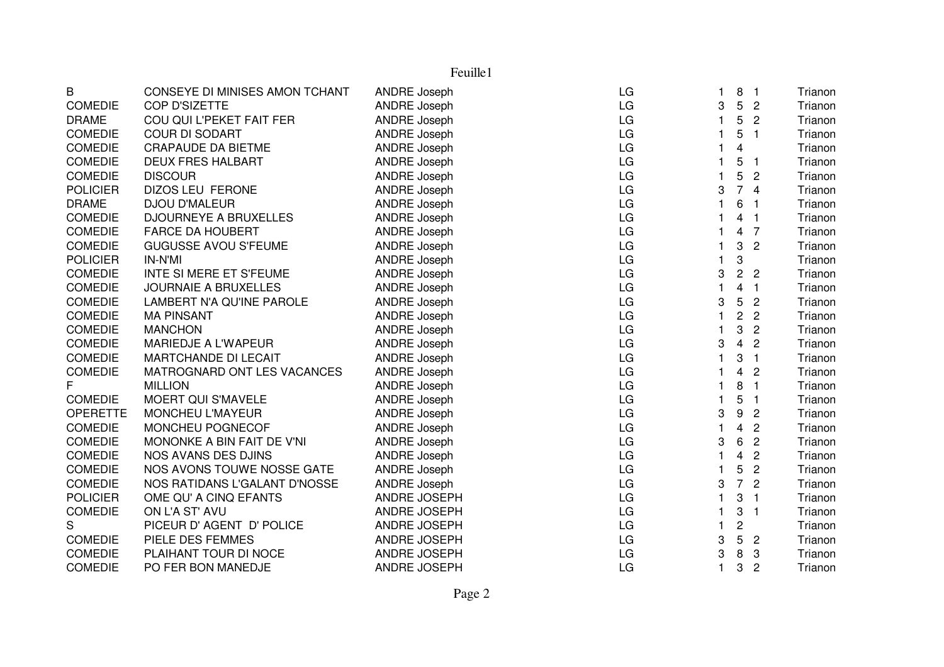B CONSEYE DI MINISES AMON TCHANT ANDRE Joseph LG <sup>1</sup> 8 <sup>1</sup> TrianonTrianon COMEDIE COP D'SIZETTE ANDRE Joseph LG 3 5 <sup>2</sup> TrianonTrianon DRAME COU QUI L'PEKET FAIT FER ANDRE Joseph LG <sup>1</sup> 5 <sup>2</sup> TrianonTrianon COMEDIE COUR DI SODART ANDRE Joseph LG <sup>1</sup> 5 <sup>1</sup> TrianonTrianon COMEDIE CRAPAUDE DA BIETME ANDRE Joseph LG <sup>1</sup> <sup>4</sup> TrianonTrianon COMEDIE DEUX FRES HALBART ANDRE Joseph and LG 1 5 1 COMEDIE DISCOUR<br>COMEDIE DISCOUR 1 5 2 Trianon COMEDIE DISCOUR ANDRE Joseph LG <sup>1</sup> <sup>5</sup> <sup>2</sup> Trianon POLICIER DIZOS LEU FERONE ANDRE Joseph LG 3 <sup>7</sup> <sup>4</sup> TrianonTrianon DRAME DJOU D'MALEUR ANDRE Joseph LG <sup>1</sup> 6 <sup>1</sup> TrianonTrianon COMEDIE DJOURNEYE A BRUXELLES ANDRE Joseph LG LG 1 4 1 COMEDIE FARCE DA HOUBERT AND ANDRE Joseph LG 1 4 7 Trianon COMEDIE FARCE DA HOUBERT ANDRE Joseph LG <sup>1</sup> <sup>4</sup> <sup>7</sup> TrianonTrianon COMEDIE GUGUSSE AVOU S'FEUME ANDRE Joseph LG <sup>1</sup> 3 <sup>2</sup> TrianonTrianon POLICIER IN-N'MI ANDRE Joseph LG <sup>1</sup> 3 TrianonTrianon COMEDIE INTE SI MERE ET S'FEUME ANDRE Joseph LG LG 3 2 2 Trianon COMEDIE JOURNAIE A BRUXELLES ANDRE Joseph LG <sup>1</sup> <sup>4</sup> <sup>1</sup> TrianonTrianon COMEDIE LAMBERT N'A QU'INE PAROLE ANDRE Joseph LG LG 3 3 Trianon COMEDIE MA PINSANT ANDRE Joseph LG <sup>1</sup> <sup>2</sup> <sup>2</sup> TrianonTrianon COMEDIE MANCHON ANDRE Joseph LG <sup>1</sup> 3 <sup>2</sup> TrianonTrianon COMEDIE MARIEDJE A L'WAPEUR ANDRE Joseph LG LG 3 4 2 Trianon COMEDIE MARTCHANDE DI LECAIT ANDRE Joseph LG LG 1 3 1 COMEDIE MATROGNARD ONT LES VACANCES ANDRE Joseph LG 1 4 2 2 Trianon COMEDIE MATROGNARD ONT LES VACANCES ANDRE Joseph LG LG 1 4 2<br>
F MILLION 1 8 1 F MILLION ANDRE Joseph LG <sup>1</sup> <sup>8</sup> <sup>1</sup> Trianon COMEDIE MOERT QUI S'MAVELE ANDRE Joseph LG <sup>1</sup> 5 <sup>1</sup> TrianonTrianon OPERETTE MONCHEU L'MAYEUR ANDRE Joseph LG 3 9 <sup>2</sup> TrianonTrianon COMEDIE MONCHEU POGNECOF ANDRE Joseph LG <sup>1</sup> <sup>4</sup> <sup>2</sup> TrianonTrianon COMEDIE MONONKE A BIN FAIT DE V'NI ANDRE Joseph LG 3 6 <sup>2</sup> TrianonTrianon COMEDIE NOS AVANS DES DJINS ANDRE Joseph LG <sup>1</sup> <sup>4</sup> <sup>2</sup> TrianonTrianon COMEDIE NOS AVONS TOUWE NOSSE GATE ANDRE Joseph LG 1 5 2 TRIANON LG 1 <sup>7</sup> <sup>2</sup> Trianon COMEDIE NOS RATIDANS L'GALANT D'NOSSE ANDRE Joseph LG 3POLICIER OME QU' A CINQ EFANTS ANDRE JOSEPH LG <sup>1</sup> 3 <sup>1</sup> TrianonTrianon COMEDIE ON L'A ST' AVU ANDRE JOSEPH LG <sup>1</sup> 3 <sup>1</sup> TrianonTrianon S PICEUR D' AGENT D' POLICE ANDRE JOSEPH LG <sup>1</sup> <sup>2</sup> TrianonTrianon COMEDIE PIELE DES FEMMES ANDRE JOSEPH LG 3 5 <sup>2</sup> TrianonTrianon COMEDIE PLAIHANT TOUR DI NOCE ANDRE JOSEPH LG LG 3 Trianon COMEDIE PO FER BON MANEDJE ANDRE JOSEPH LG LG 1 3 2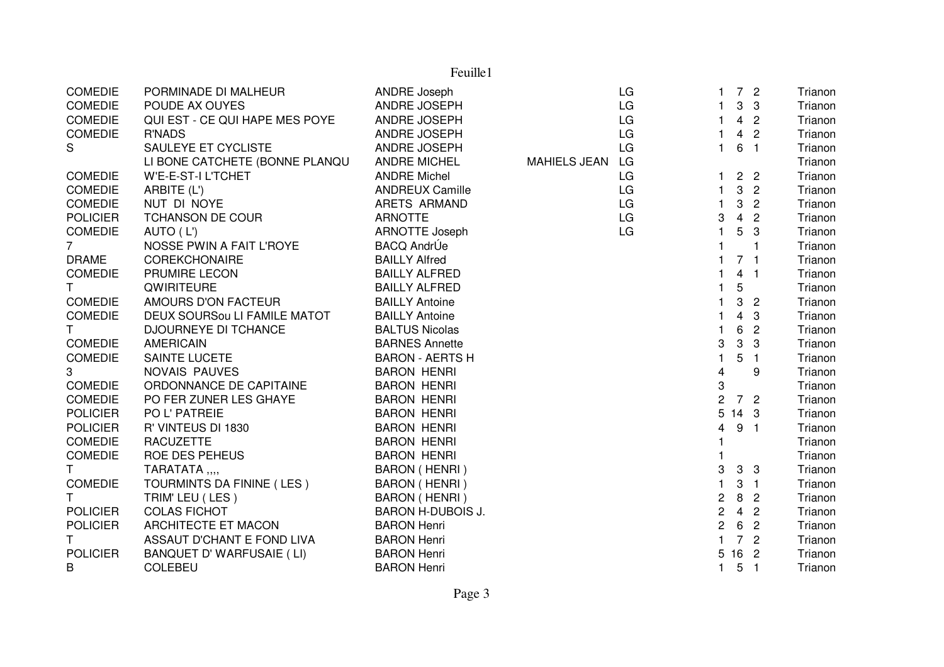| <b>COMEDIE</b>  | PORMINADE DI MALHEUR           | <b>ANDRE Joseph</b>      |                     | LG |                           | 7 <sub>2</sub>  |                            | Trianon |
|-----------------|--------------------------------|--------------------------|---------------------|----|---------------------------|-----------------|----------------------------|---------|
| <b>COMEDIE</b>  | POUDE AX OUYES                 | ANDRE JOSEPH             |                     | LG |                           |                 | 3 <sup>3</sup>             | Trianon |
| <b>COMEDIE</b>  | QUI EST - CE QUI HAPE MES POYE | ANDRE JOSEPH             |                     | LG |                           |                 | 4 <sup>2</sup>             | Trianon |
| <b>COMEDIE</b>  | <b>R'NADS</b>                  | <b>ANDRE JOSEPH</b>      |                     | LG |                           |                 | 4 <sup>2</sup>             | Trianon |
| S               | SAULEYE ET CYCLISTE            | ANDRE JOSEPH             |                     | LG | $\mathbf{1}$              | 6 <sub>1</sub>  |                            | Trianon |
|                 | LI BONE CATCHETE (BONNE PLANQU | <b>ANDRE MICHEL</b>      | <b>MAHIELS JEAN</b> | LG |                           |                 |                            | Trianon |
| <b>COMEDIE</b>  | W'E-E-ST-I L'TCHET             | <b>ANDRE Michel</b>      |                     | LG |                           |                 | 2 <sub>2</sub>             | Trianon |
| <b>COMEDIE</b>  | ARBITE (L')                    | <b>ANDREUX Camille</b>   |                     | LG | 1.                        | $\mathbf{3}$    | $\overline{2}$             | Trianon |
| <b>COMEDIE</b>  | NUT DI NOYE                    | ARETS ARMAND             |                     | LG | 1                         | $\mathbf{3}$    | $\overline{2}$             | Trianon |
| <b>POLICIER</b> | TCHANSON DE COUR               | <b>ARNOTTE</b>           |                     | LG | 3                         | $\overline{4}$  | $\overline{2}$             | Trianon |
| <b>COMEDIE</b>  | AUTO (L')                      | <b>ARNOTTE Joseph</b>    |                     | LG |                           | 5               | 3                          | Trianon |
| $7^{\circ}$     | NOSSE PWIN A FAIT L'ROYE       | <b>BACQ AndrÚe</b>       |                     |    |                           |                 | 1                          | Trianon |
| <b>DRAME</b>    | <b>COREKCHONAIRE</b>           | <b>BAILLY Alfred</b>     |                     |    |                           | 7 <sub>1</sub>  |                            | Trianon |
| <b>COMEDIE</b>  | PRUMIRE LECON                  | <b>BAILLY ALFRED</b>     |                     |    |                           | $\overline{4}$  | $\blacksquare$             | Trianon |
| $\mathsf T$     | QWIRITEURE                     | <b>BAILLY ALFRED</b>     |                     |    |                           | 5               |                            | Trianon |
| <b>COMEDIE</b>  | AMOURS D'ON FACTEUR            | <b>BAILLY Antoine</b>    |                     |    |                           | 3               | $\overline{2}$             | Trianon |
| <b>COMEDIE</b>  | DEUX SOURSou LI FAMILE MATOT   | <b>BAILLY Antoine</b>    |                     |    | 1                         | $\overline{4}$  | -3                         | Trianon |
| T.              | DJOURNEYE DI TCHANCE           | <b>BALTUS Nicolas</b>    |                     |    |                           | 6               | $\overline{2}$             | Trianon |
| <b>COMEDIE</b>  | <b>AMERICAIN</b>               | <b>BARNES Annette</b>    |                     |    | 3                         | $\mathbf{3}$    | $\mathbf{3}$               | Trianon |
| <b>COMEDIE</b>  | <b>SAINTE LUCETE</b>           | <b>BARON - AERTS H</b>   |                     |    | 1                         | 5               | $\blacksquare$             | Trianon |
| 3               | NOVAIS PAUVES                  | <b>BARON HENRI</b>       |                     |    | 4                         |                 | 9                          | Trianon |
| <b>COMEDIE</b>  | ORDONNANCE DE CAPITAINE        | <b>BARON HENRI</b>       |                     |    | $\ensuremath{\mathsf{3}}$ |                 |                            | Trianon |
| COMEDIE         | PO FER ZUNER LES GHAYE         | <b>BARON HENRI</b>       |                     |    | $\overline{2}$            | 7 2             |                            | Trianon |
| <b>POLICIER</b> | PO L' PATREIE                  | <b>BARON HENRI</b>       |                     |    | 5                         | 14 <sub>3</sub> |                            | Trianon |
| <b>POLICIER</b> | R' VINTEUS DI 1830             | <b>BARON HENRI</b>       |                     |    | 4                         | 9 <sub>1</sub>  |                            | Trianon |
| <b>COMEDIE</b>  | <b>RACUZETTE</b>               | <b>BARON HENRI</b>       |                     |    |                           |                 |                            | Trianon |
| <b>COMEDIE</b>  | ROE DES PEHEUS                 | <b>BARON HENRI</b>       |                     |    |                           |                 |                            | Trianon |
| $\mathsf{T}$    | TARATATA,,,,                   | BARON (HENRI)            |                     |    | 3                         | 3 <sub>3</sub>  |                            | Trianon |
| <b>COMEDIE</b>  | TOURMINTS DA FININE (LES)      | BARON (HENRI)            |                     |    | $\mathbf{1}$              | 3 <sub>1</sub>  |                            | Trianon |
| $\mathsf{T}$    | TRIM' LEU (LES)                | BARON (HENRI)            |                     |    | $\overline{c}$            | 8 <sub>2</sub>  |                            | Trianon |
| <b>POLICIER</b> | <b>COLAS FICHOT</b>            | <b>BARON H-DUBOIS J.</b> |                     |    | $\sqrt{2}$                | 4 <sup>2</sup>  |                            | Trianon |
| <b>POLICIER</b> | ARCHITECTE ET MACON            | <b>BARON Henri</b>       |                     |    | $\overline{c}$            | $6\phantom{1}6$ | $\overline{2}$             | Trianon |
| T.              | ASSAUT D'CHANT E FOND LIVA     | <b>BARON Henri</b>       |                     |    |                           |                 | 7 <sup>2</sup>             | Trianon |
| <b>POLICIER</b> | BANQUET D' WARFUSAIE (LI)      | <b>BARON Henri</b>       |                     |    | 5                         | 16 2            |                            | Trianon |
| В               | <b>COLEBEU</b>                 | <b>BARON Henri</b>       |                     |    |                           | 5               | $\overline{\phantom{0}}$ 1 | Trianon |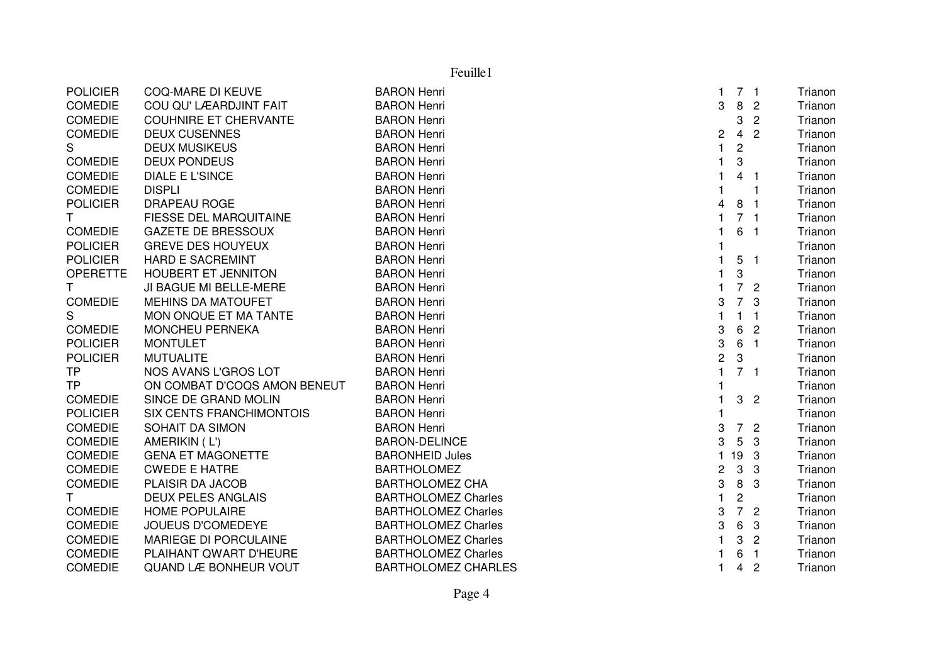|                 |                               | Feuille1                   |                |                           |                |         |
|-----------------|-------------------------------|----------------------------|----------------|---------------------------|----------------|---------|
| <b>POLICIER</b> | <b>COQ-MARE DI KEUVE</b>      | <b>BARON Henri</b>         | $\mathbf{1}$   |                           | 7 <sub>1</sub> | Trianon |
| <b>COMEDIE</b>  | COU QU' LÆARDJINT FAIT        | <b>BARON Henri</b>         | 3              | 8                         | $\overline{c}$ | Trianon |
| <b>COMEDIE</b>  | <b>COUHNIRE ET CHERVANTE</b>  | <b>BARON Henri</b>         |                | 3                         | $\overline{c}$ | Trianon |
| <b>COMEDIE</b>  | <b>DEUX CUSENNES</b>          | <b>BARON Henri</b>         | 2              | $\overline{4}$            | $\overline{c}$ | Trianon |
| S               | <b>DEUX MUSIKEUS</b>          | <b>BARON Henri</b>         | $\mathbf{1}$   | $\overline{\mathbf{c}}$   |                | Trianon |
| <b>COMEDIE</b>  | <b>DEUX PONDEUS</b>           | <b>BARON Henri</b>         | $\mathbf{1}$   | 3                         |                | Trianon |
| <b>COMEDIE</b>  | <b>DIALE E L'SINCE</b>        | <b>BARON Henri</b>         | $\mathbf{1}$   | $\overline{4}$            | -1             | Trianon |
| <b>COMEDIE</b>  | <b>DISPLI</b>                 | <b>BARON Henri</b>         | 1              |                           | 1              | Trianon |
| <b>POLICIER</b> | <b>DRAPEAU ROGE</b>           | <b>BARON Henri</b>         | 4              | 8                         | -1             | Trianon |
| T.              | <b>FIESSE DEL MARQUITAINE</b> | <b>BARON Henri</b>         | $\mathbf{1}$   |                           | 7 <sub>1</sub> | Trianon |
| <b>COMEDIE</b>  | <b>GAZETE DE BRESSOUX</b>     | <b>BARON Henri</b>         | $\mathbf{1}$   | 6                         | $\overline{1}$ | Trianon |
| <b>POLICIER</b> | <b>GREVE DES HOUYEUX</b>      | <b>BARON Henri</b>         |                |                           |                | Trianon |
| <b>POLICIER</b> | <b>HARD E SACREMINT</b>       | <b>BARON Henri</b>         | $\mathbf{1}$   |                           | 5 <sub>1</sub> | Trianon |
| <b>OPERETTE</b> | <b>HOUBERT ET JENNITON</b>    | <b>BARON Henri</b>         | $\mathbf 1$    | 3                         |                | Trianon |
| T.              | JI BAGUE MI BELLE-MERE        | <b>BARON Henri</b>         | $\mathbf{1}$   |                           | 7 <sub>2</sub> | Trianon |
| <b>COMEDIE</b>  | <b>MEHINS DA MATOUFET</b>     | <b>BARON Henri</b>         | 3              | $\overline{7}$            | 3              | Trianon |
| S               | MON ONQUE ET MA TANTE         | <b>BARON Henri</b>         | $\mathbf{1}$   | $\mathbf{1}$              | $\overline{1}$ | Trianon |
| <b>COMEDIE</b>  | MONCHEU PERNEKA               | <b>BARON Henri</b>         | 3              | 6                         | $\overline{c}$ | Trianon |
| <b>POLICIER</b> | <b>MONTULET</b>               | <b>BARON Henri</b>         | 3              | 6                         | $\overline{1}$ | Trianon |
| <b>POLICIER</b> | <b>MUTUALITE</b>              | <b>BARON Henri</b>         | $\overline{c}$ | $\boldsymbol{\mathrm{3}}$ |                | Trianon |
| <b>TP</b>       | NOS AVANS L'GROS LOT          | <b>BARON Henri</b>         | $\mathbf{1}$   |                           | 7 <sub>1</sub> | Trianon |
| <b>TP</b>       | ON COMBAT D'COQS AMON BENEUT  | <b>BARON Henri</b>         |                |                           |                | Trianon |
| <b>COMEDIE</b>  | SINCE DE GRAND MOLIN          | <b>BARON Henri</b>         | $\mathbf{1}$   | 3                         | $\overline{2}$ | Trianon |
| <b>POLICIER</b> | SIX CENTS FRANCHIMONTOIS      | <b>BARON Henri</b>         |                |                           |                | Trianon |
| <b>COMEDIE</b>  | SOHAIT DA SIMON               | <b>BARON Henri</b>         | 3              | $\overline{7}$            | $\overline{2}$ | Trianon |
| <b>COMEDIE</b>  | AMERIKIN (L')                 | <b>BARON-DELINCE</b>       | 3              | 5                         | 3              | Trianon |
| COMEDIE         | <b>GENA ET MAGONETTE</b>      | <b>BARONHEID Jules</b>     |                | 119                       | 3              | Trianon |
| <b>COMEDIE</b>  | <b>CWEDE E HATRE</b>          | <b>BARTHOLOMEZ</b>         | 2              | 3                         | 3              | Trianon |
| <b>COMEDIE</b>  | PLAISIR DA JACOB              | <b>BARTHOLOMEZ CHA</b>     | 3              | $\, 8$                    | 3              | Trianon |
| T.              | <b>DEUX PELES ANGLAIS</b>     | <b>BARTHOLOMEZ Charles</b> | $\mathbf{1}$   | $\overline{c}$            |                | Trianon |
| <b>COMEDIE</b>  | <b>HOME POPULAIRE</b>         | <b>BARTHOLOMEZ Charles</b> | 3              | $\overline{7}$            | $\overline{c}$ | Trianon |
| <b>COMEDIE</b>  | <b>JOUEUS D'COMEDEYE</b>      | <b>BARTHOLOMEZ Charles</b> | 3              | 6                         | 3              | Trianon |
| <b>COMEDIE</b>  | MARIEGE DI PORCULAINE         | <b>BARTHOLOMEZ Charles</b> | $\mathbf{1}$   | 3                         | $\overline{c}$ | Trianon |
| <b>COMEDIE</b>  | PLAIHANT QWART D'HEURE        | <b>BARTHOLOMEZ Charles</b> | 1.             | 6                         | $\overline{1}$ | Trianon |
| <b>COMEDIE</b>  | QUAND LÆ BONHEUR VOUT         | <b>BARTHOLOMEZ CHARLES</b> | $\mathbf{1}$   | 4                         | $\overline{c}$ | Trianon |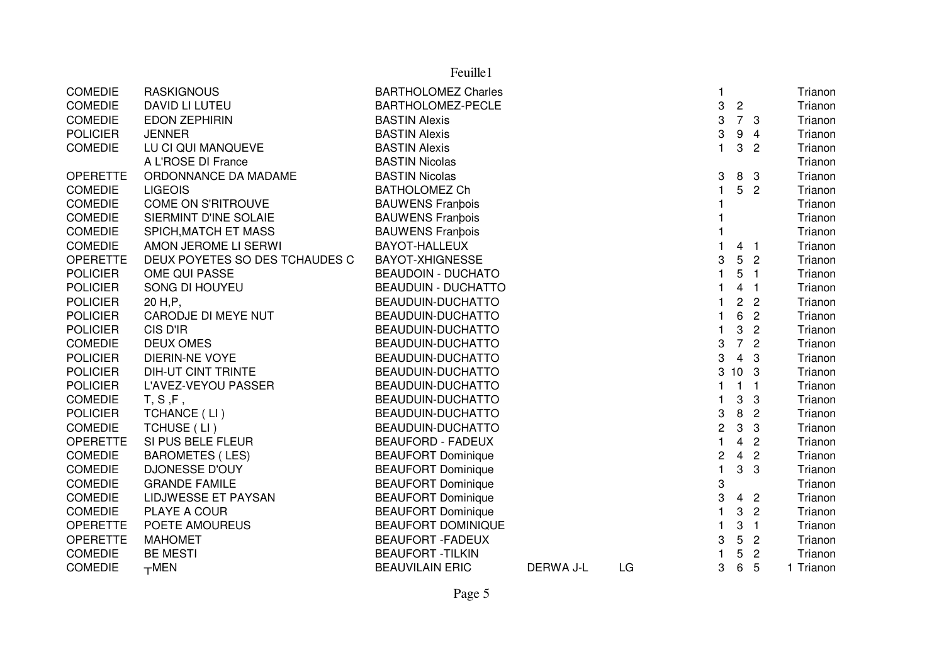|                 |                                | Feuille1                   |           |    |                |                 |                            |           |
|-----------------|--------------------------------|----------------------------|-----------|----|----------------|-----------------|----------------------------|-----------|
| <b>COMEDIE</b>  | <b>RASKIGNOUS</b>              | <b>BARTHOLOMEZ Charles</b> |           |    | 1              |                 |                            | Trianon   |
| <b>COMEDIE</b>  | DAVID LI LUTEU                 | BARTHOLOMEZ-PECLE          |           |    | 3              | $\overline{c}$  |                            | Trianon   |
| <b>COMEDIE</b>  | <b>EDON ZEPHIRIN</b>           | <b>BASTIN Alexis</b>       |           |    | 3              | 7 3             |                            | Trianon   |
| <b>POLICIER</b> | <b>JENNER</b>                  | <b>BASTIN Alexis</b>       |           |    | 3              | 9               | 4                          | Trianon   |
| <b>COMEDIE</b>  | LU CI QUI MANQUEVE             | <b>BASTIN Alexis</b>       |           |    | $\mathbf{1}$   | 3               | $\overline{2}$             | Trianon   |
|                 | A L'ROSE DI France             | <b>BASTIN Nicolas</b>      |           |    |                |                 |                            | Trianon   |
| <b>OPERETTE</b> | ORDONNANCE DA MADAME           | <b>BASTIN Nicolas</b>      |           |    | 3              | 8               | $\mathbf{3}$               | Trianon   |
| <b>COMEDIE</b>  | <b>LIGEOIS</b>                 | <b>BATHOLOMEZ Ch</b>       |           |    | 1.             | 5               | $\overline{2}$             | Trianon   |
| <b>COMEDIE</b>  | COME ON S'RITROUVE             | <b>BAUWENS Franbois</b>    |           |    |                |                 |                            | Trianon   |
| <b>COMEDIE</b>  | SIERMINT D'INE SOLAIE          | <b>BAUWENS Franbois</b>    |           |    |                |                 |                            | Trianon   |
| <b>COMEDIE</b>  | SPICH, MATCH ET MASS           | <b>BAUWENS Franbois</b>    |           |    |                |                 |                            | Trianon   |
| <b>COMEDIE</b>  | AMON JEROME LI SERWI           | <b>BAYOT-HALLEUX</b>       |           |    |                | 4 <sub>1</sub>  |                            | Trianon   |
| <b>OPERETTE</b> | DEUX POYETES SO DES TCHAUDES C | <b>BAYOT-XHIGNESSE</b>     |           |    | 3              |                 | 5 <sub>2</sub>             | Trianon   |
| <b>POLICIER</b> | OME QUI PASSE                  | <b>BEAUDOIN - DUCHATO</b>  |           |    |                | 5               | $\overline{1}$             | Trianon   |
| <b>POLICIER</b> | SONG DI HOUYEU                 | <b>BEAUDUIN - DUCHATTO</b> |           |    |                | 4               | - 1                        | Trianon   |
| <b>POLICIER</b> | 20 H, P,                       | BEAUDUIN-DUCHATTO          |           |    |                | $\overline{c}$  | $\overline{c}$             | Trianon   |
| <b>POLICIER</b> | CARODJE DI MEYE NUT            | BEAUDUIN-DUCHATTO          |           |    | 1              | 6               | $\overline{2}$             | Trianon   |
| <b>POLICIER</b> | CIS D'IR                       | BEAUDUIN-DUCHATTO          |           |    | 1              | 3               | $\overline{2}$             | Trianon   |
| <b>COMEDIE</b>  | <b>DEUX OMES</b>               | BEAUDUIN-DUCHATTO          |           |    | 3              |                 | 7 <sup>2</sup>             | Trianon   |
| <b>POLICIER</b> | <b>DIERIN-NE VOYE</b>          | BEAUDUIN-DUCHATTO          |           |    | 3              | $\overline{4}$  | 3                          | Trianon   |
| <b>POLICIER</b> | <b>DIH-UT CINT TRINTE</b>      | BEAUDUIN-DUCHATTO          |           |    | 3              | 10 <sub>3</sub> |                            | Trianon   |
| <b>POLICIER</b> | L'AVEZ-VEYOU PASSER            | BEAUDUIN-DUCHATTO          |           |    | 1.             | $\mathbf{1}$    | $\overline{1}$             | Trianon   |
| <b>COMEDIE</b>  | T, S, F,                       | BEAUDUIN-DUCHATTO          |           |    | 1              | 3               | 3                          | Trianon   |
| <b>POLICIER</b> | TCHANCE (LI)                   | BEAUDUIN-DUCHATTO          |           |    | 3              | 8               | $\overline{2}$             | Trianon   |
| <b>COMEDIE</b>  | TCHUSE (LI)                    | BEAUDUIN-DUCHATTO          |           |    | $\overline{c}$ | 3               | 3                          | Trianon   |
| <b>OPERETTE</b> | SI PUS BELE FLEUR              | <b>BEAUFORD - FADEUX</b>   |           |    | $\mathbf{1}$   | $\overline{4}$  | $\overline{2}$             | Trianon   |
| <b>COMEDIE</b>  | <b>BAROMETES (LES)</b>         | <b>BEAUFORT Dominique</b>  |           |    | 2              | $\overline{4}$  | $\overline{2}$             | Trianon   |
| <b>COMEDIE</b>  | <b>DJONESSE D'OUY</b>          | <b>BEAUFORT Dominique</b>  |           |    | $\mathbf{1}$   | 3               | 3                          | Trianon   |
| <b>COMEDIE</b>  | <b>GRANDE FAMILE</b>           | <b>BEAUFORT Dominique</b>  |           |    | 3              |                 |                            | Trianon   |
| <b>COMEDIE</b>  | LIDJWESSE ET PAYSAN            | <b>BEAUFORT Dominique</b>  |           |    | 3              | $\overline{4}$  | $\overline{2}$             | Trianon   |
| <b>COMEDIE</b>  | PLAYE A COUR                   | <b>BEAUFORT Dominique</b>  |           |    |                | 3               | $\overline{2}$             | Trianon   |
| <b>OPERETTE</b> | POETE AMOUREUS                 | <b>BEAUFORT DOMINIQUE</b>  |           |    |                | 3               | $\overline{\phantom{0}}$ 1 | Trianon   |
| <b>OPERETTE</b> | <b>MAHOMET</b>                 | <b>BEAUFORT - FADEUX</b>   |           |    | 3              | 5               | $\overline{2}$             | Trianon   |
| <b>COMEDIE</b>  | <b>BE MESTI</b>                | <b>BEAUFORT - TILKIN</b>   |           |    |                | 5               | $\overline{2}$             | Trianon   |
| <b>COMEDIE</b>  | $+$ MEN                        | <b>BEAUVILAIN ERIC</b>     | DERWA J-L | LG | 3              | $\,6\,$         | 5                          | 1 Trianon |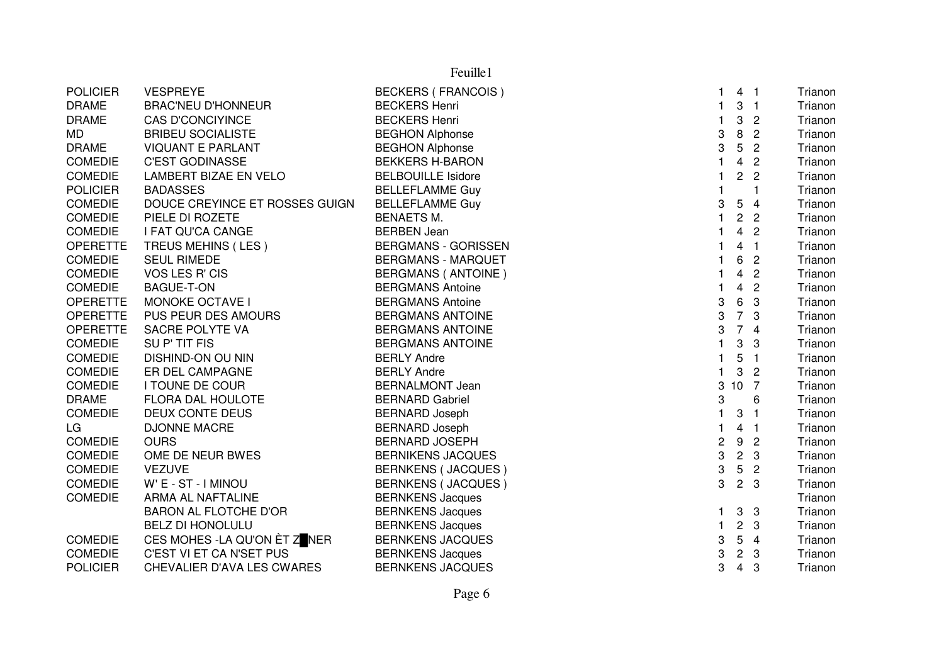| <b>POLICIER</b> | <b>VESPREYE</b>                | <b>BECKERS (FRANCOIS)</b>  |    | 4 <sub>1</sub>          |                         | Trianon |
|-----------------|--------------------------------|----------------------------|----|-------------------------|-------------------------|---------|
| <b>DRAME</b>    | <b>BRAC'NEU D'HONNEUR</b>      | <b>BECKERS Henri</b>       |    | 3                       | $\overline{1}$          | Trianon |
| <b>DRAME</b>    | <b>CAS D'CONCIYINCE</b>        | <b>BECKERS Henri</b>       |    | 3                       | $\overline{c}$          | Trianon |
| MD              | <b>BRIBEU SOCIALISTE</b>       | <b>BEGHON Alphonse</b>     | 3  | 8                       | $\overline{2}$          | Trianon |
| <b>DRAME</b>    | <b>VIQUANT E PARLANT</b>       | <b>BEGHON Alphonse</b>     | 3  | 5                       | $\overline{2}$          | Trianon |
| <b>COMEDIE</b>  | <b>C'EST GODINASSE</b>         | <b>BEKKERS H-BARON</b>     |    | 4                       | $\overline{2}$          | Trianon |
| <b>COMEDIE</b>  | LAMBERT BIZAE EN VELO          | <b>BELBOUILLE Isidore</b>  |    | $\overline{2}$          | $\overline{2}$          | Trianon |
| <b>POLICIER</b> | <b>BADASSES</b>                | <b>BELLEFLAMME Guy</b>     |    |                         | 1                       | Trianon |
| <b>COMEDIE</b>  | DOUCE CREYINCE ET ROSSES GUIGN | <b>BELLEFLAMME Guy</b>     | 3  | 5                       | $\overline{\mathbf{4}}$ | Trianon |
| <b>COMEDIE</b>  | PIELE DI ROZETE                | <b>BENAETS M.</b>          | 1  | $\overline{c}$          | $\overline{2}$          | Trianon |
| <b>COMEDIE</b>  | I FAT QU'CA CANGE              | <b>BERBEN Jean</b>         |    | 4                       | $\overline{2}$          | Trianon |
| <b>OPERETTE</b> | TREUS MEHINS (LES)             | <b>BERGMANS - GORISSEN</b> |    | 4                       | $\mathbf{1}$            | Trianon |
| <b>COMEDIE</b>  | <b>SEUL RIMEDE</b>             | <b>BERGMANS - MARQUET</b>  |    | 6                       | $\overline{2}$          | Trianon |
| <b>COMEDIE</b>  | VOS LES R' CIS                 | <b>BERGMANS (ANTOINE)</b>  |    | 4                       | $\overline{2}$          | Trianon |
| <b>COMEDIE</b>  | <b>BAGUE-T-ON</b>              | <b>BERGMANS Antoine</b>    |    | 4                       | $\overline{2}$          | Trianon |
| <b>OPERETTE</b> | <b>MONOKE OCTAVE I</b>         | <b>BERGMANS Antoine</b>    | 3  | 6                       | 3                       | Trianon |
| <b>OPERETTE</b> | PUS PEUR DES AMOURS            | <b>BERGMANS ANTOINE</b>    | 3  | $\overline{7}$          | 3                       | Trianon |
| <b>OPERETTE</b> | SACRE POLYTE VA                | <b>BERGMANS ANTOINE</b>    | 3  | $\overline{7}$          | $\overline{4}$          | Trianon |
| <b>COMEDIE</b>  | SUP'TIT FIS                    | <b>BERGMANS ANTOINE</b>    |    | $\mathbf{3}$            | 3                       | Trianon |
| <b>COMEDIE</b>  | DISHIND-ON OU NIN              | <b>BERLY Andre</b>         |    | 5                       | $\mathbf{1}$            | Trianon |
| <b>COMEDIE</b>  | ER DEL CAMPAGNE                | <b>BERLY Andre</b>         |    | 3                       | $\overline{2}$          | Trianon |
| <b>COMEDIE</b>  | I TOUNE DE COUR                | <b>BERNALMONT Jean</b>     | 3  | 10                      | $\overline{7}$          | Trianon |
| <b>DRAME</b>    | FLORA DAL HOULOTE              | <b>BERNARD Gabriel</b>     | 3  |                         | 6                       | Trianon |
| <b>COMEDIE</b>  | DEUX CONTE DEUS                | <b>BERNARD Joseph</b>      | 1  | 3                       | 1                       | Trianon |
| LG              | <b>DJONNE MACRE</b>            | <b>BERNARD Joseph</b>      |    | 4                       | $\mathbf{1}$            | Trianon |
| <b>COMEDIE</b>  | <b>OURS</b>                    | <b>BERNARD JOSEPH</b>      | 2  | 9                       | $\overline{c}$          | Trianon |
| <b>COMEDIE</b>  | OME DE NEUR BWES               | <b>BERNIKENS JACQUES</b>   | 3  | $\overline{\mathbf{c}}$ | 3                       | Trianon |
| <b>COMEDIE</b>  | <b>VEZUVE</b>                  | BERNKENS (JACQUES)         | 3  | 5                       | $\overline{2}$          | Trianon |
| <b>COMEDIE</b>  | W' E - ST - I MINOU            | <b>BERNKENS (JACQUES)</b>  | 3  | 2 <sub>3</sub>          |                         | Trianon |
| <b>COMEDIE</b>  | ARMA AL NAFTALINE              | <b>BERNKENS Jacques</b>    |    |                         |                         | Trianon |
|                 | <b>BARON AL FLOTCHE D'OR</b>   | <b>BERNKENS Jacques</b>    | 1. | 3                       | $\mathbf{3}$            | Trianon |
|                 | <b>BELZ DI HONOLULU</b>        | <b>BERNKENS Jacques</b>    | 1  | $\mathbf{2}$            | $\mathbf{3}$            | Trianon |
| <b>COMEDIE</b>  | CES MOHES - LA QU'ON ÈT ZENER  | <b>BERNKENS JACQUES</b>    | 3  | 5                       | $\overline{4}$          | Trianon |
| <b>COMEDIE</b>  | C'EST VI ET CA N'SET PUS       | <b>BERNKENS Jacques</b>    | 3  | $\mathbf{2}$            | -3                      | Trianon |
| <b>POLICIER</b> | CHEVALIER D'AVA LES CWARES     | <b>BERNKENS JACQUES</b>    | 3  | 4                       | 3                       | Trianon |
|                 |                                |                            |    |                         |                         |         |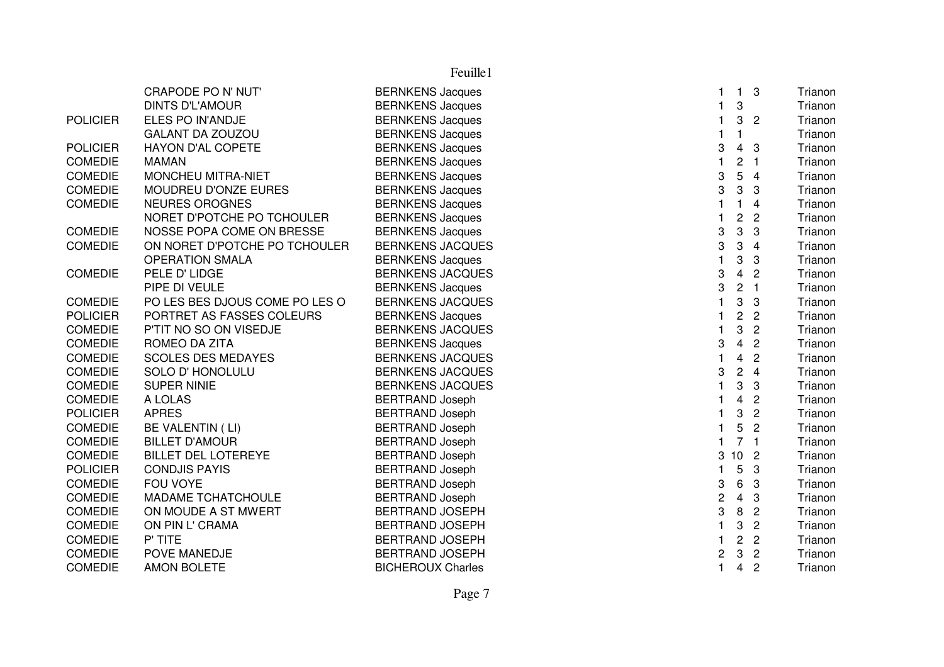|                 | CRAPODE PO N' NUT'             | <b>BERNKENS Jacques</b>  |                | 1.              | 3              | Trianon |
|-----------------|--------------------------------|--------------------------|----------------|-----------------|----------------|---------|
|                 | <b>DINTS D'L'AMOUR</b>         | <b>BERNKENS Jacques</b>  |                | 3               |                | Trianon |
| <b>POLICIER</b> | ELES PO IN'ANDJE               | <b>BERNKENS Jacques</b>  |                | 3               | $\overline{2}$ | Trianon |
|                 | <b>GALANT DA ZOUZOU</b>        | <b>BERNKENS Jacques</b>  |                | 1               |                | Trianon |
| <b>POLICIER</b> | HAYON D'AL COPETE              | <b>BERNKENS Jacques</b>  | 3              | 4               | 3              | Trianon |
| <b>COMEDIE</b>  | <b>MAMAN</b>                   | <b>BERNKENS Jacques</b>  |                | 2               |                | Trianon |
| <b>COMEDIE</b>  | MONCHEU MITRA-NIET             | <b>BERNKENS Jacques</b>  | 3              | 5               | 4              | Trianon |
| <b>COMEDIE</b>  | MOUDREU D'ONZE EURES           | <b>BERNKENS Jacques</b>  | 3              | 3               | 3              | Trianon |
| <b>COMEDIE</b>  | <b>NEURES OROGNES</b>          | <b>BERNKENS Jacques</b>  |                | 1               | 4              | Trianon |
|                 | NORET D'POTCHE PO TCHOULER     | <b>BERNKENS Jacques</b>  |                | $\overline{c}$  | $\overline{2}$ | Trianon |
| <b>COMEDIE</b>  | NOSSE POPA COME ON BRESSE      | <b>BERNKENS Jacques</b>  | 3              | 3               | 3              | Trianon |
| <b>COMEDIE</b>  | ON NORET D'POTCHE PO TCHOULER  | <b>BERNKENS JACQUES</b>  | 3              | 3               | 4              | Trianon |
|                 | <b>OPERATION SMALA</b>         | <b>BERNKENS Jacques</b>  |                | 3               | 3              | Trianon |
| <b>COMEDIE</b>  | PELE D' LIDGE                  | <b>BERNKENS JACQUES</b>  | 3              | 4               | 2              | Trianon |
|                 | PIPE DI VEULE                  | <b>BERNKENS Jacques</b>  | 3              | $\overline{c}$  | $\overline{1}$ | Trianon |
| <b>COMEDIE</b>  | PO LES BES DJOUS COME PO LES O | <b>BERNKENS JACQUES</b>  |                | 3               | 3              | Trianon |
| <b>POLICIER</b> | PORTRET AS FASSES COLEURS      | <b>BERNKENS Jacques</b>  |                | $\overline{2}$  | $\overline{2}$ | Trianon |
| <b>COMEDIE</b>  | P'TIT NO SO ON VISEDJE         | <b>BERNKENS JACQUES</b>  |                | 3               | $\overline{2}$ | Trianon |
| <b>COMEDIE</b>  | ROMEO DA ZITA                  | <b>BERNKENS Jacques</b>  | 3              | $\overline{4}$  | $\overline{2}$ | Trianon |
| <b>COMEDIE</b>  | <b>SCOLES DES MEDAYES</b>      | <b>BERNKENS JACQUES</b>  |                | 4               | $\overline{2}$ | Trianon |
| <b>COMEDIE</b>  | SOLO D' HONOLULU               | <b>BERNKENS JACQUES</b>  | 3              | $\overline{2}$  | $\overline{4}$ | Trianon |
| <b>COMEDIE</b>  | <b>SUPER NINIE</b>             | <b>BERNKENS JACQUES</b>  |                | 3               | 3              | Trianon |
| <b>COMEDIE</b>  | A LOLAS                        | <b>BERTRAND Joseph</b>   |                | 4               | $\overline{2}$ | Trianon |
| <b>POLICIER</b> | <b>APRES</b>                   | <b>BERTRAND Joseph</b>   |                | 3               | $\overline{c}$ | Trianon |
| <b>COMEDIE</b>  | BE VALENTIN (LI)               | <b>BERTRAND Joseph</b>   |                | 5               | $\overline{2}$ | Trianon |
| <b>COMEDIE</b>  | <b>BILLET D'AMOUR</b>          | <b>BERTRAND Joseph</b>   |                | 7               | $\mathbf{1}$   | Trianon |
| <b>COMEDIE</b>  | <b>BILLET DEL LOTEREYE</b>     | <b>BERTRAND Joseph</b>   | 3              | 10 <sup>°</sup> | $\overline{c}$ | Trianon |
| <b>POLICIER</b> | <b>CONDJIS PAYIS</b>           | <b>BERTRAND Joseph</b>   |                | 5               | 3              | Trianon |
| <b>COMEDIE</b>  | <b>FOU VOYE</b>                | <b>BERTRAND Joseph</b>   | 3              | 6               | 3              | Trianon |
| <b>COMEDIE</b>  | <b>MADAME TCHATCHOULE</b>      | <b>BERTRAND Joseph</b>   | $\overline{c}$ | 4               | 3              | Trianon |
| <b>COMEDIE</b>  | ON MOUDE A ST MWERT            | <b>BERTRAND JOSEPH</b>   | 3              | $\, 8$          | $\overline{c}$ | Trianon |
| <b>COMEDIE</b>  | ON PIN L' CRAMA                | <b>BERTRAND JOSEPH</b>   |                | 3               | $\overline{c}$ | Trianon |
| <b>COMEDIE</b>  | P' TITE                        | <b>BERTRAND JOSEPH</b>   |                | $\overline{c}$  | $\overline{c}$ | Trianon |
| <b>COMEDIE</b>  | POVE MANEDJE                   | <b>BERTRAND JOSEPH</b>   | 2              | 3               | $\overline{2}$ | Trianon |
| <b>COMEDIE</b>  | <b>AMON BOLETE</b>             | <b>BICHEROUX Charles</b> | $\mathbf{1}$   | 4               | $\overline{c}$ | Trianon |
|                 |                                |                          |                |                 |                |         |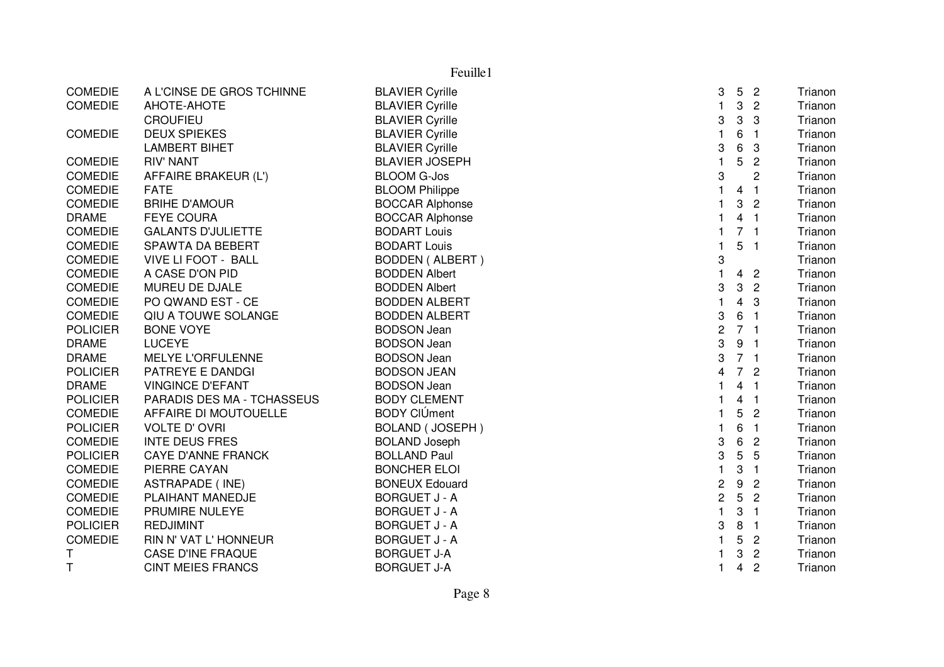|                 |                            | Feuille1               |                  |                         |                  |         |
|-----------------|----------------------------|------------------------|------------------|-------------------------|------------------|---------|
| <b>COMEDIE</b>  | A L'CINSE DE GROS TCHINNE  | <b>BLAVIER Cyrille</b> | 3                | 5                       | $\overline{2}$   | Trianon |
| <b>COMEDIE</b>  | AHOTE-AHOTE                | <b>BLAVIER Cyrille</b> | $\mathbf{1}$     | 3                       | $\overline{2}$   | Trianon |
|                 | <b>CROUFIEU</b>            | <b>BLAVIER Cyrille</b> | 3                | 3                       | 3                | Trianon |
| <b>COMEDIE</b>  | <b>DEUX SPIEKES</b>        | <b>BLAVIER Cyrille</b> | $\mathbf{1}$     | 6                       | $\overline{1}$   | Trianon |
|                 | <b>LAMBERT BIHET</b>       | <b>BLAVIER Cyrille</b> | 3                | $6\phantom{1}6$         | 3                | Trianon |
| <b>COMEDIE</b>  | <b>RIV' NANT</b>           | <b>BLAVIER JOSEPH</b>  | $\mathbf{1}$     | 5                       | $\mathbf{2}$     | Trianon |
| <b>COMEDIE</b>  | AFFAIRE BRAKEUR (L')       | <b>BLOOM G-Jos</b>     | 3                |                         | $\overline{c}$   | Trianon |
| <b>COMEDIE</b>  | <b>FATE</b>                | <b>BLOOM Philippe</b>  | $\mathbf{1}$     | 4                       | $\overline{1}$   | Trianon |
| <b>COMEDIE</b>  | <b>BRIHE D'AMOUR</b>       | <b>BOCCAR Alphonse</b> | $\mathbf 1$      | 3                       | $\overline{2}$   | Trianon |
| <b>DRAME</b>    | <b>FEYE COURA</b>          | <b>BOCCAR Alphonse</b> | $\mathbf 1$      | 4                       | - 1              | Trianon |
| <b>COMEDIE</b>  | <b>GALANTS D'JULIETTE</b>  | <b>BODART Louis</b>    | $\mathbf{1}$     | 7 <sub>1</sub>          |                  | Trianon |
| <b>COMEDIE</b>  | SPAWTA DA BEBERT           | <b>BODART Louis</b>    | $\mathbf{1}$     | 5                       | $\overline{1}$   | Trianon |
| <b>COMEDIE</b>  | <b>VIVE LI FOOT - BALL</b> | <b>BODDEN (ALBERT)</b> | 3                |                         |                  | Trianon |
| <b>COMEDIE</b>  | A CASE D'ON PID            | <b>BODDEN Albert</b>   | 1                | 4                       | $\overline{2}$   | Trianon |
| <b>COMEDIE</b>  | MUREU DE DJALE             | <b>BODDEN Albert</b>   | 3                | 3                       | $\overline{2}$   | Trianon |
| <b>COMEDIE</b>  | PO QWAND EST - CE          | <b>BODDEN ALBERT</b>   | $\mathbf{1}$     | 4                       | 3                | Trianon |
| <b>COMEDIE</b>  | QIU A TOUWE SOLANGE        | <b>BODDEN ALBERT</b>   | 3                | 6                       | $\overline{1}$   | Trianon |
| <b>POLICIER</b> | <b>BONE VOYE</b>           | <b>BODSON Jean</b>     | $\overline{c}$   | 7 <sub>1</sub>          |                  | Trianon |
| <b>DRAME</b>    | <b>LUCEYE</b>              | <b>BODSON Jean</b>     | 3                | 9                       | $\blacksquare$ 1 | Trianon |
| <b>DRAME</b>    | <b>MELYE L'ORFULENNE</b>   | <b>BODSON Jean</b>     | 3                | 7 <sub>1</sub>          |                  | Trianon |
| <b>POLICIER</b> | PATREYE E DANDGI           | <b>BODSON JEAN</b>     | 4                | $\overline{7}$          | $\overline{c}$   | Trianon |
| <b>DRAME</b>    | <b>VINGINCE D'EFANT</b>    | <b>BODSON Jean</b>     | $\mathbf 1$      | 4                       | $\overline{1}$   | Trianon |
| <b>POLICIER</b> | PARADIS DES MA - TCHASSEUS | <b>BODY CLEMENT</b>    | $\mathbf{1}$     | 4                       | $\overline{1}$   | Trianon |
| <b>COMEDIE</b>  | AFFAIRE DI MOUTOUELLE      | <b>BODY CIÚment</b>    | $\mathbf{1}$     | 5                       | $\overline{2}$   | Trianon |
| <b>POLICIER</b> | <b>VOLTE D'OVRI</b>        | <b>BOLAND (JOSEPH)</b> | $\mathbf{1}$     | 6                       | $\overline{1}$   | Trianon |
| <b>COMEDIE</b>  | <b>INTE DEUS FRES</b>      | <b>BOLAND Joseph</b>   | 3                | 6                       | $\overline{2}$   | Trianon |
| <b>POLICIER</b> | <b>CAYE D'ANNE FRANCK</b>  | <b>BOLLAND Paul</b>    | 3                | $\mathbf 5$             | 5                | Trianon |
| <b>COMEDIE</b>  | PIERRE CAYAN               | <b>BONCHER ELOI</b>    | $\mathbf{1}$     | 3                       | $\overline{1}$   | Trianon |
| <b>COMEDIE</b>  | <b>ASTRAPADE (INE)</b>     | <b>BONEUX Edouard</b>  | $\boldsymbol{2}$ | $\boldsymbol{9}$        | $\overline{2}$   | Trianon |
| <b>COMEDIE</b>  | PLAIHANT MANEDJE           | <b>BORGUET J - A</b>   | $\overline{c}$   | 5                       | $\overline{2}$   | Trianon |
| <b>COMEDIE</b>  | PRUMIRE NULEYE             | <b>BORGUET J - A</b>   | $\mathbf{1}$     | 3                       | $\mathbf{1}$     | Trianon |
| <b>POLICIER</b> | <b>REDJIMINT</b>           | <b>BORGUET J - A</b>   | 3                | $\, 8$                  | $\overline{1}$   | Trianon |
| <b>COMEDIE</b>  | RIN N' VAT L' HONNEUR      | <b>BORGUET J - A</b>   | $\mathbf 1$      | 5                       | $\overline{c}$   | Trianon |
| Τ               | <b>CASE D'INE FRAQUE</b>   | <b>BORGUET J-A</b>     | 1                | 3                       | $\mathbf{2}$     | Trianon |
| T               | <b>CINT MEIES FRANCS</b>   | <b>BORGUET J-A</b>     | 1                | $\overline{\mathbf{4}}$ | $\overline{c}$   | Trianon |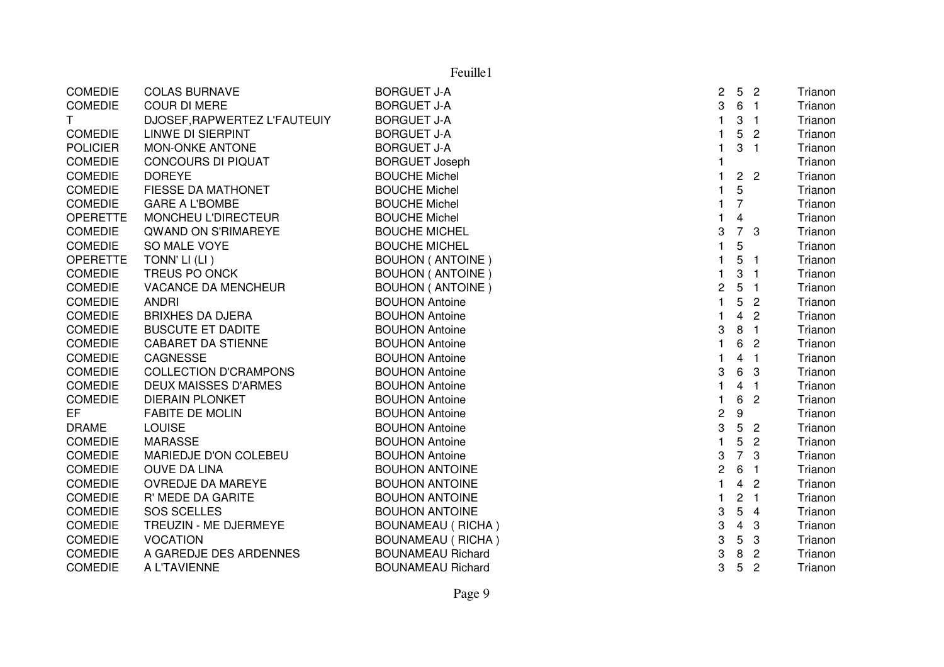| <b>COMEDIE</b>  | <b>COLAS BURNAVE</b>         | <b>BORGUET J-A</b>       | $\overline{2}$ |                 | 5 <sub>2</sub>             | Trianon |
|-----------------|------------------------------|--------------------------|----------------|-----------------|----------------------------|---------|
| <b>COMEDIE</b>  | <b>COUR DI MERE</b>          | <b>BORGUET J-A</b>       | 3              |                 | 6 <sub>1</sub>             | Trianon |
| T               | DJOSEF, RAPWERTEZ L'FAUTEUIY | <b>BORGUET J-A</b>       |                | 3               | $\overline{1}$             | Trianon |
| <b>COMEDIE</b>  | LINWE DI SIERPINT            | <b>BORGUET J-A</b>       | 1              | 5 <sup>5</sup>  | $\overline{c}$             | Trianon |
| <b>POLICIER</b> | MON-ONKE ANTONE              | <b>BORGUET J-A</b>       |                | 3               | $\blacksquare$             | Trianon |
| <b>COMEDIE</b>  | <b>CONCOURS DI PIQUAT</b>    | <b>BORGUET Joseph</b>    |                |                 |                            | Trianon |
| <b>COMEDIE</b>  | <b>DOREYE</b>                | <b>BOUCHE Michel</b>     |                |                 | 2 <sub>2</sub>             | Trianon |
| COMEDIE         | FIESSE DA MATHONET           | <b>BOUCHE Michel</b>     | 1              | 5               |                            | Trianon |
| <b>COMEDIE</b>  | <b>GARE A L'BOMBE</b>        | <b>BOUCHE Michel</b>     | $\mathbf{1}$   | $\overline{7}$  |                            | Trianon |
| <b>OPERETTE</b> | MONCHEU L'DIRECTEUR          | <b>BOUCHE Michel</b>     | 1              | 4               |                            | Trianon |
| <b>COMEDIE</b>  | QWAND ON S'RIMAREYE          | <b>BOUCHE MICHEL</b>     | 3              |                 | 7 <sup>3</sup>             | Trianon |
| <b>COMEDIE</b>  | SO MALE VOYE                 | <b>BOUCHE MICHEL</b>     | 1              | 5               |                            | Trianon |
| <b>OPERETTE</b> | TONN' LI (LI)                | <b>BOUHON (ANTOINE)</b>  |                | 5               | $\blacksquare$             | Trianon |
| <b>COMEDIE</b>  | TREUS PO ONCK                | <b>BOUHON (ANTOINE)</b>  | 1              | 3               | $\overline{1}$             | Trianon |
| <b>COMEDIE</b>  | VACANCE DA MENCHEUR          | <b>BOUHON (ANTOINE)</b>  | $\sqrt{2}$     |                 | 5 <sub>1</sub>             | Trianon |
| <b>COMEDIE</b>  | <b>ANDRI</b>                 | <b>BOUHON Antoine</b>    | $\mathbf{1}$   | 5               | $\overline{2}$             | Trianon |
| <b>COMEDIE</b>  | <b>BRIXHES DA DJERA</b>      | <b>BOUHON Antoine</b>    | 1              | $\overline{4}$  | $\overline{2}$             | Trianon |
| <b>COMEDIE</b>  | <b>BUSCUTE ET DADITE</b>     | <b>BOUHON Antoine</b>    | 3              |                 | 8 <sub>1</sub>             | Trianon |
| <b>COMEDIE</b>  | <b>CABARET DA STIENNE</b>    | <b>BOUHON Antoine</b>    | $\mathbf{1}$   | 6               | $\overline{2}$             | Trianon |
| <b>COMEDIE</b>  | CAGNESSE                     | <b>BOUHON Antoine</b>    |                | 4               | $\overline{\phantom{0}}$ 1 | Trianon |
| <b>COMEDIE</b>  | <b>COLLECTION D'CRAMPONS</b> | <b>BOUHON Antoine</b>    | 3              | $6\overline{6}$ | - 3                        | Trianon |
| <b>COMEDIE</b>  | <b>DEUX MAISSES D'ARMES</b>  | <b>BOUHON Antoine</b>    |                | 4               | $\blacksquare$             | Trianon |
| <b>COMEDIE</b>  | <b>DIERAIN PLONKET</b>       | <b>BOUHON Antoine</b>    |                | 6               | $\overline{c}$             | Trianon |
| EF              | <b>FABITE DE MOLIN</b>       | <b>BOUHON Antoine</b>    | 2              | 9               |                            | Trianon |
| <b>DRAME</b>    | <b>LOUISE</b>                | <b>BOUHON Antoine</b>    | 3              | 5               | $\overline{2}$             | Trianon |
| <b>COMEDIE</b>  | <b>MARASSE</b>               | <b>BOUHON Antoine</b>    | $\mathbf{1}$   | 5               | $\overline{2}$             | Trianon |
| <b>COMEDIE</b>  | MARIEDJE D'ON COLEBEU        | <b>BOUHON Antoine</b>    | 3              | $\overline{7}$  | 3                          | Trianon |
| <b>COMEDIE</b>  | <b>OUVE DA LINA</b>          | <b>BOUHON ANTOINE</b>    | $\overline{c}$ | 6               | $\blacksquare$ 1           | Trianon |
| <b>COMEDIE</b>  | <b>OVREDJE DA MAREYE</b>     | <b>BOUHON ANTOINE</b>    |                | 4               | $\overline{c}$             | Trianon |
| <b>COMEDIE</b>  | R' MEDE DA GARITE            | <b>BOUHON ANTOINE</b>    |                | $\overline{c}$  | $\overline{\phantom{1}}$   | Trianon |
| <b>COMEDIE</b>  | <b>SOS SCELLES</b>           | <b>BOUHON ANTOINE</b>    | 3              | 5               | $\overline{4}$             | Trianon |
| <b>COMEDIE</b>  | TREUZIN - ME DJERMEYE        | <b>BOUNAMEAU (RICHA)</b> | 3              | $\overline{4}$  | -3                         | Trianon |
| <b>COMEDIE</b>  | <b>VOCATION</b>              | <b>BOUNAMEAU (RICHA)</b> | 3              | $5\phantom{.0}$ | 3                          | Trianon |
| <b>COMEDIE</b>  | A GAREDJE DES ARDENNES       | <b>BOUNAMEAU Richard</b> | 3              | 8               | $\overline{2}$             | Trianon |
| <b>COMEDIE</b>  | A L'TAVIENNE                 | <b>BOUNAMEAU Richard</b> | 3              | $5\phantom{.0}$ | $\overline{c}$             | Trianon |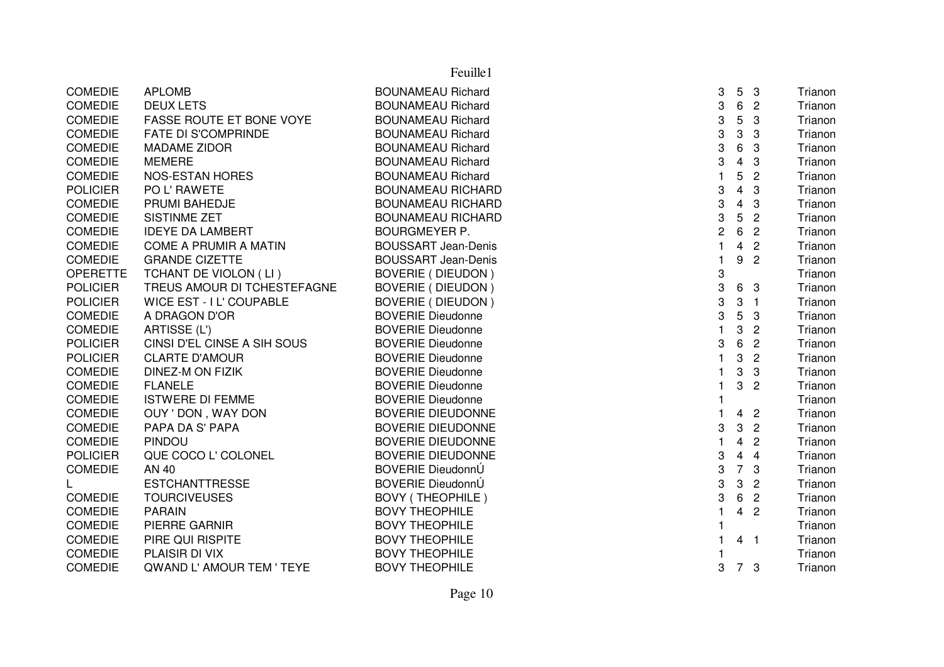|                 |                                 | Feuille1                   |                |                         |                |         |
|-----------------|---------------------------------|----------------------------|----------------|-------------------------|----------------|---------|
| <b>COMEDIE</b>  | <b>APLOMB</b>                   | <b>BOUNAMEAU Richard</b>   | 3              | 5                       | -3             | Trianon |
| <b>COMEDIE</b>  | <b>DEUX LETS</b>                | <b>BOUNAMEAU Richard</b>   | 3              | 6                       | $\overline{c}$ | Trianon |
| <b>COMEDIE</b>  | <b>FASSE ROUTE ET BONE VOYE</b> | <b>BOUNAMEAU Richard</b>   | 3              | 5                       | 3              | Trianon |
| <b>COMEDIE</b>  | <b>FATE DI S'COMPRINDE</b>      | <b>BOUNAMEAU Richard</b>   | 3              | 3                       | 3              | Trianon |
| <b>COMEDIE</b>  | <b>MADAME ZIDOR</b>             | <b>BOUNAMEAU Richard</b>   | 3              | $\,6$                   | 3              | Trianon |
| <b>COMEDIE</b>  | <b>MEMERE</b>                   | <b>BOUNAMEAU Richard</b>   | 3              | $\overline{\mathbf{4}}$ | 3              | Trianon |
| <b>COMEDIE</b>  | <b>NOS-ESTAN HORES</b>          | <b>BOUNAMEAU Richard</b>   | $\mathbf{1}$   | 5                       | $\overline{c}$ | Trianon |
| <b>POLICIER</b> | PO L' RAWETE                    | <b>BOUNAMEAU RICHARD</b>   | 3              | $\overline{\mathbf{4}}$ | 3              | Trianon |
| <b>COMEDIE</b>  | PRUMI BAHEDJE                   | <b>BOUNAMEAU RICHARD</b>   | 3              | $\overline{4}$          | 3              | Trianon |
| <b>COMEDIE</b>  | <b>SISTINME ZET</b>             | <b>BOUNAMEAU RICHARD</b>   | 3              | 5                       | $\overline{2}$ | Trianon |
| <b>COMEDIE</b>  | <b>IDEYE DA LAMBERT</b>         | <b>BOURGMEYER P.</b>       | $\overline{c}$ | 6                       | $\overline{2}$ | Trianon |
| <b>COMEDIE</b>  | <b>COME A PRUMIR A MATIN</b>    | <b>BOUSSART Jean-Denis</b> |                | 4                       | $\overline{2}$ | Trianon |
| <b>COMEDIE</b>  | <b>GRANDE CIZETTE</b>           | <b>BOUSSART Jean-Denis</b> |                | 9                       | $\overline{c}$ | Trianon |
| <b>OPERETTE</b> | TCHANT DE VIOLON (LI)           | <b>BOVERIE (DIEUDON)</b>   | 3              |                         |                | Trianon |
| <b>POLICIER</b> | TREUS AMOUR DI TCHESTEFAGNE     | <b>BOVERIE (DIEUDON)</b>   | 3              | 6                       | 3              | Trianon |
| <b>POLICIER</b> | WICE EST - I L' COUPABLE        | <b>BOVERIE (DIEUDON)</b>   | 3              | $\mathbf{3}$            | $\overline{1}$ | Trianon |
| <b>COMEDIE</b>  | A DRAGON D'OR                   | <b>BOVERIE Dieudonne</b>   | 3              | 5                       | 3              | Trianon |
| COMEDIE         | ARTISSE (L')                    | <b>BOVERIE Dieudonne</b>   | $\mathbf{1}$   | 3                       | $\overline{c}$ | Trianon |
| <b>POLICIER</b> | CINSI D'EL CINSE A SIH SOUS     | <b>BOVERIE Dieudonne</b>   | 3              | 6                       | $\overline{2}$ | Trianon |
| <b>POLICIER</b> | <b>CLARTE D'AMOUR</b>           | <b>BOVERIE Dieudonne</b>   | $\mathbf{1}$   | 3                       | $\overline{2}$ | Trianon |
| <b>COMEDIE</b>  | DINEZ-M ON FIZIK                | <b>BOVERIE Dieudonne</b>   | $\mathbf{1}$   | 3                       | 3              | Trianon |
| <b>COMEDIE</b>  | <b>FLANELE</b>                  | <b>BOVERIE Dieudonne</b>   | $\mathbf{1}$   | 3                       | $\overline{2}$ | Trianon |
| <b>COMEDIE</b>  | <b>ISTWERE DI FEMME</b>         | <b>BOVERIE Dieudonne</b>   | $\mathbf{1}$   |                         |                | Trianon |
| <b>COMEDIE</b>  | OUY ' DON, WAY DON              | <b>BOVERIE DIEUDONNE</b>   | $\mathbf{1}$   | $\overline{4}$          | $\overline{2}$ | Trianon |
| <b>COMEDIE</b>  | PAPA DA S' PAPA                 | <b>BOVERIE DIEUDONNE</b>   | 3              | $\mathbf{3}$            | $\overline{2}$ | Trianon |
| <b>COMEDIE</b>  | <b>PINDOU</b>                   | <b>BOVERIE DIEUDONNE</b>   | $\mathbf{1}$   | $\overline{4}$          | $\overline{2}$ | Trianon |
| <b>POLICIER</b> | QUE COCO L' COLONEL             | <b>BOVERIE DIEUDONNE</b>   | 3              | $\overline{4}$          | $\overline{4}$ | Trianon |
| <b>COMEDIE</b>  | AN 40                           | BOVERIE DieudonnÚ          | 3              | $\overline{7}$          | 3              | Trianon |
|                 | <b>ESTCHANTTRESSE</b>           | BOVERIE DieudonnÚ          | 3              | 3                       | $\overline{2}$ | Trianon |
| <b>COMEDIE</b>  | <b>TOURCIVEUSES</b>             | <b>BOVY (THEOPHILE)</b>    | 3              | 6                       | $\overline{2}$ | Trianon |
| <b>COMEDIE</b>  | <b>PARAIN</b>                   | <b>BOVY THEOPHILE</b>      | $\mathbf{1}$   | $\overline{4}$          | $\overline{2}$ | Trianon |
| <b>COMEDIE</b>  | PIERRE GARNIR                   | <b>BOVY THEOPHILE</b>      | $\mathbf{1}$   |                         |                | Trianon |
| <b>COMEDIE</b>  | PIRE QUI RISPITE                | <b>BOVY THEOPHILE</b>      | 1              |                         | 4 <sub>1</sub> | Trianon |
| <b>COMEDIE</b>  | PLAISIR DI VIX                  | <b>BOVY THEOPHILE</b>      |                |                         |                | Trianon |
| <b>COMEDIE</b>  | QWAND L' AMOUR TEM ' TEYE       | <b>BOVY THEOPHILE</b>      | 3              | 7 3                     |                | Trianon |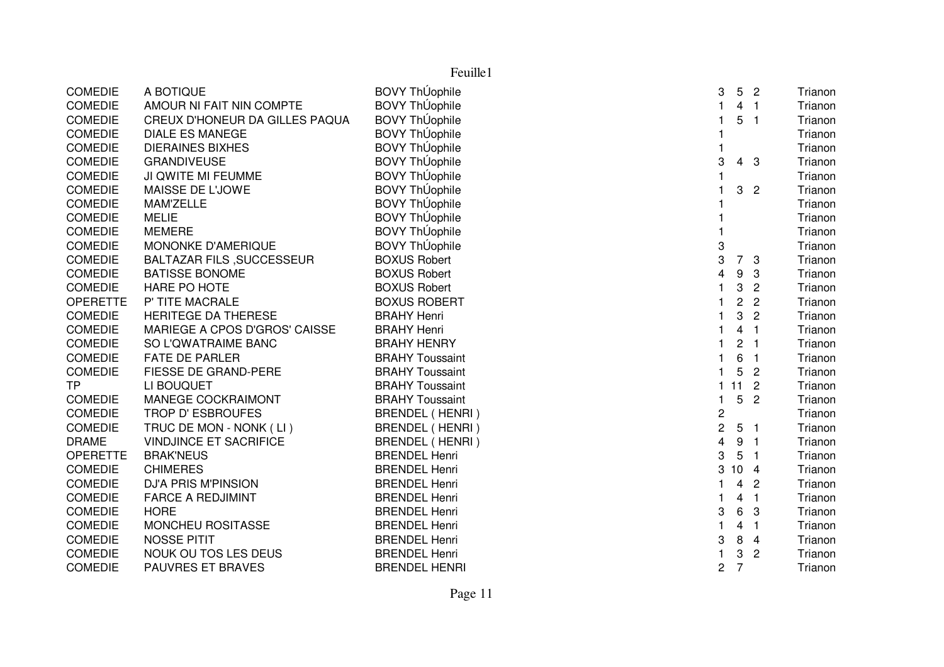| <b>COMEDIE</b>  | A BOTIQUE                        | BOVY ThÚophile         | 3<br>5<br>$\overline{2}$         | Trianon                   |
|-----------------|----------------------------------|------------------------|----------------------------------|---------------------------|
| <b>COMEDIE</b>  | AMOUR NI FAIT NIN COMPTE         | <b>BOVY ThUophile</b>  | 4 <sub>1</sub>                   | Trianon                   |
| <b>COMEDIE</b>  | CREUX D'HONEUR DA GILLES PAQUA   | <b>BOVY ThUophile</b>  | 5<br>$\overline{\phantom{0}}$ 1  | Trianon                   |
| <b>COMEDIE</b>  | <b>DIALE ES MANEGE</b>           | <b>BOVY ThUophile</b>  |                                  | Trianon                   |
| <b>COMEDIE</b>  | <b>DIERAINES BIXHES</b>          | <b>BOVY ThUophile</b>  |                                  | Trianon                   |
| <b>COMEDIE</b>  | <b>GRANDIVEUSE</b>               | <b>BOVY ThUophile</b>  | 3<br>-3<br>4                     | Trianon                   |
| <b>COMEDIE</b>  | JI QWITE MI FEUMME               | <b>BOVY ThUophile</b>  |                                  | Trianon                   |
| <b>COMEDIE</b>  | MAISSE DE L'JOWE                 | <b>BOVY ThUophile</b>  | 3<br>$\overline{2}$              | Trianon                   |
| <b>COMEDIE</b>  | MAM'ZELLE                        | <b>BOVY ThUophile</b>  |                                  | Trianon                   |
| <b>COMEDIE</b>  | <b>MELIE</b>                     | <b>BOVY ThUophile</b>  |                                  | Trianon                   |
| <b>COMEDIE</b>  | <b>MEMERE</b>                    | <b>BOVY ThUophile</b>  |                                  | Trianon                   |
| <b>COMEDIE</b>  | MONONKE D'AMERIQUE               | <b>BOVY ThÚophile</b>  | 3                                | Trianon                   |
| <b>COMEDIE</b>  | <b>BALTAZAR FILS, SUCCESSEUR</b> | <b>BOXUS Robert</b>    | 3<br>7<br>3                      | Trianon                   |
| <b>COMEDIE</b>  | <b>BATISSE BONOME</b>            | <b>BOXUS Robert</b>    | 4<br>9<br>3                      | Trianon                   |
| <b>COMEDIE</b>  | HARE PO HOTE                     | <b>BOXUS Robert</b>    | 3                                | $\overline{c}$<br>Trianon |
| <b>OPERETTE</b> | P' TITE MACRALE                  | <b>BOXUS ROBERT</b>    | $\overline{c}$<br>$\overline{2}$ | Trianon                   |
| <b>COMEDIE</b>  | HERITEGE DA THERESE              | <b>BRAHY Henri</b>     | 3                                | $\overline{2}$<br>Trianon |
| <b>COMEDIE</b>  | MARIEGE A CPOS D'GROS' CAISSE    | <b>BRAHY Henri</b>     | 4<br>-1                          | Trianon                   |
| <b>COMEDIE</b>  | SO L'QWATRAIME BANC              | <b>BRAHY HENRY</b>     | 2<br>-1                          | Trianon                   |
| <b>COMEDIE</b>  | <b>FATE DE PARLER</b>            | <b>BRAHY Toussaint</b> | 6<br>$\overline{1}$              | Trianon                   |
| <b>COMEDIE</b>  | FIESSE DE GRAND-PERE             | <b>BRAHY Toussaint</b> | 5<br>$\overline{2}$              | Trianon                   |
| <b>TP</b>       | LI BOUQUET                       | <b>BRAHY Toussaint</b> | 11<br>$\overline{2}$<br>1.       | Trianon                   |
| <b>COMEDIE</b>  | <b>MANEGE COCKRAIMONT</b>        | <b>BRAHY Toussaint</b> | 5<br>$\overline{c}$<br>1         | Trianon                   |
| <b>COMEDIE</b>  | TROP D' ESBROUFES                | <b>BRENDEL (HENRI)</b> | 2                                | Trianon                   |
| <b>COMEDIE</b>  | TRUC DE MON - NONK (LI)          | BRENDEL (HENRI)        | $\overline{c}$<br>5<br>-1        | Trianon                   |
| <b>DRAME</b>    | <b>VINDJINCE ET SACRIFICE</b>    | BRENDEL (HENRI)        | 4<br>9<br>-1                     | Trianon                   |
| <b>OPERETTE</b> | <b>BRAK'NEUS</b>                 | <b>BRENDEL Henri</b>   | 3<br>5<br>-1                     | Trianon                   |
| <b>COMEDIE</b>  | <b>CHIMERES</b>                  | <b>BRENDEL Henri</b>   | 3<br>10 <sub>4</sub>             | Trianon                   |
| <b>COMEDIE</b>  | <b>DJ'A PRIS M'PINSION</b>       | <b>BRENDEL Henri</b>   | 4<br>2<br>1                      | Trianon                   |
| <b>COMEDIE</b>  | <b>FARCE A REDJIMINT</b>         | <b>BRENDEL Henri</b>   | $\overline{1}$<br>1<br>4         | Trianon                   |
| <b>COMEDIE</b>  | <b>HORE</b>                      | <b>BRENDEL Henri</b>   | 3<br>6<br>3                      | Trianon                   |
| <b>COMEDIE</b>  | MONCHEU ROSITASSE                | <b>BRENDEL Henri</b>   | 4<br>-1                          | Trianon                   |
| <b>COMEDIE</b>  | <b>NOSSE PITIT</b>               | <b>BRENDEL Henri</b>   | 3<br>8<br>4                      | Trianon                   |
| <b>COMEDIE</b>  | NOUK OU TOS LES DEUS             | <b>BRENDEL Henri</b>   | 3                                | $\overline{2}$<br>Trianon |
| <b>COMEDIE</b>  | PAUVRES ET BRAVES                | <b>BRENDEL HENRI</b>   | $\overline{7}$<br>2              | Trianon                   |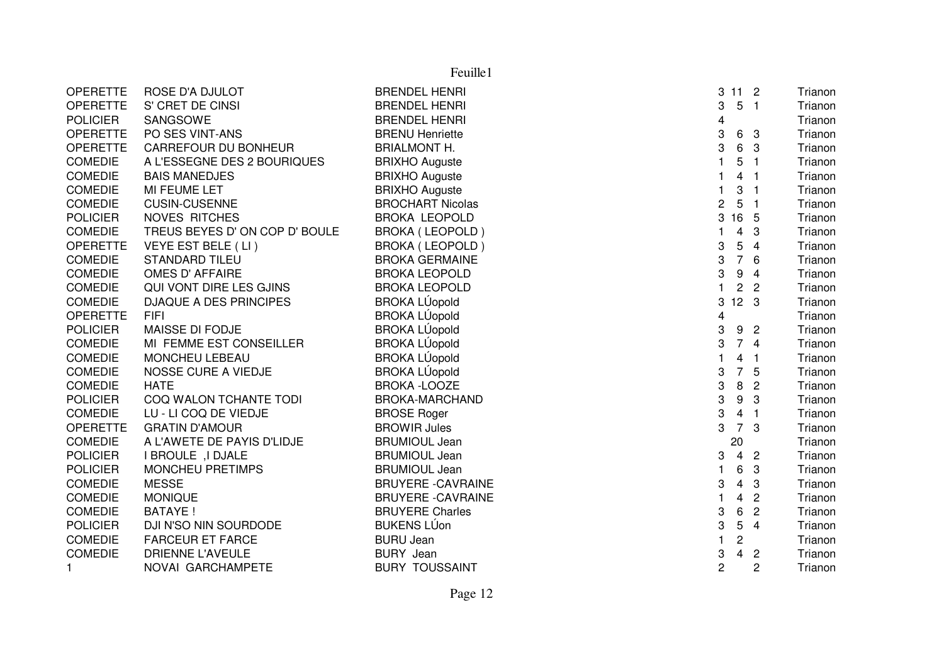|                 |                                | Feuille1                  |                         |                         |                |         |
|-----------------|--------------------------------|---------------------------|-------------------------|-------------------------|----------------|---------|
| <b>OPERETTE</b> | ROSE D'A DJULOT                | <b>BRENDEL HENRI</b>      | 3                       | 11 <sub>2</sub>         |                | Trianon |
| <b>OPERETTE</b> | S' CRET DE CINSI               | <b>BRENDEL HENRI</b>      | 3                       | 5                       | $\overline{1}$ | Trianon |
| <b>POLICIER</b> | SANGSOWE                       | <b>BRENDEL HENRI</b>      | $\overline{\mathbf{4}}$ |                         |                | Trianon |
| <b>OPERETTE</b> | PO SES VINT-ANS                | <b>BRENU Henriette</b>    | 3                       | 6                       | 3              | Trianon |
| <b>OPERETTE</b> | <b>CARREFOUR DU BONHEUR</b>    | <b>BRIALMONT H.</b>       | 3                       | 6                       | -3             | Trianon |
| <b>COMEDIE</b>  | A L'ESSEGNE DES 2 BOURIQUES    | <b>BRIXHO Auguste</b>     | $\mathbf{1}$            | 5                       | $\overline{1}$ | Trianon |
| <b>COMEDIE</b>  | <b>BAIS MANEDJES</b>           | <b>BRIXHO Auguste</b>     | $\mathbf{1}$            | 4                       | -1             | Trianon |
| <b>COMEDIE</b>  | MI FEUME LET                   | <b>BRIXHO Auguste</b>     | 1                       | 3                       | -1             | Trianon |
| <b>COMEDIE</b>  | <b>CUSIN-CUSENNE</b>           | <b>BROCHART Nicolas</b>   | $\overline{c}$          | 5                       | -1             | Trianon |
| <b>POLICIER</b> | <b>NOVES RITCHES</b>           | <b>BROKA LEOPOLD</b>      | 3                       | 16 5                    |                | Trianon |
| <b>COMEDIE</b>  | TREUS BEYES D' ON COP D' BOULE | <b>BROKA (LEOPOLD)</b>    | 1                       | 4                       | 3              | Trianon |
| <b>OPERETTE</b> | VEYE EST BELE (LI)             | <b>BROKA (LEOPOLD)</b>    | 3                       | 5                       | $\overline{4}$ | Trianon |
| <b>COMEDIE</b>  | <b>STANDARD TILEU</b>          | <b>BROKA GERMAINE</b>     | 3                       | $\overline{7}$          | 6              | Trianon |
| <b>COMEDIE</b>  | OMES D' AFFAIRE                | <b>BROKA LEOPOLD</b>      | 3                       | $\boldsymbol{9}$        | $\overline{4}$ | Trianon |
| <b>COMEDIE</b>  | QUI VONT DIRE LES GJINS        | <b>BROKA LEOPOLD</b>      | $\mathbf{1}$            | $\overline{c}$          | $\overline{2}$ | Trianon |
| <b>COMEDIE</b>  | <b>DJAQUE A DES PRINCIPES</b>  | <b>BROKA LÚopold</b>      | 3                       | 12 <sup>3</sup>         |                | Trianon |
| <b>OPERETTE</b> | <b>FIFI</b>                    | <b>BROKA LÚopold</b>      | $\overline{\mathbf{4}}$ |                         |                | Trianon |
| <b>POLICIER</b> | MAISSE DI FODJE                | <b>BROKA LÚopold</b>      | 3                       | 9                       | $\overline{2}$ | Trianon |
| <b>COMEDIE</b>  | MI FEMME EST CONSEILLER        | <b>BROKA LÚopold</b>      | 3                       |                         | 74             | Trianon |
| <b>COMEDIE</b>  | MONCHEU LEBEAU                 | <b>BROKA LÚopold</b>      | $\mathbf 1$             | 4                       | $\overline{1}$ | Trianon |
| <b>COMEDIE</b>  | NOSSE CURE A VIEDJE            | <b>BROKA LÚopold</b>      | 3                       | $\overline{7}$          | 5              | Trianon |
| <b>COMEDIE</b>  | <b>HATE</b>                    | <b>BROKA -LOOZE</b>       | 3                       | 8                       | $\overline{c}$ | Trianon |
| <b>POLICIER</b> | COQ WALON TCHANTE TODI         | <b>BROKA-MARCHAND</b>     | 3                       | 9                       | 3              | Trianon |
| <b>COMEDIE</b>  | LU - LI COQ DE VIEDJE          | <b>BROSE Roger</b>        | 3                       | $\overline{4}$          | $\overline{1}$ | Trianon |
| <b>OPERETTE</b> | <b>GRATIN D'AMOUR</b>          | <b>BROWIR Jules</b>       | 3                       | $\overline{7}$          | 3              | Trianon |
| <b>COMEDIE</b>  | A L'AWETE DE PAYIS D'LIDJE     | <b>BRUMIOUL Jean</b>      |                         | 20                      |                | Trianon |
| <b>POLICIER</b> | I BROULE, I DJALE              | <b>BRUMIOUL Jean</b>      | 3                       | $\overline{4}$          | $\overline{2}$ | Trianon |
| <b>POLICIER</b> | <b>MONCHEU PRETIMPS</b>        | <b>BRUMIOUL Jean</b>      | $\mathbf{1}$            | 6                       | 3              | Trianon |
| <b>COMEDIE</b>  | <b>MESSE</b>                   | <b>BRUYERE - CAVRAINE</b> | 3                       | $\overline{\mathbf{4}}$ | 3              | Trianon |
| <b>COMEDIE</b>  | <b>MONIQUE</b>                 | <b>BRUYERE - CAVRAINE</b> | $\mathbf{1}$            | $\overline{4}$          | $\overline{2}$ | Trianon |
| <b>COMEDIE</b>  | <b>BATAYE!</b>                 | <b>BRUYERE Charles</b>    | 3                       | 6                       | $\overline{c}$ | Trianon |
| <b>POLICIER</b> | DJI N'SO NIN SOURDODE          | <b>BUKENS LÚon</b>        | 3                       | 5                       | $\overline{4}$ | Trianon |
| <b>COMEDIE</b>  | <b>FARCEUR ET FARCE</b>        | <b>BURU Jean</b>          | $\mathbf{1}$            | $\overline{c}$          |                | Trianon |
| <b>COMEDIE</b>  | <b>DRIENNE L'AVEULE</b>        | <b>BURY</b> Jean          | 3                       | 4                       | $\overline{c}$ | Trianon |
| $\mathbf{1}$    | NOVAI GARCHAMPETE              | <b>BURY TOUSSAINT</b>     | $\overline{2}$          |                         | 2              | Trianon |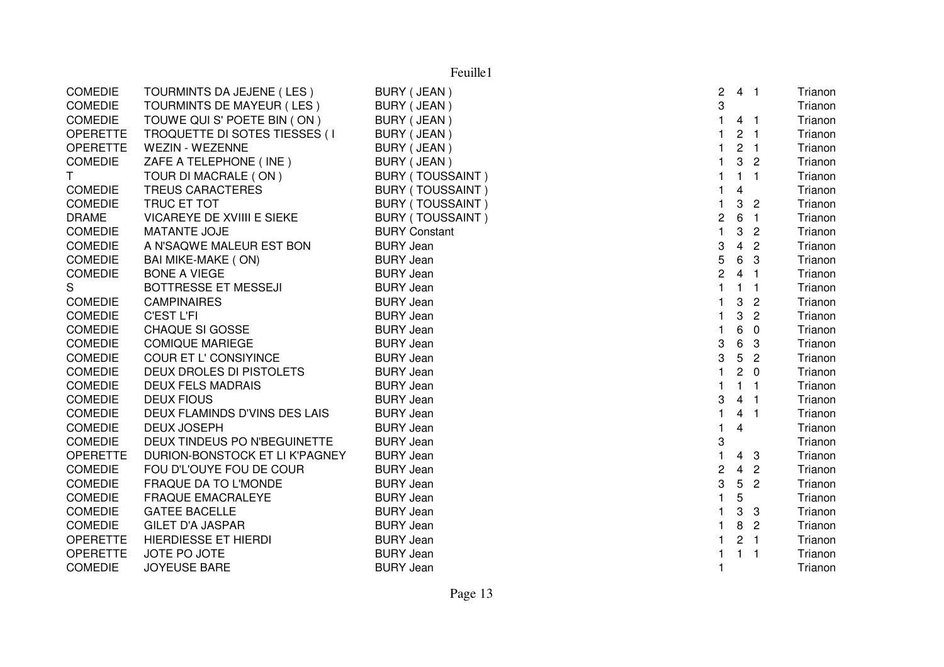| <b>COMEDIE</b>  | TOURMINTS DA JEJENE (LES)      | BURY (JEAN)             | $\overline{2}$ | 4 <sub>1</sub>  |                | Trianon |
|-----------------|--------------------------------|-------------------------|----------------|-----------------|----------------|---------|
| <b>COMEDIE</b>  | TOURMINTS DE MAYEUR (LES)      | BURY (JEAN)             | 3              |                 |                | Trianon |
| <b>COMEDIE</b>  | TOUWE QUI S' POETE BIN (ON)    | BURY (JEAN)             |                | 4 <sub>1</sub>  |                | Trianon |
| <b>OPERETTE</b> | TROQUETTE DI SOTES TIESSES (I  | BURY (JEAN)             |                | 2 <sub>1</sub>  |                | Trianon |
| <b>OPERETTE</b> | WEZIN - WEZENNE                | BURY (JEAN)             |                | 2 <sub>1</sub>  |                | Trianon |
| <b>COMEDIE</b>  | ZAFE A TELEPHONE (INE)         | BURY (JEAN)             |                |                 | 3 <sup>2</sup> | Trianon |
| T.              | TOUR DI MACRALE (ON)           | <b>BURY (TOUSSAINT)</b> |                | 1 <sub>1</sub>  |                | Trianon |
| <b>COMEDIE</b>  | <b>TREUS CARACTERES</b>        | <b>BURY (TOUSSAINT)</b> |                | 4               |                | Trianon |
| <b>COMEDIE</b>  | TRUC ET TOT                    | <b>BURY (TOUSSAINT)</b> |                | 3               | $\overline{2}$ | Trianon |
| <b>DRAME</b>    | VICAREYE DE XVIIII E SIEKE     | <b>BURY (TOUSSAINT)</b> | 2              | 6               | $\overline{1}$ | Trianon |
| <b>COMEDIE</b>  | MATANTE JOJE                   | <b>BURY Constant</b>    | $\mathbf{1}$   | $\mathbf{3}$    | $\overline{2}$ | Trianon |
| <b>COMEDIE</b>  | A N'SAQWE MALEUR EST BON       | <b>BURY Jean</b>        | 3              | 4               | $\overline{2}$ | Trianon |
| <b>COMEDIE</b>  | BAI MIKE-MAKE (ON)             | <b>BURY Jean</b>        | 5              | 6               | -3             | Trianon |
| <b>COMEDIE</b>  | <b>BONE A VIEGE</b>            | <b>BURY Jean</b>        | $\overline{c}$ | 4 <sub>1</sub>  |                | Trianon |
| S               | BOTTRESSE ET MESSEJI           | <b>BURY Jean</b>        |                | $\mathbf{1}$    | $\blacksquare$ | Trianon |
| <b>COMEDIE</b>  | <b>CAMPINAIRES</b>             | <b>BURY Jean</b>        |                | 3               | $\overline{2}$ | Trianon |
| <b>COMEDIE</b>  | <b>C'EST L'FI</b>              | <b>BURY Jean</b>        |                | 3               | $\overline{2}$ | Trianon |
| <b>COMEDIE</b>  | CHAQUE SI GOSSE                | <b>BURY Jean</b>        |                | $\,6$           | $\overline{0}$ | Trianon |
| <b>COMEDIE</b>  | <b>COMIQUE MARIEGE</b>         | <b>BURY Jean</b>        | 3              | $6\phantom{.}6$ | 3              | Trianon |
| <b>COMEDIE</b>  | COUR ET L' CONSIYINCE          | <b>BURY Jean</b>        | 3              | 5               | $\overline{2}$ | Trianon |
| <b>COMEDIE</b>  | DEUX DROLES DI PISTOLETS       | <b>BURY Jean</b>        |                | $2\quad 0$      |                | Trianon |
| <b>COMEDIE</b>  | <b>DEUX FELS MADRAIS</b>       | <b>BURY Jean</b>        |                | $1 \quad 1$     |                | Trianon |
| <b>COMEDIE</b>  | <b>DEUX FIOUS</b>              | <b>BURY Jean</b>        | 3              | 4 <sub>1</sub>  |                | Trianon |
| <b>COMEDIE</b>  | DEUX FLAMINDS D'VINS DES LAIS  | <b>BURY Jean</b>        | $\mathbf{1}$   | 4 <sub>1</sub>  |                | Trianon |
| <b>COMEDIE</b>  | <b>DEUX JOSEPH</b>             | <b>BURY Jean</b>        | 1              | 4               |                | Trianon |
| <b>COMEDIE</b>  | DEUX TINDEUS PO N'BEGUINETTE   | <b>BURY Jean</b>        | 3              |                 |                | Trianon |
| <b>OPERETTE</b> | DURION-BONSTOCK ET LI K'PAGNEY | <b>BURY Jean</b>        |                | 4               | -3             | Trianon |
| <b>COMEDIE</b>  | FOU D'L'OUYE FOU DE COUR       | <b>BURY Jean</b>        | 2              | $\overline{4}$  | $\overline{c}$ | Trianon |
| <b>COMEDIE</b>  | <b>FRAQUE DA TO L'MONDE</b>    | <b>BURY Jean</b>        | 3              | $5\phantom{.0}$ | $\overline{2}$ | Trianon |
| <b>COMEDIE</b>  | <b>FRAQUE EMACRALEYE</b>       | <b>BURY Jean</b>        |                | 5               |                | Trianon |
| <b>COMEDIE</b>  | <b>GATEE BACELLE</b>           | <b>BURY Jean</b>        |                | 3               | $\mathbf{3}$   | Trianon |
| <b>COMEDIE</b>  | <b>GILET D'A JASPAR</b>        | <b>BURY Jean</b>        |                | 8 <sup>2</sup>  |                | Trianon |
| <b>OPERETTE</b> | <b>HIERDIESSE ET HIERDI</b>    | <b>BURY Jean</b>        |                | 2 <sub>1</sub>  |                | Trianon |
| <b>OPERETTE</b> | JOTE PO JOTE                   | <b>BURY Jean</b>        |                | $1 \quad 1$     |                | Trianon |
| <b>COMEDIE</b>  | <b>JOYEUSE BARE</b>            | <b>BURY Jean</b>        |                |                 |                | Trianon |
|                 |                                |                         |                |                 |                |         |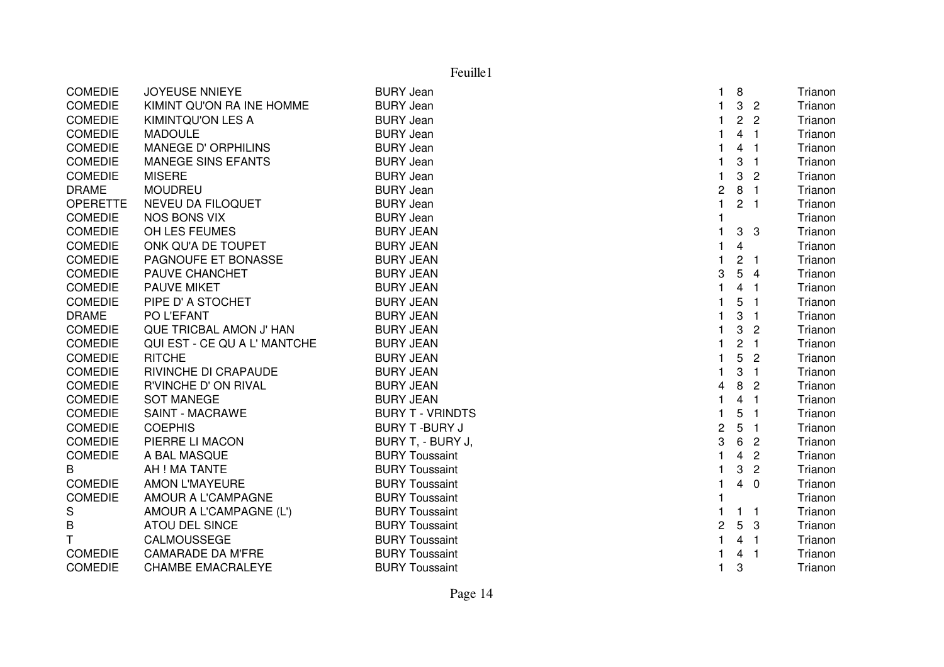|                 | Feuille1                     |                         |                         |                |                         |         |  |  |
|-----------------|------------------------------|-------------------------|-------------------------|----------------|-------------------------|---------|--|--|
| <b>COMEDIE</b>  | <b>JOYEUSE NNIEYE</b>        | <b>BURY Jean</b>        | 1.                      | 8              |                         | Trianon |  |  |
| <b>COMEDIE</b>  | KIMINT QU'ON RA INE HOMME    | <b>BURY Jean</b>        | 1                       | $\mathbf{3}$   | $\overline{2}$          | Trianon |  |  |
| <b>COMEDIE</b>  | <b>KIMINTQU'ON LES A</b>     | <b>BURY Jean</b>        | 1                       | $\overline{2}$ | $\overline{2}$          | Trianon |  |  |
| <b>COMEDIE</b>  | <b>MADOULE</b>               | <b>BURY Jean</b>        | $\mathbf{1}$            | $\overline{4}$ | - 1                     | Trianon |  |  |
| <b>COMEDIE</b>  | MANEGE D' ORPHILINS          | <b>BURY Jean</b>        | 1.                      | 4              | $\overline{1}$          | Trianon |  |  |
| <b>COMEDIE</b>  | <b>MANEGE SINS EFANTS</b>    | <b>BURY Jean</b>        | 1                       | 3              | $\overline{1}$          | Trianon |  |  |
| <b>COMEDIE</b>  | <b>MISERE</b>                | <b>BURY Jean</b>        | 1                       | 3              | $\overline{2}$          | Trianon |  |  |
| <b>DRAME</b>    | <b>MOUDREU</b>               | <b>BURY Jean</b>        | 2                       |                | 8 <sub>1</sub>          | Trianon |  |  |
| <b>OPERETTE</b> | <b>NEVEU DA FILOQUET</b>     | <b>BURY Jean</b>        | $\mathbf{1}$            |                | 2 <sub>1</sub>          | Trianon |  |  |
| COMEDIE         | <b>NOS BONS VIX</b>          | <b>BURY Jean</b>        | 1                       |                |                         | Trianon |  |  |
| <b>COMEDIE</b>  | OH LES FEUMES                | <b>BURY JEAN</b>        | 1                       | 3              | $\overline{3}$          | Trianon |  |  |
| <b>COMEDIE</b>  | ONK QU'A DE TOUPET           | <b>BURY JEAN</b>        | 1.                      | 4              |                         | Trianon |  |  |
| <b>COMEDIE</b>  | PAGNOUFE ET BONASSE          | <b>BURY JEAN</b>        | $\mathbf{1}$            |                | 2 <sub>1</sub>          | Trianon |  |  |
| <b>COMEDIE</b>  | PAUVE CHANCHET               | <b>BURY JEAN</b>        | 3                       | 5              | $\overline{4}$          | Trianon |  |  |
| <b>COMEDIE</b>  | <b>PAUVE MIKET</b>           | <b>BURY JEAN</b>        | $\mathbf{1}$            |                | 4 <sub>1</sub>          | Trianon |  |  |
| <b>COMEDIE</b>  | PIPE D' A STOCHET            | <b>BURY JEAN</b>        | 1                       | 5              | $\overline{1}$          | Trianon |  |  |
| <b>DRAME</b>    | PO L'EFANT                   | <b>BURY JEAN</b>        | 1                       | 3              | $\overline{\mathbf{1}}$ | Trianon |  |  |
| <b>COMEDIE</b>  | QUE TRICBAL AMON J' HAN      | <b>BURY JEAN</b>        | 1                       | 3              | $\overline{c}$          | Trianon |  |  |
| <b>COMEDIE</b>  | QUI EST - CE QU A L' MANTCHE | <b>BURY JEAN</b>        | 1                       | $\overline{c}$ | $\overline{1}$          | Trianon |  |  |
| <b>COMEDIE</b>  | <b>RITCHE</b>                | <b>BURY JEAN</b>        | 1.                      | 5              | $\overline{2}$          | Trianon |  |  |
| <b>COMEDIE</b>  | RIVINCHE DI CRAPAUDE         | <b>BURY JEAN</b>        | 1                       | 3              | $\overline{1}$          | Trianon |  |  |
| <b>COMEDIE</b>  | R'VINCHE D' ON RIVAL         | <b>BURY JEAN</b>        | 4                       | 8              | $\overline{c}$          | Trianon |  |  |
| <b>COMEDIE</b>  | <b>SOT MANEGE</b>            | <b>BURY JEAN</b>        | $\mathbf{1}$            | $\overline{4}$ | $\overline{1}$          | Trianon |  |  |
| <b>COMEDIE</b>  | <b>SAINT - MACRAWE</b>       | <b>BURY T - VRINDTS</b> | 1                       | 5              | - 1                     | Trianon |  |  |
| <b>COMEDIE</b>  | <b>COEPHIS</b>               | <b>BURY T-BURY J</b>    | $\overline{\mathbf{c}}$ | 5              | $\blacksquare$          | Trianon |  |  |
| <b>COMEDIE</b>  | PIERRE LI MACON              | BURY T. - BURY J.       | 3                       | 6              | $\overline{2}$          | Trianon |  |  |
| <b>COMEDIE</b>  | A BAL MASQUE                 | <b>BURY Toussaint</b>   | 1.                      |                | 4 <sup>2</sup>          | Trianon |  |  |
| B               | AH ! MA TANTE                | <b>BURY Toussaint</b>   | 1                       | 3              | $\overline{2}$          | Trianon |  |  |
| <b>COMEDIE</b>  | <b>AMON L'MAYEURE</b>        | <b>BURY Toussaint</b>   | $\mathbf{1}$            | $\overline{4}$ | $\overline{0}$          | Trianon |  |  |
| <b>COMEDIE</b>  | AMOUR A L'CAMPAGNE           | <b>BURY Toussaint</b>   | 1                       |                |                         | Trianon |  |  |
| S               | AMOUR A L'CAMPAGNE (L')      | <b>BURY Toussaint</b>   | 1                       |                | $1 \quad 1$             | Trianon |  |  |
| B               | <b>ATOU DEL SINCE</b>        | <b>BURY Toussaint</b>   | $\overline{c}$          |                | 5 <sub>3</sub>          | Trianon |  |  |
| T               | CALMOUSSEGE                  | <b>BURY Toussaint</b>   | $\mathbf{1}$            |                | 4 <sub>1</sub>          | Trianon |  |  |
| <b>COMEDIE</b>  | <b>CAMARADE DA M'FRE</b>     | <b>BURY Toussaint</b>   | 1                       |                | 4 <sub>1</sub>          | Trianon |  |  |
| <b>COMEDIE</b>  | <b>CHAMBE EMACRALEYE</b>     | <b>BURY Toussaint</b>   | $\mathbf{1}$            | 3              |                         | Trianon |  |  |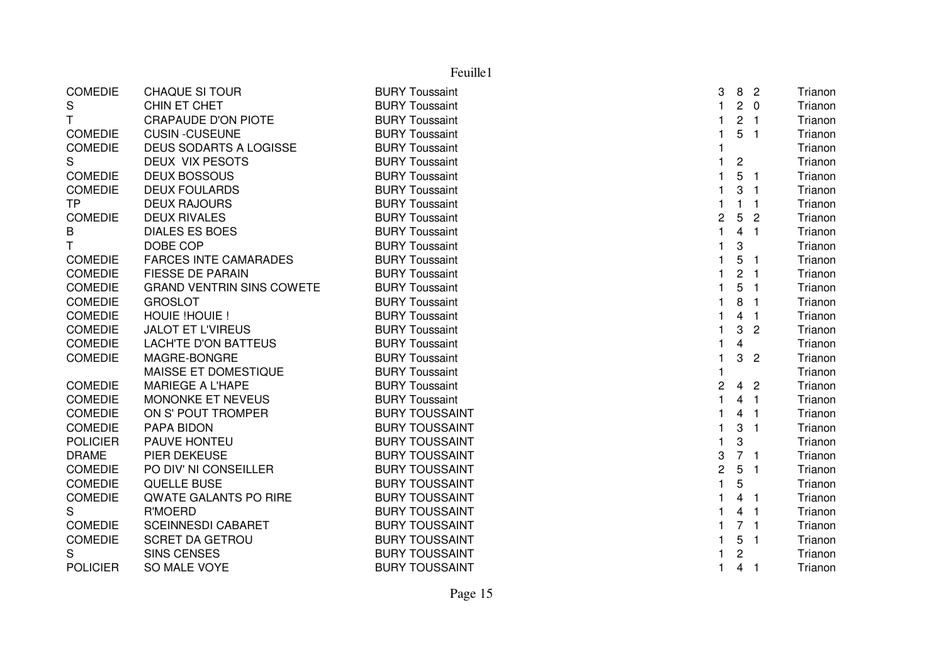|                 |                                  | Feuille1              |                |                         |                            |         |
|-----------------|----------------------------------|-----------------------|----------------|-------------------------|----------------------------|---------|
| <b>COMEDIE</b>  | <b>CHAQUE SI TOUR</b>            | <b>BURY Toussaint</b> | 3              | 8                       | $\overline{c}$             | Trianon |
| S               | CHIN ET CHET                     | <b>BURY Toussaint</b> | $\mathbf{1}$   | $\overline{2}$          | $\Omega$                   | Trianon |
| T               | <b>CRAPAUDE D'ON PIOTE</b>       | <b>BURY Toussaint</b> | 1              | $\overline{c}$          | $\overline{\phantom{0}}$ 1 | Trianon |
| <b>COMEDIE</b>  | <b>CUSIN -CUSEUNE</b>            | <b>BURY Toussaint</b> | 1              | 5                       | $\overline{\mathbf{1}}$    | Trianon |
| <b>COMEDIE</b>  | <b>DEUS SODARTS A LOGISSE</b>    | <b>BURY Toussaint</b> |                |                         |                            | Trianon |
| S               | DEUX VIX PESOTS                  | <b>BURY Toussaint</b> |                | $\overline{\mathbf{c}}$ |                            | Trianon |
| <b>COMEDIE</b>  | <b>DEUX BOSSOUS</b>              | <b>BURY Toussaint</b> |                | 5                       | -1                         | Trianon |
| <b>COMEDIE</b>  | <b>DEUX FOULARDS</b>             | <b>BURY Toussaint</b> |                | 3                       | -1                         | Trianon |
| <b>TP</b>       | <b>DEUX RAJOURS</b>              | <b>BURY Toussaint</b> |                | 1                       | -1                         | Trianon |
| <b>COMEDIE</b>  | <b>DEUX RIVALES</b>              | <b>BURY Toussaint</b> | $\overline{c}$ | 5                       | $\overline{2}$             | Trianon |
| B               | <b>DIALES ES BOES</b>            | <b>BURY Toussaint</b> | $\mathbf{1}$   | 4                       | $\overline{\mathbf{1}}$    | Trianon |
| $\mathsf{T}$    | DOBE COP                         | <b>BURY Toussaint</b> | 1              | 3                       |                            | Trianon |
| <b>COMEDIE</b>  | <b>FARCES INTE CAMARADES</b>     | <b>BURY Toussaint</b> | 1              | 5                       | -1                         | Trianon |
| <b>COMEDIE</b>  | <b>FIESSE DE PARAIN</b>          | <b>BURY Toussaint</b> | 1              | $\overline{c}$          | -1                         | Trianon |
| <b>COMEDIE</b>  | <b>GRAND VENTRIN SINS COWETE</b> | <b>BURY Toussaint</b> | 1              | 5                       | -1                         | Trianon |
| <b>COMEDIE</b>  | <b>GROSLOT</b>                   | <b>BURY Toussaint</b> | 1              | 8                       | -1                         | Trianon |
| <b>COMEDIE</b>  | HOUIE !HOUIE !                   | <b>BURY Toussaint</b> | 1              | 4                       | -1                         | Trianon |
| <b>COMEDIE</b>  | <b>JALOT ET L'VIREUS</b>         | <b>BURY Toussaint</b> | $\mathbf{1}$   | 3                       | $\overline{2}$             | Trianon |
| <b>COMEDIE</b>  | <b>LACH'TE D'ON BATTEUS</b>      | <b>BURY Toussaint</b> | 1              | 4                       |                            | Trianon |
| <b>COMEDIE</b>  | MAGRE-BONGRE                     | <b>BURY Toussaint</b> | $\mathbf{1}$   | 3                       | $\overline{2}$             | Trianon |
|                 | MAISSE ET DOMESTIQUE             | <b>BURY Toussaint</b> |                |                         |                            | Trianon |
| <b>COMEDIE</b>  | <b>MARIEGE A L'HAPE</b>          | <b>BURY Toussaint</b> | $\overline{c}$ | 4                       | $\overline{2}$             | Trianon |
| <b>COMEDIE</b>  | MONONKE ET NEVEUS                | <b>BURY Toussaint</b> | $\mathbf{1}$   | 4                       | $\overline{\mathbf{1}}$    | Trianon |
| <b>COMEDIE</b>  | ON S' POUT TROMPER               | <b>BURY TOUSSAINT</b> |                | 4                       | -1                         | Trianon |
| <b>COMEDIE</b>  | PAPA BIDON                       | <b>BURY TOUSSAINT</b> | 1              | 3                       | $\overline{\mathbf{1}}$    | Trianon |
| <b>POLICIER</b> | PAUVE HONTEU                     | <b>BURY TOUSSAINT</b> | $\mathbf{1}$   | 3                       |                            | Trianon |
| <b>DRAME</b>    | PIER DEKEUSE                     | <b>BURY TOUSSAINT</b> | 3              | 7 <sub>1</sub>          |                            | Trianon |
| <b>COMEDIE</b>  | PO DIV' NI CONSEILLER            | <b>BURY TOUSSAINT</b> | $\overline{c}$ | 5                       | - 1                        | Trianon |
| <b>COMEDIE</b>  | QUELLE BUSE                      | <b>BURY TOUSSAINT</b> | $\mathbf{1}$   | 5                       |                            | Trianon |
| <b>COMEDIE</b>  | QWATE GALANTS PO RIRE            | <b>BURY TOUSSAINT</b> | 1              | $\overline{4}$          | - 1                        | Trianon |
| S               | R'MOERD                          | <b>BURY TOUSSAINT</b> | 1              | 4                       | $\overline{\mathbf{1}}$    | Trianon |
| <b>COMEDIE</b>  | <b>SCEINNESDI CABARET</b>        | <b>BURY TOUSSAINT</b> | 1              | $7-1$                   |                            | Trianon |
| <b>COMEDIE</b>  | <b>SCRET DA GETROU</b>           | <b>BURY TOUSSAINT</b> |                | 5                       | $\overline{1}$             | Trianon |
| S               | <b>SINS CENSES</b>               | <b>BURY TOUSSAINT</b> |                | $\overline{c}$          |                            | Trianon |
| <b>POLICIER</b> | SO MALE VOYE                     | <b>BURY TOUSSAINT</b> | 1              | 4                       | -1                         | Trianon |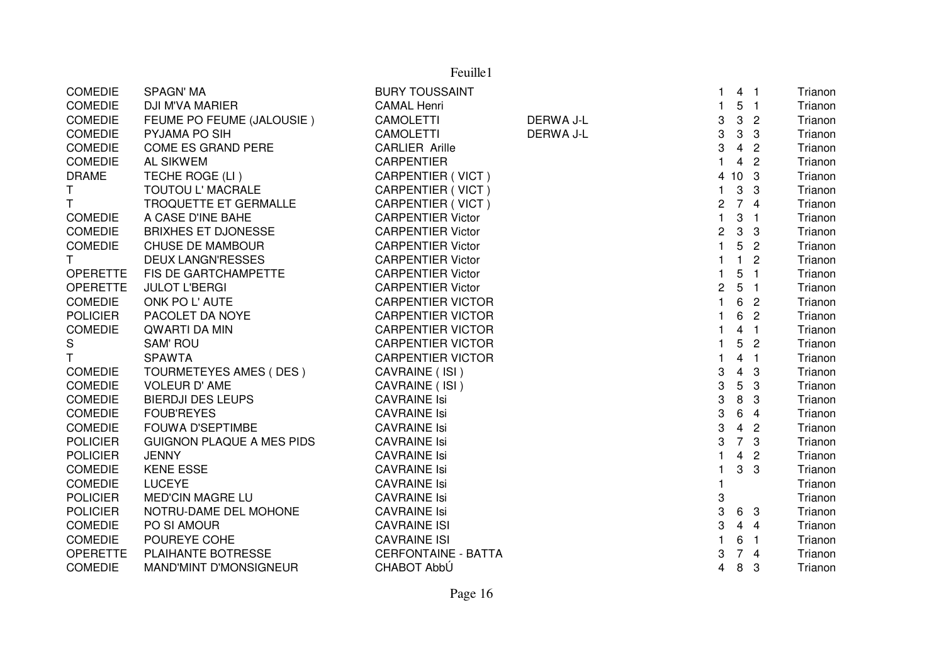|                 |                                  | Feuille1                   |           |                |                           |                         |         |
|-----------------|----------------------------------|----------------------------|-----------|----------------|---------------------------|-------------------------|---------|
| <b>COMEDIE</b>  | <b>SPAGN' MA</b>                 | <b>BURY TOUSSAINT</b>      |           | 1              |                           | 4 <sub>1</sub>          | Trianon |
| <b>COMEDIE</b>  | DJI M'VA MARIER                  | <b>CAMAL Henri</b>         |           | 1              |                           | 5 <sub>1</sub>          | Trianon |
| <b>COMEDIE</b>  | FEUME PO FEUME (JALOUSIE)        | <b>CAMOLETTI</b>           | DERWA J-L | 3              | $\mathbf{3}$              | $\overline{2}$          | Trianon |
| COMEDIE         | PYJAMA PO SIH                    | <b>CAMOLETTI</b>           | DERWA J-L | 3              | $\mathbf{3}$              | 3                       | Trianon |
| <b>COMEDIE</b>  | COME ES GRAND PERE               | <b>CARLIER Arille</b>      |           | 3              | $\overline{\mathbf{4}}$   | $\overline{c}$          | Trianon |
| <b>COMEDIE</b>  | <b>AL SIKWEM</b>                 | <b>CARPENTIER</b>          |           | $\mathbf{1}$   | $\overline{4}$            | $\overline{2}$          | Trianon |
| <b>DRAME</b>    | TECHE ROGE (LI)                  | <b>CARPENTIER (VICT)</b>   |           | 4              | 10 <sup>1</sup>           | $\mathbf{3}$            | Trianon |
| Τ               | TOUTOU L' MACRALE                | CARPENTIER (VICT)          |           | 1              | $\ensuremath{\mathsf{3}}$ | 3                       | Trianon |
| T.              | TROQUETTE ET GERMALLE            | CARPENTIER (VICT)          |           | $\overline{c}$ |                           | 74                      | Trianon |
| <b>COMEDIE</b>  | A CASE D'INE BAHE                | <b>CARPENTIER Victor</b>   |           | $\mathbf{1}$   |                           | 3 <sub>1</sub>          | Trianon |
| <b>COMEDIE</b>  | <b>BRIXHES ET DJONESSE</b>       | <b>CARPENTIER Victor</b>   |           | $\overline{c}$ | $\mathbf{3}$              | 3                       | Trianon |
| <b>COMEDIE</b>  | <b>CHUSE DE MAMBOUR</b>          | <b>CARPENTIER Victor</b>   |           | $\mathbf{1}$   | 5                         | $\overline{2}$          | Trianon |
| T.              | <b>DEUX LANGN'RESSES</b>         | <b>CARPENTIER Victor</b>   |           | 1              | $\mathbf{1}$              | $\overline{c}$          | Trianon |
| <b>OPERETTE</b> | FIS DE GARTCHAMPETTE             | <b>CARPENTIER Victor</b>   |           |                | 5                         | $\overline{1}$          | Trianon |
| <b>OPERETTE</b> | <b>JULOT L'BERGI</b>             | <b>CARPENTIER Victor</b>   |           | $\overline{c}$ | 5                         | - 1                     | Trianon |
| <b>COMEDIE</b>  | ONK PO L'AUTE                    | <b>CARPENTIER VICTOR</b>   |           |                | 6                         | $\overline{2}$          | Trianon |
| <b>POLICIER</b> | PACOLET DA NOYE                  | <b>CARPENTIER VICTOR</b>   |           |                | 6                         | $\overline{2}$          | Trianon |
| <b>COMEDIE</b>  | <b>QWARTI DA MIN</b>             | <b>CARPENTIER VICTOR</b>   |           |                | 4                         | $\overline{\mathbf{1}}$ | Trianon |
| S               | <b>SAM' ROU</b>                  | <b>CARPENTIER VICTOR</b>   |           |                | 5                         | $\overline{2}$          | Trianon |
| T.              | <b>SPAWTA</b>                    | <b>CARPENTIER VICTOR</b>   |           | $\mathbf{1}$   | $\overline{4}$            | $\overline{1}$          | Trianon |
| <b>COMEDIE</b>  | TOURMETEYES AMES (DES)           | CAVRAINE (ISI)             |           | 3              | $\overline{4}$            | 3                       | Trianon |
| <b>COMEDIE</b>  | <b>VOLEUR D' AME</b>             | CAVRAINE (ISI)             |           | 3              | $\sqrt{5}$                | 3                       | Trianon |
| <b>COMEDIE</b>  | <b>BIERDJI DES LEUPS</b>         | <b>CAVRAINE Isi</b>        |           | 3              | 8                         | 3                       | Trianon |
| <b>COMEDIE</b>  | <b>FOUB'REYES</b>                | <b>CAVRAINE Isi</b>        |           | 3              | 6                         | $\overline{4}$          | Trianon |
| <b>COMEDIE</b>  | <b>FOUWA D'SEPTIMBE</b>          | <b>CAVRAINE Isi</b>        |           | 3              | $\overline{4}$            | $\overline{2}$          | Trianon |
| <b>POLICIER</b> | <b>GUIGNON PLAQUE A MES PIDS</b> | <b>CAVRAINE Isi</b>        |           | 3              | $\overline{7}$            | $\mathbf{3}$            | Trianon |
| <b>POLICIER</b> | <b>JENNY</b>                     | <b>CAVRAINE Isi</b>        |           |                | $\overline{4}$            | $\overline{2}$          | Trianon |
| <b>COMEDIE</b>  | <b>KENE ESSE</b>                 | <b>CAVRAINE Isi</b>        |           |                | 3                         | 3                       | Trianon |
| <b>COMEDIE</b>  | <b>LUCEYE</b>                    | <b>CAVRAINE Isi</b>        |           |                |                           |                         | Trianon |
| <b>POLICIER</b> | <b>MED'CIN MAGRE LU</b>          | <b>CAVRAINE Isi</b>        |           | 3              |                           |                         | Trianon |
| <b>POLICIER</b> | NOTRU-DAME DEL MOHONE            | <b>CAVRAINE Isi</b>        |           | 3              |                           | 6 3                     | Trianon |
| <b>COMEDIE</b>  | PO SI AMOUR                      | <b>CAVRAINE ISI</b>        |           | 3              |                           | 44                      | Trianon |
| COMEDIE         | POUREYE COHE                     | <b>CAVRAINE ISI</b>        |           |                | 6                         | $\blacksquare$          | Trianon |
| <b>OPERETTE</b> | PLAIHANTE BOTRESSE               | <b>CERFONTAINE - BATTA</b> |           | 3              |                           | 74                      | Trianon |
| <b>COMEDIE</b>  | <b>MAND'MINT D'MONSIGNEUR</b>    | CHABOT AbbÚ                |           | 4              | 8                         | -3                      | Trianon |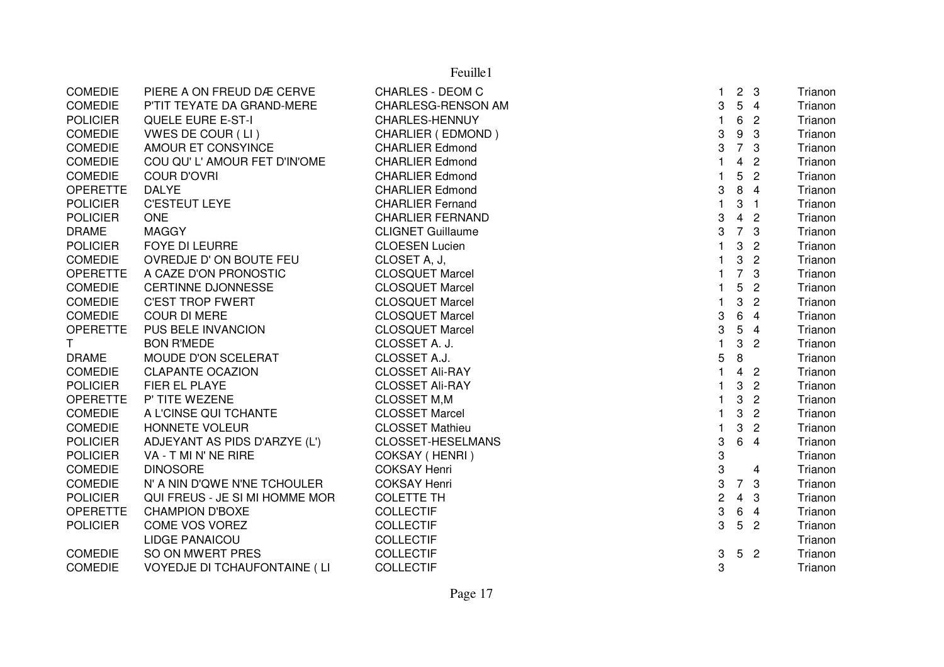| <b>COMEDIE</b>  | PIERE A ON FREUD DÆ CERVE           | <b>CHARLES - DEOM C</b>   | 1.             | $\overline{2}$            | $\mathbf{3}$   | Trianon |
|-----------------|-------------------------------------|---------------------------|----------------|---------------------------|----------------|---------|
| <b>COMEDIE</b>  | P'TIT TEYATE DA GRAND-MERE          | <b>CHARLESG-RENSON AM</b> | 3              | 5                         | $\overline{4}$ | Trianon |
| <b>POLICIER</b> | <b>QUELE EURE E-ST-I</b>            | CHARLES-HENNUY            |                | 6                         | $\overline{2}$ | Trianon |
| <b>COMEDIE</b>  | VWES DE COUR (LI)                   | CHARLIER (EDMOND)         | 3              | 9                         | 3              | Trianon |
| <b>COMEDIE</b>  | AMOUR ET CONSYINCE                  | <b>CHARLIER Edmond</b>    | 3              | $\overline{7}$            | 3              | Trianon |
| <b>COMEDIE</b>  | COU QU' L' AMOUR FET D'IN'OME       | <b>CHARLIER Edmond</b>    |                | 4                         | $\overline{2}$ | Trianon |
| <b>COMEDIE</b>  | <b>COUR D'OVRI</b>                  | <b>CHARLIER Edmond</b>    |                | 5                         | $\overline{c}$ | Trianon |
| <b>OPERETTE</b> | <b>DALYE</b>                        | <b>CHARLIER Edmond</b>    | 3              | 8                         | $\overline{4}$ | Trianon |
| <b>POLICIER</b> | <b>C'ESTEUT LEYE</b>                | <b>CHARLIER Fernand</b>   | $\mathbf{1}$   | $\ensuremath{\mathsf{3}}$ | $\overline{1}$ | Trianon |
| <b>POLICIER</b> | <b>ONE</b>                          | <b>CHARLIER FERNAND</b>   | 3              | 4                         | $\mathbf{2}$   | Trianon |
| <b>DRAME</b>    | <b>MAGGY</b>                        | <b>CLIGNET Guillaume</b>  | 3              | $\overline{7}$            | 3              | Trianon |
| <b>POLICIER</b> | FOYE DI LEURRE                      | <b>CLOESEN Lucien</b>     |                | 3                         | $\overline{2}$ | Trianon |
| <b>COMEDIE</b>  | OVREDJE D'ON BOUTE FEU              | CLOSET A, J,              |                | 3                         | $\overline{2}$ | Trianon |
| <b>OPERETTE</b> | A CAZE D'ON PRONOSTIC               | <b>CLOSQUET Marcel</b>    |                | $\overline{7}$            | 3              | Trianon |
| <b>COMEDIE</b>  | <b>CERTINNE DJONNESSE</b>           | <b>CLOSQUET Marcel</b>    |                | 5                         | $\overline{2}$ | Trianon |
| <b>COMEDIE</b>  | <b>C'EST TROP FWERT</b>             | <b>CLOSQUET Marcel</b>    |                | 3                         | $\overline{2}$ | Trianon |
| <b>COMEDIE</b>  | <b>COUR DI MERE</b>                 | <b>CLOSQUET Marcel</b>    | 3              | 6                         | $\overline{4}$ | Trianon |
| <b>OPERETTE</b> | PUS BELE INVANCION                  | <b>CLOSQUET Marcel</b>    | 3              | 5                         | $\overline{4}$ | Trianon |
| T               | <b>BON R'MEDE</b>                   | CLOSSET A. J.             | 1              | 3                         | $\overline{2}$ | Trianon |
| <b>DRAME</b>    | MOUDE D'ON SCELERAT                 | CLOSSET A.J.              | 5              | 8                         |                | Trianon |
| <b>COMEDIE</b>  | <b>CLAPANTE OCAZION</b>             | <b>CLOSSET Ali-RAY</b>    |                | 4 <sub>2</sub>            |                | Trianon |
| <b>POLICIER</b> | FIER EL PLAYE                       | <b>CLOSSET Ali-RAY</b>    |                | 3                         | $\overline{2}$ | Trianon |
| <b>OPERETTE</b> | P' TITE WEZENE                      | <b>CLOSSET M,M</b>        |                | 3                         | $\overline{2}$ | Trianon |
| <b>COMEDIE</b>  | A L'CINSE QUI TCHANTE               | <b>CLOSSET Marcel</b>     | 1              | 3                         | $\overline{2}$ | Trianon |
| <b>COMEDIE</b>  | HONNETE VOLEUR                      | <b>CLOSSET Mathieu</b>    | 1              | 3                         | $\overline{2}$ | Trianon |
| <b>POLICIER</b> | ADJEYANT AS PIDS D'ARZYE (L')       | CLOSSET-HESELMANS         | 3              | 6                         | $\overline{4}$ | Trianon |
| <b>POLICIER</b> | VA - T MI N' NE RIRE                | COKSAY (HENRI)            | 3              |                           |                | Trianon |
| <b>COMEDIE</b>  | <b>DINOSORE</b>                     | <b>COKSAY Henri</b>       | 3              |                           | 4              | Trianon |
| <b>COMEDIE</b>  | N' A NIN D'QWE N'NE TCHOULER        | <b>COKSAY Henri</b>       | 3              | 7                         | 3              | Trianon |
| <b>POLICIER</b> | QUI FREUS - JE SI MI HOMME MOR      | <b>COLETTE TH</b>         | $\overline{c}$ | 4                         | 3              | Trianon |
| <b>OPERETTE</b> | <b>CHAMPION D'BOXE</b>              | <b>COLLECTIF</b>          | 3              | 6                         | $\overline{4}$ | Trianon |
| <b>POLICIER</b> | COME VOS VOREZ                      | <b>COLLECTIF</b>          | 3              | 5                         | $\overline{2}$ | Trianon |
|                 | <b>LIDGE PANAICOU</b>               | <b>COLLECTIF</b>          |                |                           |                | Trianon |
| <b>COMEDIE</b>  | SO ON MWERT PRES                    | <b>COLLECTIF</b>          | 3              | 5                         | $\overline{2}$ | Trianon |
| <b>COMEDIE</b>  | <b>VOYEDJE DI TCHAUFONTAINE (LI</b> | <b>COLLECTIF</b>          | 3              |                           |                | Trianon |
|                 |                                     |                           |                |                           |                |         |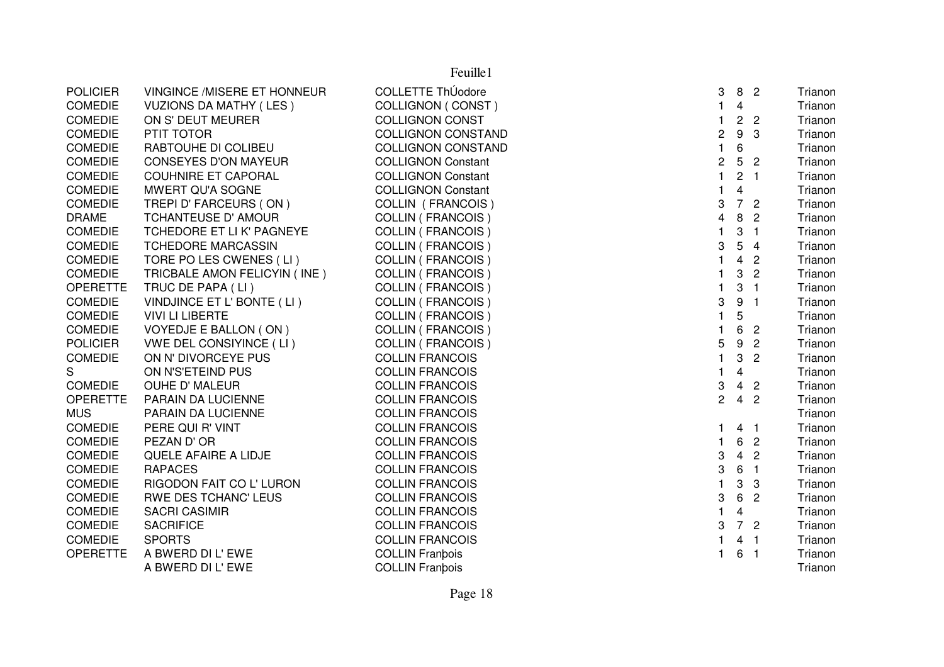|                 |                               | Feuille1                  |                  |                         |                            |         |
|-----------------|-------------------------------|---------------------------|------------------|-------------------------|----------------------------|---------|
| <b>POLICIER</b> | VINGINCE /MISERE ET HONNEUR   | <b>COLLETTE ThÚodore</b>  | 3                | 8 <sup>2</sup>          |                            | Trianon |
| <b>COMEDIE</b>  | <b>VUZIONS DA MATHY (LES)</b> | <b>COLLIGNON (CONST)</b>  | $\mathbf{1}$     | 4                       |                            | Trianon |
| <b>COMEDIE</b>  | ON S' DEUT MEURER             | <b>COLLIGNON CONST</b>    | $\mathbf{1}$     | 2 <sub>2</sub>          |                            | Trianon |
| <b>COMEDIE</b>  | PTIT TOTOR                    | <b>COLLIGNON CONSTAND</b> | $\boldsymbol{2}$ | 9                       | 3                          | Trianon |
| <b>COMEDIE</b>  | RABTOUHE DI COLIBEU           | <b>COLLIGNON CONSTAND</b> | $\mathbf{1}$     | 6                       |                            | Trianon |
| <b>COMEDIE</b>  | <b>CONSEYES D'ON MAYEUR</b>   | <b>COLLIGNON Constant</b> | $\overline{c}$   | $5\phantom{.0}$         | $\overline{c}$             | Trianon |
| <b>COMEDIE</b>  | <b>COUHNIRE ET CAPORAL</b>    | <b>COLLIGNON Constant</b> | $\mathbf{1}$     | $2 \quad 1$             |                            | Trianon |
| <b>COMEDIE</b>  | MWERT QU'A SOGNE              | <b>COLLIGNON Constant</b> | $\mathbf{1}$     | $\overline{4}$          |                            | Trianon |
| <b>COMEDIE</b>  | TREPI D' FARCEURS (ON)        | COLLIN (FRANCOIS)         | 3                | 7 <sup>2</sup>          |                            | Trianon |
| <b>DRAME</b>    | TCHANTEUSE D' AMOUR           | <b>COLLIN (FRANCOIS)</b>  | 4                | 8                       | $\overline{2}$             | Trianon |
| <b>COMEDIE</b>  | TCHEDORE ET LI K' PAGNEYE     | <b>COLLIN (FRANCOIS)</b>  | $\mathbf{1}$     | 3                       | $\overline{1}$             | Trianon |
| <b>COMEDIE</b>  | <b>TCHEDORE MARCASSIN</b>     | <b>COLLIN (FRANCOIS)</b>  | 3                | 5                       | $\overline{4}$             | Trianon |
| <b>COMEDIE</b>  | TORE PO LES CWENES (LI)       | <b>COLLIN (FRANCOIS)</b>  | $\mathbf 1$      | 4                       | $\overline{2}$             | Trianon |
| <b>COMEDIE</b>  | TRICBALE AMON FELICYIN (INE)  | <b>COLLIN (FRANCOIS)</b>  |                  | 3                       | $\overline{2}$             | Trianon |
| <b>OPERETTE</b> | TRUC DE PAPA (LI)             | <b>COLLIN (FRANCOIS)</b>  | $\mathbf{1}$     | 3                       | $\overline{1}$             | Trianon |
| <b>COMEDIE</b>  | VINDJINCE ET L' BONTE (LI)    | <b>COLLIN (FRANCOIS)</b>  | 3                | 9                       | $\overline{1}$             | Trianon |
| <b>COMEDIE</b>  | <b>VIVI LI LIBERTE</b>        | COLLIN (FRANCOIS)         | $\mathbf{1}$     | 5                       |                            | Trianon |
| <b>COMEDIE</b>  | VOYEDJE E BALLON (ON)         | <b>COLLIN (FRANCOIS)</b>  | $\mathbf{1}$     | 6                       | $\overline{2}$             | Trianon |
| <b>POLICIER</b> | VWE DEL CONSIYINCE (LI)       | <b>COLLIN (FRANCOIS)</b>  | 5                | 9                       | $\overline{2}$             | Trianon |
| <b>COMEDIE</b>  | ON N' DIVORCEYE PUS           | <b>COLLIN FRANCOIS</b>    | $\mathbf{1}$     | 3                       | $\overline{2}$             | Trianon |
| ${\mathsf S}$   | ON N'S'ETEIND PUS             | <b>COLLIN FRANCOIS</b>    | $\mathbf{1}$     | $\overline{4}$          |                            | Trianon |
| <b>COMEDIE</b>  | <b>OUHE D' MALEUR</b>         | <b>COLLIN FRANCOIS</b>    | 3                | $\overline{4}$          | $\overline{2}$             | Trianon |
| <b>OPERETTE</b> | PARAIN DA LUCIENNE            | <b>COLLIN FRANCOIS</b>    | $\overline{2}$   | $\overline{4}$          | $\overline{2}$             | Trianon |
| <b>MUS</b>      | PARAIN DA LUCIENNE            | <b>COLLIN FRANCOIS</b>    |                  |                         |                            | Trianon |
| <b>COMEDIE</b>  | PERE QUI R' VINT              | <b>COLLIN FRANCOIS</b>    | 1                | 4 <sub>1</sub>          |                            | Trianon |
| <b>COMEDIE</b>  | PEZAN D'OR                    | <b>COLLIN FRANCOIS</b>    | $\mathbf{1}$     | 6                       | $\overline{2}$             | Trianon |
| <b>COMEDIE</b>  | QUELE AFAIRE A LIDJE          | <b>COLLIN FRANCOIS</b>    | 3                | $\overline{4}$          | $\overline{2}$             | Trianon |
| <b>COMEDIE</b>  | <b>RAPACES</b>                | <b>COLLIN FRANCOIS</b>    | 3                | 6                       | $\overline{1}$             | Trianon |
| <b>COMEDIE</b>  | RIGODON FAIT CO L' LURON      | <b>COLLIN FRANCOIS</b>    | $\mathbf{1}$     | 3                       | $\mathbf{3}$               | Trianon |
| <b>COMEDIE</b>  | <b>RWE DES TCHANC' LEUS</b>   | <b>COLLIN FRANCOIS</b>    | 3                | 6                       | $\overline{2}$             | Trianon |
| <b>COMEDIE</b>  | <b>SACRI CASIMIR</b>          | <b>COLLIN FRANCOIS</b>    | $\mathbf{1}$     | $\overline{\mathbf{4}}$ |                            | Trianon |
| <b>COMEDIE</b>  | <b>SACRIFICE</b>              | <b>COLLIN FRANCOIS</b>    | 3                | 7 <sup>2</sup>          |                            | Trianon |
| <b>COMEDIE</b>  | <b>SPORTS</b>                 | <b>COLLIN FRANCOIS</b>    | $\mathbf 1$      | $\overline{4}$          | $\overline{1}$             | Trianon |
| <b>OPERETTE</b> | A BWERD DI L'EWE              | <b>COLLIN Franbois</b>    | $\overline{1}$   | 6                       | $\overline{\phantom{0}}$ 1 | Trianon |
|                 | A BWERD DI L'EWE              | <b>COLLIN Franbois</b>    |                  |                         |                            | Trianon |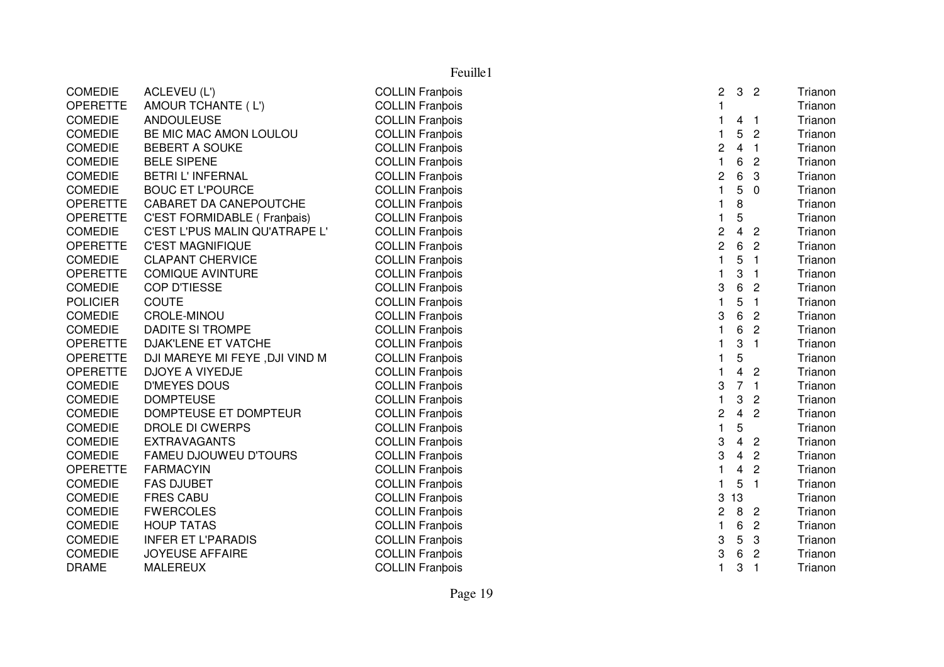|                 | Feuille1                       |                        |                |                         |                          |         |  |  |  |
|-----------------|--------------------------------|------------------------|----------------|-------------------------|--------------------------|---------|--|--|--|
| <b>COMEDIE</b>  | ACLEVEU (L')                   | <b>COLLIN Franbois</b> | 2              | 3                       | $\overline{c}$           | Trianon |  |  |  |
| <b>OPERETTE</b> | AMOUR TCHANTE (L')             | <b>COLLIN Franbois</b> | 1              |                         |                          | Trianon |  |  |  |
| <b>COMEDIE</b>  | <b>ANDOULEUSE</b>              | <b>COLLIN Franbois</b> | $\mathbf{1}$   | 4                       | $\overline{\phantom{0}}$ | Trianon |  |  |  |
| <b>COMEDIE</b>  | BE MIC MAC AMON LOULOU         | <b>COLLIN Franbois</b> | $\mathbf{1}$   | 5                       | $\overline{c}$           | Trianon |  |  |  |
| <b>COMEDIE</b>  | <b>BEBERT A SOUKE</b>          | <b>COLLIN Franbois</b> | 2              | 4                       | $\overline{\mathbf{1}}$  | Trianon |  |  |  |
| <b>COMEDIE</b>  | <b>BELE SIPENE</b>             | <b>COLLIN Franbois</b> | $\mathbf{1}$   | 6                       | $\overline{c}$           | Trianon |  |  |  |
| <b>COMEDIE</b>  | <b>BETRI L'INFERNAL</b>        | <b>COLLIN Franbois</b> | 2              | 6                       | 3                        | Trianon |  |  |  |
| <b>COMEDIE</b>  | <b>BOUC ET L'POURCE</b>        | <b>COLLIN Franbois</b> | $\mathbf{1}$   | 5                       | $\mathbf{0}$             | Trianon |  |  |  |
| <b>OPERETTE</b> | CABARET DA CANEPOUTCHE         | <b>COLLIN Franbois</b> | 1              | 8                       |                          | Trianon |  |  |  |
| <b>OPERETTE</b> | C'EST FORMIDABLE ( Franbais)   | <b>COLLIN Franbois</b> | 1              | 5                       |                          | Trianon |  |  |  |
| <b>COMEDIE</b>  | C'EST L'PUS MALIN QU'ATRAPE L' | <b>COLLIN Franbois</b> | $\overline{c}$ | $\overline{4}$          | $\overline{2}$           | Trianon |  |  |  |
| <b>OPERETTE</b> | <b>C'EST MAGNIFIQUE</b>        | <b>COLLIN Franbois</b> | $\overline{c}$ | 6                       | $\overline{2}$           | Trianon |  |  |  |
| <b>COMEDIE</b>  | <b>CLAPANT CHERVICE</b>        | <b>COLLIN Franbois</b> | $\mathbf{1}$   | 5                       | $\overline{1}$           | Trianon |  |  |  |
| <b>OPERETTE</b> | <b>COMIQUE AVINTURE</b>        | <b>COLLIN Franbois</b> | $\mathbf{1}$   | 3                       | $\overline{1}$           | Trianon |  |  |  |
| <b>COMEDIE</b>  | <b>COP D'TIESSE</b>            | <b>COLLIN Franbois</b> | 3              | 6                       | $\overline{2}$           | Trianon |  |  |  |
| <b>POLICIER</b> | <b>COUTE</b>                   | <b>COLLIN Franbois</b> | $\mathbf{1}$   | 5                       | $\overline{1}$           | Trianon |  |  |  |
| <b>COMEDIE</b>  | CROLE-MINOU                    | <b>COLLIN Franbois</b> | 3              | 6                       | $\overline{2}$           | Trianon |  |  |  |
| <b>COMEDIE</b>  | <b>DADITE SI TROMPE</b>        | <b>COLLIN Franbois</b> | $\mathbf{1}$   | 6                       | $\overline{2}$           | Trianon |  |  |  |
| <b>OPERETTE</b> | DJAK'LENE ET VATCHE            | <b>COLLIN Franbois</b> | 1              | 3                       | $\overline{\mathbf{1}}$  | Trianon |  |  |  |
| <b>OPERETTE</b> | DJI MAREYE MI FEYE, DJI VIND M | <b>COLLIN Franbois</b> | $\mathbf{1}$   | 5                       |                          | Trianon |  |  |  |
| <b>OPERETTE</b> | DJOYE A VIYEDJE                | <b>COLLIN Franbois</b> | $\mathbf{1}$   | $\overline{4}$          | $\overline{c}$           | Trianon |  |  |  |
| <b>COMEDIE</b>  | <b>D'MEYES DOUS</b>            | <b>COLLIN Franbois</b> | 3              | 7 <sub>1</sub>          |                          | Trianon |  |  |  |
| <b>COMEDIE</b>  | <b>DOMPTEUSE</b>               | <b>COLLIN Franbois</b> | $\mathbf{1}$   | 3                       | $\overline{c}$           | Trianon |  |  |  |
| <b>COMEDIE</b>  | DOMPTEUSE ET DOMPTEUR          | <b>COLLIN Franbois</b> | 2              | 4                       | $\overline{2}$           | Trianon |  |  |  |
| <b>COMEDIE</b>  | DROLE DI CWERPS                | <b>COLLIN Franbois</b> | $\mathbf{1}$   | 5                       |                          | Trianon |  |  |  |
| <b>COMEDIE</b>  | <b>EXTRAVAGANTS</b>            | <b>COLLIN Franbois</b> | 3              | $\overline{4}$          | $\overline{c}$           | Trianon |  |  |  |
| <b>COMEDIE</b>  | <b>FAMEU DJOUWEU D'TOURS</b>   | <b>COLLIN Franbois</b> | 3              | 4                       | $\overline{2}$           | Trianon |  |  |  |
| <b>OPERETTE</b> | <b>FARMACYIN</b>               | <b>COLLIN Franbois</b> | $\mathbf{1}$   | $\overline{\mathbf{4}}$ | $\overline{2}$           | Trianon |  |  |  |
| <b>COMEDIE</b>  | <b>FAS DJUBET</b>              | <b>COLLIN Franbois</b> | $\mathbf{1}$   | 5                       | $\overline{1}$           | Trianon |  |  |  |
| <b>COMEDIE</b>  | <b>FRES CABU</b>               | <b>COLLIN Franbois</b> | 3              | 13                      |                          | Trianon |  |  |  |
| <b>COMEDIE</b>  | <b>FWERCOLES</b>               | <b>COLLIN Franbois</b> | 2              | 8                       | $\overline{2}$           | Trianon |  |  |  |
| <b>COMEDIE</b>  | <b>HOUP TATAS</b>              | <b>COLLIN Franbois</b> | $\mathbf{1}$   | 6                       | $\overline{2}$           | Trianon |  |  |  |
| <b>COMEDIE</b>  | <b>INFER ET L'PARADIS</b>      | <b>COLLIN Franbois</b> | 3              | 5                       | 3                        | Trianon |  |  |  |
| <b>COMEDIE</b>  | <b>JOYEUSE AFFAIRE</b>         | <b>COLLIN Franbois</b> | 3              | 6                       | $\overline{c}$           | Trianon |  |  |  |
| <b>DRAME</b>    | <b>MALEREUX</b>                | <b>COLLIN Franbois</b> | $\mathbf{1}$   | 3                       | $\overline{1}$           | Trianon |  |  |  |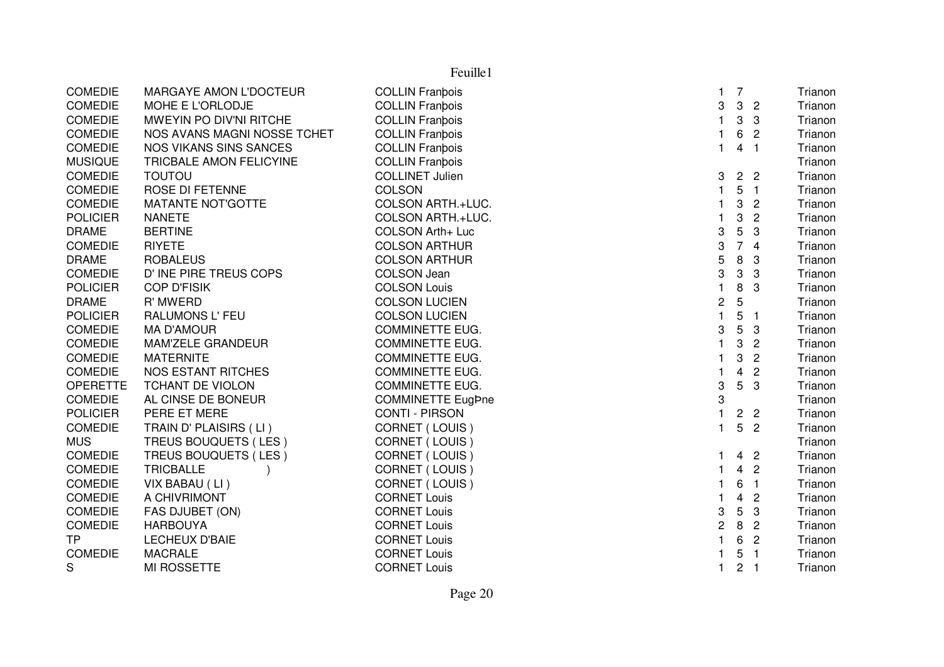|                 | Feuille1                      |                          |                |                         |                          |         |  |  |
|-----------------|-------------------------------|--------------------------|----------------|-------------------------|--------------------------|---------|--|--|
| <b>COMEDIE</b>  | MARGAYE AMON L'DOCTEUR        | <b>COLLIN Franbois</b>   | $\mathbf{1}$   | $\overline{7}$          |                          | Trianon |  |  |
| <b>COMEDIE</b>  | MOHE E L'ORLODJE              | <b>COLLIN Franbois</b>   | 3              | $\mathbf{3}$            | $\overline{2}$           | Trianon |  |  |
| <b>COMEDIE</b>  | MWEYIN PO DIV'NI RITCHE       | <b>COLLIN Franbois</b>   | $\mathbf{1}$   | 3                       | 3                        | Trianon |  |  |
| <b>COMEDIE</b>  | NOS AVANS MAGNI NOSSE TCHET   | <b>COLLIN Franbois</b>   | $\mathbf{1}$   | 6                       | $\overline{2}$           | Trianon |  |  |
| <b>COMEDIE</b>  | <b>NOS VIKANS SINS SANCES</b> | <b>COLLIN Franbois</b>   | $\mathbf{1}$   | $\overline{\mathbf{4}}$ | $\overline{1}$           | Trianon |  |  |
| <b>MUSIQUE</b>  | TRICBALE AMON FELICYINE       | <b>COLLIN Franbois</b>   |                |                         |                          | Trianon |  |  |
| <b>COMEDIE</b>  | <b>TOUTOU</b>                 | <b>COLLINET Julien</b>   | 3              |                         | 2 <sub>2</sub>           | Trianon |  |  |
| <b>COMEDIE</b>  | ROSE DI FETENNE               | <b>COLSON</b>            | $\mathbf{1}$   | 5                       | $\overline{1}$           | Trianon |  |  |
| <b>COMEDIE</b>  | <b>MATANTE NOT'GOTTE</b>      | COLSON ARTH.+LUC.        | $\mathbf{1}$   | 3                       | $\overline{2}$           | Trianon |  |  |
| <b>POLICIER</b> | <b>NANETE</b>                 | COLSON ARTH.+LUC.        | 1              | 3                       | $\overline{2}$           | Trianon |  |  |
| <b>DRAME</b>    | <b>BERTINE</b>                | COLSON Arth+ Luc         | 3              | $\mathbf 5$             | 3                        | Trianon |  |  |
| <b>COMEDIE</b>  | <b>RIYETE</b>                 | <b>COLSON ARTHUR</b>     | 3              |                         | 74                       | Trianon |  |  |
| <b>DRAME</b>    | <b>ROBALEUS</b>               | <b>COLSON ARTHUR</b>     | 5              | $\, 8$                  | $\mathbf{3}$             | Trianon |  |  |
| <b>COMEDIE</b>  | D' INE PIRE TREUS COPS        | <b>COLSON Jean</b>       | 3              | $\mathbf{3}$            | $\mathbf{3}$             | Trianon |  |  |
| <b>POLICIER</b> | <b>COP D'FISIK</b>            | <b>COLSON Louis</b>      | $\mathbf{1}$   | 8                       | 3                        | Trianon |  |  |
| <b>DRAME</b>    | R' MWERD                      | <b>COLSON LUCIEN</b>     | $\overline{c}$ | $\sqrt{5}$              |                          | Trianon |  |  |
| <b>POLICIER</b> | RALUMONS L' FEU               | <b>COLSON LUCIEN</b>     | $\mathbf{1}$   | 5                       | $\overline{\phantom{0}}$ | Trianon |  |  |
| <b>COMEDIE</b>  | <b>MA D'AMOUR</b>             | <b>COMMINETTE EUG.</b>   | 3              | 5                       | 3                        | Trianon |  |  |
| <b>COMEDIE</b>  | MAM'ZELE GRANDEUR             | <b>COMMINETTE EUG.</b>   | $\mathbf{1}$   | 3                       | $\overline{c}$           | Trianon |  |  |
| <b>COMEDIE</b>  | <b>MATERNITE</b>              | <b>COMMINETTE EUG.</b>   | $\mathbf{1}$   | 3                       | $\overline{2}$           | Trianon |  |  |
| <b>COMEDIE</b>  | <b>NOS ESTANT RITCHES</b>     | <b>COMMINETTE EUG.</b>   | $\mathbf{1}$   | $\overline{4}$          | $\overline{2}$           | Trianon |  |  |
| <b>OPERETTE</b> | <b>TCHANT DE VIOLON</b>       | <b>COMMINETTE EUG.</b>   | 3              | 5                       | 3                        | Trianon |  |  |
| <b>COMEDIE</b>  | AL CINSE DE BONEUR            | <b>COMMINETTE EugPne</b> | 3              |                         |                          | Trianon |  |  |
| <b>POLICIER</b> | PERE ET MERE                  | <b>CONTI - PIRSON</b>    | $\mathbf{1}$   | $\overline{c}$          | $\overline{2}$           | Trianon |  |  |
| <b>COMEDIE</b>  | TRAIN D' PLAISIRS (LI)        | CORNET (LOUIS)           | $\mathbf{1}$   | 5                       | $\overline{2}$           | Trianon |  |  |
| <b>MUS</b>      | TREUS BOUQUETS (LES)          | CORNET (LOUIS)           |                |                         |                          | Trianon |  |  |
| <b>COMEDIE</b>  | TREUS BOUQUETS (LES)          | CORNET (LOUIS)           | $\mathbf 1$    | 4                       | $\overline{2}$           | Trianon |  |  |
| <b>COMEDIE</b>  | <b>TRICBALLE</b>              | CORNET (LOUIS)           | $\mathbf{1}$   | $\overline{4}$          | $\overline{c}$           | Trianon |  |  |
| <b>COMEDIE</b>  | VIX BABAU (LI)                | CORNET (LOUIS)           | 1              | 6                       | $\overline{1}$           | Trianon |  |  |
| <b>COMEDIE</b>  | A CHIVRIMONT                  | <b>CORNET Louis</b>      | $\mathbf{1}$   | $\overline{\mathbf{4}}$ | $\mathbf{2}$             | Trianon |  |  |
| <b>COMEDIE</b>  | FAS DJUBET (ON)               | <b>CORNET Louis</b>      | 3              | $\overline{5}$          | $\mathbf{3}$             | Trianon |  |  |
| <b>COMEDIE</b>  | <b>HARBOUYA</b>               | <b>CORNET Louis</b>      | $\overline{c}$ | 8                       | $\overline{2}$           | Trianon |  |  |
| <b>TP</b>       | <b>LECHEUX D'BAIE</b>         | <b>CORNET Louis</b>      | 1              | 6                       | $\overline{2}$           | Trianon |  |  |
| <b>COMEDIE</b>  | <b>MACRALE</b>                | <b>CORNET Louis</b>      |                | 5                       | $\mathbf{1}$             | Trianon |  |  |
| S               | <b>MI ROSSETTE</b>            | <b>CORNET Louis</b>      | 1              | $\overline{2}$          | - 1                      | Trianon |  |  |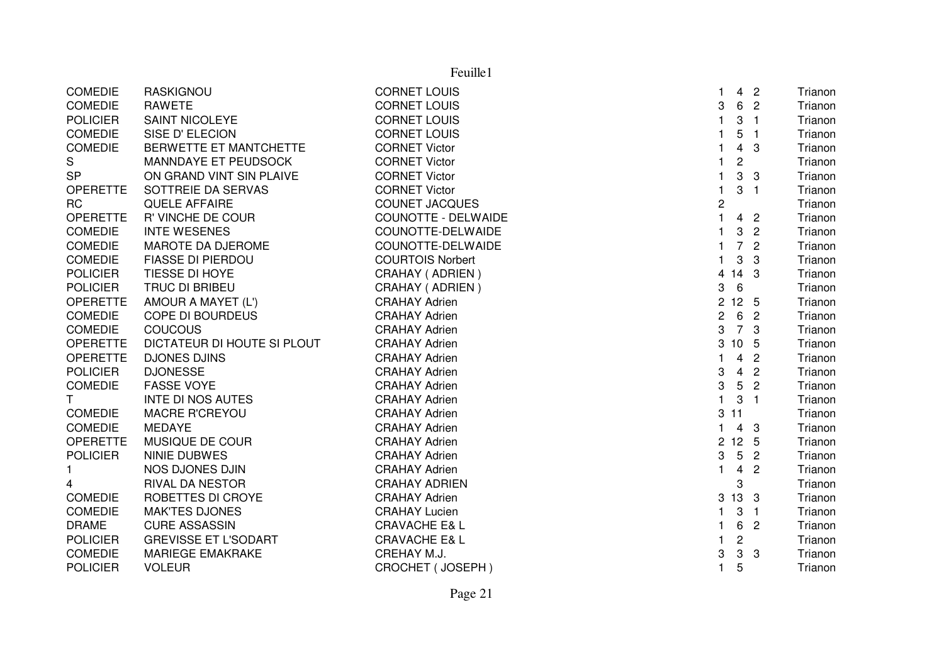|                 | Feuille1                    |                          |                |                 |                          |         |  |  |  |
|-----------------|-----------------------------|--------------------------|----------------|-----------------|--------------------------|---------|--|--|--|
| <b>COMEDIE</b>  | <b>RASKIGNOU</b>            | <b>CORNET LOUIS</b>      | 1.             |                 | 4 <sub>2</sub>           | Trianon |  |  |  |
| COMEDIE         | <b>RAWETE</b>               | <b>CORNET LOUIS</b>      | 3              |                 | 6 2                      | Trianon |  |  |  |
| <b>POLICIER</b> | <b>SAINT NICOLEYE</b>       | <b>CORNET LOUIS</b>      | 1              | 3               | $\overline{1}$           | Trianon |  |  |  |
| <b>COMEDIE</b>  | SISE D'ELECION              | <b>CORNET LOUIS</b>      | 1              | 5               | $\overline{1}$           | Trianon |  |  |  |
| <b>COMEDIE</b>  | BERWETTE ET MANTCHETTE      | <b>CORNET Victor</b>     | 1              | $\overline{4}$  | 3                        | Trianon |  |  |  |
| S               | MANNDAYE ET PEUDSOCK        | <b>CORNET Victor</b>     | $\mathbf{1}$   | $\overline{c}$  |                          | Trianon |  |  |  |
| <b>SP</b>       | ON GRAND VINT SIN PLAIVE    | <b>CORNET Victor</b>     | $\mathbf{1}$   | 3               | 3                        | Trianon |  |  |  |
| <b>OPERETTE</b> | SOTTREIE DA SERVAS          | <b>CORNET Victor</b>     | $\mathbf{1}$   | 3               | $\overline{\phantom{a}}$ | Trianon |  |  |  |
| <b>RC</b>       | <b>QUELE AFFAIRE</b>        | <b>COUNET JACQUES</b>    | 2              |                 |                          | Trianon |  |  |  |
| <b>OPERETTE</b> | R' VINCHE DE COUR           | COUNOTTE - DELWAIDE      | $\mathbf{1}$   |                 | 4 <sub>2</sub>           | Trianon |  |  |  |
| <b>COMEDIE</b>  | <b>INTE WESENES</b>         | COUNOTTE-DELWAIDE        | $\mathbf{1}$   | 3               | $\overline{2}$           | Trianon |  |  |  |
| <b>COMEDIE</b>  | MAROTE DA DJEROME           | COUNOTTE-DELWAIDE        | 1              |                 | 7 <sub>2</sub>           | Trianon |  |  |  |
| <b>COMEDIE</b>  | <b>FIASSE DI PIERDOU</b>    | <b>COURTOIS Norbert</b>  | $\mathbf{1}$   | 3               | 3                        | Trianon |  |  |  |
| <b>POLICIER</b> | TIESSE DI HOYE              | CRAHAY (ADRIEN)          | $\overline{4}$ | 14 <sub>3</sub> |                          | Trianon |  |  |  |
| <b>POLICIER</b> | TRUC DI BRIBEU              | CRAHAY (ADRIEN)          | 3              | $6\phantom{1}6$ |                          | Trianon |  |  |  |
| <b>OPERETTE</b> | AMOUR A MAYET (L')          | <b>CRAHAY Adrien</b>     | $2^{\circ}$    | 12 <sub>5</sub> |                          | Trianon |  |  |  |
| <b>COMEDIE</b>  | <b>COPE DI BOURDEUS</b>     | <b>CRAHAY Adrien</b>     | $\mathbf{2}$   |                 | 6 2                      | Trianon |  |  |  |
| <b>COMEDIE</b>  | <b>COUCOUS</b>              | <b>CRAHAY Adrien</b>     | 3              | 7 3             |                          | Trianon |  |  |  |
| <b>OPERETTE</b> | DICTATEUR DI HOUTE SI PLOUT | <b>CRAHAY Adrien</b>     |                | 3 10 5          |                          | Trianon |  |  |  |
| <b>OPERETTE</b> | <b>DJONES DJINS</b>         | <b>CRAHAY Adrien</b>     | $\mathbf{1}$   | $\overline{4}$  | $\overline{2}$           | Trianon |  |  |  |
| <b>POLICIER</b> | <b>DJONESSE</b>             | <b>CRAHAY Adrien</b>     | 3              | $\overline{4}$  | $\overline{2}$           | Trianon |  |  |  |
| <b>COMEDIE</b>  | <b>FASSE VOYE</b>           | <b>CRAHAY Adrien</b>     | 3              | $5\phantom{.0}$ | $\overline{c}$           | Trianon |  |  |  |
| T               | <b>INTE DI NOS AUTES</b>    | <b>CRAHAY Adrien</b>     | $\mathbf{1}$   | $\mathbf{3}$    | $\overline{1}$           | Trianon |  |  |  |
| <b>COMEDIE</b>  | MACRE R'CREYOU              | <b>CRAHAY Adrien</b>     |                | 311             |                          | Trianon |  |  |  |
| <b>COMEDIE</b>  | <b>MEDAYE</b>               | <b>CRAHAY Adrien</b>     | $\mathbf{1}$   |                 | $4 \quad 3$              | Trianon |  |  |  |
| <b>OPERETTE</b> | MUSIQUE DE COUR             | <b>CRAHAY Adrien</b>     |                | 2 12 5          |                          | Trianon |  |  |  |
| <b>POLICIER</b> | NINIE DUBWES                | <b>CRAHAY Adrien</b>     | 3              | $5\phantom{.0}$ | $\overline{c}$           | Trianon |  |  |  |
| 1.              | NOS DJONES DJIN             | <b>CRAHAY Adrien</b>     | $\mathbf{1}$   | $\overline{4}$  | $\overline{c}$           | Trianon |  |  |  |
| 4               | <b>RIVAL DA NESTOR</b>      | <b>CRAHAY ADRIEN</b>     |                | 3               |                          | Trianon |  |  |  |
| <b>COMEDIE</b>  | ROBETTES DI CROYE           | <b>CRAHAY Adrien</b>     |                | 3 13 3          |                          | Trianon |  |  |  |
| <b>COMEDIE</b>  | <b>MAK'TES DJONES</b>       | <b>CRAHAY Lucien</b>     | 1.             | 3               | $\blacksquare$           | Trianon |  |  |  |
| <b>DRAME</b>    | <b>CURE ASSASSIN</b>        | <b>CRAVACHE E&amp; L</b> | 1              |                 | 6 2                      | Trianon |  |  |  |
| <b>POLICIER</b> | <b>GREVISSE ET L'SODART</b> | <b>CRAVACHE E&amp; L</b> | 1.             | $\overline{c}$  |                          | Trianon |  |  |  |
| <b>COMEDIE</b>  | <b>MARIEGE EMAKRAKE</b>     | CREHAY M.J.              | 3              | $\mathbf{3}$    | 3                        | Trianon |  |  |  |
| <b>POLICIER</b> | <b>VOLEUR</b>               | <b>CROCHET (JOSEPH)</b>  | 1              | 5               |                          | Trianon |  |  |  |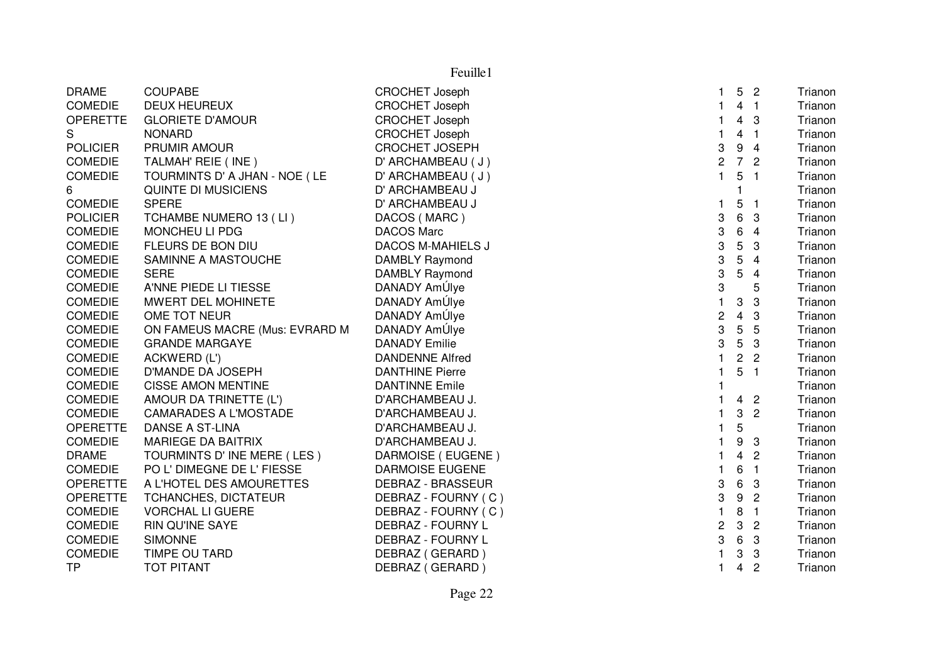| <b>DRAME</b>    | <b>COUPABE</b>                 | <b>CROCHET Joseph</b>    |              | 5              | $\overline{\phantom{a}}$ | Trianon |
|-----------------|--------------------------------|--------------------------|--------------|----------------|--------------------------|---------|
| <b>COMEDIE</b>  | <b>DEUX HEUREUX</b>            | <b>CROCHET Joseph</b>    |              | 4 <sub>1</sub> |                          | Trianon |
| <b>OPERETTE</b> | <b>GLORIETE D'AMOUR</b>        | <b>CROCHET Joseph</b>    |              | 4              | 3                        | Trianon |
| S               | <b>NONARD</b>                  | <b>CROCHET Joseph</b>    |              | 4              | $\blacksquare$           | Trianon |
| <b>POLICIER</b> | PRUMIR AMOUR                   | <b>CROCHET JOSEPH</b>    | 3            | 9              | $\overline{4}$           | Trianon |
| <b>COMEDIE</b>  | TALMAH' REIE (INE)             | D' ARCHAMBEAU (J)        | 2            | $\overline{7}$ | $\overline{2}$           | Trianon |
| <b>COMEDIE</b>  | TOURMINTS D' A JHAN - NOE (LE  | D' ARCHAMBEAU (J)        | $\mathbf{1}$ | 5              | $\overline{1}$           | Trianon |
| 6               | QUINTE DI MUSICIENS            | D' ARCHAMBEAU J          |              |                |                          | Trianon |
| <b>COMEDIE</b>  | <b>SPERE</b>                   | D' ARCHAMBEAU J          | 1.           | 5              | $\overline{\mathbf{1}}$  | Trianon |
| <b>POLICIER</b> | TCHAMBE NUMERO 13 (LI)         | DACOS (MARC)             | 3            | 6              | 3                        | Trianon |
| <b>COMEDIE</b>  | MONCHEU LI PDG                 | <b>DACOS Marc</b>        | 3            | 6              | 4                        | Trianon |
| <b>COMEDIE</b>  | FLEURS DE BON DIU              | <b>DACOS M-MAHIELS J</b> | 3            | 5              | 3                        | Trianon |
| <b>COMEDIE</b>  | SAMINNE A MASTOUCHE            | DAMBLY Raymond           | 3            | 5              | 4                        | Trianon |
| <b>COMEDIE</b>  | <b>SERE</b>                    | DAMBLY Raymond           | 3            | 5              | 4                        | Trianon |
| <b>COMEDIE</b>  | A'NNE PIEDE LI TIESSE          | DANADY AmÚlye            | 3            |                | 5                        | Trianon |
| <b>COMEDIE</b>  | MWERT DEL MOHINETE             | DANADY AmÚlye            | $\mathbf{1}$ | 3              | 3                        | Trianon |
| <b>COMEDIE</b>  | OME TOT NEUR                   | DANADY AmÚlye            | 2            | 4              | 3                        | Trianon |
| <b>COMEDIE</b>  | ON FAMEUS MACRE (Mus: EVRARD M | DANADY AmÚlye            | 3            | 5              | 5                        | Trianon |
| <b>COMEDIE</b>  | <b>GRANDE MARGAYE</b>          | <b>DANADY Emilie</b>     | 3            | 5              | 3                        | Trianon |
| <b>COMEDIE</b>  | ACKWERD (L')                   | <b>DANDENNE Alfred</b>   |              | $\overline{c}$ | $\overline{\phantom{a}}$ | Trianon |
| <b>COMEDIE</b>  | D'MANDE DA JOSEPH              | <b>DANTHINE Pierre</b>   | 1            | 5              | $\overline{1}$           | Trianon |
| <b>COMEDIE</b>  | <b>CISSE AMON MENTINE</b>      | <b>DANTINNE Emile</b>    |              |                |                          | Trianon |
| <b>COMEDIE</b>  | AMOUR DA TRINETTE (L')         | D'ARCHAMBEAU J.          |              | 4 <sup>2</sup> |                          | Trianon |
| <b>COMEDIE</b>  | CAMARADES A L'MOSTADE          | D'ARCHAMBEAU J.          | 1            | 3              | $\overline{2}$           | Trianon |
| <b>OPERETTE</b> | DANSE A ST-LINA                | D'ARCHAMBEAU J.          | 1            | 5              |                          | Trianon |
| <b>COMEDIE</b>  | <b>MARIEGE DA BAITRIX</b>      | D'ARCHAMBEAU J.          |              | 9              | 3                        | Trianon |
| <b>DRAME</b>    | TOURMINTS D'INE MERE (LES)     | DARMOISE (EUGENE)        |              | 4              | $\overline{c}$           | Trianon |
| <b>COMEDIE</b>  | PO L' DIMEGNE DE L' FIESSE     | <b>DARMOISE EUGENE</b>   |              | 6              | $\overline{1}$           | Trianon |
| <b>OPERETTE</b> | A L'HOTEL DES AMOURETTES       | <b>DEBRAZ - BRASSEUR</b> | 3            | 6              | 3                        | Trianon |
| <b>OPERETTE</b> | TCHANCHES, DICTATEUR           | DEBRAZ - FOURNY (C)      | 3            | 9              | $\overline{c}$           | Trianon |
| <b>COMEDIE</b>  | <b>VORCHAL LI GUERE</b>        | DEBRAZ - FOURNY (C)      | 1            | 8              | $\overline{1}$           | Trianon |
| <b>COMEDIE</b>  | <b>RIN QU'INE SAYE</b>         | DEBRAZ - FOURNY L        | 2            | 3              | $\overline{c}$           | Trianon |
| <b>COMEDIE</b>  | <b>SIMONNE</b>                 | DEBRAZ - FOURNY L        | 3            | 6              | 3                        | Trianon |
| <b>COMEDIE</b>  | TIMPE OU TARD                  | DEBRAZ (GERARD)          |              | 3              | 3                        | Trianon |
| <b>TP</b>       | <b>TOT PITANT</b>              | DEBRAZ (GERARD)          | 1.           | 4              | $\overline{c}$           | Trianon |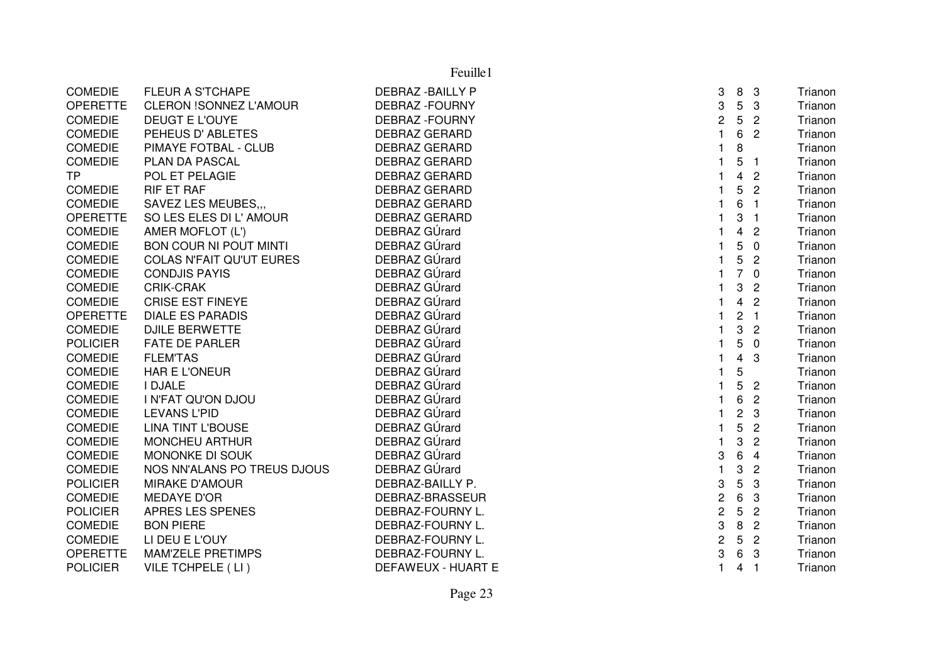|                 |                                 | Feuille1                 |                         |                         |                          |         |
|-----------------|---------------------------------|--------------------------|-------------------------|-------------------------|--------------------------|---------|
| <b>COMEDIE</b>  | <b>FLEUR A S'TCHAPE</b>         | <b>DEBRAZ - BAILLY P</b> | 3                       | 8                       | $\mathbf{3}$             | Trianon |
| <b>OPERETTE</b> | <b>CLERON !SONNEZ L'AMOUR</b>   | <b>DEBRAZ - FOURNY</b>   | 3                       | 5                       | 3                        | Trianon |
| <b>COMEDIE</b>  | DEUGT E L'OUYE                  | <b>DEBRAZ - FOURNY</b>   | 2                       | 5                       | $\overline{2}$           | Trianon |
| <b>COMEDIE</b>  | PEHEUS D'ABLETES                | <b>DEBRAZ GERARD</b>     |                         | 6                       | $\overline{2}$           | Trianon |
| <b>COMEDIE</b>  | PIMAYE FOTBAL - CLUB            | <b>DEBRAZ GERARD</b>     | 1                       | 8                       |                          | Trianon |
| <b>COMEDIE</b>  | PLAN DA PASCAL                  | <b>DEBRAZ GERARD</b>     |                         | 5                       | -1                       | Trianon |
| <b>TP</b>       | POL ET PELAGIE                  | <b>DEBRAZ GERARD</b>     |                         | $\overline{\mathbf{4}}$ | $\overline{2}$           | Trianon |
| <b>COMEDIE</b>  | <b>RIF ET RAF</b>               | <b>DEBRAZ GERARD</b>     |                         | 5                       | $\overline{2}$           | Trianon |
| <b>COMEDIE</b>  | <b>SAVEZ LES MEUBES</b>         | <b>DEBRAZ GERARD</b>     |                         | 6                       | $\overline{\mathbf{1}}$  | Trianon |
| <b>OPERETTE</b> | SO LES ELES DI L'AMOUR          | <b>DEBRAZ GERARD</b>     |                         | 3                       | -1                       | Trianon |
| <b>COMEDIE</b>  | AMER MOFLOT (L')                | DEBRAZ GÚrard            |                         | $\overline{4}$          | $\overline{2}$           | Trianon |
| <b>COMEDIE</b>  | <b>BON COUR NI POUT MINTI</b>   | DEBRAZ GÚrard            |                         | 5                       | $\overline{0}$           | Trianon |
| COMEDIE         | <b>COLAS N'FAIT QU'UT EURES</b> | DEBRAZ GÚrard            |                         | 5                       | $\overline{2}$           | Trianon |
| <b>COMEDIE</b>  | <b>CONDJIS PAYIS</b>            | DEBRAZ GÚrard            | $\mathbf{1}$            |                         | 70                       | Trianon |
| <b>COMEDIE</b>  | CRIK-CRAK                       | DEBRAZ GÚrard            |                         | 3                       | $\overline{2}$           | Trianon |
| <b>COMEDIE</b>  | <b>CRISE EST FINEYE</b>         | DEBRAZ GÚrard            |                         | $\overline{\mathbf{4}}$ | $\overline{2}$           | Trianon |
| <b>OPERETTE</b> | <b>DIALE ES PARADIS</b>         | DEBRAZ GÚrard            |                         | $\overline{c}$          | $\overline{1}$           | Trianon |
| <b>COMEDIE</b>  | <b>DJILE BERWETTE</b>           | DEBRAZ GÚrard            |                         | 3                       | $\overline{2}$           | Trianon |
| <b>POLICIER</b> | <b>FATE DE PARLER</b>           | DEBRAZ GÚrard            |                         | 5                       | $\overline{0}$           | Trianon |
| <b>COMEDIE</b>  | <b>FLEM'TAS</b>                 | DEBRAZ GÚrard            |                         | $\overline{\mathbf{4}}$ | 3                        | Trianon |
| <b>COMEDIE</b>  | <b>HAR E L'ONEUR</b>            | DEBRAZ GÚrard            |                         | 5                       |                          | Trianon |
| <b>COMEDIE</b>  | <b>I DJALE</b>                  | DEBRAZ GÚrard            |                         | 5                       | $\overline{2}$           | Trianon |
| <b>COMEDIE</b>  | I N'FAT QU'ON DJOU              | DEBRAZ GÚrard            |                         | 6                       | $\overline{2}$           | Trianon |
| <b>COMEDIE</b>  | <b>LEVANS L'PID</b>             | DEBRAZ GÚrard            |                         | $\overline{c}$          | 3                        | Trianon |
| <b>COMEDIE</b>  | <b>LINA TINT L'BOUSE</b>        | DEBRAZ GÚrard            |                         | 5                       | $\mathbf{2}$             | Trianon |
| <b>COMEDIE</b>  | <b>MONCHEU ARTHUR</b>           | DEBRAZ GÚrard            |                         | 3                       | $\overline{2}$           | Trianon |
| COMEDIE         | MONONKE DI SOUK                 | DEBRAZ GÚrard            | 3                       | 6                       | $\overline{4}$           | Trianon |
| <b>COMEDIE</b>  | NOS NN'ALANS PO TREUS DJOUS     | DEBRAZ GÚrard            |                         | 3                       | $\overline{2}$           | Trianon |
| <b>POLICIER</b> | <b>MIRAKE D'AMOUR</b>           | DEBRAZ-BAILLY P.         | 3                       | 5                       | 3                        | Trianon |
| <b>COMEDIE</b>  | <b>MEDAYE D'OR</b>              | DEBRAZ-BRASSEUR          | $\overline{\mathbf{c}}$ | 6                       | 3                        | Trianon |
| <b>POLICIER</b> | <b>APRES LES SPENES</b>         | DEBRAZ-FOURNY L.         | $\overline{c}$          | 5                       | $\overline{2}$           | Trianon |
| <b>COMEDIE</b>  | <b>BON PIERE</b>                | DEBRAZ-FOURNY L.         | 3                       | 8                       | $\overline{2}$           | Trianon |
| <b>COMEDIE</b>  | LI DEU E L'OUY                  | DEBRAZ-FOURNY L.         | $\overline{c}$          | 5                       | $\overline{2}$           | Trianon |
| <b>OPERETTE</b> | <b>MAM'ZELE PRETIMPS</b>        | <b>DEBRAZ-FOURNY L</b>   | 3                       | 6                       | 3                        | Trianon |
| <b>POLICIER</b> | VILE TCHPELE (LI)               | DEFAWEUX - HUART E       | $\mathbf{1}$            | 4                       | $\overline{\phantom{0}}$ | Trianon |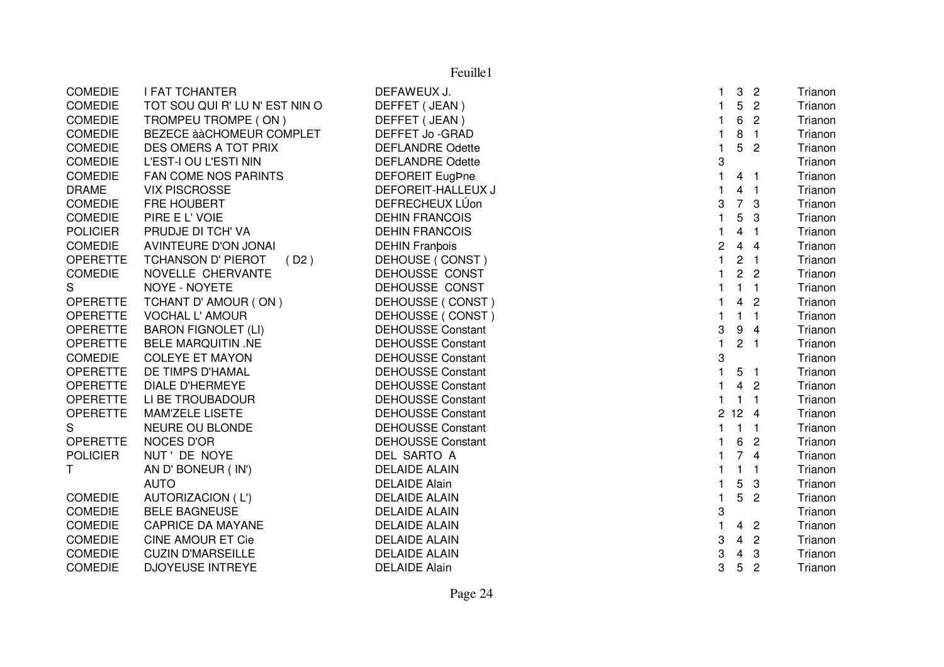|                 | Feuille1                          |                          |              |                |                  |         |  |  |  |
|-----------------|-----------------------------------|--------------------------|--------------|----------------|------------------|---------|--|--|--|
| COMEDIE         | <b>I FAT TCHANTER</b>             | DEFAWEUX J.              | 1.           | $\mathbf{3}$   | $\overline{2}$   | Trianon |  |  |  |
| <b>COMEDIE</b>  | TOT SOU QUI R' LU N' EST NIN O    | DEFFET (JEAN)            | $\mathbf{1}$ | 5              | $\overline{2}$   | Trianon |  |  |  |
| COMEDIE         | TROMPEU TROMPE (ON)               | DEFFET (JEAN)            | $\mathbf{1}$ | 6              | $\overline{2}$   | Trianon |  |  |  |
| <b>COMEDIE</b>  | BEZECE à à CHOMEUR COMPLET        | DEFFET Jo-GRAD           | 1            | 8              | $\overline{1}$   | Trianon |  |  |  |
| <b>COMEDIE</b>  | DES OMERS A TOT PRIX              | <b>DEFLANDRE Odette</b>  | $\mathbf{1}$ | 5              | $\overline{c}$   | Trianon |  |  |  |
| <b>COMEDIE</b>  | L'EST-I OU L'ESTI NIN             | <b>DEFLANDRE Odette</b>  | 3            |                |                  | Trianon |  |  |  |
| <b>COMEDIE</b>  | FAN COME NOS PARINTS              | <b>DEFOREIT EugPne</b>   | $\mathbf{1}$ | 4 <sub>1</sub> |                  | Trianon |  |  |  |
| <b>DRAME</b>    | <b>VIX PISCROSSE</b>              | DEFOREIT-HALLEUX J       | 1.           |                | 4 <sub>1</sub>   | Trianon |  |  |  |
| <b>COMEDIE</b>  | FRE HOUBERT                       | DEFRECHEUX LÚon          | 3            |                | 7 <sub>3</sub>   | Trianon |  |  |  |
| <b>COMEDIE</b>  | PIRE E L' VOIE                    | <b>DEHIN FRANCOIS</b>    | $\mathbf{1}$ | 5              | 3                | Trianon |  |  |  |
| <b>POLICIER</b> | PRUDJE DI TCH' VA                 | <b>DEHIN FRANCOIS</b>    | 1            | 4              | $\blacksquare$ 1 | Trianon |  |  |  |
| <b>COMEDIE</b>  | AVINTEURE D'ON JONAI              | <b>DEHIN Franbois</b>    | 2            |                | 44               | Trianon |  |  |  |
| <b>OPERETTE</b> | <b>TCHANSON D' PIEROT</b><br>(D2) | DEHOUSE (CONST)          | $\mathbf{1}$ | 2 <sub>1</sub> |                  | Trianon |  |  |  |
| <b>COMEDIE</b>  | NOVELLE CHERVANTE                 | DEHOUSSE CONST           | 1            |                | 2 <sub>2</sub>   | Trianon |  |  |  |
| S               | NOYE - NOYETE                     | DEHOUSSE CONST           | 1            | $\mathbf{1}$   | $\overline{1}$   | Trianon |  |  |  |
| <b>OPERETTE</b> | TCHANT D' AMOUR (ON)              | DEHOUSSE (CONST)         | 1            | 4              | $\overline{2}$   | Trianon |  |  |  |
| <b>OPERETTE</b> | <b>VOCHAL L' AMOUR</b>            | DEHOUSSE (CONST)         | 1            | $\mathbf{1}$   | $\overline{1}$   | Trianon |  |  |  |
| <b>OPERETTE</b> | <b>BARON FIGNOLET (LI)</b>        | <b>DEHOUSSE Constant</b> | 3            | 9              | $\overline{4}$   | Trianon |  |  |  |
| <b>OPERETTE</b> | <b>BELE MARQUITIN .NE</b>         | <b>DEHOUSSE Constant</b> | $\mathbf{1}$ | 2 <sub>1</sub> |                  | Trianon |  |  |  |
| <b>COMEDIE</b>  | <b>COLEYE ET MAYON</b>            | <b>DEHOUSSE Constant</b> | 3            |                |                  | Trianon |  |  |  |
| <b>OPERETTE</b> | DE TIMPS D'HAMAL                  | <b>DEHOUSSE Constant</b> | $\mathbf{1}$ | 5              | $\overline{1}$   | Trianon |  |  |  |
| <b>OPERETTE</b> | <b>DIALE D'HERMEYE</b>            | <b>DEHOUSSE Constant</b> | $\mathbf{1}$ |                | 4 <sub>2</sub>   | Trianon |  |  |  |
| <b>OPERETTE</b> | LI BE TROUBADOUR                  | <b>DEHOUSSE Constant</b> | $\mathbf{1}$ | $1 \quad 1$    |                  | Trianon |  |  |  |
| <b>OPERETTE</b> | MAM'ZELE LISETE                   | <b>DEHOUSSE Constant</b> |              | 2124           |                  | Trianon |  |  |  |
| S               | NEURE OU BLONDE                   | <b>DEHOUSSE Constant</b> | $\mathbf{1}$ | $1 \quad 1$    |                  | Trianon |  |  |  |
| <b>OPERETTE</b> | <b>NOCES D'OR</b>                 | <b>DEHOUSSE Constant</b> | 1.           | 6              | $\overline{c}$   | Trianon |  |  |  |
| <b>POLICIER</b> | NUT' DE NOYE                      | DEL SARTO A              | 1            |                | 74               | Trianon |  |  |  |
| T.              | AN D' BONEUR (IN')                | <b>DELAIDE ALAIN</b>     | 1            | $\mathbf{1}$   | $\overline{1}$   | Trianon |  |  |  |
|                 | <b>AUTO</b>                       | <b>DELAIDE Alain</b>     | 1.           | 5              | 3                | Trianon |  |  |  |
| <b>COMEDIE</b>  | <b>AUTORIZACION (L')</b>          | <b>DELAIDE ALAIN</b>     | $\mathbf{1}$ | 5              | $\overline{2}$   | Trianon |  |  |  |
| <b>COMEDIE</b>  | <b>BELE BAGNEUSE</b>              | <b>DELAIDE ALAIN</b>     | 3            |                |                  | Trianon |  |  |  |
| <b>COMEDIE</b>  | <b>CAPRICE DA MAYANE</b>          | <b>DELAIDE ALAIN</b>     | $\mathbf{1}$ |                | 4 <sub>2</sub>   | Trianon |  |  |  |
| <b>COMEDIE</b>  | <b>CINE AMOUR ET Cie</b>          | <b>DELAIDE ALAIN</b>     | 3            | $\overline{4}$ | $\overline{2}$   | Trianon |  |  |  |
| <b>COMEDIE</b>  | <b>CUZIN D'MARSEILLE</b>          | <b>DELAIDE ALAIN</b>     | 3            | 4              | 3                | Trianon |  |  |  |
| <b>COMEDIE</b>  | <b>DJOYEUSE INTREYE</b>           | <b>DELAIDE Alain</b>     | 3            | 5              | $\overline{2}$   | Trianon |  |  |  |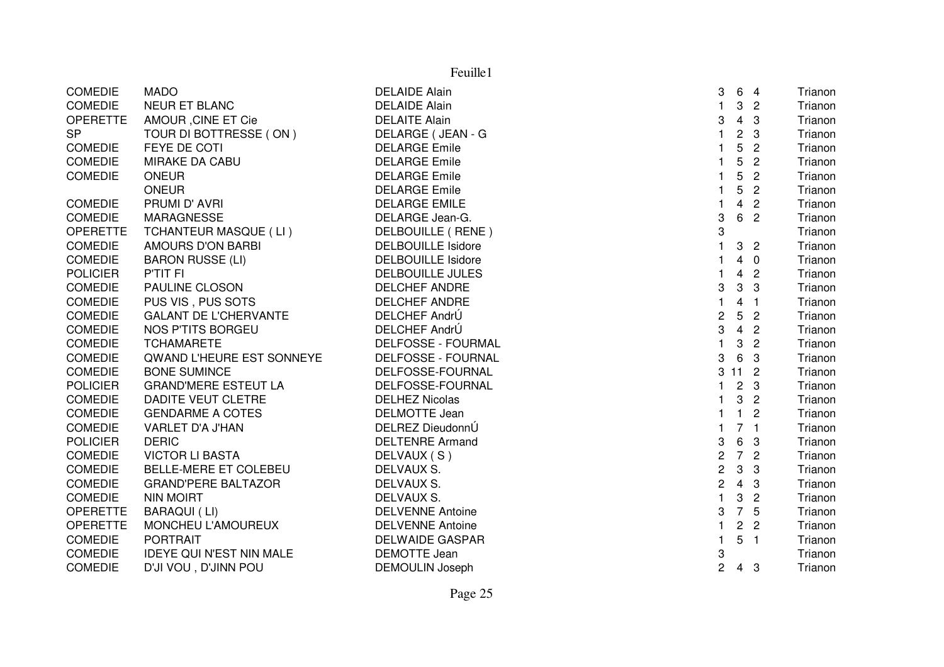|                 | Feuille1                        |                           |                         |                 |                          |         |  |  |
|-----------------|---------------------------------|---------------------------|-------------------------|-----------------|--------------------------|---------|--|--|
| <b>COMEDIE</b>  | <b>MADO</b>                     | <b>DELAIDE Alain</b>      | 3                       | 6               | $\overline{4}$           | Trianon |  |  |
| <b>COMEDIE</b>  | <b>NEUR ET BLANC</b>            | <b>DELAIDE Alain</b>      | 1                       | $\mathbf{3}$    | $\overline{2}$           | Trianon |  |  |
| <b>OPERETTE</b> | AMOUR, CINE ET Cie              | <b>DELAITE Alain</b>      | 3                       | $\overline{4}$  | $\mathbf{3}$             | Trianon |  |  |
| <b>SP</b>       | TOUR DI BOTTRESSE (ON)          | DELARGE (JEAN - G         | $\mathbf{1}$            | $\overline{c}$  | 3                        | Trianon |  |  |
| <b>COMEDIE</b>  | FEYE DE COTI                    | <b>DELARGE Emile</b>      | $\mathbf{1}$            | 5               | $\overline{2}$           | Trianon |  |  |
| <b>COMEDIE</b>  | MIRAKE DA CABU                  | <b>DELARGE Emile</b>      | 1                       | 5               | $\mathbf{2}$             | Trianon |  |  |
| <b>COMEDIE</b>  | <b>ONEUR</b>                    | <b>DELARGE Emile</b>      | 1                       | 5               | $\overline{c}$           | Trianon |  |  |
|                 | <b>ONEUR</b>                    | <b>DELARGE Emile</b>      | $\mathbf{1}$            | 5               | $\overline{2}$           | Trianon |  |  |
| <b>COMEDIE</b>  | PRUMI D'AVRI                    | <b>DELARGE EMILE</b>      | 1                       | $\overline{4}$  | $\overline{2}$           | Trianon |  |  |
| <b>COMEDIE</b>  | <b>MARAGNESSE</b>               | DELARGE Jean-G.           | 3                       | $6\phantom{1}$  | $\overline{2}$           | Trianon |  |  |
| <b>OPERETTE</b> | TCHANTEUR MASQUE (LI)           | DELBOUILLE (RENE)         | 3                       |                 |                          | Trianon |  |  |
| <b>COMEDIE</b>  | AMOURS D'ON BARBI               | <b>DELBOUILLE Isidore</b> |                         | 3               | $\overline{2}$           | Trianon |  |  |
| <b>COMEDIE</b>  | <b>BARON RUSSE (LI)</b>         | <b>DELBOUILLE Isidore</b> | 1                       | 4               | $\overline{0}$           | Trianon |  |  |
| <b>POLICIER</b> | P'TIT FI                        | <b>DELBOUILLE JULES</b>   |                         | $\overline{4}$  | $\overline{\phantom{0}}$ | Trianon |  |  |
| <b>COMEDIE</b>  | PAULINE CLOSON                  | <b>DELCHEF ANDRE</b>      | 3                       | $\mathbf{3}$    | $\mathbf{3}$             | Trianon |  |  |
| <b>COMEDIE</b>  | PUS VIS, PUS SOTS               | <b>DELCHEF ANDRE</b>      | $\mathbf{1}$            | 4               | $\blacksquare$           | Trianon |  |  |
| <b>COMEDIE</b>  | <b>GALANT DE L'CHERVANTE</b>    | DELCHEF AndrÚ             | $\overline{c}$          | 5 <sub>2</sub>  |                          | Trianon |  |  |
| <b>COMEDIE</b>  | NOS P'TITS BORGEU               | DELCHEF AndrÚ             | 3                       | $\overline{4}$  | $\overline{2}$           | Trianon |  |  |
| <b>COMEDIE</b>  | <b>TCHAMARETE</b>               | DELFOSSE - FOURMAL        | $\mathbf{1}$            | $\mathbf{3}$    | $\overline{2}$           | Trianon |  |  |
| <b>COMEDIE</b>  | QWAND L'HEURE EST SONNEYE       | DELFOSSE - FOURNAL        | 3                       | $6\phantom{1}6$ | $\mathbf{3}$             | Trianon |  |  |
| <b>COMEDIE</b>  | <b>BONE SUMINCE</b>             | DELFOSSE-FOURNAL          |                         | 3112            |                          | Trianon |  |  |
| <b>POLICIER</b> | <b>GRAND'MERE ESTEUT LA</b>     | DELFOSSE-FOURNAL          | $\mathbf{1}$            | 2 <sub>3</sub>  |                          | Trianon |  |  |
| <b>COMEDIE</b>  | <b>DADITE VEUT CLETRE</b>       | <b>DELHEZ Nicolas</b>     | $\mathbf{1}$            | $\mathbf{3}$    | $\overline{2}$           | Trianon |  |  |
| <b>COMEDIE</b>  | <b>GENDARME A COTES</b>         | DELMOTTE Jean             | 1                       | $\mathbf{1}$    | $\overline{2}$           | Trianon |  |  |
| <b>COMEDIE</b>  | VARLET D'A J'HAN                | DELREZ DieudonnÚ          | 1                       | 7 <sub>1</sub>  |                          | Trianon |  |  |
| <b>POLICIER</b> | <b>DERIC</b>                    | <b>DELTENRE Armand</b>    | 3                       | $\,6\,$         | $\mathbf{3}$             | Trianon |  |  |
| <b>COMEDIE</b>  | <b>VICTOR LI BASTA</b>          | DELVAUX (S)               | $\overline{c}$          | 7 <sup>2</sup>  |                          | Trianon |  |  |
| <b>COMEDIE</b>  | BELLE-MERE ET COLEBEU           | DELVAUX S.                | $\overline{\mathbf{c}}$ | $\mathbf{3}$    | 3                        | Trianon |  |  |
| <b>COMEDIE</b>  | <b>GRAND'PERE BALTAZOR</b>      | DELVAUX S.                | $\mathbf 2$             | $4 \quad 3$     |                          | Trianon |  |  |
| <b>COMEDIE</b>  | <b>NIN MOIRT</b>                | DELVAUX S.                | $\mathbf{1}$            | 3               | $\overline{2}$           | Trianon |  |  |
| <b>OPERETTE</b> | BARAQUI (LI)                    | <b>DELVENNE Antoine</b>   | 3                       | 7 5             |                          | Trianon |  |  |
| <b>OPERETTE</b> | MONCHEU L'AMOUREUX              | <b>DELVENNE Antoine</b>   | 1.                      | $\overline{c}$  | $\overline{2}$           | Trianon |  |  |
| <b>COMEDIE</b>  | <b>PORTRAIT</b>                 | <b>DELWAIDE GASPAR</b>    | $\mathbf{1}$            | 5               | $\overline{1}$           | Trianon |  |  |
| <b>COMEDIE</b>  | <b>IDEYE QUI N'EST NIN MALE</b> | <b>DEMOTTE Jean</b>       | 3                       |                 |                          | Trianon |  |  |
| <b>COMEDIE</b>  | D'JI VOU, D'JINN POU            | DEMOULIN Joseph           | $\overline{2}$          | 4 3             |                          | Trianon |  |  |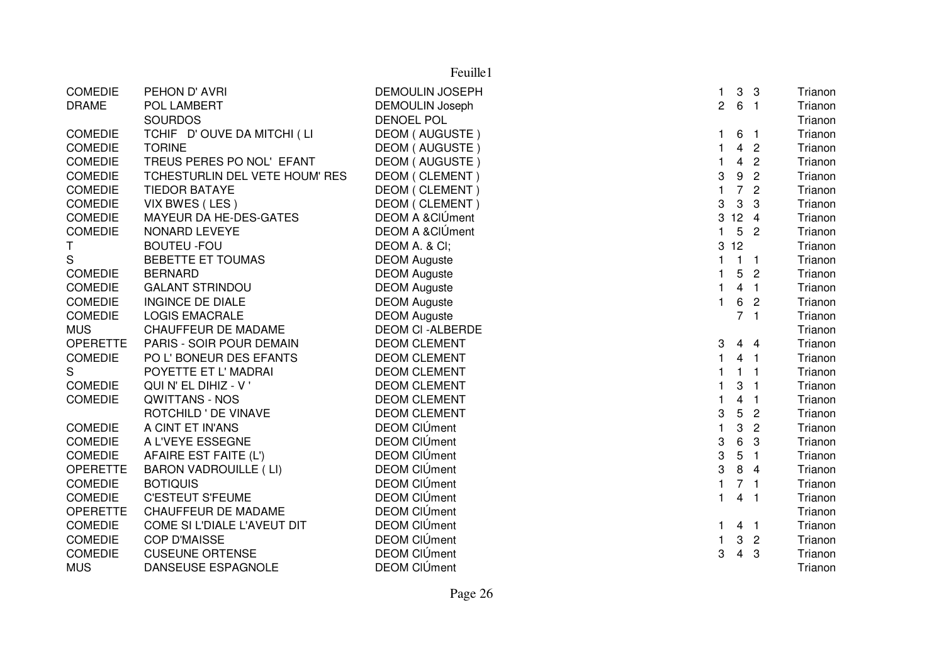| Feuille1        |                                |                        |                                                  |         |  |  |
|-----------------|--------------------------------|------------------------|--------------------------------------------------|---------|--|--|
| <b>COMEDIE</b>  | PEHON D' AVRI                  | <b>DEMOULIN JOSEPH</b> | $\mathbf{3}$<br>$\mathbf{1}$<br>$\mathbf{3}$     | Trianon |  |  |
| <b>DRAME</b>    | POL LAMBERT                    | <b>DEMOULIN Joseph</b> | $\overline{2}$<br>6 <sub>1</sub>                 | Trianon |  |  |
|                 | <b>SOURDOS</b>                 | <b>DENOEL POL</b>      |                                                  | Trianon |  |  |
| <b>COMEDIE</b>  | TCHIF D'OUVE DA MITCHI (LI     | DEOM (AUGUSTE)         | 6<br>1<br>$\overline{\phantom{0}}$ 1             | Trianon |  |  |
| <b>COMEDIE</b>  | <b>TORINE</b>                  | DEOM (AUGUSTE)         | $\overline{4}$<br>$\overline{2}$<br>1            | Trianon |  |  |
| <b>COMEDIE</b>  | TREUS PERES PO NOL' EFANT      | DEOM (AUGUSTE)         | 4 <sup>2</sup><br>$\mathbf{1}$                   | Trianon |  |  |
| <b>COMEDIE</b>  | TCHESTURLIN DEL VETE HOUM' RES | DEOM (CLEMENT)         | 3<br>9<br>$\overline{2}$                         | Trianon |  |  |
| <b>COMEDIE</b>  | <b>TIEDOR BATAYE</b>           | DEOM (CLEMENT)         | $\overline{7}$<br>$\mathbf{1}$<br>$\overline{2}$ | Trianon |  |  |
| <b>COMEDIE</b>  | VIX BWES (LES)                 | DEOM (CLEMENT)         | 3<br>3<br>3                                      | Trianon |  |  |
| <b>COMEDIE</b>  | MAYEUR DA HE-DES-GATES         | DEOM A & CIUment       | $\mathbf{3}$<br>$12 \quad 4$                     | Trianon |  |  |
| <b>COMEDIE</b>  | <b>NONARD LEVEYE</b>           | DEOM A & CIÚment       | $\mathbf{1}$<br>5 <sub>2</sub>                   | Trianon |  |  |
| T               | <b>BOUTEU - FOU</b>            | DEOM A. & CI;          | 12<br>$\mathbf{3}$                               | Trianon |  |  |
| $\mathsf S$     | BEBETTE ET TOUMAS              | <b>DEOM Auguste</b>    | $1 \quad 1$<br>1                                 | Trianon |  |  |
| <b>COMEDIE</b>  | <b>BERNARD</b>                 | <b>DEOM Auguste</b>    | 5<br>$\mathbf{1}$<br>$\overline{2}$              | Trianon |  |  |
| <b>COMEDIE</b>  | <b>GALANT STRINDOU</b>         | <b>DEOM Auguste</b>    | $4 \quad 1$<br>$\mathbf{1}$                      | Trianon |  |  |
| <b>COMEDIE</b>  | <b>INGINCE DE DIALE</b>        | <b>DEOM Auguste</b>    | $\mathbf{1}$<br>6<br>$\overline{2}$              | Trianon |  |  |
| <b>COMEDIE</b>  | <b>LOGIS EMACRALE</b>          | <b>DEOM Auguste</b>    | 7 <sub>1</sub>                                   | Trianon |  |  |
| <b>MUS</b>      | <b>CHAUFFEUR DE MADAME</b>     | <b>DEOM CI-ALBERDE</b> |                                                  | Trianon |  |  |
| <b>OPERETTE</b> | PARIS - SOIR POUR DEMAIN       | <b>DEOM CLEMENT</b>    | 3<br>44                                          | Trianon |  |  |
| <b>COMEDIE</b>  | PO L' BONEUR DES EFANTS        | <b>DEOM CLEMENT</b>    | 4 <sub>1</sub><br>1                              | Trianon |  |  |
| S               | POYETTE ET L' MADRAI           | <b>DEOM CLEMENT</b>    | $1 \quad 1$<br>1                                 | Trianon |  |  |
| <b>COMEDIE</b>  | QUI N' EL DIHIZ - V '          | <b>DEOM CLEMENT</b>    | 3<br>$\overline{1}$                              | Trianon |  |  |
| <b>COMEDIE</b>  | <b>QWITTANS - NOS</b>          | <b>DEOM CLEMENT</b>    | 4<br>1<br>-1                                     | Trianon |  |  |
|                 | ROTCHILD ' DE VINAVE           | <b>DEOM CLEMENT</b>    | 3<br>5<br>$\overline{2}$                         | Trianon |  |  |
| <b>COMEDIE</b>  | A CINT ET IN'ANS               | <b>DEOM CIÚment</b>    | 3<br>$\mathbf{1}$<br>$\overline{2}$              | Trianon |  |  |
| <b>COMEDIE</b>  | A L'VEYE ESSEGNE               | <b>DEOM CIÚment</b>    | 3<br>6<br>3                                      | Trianon |  |  |
| <b>COMEDIE</b>  | AFAIRE EST FAITE (L')          | <b>DEOM CIÚment</b>    | 3<br>$\mathbf 5$<br>$\overline{1}$               | Trianon |  |  |
| <b>OPERETTE</b> | <b>BARON VADROUILLE (LI)</b>   | <b>DEOM CIÚment</b>    | 3<br>8 4                                         | Trianon |  |  |
| <b>COMEDIE</b>  | <b>BOTIQUIS</b>                | <b>DEOM CIÚment</b>    | 7 <sub>1</sub><br>$\mathbf{1}$                   | Trianon |  |  |
| <b>COMEDIE</b>  | <b>C'ESTEUT S'FEUME</b>        | <b>DEOM CIÚment</b>    | $\mathbf{1}$<br>$\overline{4}$<br>$\overline{1}$ | Trianon |  |  |
| <b>OPERETTE</b> | CHAUFFEUR DE MADAME            | <b>DEOM CIÚment</b>    |                                                  | Trianon |  |  |
| <b>COMEDIE</b>  | COME SI L'DIALE L'AVEUT DIT    | <b>DEOM CIÚment</b>    | 1<br>4 <sub>1</sub>                              | Trianon |  |  |
| <b>COMEDIE</b>  | <b>COP D'MAISSE</b>            | <b>DEOM CIÚment</b>    | 1<br>3<br>$\overline{c}$                         | Trianon |  |  |
| <b>COMEDIE</b>  | <b>CUSEUNE ORTENSE</b>         | <b>DEOM CIÚment</b>    | 3<br>$\overline{4}$<br>3                         | Trianon |  |  |
| <b>MUS</b>      | DANSEUSE ESPAGNOLE             | <b>DEOM CIÚment</b>    |                                                  | Trianon |  |  |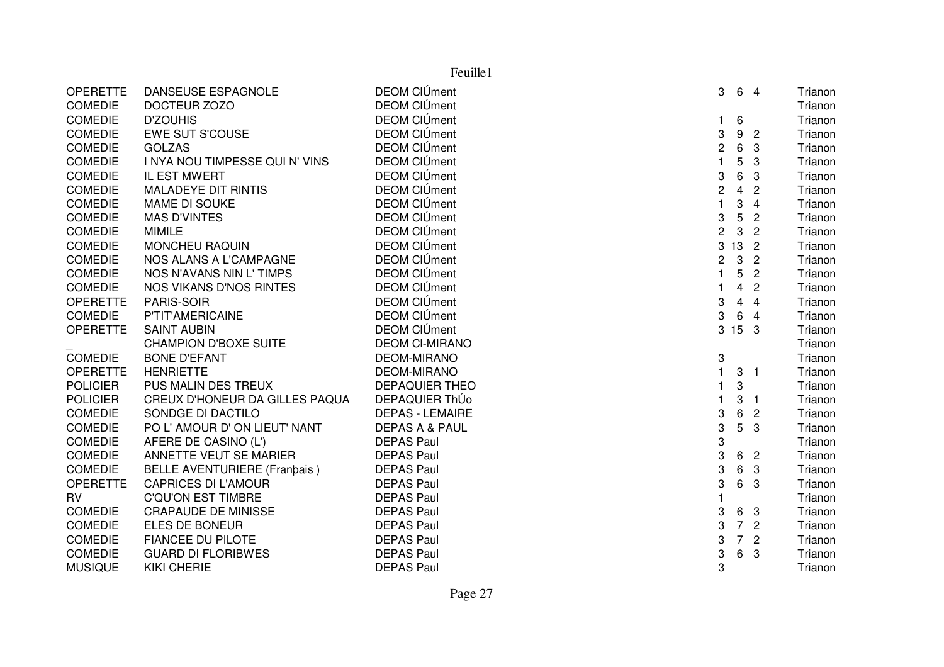|                 | Feuille1                            |                           |                |                |                          |         |  |
|-----------------|-------------------------------------|---------------------------|----------------|----------------|--------------------------|---------|--|
| <b>OPERETTE</b> | DANSEUSE ESPAGNOLE                  | <b>DEOM CIÚment</b>       | 3              |                | 6 4                      | Trianon |  |
| <b>COMEDIE</b>  | DOCTEUR ZOZO                        | <b>DEOM CIÚment</b>       |                |                |                          | Trianon |  |
| <b>COMEDIE</b>  | <b>D'ZOUHIS</b>                     | <b>DEOM CIÚment</b>       | $\mathbf{1}$   | 6              |                          | Trianon |  |
| <b>COMEDIE</b>  | <b>EWE SUT S'COUSE</b>              | <b>DEOM CIÚment</b>       | 3              | 9              | $\overline{2}$           | Trianon |  |
| <b>COMEDIE</b>  | <b>GOLZAS</b>                       | <b>DEOM CIÚment</b>       | $\sqrt{2}$     | 6              | -3                       | Trianon |  |
| <b>COMEDIE</b>  | I NYA NOU TIMPESSE QUI N' VINS      | <b>DEOM CIÚment</b>       | $\mathbf{1}$   | 5              | 3                        | Trianon |  |
| <b>COMEDIE</b>  | IL EST MWERT                        | <b>DEOM CIÚment</b>       | 3              | 6              | 3                        | Trianon |  |
| <b>COMEDIE</b>  | <b>MALADEYE DIT RINTIS</b>          | <b>DEOM CIÚment</b>       | $\overline{c}$ | $\overline{4}$ | $\overline{2}$           | Trianon |  |
| <b>COMEDIE</b>  | MAME DI SOUKE                       | <b>DEOM CIÚment</b>       | $\mathbf{1}$   | 3              | $\overline{4}$           | Trianon |  |
| <b>COMEDIE</b>  | <b>MAS D'VINTES</b>                 | <b>DEOM CIÚment</b>       | 3              | 5              | $\overline{c}$           | Trianon |  |
| <b>COMEDIE</b>  | <b>MIMILE</b>                       | <b>DEOM CIÚment</b>       | $\overline{c}$ | 3              | $\overline{c}$           | Trianon |  |
| <b>COMEDIE</b>  | <b>MONCHEU RAQUIN</b>               | <b>DEOM CIÚment</b>       | 3              | 13             | $\overline{2}$           | Trianon |  |
| <b>COMEDIE</b>  | NOS ALANS A L'CAMPAGNE              | <b>DEOM CIÚment</b>       | $\overline{c}$ | $\mathbf{3}$   | $\overline{2}$           | Trianon |  |
| <b>COMEDIE</b>  | NOS N'AVANS NIN L' TIMPS            | <b>DEOM CIÚment</b>       | $\mathbf{1}$   | 5              | $\overline{c}$           | Trianon |  |
| COMEDIE         | <b>NOS VIKANS D'NOS RINTES</b>      | <b>DEOM CIÚment</b>       | $\mathbf{1}$   | $\overline{4}$ | $\overline{c}$           | Trianon |  |
| <b>OPERETTE</b> | PARIS-SOIR                          | <b>DEOM CIÚment</b>       | 3              | $\overline{4}$ | $\overline{4}$           | Trianon |  |
| <b>COMEDIE</b>  | P'TIT'AMERICAINE                    | <b>DEOM CIÚment</b>       | 3              | 6              | $\overline{4}$           | Trianon |  |
| <b>OPERETTE</b> | <b>SAINT AUBIN</b>                  | <b>DEOM CIÚment</b>       |                | 3 15 3         |                          | Trianon |  |
|                 | <b>CHAMPION D'BOXE SUITE</b>        | <b>DEOM CI-MIRANO</b>     |                |                |                          | Trianon |  |
| <b>COMEDIE</b>  | <b>BONE D'EFANT</b>                 | <b>DEOM-MIRANO</b>        | 3              |                |                          | Trianon |  |
| <b>OPERETTE</b> | <b>HENRIETTE</b>                    | <b>DEOM-MIRANO</b>        | $\mathbf{1}$   | 3              | $\overline{\phantom{a}}$ | Trianon |  |
| <b>POLICIER</b> | PUS MALIN DES TREUX                 | <b>DEPAQUIER THEO</b>     | 1              | 3              |                          | Trianon |  |
| <b>POLICIER</b> | CREUX D'HONEUR DA GILLES PAQUA      | DEPAQUIER ThÚo            | $\mathbf{1}$   | 3              | - 1                      | Trianon |  |
| <b>COMEDIE</b>  | SONDGE DI DACTILO                   | <b>DEPAS - LEMAIRE</b>    | 3              | 6              | $\overline{c}$           | Trianon |  |
| <b>COMEDIE</b>  | PO L'AMOUR D'ON LIEUT' NANT         | <b>DEPAS A &amp; PAUL</b> | 3              | 5              | 3                        | Trianon |  |
| <b>COMEDIE</b>  | AFERE DE CASINO (L')                | <b>DEPAS Paul</b>         | 3              |                |                          | Trianon |  |
| <b>COMEDIE</b>  | ANNETTE VEUT SE MARIER              | <b>DEPAS Paul</b>         | 3              |                | 6 2                      | Trianon |  |
| <b>COMEDIE</b>  | <b>BELLE AVENTURIERE (Franbais)</b> | <b>DEPAS Paul</b>         | 3              | 6              | 3                        | Trianon |  |
| <b>OPERETTE</b> | <b>CAPRICES DI L'AMOUR</b>          | <b>DEPAS Paul</b>         | 3              | 6              | -3                       | Trianon |  |
| <b>RV</b>       | <b>C'QU'ON EST TIMBRE</b>           | <b>DEPAS Paul</b>         | 1              |                |                          | Trianon |  |
| <b>COMEDIE</b>  | <b>CRAPAUDE DE MINISSE</b>          | <b>DEPAS Paul</b>         | 3              |                | 6 3                      | Trianon |  |
| <b>COMEDIE</b>  | ELES DE BONEUR                      | <b>DEPAS Paul</b>         | 3              |                | 7 <sub>2</sub>           | Trianon |  |
| <b>COMEDIE</b>  | <b>FIANCEE DU PILOTE</b>            | <b>DEPAS Paul</b>         | 3              | 7 <sup>7</sup> | $\overline{c}$           | Trianon |  |
| <b>COMEDIE</b>  | <b>GUARD DI FLORIBWES</b>           | <b>DEPAS Paul</b>         | 3              | 6              | 3                        | Trianon |  |
| <b>MUSIQUE</b>  | <b>KIKI CHERIE</b>                  | <b>DEPAS Paul</b>         | 3              |                |                          | Trianon |  |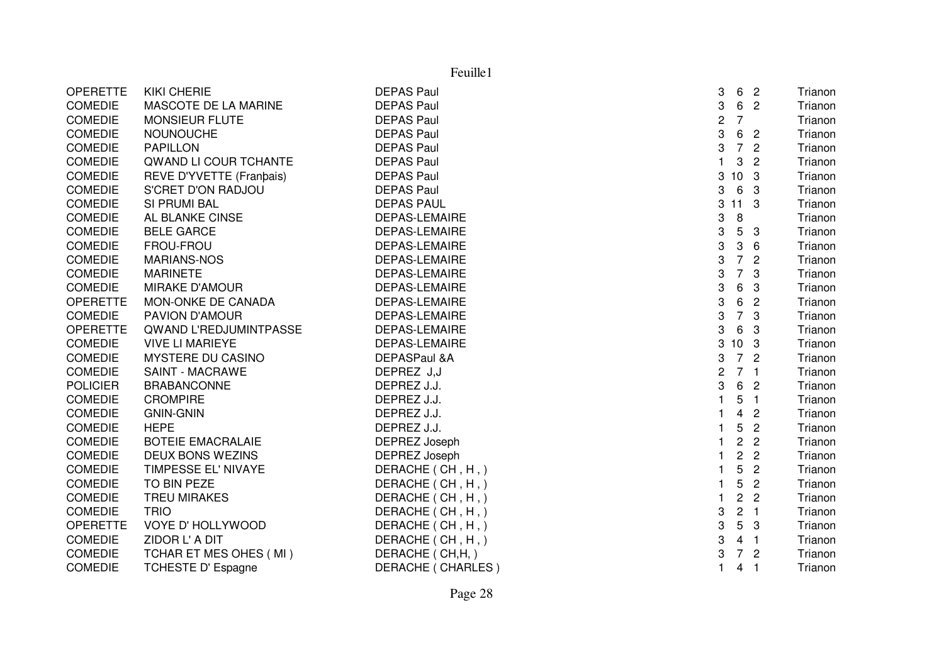| Feuille1        |                               |                      |                |                |                |         |
|-----------------|-------------------------------|----------------------|----------------|----------------|----------------|---------|
| <b>OPERETTE</b> | <b>KIKI CHERIE</b>            | <b>DEPAS Paul</b>    | 3              | 6              | $\overline{2}$ | Trianon |
| <b>COMEDIE</b>  | MASCOTE DE LA MARINE          | <b>DEPAS Paul</b>    | 3              | 6              | $\overline{2}$ | Trianon |
| <b>COMEDIE</b>  | MONSIEUR FLUTE                | <b>DEPAS Paul</b>    | 2              | $\overline{7}$ |                | Trianon |
| <b>COMEDIE</b>  | <b>NOUNOUCHE</b>              | <b>DEPAS Paul</b>    | 3              | 6              | $\overline{2}$ | Trianon |
| <b>COMEDIE</b>  | <b>PAPILLON</b>               | <b>DEPAS Paul</b>    | 3              | $\overline{7}$ | $\overline{2}$ | Trianon |
| <b>COMEDIE</b>  | QWAND LI COUR TCHANTE         | <b>DEPAS Paul</b>    | 1              | 3              | $\overline{2}$ | Trianon |
| <b>COMEDIE</b>  | REVE D'YVETTE (Franbais)      | <b>DEPAS Paul</b>    |                | 3 10 3         |                | Trianon |
| <b>COMEDIE</b>  | S'CRET D'ON RADJOU            | <b>DEPAS Paul</b>    | 3              | 6              | -3             | Trianon |
| <b>COMEDIE</b>  | SI PRUMI BAL                  | <b>DEPAS PAUL</b>    | 3              | 11             | 3              | Trianon |
| <b>COMEDIE</b>  | AL BLANKE CINSE               | DEPAS-LEMAIRE        | 3              | 8              |                | Trianon |
| <b>COMEDIE</b>  | <b>BELE GARCE</b>             | <b>DEPAS-LEMAIRE</b> | 3              | 5              | 3              | Trianon |
| <b>COMEDIE</b>  | FROU-FROU                     | DEPAS-LEMAIRE        | 3              | 3              | 6              | Trianon |
| <b>COMEDIE</b>  | <b>MARIANS-NOS</b>            | DEPAS-LEMAIRE        | 3              | $\overline{7}$ | $\overline{c}$ | Trianon |
| <b>COMEDIE</b>  | <b>MARINETE</b>               | <b>DEPAS-LEMAIRE</b> | 3              | $\overline{7}$ | 3              | Trianon |
| <b>COMEDIE</b>  | MIRAKE D'AMOUR                | <b>DEPAS-LEMAIRE</b> | 3              | 6              | 3              | Trianon |
| <b>OPERETTE</b> | MON-ONKE DE CANADA            | <b>DEPAS-LEMAIRE</b> | 3              | 6              | $\overline{2}$ | Trianon |
| <b>COMEDIE</b>  | PAVION D'AMOUR                | <b>DEPAS-LEMAIRE</b> | 3              | $\overline{7}$ | 3              | Trianon |
| <b>OPERETTE</b> | <b>QWAND L'REDJUMINTPASSE</b> | <b>DEPAS-LEMAIRE</b> | 3              | 6              | 3              | Trianon |
| <b>COMEDIE</b>  | <b>VIVE LI MARIEYE</b>        | <b>DEPAS-LEMAIRE</b> |                | 3 10 3         |                | Trianon |
| <b>COMEDIE</b>  | MYSTERE DU CASINO             | DEPASPaul &A         | 3              | $\overline{7}$ | $\overline{2}$ | Trianon |
| <b>COMEDIE</b>  | <b>SAINT - MACRAWE</b>        | DEPREZ J,J           | $\overline{c}$ | 7 <sub>1</sub> |                | Trianon |
| <b>POLICIER</b> | <b>BRABANCONNE</b>            | DEPREZ J.J.          | 3              | 6              | $\overline{2}$ | Trianon |
| <b>COMEDIE</b>  | <b>CROMPIRE</b>               | DEPREZ J.J.          | 1.             | 5              | $\overline{1}$ | Trianon |
| <b>COMEDIE</b>  | <b>GNIN-GNIN</b>              | DEPREZ J.J.          |                | 4              | $\overline{c}$ | Trianon |
| <b>COMEDIE</b>  | <b>HEPE</b>                   | DEPREZ J.J.          |                | 5              | $\overline{c}$ | Trianon |
| <b>COMEDIE</b>  | <b>BOTEIE EMACRALAIE</b>      | DEPREZ Joseph        |                | $\overline{c}$ | $\overline{2}$ | Trianon |
| <b>COMEDIE</b>  | <b>DEUX BONS WEZINS</b>       | DEPREZ Joseph        |                | $\overline{c}$ | $\mathbf{2}$   | Trianon |
| <b>COMEDIE</b>  | TIMPESSE EL' NIVAYE           | DERACHE (CH, H, )    |                | 5              | $\mathbf{2}$   | Trianon |
| <b>COMEDIE</b>  | TO BIN PEZE                   | DERACHE (CH, H, )    |                | 5              | $\overline{2}$ | Trianon |
| <b>COMEDIE</b>  | <b>TREU MIRAKES</b>           | DERACHE (CH, H,)     |                | $\overline{2}$ | $\overline{2}$ | Trianon |
| <b>COMEDIE</b>  | <b>TRIO</b>                   | DERACHE (CH, H,)     | 3              | $\sqrt{2}$     | $\overline{1}$ | Trianon |
| <b>OPERETTE</b> | VOYE D' HOLLYWOOD             | DERACHE (CH, H,)     | 3              | 5              | 3              | Trianon |
| <b>COMEDIE</b>  | ZIDOR L' A DIT                | DERACHE (CH, H,)     | 3              | 4              | $\overline{1}$ | Trianon |
| <b>COMEDIE</b>  | TCHAR ET MES OHES (MI)        | DERACHE (CH, H, )    | 3              | $\overline{7}$ | $\overline{c}$ | Trianon |
| <b>COMEDIE</b>  | <b>TCHESTE D' Espagne</b>     | DERACHE (CHARLES)    | 1              | 4              | $\mathbf{1}$   | Trianon |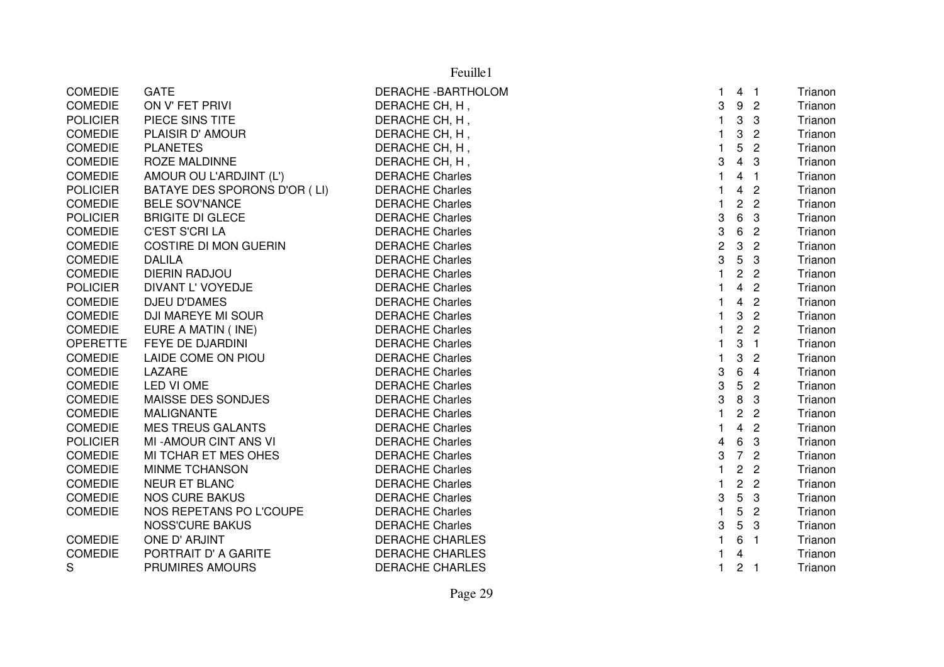| <b>COMEDIE</b>  | <b>GATE</b>                  | DERACHE-BARTHOLOM      | 1              |                | 4 <sub>1</sub>          | Trianon |
|-----------------|------------------------------|------------------------|----------------|----------------|-------------------------|---------|
| COMEDIE         | ON V' FET PRIVI              | DERACHE CH, H,         | 3              |                | 9 <sub>2</sub>          | Trianon |
| <b>POLICIER</b> | PIECE SINS TITE              | DERACHE CH, H,         | $\mathbf 1$    | 3              | 3                       | Trianon |
| <b>COMEDIE</b>  | PLAISIR D' AMOUR             | DERACHE CH, H,         |                | 3              | $\overline{c}$          | Trianon |
| <b>COMEDIE</b>  | <b>PLANETES</b>              | DERACHE CH, H,         |                | 5              | $\overline{2}$          | Trianon |
| <b>COMEDIE</b>  | <b>ROZE MALDINNE</b>         | DERACHE CH, H,         | 3              | $\overline{4}$ | -3                      | Trianon |
| <b>COMEDIE</b>  | AMOUR OU L'ARDJINT (L')      | <b>DERACHE Charles</b> | 1              |                | 4 <sub>1</sub>          | Trianon |
| <b>POLICIER</b> | BATAYE DES SPORONS D'OR (LI) | <b>DERACHE Charles</b> |                | $\overline{4}$ | $\overline{c}$          | Trianon |
| <b>COMEDIE</b>  | <b>BELE SOV'NANCE</b>        | <b>DERACHE Charles</b> | $\mathbf{1}$   |                | 2 <sub>2</sub>          | Trianon |
| <b>POLICIER</b> | <b>BRIGITE DI GLECE</b>      | <b>DERACHE Charles</b> | 3              | 6              | -3                      | Trianon |
| <b>COMEDIE</b>  | <b>C'EST S'CRI LA</b>        | <b>DERACHE Charles</b> | 3              | $\,6\,$        | $\overline{c}$          | Trianon |
| <b>COMEDIE</b>  | <b>COSTIRE DI MON GUERIN</b> | <b>DERACHE Charles</b> | $\overline{c}$ | 3              | $\overline{2}$          | Trianon |
| <b>COMEDIE</b>  | <b>DALILA</b>                | <b>DERACHE Charles</b> | 3              | 5              | 3                       | Trianon |
| <b>COMEDIE</b>  | <b>DIERIN RADJOU</b>         | <b>DERACHE Charles</b> | $\mathbf{1}$   |                | 2 <sub>2</sub>          | Trianon |
| <b>POLICIER</b> | DIVANT L' VOYEDJE            | <b>DERACHE Charles</b> |                |                | 4 <sub>2</sub>          | Trianon |
| <b>COMEDIE</b>  | <b>DJEU D'DAMES</b>          | <b>DERACHE Charles</b> |                | 4              | $\overline{c}$          | Trianon |
| <b>COMEDIE</b>  | DJI MAREYE MI SOUR           | <b>DERACHE Charles</b> |                | 3              | $\overline{2}$          | Trianon |
| <b>COMEDIE</b>  | EURE A MATIN (INE)           | <b>DERACHE Charles</b> | 1              |                | 2 <sub>2</sub>          | Trianon |
| <b>OPERETTE</b> | FEYE DE DJARDINI             | <b>DERACHE Charles</b> | 1              | 3              | $\overline{1}$          | Trianon |
| <b>COMEDIE</b>  | LAIDE COME ON PIOU           | <b>DERACHE Charles</b> |                | 3              | $\overline{2}$          | Trianon |
| <b>COMEDIE</b>  | LAZARE                       | <b>DERACHE Charles</b> | 3              | 6              | $\overline{4}$          | Trianon |
| <b>COMEDIE</b>  | LED VI OME                   | <b>DERACHE Charles</b> | 3              | 5              | $\overline{2}$          | Trianon |
| <b>COMEDIE</b>  | MAISSE DES SONDJES           | <b>DERACHE Charles</b> | 3              | 8              | -3                      | Trianon |
| <b>COMEDIE</b>  | <b>MALIGNANTE</b>            | <b>DERACHE Charles</b> | $\mathbf{1}$   | $\overline{c}$ | $\overline{c}$          | Trianon |
| <b>COMEDIE</b>  | <b>MES TREUS GALANTS</b>     | <b>DERACHE Charles</b> | $\mathbf{1}$   | $\overline{4}$ | $\overline{2}$          | Trianon |
| <b>POLICIER</b> | MI-AMOUR CINT ANS VI         | <b>DERACHE Charles</b> | 4              | 6              | $\overline{\mathbf{3}}$ | Trianon |
| <b>COMEDIE</b>  | MI TCHAR ET MES OHES         | <b>DERACHE Charles</b> | 3              |                | 7 <sub>2</sub>          | Trianon |
| <b>COMEDIE</b>  | MINME TCHANSON               | <b>DERACHE Charles</b> | $\mathbf{1}$   | $\overline{2}$ | $\overline{c}$          | Trianon |
| <b>COMEDIE</b>  | <b>NEUR ET BLANC</b>         | <b>DERACHE Charles</b> | $\mathbf{1}$   |                | 2 <sub>2</sub>          | Trianon |
| <b>COMEDIE</b>  | <b>NOS CURE BAKUS</b>        | <b>DERACHE Charles</b> | 3              | 5              | -3                      | Trianon |
| <b>COMEDIE</b>  | NOS REPETANS PO L'COUPE      | <b>DERACHE Charles</b> | $\mathbf{1}$   | 5              | $\overline{2}$          | Trianon |
|                 | <b>NOSS'CURE BAKUS</b>       | <b>DERACHE Charles</b> | 3              |                | 5 <sub>3</sub>          | Trianon |
| <b>COMEDIE</b>  | ONE D' ARJINT                | <b>DERACHE CHARLES</b> | $\mathbf{1}$   | 6 <sub>1</sub> |                         | Trianon |
| <b>COMEDIE</b>  | PORTRAIT D' A GARITE         | <b>DERACHE CHARLES</b> |                | 4              |                         | Trianon |
| S               | PRUMIRES AMOURS              | <b>DERACHE CHARLES</b> | 1              |                | 2 <sub>1</sub>          | Trianon |
|                 |                              |                        |                |                |                         |         |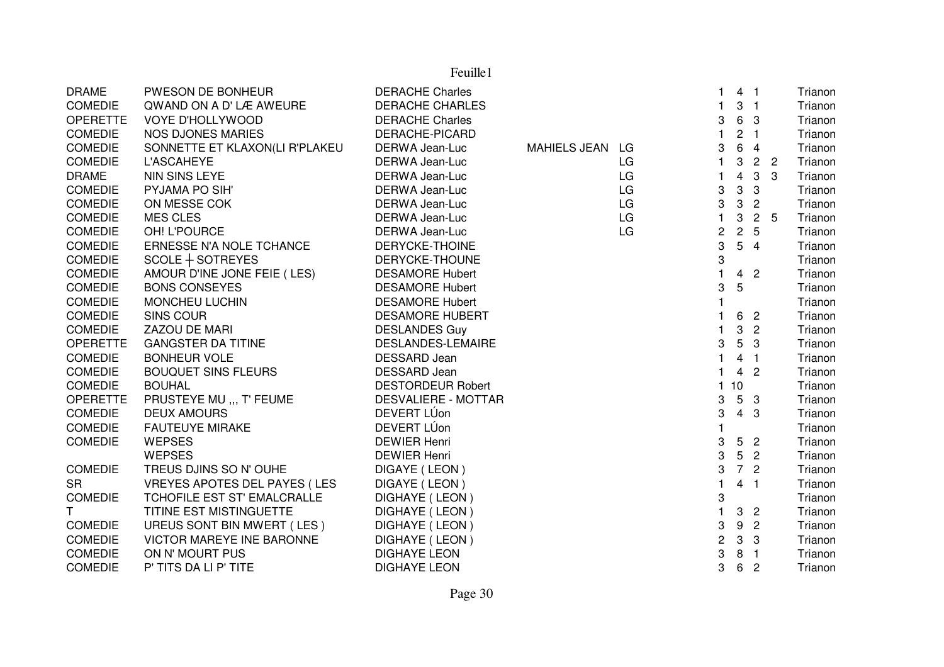| <b>DRAME</b>    | PWESON DE BONHEUR                   | <b>DERACHE Charles</b>     |                 |    | 1.                        | 4 <sub>1</sub> |                          |     | Trianon |
|-----------------|-------------------------------------|----------------------------|-----------------|----|---------------------------|----------------|--------------------------|-----|---------|
| <b>COMEDIE</b>  | QWAND ON A D'LÆ AWEURE              | <b>DERACHE CHARLES</b>     |                 |    | 1.                        | 3              | $\blacksquare$           |     | Trianon |
| <b>OPERETTE</b> | VOYE D'HOLLYWOOD                    | <b>DERACHE Charles</b>     |                 |    | 3                         | 6 3            |                          |     | Trianon |
| <b>COMEDIE</b>  | <b>NOS DJONES MARIES</b>            | DERACHE-PICARD             |                 |    | $\mathbf{1}$              | $\overline{c}$ | $\overline{\phantom{1}}$ |     | Trianon |
| <b>COMEDIE</b>  | SONNETTE ET KLAXON(LI R'PLAKEU      | DERWA Jean-Luc             | MAHIELS JEAN LG |    | 3                         | 6              | $\overline{4}$           |     | Trianon |
| <b>COMEDIE</b>  | <b>L'ASCAHEYE</b>                   | DERWA Jean-Luc             |                 | LG | 1.                        | 3              | 2 <sub>2</sub>           |     | Trianon |
| <b>DRAME</b>    | NIN SINS LEYE                       | DERWA Jean-Luc             |                 | LG | 1                         | 4              | $\mathbf{3}$             | 3   | Trianon |
| <b>COMEDIE</b>  | PYJAMA PO SIH'                      | DERWA Jean-Luc             |                 | LG | 3                         | 3              | $\sqrt{3}$               |     | Trianon |
| <b>COMEDIE</b>  | ON MESSE COK                        | DERWA Jean-Luc             |                 | LG | 3                         | 3              | $\mathbf{2}$             |     | Trianon |
| <b>COMEDIE</b>  | <b>MES CLES</b>                     | DERWA Jean-Luc             |                 | LG | $\mathbf{1}$              | 3              | $\overline{2}$           | - 5 | Trianon |
| <b>COMEDIE</b>  | OH! L'POURCE                        | DERWA Jean-Luc             |                 | LG | 2                         | $\overline{c}$ | 5                        |     | Trianon |
| <b>COMEDIE</b>  | ERNESSE N'A NOLE TCHANCE            | DERYCKE-THOINE             |                 |    | 3                         | 5              | $\overline{4}$           |     | Trianon |
| <b>COMEDIE</b>  | $SCOLE + SOTREYES$                  | DERYCKE-THOUNE             |                 |    | 3                         |                |                          |     | Trianon |
| <b>COMEDIE</b>  | AMOUR D'INE JONE FEIE (LES)         | <b>DESAMORE Hubert</b>     |                 |    | 1                         | 4 <sub>2</sub> |                          |     | Trianon |
| <b>COMEDIE</b>  | <b>BONS CONSEYES</b>                | <b>DESAMORE Hubert</b>     |                 |    | 3                         | 5              |                          |     | Trianon |
| <b>COMEDIE</b>  | MONCHEU LUCHIN                      | <b>DESAMORE Hubert</b>     |                 |    | $\mathbf{1}$              |                |                          |     | Trianon |
| <b>COMEDIE</b>  | <b>SINS COUR</b>                    | <b>DESAMORE HUBERT</b>     |                 |    |                           | 6              | $\overline{\phantom{a}}$ |     | Trianon |
| <b>COMEDIE</b>  | ZAZOU DE MARI                       | <b>DESLANDES Guy</b>       |                 |    | 1.                        | 3              | $\overline{c}$           |     | Trianon |
| <b>OPERETTE</b> | <b>GANGSTER DA TITINE</b>           | DESLANDES-LEMAIRE          |                 |    | 3                         | 5 <sup>5</sup> | -3                       |     | Trianon |
| <b>COMEDIE</b>  | <b>BONHEUR VOLE</b>                 | <b>DESSARD Jean</b>        |                 |    | $\mathbf{1}$              | 4              | $\overline{1}$           |     | Trianon |
| <b>COMEDIE</b>  | <b>BOUQUET SINS FLEURS</b>          | <b>DESSARD Jean</b>        |                 |    |                           | 4 <sub>2</sub> |                          |     | Trianon |
| <b>COMEDIE</b>  | <b>BOUHAL</b>                       | <b>DESTORDEUR Robert</b>   |                 |    | $\mathbf{1}$              | 10             |                          |     | Trianon |
| <b>OPERETTE</b> | PRUSTEYE MU ,,, T' FEUME            | <b>DESVALIERE - MOTTAR</b> |                 |    | 3                         | 5 <sub>3</sub> |                          |     | Trianon |
| <b>COMEDIE</b>  | <b>DEUX AMOURS</b>                  | DEVERT LÚon                |                 |    | 3                         | $4 \quad 3$    |                          |     | Trianon |
| <b>COMEDIE</b>  | <b>FAUTEUYE MIRAKE</b>              | DEVERT LÚon                |                 |    | $\mathbf{1}$              |                |                          |     | Trianon |
| <b>COMEDIE</b>  | <b>WEPSES</b>                       | <b>DEWIER Henri</b>        |                 |    | $\ensuremath{\mathsf{3}}$ | 5              | $\overline{2}$           |     | Trianon |
|                 | <b>WEPSES</b>                       | <b>DEWIER Henri</b>        |                 |    | 3                         | 5              | $\overline{c}$           |     | Trianon |
| <b>COMEDIE</b>  | TREUS DJINS SO N' OUHE              | DIGAYE (LEON)              |                 |    | 3                         | 7 <sup>7</sup> | $\overline{c}$           |     | Trianon |
| <b>SR</b>       | <b>VREYES APOTES DEL PAYES (LES</b> | DIGAYE (LEON)              |                 |    | $\mathbf{1}$              | 4              | - 1                      |     | Trianon |
| <b>COMEDIE</b>  | TCHOFILE EST ST' EMALCRALLE         | DIGHAYE (LEON)             |                 |    | 3                         |                |                          |     | Trianon |
| $\mathsf{T}$    | TITINE EST MISTINGUETTE             | DIGHAYE (LEON)             |                 |    | 1                         | 3              | $\overline{2}$           |     | Trianon |
| <b>COMEDIE</b>  | UREUS SONT BIN MWERT (LES)          | DIGHAYE (LEON)             |                 |    | 3                         | 9              | $\overline{c}$           |     | Trianon |
| <b>COMEDIE</b>  | VICTOR MAREYE INE BARONNE           | DIGHAYE (LEON)             |                 |    | 2                         | $\mathbf{3}$   | 3                        |     | Trianon |
| <b>COMEDIE</b>  | ON N' MOURT PUS                     | <b>DIGHAYE LEON</b>        |                 |    | 3                         | 8              | $\overline{1}$           |     | Trianon |
| <b>COMEDIE</b>  | P' TITS DA LI P' TITE               | <b>DIGHAYE LEON</b>        |                 |    | 3                         | 6              | $\overline{c}$           |     | Trianon |
|                 |                                     |                            |                 |    |                           |                |                          |     |         |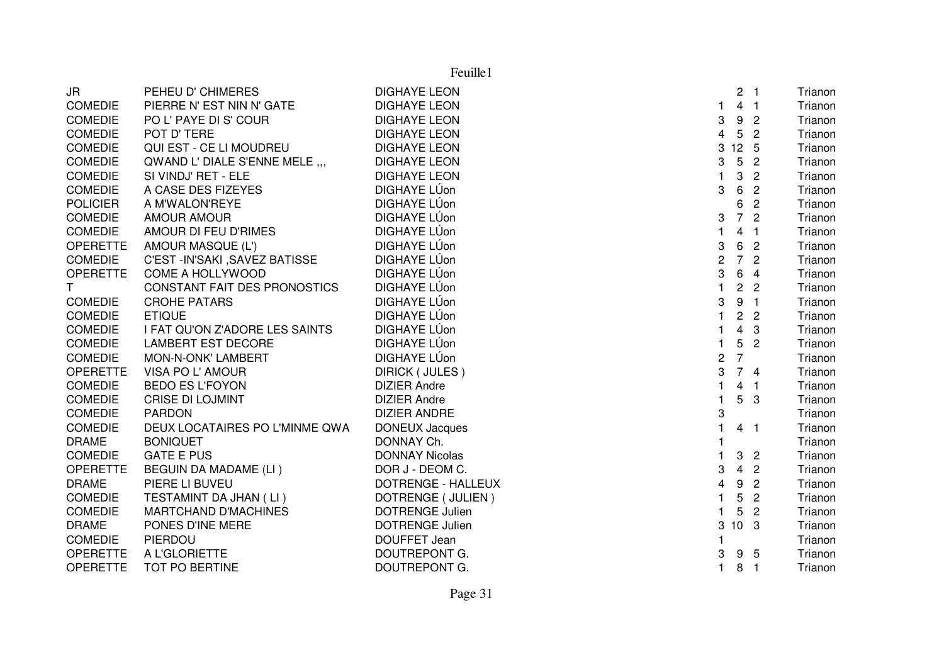| JR              | PEHEU D' CHIMERES              | <b>DIGHAYE LEON</b>    |                         |                 | 2 <sub>1</sub>          | Trianon |
|-----------------|--------------------------------|------------------------|-------------------------|-----------------|-------------------------|---------|
| <b>COMEDIE</b>  | PIERRE N' EST NIN N' GATE      | <b>DIGHAYE LEON</b>    | 1                       |                 | 4 <sub>1</sub>          | Trianon |
| <b>COMEDIE</b>  | PO L' PAYE DI S' COUR          | <b>DIGHAYE LEON</b>    | 3                       | 9               | $\overline{2}$          | Trianon |
| <b>COMEDIE</b>  | POT D' TERE                    | <b>DIGHAYE LEON</b>    | $\overline{\mathbf{4}}$ | 5               | $\overline{2}$          | Trianon |
| <b>COMEDIE</b>  | QUI EST - CE LI MOUDREU        | <b>DIGHAYE LEON</b>    | 3                       | $12 \quad 5$    |                         | Trianon |
| <b>COMEDIE</b>  | QWAND L' DIALE S'ENNE MELE ,,, | <b>DIGHAYE LEON</b>    | 3                       | $5\phantom{.0}$ | $\overline{2}$          | Trianon |
| <b>COMEDIE</b>  | SI VINDJ' RET - ELE            | <b>DIGHAYE LEON</b>    | $\mathbf{1}$            | 3               | $\overline{2}$          | Trianon |
| <b>COMEDIE</b>  | A CASE DES FIZEYES             | DIGHAYE LÚon           | 3                       | 6               | $\overline{2}$          | Trianon |
| <b>POLICIER</b> | A M'WALON'REYE                 | DIGHAYE LÚon           |                         | 6               | $\overline{c}$          | Trianon |
| <b>COMEDIE</b>  | <b>AMOUR AMOUR</b>             | DIGHAYE LÚon           | 3                       | $\overline{7}$  | $\overline{c}$          | Trianon |
| <b>COMEDIE</b>  | AMOUR DI FEU D'RIMES           | DIGHAYE LÚon           | $\mathbf{1}$            | 4               | -1                      | Trianon |
| <b>OPERETTE</b> | AMOUR MASQUE (L')              | DIGHAYE LÚon           | 3                       | 6               | $\overline{c}$          | Trianon |
| <b>COMEDIE</b>  | C'EST-IN'SAKI, SAVEZ BATISSE   | DIGHAYE LÚon           | $\overline{2}$          |                 | 7 <sup>2</sup>          | Trianon |
| <b>OPERETTE</b> | COME A HOLLYWOOD               | DIGHAYE LÚon           | 3                       |                 | 6 4                     | Trianon |
| T.              | CONSTANT FAIT DES PRONOSTICS   | DIGHAYE LÚon           | $\mathbf{1}$            |                 | 2 <sub>2</sub>          | Trianon |
| <b>COMEDIE</b>  | <b>CROHE PATARS</b>            | DIGHAYE LÚon           | 3                       |                 | 9 <sub>1</sub>          | Trianon |
| <b>COMEDIE</b>  | <b>ETIQUE</b>                  | DIGHAYE LÚon           | $\mathbf{1}$            | $\overline{c}$  | $\overline{c}$          | Trianon |
| <b>COMEDIE</b>  | I FAT QU'ON Z'ADORE LES SAINTS | DIGHAYE LÚon           | $\mathbf{1}$            | $\overline{4}$  | 3                       | Trianon |
| <b>COMEDIE</b>  | <b>LAMBERT EST DECORE</b>      | DIGHAYE LÚon           | $\mathbf{1}$            | $5\overline{)}$ | $\overline{2}$          | Trianon |
| <b>COMEDIE</b>  | MON-N-ONK' LAMBERT             | DIGHAYE LÚon           | $\overline{c}$          | $\overline{7}$  |                         | Trianon |
| <b>OPERETTE</b> | VISA PO L'AMOUR                | DIRICK (JULES)         | 3                       |                 | 74                      | Trianon |
| <b>COMEDIE</b>  | <b>BEDO ES L'FOYON</b>         | <b>DIZIER Andre</b>    | 1                       |                 | $4 \quad 1$             | Trianon |
| <b>COMEDIE</b>  | <b>CRISE DI LOJMINT</b>        | <b>DIZIER Andre</b>    | $\mathbf{1}$            | 5               | -3                      | Trianon |
| <b>COMEDIE</b>  | <b>PARDON</b>                  | <b>DIZIER ANDRE</b>    | 3                       |                 |                         | Trianon |
| <b>COMEDIE</b>  | DEUX LOCATAIRES PO L'MINME QWA | <b>DONEUX Jacques</b>  | $\mathbf{1}$            |                 | 4 <sub>1</sub>          | Trianon |
| <b>DRAME</b>    | <b>BONIQUET</b>                | DONNAY Ch.             | $\mathbf{1}$            |                 |                         | Trianon |
| <b>COMEDIE</b>  | <b>GATE E PUS</b>              | <b>DONNAY Nicolas</b>  | $\mathbf{1}$            | 3               | $\overline{c}$          | Trianon |
| <b>OPERETTE</b> | BEGUIN DA MADAME (LI)          | DOR J - DEOM C.        | 3                       | $\overline{4}$  | $\overline{2}$          | Trianon |
| <b>DRAME</b>    | PIERE LI BUVEU                 | DOTRENGE - HALLEUX     | $\overline{\mathbf{4}}$ | 9               | $\overline{c}$          | Trianon |
| <b>COMEDIE</b>  | TESTAMINT DA JHAN (LI)         | DOTRENGE ( JULIEN )    | $\mathbf{1}$            | 5               | $\overline{c}$          | Trianon |
| <b>COMEDIE</b>  | <b>MARTCHAND D'MACHINES</b>    | <b>DOTRENGE Julien</b> | $\mathbf{1}$            | 5               | $\overline{2}$          | Trianon |
| <b>DRAME</b>    | PONES D'INE MERE               | <b>DOTRENGE Julien</b> | 3                       | 10 <sub>3</sub> |                         | Trianon |
| <b>COMEDIE</b>  | PIERDOU                        | DOUFFET Jean           |                         |                 |                         | Trianon |
| <b>OPERETTE</b> | A L'GLORIETTE                  | DOUTREPONT G.          | 3                       |                 | 9 5                     | Trianon |
| <b>OPERETTE</b> | TOT PO BERTINE                 | DOUTREPONT G.          | $\mathbf{1}$            | 8               | $\overline{\mathbf{1}}$ | Trianon |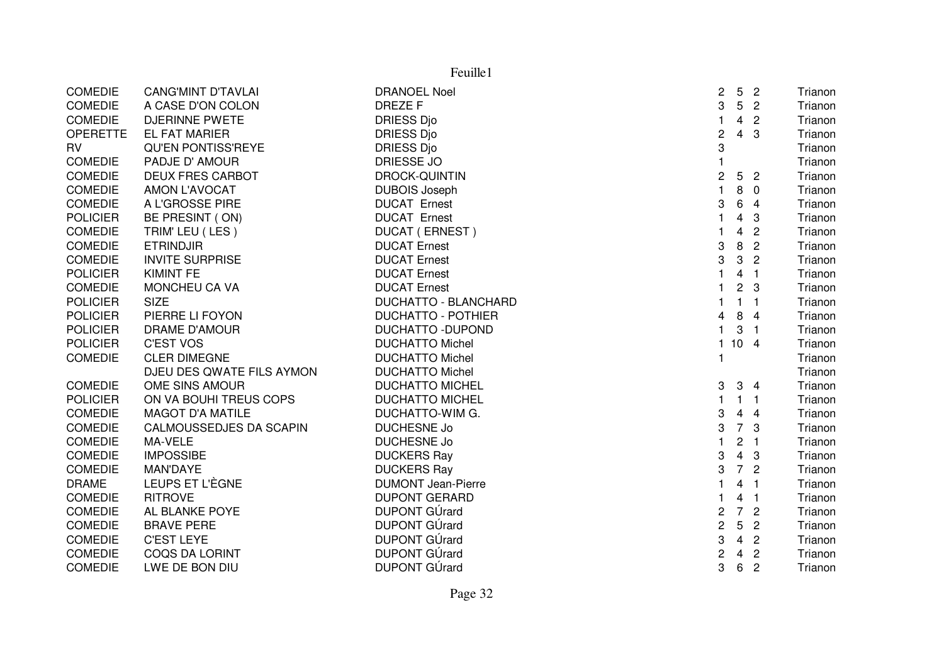| Feuille1        |                           |                             |                           |                         |                |         |
|-----------------|---------------------------|-----------------------------|---------------------------|-------------------------|----------------|---------|
| <b>COMEDIE</b>  | <b>CANG'MINT D'TAVLAI</b> | <b>DRANOEL Noel</b>         | $\mathbf{2}$              | 5                       | $\overline{2}$ | Trianon |
| <b>COMEDIE</b>  | A CASE D'ON COLON         | <b>DREZEF</b>               | 3                         | $5\phantom{.0}$         | $\overline{2}$ | Trianon |
| <b>COMEDIE</b>  | <b>DJERINNE PWETE</b>     | <b>DRIESS Djo</b>           | $\mathbf{1}$              | $\overline{4}$          | $\overline{2}$ | Trianon |
| <b>OPERETTE</b> | <b>EL FAT MARIER</b>      | <b>DRIESS Djo</b>           | $\sqrt{2}$                | $\overline{4}$          | 3              | Trianon |
| <b>RV</b>       | <b>QU'EN PONTISS'REYE</b> | <b>DRIESS Djo</b>           | $\ensuremath{\mathsf{3}}$ |                         |                | Trianon |
| COMEDIE         | PADJE D' AMOUR            | <b>DRIESSE JO</b>           | $\mathbf{1}$              |                         |                | Trianon |
| COMEDIE         | <b>DEUX FRES CARBOT</b>   | <b>DROCK-QUINTIN</b>        | $\overline{c}$            | 5 <sup>5</sup>          | $\overline{2}$ | Trianon |
| <b>COMEDIE</b>  | <b>AMON L'AVOCAT</b>      | <b>DUBOIS Joseph</b>        | $\mathbf{1}$              | 8                       | $\overline{0}$ | Trianon |
| <b>COMEDIE</b>  | A L'GROSSE PIRE           | <b>DUCAT Ernest</b>         | 3                         | 6                       | $\overline{4}$ | Trianon |
| <b>POLICIER</b> | BE PRESINT (ON)           | <b>DUCAT Ernest</b>         | $\mathbf{1}$              | 4                       | 3              | Trianon |
| <b>COMEDIE</b>  | TRIM' LEU (LES)           | <b>DUCAT (ERNEST)</b>       | $\mathbf{1}$              | 4                       | $\overline{c}$ | Trianon |
| <b>COMEDIE</b>  | <b>ETRINDJIR</b>          | <b>DUCAT Ernest</b>         | 3                         | 8                       | $\overline{c}$ | Trianon |
| <b>COMEDIE</b>  | <b>INVITE SURPRISE</b>    | <b>DUCAT Ernest</b>         | 3                         | 3                       | $\overline{2}$ | Trianon |
| <b>POLICIER</b> | <b>KIMINT FE</b>          | <b>DUCAT Ernest</b>         | $\mathbf{1}$              | $\overline{4}$          | $\overline{1}$ | Trianon |
| <b>COMEDIE</b>  | MONCHEU CA VA             | <b>DUCAT Ernest</b>         | $\mathbf{1}$              | $\overline{2}$          | 3              | Trianon |
| <b>POLICIER</b> | <b>SIZE</b>               | <b>DUCHATTO - BLANCHARD</b> | $\mathbf{1}$              | $\mathbf{1}$            | $\overline{1}$ | Trianon |
| <b>POLICIER</b> | PIERRE LI FOYON           | <b>DUCHATTO - POTHIER</b>   | 4                         | 8                       | $\overline{4}$ | Trianon |
| <b>POLICIER</b> | DRAME D'AMOUR             | <b>DUCHATTO - DUPOND</b>    | $\mathbf{1}$              |                         | 3 <sub>1</sub> | Trianon |
| <b>POLICIER</b> | <b>C'EST VOS</b>          | <b>DUCHATTO Michel</b>      | $\mathbf{1}$              | 10 <sub>4</sub>         |                | Trianon |
| <b>COMEDIE</b>  | <b>CLER DIMEGNE</b>       | <b>DUCHATTO Michel</b>      | $\mathbf{1}$              |                         |                | Trianon |
|                 | DJEU DES QWATE FILS AYMON | <b>DUCHATTO Michel</b>      |                           |                         |                | Trianon |
| <b>COMEDIE</b>  | OME SINS AMOUR            | <b>DUCHATTO MICHEL</b>      | 3                         |                         | 3 <sub>4</sub> | Trianon |
| <b>POLICIER</b> | ON VA BOUHI TREUS COPS    | <b>DUCHATTO MICHEL</b>      | $\mathbf{1}$              |                         | 1 <sub>1</sub> | Trianon |
| <b>COMEDIE</b>  | <b>MAGOT D'A MATILE</b>   | DUCHATTO-WIM G.             | 3                         | $\overline{4}$          | $\overline{4}$ | Trianon |
| <b>COMEDIE</b>  | CALMOUSSEDJES DA SCAPIN   | <b>DUCHESNE Jo</b>          | 3                         | $\overline{7}$          | 3              | Trianon |
| <b>COMEDIE</b>  | MA-VELE                   | <b>DUCHESNE Jo</b>          | $\mathbf{1}$              | $\overline{2}$          | $\overline{1}$ | Trianon |
| <b>COMEDIE</b>  | <b>IMPOSSIBE</b>          | <b>DUCKERS Ray</b>          | 3                         | $\overline{4}$          | $\mathbf{3}$   | Trianon |
| <b>COMEDIE</b>  | MAN'DAYE                  | <b>DUCKERS Ray</b>          | 3                         | $\overline{7}$          | $\overline{2}$ | Trianon |
| <b>DRAME</b>    | LEUPS ET L'ÈGNE           | <b>DUMONT Jean-Pierre</b>   | $\mathbf{1}$              | 4                       | $\overline{1}$ | Trianon |
| <b>COMEDIE</b>  | <b>RITROVE</b>            | <b>DUPONT GERARD</b>        | $\mathbf{1}$              | $\overline{\mathbf{4}}$ | $\overline{1}$ | Trianon |
| <b>COMEDIE</b>  | AL BLANKE POYE            | <b>DUPONT GÚrard</b>        | $\overline{c}$            | $\overline{7}$          | $\overline{c}$ | Trianon |
| <b>COMEDIE</b>  | <b>BRAVE PERE</b>         | <b>DUPONT GÚrard</b>        | $\mathbf{2}$              | $5\phantom{.0}$         | $\overline{2}$ | Trianon |
| <b>COMEDIE</b>  | <b>C'EST LEYE</b>         | DUPONT GÚrard               | 3                         | $\overline{4}$          | $\overline{2}$ | Trianon |
| <b>COMEDIE</b>  | <b>COQS DA LORINT</b>     | DUPONT GÚrard               | $\overline{c}$            | $\overline{4}$          | $\overline{2}$ | Trianon |
| <b>COMEDIE</b>  | LWE DE BON DIU            | <b>DUPONT GÚrard</b>        | 3                         | $6\phantom{.}6$         | $\overline{2}$ | Trianon |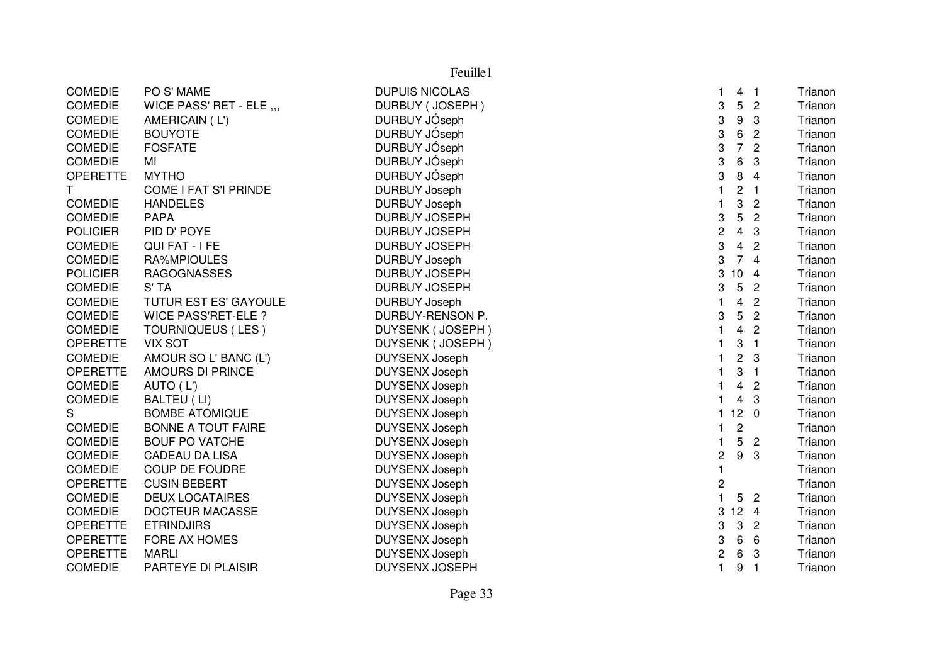| Feuille1        |                              |                       |                           |                 |                |         |
|-----------------|------------------------------|-----------------------|---------------------------|-----------------|----------------|---------|
| <b>COMEDIE</b>  | PO S' MAME                   | <b>DUPUIS NICOLAS</b> | 1                         | 4 <sub>1</sub>  |                | Trianon |
| <b>COMEDIE</b>  | WICE PASS' RET - ELE ,,,     | DURBUY (JOSEPH)       | 3                         | 5               | $\overline{c}$ | Trianon |
| <b>COMEDIE</b>  | AMERICAIN (L')               | DURBUY JÓseph         | $\ensuremath{\mathsf{3}}$ | 9               | 3              | Trianon |
| <b>COMEDIE</b>  | <b>BOUYOTE</b>               | DURBUY JÓseph         | 3                         | $\,6\,$         | $\overline{c}$ | Trianon |
| <b>COMEDIE</b>  | <b>FOSFATE</b>               | DURBUY JÓseph         | 3                         | $\overline{7}$  | $\overline{2}$ | Trianon |
| <b>COMEDIE</b>  | MI                           | DURBUY JÓseph         | 3                         | 6               | 3              | Trianon |
| <b>OPERETTE</b> | <b>MYTHO</b>                 | DURBUY JÓseph         | 3                         | 8               | $\overline{4}$ | Trianon |
| Τ               | <b>COME I FAT S'I PRINDE</b> | <b>DURBUY Joseph</b>  | $\mathbf{1}$              | 2               | $\mathbf{1}$   | Trianon |
| <b>COMEDIE</b>  | <b>HANDELES</b>              | <b>DURBUY Joseph</b>  | $\mathbf{1}$              | 3               | $\overline{2}$ | Trianon |
| <b>COMEDIE</b>  | <b>PAPA</b>                  | <b>DURBUY JOSEPH</b>  | 3                         | 5               | $\overline{2}$ | Trianon |
| <b>POLICIER</b> | PID D' POYE                  | <b>DURBUY JOSEPH</b>  | $\overline{c}$            | $\overline{4}$  | 3              | Trianon |
| <b>COMEDIE</b>  | QUI FAT - I FE               | <b>DURBUY JOSEPH</b>  | 3                         | $\overline{4}$  | $\overline{2}$ | Trianon |
| <b>COMEDIE</b>  | RA%MPIOULES                  | <b>DURBUY Joseph</b>  | 3                         | 74              |                | Trianon |
| <b>POLICIER</b> | <b>RAGOGNASSES</b>           | <b>DURBUY JOSEPH</b>  | 3                         | 10              | $\overline{4}$ | Trianon |
| <b>COMEDIE</b>  | S' TA                        | <b>DURBUY JOSEPH</b>  | 3                         | $5\phantom{.0}$ | $\overline{c}$ | Trianon |
| <b>COMEDIE</b>  | TUTUR EST ES' GAYOULE        | <b>DURBUY Joseph</b>  | $\mathbf{1}$              | 4               | $\overline{2}$ | Trianon |
| <b>COMEDIE</b>  | <b>WICE PASS'RET-ELE?</b>    | DURBUY-RENSON P.      | 3                         | 5               | $\overline{2}$ | Trianon |
| <b>COMEDIE</b>  | TOURNIQUEUS (LES)            | DUYSENK (JOSEPH)      | $\mathbf{1}$              | $\overline{4}$  | $\overline{2}$ | Trianon |
| <b>OPERETTE</b> | <b>VIX SOT</b>               | DUYSENK (JOSEPH)      | 1                         | 3               | $\overline{1}$ | Trianon |
| <b>COMEDIE</b>  | AMOUR SO L' BANC (L')        | <b>DUYSENX Joseph</b> | $\mathbf{1}$              | $\overline{c}$  | 3              | Trianon |
| <b>OPERETTE</b> | <b>AMOURS DI PRINCE</b>      | <b>DUYSENX Joseph</b> | 1                         | 3               | $\overline{1}$ | Trianon |
| <b>COMEDIE</b>  | AUTO (L')                    | <b>DUYSENX Joseph</b> | 1                         | $\overline{4}$  | $\overline{c}$ | Trianon |
| <b>COMEDIE</b>  | BALTEU (LI)                  | <b>DUYSENX Joseph</b> | $\blacksquare$            | $\overline{4}$  | $\overline{3}$ | Trianon |
| S               | <b>BOMBE ATOMIQUE</b>        | <b>DUYSENX Joseph</b> | $\mathbf{1}$              | 12 <sub>0</sub> |                | Trianon |
| <b>COMEDIE</b>  | <b>BONNE A TOUT FAIRE</b>    | <b>DUYSENX Joseph</b> | $\mathbf{1}$              | $\overline{2}$  |                | Trianon |
| <b>COMEDIE</b>  | <b>BOUF PO VATCHE</b>        | <b>DUYSENX Joseph</b> | $\mathbf{1}$              | 5               | $\overline{2}$ | Trianon |
| <b>COMEDIE</b>  | <b>CADEAU DA LISA</b>        | <b>DUYSENX Joseph</b> | 2                         | 9               | $\mathbf{3}$   | Trianon |
| <b>COMEDIE</b>  | <b>COUP DE FOUDRE</b>        | <b>DUYSENX Joseph</b> | $\mathbf{1}$              |                 |                | Trianon |
| <b>OPERETTE</b> | <b>CUSIN BEBERT</b>          | <b>DUYSENX Joseph</b> | $\overline{\mathbf{c}}$   |                 |                | Trianon |
| <b>COMEDIE</b>  | <b>DEUX LOCATAIRES</b>       | <b>DUYSENX Joseph</b> | $\mathbf{1}$              | 5               | $\overline{c}$ | Trianon |
| <b>COMEDIE</b>  | <b>DOCTEUR MACASSE</b>       | <b>DUYSENX Joseph</b> | 3                         | $12 \quad 4$    |                | Trianon |
| <b>OPERETTE</b> | <b>ETRINDJIRS</b>            | <b>DUYSENX Joseph</b> | 3                         | 3               | $\overline{c}$ | Trianon |
| <b>OPERETTE</b> | FORE AX HOMES                | <b>DUYSENX Joseph</b> | 3                         | $\,6\,$         | 6              | Trianon |
| <b>OPERETTE</b> | <b>MARLI</b>                 | <b>DUYSENX Joseph</b> | $\overline{c}$            | 6               | 3              | Trianon |
| <b>COMEDIE</b>  | PARTEYE DI PLAISIR           | <b>DUYSENX JOSEPH</b> | $\mathbf{1}$              | 9               | $\overline{1}$ | Trianon |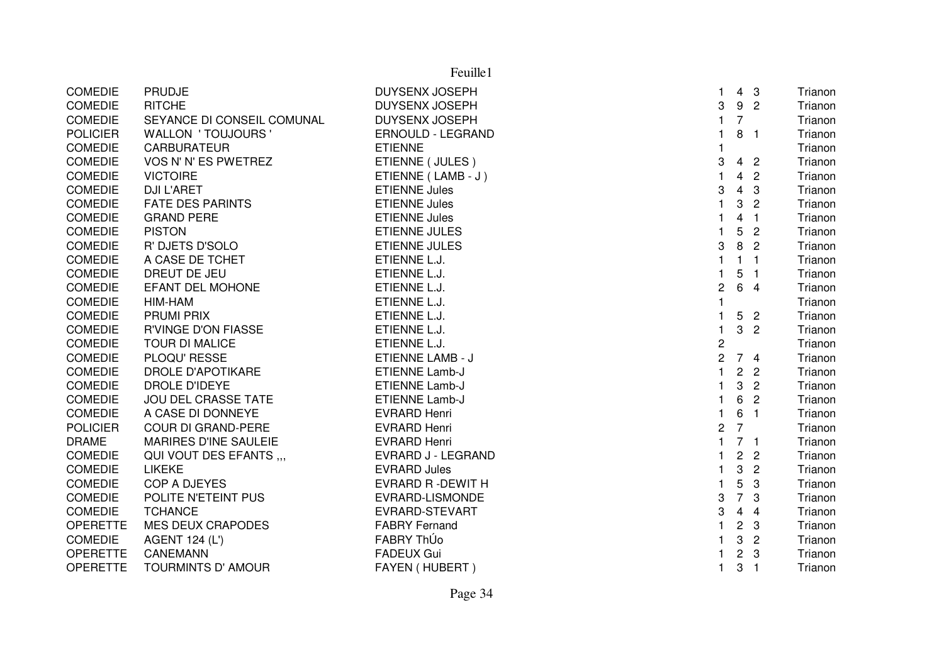| PRUDJE<br><b>DUYSENX JOSEPH</b><br>4 <sub>3</sub><br>Trianon<br>1<br>3<br>9<br>$\overline{2}$<br><b>RITCHE</b><br><b>DUYSENX JOSEPH</b><br>Trianon<br>$\overline{7}$<br>$\mathbf{1}$<br><b>COMEDIE</b><br>SEYANCE DI CONSEIL COMUNAL<br><b>DUYSENX JOSEPH</b><br>Trianon<br>8 <sub>1</sub><br><b>WALLON ' TOUJOURS '</b><br><b>ERNOULD - LEGRAND</b><br>1<br>Trianon<br><b>CARBURATEUR</b><br><b>ETIENNE</b><br>1<br>Trianon<br>3<br>VOS N' N' ES PWETREZ<br>ETIENNE (JULES)<br>4 <sub>2</sub><br>Trianon<br>$\mathbf{1}$<br><b>VICTOIRE</b><br>4<br>$\overline{2}$<br>ETIENNE (LAMB - J)<br>Trianon<br>3<br>$\overline{4}$<br>$\mathbf{3}$<br><b>DJI L'ARET</b><br><b>ETIENNE Jules</b><br>Trianon<br>$\mathbf{1}$<br>3<br><b>FATE DES PARINTS</b><br>$\overline{2}$<br><b>ETIENNE Jules</b><br>Trianon<br><b>GRAND PERE</b><br><b>ETIENNE Jules</b><br>$\mathbf{1}$<br>4<br>$\overline{1}$<br>Trianon<br>$\mathbf{1}$<br>5<br>$\overline{2}$<br><b>PISTON</b><br><b>ETIENNE JULES</b><br>Trianon<br>8<br>$\boldsymbol{3}$<br>$\overline{2}$<br>R' DJETS D'SOLO<br><b>ETIENNE JULES</b><br>Trianon<br>$\mathbf{1}$<br>A CASE DE TCHET<br>ETIENNE L.J.<br>$\mathbf{1}$<br>$\overline{1}$<br>Trianon<br>5<br>DREUT DE JEU<br>ETIENNE L.J.<br>1<br>$\overline{1}$<br>Trianon<br>EFANT DEL MOHONE<br>$\overline{c}$<br>6 4<br>ETIENNE L.J.<br>Trianon<br>$\mathbf{1}$<br>HIM-HAM<br>ETIENNE L.J.<br>Trianon<br>1<br>5<br><b>PRUMI PRIX</b><br>ETIENNE L.J.<br>$\overline{\phantom{a}}$<br>Trianon<br>3<br>$\overline{2}$<br><b>R'VINGE D'ON FIASSE</b><br>ETIENNE L.J.<br>$\mathbf{1}$<br>Trianon<br>$\overline{c}$<br><b>TOUR DI MALICE</b><br>ETIENNE L.J.<br>Trianon<br>$\overline{c}$<br>74<br>PLOQU' RESSE<br>ETIENNE LAMB - J<br>Trianon<br>$\mathbf{1}$<br>$\overline{2}$<br>DROLE D'APOTIKARE<br><b>ETIENNE Lamb-J</b><br>$\overline{c}$<br>Trianon<br>3<br>DROLE D'IDEYE<br><b>ETIENNE Lamb-J</b><br>$\overline{2}$<br>1<br>Trianon<br>6<br>$\mathbf{1}$<br>$\overline{2}$<br><b>JOU DEL CRASSE TATE</b><br><b>ETIENNE Lamb-J</b><br>Trianon<br>6<br>A CASE DI DONNEYE<br><b>EVRARD Henri</b><br>$\mathbf{1}$<br>$\overline{1}$<br>Trianon<br>$\overline{7}$<br>$\overline{c}$<br><b>COUR DI GRAND-PERE</b><br><b>EVRARD Henri</b><br>Trianon<br>$\mathbf{1}$<br>7 <sub>1</sub><br>MARIRES D'INE SAULEIE<br><b>EVRARD Henri</b><br>Trianon<br>QUI VOUT DES EFANTS<br>EVRARD J - LEGRAND<br>$\overline{2}$<br>$\overline{c}$<br>1<br>Trianon<br>$\mathbf{1}$<br>3<br>$\overline{2}$<br><b>LIKEKE</b><br><b>EVRARD Jules</b><br>Trianon<br>5<br>$\mathbf{1}$<br>$\mathbf{3}$<br>COP A DJEYES<br>EVRARD R-DEWIT H<br>Trianon<br>$\overline{7}$<br>$\boldsymbol{3}$<br>$\mathbf{3}$<br>POLITE N'ETEINT PUS<br>EVRARD-LISMONDE<br>Trianon<br>3<br>$\overline{\mathbf{4}}$<br>$\overline{4}$<br><b>TCHANCE</b><br>EVRARD-STEVART<br>Trianon<br>$\mathbf{1}$<br><b>MES DEUX CRAPODES</b><br><b>FABRY Fernand</b><br>$\overline{2}$<br>$\mathbf{3}$<br>Trianon<br><b>COMEDIE</b><br>FABRY ThÚo<br>3<br>$\overline{2}$<br>AGENT 124 (L')<br>1<br>Trianon<br>$\overline{c}$<br><b>FADEUX Gui</b><br>3<br><b>CANEMANN</b><br>1<br>Trianon<br><b>OPERETTE</b><br><b>TOURMINTS D' AMOUR</b><br>FAYEN (HUBERT)<br>1<br>3<br>$\overline{1}$<br>Trianon |                 |  |  |  |
|-----------------------------------------------------------------------------------------------------------------------------------------------------------------------------------------------------------------------------------------------------------------------------------------------------------------------------------------------------------------------------------------------------------------------------------------------------------------------------------------------------------------------------------------------------------------------------------------------------------------------------------------------------------------------------------------------------------------------------------------------------------------------------------------------------------------------------------------------------------------------------------------------------------------------------------------------------------------------------------------------------------------------------------------------------------------------------------------------------------------------------------------------------------------------------------------------------------------------------------------------------------------------------------------------------------------------------------------------------------------------------------------------------------------------------------------------------------------------------------------------------------------------------------------------------------------------------------------------------------------------------------------------------------------------------------------------------------------------------------------------------------------------------------------------------------------------------------------------------------------------------------------------------------------------------------------------------------------------------------------------------------------------------------------------------------------------------------------------------------------------------------------------------------------------------------------------------------------------------------------------------------------------------------------------------------------------------------------------------------------------------------------------------------------------------------------------------------------------------------------------------------------------------------------------------------------------------------------------------------------------------------------------------------------------------------------------------------------------------------------------------------------------------------------------------------------------------------------------------------------------------------------------------------------------------------------------------------------------------------------------------------------------------------------------------------------------------------------------------------------------------------------------------------------------------------------------------------------------------------------------|-----------------|--|--|--|
|                                                                                                                                                                                                                                                                                                                                                                                                                                                                                                                                                                                                                                                                                                                                                                                                                                                                                                                                                                                                                                                                                                                                                                                                                                                                                                                                                                                                                                                                                                                                                                                                                                                                                                                                                                                                                                                                                                                                                                                                                                                                                                                                                                                                                                                                                                                                                                                                                                                                                                                                                                                                                                                                                                                                                                                                                                                                                                                                                                                                                                                                                                                                                                                                                                               | <b>COMEDIE</b>  |  |  |  |
|                                                                                                                                                                                                                                                                                                                                                                                                                                                                                                                                                                                                                                                                                                                                                                                                                                                                                                                                                                                                                                                                                                                                                                                                                                                                                                                                                                                                                                                                                                                                                                                                                                                                                                                                                                                                                                                                                                                                                                                                                                                                                                                                                                                                                                                                                                                                                                                                                                                                                                                                                                                                                                                                                                                                                                                                                                                                                                                                                                                                                                                                                                                                                                                                                                               | <b>COMEDIE</b>  |  |  |  |
|                                                                                                                                                                                                                                                                                                                                                                                                                                                                                                                                                                                                                                                                                                                                                                                                                                                                                                                                                                                                                                                                                                                                                                                                                                                                                                                                                                                                                                                                                                                                                                                                                                                                                                                                                                                                                                                                                                                                                                                                                                                                                                                                                                                                                                                                                                                                                                                                                                                                                                                                                                                                                                                                                                                                                                                                                                                                                                                                                                                                                                                                                                                                                                                                                                               |                 |  |  |  |
|                                                                                                                                                                                                                                                                                                                                                                                                                                                                                                                                                                                                                                                                                                                                                                                                                                                                                                                                                                                                                                                                                                                                                                                                                                                                                                                                                                                                                                                                                                                                                                                                                                                                                                                                                                                                                                                                                                                                                                                                                                                                                                                                                                                                                                                                                                                                                                                                                                                                                                                                                                                                                                                                                                                                                                                                                                                                                                                                                                                                                                                                                                                                                                                                                                               | <b>POLICIER</b> |  |  |  |
|                                                                                                                                                                                                                                                                                                                                                                                                                                                                                                                                                                                                                                                                                                                                                                                                                                                                                                                                                                                                                                                                                                                                                                                                                                                                                                                                                                                                                                                                                                                                                                                                                                                                                                                                                                                                                                                                                                                                                                                                                                                                                                                                                                                                                                                                                                                                                                                                                                                                                                                                                                                                                                                                                                                                                                                                                                                                                                                                                                                                                                                                                                                                                                                                                                               | <b>COMEDIE</b>  |  |  |  |
|                                                                                                                                                                                                                                                                                                                                                                                                                                                                                                                                                                                                                                                                                                                                                                                                                                                                                                                                                                                                                                                                                                                                                                                                                                                                                                                                                                                                                                                                                                                                                                                                                                                                                                                                                                                                                                                                                                                                                                                                                                                                                                                                                                                                                                                                                                                                                                                                                                                                                                                                                                                                                                                                                                                                                                                                                                                                                                                                                                                                                                                                                                                                                                                                                                               | <b>COMEDIE</b>  |  |  |  |
|                                                                                                                                                                                                                                                                                                                                                                                                                                                                                                                                                                                                                                                                                                                                                                                                                                                                                                                                                                                                                                                                                                                                                                                                                                                                                                                                                                                                                                                                                                                                                                                                                                                                                                                                                                                                                                                                                                                                                                                                                                                                                                                                                                                                                                                                                                                                                                                                                                                                                                                                                                                                                                                                                                                                                                                                                                                                                                                                                                                                                                                                                                                                                                                                                                               | <b>COMEDIE</b>  |  |  |  |
|                                                                                                                                                                                                                                                                                                                                                                                                                                                                                                                                                                                                                                                                                                                                                                                                                                                                                                                                                                                                                                                                                                                                                                                                                                                                                                                                                                                                                                                                                                                                                                                                                                                                                                                                                                                                                                                                                                                                                                                                                                                                                                                                                                                                                                                                                                                                                                                                                                                                                                                                                                                                                                                                                                                                                                                                                                                                                                                                                                                                                                                                                                                                                                                                                                               | <b>COMEDIE</b>  |  |  |  |
|                                                                                                                                                                                                                                                                                                                                                                                                                                                                                                                                                                                                                                                                                                                                                                                                                                                                                                                                                                                                                                                                                                                                                                                                                                                                                                                                                                                                                                                                                                                                                                                                                                                                                                                                                                                                                                                                                                                                                                                                                                                                                                                                                                                                                                                                                                                                                                                                                                                                                                                                                                                                                                                                                                                                                                                                                                                                                                                                                                                                                                                                                                                                                                                                                                               | <b>COMEDIE</b>  |  |  |  |
|                                                                                                                                                                                                                                                                                                                                                                                                                                                                                                                                                                                                                                                                                                                                                                                                                                                                                                                                                                                                                                                                                                                                                                                                                                                                                                                                                                                                                                                                                                                                                                                                                                                                                                                                                                                                                                                                                                                                                                                                                                                                                                                                                                                                                                                                                                                                                                                                                                                                                                                                                                                                                                                                                                                                                                                                                                                                                                                                                                                                                                                                                                                                                                                                                                               | <b>COMEDIE</b>  |  |  |  |
|                                                                                                                                                                                                                                                                                                                                                                                                                                                                                                                                                                                                                                                                                                                                                                                                                                                                                                                                                                                                                                                                                                                                                                                                                                                                                                                                                                                                                                                                                                                                                                                                                                                                                                                                                                                                                                                                                                                                                                                                                                                                                                                                                                                                                                                                                                                                                                                                                                                                                                                                                                                                                                                                                                                                                                                                                                                                                                                                                                                                                                                                                                                                                                                                                                               | <b>COMEDIE</b>  |  |  |  |
|                                                                                                                                                                                                                                                                                                                                                                                                                                                                                                                                                                                                                                                                                                                                                                                                                                                                                                                                                                                                                                                                                                                                                                                                                                                                                                                                                                                                                                                                                                                                                                                                                                                                                                                                                                                                                                                                                                                                                                                                                                                                                                                                                                                                                                                                                                                                                                                                                                                                                                                                                                                                                                                                                                                                                                                                                                                                                                                                                                                                                                                                                                                                                                                                                                               | <b>COMEDIE</b>  |  |  |  |
|                                                                                                                                                                                                                                                                                                                                                                                                                                                                                                                                                                                                                                                                                                                                                                                                                                                                                                                                                                                                                                                                                                                                                                                                                                                                                                                                                                                                                                                                                                                                                                                                                                                                                                                                                                                                                                                                                                                                                                                                                                                                                                                                                                                                                                                                                                                                                                                                                                                                                                                                                                                                                                                                                                                                                                                                                                                                                                                                                                                                                                                                                                                                                                                                                                               | <b>COMEDIE</b>  |  |  |  |
|                                                                                                                                                                                                                                                                                                                                                                                                                                                                                                                                                                                                                                                                                                                                                                                                                                                                                                                                                                                                                                                                                                                                                                                                                                                                                                                                                                                                                                                                                                                                                                                                                                                                                                                                                                                                                                                                                                                                                                                                                                                                                                                                                                                                                                                                                                                                                                                                                                                                                                                                                                                                                                                                                                                                                                                                                                                                                                                                                                                                                                                                                                                                                                                                                                               | <b>COMEDIE</b>  |  |  |  |
|                                                                                                                                                                                                                                                                                                                                                                                                                                                                                                                                                                                                                                                                                                                                                                                                                                                                                                                                                                                                                                                                                                                                                                                                                                                                                                                                                                                                                                                                                                                                                                                                                                                                                                                                                                                                                                                                                                                                                                                                                                                                                                                                                                                                                                                                                                                                                                                                                                                                                                                                                                                                                                                                                                                                                                                                                                                                                                                                                                                                                                                                                                                                                                                                                                               | <b>COMEDIE</b>  |  |  |  |
|                                                                                                                                                                                                                                                                                                                                                                                                                                                                                                                                                                                                                                                                                                                                                                                                                                                                                                                                                                                                                                                                                                                                                                                                                                                                                                                                                                                                                                                                                                                                                                                                                                                                                                                                                                                                                                                                                                                                                                                                                                                                                                                                                                                                                                                                                                                                                                                                                                                                                                                                                                                                                                                                                                                                                                                                                                                                                                                                                                                                                                                                                                                                                                                                                                               | <b>COMEDIE</b>  |  |  |  |
|                                                                                                                                                                                                                                                                                                                                                                                                                                                                                                                                                                                                                                                                                                                                                                                                                                                                                                                                                                                                                                                                                                                                                                                                                                                                                                                                                                                                                                                                                                                                                                                                                                                                                                                                                                                                                                                                                                                                                                                                                                                                                                                                                                                                                                                                                                                                                                                                                                                                                                                                                                                                                                                                                                                                                                                                                                                                                                                                                                                                                                                                                                                                                                                                                                               | COMEDIE         |  |  |  |
|                                                                                                                                                                                                                                                                                                                                                                                                                                                                                                                                                                                                                                                                                                                                                                                                                                                                                                                                                                                                                                                                                                                                                                                                                                                                                                                                                                                                                                                                                                                                                                                                                                                                                                                                                                                                                                                                                                                                                                                                                                                                                                                                                                                                                                                                                                                                                                                                                                                                                                                                                                                                                                                                                                                                                                                                                                                                                                                                                                                                                                                                                                                                                                                                                                               | <b>COMEDIE</b>  |  |  |  |
|                                                                                                                                                                                                                                                                                                                                                                                                                                                                                                                                                                                                                                                                                                                                                                                                                                                                                                                                                                                                                                                                                                                                                                                                                                                                                                                                                                                                                                                                                                                                                                                                                                                                                                                                                                                                                                                                                                                                                                                                                                                                                                                                                                                                                                                                                                                                                                                                                                                                                                                                                                                                                                                                                                                                                                                                                                                                                                                                                                                                                                                                                                                                                                                                                                               | <b>COMEDIE</b>  |  |  |  |
|                                                                                                                                                                                                                                                                                                                                                                                                                                                                                                                                                                                                                                                                                                                                                                                                                                                                                                                                                                                                                                                                                                                                                                                                                                                                                                                                                                                                                                                                                                                                                                                                                                                                                                                                                                                                                                                                                                                                                                                                                                                                                                                                                                                                                                                                                                                                                                                                                                                                                                                                                                                                                                                                                                                                                                                                                                                                                                                                                                                                                                                                                                                                                                                                                                               | <b>COMEDIE</b>  |  |  |  |
|                                                                                                                                                                                                                                                                                                                                                                                                                                                                                                                                                                                                                                                                                                                                                                                                                                                                                                                                                                                                                                                                                                                                                                                                                                                                                                                                                                                                                                                                                                                                                                                                                                                                                                                                                                                                                                                                                                                                                                                                                                                                                                                                                                                                                                                                                                                                                                                                                                                                                                                                                                                                                                                                                                                                                                                                                                                                                                                                                                                                                                                                                                                                                                                                                                               | <b>COMEDIE</b>  |  |  |  |
|                                                                                                                                                                                                                                                                                                                                                                                                                                                                                                                                                                                                                                                                                                                                                                                                                                                                                                                                                                                                                                                                                                                                                                                                                                                                                                                                                                                                                                                                                                                                                                                                                                                                                                                                                                                                                                                                                                                                                                                                                                                                                                                                                                                                                                                                                                                                                                                                                                                                                                                                                                                                                                                                                                                                                                                                                                                                                                                                                                                                                                                                                                                                                                                                                                               | <b>COMEDIE</b>  |  |  |  |
|                                                                                                                                                                                                                                                                                                                                                                                                                                                                                                                                                                                                                                                                                                                                                                                                                                                                                                                                                                                                                                                                                                                                                                                                                                                                                                                                                                                                                                                                                                                                                                                                                                                                                                                                                                                                                                                                                                                                                                                                                                                                                                                                                                                                                                                                                                                                                                                                                                                                                                                                                                                                                                                                                                                                                                                                                                                                                                                                                                                                                                                                                                                                                                                                                                               | <b>COMEDIE</b>  |  |  |  |
|                                                                                                                                                                                                                                                                                                                                                                                                                                                                                                                                                                                                                                                                                                                                                                                                                                                                                                                                                                                                                                                                                                                                                                                                                                                                                                                                                                                                                                                                                                                                                                                                                                                                                                                                                                                                                                                                                                                                                                                                                                                                                                                                                                                                                                                                                                                                                                                                                                                                                                                                                                                                                                                                                                                                                                                                                                                                                                                                                                                                                                                                                                                                                                                                                                               | <b>COMEDIE</b>  |  |  |  |
|                                                                                                                                                                                                                                                                                                                                                                                                                                                                                                                                                                                                                                                                                                                                                                                                                                                                                                                                                                                                                                                                                                                                                                                                                                                                                                                                                                                                                                                                                                                                                                                                                                                                                                                                                                                                                                                                                                                                                                                                                                                                                                                                                                                                                                                                                                                                                                                                                                                                                                                                                                                                                                                                                                                                                                                                                                                                                                                                                                                                                                                                                                                                                                                                                                               | <b>POLICIER</b> |  |  |  |
|                                                                                                                                                                                                                                                                                                                                                                                                                                                                                                                                                                                                                                                                                                                                                                                                                                                                                                                                                                                                                                                                                                                                                                                                                                                                                                                                                                                                                                                                                                                                                                                                                                                                                                                                                                                                                                                                                                                                                                                                                                                                                                                                                                                                                                                                                                                                                                                                                                                                                                                                                                                                                                                                                                                                                                                                                                                                                                                                                                                                                                                                                                                                                                                                                                               | <b>DRAME</b>    |  |  |  |
|                                                                                                                                                                                                                                                                                                                                                                                                                                                                                                                                                                                                                                                                                                                                                                                                                                                                                                                                                                                                                                                                                                                                                                                                                                                                                                                                                                                                                                                                                                                                                                                                                                                                                                                                                                                                                                                                                                                                                                                                                                                                                                                                                                                                                                                                                                                                                                                                                                                                                                                                                                                                                                                                                                                                                                                                                                                                                                                                                                                                                                                                                                                                                                                                                                               | <b>COMEDIE</b>  |  |  |  |
|                                                                                                                                                                                                                                                                                                                                                                                                                                                                                                                                                                                                                                                                                                                                                                                                                                                                                                                                                                                                                                                                                                                                                                                                                                                                                                                                                                                                                                                                                                                                                                                                                                                                                                                                                                                                                                                                                                                                                                                                                                                                                                                                                                                                                                                                                                                                                                                                                                                                                                                                                                                                                                                                                                                                                                                                                                                                                                                                                                                                                                                                                                                                                                                                                                               | <b>COMEDIE</b>  |  |  |  |
|                                                                                                                                                                                                                                                                                                                                                                                                                                                                                                                                                                                                                                                                                                                                                                                                                                                                                                                                                                                                                                                                                                                                                                                                                                                                                                                                                                                                                                                                                                                                                                                                                                                                                                                                                                                                                                                                                                                                                                                                                                                                                                                                                                                                                                                                                                                                                                                                                                                                                                                                                                                                                                                                                                                                                                                                                                                                                                                                                                                                                                                                                                                                                                                                                                               | <b>COMEDIE</b>  |  |  |  |
|                                                                                                                                                                                                                                                                                                                                                                                                                                                                                                                                                                                                                                                                                                                                                                                                                                                                                                                                                                                                                                                                                                                                                                                                                                                                                                                                                                                                                                                                                                                                                                                                                                                                                                                                                                                                                                                                                                                                                                                                                                                                                                                                                                                                                                                                                                                                                                                                                                                                                                                                                                                                                                                                                                                                                                                                                                                                                                                                                                                                                                                                                                                                                                                                                                               | <b>COMEDIE</b>  |  |  |  |
|                                                                                                                                                                                                                                                                                                                                                                                                                                                                                                                                                                                                                                                                                                                                                                                                                                                                                                                                                                                                                                                                                                                                                                                                                                                                                                                                                                                                                                                                                                                                                                                                                                                                                                                                                                                                                                                                                                                                                                                                                                                                                                                                                                                                                                                                                                                                                                                                                                                                                                                                                                                                                                                                                                                                                                                                                                                                                                                                                                                                                                                                                                                                                                                                                                               | <b>COMEDIE</b>  |  |  |  |
|                                                                                                                                                                                                                                                                                                                                                                                                                                                                                                                                                                                                                                                                                                                                                                                                                                                                                                                                                                                                                                                                                                                                                                                                                                                                                                                                                                                                                                                                                                                                                                                                                                                                                                                                                                                                                                                                                                                                                                                                                                                                                                                                                                                                                                                                                                                                                                                                                                                                                                                                                                                                                                                                                                                                                                                                                                                                                                                                                                                                                                                                                                                                                                                                                                               | <b>OPERETTE</b> |  |  |  |
|                                                                                                                                                                                                                                                                                                                                                                                                                                                                                                                                                                                                                                                                                                                                                                                                                                                                                                                                                                                                                                                                                                                                                                                                                                                                                                                                                                                                                                                                                                                                                                                                                                                                                                                                                                                                                                                                                                                                                                                                                                                                                                                                                                                                                                                                                                                                                                                                                                                                                                                                                                                                                                                                                                                                                                                                                                                                                                                                                                                                                                                                                                                                                                                                                                               |                 |  |  |  |
|                                                                                                                                                                                                                                                                                                                                                                                                                                                                                                                                                                                                                                                                                                                                                                                                                                                                                                                                                                                                                                                                                                                                                                                                                                                                                                                                                                                                                                                                                                                                                                                                                                                                                                                                                                                                                                                                                                                                                                                                                                                                                                                                                                                                                                                                                                                                                                                                                                                                                                                                                                                                                                                                                                                                                                                                                                                                                                                                                                                                                                                                                                                                                                                                                                               | <b>OPERETTE</b> |  |  |  |
|                                                                                                                                                                                                                                                                                                                                                                                                                                                                                                                                                                                                                                                                                                                                                                                                                                                                                                                                                                                                                                                                                                                                                                                                                                                                                                                                                                                                                                                                                                                                                                                                                                                                                                                                                                                                                                                                                                                                                                                                                                                                                                                                                                                                                                                                                                                                                                                                                                                                                                                                                                                                                                                                                                                                                                                                                                                                                                                                                                                                                                                                                                                                                                                                                                               |                 |  |  |  |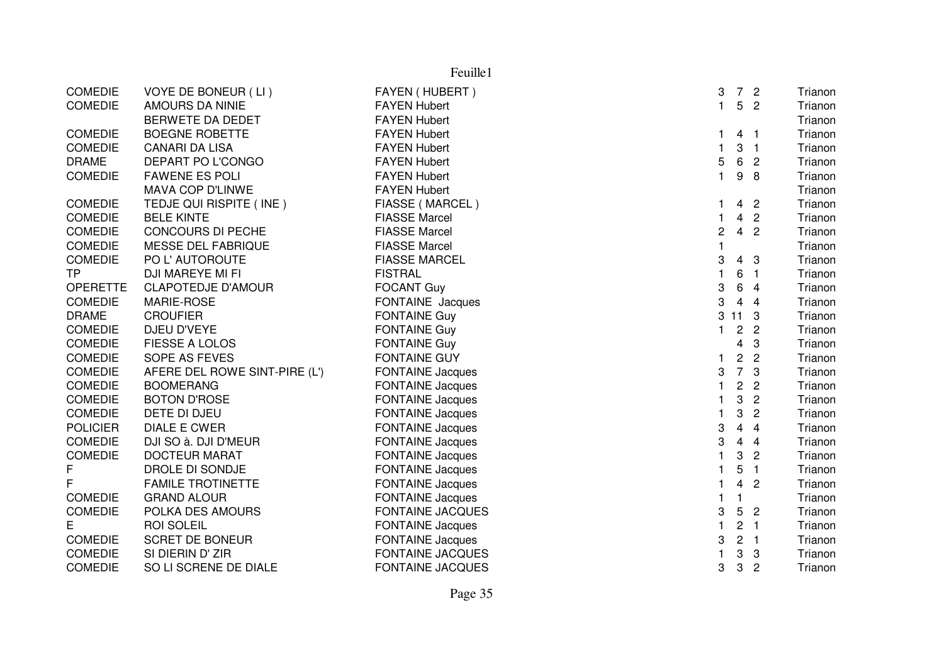|                 | Feuille1                      |                         |              |                         |                |         |  |
|-----------------|-------------------------------|-------------------------|--------------|-------------------------|----------------|---------|--|
| <b>COMEDIE</b>  | VOYE DE BONEUR (LI)           | FAYEN (HUBERT)          | 3            |                         | 7 <sub>2</sub> | Trianon |  |
| <b>COMEDIE</b>  | AMOURS DA NINIE               | <b>FAYEN Hubert</b>     | $\mathbf{1}$ | $5\phantom{.0}$         | $\overline{2}$ | Trianon |  |
|                 | BERWETE DA DEDET              | <b>FAYEN Hubert</b>     |              |                         |                | Trianon |  |
| <b>COMEDIE</b>  | <b>BOEGNE ROBETTE</b>         | <b>FAYEN Hubert</b>     | 1            |                         | 4 <sub>1</sub> | Trianon |  |
| <b>COMEDIE</b>  | <b>CANARI DA LISA</b>         | <b>FAYEN Hubert</b>     | 1            | 3                       | $\overline{1}$ | Trianon |  |
| <b>DRAME</b>    | DEPART PO L'CONGO             | <b>FAYEN Hubert</b>     | 5            | $6\phantom{.}6$         | $\overline{c}$ | Trianon |  |
| COMEDIE         | <b>FAWENE ES POLI</b>         | <b>FAYEN Hubert</b>     | $\mathbf{1}$ | 9                       | 8              | Trianon |  |
|                 | MAVA COP D'LINWE              | <b>FAYEN Hubert</b>     |              |                         |                | Trianon |  |
| <b>COMEDIE</b>  | TEDJE QUI RISPITE (INE)       | FIASSE (MARCEL)         | 1            | 4                       | $\overline{2}$ | Trianon |  |
| <b>COMEDIE</b>  | <b>BELE KINTE</b>             | <b>FIASSE Marcel</b>    | $\mathbf{1}$ | $\overline{4}$          | $\overline{2}$ | Trianon |  |
| <b>COMEDIE</b>  | <b>CONCOURS DI PECHE</b>      | <b>FIASSE Marcel</b>    | 2            | $\overline{4}$          | $\overline{c}$ | Trianon |  |
| <b>COMEDIE</b>  | MESSE DEL FABRIQUE            | <b>FIASSE Marcel</b>    | 1            |                         |                | Trianon |  |
| <b>COMEDIE</b>  | PO L'AUTOROUTE                | <b>FIASSE MARCEL</b>    | 3            | 4                       | 3              | Trianon |  |
| <b>TP</b>       | DJI MAREYE MI FI              | <b>FISTRAL</b>          | $\mathbf{1}$ | 6                       | $\overline{1}$ | Trianon |  |
| <b>OPERETTE</b> | <b>CLAPOTEDJE D'AMOUR</b>     | <b>FOCANT Guy</b>       | 3            | $\,6$                   | $\overline{4}$ | Trianon |  |
| <b>COMEDIE</b>  | MARIE-ROSE                    | FONTAINE Jacques        | 3            | $\overline{4}$          | $\overline{4}$ | Trianon |  |
| <b>DRAME</b>    | <b>CROUFIER</b>               | <b>FONTAINE Guy</b>     | 3            | 11 <sub>3</sub>         |                | Trianon |  |
| <b>COMEDIE</b>  | DJEU D'VEYE                   | <b>FONTAINE Guy</b>     | $\mathbf{1}$ | $\mathbf{2}$            | $\overline{2}$ | Trianon |  |
| <b>COMEDIE</b>  | <b>FIESSE A LOLOS</b>         | <b>FONTAINE Guy</b>     |              | 4                       | 3              | Trianon |  |
| <b>COMEDIE</b>  | SOPE AS FEVES                 | <b>FONTAINE GUY</b>     | 1            | $\mathbf{2}$            | $\overline{2}$ | Trianon |  |
| <b>COMEDIE</b>  | AFERE DEL ROWE SINT-PIRE (L') | <b>FONTAINE Jacques</b> | 3            | $\overline{7}$          | 3              | Trianon |  |
| <b>COMEDIE</b>  | <b>BOOMERANG</b>              | <b>FONTAINE Jacques</b> | 1            | $\overline{c}$          | $\overline{c}$ | Trianon |  |
| <b>COMEDIE</b>  | <b>BOTON D'ROSE</b>           | <b>FONTAINE Jacques</b> | $\mathbf{1}$ | 3                       | $\overline{c}$ | Trianon |  |
| <b>COMEDIE</b>  | DETE DI DJEU                  | <b>FONTAINE Jacques</b> | $\mathbf{1}$ | 3                       | $\mathbf{2}$   | Trianon |  |
| <b>POLICIER</b> | <b>DIALE E CWER</b>           | <b>FONTAINE Jacques</b> | 3            | $\overline{\mathbf{4}}$ | $\overline{4}$ | Trianon |  |
| <b>COMEDIE</b>  | DJI SO à. DJI D'MEUR          | <b>FONTAINE Jacques</b> | 3            | $\overline{4}$          | $\overline{4}$ | Trianon |  |
| <b>COMEDIE</b>  | <b>DOCTEUR MARAT</b>          | <b>FONTAINE Jacques</b> |              | 3                       | $\overline{2}$ | Trianon |  |
| F               | DROLE DI SONDJE               | <b>FONTAINE Jacques</b> |              | 5                       | $\overline{1}$ | Trianon |  |
| F               | <b>FAMILE TROTINETTE</b>      | <b>FONTAINE Jacques</b> | 1            | $\overline{\mathbf{4}}$ | $\overline{2}$ | Trianon |  |
| <b>COMEDIE</b>  | <b>GRAND ALOUR</b>            | <b>FONTAINE Jacques</b> | $\mathbf{1}$ | $\mathbf{1}$            |                | Trianon |  |
| <b>COMEDIE</b>  | POLKA DES AMOURS              | <b>FONTAINE JACQUES</b> | 3            | 5                       | $\overline{2}$ | Trianon |  |
| Е               | <b>ROI SOLEIL</b>             | <b>FONTAINE Jacques</b> | $\mathbf{1}$ | $\overline{c}$          | $\overline{1}$ | Trianon |  |
| <b>COMEDIE</b>  | <b>SCRET DE BONEUR</b>        | <b>FONTAINE Jacques</b> | 3            | $\overline{c}$          | $\overline{1}$ | Trianon |  |
| <b>COMEDIE</b>  | SI DIERIN D' ZIR              | <b>FONTAINE JACQUES</b> | 1            | 3                       | 3              | Trianon |  |
| <b>COMEDIE</b>  | SO LI SCRENE DE DIALE         | <b>FONTAINE JACQUES</b> | 3            | 3                       | $\overline{2}$ | Trianon |  |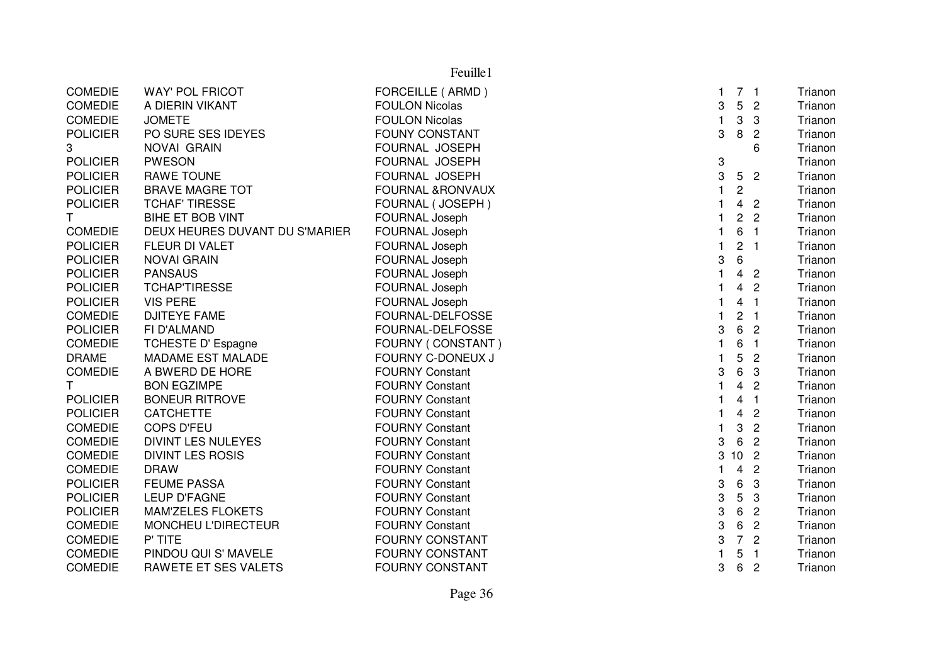| Feuille1        |                                |                             |              |                 |                |         |  |
|-----------------|--------------------------------|-----------------------------|--------------|-----------------|----------------|---------|--|
| <b>COMEDIE</b>  | <b>WAY' POL FRICOT</b>         | FORCEILLE (ARMD)            | $\mathbf{1}$ |                 | 7 <sub>1</sub> | Trianon |  |
| <b>COMEDIE</b>  | A DIERIN VIKANT                | <b>FOULON Nicolas</b>       | 3            | 5               | $\overline{2}$ | Trianon |  |
| <b>COMEDIE</b>  | <b>JOMETE</b>                  | <b>FOULON Nicolas</b>       | $\mathbf{1}$ | 3               | 3              | Trianon |  |
| <b>POLICIER</b> | PO SURE SES IDEYES             | <b>FOUNY CONSTANT</b>       | 3            | 8               | $\overline{c}$ | Trianon |  |
| 3               | NOVAI GRAIN                    | FOURNAL JOSEPH              |              |                 | 6              | Trianon |  |
| <b>POLICIER</b> | <b>PWESON</b>                  | FOURNAL JOSEPH              | 3            |                 |                | Trianon |  |
| <b>POLICIER</b> | <b>RAWE TOUNE</b>              | FOURNAL JOSEPH              | 3            | 5               | $\overline{2}$ | Trianon |  |
| <b>POLICIER</b> | <b>BRAVE MAGRE TOT</b>         | <b>FOURNAL &amp;RONVAUX</b> | $\mathbf{1}$ | $\overline{c}$  |                | Trianon |  |
| <b>POLICIER</b> | <b>TCHAF' TIRESSE</b>          | FOURNAL (JOSEPH)            | $\mathbf{1}$ | $\overline{4}$  | $\overline{2}$ | Trianon |  |
| T.              | BIHE ET BOB VINT               | FOURNAL Joseph              | 1            | $\overline{c}$  | $\overline{2}$ | Trianon |  |
| <b>COMEDIE</b>  | DEUX HEURES DUVANT DU S'MARIER | FOURNAL Joseph              | $\mathbf{1}$ | 6               | $\overline{1}$ | Trianon |  |
| <b>POLICIER</b> | FLEUR DI VALET                 | FOURNAL Joseph              | $\mathbf{1}$ | $\overline{c}$  | $\overline{1}$ | Trianon |  |
| <b>POLICIER</b> | <b>NOVAI GRAIN</b>             | FOURNAL Joseph              | 3            | 6               |                | Trianon |  |
| <b>POLICIER</b> | <b>PANSAUS</b>                 | FOURNAL Joseph              | $\mathbf{1}$ |                 | 4 <sub>2</sub> | Trianon |  |
| <b>POLICIER</b> | <b>TCHAPTIRESSE</b>            | FOURNAL Joseph              | 1            | $\overline{4}$  | $\overline{2}$ | Trianon |  |
| <b>POLICIER</b> | <b>VIS PERE</b>                | FOURNAL Joseph              | 1            | 4               | $\overline{1}$ | Trianon |  |
| <b>COMEDIE</b>  | <b>DJITEYE FAME</b>            | FOURNAL-DELFOSSE            | 1            | $\overline{c}$  | $\blacksquare$ | Trianon |  |
| <b>POLICIER</b> | FI D'ALMAND                    | FOURNAL-DELFOSSE            | 3            | 6               | $\overline{2}$ | Trianon |  |
| <b>COMEDIE</b>  | <b>TCHESTE D' Espagne</b>      | FOURNY (CONSTANT)           | 1            | 6               | $\overline{1}$ | Trianon |  |
| <b>DRAME</b>    | MADAME EST MALADE              | FOURNY C-DONEUX J           | 1            | 5               | $\overline{2}$ | Trianon |  |
| <b>COMEDIE</b>  | A BWERD DE HORE                | <b>FOURNY Constant</b>      | 3            | 6               | 3              | Trianon |  |
| T.              | <b>BON EGZIMPE</b>             | <b>FOURNY Constant</b>      | $\mathbf{1}$ | $\overline{4}$  | $\overline{2}$ | Trianon |  |
| <b>POLICIER</b> | <b>BONEUR RITROVE</b>          | <b>FOURNY Constant</b>      | 1            | 4               | $\overline{1}$ | Trianon |  |
| <b>POLICIER</b> | <b>CATCHETTE</b>               | <b>FOURNY Constant</b>      | $\mathbf{1}$ | $\overline{4}$  | $\overline{2}$ | Trianon |  |
| <b>COMEDIE</b>  | <b>COPS D'FEU</b>              | <b>FOURNY Constant</b>      | $\mathbf{1}$ | 3               | $\overline{2}$ | Trianon |  |
| <b>COMEDIE</b>  | <b>DIVINT LES NULEYES</b>      | <b>FOURNY Constant</b>      | 3            | 6               | $\overline{2}$ | Trianon |  |
| <b>COMEDIE</b>  | <b>DIVINT LES ROSIS</b>        | <b>FOURNY Constant</b>      | 3            | 10 <sup>1</sup> | $\overline{2}$ | Trianon |  |
| <b>COMEDIE</b>  | <b>DRAW</b>                    | <b>FOURNY Constant</b>      | 1            | $\overline{4}$  | $\overline{c}$ | Trianon |  |
| <b>POLICIER</b> | <b>FEUME PASSA</b>             | <b>FOURNY Constant</b>      | 3            | 6               | 3              | Trianon |  |
| <b>POLICIER</b> | LEUP D'FAGNE                   | <b>FOURNY Constant</b>      | 3            | 5               | 3              | Trianon |  |
| <b>POLICIER</b> | <b>MAM'ZELES FLOKETS</b>       | <b>FOURNY Constant</b>      | 3            | 6               | $\overline{c}$ | Trianon |  |
| <b>COMEDIE</b>  | MONCHEU L'DIRECTEUR            | <b>FOURNY Constant</b>      | 3            | 6               | $\overline{c}$ | Trianon |  |
| <b>COMEDIE</b>  | P' TITE                        | <b>FOURNY CONSTANT</b>      | 3            | $\overline{7}$  | $\overline{c}$ | Trianon |  |
| <b>COMEDIE</b>  | PINDOU QUI S' MAVELE           | <b>FOURNY CONSTANT</b>      | $\mathbf{1}$ | 5               | $\overline{1}$ | Trianon |  |
| <b>COMEDIE</b>  | RAWETE ET SES VALETS           | <b>FOURNY CONSTANT</b>      | 3            | 6               | $\overline{c}$ | Trianon |  |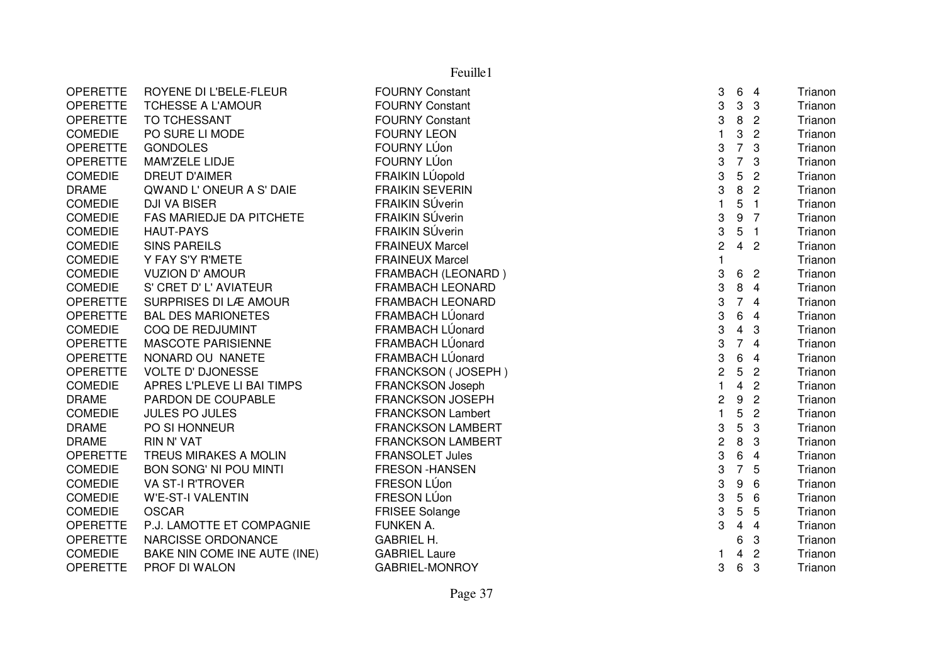|                 | Feuille1                      |                          |                |                         |                |                           |  |  |  |
|-----------------|-------------------------------|--------------------------|----------------|-------------------------|----------------|---------------------------|--|--|--|
| <b>OPERETTE</b> | ROYENE DI L'BELE-FLEUR        | <b>FOURNY Constant</b>   | 3              | 6                       | $\overline{4}$ | Trianon                   |  |  |  |
| <b>OPERETTE</b> | <b>TCHESSE A L'AMOUR</b>      | <b>FOURNY Constant</b>   | 3              | 3                       | 3              | Trianon                   |  |  |  |
| <b>OPERETTE</b> | TO TCHESSANT                  | <b>FOURNY Constant</b>   | 3              | $\, 8$                  |                | $\overline{c}$<br>Trianon |  |  |  |
| <b>COMEDIE</b>  | PO SURE LI MODE               | <b>FOURNY LEON</b>       | $\mathbf{1}$   | 3                       |                | $\overline{c}$<br>Trianon |  |  |  |
| <b>OPERETTE</b> | <b>GONDOLES</b>               | FOURNY LÚon              | 3              | $\overline{7}$          | 3              | Trianon                   |  |  |  |
| <b>OPERETTE</b> | MAM'ZELE LIDJE                | FOURNY LÚon              | 3              | $\overline{7}$          | 3              | Trianon                   |  |  |  |
| <b>COMEDIE</b>  | <b>DREUT D'AIMER</b>          | FRAIKIN LÚopold          | 3              | 5                       | $\overline{c}$ | Trianon                   |  |  |  |
| <b>DRAME</b>    | QWAND L'ONEUR A S' DAIE       | <b>FRAIKIN SEVERIN</b>   | 3              | $\, 8$                  | $\overline{2}$ | Trianon                   |  |  |  |
| <b>COMEDIE</b>  | <b>DJI VA BISER</b>           | <b>FRAIKIN SÚverin</b>   | $\mathbf{1}$   | 5                       | $\overline{1}$ | Trianon                   |  |  |  |
| <b>COMEDIE</b>  | FAS MARIEDJE DA PITCHETE      | <b>FRAIKIN SÚverin</b>   | 3              | $\boldsymbol{9}$        | 7              | Trianon                   |  |  |  |
| <b>COMEDIE</b>  | <b>HAUT-PAYS</b>              | FRAIKIN SÚverin          | 3              | 5                       | $\overline{1}$ | Trianon                   |  |  |  |
| <b>COMEDIE</b>  | <b>SINS PAREILS</b>           | <b>FRAINEUX Marcel</b>   | $\overline{c}$ | $\overline{4}$          | $\overline{c}$ | Trianon                   |  |  |  |
| <b>COMEDIE</b>  | Y FAY S'Y R'METE              | <b>FRAINEUX Marcel</b>   |                |                         |                | Trianon                   |  |  |  |
| <b>COMEDIE</b>  | <b>VUZION D' AMOUR</b>        | FRAMBACH (LEONARD)       | 3              | 6                       | $\overline{c}$ | Trianon                   |  |  |  |
| <b>COMEDIE</b>  | S' CRET D' L' AVIATEUR        | <b>FRAMBACH LEONARD</b>  | 3              | 8                       | $\overline{4}$ | Trianon                   |  |  |  |
| <b>OPERETTE</b> | SURPRISES DI LÆ AMOUR         | <b>FRAMBACH LEONARD</b>  | 3              | $\overline{7}$          | $\overline{4}$ | Trianon                   |  |  |  |
| <b>OPERETTE</b> | <b>BAL DES MARIONETES</b>     | FRAMBACH LÚonard         | 3              | 6                       | $\overline{4}$ | Trianon                   |  |  |  |
| <b>COMEDIE</b>  | COQ DE REDJUMINT              | FRAMBACH LÚonard         | 3              | $\overline{4}$          | 3              | Trianon                   |  |  |  |
| <b>OPERETTE</b> | <b>MASCOTE PARISIENNE</b>     | FRAMBACH LÚonard         | 3              | $\overline{7}$          | $\overline{4}$ | Trianon                   |  |  |  |
| <b>OPERETTE</b> | NONARD OU NANETE              | FRAMBACH LÚonard         | 3              | $\,6$                   | $\overline{4}$ | Trianon                   |  |  |  |
| <b>OPERETTE</b> | <b>VOLTE D' DJONESSE</b>      | FRANCKSON (JOSEPH)       | $\overline{c}$ | 5                       | $\overline{2}$ | Trianon                   |  |  |  |
| <b>COMEDIE</b>  | APRES L'PLEVE LI BAI TIMPS    | FRANCKSON Joseph         | $\mathbf{1}$   | $\overline{4}$          | $\overline{c}$ | Trianon                   |  |  |  |
| <b>DRAME</b>    | PARDON DE COUPABLE            | <b>FRANCKSON JOSEPH</b>  | $\overline{c}$ | $\boldsymbol{9}$        | $\overline{2}$ | Trianon                   |  |  |  |
| <b>COMEDIE</b>  | <b>JULES PO JULES</b>         | <b>FRANCKSON Lambert</b> | $\mathbf{1}$   | 5                       | $\overline{c}$ | Trianon                   |  |  |  |
| <b>DRAME</b>    | PO SI HONNEUR                 | <b>FRANCKSON LAMBERT</b> | 3              | 5                       | 3              | Trianon                   |  |  |  |
| <b>DRAME</b>    | <b>RIN N' VAT</b>             | <b>FRANCKSON LAMBERT</b> | $\mathbf 2$    | 8                       | 3              | Trianon                   |  |  |  |
| <b>OPERETTE</b> | TREUS MIRAKES A MOLIN         | <b>FRANSOLET Jules</b>   | 3              | 6                       | $\overline{4}$ | Trianon                   |  |  |  |
| <b>COMEDIE</b>  | <b>BON SONG' NI POU MINTI</b> | <b>FRESON -HANSEN</b>    | 3              | $\overline{7}$          |                | 5<br>Trianon              |  |  |  |
| <b>COMEDIE</b>  | <b>VA ST-I R'TROVER</b>       | FRESON LÚon              | 3              | 9                       | 6              | Trianon                   |  |  |  |
| <b>COMEDIE</b>  | <b>W'E-ST-I VALENTIN</b>      | FRESON LÚon              | 3              | 5                       | 6              | Trianon                   |  |  |  |
| <b>COMEDIE</b>  | <b>OSCAR</b>                  | <b>FRISEE Solange</b>    | 3              | 5                       |                | 5<br>Trianon              |  |  |  |
| <b>OPERETTE</b> | P.J. LAMOTTE ET COMPAGNIE     | FUNKEN A.                | 3              | $\overline{\mathbf{4}}$ | $\overline{4}$ | Trianon                   |  |  |  |
| <b>OPERETTE</b> | NARCISSE ORDONANCE            | <b>GABRIEL H.</b>        |                | 6                       | 3              | Trianon                   |  |  |  |
| <b>COMEDIE</b>  | BAKE NIN COME INE AUTE (INE)  | <b>GABRIEL Laure</b>     | 1              | $\overline{4}$          |                | $\overline{2}$<br>Trianon |  |  |  |
| <b>OPERETTE</b> | PROF DI WALON                 | <b>GABRIEL-MONROY</b>    | 3              | $\,6$                   | 3              | Trianon                   |  |  |  |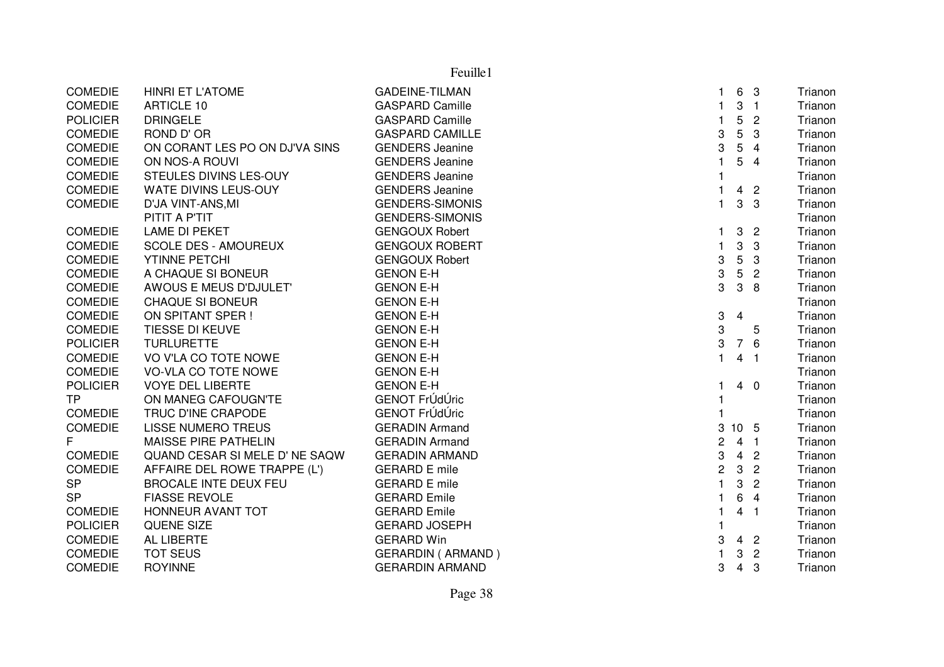|                 |                                | Feuille1                   |                |                 |                |         |
|-----------------|--------------------------------|----------------------------|----------------|-----------------|----------------|---------|
| <b>COMEDIE</b>  | <b>HINRI ET L'ATOME</b>        | <b>GADEINE-TILMAN</b>      | 1              |                 | 6 3            | Trianon |
| <b>COMEDIE</b>  | <b>ARTICLE 10</b>              | <b>GASPARD Camille</b>     | $\mathbf{1}$   |                 | 3 <sub>1</sub> | Trianon |
| <b>POLICIER</b> | <b>DRINGELE</b>                | <b>GASPARD Camille</b>     | $\mathbf{1}$   | 5               | $\overline{2}$ | Trianon |
| <b>COMEDIE</b>  | ROND D' OR                     | <b>GASPARD CAMILLE</b>     | 3              | 5               | 3              | Trianon |
| <b>COMEDIE</b>  | ON CORANT LES PO ON DJ'VA SINS | <b>GENDERS Jeanine</b>     | 3              | 5               | $\overline{4}$ | Trianon |
| <b>COMEDIE</b>  | ON NOS-A ROUVI                 | <b>GENDERS Jeanine</b>     | $\mathbf{1}$   | 5               | $\overline{4}$ | Trianon |
| <b>COMEDIE</b>  | STEULES DIVINS LES-OUY         | <b>GENDERS</b> Jeanine     |                |                 |                | Trianon |
| <b>COMEDIE</b>  | WATE DIVINS LEUS-OUY           | <b>GENDERS</b> Jeanine     | 1              | $\overline{4}$  | $\overline{2}$ | Trianon |
| <b>COMEDIE</b>  | D'JA VINT-ANS, MI              | <b>GENDERS-SIMONIS</b>     | 1              | 3               | $\mathbf{3}$   | Trianon |
|                 | PITIT A P'TIT                  | <b>GENDERS-SIMONIS</b>     |                |                 |                | Trianon |
| <b>COMEDIE</b>  | LAME DI PEKET                  | <b>GENGOUX Robert</b>      | $\mathbf{1}$   |                 | 3 <sub>2</sub> | Trianon |
| <b>COMEDIE</b>  | <b>SCOLE DES - AMOUREUX</b>    | <b>GENGOUX ROBERT</b>      | $\mathbf{1}$   | 3               | 3              | Trianon |
| <b>COMEDIE</b>  | YTINNE PETCHI                  | <b>GENGOUX Robert</b>      | 3              | 5               | 3              | Trianon |
| <b>COMEDIE</b>  | A CHAQUE SI BONEUR             | <b>GENON E-H</b>           | 3              | 5 <sup>5</sup>  | $\overline{2}$ | Trianon |
| <b>COMEDIE</b>  | AWOUS E MEUS D'DJULET'         | <b>GENON E-H</b>           | 3              | 3               | 8              | Trianon |
| COMEDIE         | <b>CHAQUE SI BONEUR</b>        | <b>GENON E-H</b>           |                |                 |                | Trianon |
| <b>COMEDIE</b>  | ON SPITANT SPER !              | <b>GENON E-H</b>           | 3              | $\overline{4}$  |                | Trianon |
| <b>COMEDIE</b>  | TIESSE DI KEUVE                | <b>GENON E-H</b>           | 3              |                 | 5              | Trianon |
| <b>POLICIER</b> | <b>TURLURETTE</b>              | <b>GENON E-H</b>           | 3              |                 | 7 6            | Trianon |
| <b>COMEDIE</b>  | VO V'LA CO TOTE NOWE           | <b>GENON E-H</b>           | $\mathbf{1}$   |                 | 4 <sub>1</sub> | Trianon |
| <b>COMEDIE</b>  | VO-VLA CO TOTE NOWE            | <b>GENON E-H</b>           |                |                 |                | Trianon |
| <b>POLICIER</b> | <b>VOYE DEL LIBERTE</b>        | <b>GENON E-H</b>           | 1              |                 | $4\quad0$      | Trianon |
| <b>TP</b>       | ON MANEG CAFOUGN'TE            | GENOT FrÚdÚric             |                |                 |                | Trianon |
| <b>COMEDIE</b>  | TRUC D'INE CRAPODE             | GENOT FrÚdÚric             |                |                 |                | Trianon |
| <b>COMEDIE</b>  | <b>LISSE NUMERO TREUS</b>      | <b>GERADIN Armand</b>      | 3              | 10 <sub>5</sub> |                | Trianon |
| F               | <b>MAISSE PIRE PATHELIN</b>    | <b>GERADIN Armand</b>      | $\overline{c}$ |                 | 4 <sub>1</sub> | Trianon |
| <b>COMEDIE</b>  | QUAND CESAR SI MELE D' NE SAQW | <b>GERADIN ARMAND</b>      | 3              |                 | 4 <sub>2</sub> | Trianon |
| <b>COMEDIE</b>  | AFFAIRE DEL ROWE TRAPPE (L')   | <b>GERARD E mile</b>       | $\overline{c}$ | $\mathbf{3}$    | $\overline{2}$ | Trianon |
| <b>SP</b>       | <b>BROCALE INTE DEUX FEU</b>   | <b>GERARD E mile</b>       | 1              | 3               | $\overline{2}$ | Trianon |
| <b>SP</b>       | <b>FIASSE REVOLE</b>           | <b>GERARD Emile</b>        | 1              | 6               | $\overline{4}$ | Trianon |
| <b>COMEDIE</b>  | HONNEUR AVANT TOT              | <b>GERARD Emile</b>        | $\mathbf{1}$   |                 | 4 <sub>1</sub> | Trianon |
| <b>POLICIER</b> | QUENE SIZE                     | <b>GERARD JOSEPH</b>       | $\mathbf{1}$   |                 |                | Trianon |
| <b>COMEDIE</b>  | AL LIBERTE                     | <b>GERARD Win</b>          | 3              |                 | 4 <sup>2</sup> | Trianon |
| <b>COMEDIE</b>  | <b>TOT SEUS</b>                | <b>GERARDIN ( ARMAND )</b> |                | 3               | $\overline{2}$ | Trianon |
| <b>COMEDIE</b>  | <b>ROYINNE</b>                 | <b>GERARDIN ARMAND</b>     | 3              | $\overline{4}$  | 3              | Trianon |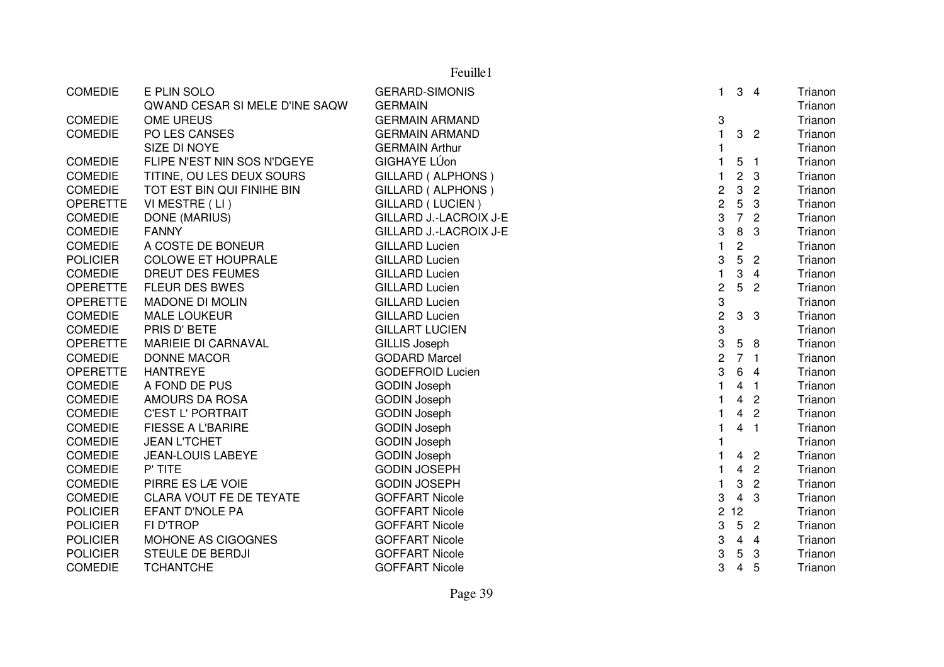|                 | Feuille1                       |                               |                  |                         |                  |         |  |  |  |  |
|-----------------|--------------------------------|-------------------------------|------------------|-------------------------|------------------|---------|--|--|--|--|
| <b>COMEDIE</b>  | E PLIN SOLO                    | <b>GERARD-SIMONIS</b>         | $\mathbf{1}$     | 3                       | $\overline{4}$   | Trianon |  |  |  |  |
|                 | QWAND CESAR SI MELE D'INE SAQW | <b>GERMAIN</b>                |                  |                         |                  | Trianon |  |  |  |  |
| <b>COMEDIE</b>  | OME UREUS                      | <b>GERMAIN ARMAND</b>         | 3                |                         |                  | Trianon |  |  |  |  |
| <b>COMEDIE</b>  | PO LES CANSES                  | <b>GERMAIN ARMAND</b>         | $\mathbf{1}$     | 3                       | $\overline{c}$   | Trianon |  |  |  |  |
|                 | SIZE DI NOYE                   | <b>GERMAIN Arthur</b>         | 1                |                         |                  | Trianon |  |  |  |  |
| <b>COMEDIE</b>  | FLIPE N'EST NIN SOS N'DGEYE    | GIGHAYE LÚon                  | 1                | 5                       | -1               | Trianon |  |  |  |  |
| <b>COMEDIE</b>  | TITINE, OU LES DEUX SOURS      | GILLARD (ALPHONS)             | $\mathbf{1}$     | $\overline{c}$          | $\boldsymbol{3}$ | Trianon |  |  |  |  |
| <b>COMEDIE</b>  | TOT EST BIN QUI FINIHE BIN     | GILLARD (ALPHONS)             | $\boldsymbol{2}$ | 3                       | $\overline{2}$   | Trianon |  |  |  |  |
| <b>OPERETTE</b> | VI MESTRE (LI)                 | GILLARD (LUCIEN)              | $\boldsymbol{2}$ | 5                       | 3                | Trianon |  |  |  |  |
| <b>COMEDIE</b>  | DONE (MARIUS)                  | <b>GILLARD J.-LACROIX J-E</b> | 3                | $\overline{7}$          | $\overline{2}$   | Trianon |  |  |  |  |
| <b>COMEDIE</b>  | <b>FANNY</b>                   | <b>GILLARD J.-LACROIX J-E</b> | 3                | 8                       | 3                | Trianon |  |  |  |  |
| <b>COMEDIE</b>  | A COSTE DE BONEUR              | <b>GILLARD Lucien</b>         | $\mathbf{1}$     | $\overline{c}$          |                  | Trianon |  |  |  |  |
| <b>POLICIER</b> | <b>COLOWE ET HOUPRALE</b>      | <b>GILLARD Lucien</b>         | 3                | 5                       | $\overline{2}$   | Trianon |  |  |  |  |
| <b>COMEDIE</b>  | DREUT DES FEUMES               | <b>GILLARD Lucien</b>         | 1                | 3                       | 4                | Trianon |  |  |  |  |
| <b>OPERETTE</b> | <b>FLEUR DES BWES</b>          | <b>GILLARD Lucien</b>         | $\overline{c}$   | 5                       | $\overline{2}$   | Trianon |  |  |  |  |
| <b>OPERETTE</b> | <b>MADONE DI MOLIN</b>         | <b>GILLARD Lucien</b>         | 3                |                         |                  | Trianon |  |  |  |  |
| <b>COMEDIE</b>  | <b>MALE LOUKEUR</b>            | <b>GILLARD Lucien</b>         | $\boldsymbol{2}$ | 3                       | 3                | Trianon |  |  |  |  |
| <b>COMEDIE</b>  | PRIS D' BETE                   | <b>GILLART LUCIEN</b>         | 3                |                         |                  | Trianon |  |  |  |  |
| <b>OPERETTE</b> | MARIEIE DI CARNAVAL            | <b>GILLIS Joseph</b>          | 3                | 5                       | 8                | Trianon |  |  |  |  |
| <b>COMEDIE</b>  | <b>DONNE MACOR</b>             | <b>GODARD Marcel</b>          | $\overline{c}$   | 7 <sub>1</sub>          |                  | Trianon |  |  |  |  |
| <b>OPERETTE</b> | <b>HANTREYE</b>                | <b>GODEFROID Lucien</b>       | 3                | 6                       | $\overline{4}$   | Trianon |  |  |  |  |
| <b>COMEDIE</b>  | A FOND DE PUS                  | <b>GODIN Joseph</b>           | 1                | 4                       | $\overline{1}$   | Trianon |  |  |  |  |
| <b>COMEDIE</b>  | AMOURS DA ROSA                 | <b>GODIN Joseph</b>           |                  | 4                       | $\overline{2}$   | Trianon |  |  |  |  |
| <b>COMEDIE</b>  | <b>C'EST L' PORTRAIT</b>       | <b>GODIN Joseph</b>           | 1                | 4                       | $\overline{2}$   | Trianon |  |  |  |  |
| <b>COMEDIE</b>  | <b>FIESSE A L'BARIRE</b>       | <b>GODIN Joseph</b>           | 1                | 4                       | $\overline{1}$   | Trianon |  |  |  |  |
| <b>COMEDIE</b>  | <b>JEAN L'TCHET</b>            | <b>GODIN Joseph</b>           |                  |                         |                  | Trianon |  |  |  |  |
| <b>COMEDIE</b>  | JEAN-LOUIS LABEYE              | <b>GODIN Joseph</b>           | 1                | $\overline{4}$          | $\overline{c}$   | Trianon |  |  |  |  |
| <b>COMEDIE</b>  | P' TITE                        | <b>GODIN JOSEPH</b>           | 1                | $\overline{4}$          | $\overline{2}$   | Trianon |  |  |  |  |
| <b>COMEDIE</b>  | PIRRE ES LÆ VOIE               | <b>GODIN JOSEPH</b>           | 1                | 3                       | $\overline{2}$   | Trianon |  |  |  |  |
| <b>COMEDIE</b>  | <b>CLARA VOUT FE DE TEYATE</b> | <b>GOFFART Nicole</b>         | 3                | $\overline{4}$          | 3                | Trianon |  |  |  |  |
| <b>POLICIER</b> | <b>EFANT D'NOLE PA</b>         | <b>GOFFART Nicole</b>         |                  | 212                     |                  | Trianon |  |  |  |  |
| <b>POLICIER</b> | FI D'TROP                      | <b>GOFFART Nicole</b>         | 3                | 5                       | $\overline{2}$   | Trianon |  |  |  |  |
| <b>POLICIER</b> | MOHONE AS CIGOGNES             | <b>GOFFART Nicole</b>         | 3                | $\overline{\mathbf{4}}$ | $\overline{4}$   | Trianon |  |  |  |  |
| <b>POLICIER</b> | <b>STEULE DE BERDJI</b>        | <b>GOFFART Nicole</b>         | 3                | 5                       | 3                | Trianon |  |  |  |  |
| <b>COMEDIE</b>  | <b>TCHANTCHE</b>               | <b>GOFFART Nicole</b>         | 3                | $\overline{4}$          | 5                | Trianon |  |  |  |  |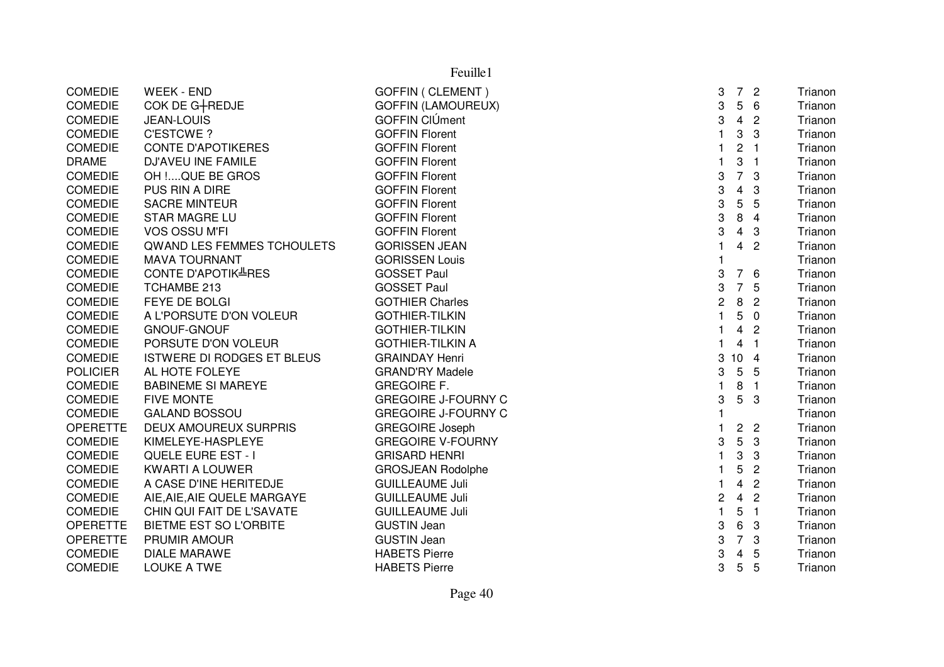|                 | Feuille1                          |                            |                |                         |                         |         |  |  |  |
|-----------------|-----------------------------------|----------------------------|----------------|-------------------------|-------------------------|---------|--|--|--|
| <b>COMEDIE</b>  | <b>WEEK - END</b>                 | <b>GOFFIN ( CLEMENT )</b>  | 3              | $7^{\circ}$             | $\overline{2}$          | Trianon |  |  |  |
| <b>COMEDIE</b>  | COK DE G+REDJE                    | <b>GOFFIN (LAMOUREUX)</b>  | 3              | 5                       | 6                       | Trianon |  |  |  |
| COMEDIE         | <b>JEAN-LOUIS</b>                 | GOFFIN CIÚment             | 3              | $\overline{4}$          | $\overline{2}$          | Trianon |  |  |  |
| <b>COMEDIE</b>  | <b>C'ESTCWE?</b>                  | <b>GOFFIN Florent</b>      | $\mathbf{1}$   | 3                       | 3                       | Trianon |  |  |  |
| <b>COMEDIE</b>  | <b>CONTE D'APOTIKERES</b>         | <b>GOFFIN Florent</b>      | 1              | $\overline{\mathbf{c}}$ | $\overline{\mathbf{1}}$ | Trianon |  |  |  |
| <b>DRAME</b>    | <b>DJ'AVEU INE FAMILE</b>         | <b>GOFFIN Florent</b>      | $\mathbf{1}$   | 3                       | $\overline{1}$          | Trianon |  |  |  |
| <b>COMEDIE</b>  | OH !QUE BE GROS                   | <b>GOFFIN Florent</b>      | 3              | $\overline{7}$          | 3                       | Trianon |  |  |  |
| <b>COMEDIE</b>  | PUS RIN A DIRE                    | <b>GOFFIN Florent</b>      | 3              | $\overline{\mathbf{4}}$ | 3                       | Trianon |  |  |  |
| <b>COMEDIE</b>  | <b>SACRE MINTEUR</b>              | <b>GOFFIN Florent</b>      | 3              | 5                       | 5                       | Trianon |  |  |  |
| <b>COMEDIE</b>  | <b>STAR MAGRE LU</b>              | <b>GOFFIN Florent</b>      | 3              | 8                       | 4                       | Trianon |  |  |  |
| <b>COMEDIE</b>  | <b>VOS OSSU M'FI</b>              | <b>GOFFIN Florent</b>      | 3              | 4                       | 3                       | Trianon |  |  |  |
| <b>COMEDIE</b>  | <b>QWAND LES FEMMES TCHOULETS</b> | <b>GORISSEN JEAN</b>       | $\mathbf{1}$   | $\overline{4}$          | $\overline{2}$          | Trianon |  |  |  |
| <b>COMEDIE</b>  | <b>MAVA TOURNANT</b>              | <b>GORISSEN Louis</b>      | $\mathbf{1}$   |                         |                         | Trianon |  |  |  |
| <b>COMEDIE</b>  | CONTE D'APOTIK <sup>LI</sup> RES  | <b>GOSSET Paul</b>         | 3              | 7 6                     |                         | Trianon |  |  |  |
| <b>COMEDIE</b>  | TCHAMBE 213                       | <b>GOSSET Paul</b>         | 3              | $\overline{7}$          | 5                       | Trianon |  |  |  |
| <b>COMEDIE</b>  | FEYE DE BOLGI                     | <b>GOTHIER Charles</b>     | $\overline{c}$ | 8                       | $\overline{2}$          | Trianon |  |  |  |
| <b>COMEDIE</b>  | A L'PORSUTE D'ON VOLEUR           | <b>GOTHIER-TILKIN</b>      | $\mathbf{1}$   | 5                       | $\overline{0}$          | Trianon |  |  |  |
| <b>COMEDIE</b>  | <b>GNOUF-GNOUF</b>                | <b>GOTHIER-TILKIN</b>      | $\mathbf{1}$   | 4                       | $\overline{2}$          | Trianon |  |  |  |
| <b>COMEDIE</b>  | PORSUTE D'ON VOLEUR               | <b>GOTHIER-TILKIN A</b>    | $\mathbf{1}$   | 4                       | $\overline{1}$          | Trianon |  |  |  |
| <b>COMEDIE</b>  | <b>ISTWERE DI RODGES ET BLEUS</b> | <b>GRAINDAY Henri</b>      | 3              | $10 \quad 4$            |                         | Trianon |  |  |  |
| <b>POLICIER</b> | AL HOTE FOLEYE                    | <b>GRAND'RY Madele</b>     | 3              | $\overline{5}$          | 5                       | Trianon |  |  |  |
| <b>COMEDIE</b>  | <b>BABINEME SI MAREYE</b>         | <b>GREGOIRE F.</b>         | 1              | 8                       | $\overline{1}$          | Trianon |  |  |  |
| <b>COMEDIE</b>  | <b>FIVE MONTE</b>                 | <b>GREGOIRE J-FOURNY C</b> | 3              | 5                       | 3                       | Trianon |  |  |  |
| <b>COMEDIE</b>  | <b>GALAND BOSSOU</b>              | <b>GREGOIRE J-FOURNY C</b> | $\mathbf{1}$   |                         |                         | Trianon |  |  |  |
| <b>OPERETTE</b> | <b>DEUX AMOUREUX SURPRIS</b>      | <b>GREGOIRE Joseph</b>     | 1              | $\overline{c}$          | $\overline{2}$          | Trianon |  |  |  |
| <b>COMEDIE</b>  | KIMELEYE-HASPLEYE                 | <b>GREGOIRE V-FOURNY</b>   | 3              | 5                       | $\sqrt{3}$              | Trianon |  |  |  |
| <b>COMEDIE</b>  | QUELE EURE EST - I                | <b>GRISARD HENRI</b>       | $\mathbf{1}$   | 3                       | 3                       | Trianon |  |  |  |
| <b>COMEDIE</b>  | <b>KWARTI A LOUWER</b>            | <b>GROSJEAN Rodolphe</b>   | $\mathbf{1}$   | 5                       | $\overline{2}$          | Trianon |  |  |  |
| <b>COMEDIE</b>  | A CASE D'INE HERITEDJE            | <b>GUILLEAUME Juli</b>     | $\mathbf{1}$   | $\overline{4}$          | $\overline{2}$          | Trianon |  |  |  |
| <b>COMEDIE</b>  | AIE, AIE, AIE QUELE MARGAYE       | <b>GUILLEAUME Juli</b>     | $\overline{c}$ | $\overline{4}$          | $\overline{2}$          | Trianon |  |  |  |
| <b>COMEDIE</b>  | CHIN QUI FAIT DE L'SAVATE         | <b>GUILLEAUME Juli</b>     | $\mathbf{1}$   | 5                       | $\overline{1}$          | Trianon |  |  |  |
| <b>OPERETTE</b> | <b>BIETME EST SO L'ORBITE</b>     | <b>GUSTIN Jean</b>         | 3              | 6                       | 3                       | Trianon |  |  |  |
| <b>OPERETTE</b> | PRUMIR AMOUR                      | <b>GUSTIN Jean</b>         | 3              | $\overline{7}$          | 3                       | Trianon |  |  |  |
| <b>COMEDIE</b>  | <b>DIALE MARAWE</b>               | <b>HABETS Pierre</b>       | 3              | 4                       | 5                       | Trianon |  |  |  |
| <b>COMEDIE</b>  | <b>LOUKE A TWE</b>                | <b>HABETS Pierre</b>       | 3              | 5                       | 5                       | Trianon |  |  |  |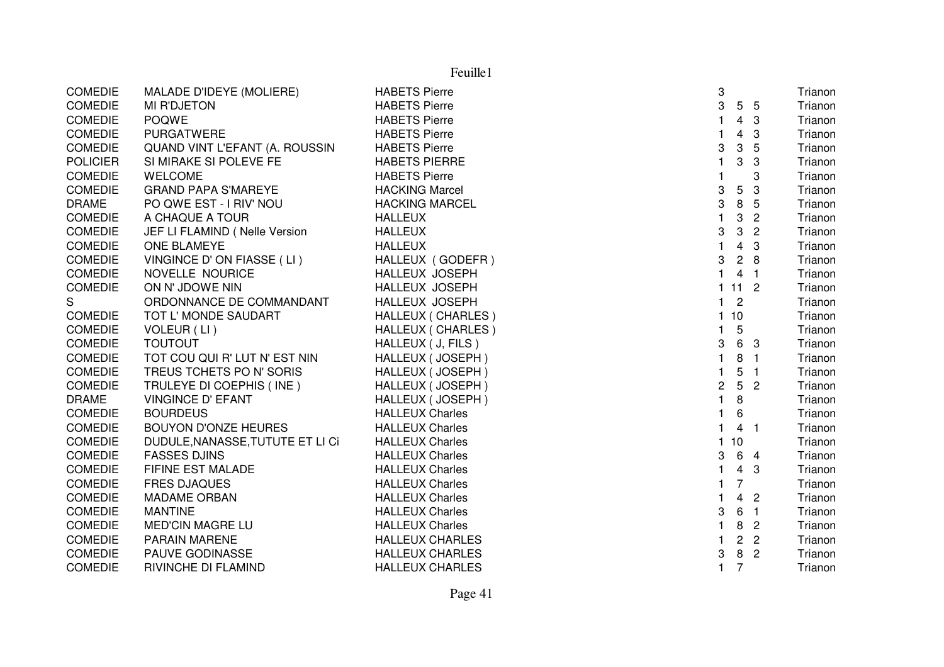|                 | Feuille1                              |                            |              |                 |                            |         |  |  |  |
|-----------------|---------------------------------------|----------------------------|--------------|-----------------|----------------------------|---------|--|--|--|
| <b>COMEDIE</b>  | MALADE D'IDEYE (MOLIERE)              | <b>HABETS Pierre</b>       | 3            |                 |                            | Trianon |  |  |  |
| <b>COMEDIE</b>  | <b>MI R'DJETON</b>                    | <b>HABETS Pierre</b>       | 3            |                 | 5 5                        | Trianon |  |  |  |
| <b>COMEDIE</b>  | <b>POQWE</b>                          | <b>HABETS Pierre</b>       | 1            | $\overline{4}$  | 3                          | Trianon |  |  |  |
| <b>COMEDIE</b>  | <b>PURGATWERE</b>                     | <b>HABETS Pierre</b>       | 1            | $\overline{4}$  | 3                          | Trianon |  |  |  |
| <b>COMEDIE</b>  | <b>QUAND VINT L'EFANT (A. ROUSSIN</b> | <b>HABETS Pierre</b>       | 3            | 3               | 5                          | Trianon |  |  |  |
| <b>POLICIER</b> | SI MIRAKE SI POLEVE FE                | <b>HABETS PIERRE</b>       | 1            | 3               | 3                          | Trianon |  |  |  |
| <b>COMEDIE</b>  | <b>WELCOME</b>                        | <b>HABETS Pierre</b>       |              |                 | 3                          | Trianon |  |  |  |
| <b>COMEDIE</b>  | <b>GRAND PAPA S'MAREYE</b>            | <b>HACKING Marcel</b>      | 3            | $\mathbf 5$     | 3                          | Trianon |  |  |  |
| <b>DRAME</b>    | PO QWE EST - I RIV' NOU               | <b>HACKING MARCEL</b>      | 3            | 8               | 5                          | Trianon |  |  |  |
| <b>COMEDIE</b>  | A CHAQUE A TOUR                       | <b>HALLEUX</b>             | $\mathbf{1}$ | 3               | $\overline{2}$             | Trianon |  |  |  |
| <b>COMEDIE</b>  | JEF LI FLAMIND (Nelle Version         | <b>HALLEUX</b>             | 3            | $\mathbf 3$     | $\overline{2}$             | Trianon |  |  |  |
| <b>COMEDIE</b>  | <b>ONE BLAMEYE</b>                    | <b>HALLEUX</b>             | $\mathbf{1}$ | $\overline{4}$  | $\mathbf{3}$               | Trianon |  |  |  |
| <b>COMEDIE</b>  | VINGINCE D'ON FIASSE (LI)             | HALLEUX (GODEFR)           | 3            |                 | 28                         | Trianon |  |  |  |
| <b>COMEDIE</b>  | NOVELLE NOURICE                       | <b>HALLEUX JOSEPH</b>      | $\mathbf{1}$ | $\overline{4}$  | $\overline{\phantom{0}}$ 1 | Trianon |  |  |  |
| <b>COMEDIE</b>  | ON N' JDOWE NIN                       | HALLEUX JOSEPH             | $\mathbf{1}$ | $112$           |                            | Trianon |  |  |  |
| S               | ORDONNANCE DE COMMANDANT              | HALLEUX JOSEPH             | 1            | $\overline{c}$  |                            | Trianon |  |  |  |
| <b>COMEDIE</b>  | TOT L' MONDE SAUDART                  | HALLEUX ( CHARLES )        | 1            | 10              |                            | Trianon |  |  |  |
| <b>COMEDIE</b>  | VOLEUR (LI)                           | <b>HALLEUX ( CHARLES )</b> | 1            | 5               |                            | Trianon |  |  |  |
| <b>COMEDIE</b>  | <b>TOUTOUT</b>                        | HALLEUX ( J, FILS )        | 3            | 6               | 3                          | Trianon |  |  |  |
| <b>COMEDIE</b>  | TOT COU QUI R' LUT N' EST NIN         | HALLEUX (JOSEPH)           | $\mathbf{1}$ | 8               | $\blacksquare$             | Trianon |  |  |  |
| <b>COMEDIE</b>  | TREUS TCHETS PO N' SORIS              | HALLEUX (JOSEPH)           | $\mathbf{1}$ | 5               | $\blacksquare$             | Trianon |  |  |  |
| <b>COMEDIE</b>  | TRULEYE DI COEPHIS (INE)              | HALLEUX (JOSEPH)           | 2            | $5\phantom{.0}$ | $\overline{2}$             | Trianon |  |  |  |
| <b>DRAME</b>    | <b>VINGINCE D' EFANT</b>              | HALLEUX (JOSEPH)           | $\mathbf{1}$ | 8               |                            | Trianon |  |  |  |
| <b>COMEDIE</b>  | <b>BOURDEUS</b>                       | <b>HALLEUX Charles</b>     | 1            | 6               |                            | Trianon |  |  |  |
| <b>COMEDIE</b>  | <b>BOUYON D'ONZE HEURES</b>           | <b>HALLEUX Charles</b>     | $\mathbf{1}$ |                 | 4 <sub>1</sub>             | Trianon |  |  |  |
| <b>COMEDIE</b>  | DUDULE, NANASSE, TUTUTE ET LI CI      | <b>HALLEUX Charles</b>     | 1            | 10              |                            | Trianon |  |  |  |
| <b>COMEDIE</b>  | <b>FASSES DJINS</b>                   | <b>HALLEUX Charles</b>     | 3            |                 | 6 4                        | Trianon |  |  |  |
| <b>COMEDIE</b>  | FIFINE EST MALADE                     | <b>HALLEUX Charles</b>     |              | $\overline{4}$  | 3                          | Trianon |  |  |  |
| <b>COMEDIE</b>  | <b>FRES DJAQUES</b>                   | <b>HALLEUX Charles</b>     | 1            | $\overline{7}$  |                            | Trianon |  |  |  |
| <b>COMEDIE</b>  | <b>MADAME ORBAN</b>                   | <b>HALLEUX Charles</b>     | 1            | $\overline{4}$  | $\overline{2}$             | Trianon |  |  |  |
| <b>COMEDIE</b>  | <b>MANTINE</b>                        | <b>HALLEUX Charles</b>     | 3            | 6               | $\overline{1}$             | Trianon |  |  |  |
| <b>COMEDIE</b>  | <b>MED'CIN MAGRE LU</b>               | <b>HALLEUX Charles</b>     | 1            | 8               | $\mathbf{2}$               | Trianon |  |  |  |
| <b>COMEDIE</b>  | <b>PARAIN MARENE</b>                  | <b>HALLEUX CHARLES</b>     | 1            | $\overline{c}$  | $\mathbf{2}$               | Trianon |  |  |  |
| <b>COMEDIE</b>  | <b>PAUVE GODINASSE</b>                | <b>HALLEUX CHARLES</b>     | 3            | 8               | $\overline{2}$             | Trianon |  |  |  |
| <b>COMEDIE</b>  | RIVINCHE DI FLAMIND                   | <b>HALLEUX CHARLES</b>     | 1            | $\overline{7}$  |                            | Trianon |  |  |  |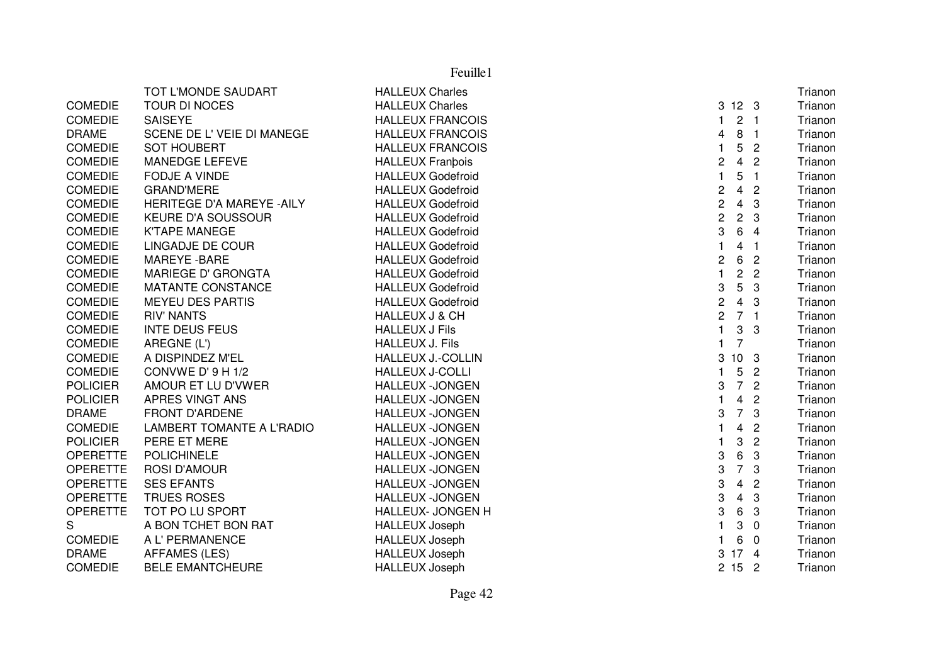|                 | TOT L'MONDE SAUDART        | <b>HALLEUX Charles</b>    |                         |                         |                | Trianon |
|-----------------|----------------------------|---------------------------|-------------------------|-------------------------|----------------|---------|
| <b>COMEDIE</b>  | TOUR DI NOCES              | <b>HALLEUX Charles</b>    | 3                       | 12 <sub>3</sub>         |                | Trianon |
| <b>COMEDIE</b>  | <b>SAISEYE</b>             | <b>HALLEUX FRANCOIS</b>   | 1                       | 2 <sub>1</sub>          |                | Trianon |
| <b>DRAME</b>    | SCENE DE L' VEIE DI MANEGE | <b>HALLEUX FRANCOIS</b>   | 4                       | 8 <sub>1</sub>          |                | Trianon |
| <b>COMEDIE</b>  | <b>SOT HOUBERT</b>         | <b>HALLEUX FRANCOIS</b>   | $\mathbf{1}$            | 5                       | $\overline{2}$ | Trianon |
| <b>COMEDIE</b>  | MANEDGE LEFEVE             | <b>HALLEUX Franbois</b>   | $\boldsymbol{2}$        | $\overline{4}$          | $\overline{2}$ | Trianon |
| <b>COMEDIE</b>  | <b>FODJE A VINDE</b>       | <b>HALLEUX Godefroid</b>  | $\mathbf{1}$            | 5                       | $\overline{1}$ | Trianon |
| <b>COMEDIE</b>  | <b>GRAND'MERE</b>          | <b>HALLEUX Godefroid</b>  | $\overline{\mathbf{c}}$ | $\overline{\mathbf{4}}$ | $\overline{2}$ | Trianon |
| COMEDIE         | HERITEGE D'A MAREYE - AILY | <b>HALLEUX Godefroid</b>  | $\overline{c}$          | $\overline{4}$          | 3              | Trianon |
| <b>COMEDIE</b>  | KEURE D'A SOUSSOUR         | <b>HALLEUX Godefroid</b>  | $\overline{c}$          | $\overline{2}$          | $\mathbf{3}$   | Trianon |
| <b>COMEDIE</b>  | <b>K'TAPE MANEGE</b>       | <b>HALLEUX Godefroid</b>  | 3                       | 6                       | $\overline{4}$ | Trianon |
| <b>COMEDIE</b>  | LINGADJE DE COUR           | <b>HALLEUX Godefroid</b>  | $\mathbf{1}$            | 4                       | - 1            | Trianon |
| <b>COMEDIE</b>  | <b>MAREYE - BARE</b>       | <b>HALLEUX Godefroid</b>  | $\overline{\mathbf{c}}$ | 6                       | $\overline{2}$ | Trianon |
| <b>COMEDIE</b>  | <b>MARIEGE D' GRONGTA</b>  | <b>HALLEUX Godefroid</b>  | $\mathbf{1}$            | $\overline{2}$          | $\overline{2}$ | Trianon |
| <b>COMEDIE</b>  | MATANTE CONSTANCE          | <b>HALLEUX Godefroid</b>  | 3                       | $5\phantom{.0}$         | $\mathbf{3}$   | Trianon |
| <b>COMEDIE</b>  | <b>MEYEU DES PARTIS</b>    | <b>HALLEUX Godefroid</b>  | $\overline{c}$          | $\overline{4}$          | 3              | Trianon |
| <b>COMEDIE</b>  | <b>RIV' NANTS</b>          | <b>HALLEUX J &amp; CH</b> | $\overline{c}$          | 7 <sub>1</sub>          |                | Trianon |
| <b>COMEDIE</b>  | <b>INTE DEUS FEUS</b>      | <b>HALLEUX J Fils</b>     | $\mathbf{1}$            | $\mathbf{3}$            | 3              | Trianon |
| <b>COMEDIE</b>  | AREGNE (L')                | <b>HALLEUX J. Fils</b>    | $\overline{1}$          | $\overline{7}$          |                | Trianon |
| <b>COMEDIE</b>  | A DISPINDEZ M'EL           | <b>HALLEUX J.-COLLIN</b>  | 3                       | 10 <sub>3</sub>         |                | Trianon |
| <b>COMEDIE</b>  | CONVWE D' 9 H 1/2          | <b>HALLEUX J-COLLI</b>    | $\mathbf{1}$            | 5                       | $\overline{2}$ | Trianon |
| <b>POLICIER</b> | AMOUR ET LU D'VWER         | <b>HALLEUX -JONGEN</b>    | 3                       | $\overline{7}$          | $\overline{2}$ | Trianon |
| <b>POLICIER</b> | APRES VINGT ANS            | <b>HALLEUX -JONGEN</b>    | $\mathbf{1}$            | $\overline{4}$          | $\overline{2}$ | Trianon |
| <b>DRAME</b>    | <b>FRONT D'ARDENE</b>      | <b>HALLEUX -JONGEN</b>    | 3                       | $\overline{7}$          | $\mathbf{3}$   | Trianon |
| <b>COMEDIE</b>  | LAMBERT TOMANTE A L'RADIO  | <b>HALLEUX -JONGEN</b>    | $\mathbf{1}$            | $\overline{4}$          | $\overline{2}$ | Trianon |
| <b>POLICIER</b> | PERE ET MERE               | <b>HALLEUX -JONGEN</b>    | $\mathbf{1}$            | 3                       | $\sqrt{2}$     | Trianon |
| OPERETTE        | <b>POLICHINELE</b>         | <b>HALLEUX -JONGEN</b>    | 3                       | 6                       | $\mathbf{3}$   | Trianon |
| <b>OPERETTE</b> | <b>ROSI D'AMOUR</b>        | <b>HALLEUX -JONGEN</b>    | 3                       | $\overline{7}$          | 3              | Trianon |
| <b>OPERETTE</b> | <b>SES EFANTS</b>          | <b>HALLEUX -JONGEN</b>    | 3                       | $\overline{\mathbf{4}}$ | $\overline{2}$ | Trianon |
| <b>OPERETTE</b> | <b>TRUES ROSES</b>         | <b>HALLEUX -JONGEN</b>    | 3                       | $\overline{4}$          | $\mathbf{3}$   | Trianon |
| <b>OPERETTE</b> | TOT PO LU SPORT            | <b>HALLEUX- JONGEN H</b>  | 3                       | 6                       | 3              | Trianon |
| S               | A BON TCHET BON RAT        | <b>HALLEUX Joseph</b>     | $\mathbf{1}$            | 3                       | $\overline{0}$ | Trianon |
| <b>COMEDIE</b>  | A L' PERMANENCE            | <b>HALLEUX Joseph</b>     | $\mathbf{1}$            | 6                       | $\overline{0}$ | Trianon |
| <b>DRAME</b>    | <b>AFFAMES (LES)</b>       | <b>HALLEUX Joseph</b>     | 3                       | 17 <sub>4</sub>         |                | Trianon |
| <b>COMEDIE</b>  | <b>BELE EMANTCHEURE</b>    | <b>HALLEUX Joseph</b>     |                         | 2152                    |                | Trianon |
|                 |                            |                           |                         |                         |                |         |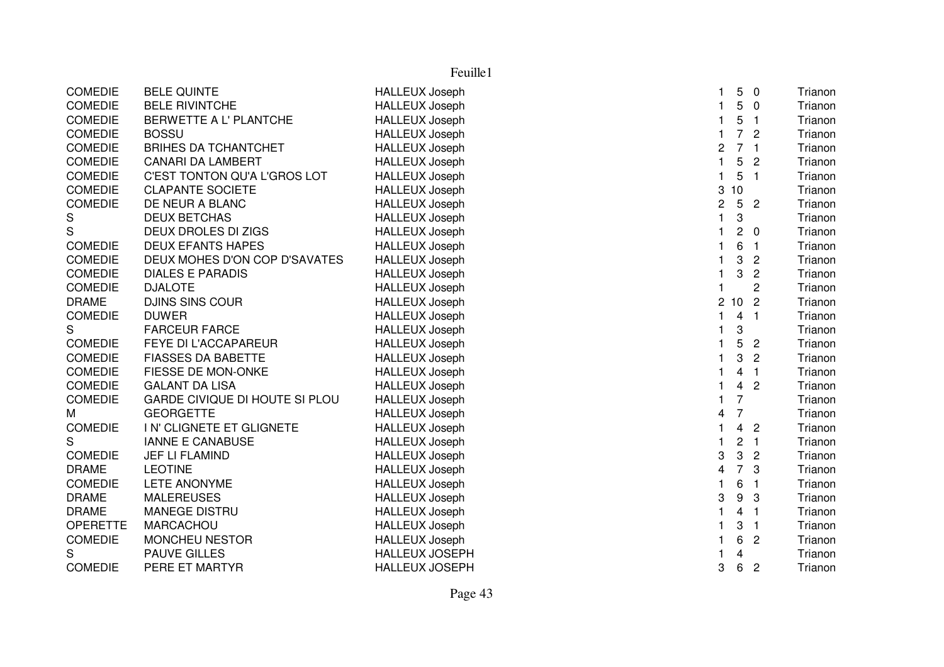COMEDIE BELE QUINTE **EXAMPLE 1999** HALLEUX Joseph h 1 5 0 Trianon COMEDIE BELE RIVINTCHE **HALLEUX** Joseph h 1 5 0 Trianon 1 5 0 Trianon COMEDIE BERWETTE A L' PLANTCHE HALLEUX Joseph <sup>1</sup> <sup>5</sup> <sup>1</sup> Trianon COMEDIE BOSSU HALLEUX Joseph <sup>1</sup> <sup>7</sup> <sup>2</sup> Trianon COMEDIE BRIHES DA TCHANTCHET HALLEUX Joseph<br>COMEDIE CANARI DA LAMBERT HALLEUX Joseph h 2 7 1 Trianon COMEDIE CANARI DA LAMBERT HALLEUX Joseph<br>COMEDIE C'EST TONTON QU'A L'GROS LOT HALLEUX Joseph h 1 5 2 Trianon 1 5 2 Trianon COMEDIE C'EST TONTON QU'A L'GROS LOT h 1 5 1 Trianon 1 5 1 Trianon 1 5 1 Trianon 1 5 1 Trianon 1 5 1 Trianon 1 S COMEDIE CLAPANTE SOCIETE HALLEUX Joseph h anns an t-ìre anns an t-ìre anns an t-ìre anns an t-ìre anns an t-ìre anns an t-ìre anns an t-ìre anns an t-ì COMEDIE DE NEUR A BLANC HALLEUX Joseph h 252 Trianon 252 Trianon S DEUX BETCHAS HALLEUX Joseph <sup>1</sup> <sup>3</sup> Trianon S DEUX DROLES DI ZIGS HALLEUX Joseph h 1 2 0 Trianon 1 2 0 Trianon COMEDIE DEUX EFANTS HAPES HALLEUX Joseph<br>COMEDIE DEUX MOHES D'ON COP D'SAVATES HALLEUX Joseph h 1 6 1 Trianon 1 6 1 Trianon COMEDIE DEUX MOHES D'ON COP D'SAVATES h 1 3 2 Trianon 1 3 2 Trianon 1 3 2 Trianon 1 3 2 Trianon 1 3 2 Trianon 1 3 2 Trianon 1 3 2 Trianon COMEDIE DIALES E PARADIS HALLEUX Joseph h 1 3 2 Trianon 1 3 2 Trianon 1 3 2 Trianon 1 3 2 Trianon 1 3 2 Trianon 1 3 2 Trianon 1 3 2 Trianon COMEDIE DJALOTE HALLEUX Joseph <sup>1</sup> <sup>2</sup> Trianon DRAME DJINS SINS COUR HALLEUX Joseph h 2 10 2 Trianon COMEDIE DUWER HALLEUX Joseph <sup>1</sup> <sup>4</sup> <sup>1</sup> Trianon S
FARCEUR FARCE<br>
COMEDIE
FEYE DI L'ACCAPAREUR
HALLEUX Joseph h ann an t-Ian an t-Ian an t-Ian an t-Ian an t-Ian an t-Ian an t-Ian an t-Ian an t-Ian an t-Ian an t-Ian an t-I<br>Is each co-Ian an t-Ian an t-Ian an t-Ian an t-Ian an t-Ian an t-Ian an t-Ian an t-Ian an t-Ian an t-Ian an t-FEYE DI L'ACCAPAREUR h 1 5 2 Trianon 1 5 2 Trianon COMEDIE FIASSES DA BABETTE HALLEUX Joseph h 1 3 2 Trianon 1 3 2 Trianon 1 3 2 Trianon 1 3 2 Trianon 1 3 2 Trianon 1 3 2 Trianon 1 3 2 Trianon COMEDIE FIESSE DE MON-ONKE HALLEUX Josephh 1 4 1 Trianon 1 4 1 Trianon COMEDIE GALANT DA LISA **HALLEUX** Joseph h 1 4 2 Trianon COMEDIE GARDE CIVIQUE DI HOUTE SI PLOU HALLEUX Josephh 1 7 Trianon and 1 7 Trianon M GEORGETTE HALLEUX Joseph<br>COMEDIE IN'CLIGNETE ET GLIGNETE HALLEUX Joseph <sup>4</sup> <sup>7</sup> Trianon I N' CLIGNETE ET GLIGNETE h 1 4 2 Trianon 1 4 2 Trianon S IANNE E CANABUSE THALLEUX Joseph h 1 2 1 Trianon 1 2 1 Trianon COMEDIE JEF LI FLAMIND<br>DRAME LEOTINE DRAME HALLEUX Joseph <sup>3</sup> <sup>3</sup> <sup>2</sup> Trianon DRAME LEOTINE HALLEUX Joseph <sup>4</sup> <sup>7</sup> <sup>3</sup> Trianon COMEDIE LETE ANONYME HALLEUX Josephh 1 6 1 Trianon 1 6 1 Trianon DRAME MALEREUSES HALLEUX Joseph <sup>3</sup> <sup>9</sup> <sup>3</sup> Trianon DRAME MANEGE DISTRU NEWSLEY HALLEUX Joseph <sup>1</sup> <sup>4</sup> <sup>1</sup> Trianon OPERETTE MARCACHOU **HALLEUX** Joseph h 1 3 1 Trianon 1 3 1 Trianon 1 3 1 Trianon 1 3 1 Trianon 1 3 1 Trianon 1 3 1 Trianon 1 S COMEDIE MONCHEU NESTOR<br>
S
HALLEUX JOSEP<br>
S
HALLEUX JOSEP h 1 6 2 Trianon 1 6 2 Trianon S PAUVE GILLES **HALLEUX JOSEPH**  <sup>1</sup> <sup>4</sup> Trianon COMEDIE PERE ET MARTYR HALLEUX JOSEPH <sup>3</sup> <sup>6</sup> <sup>2</sup> Trianon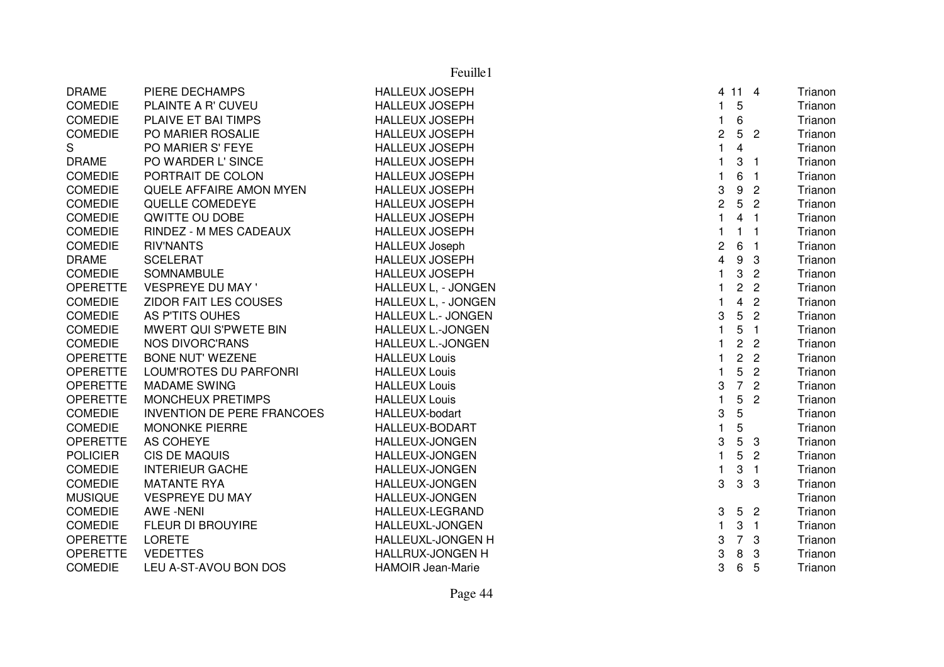|                 | Feuille1                          |                           |                           |                  |                         |         |  |
|-----------------|-----------------------------------|---------------------------|---------------------------|------------------|-------------------------|---------|--|
| <b>DRAME</b>    | PIERE DECHAMPS                    | <b>HALLEUX JOSEPH</b>     | 4 11 4                    |                  |                         | Trianon |  |
| <b>COMEDIE</b>  | PLAINTE A R' CUVEU                | <b>HALLEUX JOSEPH</b>     | $\mathbf{1}$              | 5                |                         | Trianon |  |
| <b>COMEDIE</b>  | PLAIVE ET BAI TIMPS               | <b>HALLEUX JOSEPH</b>     | $\mathbf{1}$              | 6                |                         | Trianon |  |
| <b>COMEDIE</b>  | PO MARIER ROSALIE                 | <b>HALLEUX JOSEPH</b>     | $\sqrt{2}$                | 5 <sub>2</sub>   |                         | Trianon |  |
| S               | PO MARIER S' FEYE                 | <b>HALLEUX JOSEPH</b>     | $\mathbf{1}$              | 4                |                         | Trianon |  |
| <b>DRAME</b>    | PO WARDER L' SINCE                | <b>HALLEUX JOSEPH</b>     | $\mathbf{1}$              | 3                | - 1                     | Trianon |  |
| <b>COMEDIE</b>  | PORTRAIT DE COLON                 | <b>HALLEUX JOSEPH</b>     | $\mathbf{1}$              | 6                | $\blacksquare$          | Trianon |  |
| <b>COMEDIE</b>  | QUELE AFFAIRE AMON MYEN           | <b>HALLEUX JOSEPH</b>     | 3                         | $\boldsymbol{9}$ | $\overline{c}$          | Trianon |  |
| <b>COMEDIE</b>  | QUELLE COMEDEYE                   | <b>HALLEUX JOSEPH</b>     | $\overline{c}$            | $5\phantom{.0}$  | $\overline{c}$          | Trianon |  |
| <b>COMEDIE</b>  | QWITTE OU DOBE                    | <b>HALLEUX JOSEPH</b>     | $\mathbf{1}$              | $\overline{4}$   | $\blacksquare$          | Trianon |  |
| <b>COMEDIE</b>  | RINDEZ - M MES CADEAUX            | <b>HALLEUX JOSEPH</b>     | $\mathbf{1}$              | $\mathbf{1}$     | $\overline{1}$          | Trianon |  |
| <b>COMEDIE</b>  | <b>RIV'NANTS</b>                  | <b>HALLEUX Joseph</b>     | $\sqrt{2}$                | $\,6\,$          | $\overline{\mathbf{1}}$ | Trianon |  |
| <b>DRAME</b>    | <b>SCELERAT</b>                   | <b>HALLEUX JOSEPH</b>     | $\overline{\mathbf{4}}$   | 9                | 3                       | Trianon |  |
| <b>COMEDIE</b>  | SOMNAMBULE                        | <b>HALLEUX JOSEPH</b>     | $\mathbf{1}$              | 3                | $\overline{2}$          | Trianon |  |
| <b>OPERETTE</b> | <b>VESPREYE DU MAY'</b>           | HALLEUX L, - JONGEN       | $\mathbf{1}$              | $\overline{c}$   | $\overline{c}$          | Trianon |  |
| <b>COMEDIE</b>  | <b>ZIDOR FAIT LES COUSES</b>      | HALLEUX L, - JONGEN       | $\mathbf{1}$              | $\overline{4}$   | $\overline{c}$          | Trianon |  |
| <b>COMEDIE</b>  | AS P'TITS OUHES                   | <b>HALLEUX L.- JONGEN</b> | $\ensuremath{\mathsf{3}}$ | 5                | $\overline{2}$          | Trianon |  |
| <b>COMEDIE</b>  | MWERT QUI S'PWETE BIN             | HALLEUX L.-JONGEN         | $\mathbf{1}$              | 5                | $\overline{1}$          | Trianon |  |
| <b>COMEDIE</b>  | <b>NOS DIVORC'RANS</b>            | <b>HALLEUX L.-JONGEN</b>  | $\mathbf{1}$              | $\overline{c}$   | $\overline{c}$          | Trianon |  |
| <b>OPERETTE</b> | <b>BONE NUT' WEZENE</b>           | <b>HALLEUX Louis</b>      | $\mathbf{1}$              | $\overline{c}$   | $\overline{2}$          | Trianon |  |
| <b>OPERETTE</b> | LOUM'ROTES DU PARFONRI            | <b>HALLEUX Louis</b>      | $\mathbf{1}$              | 5                | $\overline{c}$          | Trianon |  |
| <b>OPERETTE</b> | <b>MADAME SWING</b>               | <b>HALLEUX Louis</b>      | 3                         | $\overline{7}$   | $\overline{2}$          | Trianon |  |
| <b>OPERETTE</b> | <b>MONCHEUX PRETIMPS</b>          | <b>HALLEUX Louis</b>      | $\mathbf{1}$              | 5                | $\overline{2}$          | Trianon |  |
| <b>COMEDIE</b>  | <b>INVENTION DE PERE FRANCOES</b> | HALLEUX-bodart            | $\ensuremath{\mathsf{3}}$ | 5                |                         | Trianon |  |
| <b>COMEDIE</b>  | <b>MONONKE PIERRE</b>             | HALLEUX-BODART            | $\mathbf{1}$              | 5                |                         | Trianon |  |
| <b>OPERETTE</b> | AS COHEYE                         | HALLEUX-JONGEN            | 3                         | 5                | 3                       | Trianon |  |
| <b>POLICIER</b> | <b>CIS DE MAQUIS</b>              | HALLEUX-JONGEN            | $\mathbf{1}$              | 5                | $\overline{2}$          | Trianon |  |
| <b>COMEDIE</b>  | <b>INTERIEUR GACHE</b>            | HALLEUX-JONGEN            | $\mathbf{1}$              | 3                | $\overline{1}$          | Trianon |  |
| <b>COMEDIE</b>  | <b>MATANTE RYA</b>                | HALLEUX-JONGEN            | 3                         | 3                | 3                       | Trianon |  |
| <b>MUSIQUE</b>  | <b>VESPREYE DU MAY</b>            | HALLEUX-JONGEN            |                           |                  |                         | Trianon |  |
| <b>COMEDIE</b>  | AWE -NENI                         | HALLEUX-LEGRAND           | 3                         | $5\overline{)}$  | $\overline{2}$          | Trianon |  |
| <b>COMEDIE</b>  | <b>FLEUR DI BROUYIRE</b>          | HALLEUXL-JONGEN           | $\mathbf{1}$              | 3                | $\overline{1}$          | Trianon |  |
| <b>OPERETTE</b> | <b>LORETE</b>                     | HALLEUXL-JONGEN H         | 3                         | $\overline{7}$   | $\mathbf{3}$            | Trianon |  |
| <b>OPERETTE</b> | <b>VEDETTES</b>                   | HALLRUX-JONGEN H          | 3                         | 8                | 3                       | Trianon |  |
| <b>COMEDIE</b>  | LEU A-ST-AVOU BON DOS             | <b>HAMOIR Jean-Marie</b>  | 3                         | 6                | 5                       | Trianon |  |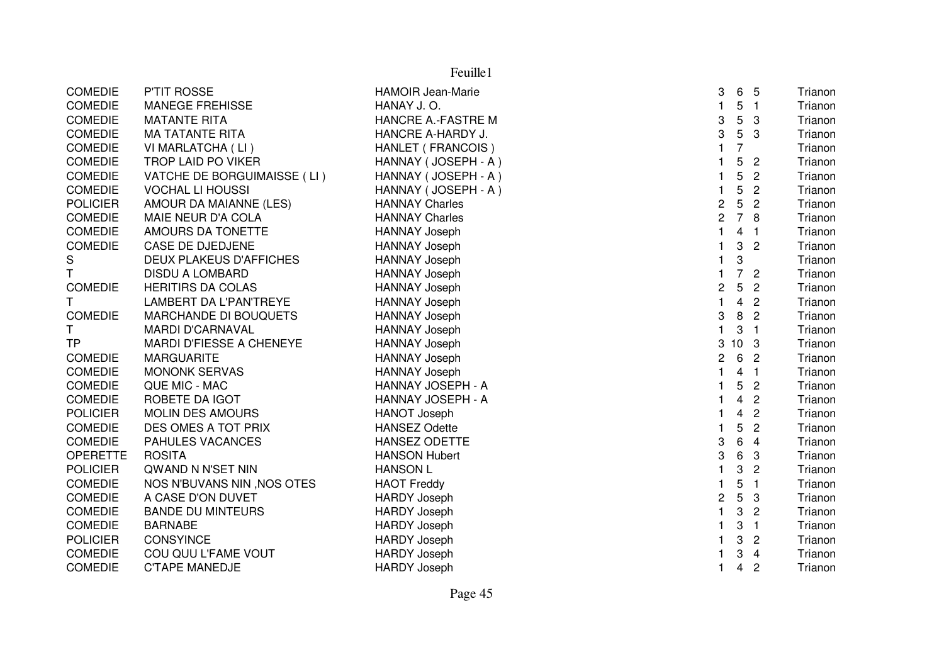| <b>COMEDIE</b>  | P'TIT ROSSE                   | <b>HAMOIR Jean-Marie</b> | 3                       | 6               | 5                | Trianon |
|-----------------|-------------------------------|--------------------------|-------------------------|-----------------|------------------|---------|
| <b>COMEDIE</b>  | <b>MANEGE FREHISSE</b>        | HANAY J.O.               | 1.                      | 5               | $\overline{1}$   | Trianon |
| <b>COMEDIE</b>  | <b>MATANTE RITA</b>           | HANCRE A.-FASTRE M       | 3                       | 5               | 3                | Trianon |
| <b>COMEDIE</b>  | <b>MA TATANTE RITA</b>        | HANCRE A-HARDY J.        | 3                       | $5\phantom{.0}$ | 3                | Trianon |
| <b>COMEDIE</b>  | VI MARLATCHA (LI)             | HANLET (FRANCOIS)        |                         | 7               |                  | Trianon |
| <b>COMEDIE</b>  | TROP LAID PO VIKER            | HANNAY (JOSEPH - A)      |                         | 5               | $\overline{2}$   | Trianon |
| <b>COMEDIE</b>  | VATCHE DE BORGUIMAISSE (LI)   | HANNAY (JOSEPH - A)      | 1                       | 5               | $\overline{2}$   | Trianon |
| <b>COMEDIE</b>  | <b>VOCHAL LI HOUSSI</b>       | HANNAY (JOSEPH - A)      |                         | 5               | $\overline{2}$   | Trianon |
| <b>POLICIER</b> | AMOUR DA MAIANNE (LES)        | <b>HANNAY Charles</b>    | $\overline{\mathbf{c}}$ | 5               | $\overline{c}$   | Trianon |
| <b>COMEDIE</b>  | MAIE NEUR D'A COLA            | <b>HANNAY Charles</b>    | $\overline{\mathbf{c}}$ | $\overline{7}$  | 8                | Trianon |
| <b>COMEDIE</b>  | AMOURS DA TONETTE             | <b>HANNAY Joseph</b>     | 1                       | 4               | $\mathbf{1}$     | Trianon |
| <b>COMEDIE</b>  | CASE DE DJEDJENE              | <b>HANNAY Joseph</b>     |                         | 3               | $\overline{c}$   | Trianon |
| S               | DEUX PLAKEUS D'AFFICHES       | <b>HANNAY Joseph</b>     |                         | 3               |                  | Trianon |
| T.              | <b>DISDU A LOMBARD</b>        | <b>HANNAY Joseph</b>     | 1                       | $\overline{7}$  | $\overline{2}$   | Trianon |
| <b>COMEDIE</b>  | <b>HERITIRS DA COLAS</b>      | <b>HANNAY Joseph</b>     | $\overline{\mathbf{c}}$ | 5               | $\overline{c}$   | Trianon |
| T               | <b>LAMBERT DA L'PAN'TREYE</b> | <b>HANNAY Joseph</b>     | 1                       | $\overline{4}$  | $\overline{c}$   | Trianon |
| <b>COMEDIE</b>  | <b>MARCHANDE DI BOUQUETS</b>  | HANNAY Joseph            | 3                       | 8               | $\overline{2}$   | Trianon |
| T.              | <b>MARDI D'CARNAVAL</b>       | HANNAY Joseph            | 1                       | 3               | $\overline{1}$   | Trianon |
| TP              | MARDI D'FIESSE A CHENEYE      | <b>HANNAY Joseph</b>     | 3                       | 10 <sub>3</sub> |                  | Trianon |
| <b>COMEDIE</b>  | <b>MARGUARITE</b>             | <b>HANNAY Joseph</b>     | $\overline{c}$          |                 | 6 2              | Trianon |
| <b>COMEDIE</b>  | <b>MONONK SERVAS</b>          | <b>HANNAY Joseph</b>     | 1                       | $\overline{4}$  | $\blacksquare$ 1 | Trianon |
| <b>COMEDIE</b>  | QUE MIC - MAC                 | HANNAY JOSEPH - A        |                         | 5               | $\overline{2}$   | Trianon |
| COMEDIE         | ROBETE DA IGOT                | HANNAY JOSEPH - A        |                         | 4               | $\overline{c}$   | Trianon |
| <b>POLICIER</b> | <b>MOLIN DES AMOURS</b>       | <b>HANOT Joseph</b>      |                         | 4               | $\overline{2}$   | Trianon |
| <b>COMEDIE</b>  | DES OMES A TOT PRIX           | <b>HANSEZ Odette</b>     | 1                       | 5               | $\overline{c}$   | Trianon |
| <b>COMEDIE</b>  | PAHULES VACANCES              | HANSEZ ODETTE            | 3                       | 6               | 4                | Trianon |
| <b>OPERETTE</b> | <b>ROSITA</b>                 | <b>HANSON Hubert</b>     | 3                       | 6               | 3                | Trianon |
| <b>POLICIER</b> | QWAND N N'SET NIN             | <b>HANSON L</b>          |                         | 3               | $\overline{c}$   | Trianon |
| <b>COMEDIE</b>  | NOS N'BUVANS NIN, NOS OTES    | <b>HAOT Freddy</b>       |                         | 5               | $\mathbf{1}$     | Trianon |
| <b>COMEDIE</b>  | A CASE D'ON DUVET             | <b>HARDY Joseph</b>      | 2                       | 5               | 3                | Trianon |
| <b>COMEDIE</b>  | <b>BANDE DU MINTEURS</b>      | <b>HARDY Joseph</b>      |                         | 3               | $\overline{c}$   | Trianon |
| <b>COMEDIE</b>  | <b>BARNABE</b>                | <b>HARDY Joseph</b>      |                         | 3               | $\mathbf{1}$     | Trianon |
| <b>POLICIER</b> | <b>CONSYINCE</b>              | <b>HARDY Joseph</b>      |                         | 3               | 2                | Trianon |
| <b>COMEDIE</b>  | COU QUU L'FAME VOUT           | <b>HARDY Joseph</b>      |                         | 3               | $\overline{4}$   | Trianon |
| <b>COMEDIE</b>  | <b>C'TAPE MANEDJE</b>         | <b>HARDY Joseph</b>      | 1                       | 4               | $\overline{c}$   | Trianon |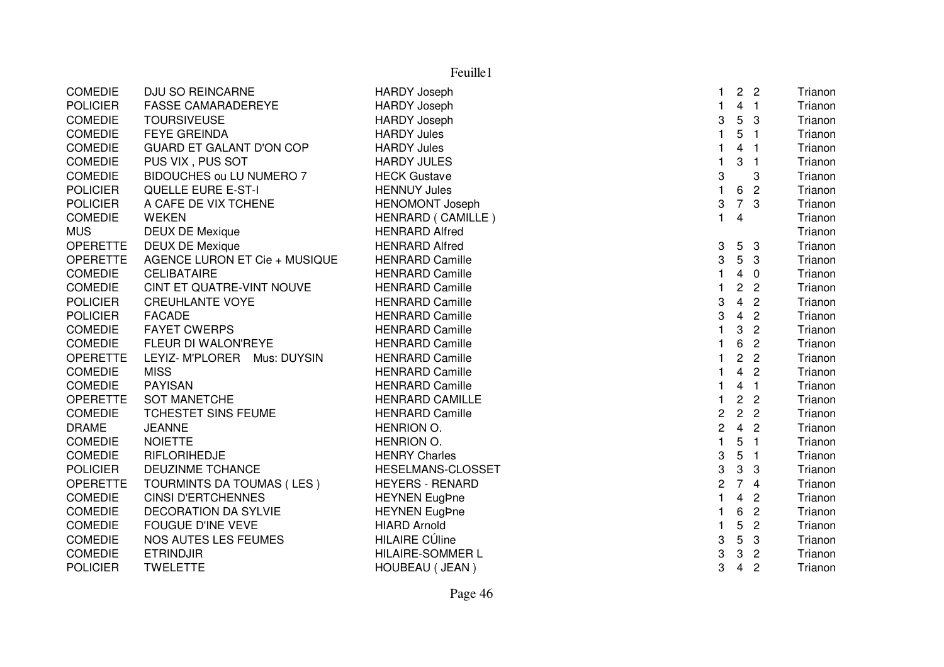| Feuille1        |                                 |                         |                         |                         |                         |         |  |  |
|-----------------|---------------------------------|-------------------------|-------------------------|-------------------------|-------------------------|---------|--|--|
| <b>COMEDIE</b>  | <b>DJU SO REINCARNE</b>         | <b>HARDY Joseph</b>     | 1                       | $\overline{2}$          | $\overline{2}$          | Trianon |  |  |
| <b>POLICIER</b> | <b>FASSE CAMARADEREYE</b>       | <b>HARDY Joseph</b>     | $\mathbf{1}$            | $\overline{4}$          | $\overline{1}$          | Trianon |  |  |
| <b>COMEDIE</b>  | <b>TOURSIVEUSE</b>              | <b>HARDY Joseph</b>     | 3                       | $5\overline{)}$         | $\mathbf{3}$            | Trianon |  |  |
| <b>COMEDIE</b>  | <b>FEYE GREINDA</b>             | <b>HARDY Jules</b>      | $\mathbf{1}$            | 5                       | $\overline{\mathbf{1}}$ | Trianon |  |  |
| <b>COMEDIE</b>  | <b>GUARD ET GALANT D'ON COP</b> | <b>HARDY Jules</b>      | $\mathbf{1}$            | 4                       | - 1                     | Trianon |  |  |
| <b>COMEDIE</b>  | PUS VIX, PUS SOT                | <b>HARDY JULES</b>      | 1                       | 3                       | -1                      | Trianon |  |  |
| <b>COMEDIE</b>  | BIDOUCHES ou LU NUMERO 7        | <b>HECK Gustave</b>     | 3                       |                         | 3                       | Trianon |  |  |
| <b>POLICIER</b> | <b>QUELLE EURE E-ST-I</b>       | <b>HENNUY Jules</b>     | $\mathbf{1}$            | 6                       | $\overline{2}$          | Trianon |  |  |
| <b>POLICIER</b> | A CAFE DE VIX TCHENE            | <b>HENOMONT Joseph</b>  | 3                       | $\overline{7}$          | 3                       | Trianon |  |  |
| COMEDIE         | <b>WEKEN</b>                    | HENRARD (CAMILLE)       | $\mathbf{1}$            | $\overline{4}$          |                         | Trianon |  |  |
| <b>MUS</b>      | <b>DEUX DE Mexique</b>          | <b>HENRARD Alfred</b>   |                         |                         |                         | Trianon |  |  |
| <b>OPERETTE</b> | <b>DEUX DE Mexique</b>          | <b>HENRARD Alfred</b>   | 3                       | $5\overline{)}$         | $\mathbf{3}$            | Trianon |  |  |
| <b>OPERETTE</b> | AGENCE LURON ET Cie + MUSIQUE   | <b>HENRARD Camille</b>  | 3                       | $5\phantom{.0}$         | 3                       | Trianon |  |  |
| <b>COMEDIE</b>  | <b>CELIBATAIRE</b>              | <b>HENRARD Camille</b>  | $\mathbf{1}$            | $\overline{4}$          | $\overline{0}$          | Trianon |  |  |
| <b>COMEDIE</b>  | CINT ET QUATRE-VINT NOUVE       | <b>HENRARD Camille</b>  | $\mathbf{1}$            | $\overline{2}$          | $\overline{2}$          | Trianon |  |  |
| <b>POLICIER</b> | <b>CREUHLANTE VOYE</b>          | <b>HENRARD Camille</b>  | 3                       | $\overline{4}$          | $\overline{2}$          | Trianon |  |  |
| <b>POLICIER</b> | <b>FACADE</b>                   | <b>HENRARD Camille</b>  | 3                       | $\overline{4}$          | $\overline{2}$          | Trianon |  |  |
| <b>COMEDIE</b>  | <b>FAYET CWERPS</b>             | <b>HENRARD Camille</b>  | $\mathbf{1}$            | 3                       | $\overline{c}$          | Trianon |  |  |
| <b>COMEDIE</b>  | FLEUR DI WALON'REYE             | <b>HENRARD Camille</b>  | 1                       | 6                       | $\overline{c}$          | Trianon |  |  |
| <b>OPERETTE</b> | LEYIZ- M'PLORER Mus: DUYSIN     | <b>HENRARD Camille</b>  | $\mathbf 1$             | $\overline{c}$          | $\overline{c}$          | Trianon |  |  |
| <b>COMEDIE</b>  | <b>MISS</b>                     | <b>HENRARD Camille</b>  | 1                       | $\overline{4}$          | $\overline{2}$          | Trianon |  |  |
| <b>COMEDIE</b>  | <b>PAYISAN</b>                  | <b>HENRARD Camille</b>  | $\mathbf{1}$            | $\overline{\mathbf{4}}$ | $\overline{1}$          | Trianon |  |  |
| <b>OPERETTE</b> | <b>SOT MANETCHE</b>             | <b>HENRARD CAMILLE</b>  | $\mathbf{1}$            | $\overline{c}$          | $\overline{c}$          | Trianon |  |  |
| <b>COMEDIE</b>  | TCHESTET SINS FEUME             | <b>HENRARD Camille</b>  | $\overline{c}$          | $\overline{c}$          | $\overline{2}$          | Trianon |  |  |
| <b>DRAME</b>    | <b>JEANNE</b>                   | HENRION O.              | $\overline{c}$          | $\overline{4}$          | $\overline{2}$          | Trianon |  |  |
| <b>COMEDIE</b>  | <b>NOIETTE</b>                  | HENRION O.              | $\mathbf{1}$            | 5                       | $\overline{1}$          | Trianon |  |  |
| <b>COMEDIE</b>  | RIFLORIHEDJE                    | <b>HENRY Charles</b>    | 3                       | $\sqrt{5}$              | $\blacksquare$          | Trianon |  |  |
| <b>POLICIER</b> | DEUZINME TCHANCE                | HESELMANS-CLOSSET       | 3                       | 3                       | 3                       | Trianon |  |  |
| <b>OPERETTE</b> | TOURMINTS DA TOUMAS (LES)       | <b>HEYERS - RENARD</b>  | $\overline{c}$          |                         | 74                      | Trianon |  |  |
| <b>COMEDIE</b>  | <b>CINSI D'ERTCHENNES</b>       | <b>HEYNEN EugPne</b>    | $\overline{\mathbf{1}}$ | 4                       | $\overline{c}$          | Trianon |  |  |
| <b>COMEDIE</b>  | <b>DECORATION DA SYLVIE</b>     | <b>HEYNEN EugPne</b>    | 1                       | 6                       | $\overline{2}$          | Trianon |  |  |
| <b>COMEDIE</b>  | <b>FOUGUE D'INE VEVE</b>        | <b>HIARD Arnold</b>     | $\mathbf{1}$            | 5                       | $\sqrt{2}$              | Trianon |  |  |
| <b>COMEDIE</b>  | NOS AUTES LES FEUMES            | <b>HILAIRE CÚline</b>   | 3                       | 5                       | 3                       | Trianon |  |  |
| <b>COMEDIE</b>  | <b>ETRINDJIR</b>                | <b>HILAIRE-SOMMER L</b> | 3                       | 3                       | $\overline{2}$          | Trianon |  |  |
| <b>POLICIER</b> | <b>TWELETTE</b>                 | HOUBEAU ( JEAN )        | 3                       | $\overline{4}$          | $\overline{2}$          | Trianon |  |  |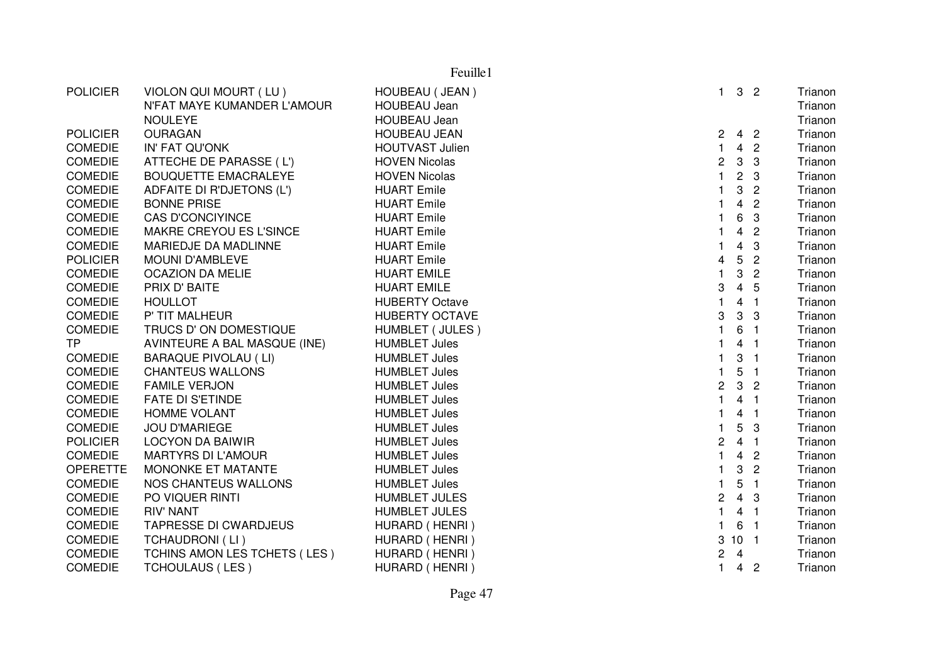|                 |                              | Feuille1               |                         |                 |                  |         |
|-----------------|------------------------------|------------------------|-------------------------|-----------------|------------------|---------|
| <b>POLICIER</b> | VIOLON QUI MOURT (LU)        | HOUBEAU (JEAN)         | $\mathbf{1}$            |                 | 3 <sub>2</sub>   | Trianon |
|                 | N'FAT MAYE KUMANDER L'AMOUR  | <b>HOUBEAU Jean</b>    |                         |                 |                  | Trianon |
|                 | <b>NOULEYE</b>               | <b>HOUBEAU Jean</b>    |                         |                 |                  | Trianon |
| <b>POLICIER</b> | <b>OURAGAN</b>               | <b>HOUBEAU JEAN</b>    | 2                       |                 | 4 <sub>2</sub>   | Trianon |
| <b>COMEDIE</b>  | IN' FAT QU'ONK               | <b>HOUTVAST Julien</b> | $\mathbf{1}$            | 4               | $\overline{2}$   | Trianon |
| <b>COMEDIE</b>  | ATTECHE DE PARASSE (L')      | <b>HOVEN Nicolas</b>   | $\overline{c}$          | $\mathbf{3}$    | 3                | Trianon |
| <b>COMEDIE</b>  | <b>BOUQUETTE EMACRALEYE</b>  | <b>HOVEN Nicolas</b>   | $\mathbf{1}$            | $\overline{2}$  | -3               | Trianon |
| <b>COMEDIE</b>  | ADFAITE DI R'DJETONS (L')    | <b>HUART</b> Emile     | $\mathbf{1}$            | 3               | $\overline{2}$   | Trianon |
| <b>COMEDIE</b>  | <b>BONNE PRISE</b>           | <b>HUART</b> Emile     | $\mathbf{1}$            | $\overline{4}$  | $\overline{2}$   | Trianon |
| <b>COMEDIE</b>  | <b>CAS D'CONCIYINCE</b>      | <b>HUART</b> Emile     | $\mathbf{1}$            | 6               | 3                | Trianon |
| <b>COMEDIE</b>  | MAKRE CREYOU ES L'SINCE      | <b>HUART Emile</b>     | $\mathbf{1}$            | 4               | $\overline{2}$   | Trianon |
| <b>COMEDIE</b>  | MARIEDJE DA MADLINNE         | <b>HUART</b> Emile     |                         | 4               | 3                | Trianon |
| <b>POLICIER</b> | MOUNI D'AMBLEVE              | <b>HUART</b> Emile     | $\overline{\mathbf{4}}$ | 5               | $\overline{2}$   | Trianon |
| <b>COMEDIE</b>  | <b>OCAZION DA MELIE</b>      | <b>HUART EMILE</b>     | $\mathbf{1}$            | 3               | $\overline{2}$   | Trianon |
| <b>COMEDIE</b>  | PRIX D' BAITE                | <b>HUART EMILE</b>     | 3                       | $\overline{4}$  | 5                | Trianon |
| <b>COMEDIE</b>  | <b>HOULLOT</b>               | <b>HUBERTY Octave</b>  | $\mathbf{1}$            |                 | 4 <sub>1</sub>   | Trianon |
| <b>COMEDIE</b>  | P' TIT MALHEUR               | <b>HUBERTY OCTAVE</b>  | 3                       | 3               | 3                | Trianon |
| COMEDIE         | TRUCS D' ON DOMESTIQUE       | HUMBLET (JULES)        | $\mathbf{1}$            | 6               | $\overline{1}$   | Trianon |
| <b>TP</b>       | AVINTEURE A BAL MASQUE (INE) | <b>HUMBLET Jules</b>   | $\mathbf{1}$            | 4               | $\overline{1}$   | Trianon |
| <b>COMEDIE</b>  | <b>BARAQUE PIVOLAU (LI)</b>  | <b>HUMBLET Jules</b>   | $\mathbf{1}$            | 3               | $\overline{1}$   | Trianon |
| COMEDIE         | <b>CHANTEUS WALLONS</b>      | <b>HUMBLET Jules</b>   | $\mathbf{1}$            | 5               | $\blacksquare$ 1 | Trianon |
| <b>COMEDIE</b>  | <b>FAMILE VERJON</b>         | <b>HUMBLET Jules</b>   | $\overline{c}$          |                 | 3 <sub>2</sub>   | Trianon |
| <b>COMEDIE</b>  | <b>FATE DI S'ETINDE</b>      | <b>HUMBLET Jules</b>   | $\mathbf{1}$            |                 | 4 <sub>1</sub>   | Trianon |
| <b>COMEDIE</b>  | <b>HOMME VOLANT</b>          | <b>HUMBLET Jules</b>   | $\mathbf{1}$            |                 | 4 <sub>1</sub>   | Trianon |
| COMEDIE         | <b>JOU D'MARIEGE</b>         | <b>HUMBLET Jules</b>   | $\mathbf{1}$            | 5               | 3                | Trianon |
| <b>POLICIER</b> | <b>LOCYON DA BAIWIR</b>      | <b>HUMBLET Jules</b>   | $\overline{c}$          |                 | 4 <sub>1</sub>   | Trianon |
| <b>COMEDIE</b>  | <b>MARTYRS DI L'AMOUR</b>    | <b>HUMBLET Jules</b>   | $\mathbf{1}$            | $\overline{4}$  | $\overline{2}$   | Trianon |
| <b>OPERETTE</b> | MONONKE ET MATANTE           | <b>HUMBLET Jules</b>   | $\mathbf{1}$            | 3               | $\overline{2}$   | Trianon |
| <b>COMEDIE</b>  | NOS CHANTEUS WALLONS         | <b>HUMBLET Jules</b>   | $\mathbf{1}$            | 5               | $\overline{1}$   | Trianon |
| <b>COMEDIE</b>  | PO VIQUER RINTI              | <b>HUMBLET JULES</b>   | $\overline{c}$          |                 | $4 \quad 3$      | Trianon |
| <b>COMEDIE</b>  | <b>RIV' NANT</b>             | <b>HUMBLET JULES</b>   | $\mathbf{1}$            |                 | 4 <sub>1</sub>   | Trianon |
| <b>COMEDIE</b>  | <b>TAPRESSE DI CWARDJEUS</b> | HURARD (HENRI)         | $\mathbf{1}$            | 6               | $\overline{1}$   | Trianon |
| <b>COMEDIE</b>  | <b>TCHAUDRONI (LI)</b>       | HURARD (HENRI)         | 3                       | 10 <sub>1</sub> |                  | Trianon |
| <b>COMEDIE</b>  | TCHINS AMON LES TCHETS (LES) | HURARD (HENRI)         | 2                       | $\overline{4}$  |                  | Trianon |
| <b>COMEDIE</b>  | <b>TCHOULAUS (LES)</b>       | HURARD (HENRI)         | $\mathbf{1}$            |                 | 4 <sub>2</sub>   | Trianon |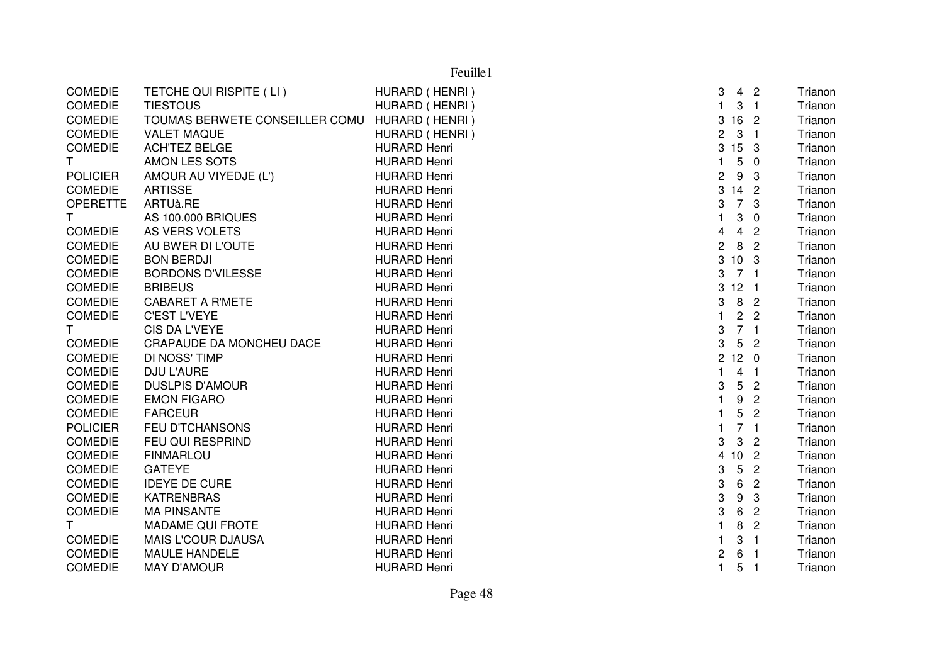|                 |                                | Feuille1            |                |                 |                  |         |
|-----------------|--------------------------------|---------------------|----------------|-----------------|------------------|---------|
| <b>COMEDIE</b>  | TETCHE QUI RISPITE (LI)        | HURARD (HENRI)      | 3              |                 | 4 <sub>2</sub>   | Trianon |
| <b>COMEDIE</b>  | <b>TIESTOUS</b>                | HURARD (HENRI)      | $\mathbf{1}$   |                 | 3 <sub>1</sub>   | Trianon |
| <b>COMEDIE</b>  | TOUMAS BERWETE CONSEILLER COMU | HURARD (HENRI)      | 3              | 16 2            |                  | Trianon |
| <b>COMEDIE</b>  | <b>VALET MAQUE</b>             | HURARD (HENRI)      | 2              |                 | 3 <sub>1</sub>   | Trianon |
| <b>COMEDIE</b>  | <b>ACH'TEZ BELGE</b>           | <b>HURARD Henri</b> | 3              | 15 <sub>3</sub> |                  | Trianon |
| T               | AMON LES SOTS                  | <b>HURARD Henri</b> | $\mathbf{1}$   |                 | 50               | Trianon |
| <b>POLICIER</b> | AMOUR AU VIYEDJE (L')          | <b>HURARD Henri</b> | $\overline{c}$ | 9               | $\mathbf{3}$     | Trianon |
| <b>COMEDIE</b>  | <b>ARTISSE</b>                 | <b>HURARD Henri</b> | 3              | $142$           |                  | Trianon |
| <b>OPERETTE</b> | ARTUà.RE                       | <b>HURARD Henri</b> | 3              |                 | 7 <sup>3</sup>   | Trianon |
| $\mathsf{T}$    | <b>AS 100.000 BRIQUES</b>      | <b>HURARD Henri</b> | $\mathbf{1}$   | 3               | $\overline{0}$   | Trianon |
| <b>COMEDIE</b>  | AS VERS VOLETS                 | <b>HURARD Henri</b> | 4              |                 | 4 <sup>2</sup>   | Trianon |
| <b>COMEDIE</b>  | AU BWER DI L'OUTE              | <b>HURARD Henri</b> | $\overline{c}$ | 8               | $\overline{2}$   | Trianon |
| <b>COMEDIE</b>  | <b>BON BERDJI</b>              | <b>HURARD Henri</b> | 3              | 10 <sub>3</sub> |                  | Trianon |
| <b>COMEDIE</b>  | <b>BORDONS D'VILESSE</b>       | <b>HURARD Henri</b> | 3              | 7 <sub>1</sub>  |                  | Trianon |
| <b>COMEDIE</b>  | <b>BRIBEUS</b>                 | <b>HURARD Henri</b> | 3              | $12 \quad 1$    |                  | Trianon |
| <b>COMEDIE</b>  | <b>CABARET A R'METE</b>        | <b>HURARD Henri</b> | 3              |                 | 8 <sub>2</sub>   | Trianon |
| <b>COMEDIE</b>  | <b>C'EST L'VEYE</b>            | <b>HURARD Henri</b> | $\mathbf{1}$   |                 | 2 <sub>2</sub>   | Trianon |
| $\mathsf{T}$    | <b>CIS DA L'VEYE</b>           | <b>HURARD Henri</b> | 3              |                 | 7 <sub>1</sub>   | Trianon |
| <b>COMEDIE</b>  | CRAPAUDE DA MONCHEU DACE       | <b>HURARD Henri</b> | 3              |                 | 5 <sub>2</sub>   | Trianon |
| <b>COMEDIE</b>  | DI NOSS' TIMP                  | <b>HURARD Henri</b> | $\overline{2}$ | 12 <sub>0</sub> |                  | Trianon |
| <b>COMEDIE</b>  | DJU L'AURE                     | <b>HURARD Henri</b> | $\mathbf{1}$   |                 | 4 <sub>1</sub>   | Trianon |
| <b>COMEDIE</b>  | <b>DUSLPIS D'AMOUR</b>         | <b>HURARD Henri</b> | 3              |                 | 5 <sub>2</sub>   | Trianon |
| <b>COMEDIE</b>  | <b>EMON FIGARO</b>             | <b>HURARD Henri</b> | $\mathbf{1}$   | 9               | $\overline{2}$   | Trianon |
| <b>COMEDIE</b>  | <b>FARCEUR</b>                 | <b>HURARD Henri</b> |                | 5               | $\overline{2}$   | Trianon |
| <b>POLICIER</b> | <b>FEU D'TCHANSONS</b>         | <b>HURARD Henri</b> | $\mathbf{1}$   |                 | 7 <sub>1</sub>   | Trianon |
| <b>COMEDIE</b>  | FEU QUI RESPRIND               | <b>HURARD Henri</b> | 3              | $\mathbf{3}$    | $\overline{2}$   | Trianon |
| <b>COMEDIE</b>  | <b>FINMARLOU</b>               | <b>HURARD Henri</b> | $\overline{4}$ | 10 <sub>2</sub> |                  | Trianon |
| <b>COMEDIE</b>  | <b>GATEYE</b>                  | <b>HURARD Henri</b> | 3              | $5\overline{)}$ | $\overline{2}$   | Trianon |
| <b>COMEDIE</b>  | <b>IDEYE DE CURE</b>           | <b>HURARD Henri</b> | 3              | 6               | $\overline{2}$   | Trianon |
| <b>COMEDIE</b>  | <b>KATRENBRAS</b>              | <b>HURARD Henri</b> | 3              | 9               | 3                | Trianon |
| <b>COMEDIE</b>  | <b>MA PINSANTE</b>             | <b>HURARD Henri</b> | 3              | 6               | $\overline{2}$   | Trianon |
| $\mathsf{T}$    | <b>MADAME QUI FROTE</b>        | <b>HURARD Henri</b> | 1              | 8               | $\overline{2}$   | Trianon |
| <b>COMEDIE</b>  | <b>MAIS L'COUR DJAUSA</b>      | <b>HURARD Henri</b> |                |                 | 3 <sub>1</sub>   | Trianon |
| <b>COMEDIE</b>  | <b>MAULE HANDELE</b>           | <b>HURARD Henri</b> | 2              | 6               | $\blacksquare$ 1 | Trianon |
| <b>COMEDIE</b>  | <b>MAY D'AMOUR</b>             | <b>HURARD Henri</b> | $\mathbf{1}$   |                 | 5 <sub>1</sub>   | Trianon |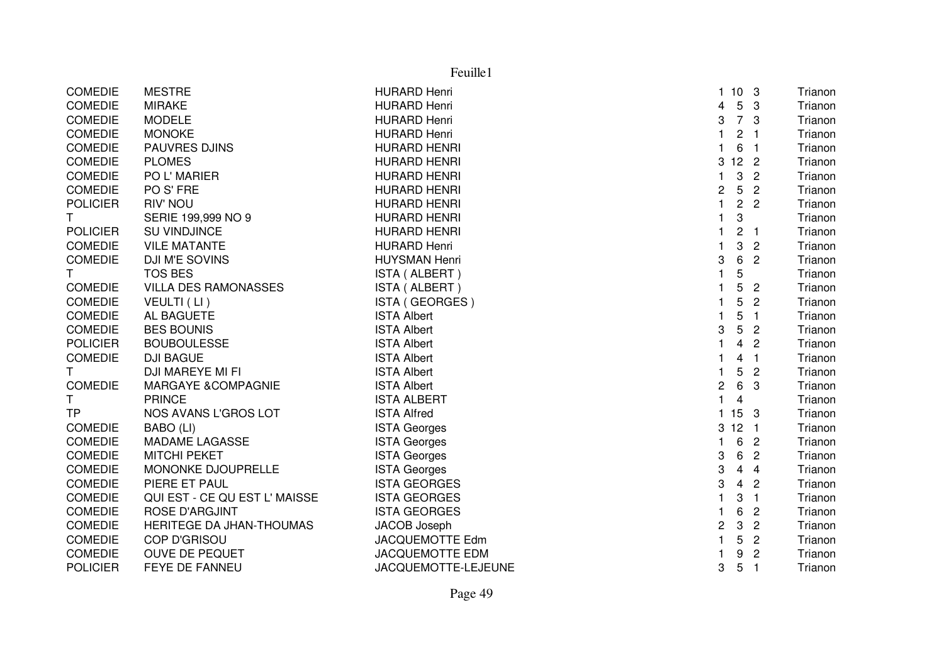|                 | Feuille1                      |                        |                |                 |                |         |  |  |
|-----------------|-------------------------------|------------------------|----------------|-----------------|----------------|---------|--|--|
| <b>COMEDIE</b>  | <b>MESTRE</b>                 | <b>HURARD Henri</b>    |                | 1103            |                | Trianon |  |  |
| <b>COMEDIE</b>  | <b>MIRAKE</b>                 | <b>HURARD Henri</b>    | 4              | $5\overline{)}$ | -3             | Trianon |  |  |
| <b>COMEDIE</b>  | <b>MODELE</b>                 | <b>HURARD Henri</b>    | 3              | 7 <sup>3</sup>  |                | Trianon |  |  |
| <b>COMEDIE</b>  | <b>MONOKE</b>                 | <b>HURARD Henri</b>    | 1              | $\overline{c}$  | - 1            | Trianon |  |  |
| <b>COMEDIE</b>  | <b>PAUVRES DJINS</b>          | <b>HURARD HENRI</b>    | 1              | 6               | $\blacksquare$ | Trianon |  |  |
| <b>COMEDIE</b>  | <b>PLOMES</b>                 | <b>HURARD HENRI</b>    | 3              | $12 \quad 2$    |                | Trianon |  |  |
| <b>COMEDIE</b>  | PO L' MARIER                  | <b>HURARD HENRI</b>    | $\mathbf{1}$   | 3               | $\overline{2}$ | Trianon |  |  |
| <b>COMEDIE</b>  | PO S' FRE                     | <b>HURARD HENRI</b>    | $\overline{c}$ | 5               | $\overline{2}$ | Trianon |  |  |
| <b>POLICIER</b> | <b>RIV' NOU</b>               | <b>HURARD HENRI</b>    | $\mathbf{1}$   | 2 <sup>1</sup>  | $\overline{2}$ | Trianon |  |  |
| T.              | SERIE 199,999 NO 9            | <b>HURARD HENRI</b>    | $\mathbf{1}$   | 3               |                | Trianon |  |  |
| <b>POLICIER</b> | <b>SU VINDJINCE</b>           | <b>HURARD HENRI</b>    | $\mathbf{1}$   | 2 <sub>1</sub>  |                | Trianon |  |  |
| <b>COMEDIE</b>  | <b>VILE MATANTE</b>           | <b>HURARD Henri</b>    | $\mathbf{1}$   | 3               | $\overline{2}$ | Trianon |  |  |
| <b>COMEDIE</b>  | DJI M'E SOVINS                | <b>HUYSMAN Henri</b>   | 3              | $6\overline{6}$ | $\overline{2}$ | Trianon |  |  |
| T.              | <b>TOS BES</b>                | ISTA (ALBERT)          | $\mathbf{1}$   | 5               |                | Trianon |  |  |
| COMEDIE         | <b>VILLA DES RAMONASSES</b>   | ISTA (ALBERT)          |                | 5               | $\overline{2}$ | Trianon |  |  |
| <b>COMEDIE</b>  | VEULTI (LI)                   | ISTA (GEORGES)         |                | 5               | $\overline{2}$ | Trianon |  |  |
| <b>COMEDIE</b>  | AL BAGUETE                    | <b>ISTA Albert</b>     |                | 5               | $\overline{1}$ | Trianon |  |  |
| <b>COMEDIE</b>  | <b>BES BOUNIS</b>             | <b>ISTA Albert</b>     | 3              | 5               | $\overline{2}$ | Trianon |  |  |
| <b>POLICIER</b> | <b>BOUBOULESSE</b>            | <b>ISTA Albert</b>     | $\mathbf{1}$   | $\overline{4}$  | $\overline{c}$ | Trianon |  |  |
| <b>COMEDIE</b>  | <b>DJI BAGUE</b>              | <b>ISTA Albert</b>     | 1              | 4               | $\overline{1}$ | Trianon |  |  |
| T.              | DJI MAREYE MI FI              | <b>ISTA Albert</b>     | $\mathbf{1}$   | 5               | $\overline{2}$ | Trianon |  |  |
| <b>COMEDIE</b>  | MARGAYE &COMPAGNIE            | <b>ISTA Albert</b>     | $\overline{c}$ |                 | 6 3            | Trianon |  |  |
| Τ               | <b>PRINCE</b>                 | <b>ISTA ALBERT</b>     | $\mathbf{1}$   | $\overline{4}$  |                | Trianon |  |  |
| <b>TP</b>       | NOS AVANS L'GROS LOT          | <b>ISTA Alfred</b>     | $\mathbf{1}$   | 15 <sub>3</sub> |                | Trianon |  |  |
| <b>COMEDIE</b>  | BABO (LI)                     | <b>ISTA Georges</b>    | 3              | $12 \quad 1$    |                | Trianon |  |  |
| <b>COMEDIE</b>  | MADAME LAGASSE                | <b>ISTA Georges</b>    | $\mathbf{1}$   |                 | 6 2            | Trianon |  |  |
| <b>COMEDIE</b>  | <b>MITCHI PEKET</b>           | <b>ISTA Georges</b>    | 3              | 6               | $\overline{2}$ | Trianon |  |  |
| <b>COMEDIE</b>  | MONONKE DJOUPRELLE            | <b>ISTA Georges</b>    | 3              | $\overline{4}$  | $\overline{4}$ | Trianon |  |  |
| <b>COMEDIE</b>  | PIERE ET PAUL                 | <b>ISTA GEORGES</b>    | 3              | 4               | $\overline{c}$ | Trianon |  |  |
| <b>COMEDIE</b>  | QUI EST - CE QU EST L' MAISSE | <b>ISTA GEORGES</b>    | $\mathbf{1}$   | 3               | $\overline{1}$ | Trianon |  |  |
| <b>COMEDIE</b>  | <b>ROSE D'ARGJINT</b>         | <b>ISTA GEORGES</b>    | 1              | 6               | $\overline{2}$ | Trianon |  |  |
| <b>COMEDIE</b>  | HERITEGE DA JHAN-THOUMAS      | JACOB Joseph           | $\overline{c}$ | 3               | $\overline{2}$ | Trianon |  |  |
| <b>COMEDIE</b>  | <b>COP D'GRISOU</b>           | <b>JACQUEMOTTE Edm</b> | $\mathbf{1}$   | 5               | $\overline{c}$ | Trianon |  |  |
| <b>COMEDIE</b>  | <b>OUVE DE PEQUET</b>         | <b>JACQUEMOTTE EDM</b> | 1              | 9               | $\overline{2}$ | Trianon |  |  |
| <b>POLICIER</b> | FEYE DE FANNEU                | JACQUEMOTTE-LEJEUNE    | 3              | 5               | $\overline{1}$ | Trianon |  |  |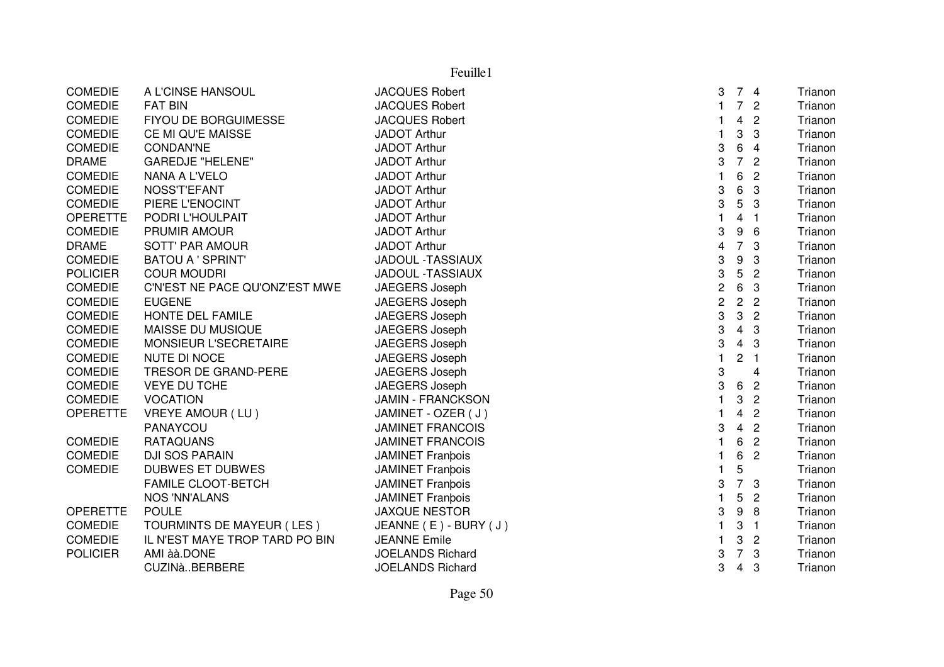|                 |                                | Feuille1                 |                         |                |                |         |
|-----------------|--------------------------------|--------------------------|-------------------------|----------------|----------------|---------|
| <b>COMEDIE</b>  | A L'CINSE HANSOUL              | <b>JACQUES Robert</b>    | 3                       |                | 74             | Trianon |
| <b>COMEDIE</b>  | <b>FAT BIN</b>                 | <b>JACQUES Robert</b>    | $\mathbf{1}$            | $\overline{7}$ | $\overline{c}$ | Trianon |
| <b>COMEDIE</b>  | FIYOU DE BORGUIMESSE           | <b>JACQUES Robert</b>    | 1                       | $\overline{4}$ | $\overline{2}$ | Trianon |
| <b>COMEDIE</b>  | CE MI QU'E MAISSE              | <b>JADOT Arthur</b>      | $\mathbf{1}$            | 3              | 3              | Trianon |
| <b>COMEDIE</b>  | <b>CONDAN'NE</b>               | <b>JADOT Arthur</b>      | 3                       | $\,6$          | $\overline{4}$ | Trianon |
| <b>DRAME</b>    | <b>GAREDJE "HELENE"</b>        | <b>JADOT Arthur</b>      | 3                       | $\overline{7}$ | $\overline{2}$ | Trianon |
| <b>COMEDIE</b>  | NANA A L'VELO                  | <b>JADOT Arthur</b>      | $\mathbf{1}$            | 6              | $\overline{2}$ | Trianon |
| <b>COMEDIE</b>  | NOSS'T'EFANT                   | <b>JADOT Arthur</b>      | 3                       | 6              | 3              | Trianon |
| <b>COMEDIE</b>  | PIERE L'ENOCINT                | <b>JADOT Arthur</b>      | 3                       | 5              | 3              | Trianon |
| <b>OPERETTE</b> | PODRI L'HOULPAIT               | <b>JADOT Arthur</b>      | $\mathbf{1}$            | 4              | $\overline{1}$ | Trianon |
| <b>COMEDIE</b>  | PRUMIR AMOUR                   | <b>JADOT Arthur</b>      | 3                       | 9              | 6              | Trianon |
| <b>DRAME</b>    | <b>SOTT' PAR AMOUR</b>         | <b>JADOT Arthur</b>      | $\overline{\mathbf{4}}$ | $\overline{7}$ | 3              | Trianon |
| <b>COMEDIE</b>  | <b>BATOU A ' SPRINT'</b>       | <b>JADOUL -TASSIAUX</b>  | 3                       | 9              | 3              | Trianon |
| <b>POLICIER</b> | <b>COUR MOUDRI</b>             | JADOUL -TASSIAUX         | 3                       | 5              | $\overline{2}$ | Trianon |
| <b>COMEDIE</b>  | C'N'EST NE PACE QU'ONZ'EST MWE | JAEGERS Joseph           | $\overline{c}$          | 6              | 3              | Trianon |
| <b>COMEDIE</b>  | <b>EUGENE</b>                  | JAEGERS Joseph           | $\mathbf 2$             | $\overline{2}$ | $\overline{c}$ | Trianon |
| COMEDIE         | HONTE DEL FAMILE               | JAEGERS Joseph           | 3                       | 3              | $\overline{2}$ | Trianon |
| <b>COMEDIE</b>  | MAISSE DU MUSIQUE              | JAEGERS Joseph           | 3                       | $\overline{4}$ | 3              | Trianon |
| <b>COMEDIE</b>  | MONSIEUR L'SECRETAIRE          | JAEGERS Joseph           | 3                       | $\overline{4}$ | 3              | Trianon |
| <b>COMEDIE</b>  | <b>NUTE DI NOCE</b>            | JAEGERS Joseph           | $\mathbf{1}$            | $\overline{c}$ | $\overline{1}$ | Trianon |
| <b>COMEDIE</b>  | TRESOR DE GRAND-PERE           | JAEGERS Joseph           | 3                       |                | $\overline{4}$ | Trianon |
| <b>COMEDIE</b>  | <b>VEYE DU TCHE</b>            | JAEGERS Joseph           | 3                       | 6              | $\overline{2}$ | Trianon |
| <b>COMEDIE</b>  | <b>VOCATION</b>                | <b>JAMIN - FRANCKSON</b> | $\mathbf{1}$            | 3              | $\overline{2}$ | Trianon |
| <b>OPERETTE</b> | VREYE AMOUR (LU)               | JAMINET - OZER (J)       | $\mathbf{1}$            | 4              | $\overline{c}$ | Trianon |
|                 | PANAYCOU                       | <b>JAMINET FRANCOIS</b>  | 3                       | $\overline{4}$ | $\overline{2}$ | Trianon |
| <b>COMEDIE</b>  | <b>RATAQUANS</b>               | <b>JAMINET FRANCOIS</b>  | 1                       | 6              | $\overline{2}$ | Trianon |
| <b>COMEDIE</b>  | DJI SOS PARAIN                 | <b>JAMINET Franbois</b>  | 1                       | 6              | $\overline{2}$ | Trianon |
| <b>COMEDIE</b>  | <b>DUBWES ET DUBWES</b>        | <b>JAMINET Franbois</b>  | $\mathbf{1}$            | 5              |                | Trianon |
|                 | <b>FAMILE CLOOT-BETCH</b>      | <b>JAMINET Franpois</b>  | 3                       | $\overline{7}$ | 3              | Trianon |
|                 | <b>NOS 'NN'ALANS</b>           | <b>JAMINET Franbois</b>  | $\mathbf{1}$            | 5              | $\overline{c}$ | Trianon |
| <b>OPERETTE</b> | <b>POULE</b>                   | <b>JAXQUE NESTOR</b>     | 3                       | 9              | 8              | Trianon |
| <b>COMEDIE</b>  | TOURMINTS DE MAYEUR (LES)      | JEANNE (E) - BURY (J)    | $\mathbf{1}$            | 3              | $\overline{1}$ | Trianon |
| <b>COMEDIE</b>  | IL N'EST MAYE TROP TARD PO BIN | <b>JEANNE Emile</b>      | 1                       | 3              | $\overline{c}$ | Trianon |
| <b>POLICIER</b> | AMI àà.DONE                    | <b>JOELANDS Richard</b>  | 3                       | $\overline{7}$ | 3              | Trianon |
|                 | CUZINàBERBERE                  | <b>JOELANDS Richard</b>  | 3                       | 4              | 3              | Trianon |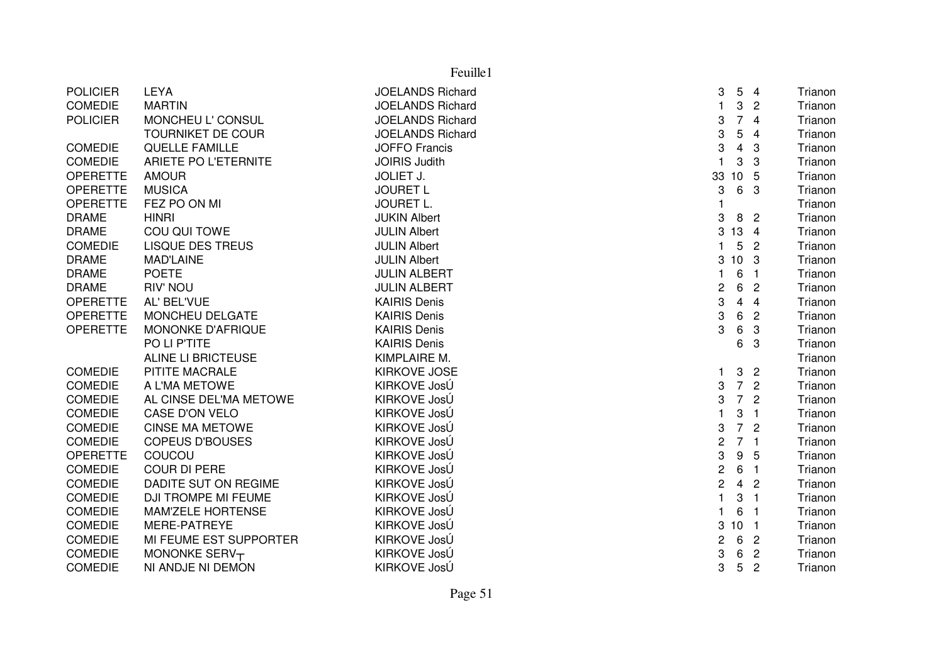|                 | Feuille1                   |                         |                |                         |                |         |  |  |
|-----------------|----------------------------|-------------------------|----------------|-------------------------|----------------|---------|--|--|
| <b>POLICIER</b> | <b>LEYA</b>                | <b>JOELANDS Richard</b> | 3              | 5                       | $\overline{4}$ | Trianon |  |  |
| COMEDIE         | <b>MARTIN</b>              | <b>JOELANDS Richard</b> | $\mathbf{1}$   | 3                       | $\overline{2}$ | Trianon |  |  |
| <b>POLICIER</b> | MONCHEU L' CONSUL          | <b>JOELANDS Richard</b> | 3              | $\overline{7}$          | $\overline{4}$ | Trianon |  |  |
|                 | <b>TOURNIKET DE COUR</b>   | <b>JOELANDS Richard</b> | 3              | 5                       | $\overline{4}$ | Trianon |  |  |
| <b>COMEDIE</b>  | <b>QUELLE FAMILLE</b>      | <b>JOFFO Francis</b>    | 3              | $\overline{\mathbf{4}}$ | 3              | Trianon |  |  |
| <b>COMEDIE</b>  | ARIETE PO L'ETERNITE       | <b>JOIRIS Judith</b>    | $\mathbf{1}$   | 3                       | 3              | Trianon |  |  |
| <b>OPERETTE</b> | <b>AMOUR</b>               | <b>JOLIET J.</b>        | 33             | 10                      | 5              | Trianon |  |  |
| <b>OPERETTE</b> | <b>MUSICA</b>              | <b>JOURET L</b>         | 3              | 6                       | 3              | Trianon |  |  |
| <b>OPERETTE</b> | FEZ PO ON MI               | <b>JOURET L.</b>        | $\mathbf{1}$   |                         |                | Trianon |  |  |
| <b>DRAME</b>    | <b>HINRI</b>               | <b>JUKIN Albert</b>     | 3              | 8                       | $\overline{2}$ | Trianon |  |  |
| <b>DRAME</b>    | COU QUI TOWE               | <b>JULIN Albert</b>     | $\mathbf{3}$   | 13                      | $\overline{4}$ | Trianon |  |  |
| <b>COMEDIE</b>  | <b>LISQUE DES TREUS</b>    | <b>JULIN Albert</b>     | $\mathbf{1}$   | 5                       | $\overline{2}$ | Trianon |  |  |
| <b>DRAME</b>    | <b>MAD'LAINE</b>           | <b>JULIN Albert</b>     |                | 3 10 3                  |                | Trianon |  |  |
| <b>DRAME</b>    | <b>POETE</b>               | <b>JULIN ALBERT</b>     | $\mathbf{1}$   | $\,6$                   | $\overline{1}$ | Trianon |  |  |
| <b>DRAME</b>    | <b>RIV' NOU</b>            | <b>JULIN ALBERT</b>     | $\overline{c}$ | 6                       | $\overline{2}$ | Trianon |  |  |
| <b>OPERETTE</b> | AL' BEL'VUE                | <b>KAIRIS Denis</b>     | 3              | $\overline{4}$          | $\overline{4}$ | Trianon |  |  |
| <b>OPERETTE</b> | MONCHEU DELGATE            | <b>KAIRIS Denis</b>     | 3              | 6                       | $\overline{c}$ | Trianon |  |  |
| <b>OPERETTE</b> | MONONKE D'AFRIQUE          | <b>KAIRIS Denis</b>     | 3              | 6                       | 3              | Trianon |  |  |
|                 | PO LI P'TITE               | <b>KAIRIS Denis</b>     |                | 6                       | 3              | Trianon |  |  |
|                 | <b>ALINE LI BRICTEUSE</b>  | KIMPLAIRE M.            |                |                         |                | Trianon |  |  |
| <b>COMEDIE</b>  | PITITE MACRALE             | <b>KIRKOVE JOSE</b>     | $\mathbf{1}$   | 3                       | $\overline{c}$ | Trianon |  |  |
| <b>COMEDIE</b>  | A L'MA METOWE              | KIRKOVE JosÚ            | 3              | $\overline{7}$          | $\overline{2}$ | Trianon |  |  |
| <b>COMEDIE</b>  | AL CINSE DEL'MA METOWE     | KIRKOVE JosÚ            | 3              | $\overline{7}$          | $\overline{c}$ | Trianon |  |  |
| <b>COMEDIE</b>  | <b>CASE D'ON VELO</b>      | KIRKOVE JosÚ            | $\mathbf{1}$   | 3                       | $\overline{1}$ | Trianon |  |  |
| <b>COMEDIE</b>  | <b>CINSE MA METOWE</b>     | KIRKOVE JosÚ            | 3              | $\overline{7}$          | $\overline{c}$ | Trianon |  |  |
| <b>COMEDIE</b>  | <b>COPEUS D'BOUSES</b>     | KIRKOVE JosÚ            | $\overline{c}$ | 7 <sub>1</sub>          |                | Trianon |  |  |
| <b>OPERETTE</b> | COUCOU                     | KIRKOVE JosÚ            | 3              | 9                       | 5              | Trianon |  |  |
| <b>COMEDIE</b>  | <b>COUR DI PERE</b>        | KIRKOVE JosÚ            | $\overline{c}$ | 6                       | $\overline{1}$ | Trianon |  |  |
| <b>COMEDIE</b>  | DADITE SUT ON REGIME       | KIRKOVE JosÚ            | $\overline{c}$ | $\overline{4}$          | $\overline{c}$ | Trianon |  |  |
| <b>COMEDIE</b>  | <b>DJI TROMPE MI FEUME</b> | KIRKOVE JosÚ            | $\mathbf{1}$   | 3                       | $\overline{1}$ | Trianon |  |  |
| <b>COMEDIE</b>  | <b>MAM'ZELE HORTENSE</b>   | KIRKOVE JosÚ            | $\mathbf{1}$   | 6                       | $\overline{1}$ | Trianon |  |  |
| <b>COMEDIE</b>  | MERE-PATREYE               | KIRKOVE JosÚ            | 3              | 10 <sub>1</sub>         |                | Trianon |  |  |
| <b>COMEDIE</b>  | MI FEUME EST SUPPORTER     | KIRKOVE JosÚ            | $\overline{c}$ | 6                       | $\overline{2}$ | Trianon |  |  |
| <b>COMEDIE</b>  | MONONKE SERVT              | KIRKOVE JosÚ            | 3              | 6                       | $\overline{c}$ | Trianon |  |  |
| <b>COMEDIE</b>  | NI ANDJE NI DEMON          | KIRKOVE JosÚ            | 3              | 5                       | $\overline{2}$ | Trianon |  |  |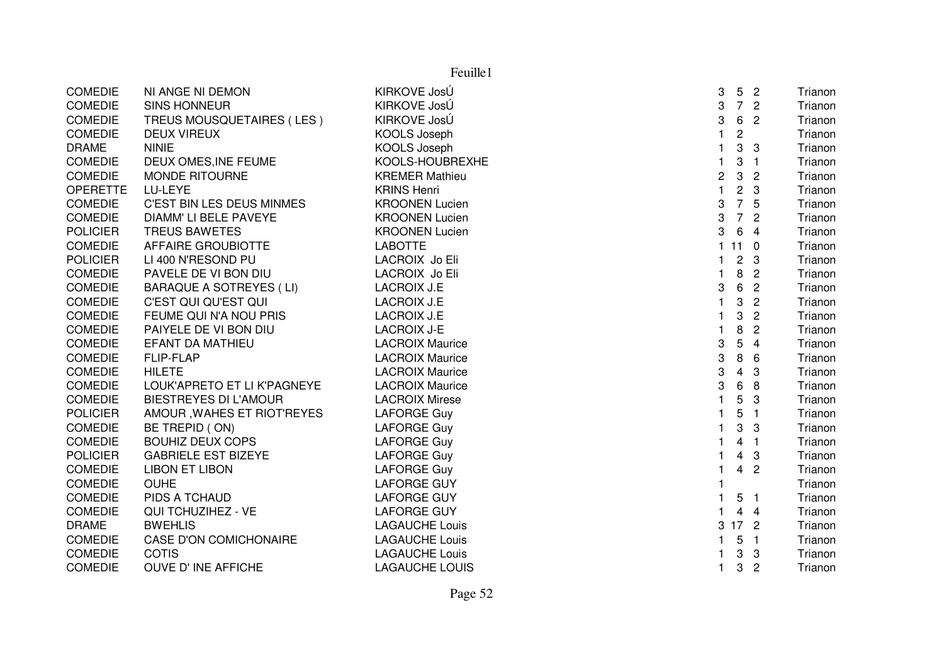|                 | Feuille1                         |                        |                           |                 |                |         |  |  |
|-----------------|----------------------------------|------------------------|---------------------------|-----------------|----------------|---------|--|--|
| <b>COMEDIE</b>  | NI ANGE NI DEMON                 | KIRKOVE JosÚ           | 3                         | 5               | $\overline{2}$ | Trianon |  |  |
| <b>COMEDIE</b>  | <b>SINS HONNEUR</b>              | KIRKOVE JosÚ           | 3                         | $\overline{7}$  | $\overline{2}$ | Trianon |  |  |
| <b>COMEDIE</b>  | TREUS MOUSQUETAIRES (LES)        | KIRKOVE JosÚ           | 3                         | 6               | $\overline{c}$ | Trianon |  |  |
| <b>COMEDIE</b>  | <b>DEUX VIREUX</b>               | KOOLS Joseph           | $\mathbf{1}$              | $\sqrt{2}$      |                | Trianon |  |  |
| <b>DRAME</b>    | <b>NINIE</b>                     | <b>KOOLS Joseph</b>    | $\mathbf{1}$              | 3               | 3              | Trianon |  |  |
| <b>COMEDIE</b>  | DEUX OMES, INE FEUME             | KOOLS-HOUBREXHE        | $\mathbf{1}$              | 3               | $\overline{1}$ | Trianon |  |  |
| <b>COMEDIE</b>  | MONDE RITOURNE                   | <b>KREMER Mathieu</b>  | $\overline{c}$            | 3               | $\overline{c}$ | Trianon |  |  |
| <b>OPERETTE</b> | LU-LEYE                          | <b>KRINS Henri</b>     | $\mathbf{1}$              | $\overline{c}$  | 3              | Trianon |  |  |
| <b>COMEDIE</b>  | <b>C'EST BIN LES DEUS MINMES</b> | <b>KROONEN Lucien</b>  | 3                         | $\overline{7}$  | 5              | Trianon |  |  |
| <b>COMEDIE</b>  | DIAMM' LI BELE PAVEYE            | <b>KROONEN Lucien</b>  | $\ensuremath{\mathsf{3}}$ | $\overline{7}$  | $\overline{2}$ | Trianon |  |  |
| <b>POLICIER</b> | <b>TREUS BAWETES</b>             | <b>KROONEN Lucien</b>  | 3                         | 6               | $\overline{4}$ | Trianon |  |  |
| <b>COMEDIE</b>  | <b>AFFAIRE GROUBIOTTE</b>        | <b>LABOTTE</b>         |                           | 111             | $\mathbf 0$    | Trianon |  |  |
| <b>POLICIER</b> | LI 400 N'RESOND PU               | LACROIX Jo Eli         | $\mathbf{1}$              | $\mathbf{2}$    | 3              | Trianon |  |  |
| COMEDIE         | PAVELE DE VI BON DIU             | LACROIX Jo Eli         | $\mathbf{1}$              | 8               | $\overline{c}$ | Trianon |  |  |
| <b>COMEDIE</b>  | <b>BARAQUE A SOTREYES (LI)</b>   | <b>LACROIX J.E</b>     | 3                         | 6               | $\overline{2}$ | Trianon |  |  |
| <b>COMEDIE</b>  | C'EST QUI QU'EST QUI             | <b>LACROIX J.E</b>     | 1                         | 3               | $\overline{c}$ | Trianon |  |  |
| <b>COMEDIE</b>  | FEUME QUI N'A NOU PRIS           | <b>LACROIX J.E</b>     | $\mathbf{1}$              | 3               | $\overline{2}$ | Trianon |  |  |
| <b>COMEDIE</b>  | PAIYELE DE VI BON DIU            | <b>LACROIX J-E</b>     | $\mathbf{1}$              | 8               | $\overline{2}$ | Trianon |  |  |
| <b>COMEDIE</b>  | <b>EFANT DA MATHIEU</b>          | <b>LACROIX Maurice</b> | 3                         | 5               | $\overline{4}$ | Trianon |  |  |
| <b>COMEDIE</b>  | <b>FLIP-FLAP</b>                 | <b>LACROIX Maurice</b> | 3                         | 8               | 6              | Trianon |  |  |
| <b>COMEDIE</b>  | <b>HILETE</b>                    | <b>LACROIX Maurice</b> | 3                         | $\overline{4}$  | 3              | Trianon |  |  |
| <b>COMEDIE</b>  | LOUK'APRETO ET LI K'PAGNEYE      | <b>LACROIX Maurice</b> | 3                         | 6               | 8              | Trianon |  |  |
| <b>COMEDIE</b>  | <b>BIESTREYES DI L'AMOUR</b>     | <b>LACROIX Mirese</b>  | $\mathbf{1}$              | 5               | 3              | Trianon |  |  |
| <b>POLICIER</b> | AMOUR, WAHES ET RIOT'REYES       | <b>LAFORGE Guy</b>     | $\mathbf{1}$              | 5               | $\overline{1}$ | Trianon |  |  |
| <b>COMEDIE</b>  | BE TREPID (ON)                   | <b>LAFORGE Guy</b>     | $\mathbf{1}$              | 3               | 3              | Trianon |  |  |
| <b>COMEDIE</b>  | <b>BOUHIZ DEUX COPS</b>          | <b>LAFORGE Guy</b>     | $\mathbf{1}$              | $\overline{4}$  | $\overline{1}$ | Trianon |  |  |
| <b>POLICIER</b> | <b>GABRIELE EST BIZEYE</b>       | <b>LAFORGE Guy</b>     | $\mathbf{1}$              | $\overline{4}$  | 3              | Trianon |  |  |
| <b>COMEDIE</b>  | <b>LIBON ET LIBON</b>            | <b>LAFORGE Guy</b>     | $\mathbf{1}$              | $\overline{4}$  | $\overline{c}$ | Trianon |  |  |
| <b>COMEDIE</b>  | <b>OUHE</b>                      | <b>LAFORGE GUY</b>     | $\mathbf{1}$              |                 |                | Trianon |  |  |
| <b>COMEDIE</b>  | PIDS A TCHAUD                    | <b>LAFORGE GUY</b>     | $\mathbf{1}$              | 5               | $\overline{1}$ | Trianon |  |  |
| <b>COMEDIE</b>  | QUI TCHUZIHEZ - VE               | <b>LAFORGE GUY</b>     | $\mathbf{1}$              | $\overline{4}$  | $\overline{4}$ | Trianon |  |  |
| <b>DRAME</b>    | <b>BWEHLIS</b>                   | <b>LAGAUCHE Louis</b>  | 3                         | 17 <sup>2</sup> |                | Trianon |  |  |
| <b>COMEDIE</b>  | <b>CASE D'ON COMICHONAIRE</b>    | <b>LAGAUCHE Louis</b>  | 1.                        | 5               | $\overline{1}$ | Trianon |  |  |
| <b>COMEDIE</b>  | <b>COTIS</b>                     | <b>LAGAUCHE Louis</b>  | 1.                        | 3               | 3              | Trianon |  |  |
| <b>COMEDIE</b>  | OUVE D'INE AFFICHE               | <b>LAGAUCHE LOUIS</b>  | 1                         | 3               | $\overline{c}$ | Trianon |  |  |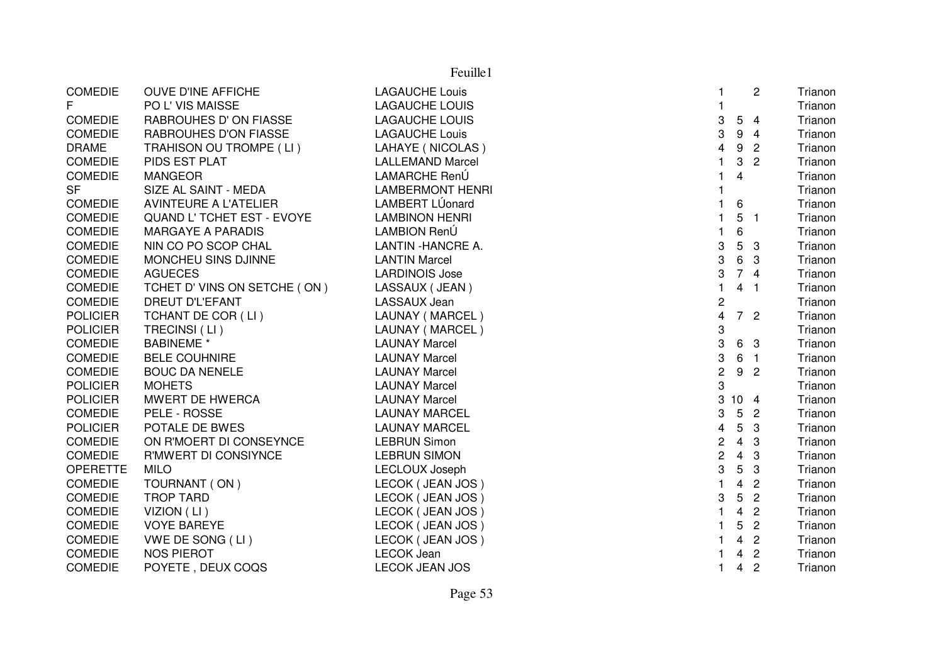|                 | Feuille1                          |                         |                         |                 |                |         |  |  |
|-----------------|-----------------------------------|-------------------------|-------------------------|-----------------|----------------|---------|--|--|
| <b>COMEDIE</b>  | OUVE D'INE AFFICHE                | <b>LAGAUCHE Louis</b>   |                         |                 | 2              | Trianon |  |  |
| F.              | PO L' VIS MAISSE                  | <b>LAGAUCHE LOUIS</b>   |                         |                 |                | Trianon |  |  |
| <b>COMEDIE</b>  | RABROUHES D'ON FIASSE             | <b>LAGAUCHE LOUIS</b>   | 3                       |                 | 54             | Trianon |  |  |
| <b>COMEDIE</b>  | RABROUHES D'ON FIASSE             | <b>LAGAUCHE Louis</b>   | 3                       | 9               | $\overline{4}$ | Trianon |  |  |
| <b>DRAME</b>    | TRAHISON OU TROMPE (LI)           | LAHAYE (NICOLAS)        | $\overline{\mathbf{4}}$ | 9               | $\overline{2}$ | Trianon |  |  |
| <b>COMEDIE</b>  | PIDS EST PLAT                     | <b>LALLEMAND Marcel</b> | $\mathbf{1}$            | 3               | $\overline{c}$ | Trianon |  |  |
| <b>COMEDIE</b>  | <b>MANGEOR</b>                    | LAMARCHE RenÚ           | $\mathbf{1}$            | $\overline{4}$  |                | Trianon |  |  |
| <b>SF</b>       | SIZE AL SAINT - MEDA              | <b>LAMBERMONT HENRI</b> |                         |                 |                | Trianon |  |  |
| <b>COMEDIE</b>  | <b>AVINTEURE A L'ATELIER</b>      | LAMBERT LÚonard         |                         | 6               |                | Trianon |  |  |
| <b>COMEDIE</b>  | <b>QUAND L' TCHET EST - EVOYE</b> | <b>LAMBINON HENRI</b>   | $\mathbf{1}$            | 5               | - 1            | Trianon |  |  |
| <b>COMEDIE</b>  | <b>MARGAYE A PARADIS</b>          | LAMBION RenÚ            | $\mathbf{1}$            | 6               |                | Trianon |  |  |
| <b>COMEDIE</b>  | NIN CO PO SCOP CHAL               | LANTIN - HANCRE A.      | 3                       | 5               | 3              | Trianon |  |  |
| <b>COMEDIE</b>  | MONCHEU SINS DJINNE               | <b>LANTIN Marcel</b>    | 3                       | 6               | 3              | Trianon |  |  |
| <b>COMEDIE</b>  | <b>AGUECES</b>                    | <b>LARDINOIS Jose</b>   | 3                       |                 | 74             | Trianon |  |  |
| <b>COMEDIE</b>  | TCHET D' VINS ON SETCHE (ON)      | LASSAUX (JEAN)          |                         |                 | 4 <sub>1</sub> | Trianon |  |  |
| <b>COMEDIE</b>  | <b>DREUT D'L'EFANT</b>            | LASSAUX Jean            | $\overline{\mathbf{c}}$ |                 |                | Trianon |  |  |
| <b>POLICIER</b> | TCHANT DE COR (LI)                | LAUNAY (MARCEL)         | $\overline{\mathbf{4}}$ |                 | 7 <sup>2</sup> | Trianon |  |  |
| <b>POLICIER</b> | TRECINSI (LI)                     | LAUNAY (MARCEL)         | 3                       |                 |                | Trianon |  |  |
| <b>COMEDIE</b>  | <b>BABINEME</b> *                 | <b>LAUNAY Marcel</b>    | 3                       |                 | 6 3            | Trianon |  |  |
| <b>COMEDIE</b>  | <b>BELE COUHNIRE</b>              | <b>LAUNAY Marcel</b>    | 3                       |                 | 6 <sub>1</sub> | Trianon |  |  |
| <b>COMEDIE</b>  | <b>BOUC DA NENELE</b>             | <b>LAUNAY Marcel</b>    | $\overline{c}$          |                 | 9 <sub>2</sub> | Trianon |  |  |
| <b>POLICIER</b> | <b>MOHETS</b>                     | <b>LAUNAY Marcel</b>    | 3                       |                 |                | Trianon |  |  |
| <b>POLICIER</b> | MWERT DE HWERCA                   | <b>LAUNAY Marcel</b>    | 3                       | 10 <sub>4</sub> |                | Trianon |  |  |
| COMEDIE         | PELE - ROSSE                      | <b>LAUNAY MARCEL</b>    | 3                       | 5 <sup>5</sup>  | $\overline{c}$ | Trianon |  |  |
| <b>POLICIER</b> | POTALE DE BWES                    | <b>LAUNAY MARCEL</b>    | $\overline{4}$          | 5               | 3              | Trianon |  |  |
| <b>COMEDIE</b>  | ON R'MOERT DI CONSEYNCE           | <b>LEBRUN Simon</b>     | $\overline{c}$          | $\overline{4}$  | 3              | Trianon |  |  |
| <b>COMEDIE</b>  | R'MWERT DI CONSIYNCE              | <b>LEBRUN SIMON</b>     | $\overline{c}$          | $\overline{4}$  | 3              | Trianon |  |  |
| <b>OPERETTE</b> | <b>MILO</b>                       | <b>LECLOUX Joseph</b>   | 3                       | 5               | 3              | Trianon |  |  |
| <b>COMEDIE</b>  | TOURNANT (ON)                     | LECOK (JEAN JOS)        | $\mathbf{1}$            | $\overline{4}$  | $\overline{c}$ | Trianon |  |  |
| <b>COMEDIE</b>  | <b>TROP TARD</b>                  | LECOK (JEAN JOS)        | 3                       | 5               | $\overline{c}$ | Trianon |  |  |
| <b>COMEDIE</b>  | VIZION (LI)                       | LECOK (JEAN JOS)        | $\mathbf{1}$            | $\overline{4}$  | $\overline{2}$ | Trianon |  |  |
| <b>COMEDIE</b>  | <b>VOYE BAREYE</b>                | LECOK (JEAN JOS)        | $\mathbf{1}$            | 5               | $\overline{2}$ | Trianon |  |  |
| <b>COMEDIE</b>  | VWE DE SONG (LI)                  | LECOK (JEAN JOS)        | 1                       | $\overline{4}$  | $\overline{2}$ | Trianon |  |  |
| <b>COMEDIE</b>  | <b>NOS PIEROT</b>                 | <b>LECOK Jean</b>       | 1                       | $\overline{4}$  | $\overline{2}$ | Trianon |  |  |
| <b>COMEDIE</b>  | POYETE, DEUX COQS                 | <b>LECOK JEAN JOS</b>   | $\mathbf{1}$            | $\overline{4}$  | $\overline{c}$ | Trianon |  |  |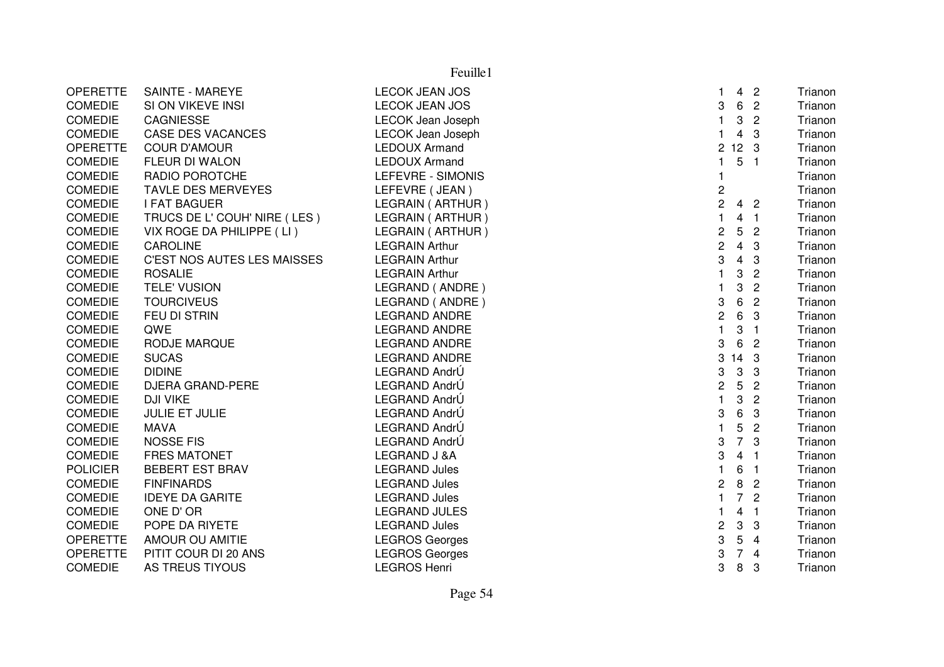|                 |                                    | Feuille1                 |                  |                 |                         |         |
|-----------------|------------------------------------|--------------------------|------------------|-----------------|-------------------------|---------|
| <b>OPERETTE</b> | <b>SAINTE - MAREYE</b>             | <b>LECOK JEAN JOS</b>    | $\mathbf{1}$     | 4               | $\overline{2}$          | Trianon |
| <b>COMEDIE</b>  | SI ON VIKEVE INSI                  | <b>LECOK JEAN JOS</b>    | 3                | 6               | $\overline{c}$          | Trianon |
| <b>COMEDIE</b>  | <b>CAGNIESSE</b>                   | <b>LECOK Jean Joseph</b> | $\mathbf{1}$     | 3               | $\overline{c}$          | Trianon |
| <b>COMEDIE</b>  | <b>CASE DES VACANCES</b>           | <b>LECOK Jean Joseph</b> | $\mathbf{1}$     | 4               | 3                       | Trianon |
| <b>OPERETTE</b> | <b>COUR D'AMOUR</b>                | <b>LEDOUX Armand</b>     | $\overline{c}$   | 12 <sup>3</sup> |                         | Trianon |
| <b>COMEDIE</b>  | FLEUR DI WALON                     | <b>LEDOUX Armand</b>     | $\mathbf{1}$     | 5               | $\blacksquare$ 1        | Trianon |
| <b>COMEDIE</b>  | RADIO POROTCHE                     | LEFEVRE - SIMONIS        |                  |                 |                         | Trianon |
| <b>COMEDIE</b>  | <b>TAVLE DES MERVEYES</b>          | LEFEVRE (JEAN)           | $\overline{c}$   |                 |                         | Trianon |
| <b>COMEDIE</b>  | <b>I FAT BAGUER</b>                | LEGRAIN ( ARTHUR )       | $\overline{c}$   |                 | 4 <sub>2</sub>          | Trianon |
| <b>COMEDIE</b>  | TRUCS DE L' COUH' NIRE (LES)       | LEGRAIN (ARTHUR)         | $\mathbf{1}$     | $\overline{4}$  | $\blacksquare$          | Trianon |
| <b>COMEDIE</b>  | VIX ROGE DA PHILIPPE (LI)          | LEGRAIN ( ARTHUR )       | $\overline{c}$   | 5               | $\overline{c}$          | Trianon |
| <b>COMEDIE</b>  | <b>CAROLINE</b>                    | <b>LEGRAIN Arthur</b>    | $\overline{2}$   | $\overline{4}$  | 3                       | Trianon |
| <b>COMEDIE</b>  | <b>C'EST NOS AUTES LES MAISSES</b> | <b>LEGRAIN Arthur</b>    | 3                | $\overline{4}$  | 3                       | Trianon |
| <b>COMEDIE</b>  | <b>ROSALIE</b>                     | <b>LEGRAIN Arthur</b>    | $\mathbf{1}$     | 3               | $\overline{2}$          | Trianon |
| <b>COMEDIE</b>  | <b>TELE' VUSION</b>                | LEGRAND (ANDRE)          | $\mathbf{1}$     | 3               | $\overline{2}$          | Trianon |
| <b>COMEDIE</b>  | <b>TOURCIVEUS</b>                  | LEGRAND (ANDRE)          | 3                | 6               | $\overline{2}$          | Trianon |
| <b>COMEDIE</b>  | FEU DI STRIN                       | <b>LEGRAND ANDRE</b>     | $\overline{c}$   | $\,6\,$         | $\mathbf{3}$            | Trianon |
| <b>COMEDIE</b>  | QWE                                | <b>LEGRAND ANDRE</b>     | $\mathbf{1}$     | 3               | $\overline{\mathbf{1}}$ | Trianon |
| <b>COMEDIE</b>  | RODJE MARQUE                       | <b>LEGRAND ANDRE</b>     | 3                | 6               | $\overline{2}$          | Trianon |
| <b>COMEDIE</b>  | <b>SUCAS</b>                       | <b>LEGRAND ANDRE</b>     | 3                | 14 <sub>3</sub> |                         | Trianon |
| <b>COMEDIE</b>  | <b>DIDINE</b>                      | LEGRAND AndrÚ            | 3                | $\mathbf{3}$    | 3                       | Trianon |
| <b>COMEDIE</b>  | <b>DJERA GRAND-PERE</b>            | LEGRAND AndrÚ            | $\boldsymbol{2}$ | $5\phantom{.0}$ | $\overline{c}$          | Trianon |
| <b>COMEDIE</b>  | <b>DJI VIKE</b>                    | LEGRAND AndrÚ            | $\mathbf{1}$     | 3               | $\sqrt{2}$              | Trianon |
| <b>COMEDIE</b>  | <b>JULIE ET JULIE</b>              | LEGRAND AndrÚ            | 3                | $\,6\,$         | 3                       | Trianon |
| <b>COMEDIE</b>  | <b>MAVA</b>                        | LEGRAND AndrÚ            | $\mathbf{1}$     | 5               | $\overline{2}$          | Trianon |
| <b>COMEDIE</b>  | <b>NOSSE FIS</b>                   | LEGRAND AndrÚ            | 3                | $\overline{7}$  | -3                      | Trianon |
| <b>COMEDIE</b>  | <b>FRES MATONET</b>                | LEGRAND J & A            | 3                | 4 <sub>1</sub>  |                         | Trianon |
| <b>POLICIER</b> | <b>BEBERT EST BRAV</b>             | <b>LEGRAND Jules</b>     | $\mathbf{1}$     | 6               | $\blacksquare$ 1        | Trianon |
| <b>COMEDIE</b>  | <b>FINFINARDS</b>                  | <b>LEGRAND Jules</b>     | $\overline{c}$   |                 | 8 2                     | Trianon |
| <b>COMEDIE</b>  | <b>IDEYE DA GARITE</b>             | <b>LEGRAND Jules</b>     | $\mathbf{1}$     | $\overline{7}$  | $\overline{2}$          | Trianon |
| <b>COMEDIE</b>  | ONE D'OR                           | <b>LEGRAND JULES</b>     | 1                | $\overline{4}$  | $\overline{\mathbf{1}}$ | Trianon |
| <b>COMEDIE</b>  | POPE DA RIYETE                     | <b>LEGRAND Jules</b>     | $\overline{c}$   | 3               | 3                       | Trianon |
| OPERETTE        | AMOUR OU AMITIE                    | <b>LEGROS Georges</b>    | 3                | 5               | $\overline{4}$          | Trianon |
| <b>OPERETTE</b> | PITIT COUR DI 20 ANS               | <b>LEGROS Georges</b>    | 3                | 74              |                         | Trianon |
| <b>COMEDIE</b>  | AS TREUS TIYOUS                    | <b>LEGROS Henri</b>      | 3                | 8               | 3                       | Trianon |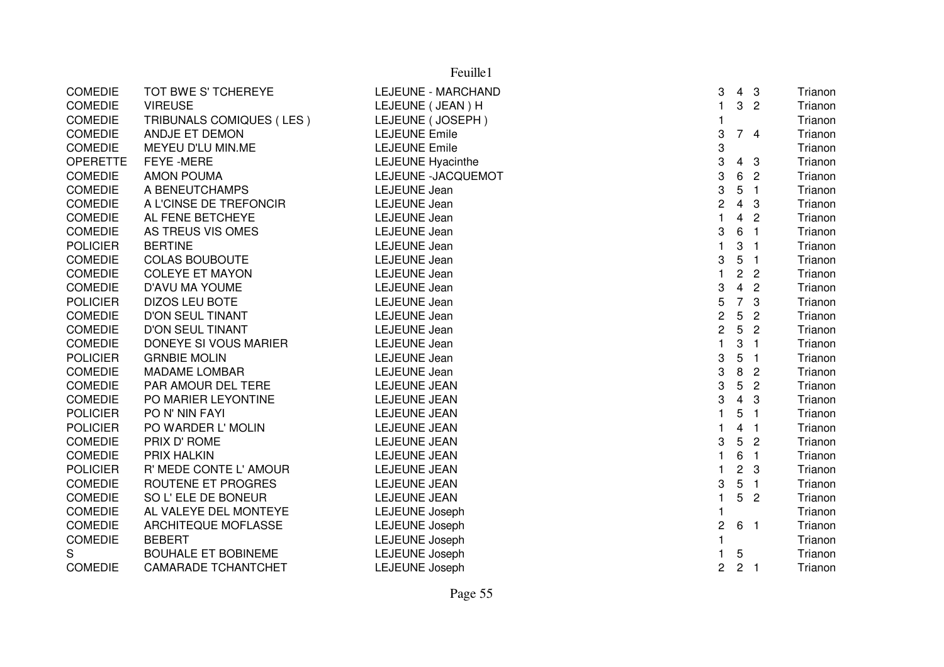|                 |                            | Feuille1                 |                         |                         |                |         |
|-----------------|----------------------------|--------------------------|-------------------------|-------------------------|----------------|---------|
| <b>COMEDIE</b>  | TOT BWE S' TCHEREYE        | LEJEUNE - MARCHAND       | 3                       |                         | 4 <sub>3</sub> | Trianon |
| <b>COMEDIE</b>  | <b>VIREUSE</b>             | LEJEUNE (JEAN) H         | $\mathbf{1}$            | $\mathbf{3}$            | $\overline{2}$ | Trianon |
| <b>COMEDIE</b>  | TRIBUNALS COMIQUES (LES)   | LEJEUNE (JOSEPH)         | 1                       |                         |                | Trianon |
| <b>COMEDIE</b>  | ANDJE ET DEMON             | <b>LEJEUNE Emile</b>     | 3                       |                         | 74             | Trianon |
| <b>COMEDIE</b>  | MEYEU D'LU MIN.ME          | <b>LEJEUNE Emile</b>     | 3                       |                         |                | Trianon |
| <b>OPERETTE</b> | FEYE - MERE                | <b>LEJEUNE Hyacinthe</b> | 3                       | 4                       | 3              | Trianon |
| <b>COMEDIE</b>  | <b>AMON POUMA</b>          | LEJEUNE -JACQUEMOT       | 3                       | 6                       | $\overline{2}$ | Trianon |
| <b>COMEDIE</b>  | A BENEUTCHAMPS             | <b>LEJEUNE</b> Jean      | 3                       | $\mathbf 5$             | $\overline{1}$ | Trianon |
| <b>COMEDIE</b>  | A L'CINSE DE TREFONCIR     | <b>LEJEUNE</b> Jean      | $\overline{\mathbf{c}}$ | $\overline{4}$          | $\mathbf{3}$   | Trianon |
| <b>COMEDIE</b>  | AL FENE BETCHEYE           | <b>LEJEUNE</b> Jean      | $\mathbf{1}$            | 4                       | $\overline{2}$ | Trianon |
| <b>COMEDIE</b>  | AS TREUS VIS OMES          | <b>LEJEUNE</b> Jean      | 3                       | 6                       | $\overline{1}$ | Trianon |
| <b>POLICIER</b> | <b>BERTINE</b>             | <b>LEJEUNE</b> Jean      | $\mathbf{1}$            | 3                       | $\mathbf{1}$   | Trianon |
| <b>COMEDIE</b>  | <b>COLAS BOUBOUTE</b>      | <b>LEJEUNE</b> Jean      | 3                       | 5                       | -1             | Trianon |
| <b>COMEDIE</b>  | <b>COLEYE ET MAYON</b>     | <b>LEJEUNE</b> Jean      | $\mathbf{1}$            | $\overline{c}$          | $\overline{2}$ | Trianon |
| <b>COMEDIE</b>  | D'AVU MA YOUME             | <b>LEJEUNE</b> Jean      | 3                       | $\overline{\mathbf{4}}$ | $\overline{c}$ | Trianon |
| <b>POLICIER</b> | <b>DIZOS LEU BOTE</b>      | <b>LEJEUNE</b> Jean      | 5                       | $\overline{7}$          | 3              | Trianon |
| <b>COMEDIE</b>  | <b>D'ON SEUL TINANT</b>    | <b>LEJEUNE</b> Jean      | 2                       | 5                       | $\overline{2}$ | Trianon |
| <b>COMEDIE</b>  | <b>D'ON SEUL TINANT</b>    | <b>LEJEUNE</b> Jean      | $\overline{c}$          | 5                       | $\overline{2}$ | Trianon |
| <b>COMEDIE</b>  | DONEYE SI VOUS MARIER      | <b>LEJEUNE</b> Jean      | $\mathbf{1}$            | 3                       | $\overline{1}$ | Trianon |
| <b>POLICIER</b> | <b>GRNBIE MOLIN</b>        | <b>LEJEUNE</b> Jean      | 3                       | 5                       | $\overline{1}$ | Trianon |
| <b>COMEDIE</b>  | <b>MADAME LOMBAR</b>       | <b>LEJEUNE</b> Jean      | 3                       | $\, 8$                  | $\overline{2}$ | Trianon |
| <b>COMEDIE</b>  | PAR AMOUR DEL TERE         | <b>LEJEUNE JEAN</b>      | 3                       | 5                       | $\overline{2}$ | Trianon |
| <b>COMEDIE</b>  | PO MARIER LEYONTINE        | LEJEUNE JEAN             | 3                       | $\overline{4}$          | 3              | Trianon |
| <b>POLICIER</b> | PO N' NIN FAYI             | LEJEUNE JEAN             |                         | 5                       | $\overline{1}$ | Trianon |
| <b>POLICIER</b> | PO WARDER L' MOLIN         | LEJEUNE JEAN             |                         | 4                       | $\overline{1}$ | Trianon |
| <b>COMEDIE</b>  | PRIX D' ROME               | <b>LEJEUNE JEAN</b>      | 3                       | 5                       | $\overline{2}$ | Trianon |
| <b>COMEDIE</b>  | PRIX HALKIN                | LEJEUNE JEAN             | 1                       | 6                       | $\overline{1}$ | Trianon |
| <b>POLICIER</b> | R' MEDE CONTE L' AMOUR     | <b>LEJEUNE JEAN</b>      | 1                       | $\overline{c}$          | 3              | Trianon |
| <b>COMEDIE</b>  | ROUTENE ET PROGRES         | <b>LEJEUNE JEAN</b>      | 3                       | 5                       | $\overline{1}$ | Trianon |
| <b>COMEDIE</b>  | SO L'ELE DE BONEUR         | LEJEUNE JEAN             | $\mathbf{1}$            | 5                       | $\overline{2}$ | Trianon |
| <b>COMEDIE</b>  | AL VALEYE DEL MONTEYE      | LEJEUNE Joseph           | 1                       |                         |                | Trianon |
| <b>COMEDIE</b>  | ARCHITEQUE MOFLASSE        | <b>LEJEUNE Joseph</b>    | 2                       | 6                       | $\overline{1}$ | Trianon |
| <b>COMEDIE</b>  | <b>BEBERT</b>              | <b>LEJEUNE Joseph</b>    | 1                       |                         |                | Trianon |
| S               | <b>BOUHALE ET BOBINEME</b> | <b>LEJEUNE Joseph</b>    | 1                       | 5                       |                | Trianon |
| <b>COMEDIE</b>  | <b>CAMARADE TCHANTCHET</b> | <b>LEJEUNE Joseph</b>    | $\overline{c}$          | 2 <sub>1</sub>          |                | Trianon |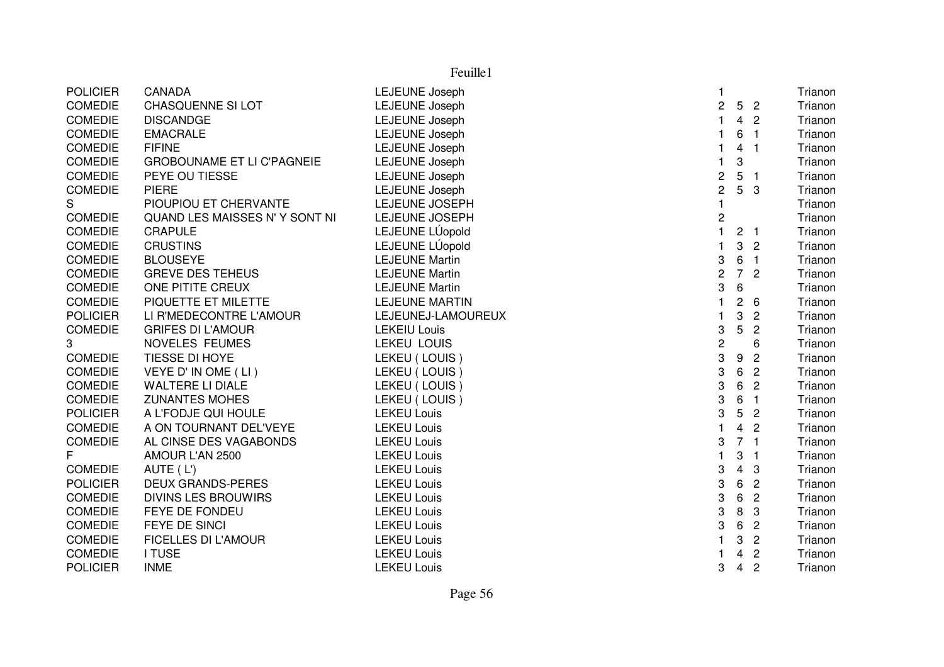| <b>POLICIER</b> | CANADA                            | LEJEUNE Joseph        | 1                |                |                  | Trianon |
|-----------------|-----------------------------------|-----------------------|------------------|----------------|------------------|---------|
| <b>COMEDIE</b>  | CHASQUENNE SI LOT                 | <b>LEJEUNE Joseph</b> | $\overline{c}$   |                | 5 <sub>2</sub>   | Trianon |
| <b>COMEDIE</b>  | <b>DISCANDGE</b>                  | <b>LEJEUNE Joseph</b> | 1                | $\overline{4}$ | $\overline{2}$   | Trianon |
| <b>COMEDIE</b>  | <b>EMACRALE</b>                   | <b>LEJEUNE Joseph</b> | 1                | 6              | $\blacksquare$   | Trianon |
| <b>COMEDIE</b>  | <b>FIFINE</b>                     | LEJEUNE Joseph        | 1                | $\overline{4}$ | $\blacksquare$   | Trianon |
| <b>COMEDIE</b>  | <b>GROBOUNAME ET LI C'PAGNEIE</b> | LEJEUNE Joseph        | $\mathbf{1}$     | 3              |                  | Trianon |
| <b>COMEDIE</b>  | PEYE OU TIESSE                    | LEJEUNE Joseph        | $\overline{c}$   | 5              | - 1              | Trianon |
| <b>COMEDIE</b>  | <b>PIERE</b>                      | LEJEUNE Joseph        | $\overline{c}$   |                | 5 <sub>3</sub>   | Trianon |
| S               | PIOUPIOU ET CHERVANTE             | LEJEUNE JOSEPH        | 1                |                |                  | Trianon |
| <b>COMEDIE</b>  | QUAND LES MAISSES N'Y SONT NI     | LEJEUNE JOSEPH        | $\boldsymbol{2}$ |                |                  | Trianon |
| <b>COMEDIE</b>  | <b>CRAPULE</b>                    | LEJEUNE LÚopold       | $\mathbf{1}$     |                | 2 <sub>1</sub>   | Trianon |
| <b>COMEDIE</b>  | <b>CRUSTINS</b>                   | LEJEUNE LÚopold       | $\mathbf{1}$     | 3              | $\overline{2}$   | Trianon |
| <b>COMEDIE</b>  | <b>BLOUSEYE</b>                   | <b>LEJEUNE Martin</b> | 3                | 6              | $\overline{1}$   | Trianon |
| <b>COMEDIE</b>  | <b>GREVE DES TEHEUS</b>           | <b>LEJEUNE Martin</b> | $\overline{c}$   | 7 <sup>7</sup> | $\overline{2}$   | Trianon |
| <b>COMEDIE</b>  | ONE PITITE CREUX                  | <b>LEJEUNE Martin</b> | 3                | 6              |                  | Trianon |
| <b>COMEDIE</b>  | PIQUETTE ET MILETTE               | <b>LEJEUNE MARTIN</b> | 1                | $\overline{c}$ | 6                | Trianon |
| <b>POLICIER</b> | LI R'MEDECONTRE L'AMOUR           | LEJEUNEJ-LAMOUREUX    | $\mathbf{1}$     | 3              | $\overline{2}$   | Trianon |
| <b>COMEDIE</b>  | <b>GRIFES DI L'AMOUR</b>          | <b>LEKEIU Louis</b>   | 3                | 5              | $\overline{2}$   | Trianon |
| 3               | NOVELES FEUMES                    | <b>LEKEU LOUIS</b>    | $\overline{c}$   |                | 6                | Trianon |
| <b>COMEDIE</b>  | TIESSE DI HOYE                    | LEKEU (LOUIS)         | 3                | 9              | $\overline{2}$   | Trianon |
| <b>COMEDIE</b>  | VEYE D' IN OME (LI)               | LEKEU (LOUIS)         | 3                | 6              | $\overline{c}$   | Trianon |
| <b>COMEDIE</b>  | <b>WALTERE LI DIALE</b>           | LEKEU (LOUIS)         | 3                | 6              | $\overline{2}$   | Trianon |
| <b>COMEDIE</b>  | <b>ZUNANTES MOHES</b>             | LEKEU (LOUIS)         | 3                | 6              | $\blacksquare$ 1 | Trianon |
| <b>POLICIER</b> | A L'FODJE QUI HOULE               | <b>LEKEU Louis</b>    | 3                | 5              | $\overline{2}$   | Trianon |
| <b>COMEDIE</b>  | A ON TOURNANT DEL'VEYE            | <b>LEKEU Louis</b>    | $\mathbf{1}$     | 4              | $\overline{c}$   | Trianon |
| <b>COMEDIE</b>  | AL CINSE DES VAGABONDS            | <b>LEKEU Louis</b>    | 3                |                | 7 <sub>1</sub>   | Trianon |
| F               | AMOUR L'AN 2500                   | <b>LEKEU Louis</b>    | $\mathbf{1}$     | 3              | -1               | Trianon |
| <b>COMEDIE</b>  | AUTE (L')                         | <b>LEKEU Louis</b>    | 3                | $\overline{4}$ | 3                | Trianon |
| <b>POLICIER</b> | <b>DEUX GRANDS-PERES</b>          | <b>LEKEU Louis</b>    | 3                | 6              | $\overline{c}$   | Trianon |
| <b>COMEDIE</b>  | <b>DIVINS LES BROUWIRS</b>        | <b>LEKEU Louis</b>    | 3                | 6              | $\overline{c}$   | Trianon |
| <b>COMEDIE</b>  | FEYE DE FONDEU                    | <b>LEKEU Louis</b>    | 3                | 8              | 3                | Trianon |
| <b>COMEDIE</b>  | FEYE DE SINCI                     | <b>LEKEU Louis</b>    | 3                | 6              | $\overline{2}$   | Trianon |
| <b>COMEDIE</b>  | <b>FICELLES DI L'AMOUR</b>        | <b>LEKEU Louis</b>    | $\mathbf{1}$     | 3              | $\overline{c}$   | Trianon |
| <b>COMEDIE</b>  | <b>I TUSE</b>                     | <b>LEKEU Louis</b>    | 1                | 4              | $\overline{2}$   | Trianon |
| <b>POLICIER</b> | <b>INME</b>                       | <b>LEKEU Louis</b>    | 3                | $\overline{4}$ | $\overline{2}$   | Trianon |
|                 |                                   |                       |                  |                |                  |         |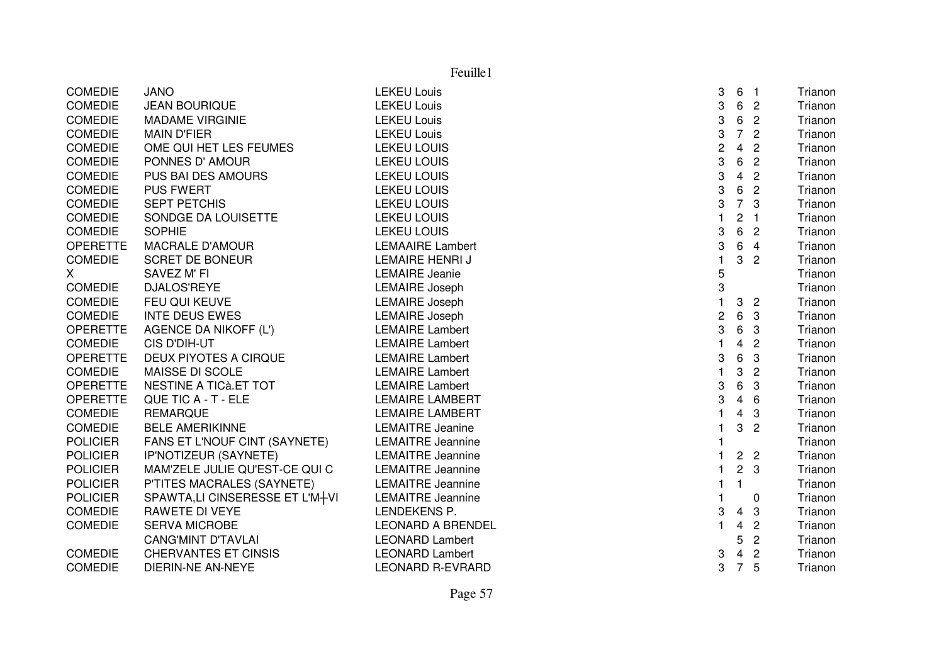COMEDIE JANO LEKEU Louis <sup>3</sup> <sup>6</sup> <sup>1</sup> Trianon COMEDIE JEAN BOURIQUE LEKEU Louiss and the contract of the contract of the contract of the contract of the contract of the contract of the contract of the contract of the contract of the contract of the contract of the contract of the contract of the cont Trianon COMEDIE MADAME VIRGINIE LEKEU Louiss and the contract of the contract of the contract of the contract of the contract of the contract of the contract of the contract of the contract of the contract of the contract of the contract of the contract of the cont Trianon COMEDIE MAIN D'FIER LEKEU Louiss and the set of the set of the set of the set of the set of the set of the set of the set of the set of the set of the set of the set of the set of the set of the set of the set of the set of the set of the set of the set Trianon COMEDIE OME QUI HET LES FEUMES LEKEU LOUIS <sup>2</sup> <sup>4</sup> <sup>2</sup> Trianon COMEDIE PONNES D' AMOUR LEKEU LOUIS <sup>3</sup> <sup>6</sup> <sup>2</sup> Trianon COMEDIE PUS BAI DES AMOURS LEKEU LOUIS <sup>3</sup> <sup>4</sup> <sup>2</sup> Trianon COMEDIE PUS FWERT COMEDIATION COMEDIE S<br>3 6 2 Trianon<br>2 7 2 Trianon COMEDIE SEPT PETCHIS LEKEU LOUIS <sup>3</sup> <sup>7</sup> <sup>3</sup> Trianon COMEDIE SONDGE DA LOUISETTE LEKEU LOUISs the contract of the contract of the contract of the contract of the contract of the contract of the contract<br>Contract of the contract of the contract of the contract of the contract of the contract of the contract of th COMEDIE SOPHIE LEKEU LOUIS <sup>3</sup> <sup>6</sup> <sup>2</sup> Trianon OPERETTE MACRALE D'AMOUR LEMAAIRE Lambert 3 6 <sup>4</sup> TrianonTrianon COMEDIE SCRET DE BONEUR LEMAIRE HENRI J <sup>1</sup> <sup>3</sup> <sup>2</sup> TrianonTrianon X SAVEZ M' FI CHANNE Jeanie <sup>5</sup> Trianon COMEDIE DJALOS'REYE LEMAIRE Joseph h anns an t-ìreann an t-ìreann an t-ìreann an t-ìreann an t-ìreann an t-ìreann an t-ìreann an t-ìreann an t-ìr<br>Iomraidhean COMEDIE FEU QUI KEUVE LEMAIRE Joseph h 1 3 2 Trianon 1 3 2 Trianon 1 3 2 Trianon 1 3 2 Trianon 1 3 2 Trianon 1 3 2 Trianon 1 3 2 Trianon 1 1 3 2 Tri COMEDIE INTE DEUS EWES LEMAIRE Joseph <sup>2</sup> <sup>6</sup> <sup>3</sup> Trianon OPERETTE AGENCE DA NIKOFF (L') LEMAIRE Lambert 3 6 3 TrianonTrianon COMEDIE CIS D'DIH-UT LEMAIRE Lambert <sup>1</sup> <sup>4</sup> <sup>2</sup> TrianonTrianon OPERETTE DEUX PIYOTES A CIRQUE LEMAIRE Lambert 2 0 1 ACC 2 3 6 3 Trianon 1 Acc 2 Trianon 1 Acc 2 6 3 Trianon 1 Trianon COMEDIE MAISSE DI SCOLE LEMAIRE Lambert <sup>1</sup> 3 <sup>2</sup> TrianonTrianon OPERETTE NESTINE A TICà.ET TOT LEMAIRE Lambert CHEMENTE NESTINE A TICà.ET TOT Trianon OPERETTE QUE TIC A - T - ELE LEMAIRE LAMBERT <sup>3</sup> <sup>4</sup> <sup>6</sup> Trianon COMEDIE REMARQUE <br>COMEDIE BELE AMERIKINNE LEMAITRE Jeanine <sup>1</sup> <sup>4</sup> <sup>3</sup> Trianon BELE AMERIKINNE LEMAITRE Jeanine e 1 3 2 Trianon POLICIER FANS ET L'NOUF CINT (SAYNETE) LEMAITRE Jeanninee the contract of the contract of the contract of the contract of the contract of the contract of the contract<br>The contract of the contract of the contract of the contract of the contract of the contract of the contract o POLICIER IP'NOTIZEUR (SAYNETE) LEMAITRE Jeannine e 1 2 2 Trianon POLICIER MAM'ZELE JULIE QU'EST-CE QUI C<br>
LEMAITRE Jeannine e 1 2 3 Trianon POLICIER P'TITES MACRALES (SAYNETE) LEMAITRE Jeannine<br>POLICIER SPAWTA,LI CINSERESSE ET L'M+VI LEMAITRE Jeannine <sup>1</sup> <sup>1</sup> Trianon POLICIER SPAWTA,LI CINSERESSE ET L'M+VI LEMAITRE Jeannine<br>COMEDIE RAWETE DI VEYE LENDEKENS P. <sup>1</sup> <sup>0</sup> Trianon COMEDIE RAWETE DI VEYE LENDEKENS P. 3 <sup>4</sup> 3 TrianonTrianon COMEDIE SERVA MICROBE LEONARD A BRENDEL <sup>1</sup> <sup>4</sup> <sup>2</sup> Trianon CANG'MINT D'TAVLAI LEONARD Lambert 5 <sup>2</sup> TrianonTrianon COMEDIE CHERVANTES ET CINSIS LEONARD Lambert 3 <sup>4</sup> <sup>2</sup> TrianonTrianon COMEDIE DIERIN-NE AN-NEYE LEONARD R-EVRARDD 3 7 5 Trianon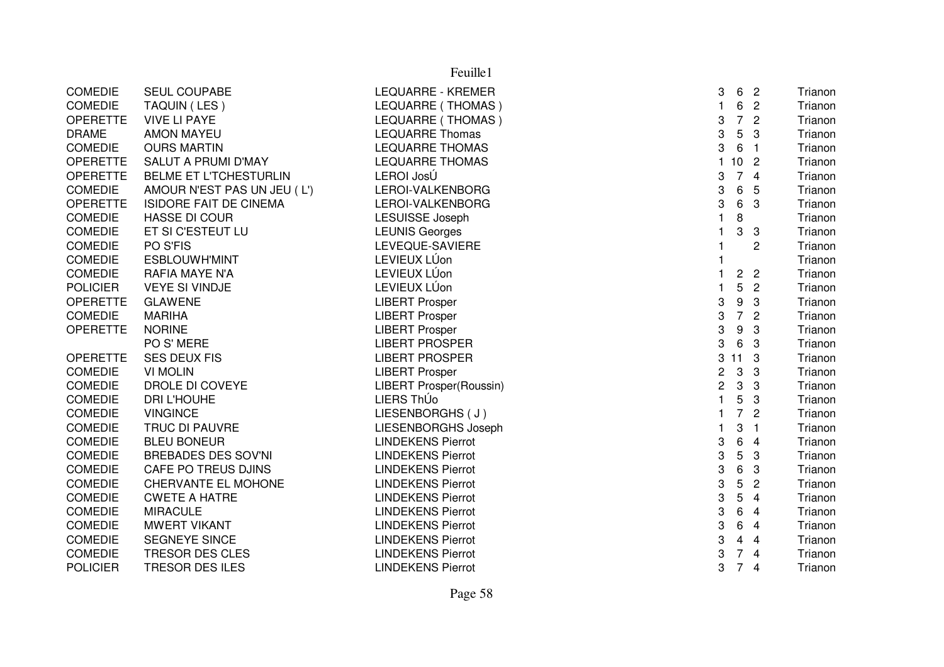|                 | Feuille1                      |                                |                |                           |                          |         |  |  |
|-----------------|-------------------------------|--------------------------------|----------------|---------------------------|--------------------------|---------|--|--|
| <b>COMEDIE</b>  | SEUL COUPABE                  | LEQUARRE - KREMER              | 3              | 6                         | $\overline{\phantom{a}}$ | Trianon |  |  |
| <b>COMEDIE</b>  | TAQUIN (LES)                  | LEQUARRE (THOMAS)              | $\mathbf{1}$   | 6                         | $\overline{2}$           | Trianon |  |  |
| <b>OPERETTE</b> | <b>VIVE LI PAYE</b>           | LEQUARRE (THOMAS)              | 3              | $\overline{7}$            | $\overline{2}$           | Trianon |  |  |
| <b>DRAME</b>    | <b>AMON MAYEU</b>             | <b>LEQUARRE Thomas</b>         | 3              | 5                         | 3                        | Trianon |  |  |
| <b>COMEDIE</b>  | <b>OURS MARTIN</b>            | <b>LEQUARRE THOMAS</b>         | 3              | 6                         | $\overline{1}$           | Trianon |  |  |
| <b>OPERETTE</b> | SALUT A PRUMI D'MAY           | <b>LEQUARRE THOMAS</b>         |                | 10 <sub>2</sub>           |                          | Trianon |  |  |
| <b>OPERETTE</b> | <b>BELME ET L'TCHESTURLIN</b> | LEROI JosÚ                     | 3              | $\overline{7}$            | $\overline{4}$           | Trianon |  |  |
| <b>COMEDIE</b>  | AMOUR N'EST PAS UN JEU (L')   | LEROI-VALKENBORG               | 3              | 6                         | 5                        | Trianon |  |  |
| <b>OPERETTE</b> | <b>ISIDORE FAIT DE CINEMA</b> | LEROI-VALKENBORG               | 3              | 6                         | 3                        | Trianon |  |  |
| <b>COMEDIE</b>  | <b>HASSE DI COUR</b>          | <b>LESUISSE Joseph</b>         | 1              | $\bf 8$                   |                          | Trianon |  |  |
| <b>COMEDIE</b>  | ET SI C'ESTEUT LU             | <b>LEUNIS Georges</b>          |                | 3                         | -3                       | Trianon |  |  |
| <b>COMEDIE</b>  | PO S'FIS                      | LEVEQUE-SAVIERE                |                |                           | $\overline{c}$           | Trianon |  |  |
| <b>COMEDIE</b>  | ESBLOUWH'MINT                 | LEVIEUX LÚon                   |                |                           |                          | Trianon |  |  |
| COMEDIE         | RAFIA MAYE N'A                | LEVIEUX LÚon                   | $\mathbf{1}$   | $\overline{2}$            | $\overline{c}$           | Trianon |  |  |
| <b>POLICIER</b> | <b>VEYE SI VINDJE</b>         | LEVIEUX LÚon                   |                | 5                         | $\overline{2}$           | Trianon |  |  |
| <b>OPERETTE</b> | <b>GLAWENE</b>                | <b>LIBERT Prosper</b>          | 3              | 9                         | 3                        | Trianon |  |  |
| <b>COMEDIE</b>  | <b>MARIHA</b>                 | <b>LIBERT Prosper</b>          | 3              | $\overline{7}$            | $\overline{2}$           | Trianon |  |  |
| <b>OPERETTE</b> | <b>NORINE</b>                 | <b>LIBERT Prosper</b>          | 3              | 9                         | 3                        | Trianon |  |  |
|                 | PO S' MERE                    | <b>LIBERT PROSPER</b>          | 3              | 6                         | 3                        | Trianon |  |  |
| <b>OPERETTE</b> | <b>SES DEUX FIS</b>           | <b>LIBERT PROSPER</b>          | 3              | 11                        | 3                        | Trianon |  |  |
| <b>COMEDIE</b>  | <b>VI MOLIN</b>               | <b>LIBERT Prosper</b>          | $\overline{c}$ | 3                         | 3                        | Trianon |  |  |
| <b>COMEDIE</b>  | DROLE DI COVEYE               | <b>LIBERT Prosper(Roussin)</b> | $\overline{c}$ | $\boldsymbol{\mathrm{3}}$ | 3                        | Trianon |  |  |
| <b>COMEDIE</b>  | <b>DRI L'HOUHE</b>            | LIERS ThÚo                     | $\mathbf{1}$   | 5                         | 3                        | Trianon |  |  |
| <b>COMEDIE</b>  | <b>VINGINCE</b>               | LIESENBORGHS (J)               | $\mathbf{1}$   | $\overline{7}$            | $\overline{2}$           | Trianon |  |  |
| <b>COMEDIE</b>  | TRUC DI PAUVRE                | LIESENBORGHS Joseph            |                | 3                         | $\overline{1}$           | Trianon |  |  |
| <b>COMEDIE</b>  | <b>BLEU BONEUR</b>            | <b>LINDEKENS Pierrot</b>       | 3              | 6                         | $\overline{4}$           | Trianon |  |  |
| <b>COMEDIE</b>  | <b>BREBADES DES SOV'NI</b>    | <b>LINDEKENS Pierrot</b>       | 3              | 5                         | 3                        | Trianon |  |  |
| <b>COMEDIE</b>  | CAFE PO TREUS DJINS           | <b>LINDEKENS Pierrot</b>       | 3              | 6                         | 3                        | Trianon |  |  |
| <b>COMEDIE</b>  | CHERVANTE EL MOHONE           | <b>LINDEKENS Pierrot</b>       | 3              | $\sqrt{5}$                | $\overline{2}$           | Trianon |  |  |
| <b>COMEDIE</b>  | <b>CWETE A HATRE</b>          | <b>LINDEKENS Pierrot</b>       | 3              | 5                         | 4                        | Trianon |  |  |
| <b>COMEDIE</b>  | <b>MIRACULE</b>               | <b>LINDEKENS Pierrot</b>       | 3              | 6                         | $\overline{4}$           | Trianon |  |  |
| <b>COMEDIE</b>  | <b>MWERT VIKANT</b>           | <b>LINDEKENS Pierrot</b>       | 3              | 6                         | $\overline{4}$           | Trianon |  |  |
| <b>COMEDIE</b>  | SEGNEYE SINCE                 | <b>LINDEKENS Pierrot</b>       | 3              | 4                         | $\overline{4}$           | Trianon |  |  |
| <b>COMEDIE</b>  | TRESOR DES CLES               | <b>LINDEKENS Pierrot</b>       | 3              | $\overline{7}$            | $\overline{4}$           | Trianon |  |  |
| <b>POLICIER</b> | <b>TRESOR DES ILES</b>        | <b>LINDEKENS Pierrot</b>       | 3              | $\overline{7}$            | $\overline{4}$           | Trianon |  |  |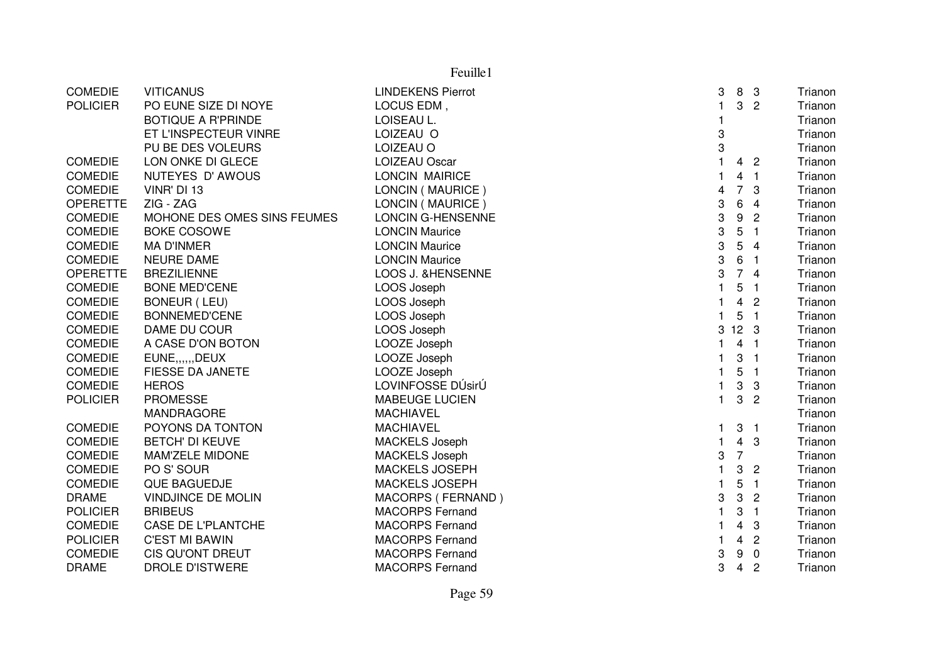|                 | Feuille1                    |                          |                |                 |                          |         |  |  |
|-----------------|-----------------------------|--------------------------|----------------|-----------------|--------------------------|---------|--|--|
| <b>COMEDIE</b>  | <b>VITICANUS</b>            | <b>LINDEKENS Pierrot</b> | 3              | 8               | - 3                      | Trianon |  |  |
| <b>POLICIER</b> | PO EUNE SIZE DI NOYE        | LOCUS EDM,               | $\mathbf{1}$   | 3               | $\overline{2}$           | Trianon |  |  |
|                 | <b>BOTIQUE A R'PRINDE</b>   | LOISEAU L.               | 1              |                 |                          | Trianon |  |  |
|                 | ET L'INSPECTEUR VINRE       | LOIZEAU O                | 3              |                 |                          | Trianon |  |  |
|                 | PU BE DES VOLEURS           | LOIZEAU O                | 3              |                 |                          | Trianon |  |  |
| <b>COMEDIE</b>  | LON ONKE DI GLECE           | <b>LOIZEAU Oscar</b>     | $\mathbf{1}$   | 4               | $\overline{2}$           | Trianon |  |  |
| <b>COMEDIE</b>  | NUTEYES D'AWOUS             | <b>LONCIN MAIRICE</b>    |                | 4               | $\blacksquare$           | Trianon |  |  |
| <b>COMEDIE</b>  | VINR' DI 13                 | LONCIN (MAURICE)         | 4              | $\overline{7}$  | 3                        | Trianon |  |  |
| <b>OPERETTE</b> | ZIG - ZAG                   | LONCIN (MAURICE)         | 3              | $\,6$           | $\overline{4}$           | Trianon |  |  |
| <b>COMEDIE</b>  | MOHONE DES OMES SINS FEUMES | <b>LONCIN G-HENSENNE</b> | 3              | 9               | $\overline{2}$           | Trianon |  |  |
| <b>COMEDIE</b>  | <b>BOKE COSOWE</b>          | <b>LONCIN Maurice</b>    | 3              | 5               | $\overline{1}$           | Trianon |  |  |
| <b>COMEDIE</b>  | <b>MA D'INMER</b>           | <b>LONCIN Maurice</b>    | 3              | 5               | $\overline{4}$           | Trianon |  |  |
| <b>COMEDIE</b>  | <b>NEURE DAME</b>           | <b>LONCIN Maurice</b>    | 3              | $\,6$           | $\blacksquare$           | Trianon |  |  |
| <b>OPERETTE</b> | <b>BREZILIENNE</b>          | LOOS J. &HENSENNE        | 3              | $\overline{7}$  | $\overline{4}$           | Trianon |  |  |
| <b>COMEDIE</b>  | <b>BONE MED'CENE</b>        | LOOS Joseph              | 1              | 5               | $\overline{\phantom{1}}$ | Trianon |  |  |
| <b>COMEDIE</b>  | <b>BONEUR (LEU)</b>         | LOOS Joseph              | $\blacksquare$ | $\overline{4}$  | $\overline{c}$           | Trianon |  |  |
| <b>COMEDIE</b>  | <b>BONNEMED'CENE</b>        | LOOS Joseph              | $\mathbf{1}$   | 5               | $\overline{1}$           | Trianon |  |  |
| <b>COMEDIE</b>  | DAME DU COUR                | LOOS Joseph              | 3              | 12 <sup>3</sup> |                          | Trianon |  |  |
| <b>COMEDIE</b>  | A CASE D'ON BOTON           | LOOZE Joseph             | $\mathbf{1}$   |                 | 4 <sub>1</sub>           | Trianon |  |  |
| <b>COMEDIE</b>  | EUNE,,,,,,DEUX              | LOOZE Joseph             | $\mathbf{1}$   | 3               | $\blacksquare$           | Trianon |  |  |
| <b>COMEDIE</b>  | FIESSE DA JANETE            | LOOZE Joseph             | $\mathbf{1}$   | 5               | $\overline{1}$           | Trianon |  |  |
| <b>COMEDIE</b>  | <b>HEROS</b>                | LOVINFOSSE DÚsirÚ        | 1              | 3               | 3                        | Trianon |  |  |
| <b>POLICIER</b> | <b>PROMESSE</b>             | <b>MABEUGE LUCIEN</b>    | $\mathbf{1}$   | 3               | $\overline{2}$           | Trianon |  |  |
|                 | MANDRAGORE                  | <b>MACHIAVEL</b>         |                |                 |                          | Trianon |  |  |
| <b>COMEDIE</b>  | POYONS DA TONTON            | <b>MACHIAVEL</b>         | 1.             |                 | 3 <sub>1</sub>           | Trianon |  |  |
| <b>COMEDIE</b>  | <b>BETCH' DI KEUVE</b>      | <b>MACKELS Joseph</b>    | 1              |                 | 4 <sub>3</sub>           | Trianon |  |  |
| <b>COMEDIE</b>  | MAM'ZELE MIDONE             | <b>MACKELS Joseph</b>    | 3              | $\overline{7}$  |                          | Trianon |  |  |
| <b>COMEDIE</b>  | PO S' SOUR                  | <b>MACKELS JOSEPH</b>    | $\mathbf{1}$   | 3               | $\overline{2}$           | Trianon |  |  |
| <b>COMEDIE</b>  | QUE BAGUEDJE                | <b>MACKELS JOSEPH</b>    | 1              | 5               | $\overline{1}$           | Trianon |  |  |
| <b>DRAME</b>    | <b>VINDJINCE DE MOLIN</b>   | MACORPS (FERNAND)        | 3              | 3               | $\overline{2}$           | Trianon |  |  |
| <b>POLICIER</b> | <b>BRIBEUS</b>              | <b>MACORPS Fernand</b>   | $\mathbf{1}$   | 3               | $\overline{1}$           | Trianon |  |  |
| <b>COMEDIE</b>  | <b>CASE DE L'PLANTCHE</b>   | <b>MACORPS Fernand</b>   |                | 4               | 3                        | Trianon |  |  |
| <b>POLICIER</b> | <b>C'EST MI BAWIN</b>       | <b>MACORPS Fernand</b>   |                | 4               | $\overline{c}$           | Trianon |  |  |
| <b>COMEDIE</b>  | <b>CIS QU'ONT DREUT</b>     | <b>MACORPS Fernand</b>   | 3              | 9               | $\mathbf 0$              | Trianon |  |  |
| <b>DRAME</b>    | <b>DROLE D'ISTWERE</b>      | <b>MACORPS Fernand</b>   | 3              | $\overline{4}$  | $\overline{2}$           | Trianon |  |  |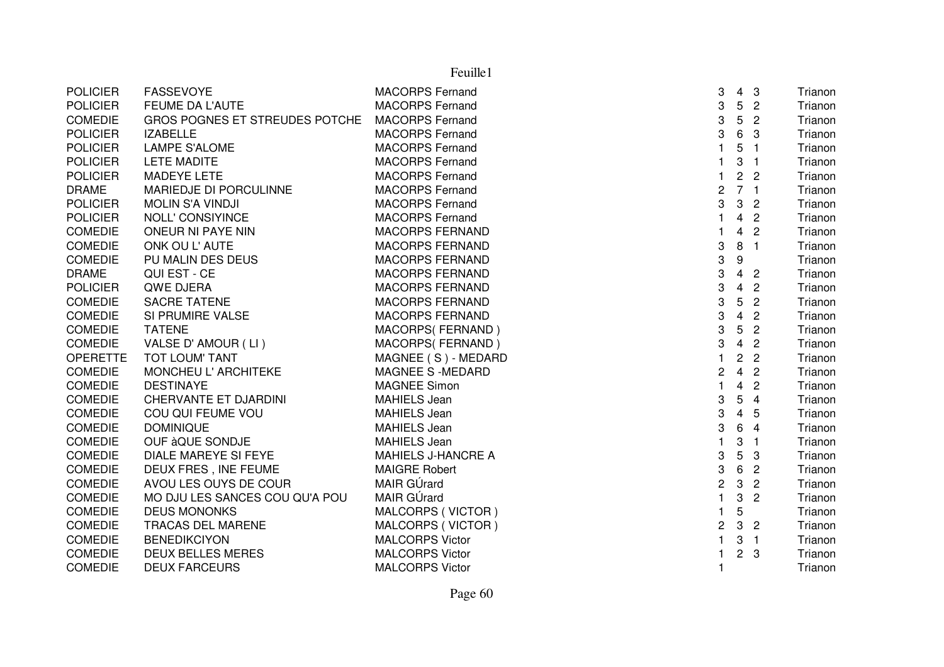| <b>POLICIER</b> | <b>FASSEVOYE</b>               | <b>MACORPS Fernand</b>    | 3                       | $4 \quad 3$     |                | Trianon |
|-----------------|--------------------------------|---------------------------|-------------------------|-----------------|----------------|---------|
| <b>POLICIER</b> | FEUME DA L'AUTE                | <b>MACORPS Fernand</b>    | 3                       | 5               | $\overline{2}$ | Trianon |
| <b>COMEDIE</b>  | GROS POGNES ET STREUDES POTCHE | <b>MACORPS Fernand</b>    | 3                       | $5\phantom{.0}$ | $\overline{2}$ | Trianon |
| <b>POLICIER</b> | <b>IZABELLE</b>                | <b>MACORPS Fernand</b>    | 3                       | $6\phantom{.}6$ | -3             | Trianon |
| <b>POLICIER</b> | <b>LAMPE S'ALOME</b>           | <b>MACORPS Fernand</b>    |                         | 5               | $\mathbf{1}$   | Trianon |
| <b>POLICIER</b> | <b>LETE MADITE</b>             | <b>MACORPS Fernand</b>    |                         | 3               | $\overline{1}$ | Trianon |
| <b>POLICIER</b> | <b>MADEYE LETE</b>             | <b>MACORPS Fernand</b>    | 1                       | 2 <sub>2</sub>  |                | Trianon |
| <b>DRAME</b>    | MARIEDJE DI PORCULINNE         | <b>MACORPS Fernand</b>    | 2                       | 7 <sub>1</sub>  |                | Trianon |
| <b>POLICIER</b> | <b>MOLIN S'A VINDJI</b>        | <b>MACORPS Fernand</b>    | 3                       | $\mathbf{3}$    | $\overline{2}$ | Trianon |
| <b>POLICIER</b> | <b>NOLL' CONSIYINCE</b>        | <b>MACORPS Fernand</b>    | 1                       | 4               | $\overline{2}$ | Trianon |
| <b>COMEDIE</b>  | ONEUR NI PAYE NIN              | <b>MACORPS FERNAND</b>    |                         | 4               | $\overline{c}$ | Trianon |
| <b>COMEDIE</b>  | ONK OU L'AUTE                  | <b>MACORPS FERNAND</b>    | 3                       | 8               | $\mathbf{1}$   | Trianon |
| <b>COMEDIE</b>  | PU MALIN DES DEUS              | <b>MACORPS FERNAND</b>    | 3                       | 9               |                | Trianon |
| <b>DRAME</b>    | QUI EST - CE                   | <b>MACORPS FERNAND</b>    | 3                       | $\overline{4}$  | $\overline{2}$ | Trianon |
| <b>POLICIER</b> | QWE DJERA                      | <b>MACORPS FERNAND</b>    | 3                       | $\overline{4}$  | $\overline{c}$ | Trianon |
| <b>COMEDIE</b>  | <b>SACRE TATENE</b>            | <b>MACORPS FERNAND</b>    | 3                       | 5               | $\overline{c}$ | Trianon |
| <b>COMEDIE</b>  | SI PRUMIRE VALSE               | <b>MACORPS FERNAND</b>    | 3                       | $\overline{4}$  | $\overline{2}$ | Trianon |
| <b>COMEDIE</b>  | <b>TATENE</b>                  | MACORPS(FERNAND)          | 3                       | $5\phantom{.0}$ | $\overline{c}$ | Trianon |
| <b>COMEDIE</b>  | VALSE D'AMOUR (LI)             | MACORPS(FERNAND)          | 3                       | 4 <sub>2</sub>  |                | Trianon |
| <b>OPERETTE</b> | TOT LOUM' TANT                 | MAGNEE (S) - MEDARD       | 1                       | $\overline{2}$  | $\overline{c}$ | Trianon |
| <b>COMEDIE</b>  | MONCHEU L'ARCHITEKE            | <b>MAGNEE S-MEDARD</b>    | $\overline{c}$          | 4 <sub>2</sub>  |                | Trianon |
| <b>COMEDIE</b>  | <b>DESTINAYE</b>               | <b>MAGNEE Simon</b>       | $\mathbf{1}$            | $\overline{4}$  | $\overline{c}$ | Trianon |
| <b>COMEDIE</b>  | CHERVANTE ET DJARDINI          | <b>MAHIELS Jean</b>       | 3                       | $5\phantom{.0}$ | $\overline{4}$ | Trianon |
| <b>COMEDIE</b>  | COU QUI FEUME VOU              | <b>MAHIELS Jean</b>       | 3                       | $\overline{4}$  | 5              | Trianon |
| <b>COMEDIE</b>  | <b>DOMINIQUE</b>               | <b>MAHIELS Jean</b>       | 3                       | $6\phantom{1}$  | $\overline{4}$ | Trianon |
| <b>COMEDIE</b>  | OUF àQUE SONDJE                | <b>MAHIELS Jean</b>       |                         | 3               | $\mathbf{1}$   | Trianon |
| <b>COMEDIE</b>  | <b>DIALE MAREYE SI FEYE</b>    | <b>MAHIELS J-HANCRE A</b> | 3                       | 5               | 3              | Trianon |
| <b>COMEDIE</b>  | DEUX FRES, INE FEUME           | <b>MAIGRE Robert</b>      | 3                       | 6               | $\overline{c}$ | Trianon |
| <b>COMEDIE</b>  | AVOU LES OUYS DE COUR          | MAIR GÚrard               | $\overline{c}$          | 3               | $\overline{2}$ | Trianon |
| <b>COMEDIE</b>  | MO DJU LES SANCES COU QU'A POU | MAIR GÚrard               | $\mathbf{1}$            | $\mathbf{3}$    | $\overline{c}$ | Trianon |
| <b>COMEDIE</b>  | <b>DEUS MONONKS</b>            | MALCORPS (VICTOR)         | 1                       | 5               |                | Trianon |
| <b>COMEDIE</b>  | TRACAS DEL MARENE              | MALCORPS (VICTOR)         | $\overline{\mathbf{c}}$ | 3 <sub>2</sub>  |                | Trianon |
| <b>COMEDIE</b>  | <b>BENEDIKCIYON</b>            | <b>MALCORPS Victor</b>    |                         | 3               | $\mathbf{1}$   | Trianon |
| <b>COMEDIE</b>  | <b>DEUX BELLES MERES</b>       | <b>MALCORPS Victor</b>    |                         | 2 <sub>3</sub>  |                | Trianon |
| <b>COMEDIE</b>  | <b>DEUX FARCEURS</b>           | <b>MALCORPS Victor</b>    | 1                       |                 |                | Trianon |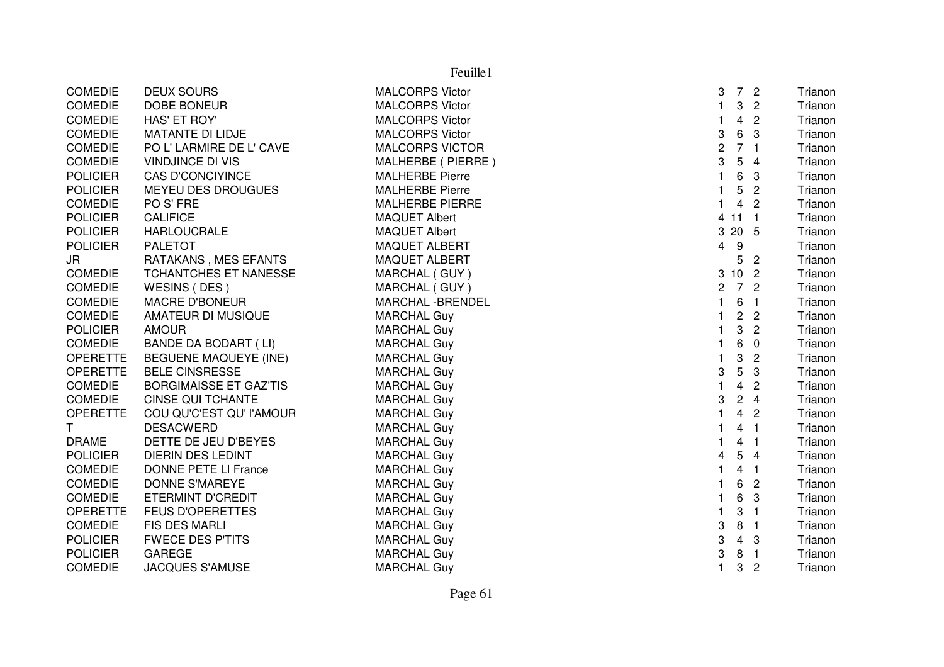|                 | Feuille1                      |                        |                         |                |                |         |  |  |
|-----------------|-------------------------------|------------------------|-------------------------|----------------|----------------|---------|--|--|
| <b>COMEDIE</b>  | <b>DEUX SOURS</b>             | <b>MALCORPS Victor</b> | 3                       |                | 7 <sup>2</sup> | Trianon |  |  |
| <b>COMEDIE</b>  | <b>DOBE BONEUR</b>            | <b>MALCORPS Victor</b> | $\mathbf{1}$            | 3              | $\overline{2}$ | Trianon |  |  |
| <b>COMEDIE</b>  | HAS' ET ROY'                  | <b>MALCORPS Victor</b> | $\mathbf{1}$            | 4              | $\overline{2}$ | Trianon |  |  |
| <b>COMEDIE</b>  | MATANTE DI LIDJE              | <b>MALCORPS Victor</b> | 3                       | 6              | 3              | Trianon |  |  |
| <b>COMEDIE</b>  | PO L' LARMIRE DE L' CAVE      | <b>MALCORPS VICTOR</b> | $\overline{c}$          |                | 7 <sub>1</sub> | Trianon |  |  |
| <b>COMEDIE</b>  | <b>VINDJINCE DI VIS</b>       | MALHERBE ( PIERRE )    | 3                       | 5              | $\overline{4}$ | Trianon |  |  |
| <b>POLICIER</b> | <b>CAS D'CONCIYINCE</b>       | <b>MALHERBE Pierre</b> | $\mathbf{1}$            | 6              | 3              | Trianon |  |  |
| <b>POLICIER</b> | MEYEU DES DROUGUES            | <b>MALHERBE Pierre</b> | 1                       | 5              | $\overline{2}$ | Trianon |  |  |
| <b>COMEDIE</b>  | PO S' FRE                     | <b>MALHERBE PIERRE</b> | 1                       | $\overline{4}$ | $\overline{c}$ | Trianon |  |  |
| <b>POLICIER</b> | <b>CALIFICE</b>               | <b>MAQUET Albert</b>   |                         | 4 11 1         |                | Trianon |  |  |
| <b>POLICIER</b> | <b>HARLOUCRALE</b>            | <b>MAQUET Albert</b>   |                         | 3 20 5         |                | Trianon |  |  |
| <b>POLICIER</b> | <b>PALETOT</b>                | <b>MAQUET ALBERT</b>   | $\overline{4}$          | $9\,$          |                | Trianon |  |  |
| JR              | RATAKANS, MES EFANTS          | <b>MAQUET ALBERT</b>   |                         | 5              | $\overline{2}$ | Trianon |  |  |
| <b>COMEDIE</b>  | TCHANTCHES ET NANESSE         | MARCHAL (GUY)          |                         | 3 10 2         |                | Trianon |  |  |
| <b>COMEDIE</b>  | WESINS (DES)                  | MARCHAL (GUY)          | $\overline{2}$          |                | 7 <sup>2</sup> | Trianon |  |  |
| <b>COMEDIE</b>  | <b>MACRE D'BONEUR</b>         | MARCHAL - BRENDEL      | $\mathbf{1}$            | 6              | $\blacksquare$ | Trianon |  |  |
| <b>COMEDIE</b>  | AMATEUR DI MUSIQUE            | <b>MARCHAL Guy</b>     | $\mathbf{1}$            |                | 2 <sub>2</sub> | Trianon |  |  |
| <b>POLICIER</b> | <b>AMOUR</b>                  | <b>MARCHAL Guy</b>     | $\mathbf{1}$            | 3              | $\overline{2}$ | Trianon |  |  |
| <b>COMEDIE</b>  | <b>BANDE DA BODART (LI)</b>   | <b>MARCHAL Guy</b>     | $\mathbf{1}$            | 6              | $\overline{0}$ | Trianon |  |  |
| <b>OPERETTE</b> | <b>BEGUENE MAQUEYE (INE)</b>  | <b>MARCHAL Guy</b>     | $\mathbf{1}$            | 3              | $\overline{2}$ | Trianon |  |  |
| <b>OPERETTE</b> | <b>BELE CINSRESSE</b>         | <b>MARCHAL Guy</b>     | 3                       | 5              | 3              | Trianon |  |  |
| <b>COMEDIE</b>  | <b>BORGIMAISSE ET GAZ'TIS</b> | <b>MARCHAL Guy</b>     | $\mathbf{1}$            | $\overline{4}$ | $\overline{c}$ | Trianon |  |  |
| <b>COMEDIE</b>  | <b>CINSE QUI TCHANTE</b>      | <b>MARCHAL Guy</b>     | 3                       |                | 24             | Trianon |  |  |
| <b>OPERETTE</b> | COU QU'C'EST QU' l'AMOUR      | <b>MARCHAL Guy</b>     | $\mathbf{1}$            | $\overline{4}$ | $\overline{2}$ | Trianon |  |  |
| $\mathsf{T}$    | <b>DESACWERD</b>              | <b>MARCHAL Guy</b>     | $\mathbf{1}$            |                | 4 <sub>1</sub> | Trianon |  |  |
| <b>DRAME</b>    | DETTE DE JEU D'BEYES          | <b>MARCHAL Guy</b>     | $\mathbf{1}$            | $\overline{4}$ | $\overline{1}$ | Trianon |  |  |
| <b>POLICIER</b> | <b>DIERIN DES LEDINT</b>      | <b>MARCHAL Guy</b>     | $\overline{\mathbf{4}}$ | 5              | $\overline{4}$ | Trianon |  |  |
| <b>COMEDIE</b>  | DONNE PETE LI France          | <b>MARCHAL Guy</b>     | 1                       | $\overline{4}$ | $\overline{1}$ | Trianon |  |  |
| <b>COMEDIE</b>  | <b>DONNE S'MAREYE</b>         | <b>MARCHAL Guy</b>     | $\mathbf{1}$            | 6              | $\overline{c}$ | Trianon |  |  |
| <b>COMEDIE</b>  | ETERMINT D'CREDIT             | <b>MARCHAL Guy</b>     | 1                       | 6              | 3              | Trianon |  |  |
| <b>OPERETTE</b> | <b>FEUS D'OPERETTES</b>       | <b>MARCHAL Guy</b>     | $\mathbf{1}$            | 3              | $\overline{1}$ | Trianon |  |  |
| <b>COMEDIE</b>  | FIS DES MARLI                 | <b>MARCHAL Guy</b>     | 3                       | 8              | $\overline{1}$ | Trianon |  |  |
| <b>POLICIER</b> | <b>FWECE DES P'TITS</b>       | <b>MARCHAL Guy</b>     | 3                       | $\overline{4}$ | 3              | Trianon |  |  |
| <b>POLICIER</b> | <b>GAREGE</b>                 | <b>MARCHAL Guy</b>     | 3                       | 8              | $\overline{1}$ | Trianon |  |  |
| <b>COMEDIE</b>  | <b>JACQUES S'AMUSE</b>        | <b>MARCHAL Guy</b>     | 1                       | 3              | $\overline{c}$ | Trianon |  |  |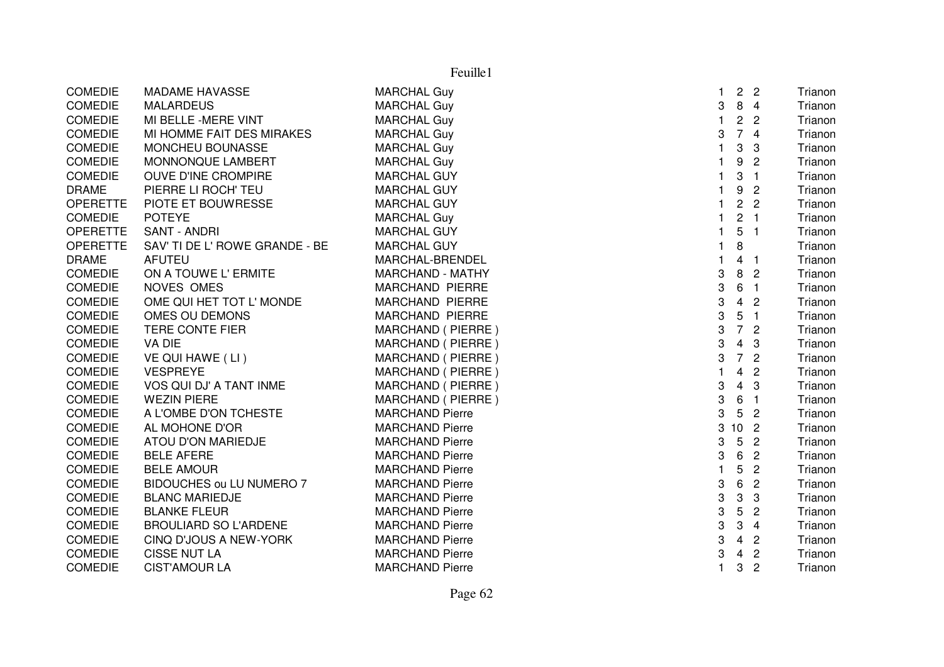| <b>COMEDIE</b>  | <b>MADAME HAVASSE</b>          | <b>MARCHAL Guy</b>      | 1            | $\overline{c}$ | $\overline{2}$             | Trianon |
|-----------------|--------------------------------|-------------------------|--------------|----------------|----------------------------|---------|
| <b>COMEDIE</b>  | <b>MALARDEUS</b>               | <b>MARCHAL Guy</b>      | 3            | 8              | $\overline{4}$             | Trianon |
| <b>COMEDIE</b>  | MI BELLE - MERE VINT           | <b>MARCHAL Guy</b>      | 1            | $\overline{c}$ | $\overline{c}$             | Trianon |
| <b>COMEDIE</b>  | MI HOMME FAIT DES MIRAKES      | <b>MARCHAL Guy</b>      | 3            | $\overline{7}$ | $\overline{4}$             | Trianon |
| <b>COMEDIE</b>  | MONCHEU BOUNASSE               | <b>MARCHAL Guy</b>      | 1            | 3              | 3                          | Trianon |
| <b>COMEDIE</b>  | MONNONQUE LAMBERT              | <b>MARCHAL Guy</b>      |              | 9              | $\overline{2}$             | Trianon |
| <b>COMEDIE</b>  | OUVE D'INE CROMPIRE            | <b>MARCHAL GUY</b>      |              | 3              | $\overline{1}$             | Trianon |
| <b>DRAME</b>    | PIERRE LI ROCH' TEU            | <b>MARCHAL GUY</b>      |              | 9              | $\overline{2}$             | Trianon |
| <b>OPERETTE</b> | PIOTE ET BOUWRESSE             | <b>MARCHAL GUY</b>      |              | $\overline{c}$ | $\overline{2}$             | Trianon |
| <b>COMEDIE</b>  | <b>POTEYE</b>                  | <b>MARCHAL Guy</b>      | 1            | 2 <sub>1</sub> |                            | Trianon |
| <b>OPERETTE</b> | <b>SANT - ANDRI</b>            | <b>MARCHAL GUY</b>      | 1            | 5              | $\overline{\phantom{0}}$   | Trianon |
| <b>OPERETTE</b> | SAV' TI DE L' ROWE GRANDE - BE | <b>MARCHAL GUY</b>      | 1            | 8              |                            | Trianon |
| <b>DRAME</b>    | <b>AFUTEU</b>                  | MARCHAL-BRENDEL         |              | 4              | - 1                        | Trianon |
| <b>COMEDIE</b>  | ON A TOUWE L' ERMITE           | <b>MARCHAND - MATHY</b> | 3            | 8              | $\overline{2}$             | Trianon |
| <b>COMEDIE</b>  | NOVES OMES                     | <b>MARCHAND PIERRE</b>  | 3            | 6              | $\overline{\mathbf{1}}$    | Trianon |
| <b>COMEDIE</b>  | OME QUI HET TOT L' MONDE       | <b>MARCHAND PIERRE</b>  | 3            | 4              | $\overline{c}$             | Trianon |
| <b>COMEDIE</b>  | OMES OU DEMONS                 | <b>MARCHAND PIERRE</b>  | 3            | 5              | $\overline{1}$             | Trianon |
| <b>COMEDIE</b>  | TERE CONTE FIER                | MARCHAND (PIERRE)       | 3            | $\overline{7}$ | $\overline{c}$             | Trianon |
| <b>COMEDIE</b>  | VA DIE                         | MARCHAND (PIERRE)       | 3            | 4              | 3                          | Trianon |
| <b>COMEDIE</b>  | VE QUI HAWE (LI)               | MARCHAND (PIERRE)       | 3            | $\overline{7}$ | $\overline{2}$             | Trianon |
| <b>COMEDIE</b>  | <b>VESPREYE</b>                | MARCHAND (PIERRE)       |              | 4              | $\overline{2}$             | Trianon |
| <b>COMEDIE</b>  | VOS QUI DJ' A TANT INME        | MARCHAND (PIERRE)       | 3            | 4              | 3                          | Trianon |
| <b>COMEDIE</b>  | <b>WEZIN PIERE</b>             | MARCHAND (PIERRE)       | 3            | 6              | $\overline{1}$             | Trianon |
| <b>COMEDIE</b>  | A L'OMBE D'ON TCHESTE          | <b>MARCHAND Pierre</b>  | 3            | 5              | $\overline{2}$             | Trianon |
| <b>COMEDIE</b>  | AL MOHONE D'OR                 | <b>MARCHAND Pierre</b>  | 3            | 10             | $\overline{\phantom{0}}^2$ | Trianon |
| <b>COMEDIE</b>  | ATOU D'ON MARIEDJE             | <b>MARCHAND Pierre</b>  | 3            | 5              | $\overline{c}$             | Trianon |
| <b>COMEDIE</b>  | <b>BELE AFERE</b>              | <b>MARCHAND Pierre</b>  | 3            | 6              | $\overline{c}$             | Trianon |
| <b>COMEDIE</b>  | <b>BELE AMOUR</b>              | <b>MARCHAND Pierre</b>  |              | 5              | $\overline{2}$             | Trianon |
| <b>COMEDIE</b>  | BIDOUCHES ou LU NUMERO 7       | <b>MARCHAND Pierre</b>  | 3            | 6              | $\overline{c}$             | Trianon |
| <b>COMEDIE</b>  | <b>BLANC MARIEDJE</b>          | <b>MARCHAND Pierre</b>  | 3            | 3              | 3                          | Trianon |
| <b>COMEDIE</b>  | <b>BLANKE FLEUR</b>            | <b>MARCHAND Pierre</b>  | 3            | 5              | $\overline{c}$             | Trianon |
| <b>COMEDIE</b>  | <b>BROULIARD SO L'ARDENE</b>   | <b>MARCHAND Pierre</b>  | 3            | 3              | $\overline{4}$             | Trianon |
| <b>COMEDIE</b>  | CINQ D'JOUS A NEW-YORK         | <b>MARCHAND Pierre</b>  | 3            | $\overline{4}$ | $\overline{c}$             | Trianon |
| <b>COMEDIE</b>  | <b>CISSE NUT LA</b>            | <b>MARCHAND Pierre</b>  | 3            | $\overline{4}$ | $\overline{c}$             | Trianon |
| <b>COMEDIE</b>  | <b>CIST'AMOUR LA</b>           | <b>MARCHAND Pierre</b>  | $\mathbf{1}$ | 3              | $\overline{c}$             | Trianon |
|                 |                                |                         |              |                |                            |         |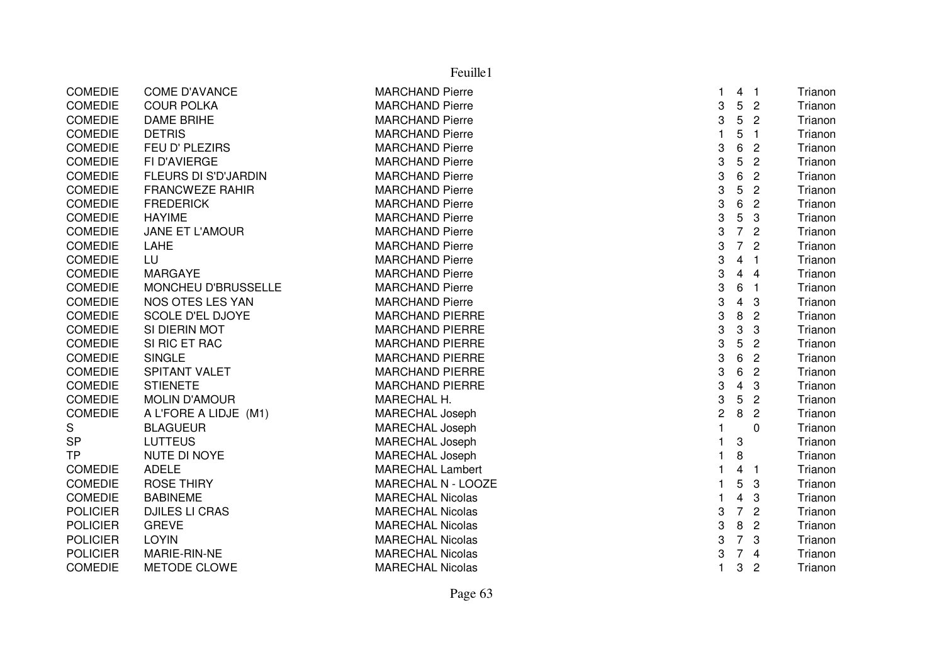|                 | Feuille1                    |                         |                |                         |                |         |  |  |
|-----------------|-----------------------------|-------------------------|----------------|-------------------------|----------------|---------|--|--|
| <b>COMEDIE</b>  | <b>COME D'AVANCE</b>        | <b>MARCHAND Pierre</b>  | $\mathbf 1$    | 4 <sub>1</sub>          |                | Trianon |  |  |
| <b>COMEDIE</b>  | <b>COUR POLKA</b>           | <b>MARCHAND Pierre</b>  | 3              | 5                       | $\overline{c}$ | Trianon |  |  |
| <b>COMEDIE</b>  | <b>DAME BRIHE</b>           | <b>MARCHAND Pierre</b>  | 3              | 5                       | $\overline{2}$ | Trianon |  |  |
| <b>COMEDIE</b>  | <b>DETRIS</b>               | <b>MARCHAND Pierre</b>  | $\mathbf{1}$   | 5                       | $\overline{1}$ | Trianon |  |  |
| <b>COMEDIE</b>  | FEU D' PLEZIRS              | <b>MARCHAND Pierre</b>  | 3              | 6                       | $\overline{c}$ | Trianon |  |  |
| <b>COMEDIE</b>  | FI D'AVIERGE                | <b>MARCHAND Pierre</b>  | 3              | 5                       | $\overline{c}$ | Trianon |  |  |
| <b>COMEDIE</b>  | <b>FLEURS DI S'D'JARDIN</b> | <b>MARCHAND Pierre</b>  | 3              | 6                       | $\overline{2}$ | Trianon |  |  |
| <b>COMEDIE</b>  | <b>FRANCWEZE RAHIR</b>      | <b>MARCHAND Pierre</b>  | 3              | 5                       | $\overline{c}$ | Trianon |  |  |
| <b>COMEDIE</b>  | <b>FREDERICK</b>            | <b>MARCHAND Pierre</b>  | 3              | 6                       | $\overline{c}$ | Trianon |  |  |
| <b>COMEDIE</b>  | <b>HAYIME</b>               | <b>MARCHAND Pierre</b>  | 3              | $\overline{5}$          | 3              | Trianon |  |  |
| <b>COMEDIE</b>  | <b>JANE ET L'AMOUR</b>      | <b>MARCHAND Pierre</b>  | 3              | $\overline{7}$          | $\overline{2}$ | Trianon |  |  |
| <b>COMEDIE</b>  | LAHE                        | <b>MARCHAND Pierre</b>  | 3              | $\overline{7}$          | $\overline{2}$ | Trianon |  |  |
| <b>COMEDIE</b>  | LU                          | <b>MARCHAND Pierre</b>  | 3              | 4                       | -1             | Trianon |  |  |
| <b>COMEDIE</b>  | <b>MARGAYE</b>              | <b>MARCHAND Pierre</b>  | 3              | 4                       | $\overline{4}$ | Trianon |  |  |
| <b>COMEDIE</b>  | MONCHEU D'BRUSSELLE         | <b>MARCHAND Pierre</b>  | 3              | 6                       | $\overline{1}$ | Trianon |  |  |
| <b>COMEDIE</b>  | NOS OTES LES YAN            | <b>MARCHAND Pierre</b>  | 3              | 4                       | 3              | Trianon |  |  |
| <b>COMEDIE</b>  | <b>SCOLE D'EL DJOYE</b>     | <b>MARCHAND PIERRE</b>  | 3              | $\bf 8$                 | $\overline{2}$ | Trianon |  |  |
| <b>COMEDIE</b>  | SI DIERIN MOT               | <b>MARCHAND PIERRE</b>  | 3              | 3                       | 3              | Trianon |  |  |
| <b>COMEDIE</b>  | SI RIC ET RAC               | <b>MARCHAND PIERRE</b>  | 3              | 5                       | $\overline{c}$ | Trianon |  |  |
| <b>COMEDIE</b>  | <b>SINGLE</b>               | <b>MARCHAND PIERRE</b>  | 3              | 6                       | $\overline{c}$ | Trianon |  |  |
| <b>COMEDIE</b>  | SPITANT VALET               | <b>MARCHAND PIERRE</b>  | 3              | 6                       | $\overline{c}$ | Trianon |  |  |
| <b>COMEDIE</b>  | <b>STIENETE</b>             | <b>MARCHAND PIERRE</b>  | 3              | $\overline{\mathbf{4}}$ | 3              | Trianon |  |  |
| <b>COMEDIE</b>  | <b>MOLIN D'AMOUR</b>        | MARECHAL H.             | 3              | 5                       | $\overline{2}$ | Trianon |  |  |
| COMEDIE         | A L'FORE A LIDJE (M1)       | <b>MARECHAL Joseph</b>  | $\overline{c}$ | $\, 8$                  | $\overline{2}$ | Trianon |  |  |
| S               | <b>BLAGUEUR</b>             | <b>MARECHAL Joseph</b>  | $\mathbf{1}$   |                         | 0              | Trianon |  |  |
| <b>SP</b>       | <b>LUTTEUS</b>              | MARECHAL Joseph         | 1              | 3                       |                | Trianon |  |  |
| <b>TP</b>       | NUTE DI NOYE                | <b>MARECHAL Joseph</b>  | $\mathbf{1}$   | 8                       |                | Trianon |  |  |
| <b>COMEDIE</b>  | <b>ADELE</b>                | <b>MARECHAL Lambert</b> | 1              | 4                       | -1             | Trianon |  |  |
| <b>COMEDIE</b>  | <b>ROSE THIRY</b>           | MARECHAL N - LOOZE      | $\mathbf{1}$   | 5                       | 3              | Trianon |  |  |
| <b>COMEDIE</b>  | <b>BABINEME</b>             | <b>MARECHAL Nicolas</b> | $\mathbf{1}$   | 4                       | 3              | Trianon |  |  |
| <b>POLICIER</b> | <b>DJILES LI CRAS</b>       | <b>MARECHAL Nicolas</b> | 3              | $\overline{7}$          | $\overline{c}$ | Trianon |  |  |
| <b>POLICIER</b> | <b>GREVE</b>                | <b>MARECHAL Nicolas</b> | 3              | 8                       | $\overline{2}$ | Trianon |  |  |
| <b>POLICIER</b> | <b>LOYIN</b>                | <b>MARECHAL Nicolas</b> | 3              | $\overline{7}$          | 3              | Trianon |  |  |
| <b>POLICIER</b> | MARIE-RIN-NE                | <b>MARECHAL Nicolas</b> | 3              | 7 <sup>7</sup>          | $\overline{4}$ | Trianon |  |  |
| <b>COMEDIE</b>  | <b>METODE CLOWE</b>         | <b>MARECHAL Nicolas</b> | $\mathbf{1}$   | 3                       | $\overline{2}$ | Trianon |  |  |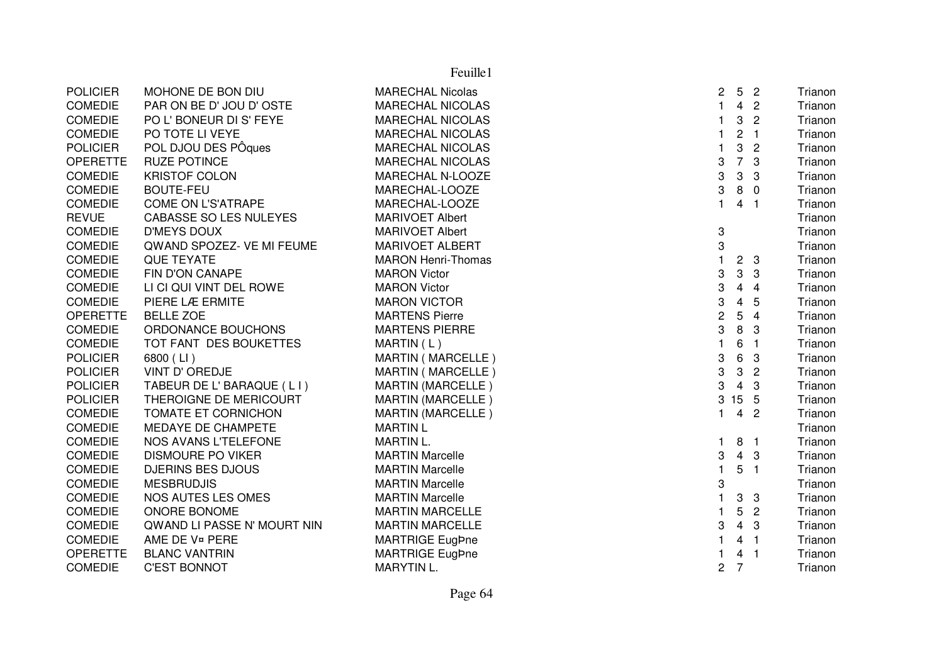|                 |                               | Feuille1                  |                |                 |                |         |
|-----------------|-------------------------------|---------------------------|----------------|-----------------|----------------|---------|
| <b>POLICIER</b> | MOHONE DE BON DIU             | <b>MARECHAL Nicolas</b>   | $\overline{c}$ | $5\overline{)}$ | $\overline{2}$ | Trianon |
| <b>COMEDIE</b>  | PAR ON BE D' JOU D' OSTE      | <b>MARECHAL NICOLAS</b>   | $\mathbf{1}$   | $\overline{4}$  | $\overline{2}$ | Trianon |
| <b>COMEDIE</b>  | PO L' BONEUR DI S' FEYE       | <b>MARECHAL NICOLAS</b>   | $\mathbf{1}$   | 3               | $\sqrt{2}$     | Trianon |
| <b>COMEDIE</b>  | PO TOTE LI VEYE               | <b>MARECHAL NICOLAS</b>   | $\mathbf{1}$   | $\overline{c}$  | $\overline{1}$ | Trianon |
| <b>POLICIER</b> | POL DJOU DES PÔques           | <b>MARECHAL NICOLAS</b>   | $\mathbf{1}$   | 3               | $\overline{2}$ | Trianon |
| <b>OPERETTE</b> | <b>RUZE POTINCE</b>           | <b>MARECHAL NICOLAS</b>   | 3              | $\overline{7}$  | 3              | Trianon |
| <b>COMEDIE</b>  | <b>KRISTOF COLON</b>          | MARECHAL N-LOOZE          | 3              | 3               | $\mathbf{3}$   | Trianon |
| <b>COMEDIE</b>  | <b>BOUTE-FEU</b>              | MARECHAL-LOOZE            | 3              | 8               | $\overline{0}$ | Trianon |
| <b>COMEDIE</b>  | <b>COME ON L'S'ATRAPE</b>     | MARECHAL-LOOZE            | $\mathbf{1}$   | $\overline{4}$  | $\overline{1}$ | Trianon |
| <b>REVUE</b>    | <b>CABASSE SO LES NULEYES</b> | <b>MARIVOET Albert</b>    |                |                 |                | Trianon |
| <b>COMEDIE</b>  | <b>D'MEYS DOUX</b>            | <b>MARIVOET Albert</b>    | 3              |                 |                | Trianon |
| <b>COMEDIE</b>  | QWAND SPOZEZ- VE MI FEUME     | <b>MARIVOET ALBERT</b>    | 3              |                 |                | Trianon |
| <b>COMEDIE</b>  | QUE TEYATE                    | <b>MARON Henri-Thomas</b> | $\mathbf{1}$   | $\overline{c}$  | $\mathbf{3}$   | Trianon |
| <b>COMEDIE</b>  | FIN D'ON CANAPE               | <b>MARON Victor</b>       | 3              | 3               | 3              | Trianon |
| <b>COMEDIE</b>  | LI CI QUI VINT DEL ROWE       | <b>MARON Victor</b>       | 3              | $\overline{4}$  | $\overline{4}$ | Trianon |
| <b>COMEDIE</b>  | PIERE LÆ ERMITE               | <b>MARON VICTOR</b>       | 3              | $\overline{4}$  | 5              | Trianon |
| <b>OPERETTE</b> | <b>BELLE ZOE</b>              | <b>MARTENS Pierre</b>     | $\overline{c}$ | $\sqrt{5}$      | $\overline{4}$ | Trianon |
| <b>COMEDIE</b>  | ORDONANCE BOUCHONS            | <b>MARTENS PIERRE</b>     | 3              | 8               | 3              | Trianon |
| <b>COMEDIE</b>  | TOT FANT DES BOUKETTES        | MARTIN (L)                | $\mathbf{1}$   | 6               | $\overline{1}$ | Trianon |
| <b>POLICIER</b> | 6800 (LI)                     | MARTIN (MARCELLE)         | 3              | 6               | 3              | Trianon |
| <b>POLICIER</b> | VINT D' OREDJE                | MARTIN (MARCELLE)         | 3              | 3               | $\overline{c}$ | Trianon |
| <b>POLICIER</b> | TABEUR DE L' BARAQUE (LI)     | MARTIN (MARCELLE)         | 3              | $\overline{4}$  | 3              | Trianon |
| <b>POLICIER</b> | THEROIGNE DE MERICOURT        | MARTIN (MARCELLE)         | 3              | 15 5            |                | Trianon |
| <b>COMEDIE</b>  | TOMATE ET CORNICHON           | MARTIN (MARCELLE)         | $\mathbf{1}$   | $\overline{4}$  | $\overline{2}$ | Trianon |
| <b>COMEDIE</b>  | MEDAYE DE CHAMPETE            | <b>MARTIN L</b>           |                |                 |                | Trianon |
| <b>COMEDIE</b>  | NOS AVANS L'TELEFONE          | <b>MARTIN L.</b>          | $\mathbf{1}$   |                 | 8 <sub>1</sub> | Trianon |
| <b>COMEDIE</b>  | <b>DISMOURE PO VIKER</b>      | <b>MARTIN Marcelle</b>    | 3              | $\overline{4}$  | $\mathbf{3}$   | Trianon |
| <b>COMEDIE</b>  | <b>DJERINS BES DJOUS</b>      | <b>MARTIN Marcelle</b>    | $\mathbf{1}$   | 5               | $\blacksquare$ | Trianon |
| <b>COMEDIE</b>  | <b>MESBRUDJIS</b>             | <b>MARTIN Marcelle</b>    | 3              |                 |                | Trianon |
| <b>COMEDIE</b>  | NOS AUTES LES OMES            | <b>MARTIN Marcelle</b>    | 1              | 3               | 3              | Trianon |
| <b>COMEDIE</b>  | ONORE BONOME                  | <b>MARTIN MARCELLE</b>    | $\mathbf{1}$   | 5               | $\overline{2}$ | Trianon |
| <b>COMEDIE</b>  | QWAND LI PASSE N' MOURT NIN   | <b>MARTIN MARCELLE</b>    | 3              | $\overline{4}$  | 3              | Trianon |
| <b>COMEDIE</b>  | AME DE V¤ PERE                | <b>MARTRIGE EugPne</b>    | $\mathbf{1}$   | $\overline{4}$  | $\overline{1}$ | Trianon |
| <b>OPERETTE</b> | <b>BLANC VANTRIN</b>          | <b>MARTRIGE EugPne</b>    | $\mathbf{1}$   | 4               | $\overline{1}$ | Trianon |
| <b>COMEDIE</b>  | <b>C'EST BONNOT</b>           | <b>MARYTIN L.</b>         | $\overline{c}$ | $\overline{7}$  |                | Trianon |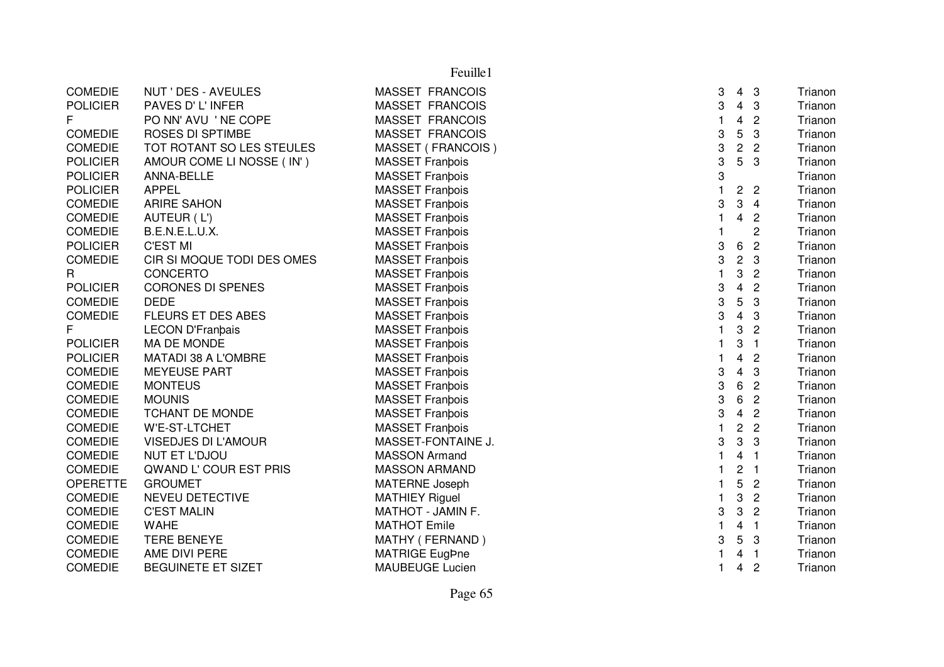| 3<br><b>POLICIER</b><br>PAVES D' L'INFER<br><b>MASSET FRANCOIS</b><br>$\overline{4}$<br>3<br>F.<br>PO NN' AVU 'NE COPE<br><b>MASSET FRANCOIS</b><br>4<br>$\overline{2}$<br>5<br>3<br>3<br><b>COMEDIE</b><br><b>ROSES DI SPTIMBE</b><br>MASSET FRANCOIS<br>3<br>$\overline{2}$<br><b>COMEDIE</b><br>TOT ROTANT SO LES STEULES<br>MASSET (FRANCOIS)<br>$\overline{2}$<br>3<br>5<br>3<br><b>POLICIER</b><br>AMOUR COME LI NOSSE (IN')<br><b>MASSET Franbois</b><br>3<br><b>POLICIER</b><br><b>MASSET Franbois</b><br>ANNA-BELLE<br><b>APPEL</b><br>$\overline{2}$<br>$\overline{2}$<br><b>POLICIER</b><br><b>MASSET Franbois</b><br>$\mathbf{3}$<br>3<br><b>COMEDIE</b><br><b>ARIRE SAHON</b><br><b>MASSET Franbois</b><br>$\overline{4}$<br><b>COMEDIE</b><br><b>MASSET Franbois</b><br>4<br>$\overline{c}$<br>AUTEUR (L')<br>2<br><b>COMEDIE</b><br><b>MASSET Franbois</b><br>B.E.N.E.L.U.X.<br>3<br>6<br>$\overline{2}$<br><b>POLICIER</b><br><b>C'EST MI</b><br><b>MASSET Franbois</b><br>3<br>$\overline{c}$<br>CIR SI MOQUE TODI DES OMES<br>3<br><b>COMEDIE</b><br><b>MASSET Franbois</b><br>3<br>R<br>CONCERTO<br><b>MASSET Franbois</b><br>$\overline{2}$<br><b>POLICIER</b><br>3<br>4<br>$\overline{2}$<br><b>CORONES DI SPENES</b><br><b>MASSET Franbois</b><br>3<br>5<br><b>DEDE</b><br>3<br><b>COMEDIE</b><br><b>MASSET Franbois</b><br>3<br>FLEURS ET DES ABES<br>$\overline{4}$<br><b>COMEDIE</b><br><b>MASSET Franbois</b><br>3<br>F<br>$\mathbf{3}$<br><b>LECON D'Franbais</b><br><b>MASSET Franpois</b><br>1<br>$\overline{2}$<br>$\mathbf{3}$<br><b>POLICIER</b><br>MA DE MONDE<br><b>MASSET Franbois</b><br>$\overline{1}$<br>4<br><b>POLICIER</b><br>MATADI 38 A L'OMBRE<br><b>MASSET Franbois</b><br>$\overline{c}$<br>3<br><b>COMEDIE</b><br><b>MASSET Franbois</b><br>4<br>3<br><b>MEYEUSE PART</b><br>3<br>6<br>$\overline{2}$<br><b>COMEDIE</b><br><b>MONTEUS</b><br><b>MASSET Franbois</b><br>3<br>6<br><b>COMEDIE</b><br>$\overline{2}$<br><b>MOUNIS</b><br><b>MASSET Franbois</b><br>3<br>$\overline{4}$<br>$\overline{2}$<br><b>COMEDIE</b><br><b>TCHANT DE MONDE</b><br><b>MASSET Franbois</b><br>$\sqrt{2}$<br>$\overline{2}$<br><b>COMEDIE</b><br>W'E-ST-LTCHET<br>1<br><b>MASSET Franbois</b><br>3<br>3<br>3<br><b>COMEDIE</b><br><b>VISEDJES DI L'AMOUR</b><br>MASSET-FONTAINE J.<br><b>COMEDIE</b><br>NUT ET L'DJOU<br><b>MASSON Armand</b><br>4<br>$\overline{1}$<br>$\mathbf 2$<br><b>COMEDIE</b><br>QWAND L' COUR EST PRIS<br><b>MASSON ARMAND</b><br>$\overline{1}$<br>5<br><b>OPERETTE</b><br><b>GROUMET</b><br><b>MATERNE Joseph</b><br>$\overline{2}$<br>3<br>$\overline{c}$<br><b>COMEDIE</b><br>NEVEU DETECTIVE<br><b>MATHIEY Riguel</b><br>$\mathbf{3}$<br><b>COMEDIE</b><br>3<br>$\overline{c}$<br><b>C'EST MALIN</b><br>MATHOT - JAMIN F.<br><b>COMEDIE</b><br><b>WAHE</b><br><b>MATHOT Emile</b><br>4<br>$\overline{1}$<br>5<br><b>COMEDIE</b><br><b>TERE BENEYE</b><br>MATHY (FERNAND)<br>3<br>3<br>MATRIGE EugPne<br><b>COMEDIE</b><br>AME DIVI PERE<br>4<br>$\overline{1}$<br>$\overline{2}$<br><b>COMEDIE</b><br>BEGUINETE ET SIZET<br><b>MAUBEUGE Lucien</b><br>4 | <b>COMEDIE</b> | NUT ' DES - AVEULES | <b>MASSET FRANCOIS</b> | 3 | $4 \quad 3$ | Trianon |
|----------------------------------------------------------------------------------------------------------------------------------------------------------------------------------------------------------------------------------------------------------------------------------------------------------------------------------------------------------------------------------------------------------------------------------------------------------------------------------------------------------------------------------------------------------------------------------------------------------------------------------------------------------------------------------------------------------------------------------------------------------------------------------------------------------------------------------------------------------------------------------------------------------------------------------------------------------------------------------------------------------------------------------------------------------------------------------------------------------------------------------------------------------------------------------------------------------------------------------------------------------------------------------------------------------------------------------------------------------------------------------------------------------------------------------------------------------------------------------------------------------------------------------------------------------------------------------------------------------------------------------------------------------------------------------------------------------------------------------------------------------------------------------------------------------------------------------------------------------------------------------------------------------------------------------------------------------------------------------------------------------------------------------------------------------------------------------------------------------------------------------------------------------------------------------------------------------------------------------------------------------------------------------------------------------------------------------------------------------------------------------------------------------------------------------------------------------------------------------------------------------------------------------------------------------------------------------------------------------------------------------------------------------------------------------------------------------------------------------------------------------------------------------------------------------------------------------------------------------------------------------------------------------------------------------------------------------------------------------------------------------------------------------------------------------------------------------------------------------------------|----------------|---------------------|------------------------|---|-------------|---------|
|                                                                                                                                                                                                                                                                                                                                                                                                                                                                                                                                                                                                                                                                                                                                                                                                                                                                                                                                                                                                                                                                                                                                                                                                                                                                                                                                                                                                                                                                                                                                                                                                                                                                                                                                                                                                                                                                                                                                                                                                                                                                                                                                                                                                                                                                                                                                                                                                                                                                                                                                                                                                                                                                                                                                                                                                                                                                                                                                                                                                                                                                                                                      |                |                     |                        |   |             | Trianon |
|                                                                                                                                                                                                                                                                                                                                                                                                                                                                                                                                                                                                                                                                                                                                                                                                                                                                                                                                                                                                                                                                                                                                                                                                                                                                                                                                                                                                                                                                                                                                                                                                                                                                                                                                                                                                                                                                                                                                                                                                                                                                                                                                                                                                                                                                                                                                                                                                                                                                                                                                                                                                                                                                                                                                                                                                                                                                                                                                                                                                                                                                                                                      |                |                     |                        |   |             | Trianon |
|                                                                                                                                                                                                                                                                                                                                                                                                                                                                                                                                                                                                                                                                                                                                                                                                                                                                                                                                                                                                                                                                                                                                                                                                                                                                                                                                                                                                                                                                                                                                                                                                                                                                                                                                                                                                                                                                                                                                                                                                                                                                                                                                                                                                                                                                                                                                                                                                                                                                                                                                                                                                                                                                                                                                                                                                                                                                                                                                                                                                                                                                                                                      |                |                     |                        |   |             | Trianon |
|                                                                                                                                                                                                                                                                                                                                                                                                                                                                                                                                                                                                                                                                                                                                                                                                                                                                                                                                                                                                                                                                                                                                                                                                                                                                                                                                                                                                                                                                                                                                                                                                                                                                                                                                                                                                                                                                                                                                                                                                                                                                                                                                                                                                                                                                                                                                                                                                                                                                                                                                                                                                                                                                                                                                                                                                                                                                                                                                                                                                                                                                                                                      |                |                     |                        |   |             | Trianon |
|                                                                                                                                                                                                                                                                                                                                                                                                                                                                                                                                                                                                                                                                                                                                                                                                                                                                                                                                                                                                                                                                                                                                                                                                                                                                                                                                                                                                                                                                                                                                                                                                                                                                                                                                                                                                                                                                                                                                                                                                                                                                                                                                                                                                                                                                                                                                                                                                                                                                                                                                                                                                                                                                                                                                                                                                                                                                                                                                                                                                                                                                                                                      |                |                     |                        |   |             | Trianon |
|                                                                                                                                                                                                                                                                                                                                                                                                                                                                                                                                                                                                                                                                                                                                                                                                                                                                                                                                                                                                                                                                                                                                                                                                                                                                                                                                                                                                                                                                                                                                                                                                                                                                                                                                                                                                                                                                                                                                                                                                                                                                                                                                                                                                                                                                                                                                                                                                                                                                                                                                                                                                                                                                                                                                                                                                                                                                                                                                                                                                                                                                                                                      |                |                     |                        |   |             | Trianon |
|                                                                                                                                                                                                                                                                                                                                                                                                                                                                                                                                                                                                                                                                                                                                                                                                                                                                                                                                                                                                                                                                                                                                                                                                                                                                                                                                                                                                                                                                                                                                                                                                                                                                                                                                                                                                                                                                                                                                                                                                                                                                                                                                                                                                                                                                                                                                                                                                                                                                                                                                                                                                                                                                                                                                                                                                                                                                                                                                                                                                                                                                                                                      |                |                     |                        |   |             | Trianon |
|                                                                                                                                                                                                                                                                                                                                                                                                                                                                                                                                                                                                                                                                                                                                                                                                                                                                                                                                                                                                                                                                                                                                                                                                                                                                                                                                                                                                                                                                                                                                                                                                                                                                                                                                                                                                                                                                                                                                                                                                                                                                                                                                                                                                                                                                                                                                                                                                                                                                                                                                                                                                                                                                                                                                                                                                                                                                                                                                                                                                                                                                                                                      |                |                     |                        |   |             | Trianon |
|                                                                                                                                                                                                                                                                                                                                                                                                                                                                                                                                                                                                                                                                                                                                                                                                                                                                                                                                                                                                                                                                                                                                                                                                                                                                                                                                                                                                                                                                                                                                                                                                                                                                                                                                                                                                                                                                                                                                                                                                                                                                                                                                                                                                                                                                                                                                                                                                                                                                                                                                                                                                                                                                                                                                                                                                                                                                                                                                                                                                                                                                                                                      |                |                     |                        |   |             | Trianon |
|                                                                                                                                                                                                                                                                                                                                                                                                                                                                                                                                                                                                                                                                                                                                                                                                                                                                                                                                                                                                                                                                                                                                                                                                                                                                                                                                                                                                                                                                                                                                                                                                                                                                                                                                                                                                                                                                                                                                                                                                                                                                                                                                                                                                                                                                                                                                                                                                                                                                                                                                                                                                                                                                                                                                                                                                                                                                                                                                                                                                                                                                                                                      |                |                     |                        |   |             | Trianon |
|                                                                                                                                                                                                                                                                                                                                                                                                                                                                                                                                                                                                                                                                                                                                                                                                                                                                                                                                                                                                                                                                                                                                                                                                                                                                                                                                                                                                                                                                                                                                                                                                                                                                                                                                                                                                                                                                                                                                                                                                                                                                                                                                                                                                                                                                                                                                                                                                                                                                                                                                                                                                                                                                                                                                                                                                                                                                                                                                                                                                                                                                                                                      |                |                     |                        |   |             | Trianon |
|                                                                                                                                                                                                                                                                                                                                                                                                                                                                                                                                                                                                                                                                                                                                                                                                                                                                                                                                                                                                                                                                                                                                                                                                                                                                                                                                                                                                                                                                                                                                                                                                                                                                                                                                                                                                                                                                                                                                                                                                                                                                                                                                                                                                                                                                                                                                                                                                                                                                                                                                                                                                                                                                                                                                                                                                                                                                                                                                                                                                                                                                                                                      |                |                     |                        |   |             | Trianon |
|                                                                                                                                                                                                                                                                                                                                                                                                                                                                                                                                                                                                                                                                                                                                                                                                                                                                                                                                                                                                                                                                                                                                                                                                                                                                                                                                                                                                                                                                                                                                                                                                                                                                                                                                                                                                                                                                                                                                                                                                                                                                                                                                                                                                                                                                                                                                                                                                                                                                                                                                                                                                                                                                                                                                                                                                                                                                                                                                                                                                                                                                                                                      |                |                     |                        |   |             | Trianon |
|                                                                                                                                                                                                                                                                                                                                                                                                                                                                                                                                                                                                                                                                                                                                                                                                                                                                                                                                                                                                                                                                                                                                                                                                                                                                                                                                                                                                                                                                                                                                                                                                                                                                                                                                                                                                                                                                                                                                                                                                                                                                                                                                                                                                                                                                                                                                                                                                                                                                                                                                                                                                                                                                                                                                                                                                                                                                                                                                                                                                                                                                                                                      |                |                     |                        |   |             | Trianon |
|                                                                                                                                                                                                                                                                                                                                                                                                                                                                                                                                                                                                                                                                                                                                                                                                                                                                                                                                                                                                                                                                                                                                                                                                                                                                                                                                                                                                                                                                                                                                                                                                                                                                                                                                                                                                                                                                                                                                                                                                                                                                                                                                                                                                                                                                                                                                                                                                                                                                                                                                                                                                                                                                                                                                                                                                                                                                                                                                                                                                                                                                                                                      |                |                     |                        |   |             | Trianon |
|                                                                                                                                                                                                                                                                                                                                                                                                                                                                                                                                                                                                                                                                                                                                                                                                                                                                                                                                                                                                                                                                                                                                                                                                                                                                                                                                                                                                                                                                                                                                                                                                                                                                                                                                                                                                                                                                                                                                                                                                                                                                                                                                                                                                                                                                                                                                                                                                                                                                                                                                                                                                                                                                                                                                                                                                                                                                                                                                                                                                                                                                                                                      |                |                     |                        |   |             | Trianon |
|                                                                                                                                                                                                                                                                                                                                                                                                                                                                                                                                                                                                                                                                                                                                                                                                                                                                                                                                                                                                                                                                                                                                                                                                                                                                                                                                                                                                                                                                                                                                                                                                                                                                                                                                                                                                                                                                                                                                                                                                                                                                                                                                                                                                                                                                                                                                                                                                                                                                                                                                                                                                                                                                                                                                                                                                                                                                                                                                                                                                                                                                                                                      |                |                     |                        |   |             | Trianon |
|                                                                                                                                                                                                                                                                                                                                                                                                                                                                                                                                                                                                                                                                                                                                                                                                                                                                                                                                                                                                                                                                                                                                                                                                                                                                                                                                                                                                                                                                                                                                                                                                                                                                                                                                                                                                                                                                                                                                                                                                                                                                                                                                                                                                                                                                                                                                                                                                                                                                                                                                                                                                                                                                                                                                                                                                                                                                                                                                                                                                                                                                                                                      |                |                     |                        |   |             | Trianon |
|                                                                                                                                                                                                                                                                                                                                                                                                                                                                                                                                                                                                                                                                                                                                                                                                                                                                                                                                                                                                                                                                                                                                                                                                                                                                                                                                                                                                                                                                                                                                                                                                                                                                                                                                                                                                                                                                                                                                                                                                                                                                                                                                                                                                                                                                                                                                                                                                                                                                                                                                                                                                                                                                                                                                                                                                                                                                                                                                                                                                                                                                                                                      |                |                     |                        |   |             | Trianon |
|                                                                                                                                                                                                                                                                                                                                                                                                                                                                                                                                                                                                                                                                                                                                                                                                                                                                                                                                                                                                                                                                                                                                                                                                                                                                                                                                                                                                                                                                                                                                                                                                                                                                                                                                                                                                                                                                                                                                                                                                                                                                                                                                                                                                                                                                                                                                                                                                                                                                                                                                                                                                                                                                                                                                                                                                                                                                                                                                                                                                                                                                                                                      |                |                     |                        |   |             | Trianon |
|                                                                                                                                                                                                                                                                                                                                                                                                                                                                                                                                                                                                                                                                                                                                                                                                                                                                                                                                                                                                                                                                                                                                                                                                                                                                                                                                                                                                                                                                                                                                                                                                                                                                                                                                                                                                                                                                                                                                                                                                                                                                                                                                                                                                                                                                                                                                                                                                                                                                                                                                                                                                                                                                                                                                                                                                                                                                                                                                                                                                                                                                                                                      |                |                     |                        |   |             | Trianon |
|                                                                                                                                                                                                                                                                                                                                                                                                                                                                                                                                                                                                                                                                                                                                                                                                                                                                                                                                                                                                                                                                                                                                                                                                                                                                                                                                                                                                                                                                                                                                                                                                                                                                                                                                                                                                                                                                                                                                                                                                                                                                                                                                                                                                                                                                                                                                                                                                                                                                                                                                                                                                                                                                                                                                                                                                                                                                                                                                                                                                                                                                                                                      |                |                     |                        |   |             | Trianon |
|                                                                                                                                                                                                                                                                                                                                                                                                                                                                                                                                                                                                                                                                                                                                                                                                                                                                                                                                                                                                                                                                                                                                                                                                                                                                                                                                                                                                                                                                                                                                                                                                                                                                                                                                                                                                                                                                                                                                                                                                                                                                                                                                                                                                                                                                                                                                                                                                                                                                                                                                                                                                                                                                                                                                                                                                                                                                                                                                                                                                                                                                                                                      |                |                     |                        |   |             | Trianon |
|                                                                                                                                                                                                                                                                                                                                                                                                                                                                                                                                                                                                                                                                                                                                                                                                                                                                                                                                                                                                                                                                                                                                                                                                                                                                                                                                                                                                                                                                                                                                                                                                                                                                                                                                                                                                                                                                                                                                                                                                                                                                                                                                                                                                                                                                                                                                                                                                                                                                                                                                                                                                                                                                                                                                                                                                                                                                                                                                                                                                                                                                                                                      |                |                     |                        |   |             | Trianon |
|                                                                                                                                                                                                                                                                                                                                                                                                                                                                                                                                                                                                                                                                                                                                                                                                                                                                                                                                                                                                                                                                                                                                                                                                                                                                                                                                                                                                                                                                                                                                                                                                                                                                                                                                                                                                                                                                                                                                                                                                                                                                                                                                                                                                                                                                                                                                                                                                                                                                                                                                                                                                                                                                                                                                                                                                                                                                                                                                                                                                                                                                                                                      |                |                     |                        |   |             | Trianon |
|                                                                                                                                                                                                                                                                                                                                                                                                                                                                                                                                                                                                                                                                                                                                                                                                                                                                                                                                                                                                                                                                                                                                                                                                                                                                                                                                                                                                                                                                                                                                                                                                                                                                                                                                                                                                                                                                                                                                                                                                                                                                                                                                                                                                                                                                                                                                                                                                                                                                                                                                                                                                                                                                                                                                                                                                                                                                                                                                                                                                                                                                                                                      |                |                     |                        |   |             | Trianon |
|                                                                                                                                                                                                                                                                                                                                                                                                                                                                                                                                                                                                                                                                                                                                                                                                                                                                                                                                                                                                                                                                                                                                                                                                                                                                                                                                                                                                                                                                                                                                                                                                                                                                                                                                                                                                                                                                                                                                                                                                                                                                                                                                                                                                                                                                                                                                                                                                                                                                                                                                                                                                                                                                                                                                                                                                                                                                                                                                                                                                                                                                                                                      |                |                     |                        |   |             | Trianon |
|                                                                                                                                                                                                                                                                                                                                                                                                                                                                                                                                                                                                                                                                                                                                                                                                                                                                                                                                                                                                                                                                                                                                                                                                                                                                                                                                                                                                                                                                                                                                                                                                                                                                                                                                                                                                                                                                                                                                                                                                                                                                                                                                                                                                                                                                                                                                                                                                                                                                                                                                                                                                                                                                                                                                                                                                                                                                                                                                                                                                                                                                                                                      |                |                     |                        |   |             | Trianon |
|                                                                                                                                                                                                                                                                                                                                                                                                                                                                                                                                                                                                                                                                                                                                                                                                                                                                                                                                                                                                                                                                                                                                                                                                                                                                                                                                                                                                                                                                                                                                                                                                                                                                                                                                                                                                                                                                                                                                                                                                                                                                                                                                                                                                                                                                                                                                                                                                                                                                                                                                                                                                                                                                                                                                                                                                                                                                                                                                                                                                                                                                                                                      |                |                     |                        |   |             | Trianon |
|                                                                                                                                                                                                                                                                                                                                                                                                                                                                                                                                                                                                                                                                                                                                                                                                                                                                                                                                                                                                                                                                                                                                                                                                                                                                                                                                                                                                                                                                                                                                                                                                                                                                                                                                                                                                                                                                                                                                                                                                                                                                                                                                                                                                                                                                                                                                                                                                                                                                                                                                                                                                                                                                                                                                                                                                                                                                                                                                                                                                                                                                                                                      |                |                     |                        |   |             | Trianon |
|                                                                                                                                                                                                                                                                                                                                                                                                                                                                                                                                                                                                                                                                                                                                                                                                                                                                                                                                                                                                                                                                                                                                                                                                                                                                                                                                                                                                                                                                                                                                                                                                                                                                                                                                                                                                                                                                                                                                                                                                                                                                                                                                                                                                                                                                                                                                                                                                                                                                                                                                                                                                                                                                                                                                                                                                                                                                                                                                                                                                                                                                                                                      |                |                     |                        |   |             | Trianon |
|                                                                                                                                                                                                                                                                                                                                                                                                                                                                                                                                                                                                                                                                                                                                                                                                                                                                                                                                                                                                                                                                                                                                                                                                                                                                                                                                                                                                                                                                                                                                                                                                                                                                                                                                                                                                                                                                                                                                                                                                                                                                                                                                                                                                                                                                                                                                                                                                                                                                                                                                                                                                                                                                                                                                                                                                                                                                                                                                                                                                                                                                                                                      |                |                     |                        |   |             | Trianon |
|                                                                                                                                                                                                                                                                                                                                                                                                                                                                                                                                                                                                                                                                                                                                                                                                                                                                                                                                                                                                                                                                                                                                                                                                                                                                                                                                                                                                                                                                                                                                                                                                                                                                                                                                                                                                                                                                                                                                                                                                                                                                                                                                                                                                                                                                                                                                                                                                                                                                                                                                                                                                                                                                                                                                                                                                                                                                                                                                                                                                                                                                                                                      |                |                     |                        |   |             | Trianon |
|                                                                                                                                                                                                                                                                                                                                                                                                                                                                                                                                                                                                                                                                                                                                                                                                                                                                                                                                                                                                                                                                                                                                                                                                                                                                                                                                                                                                                                                                                                                                                                                                                                                                                                                                                                                                                                                                                                                                                                                                                                                                                                                                                                                                                                                                                                                                                                                                                                                                                                                                                                                                                                                                                                                                                                                                                                                                                                                                                                                                                                                                                                                      |                |                     |                        |   |             | Trianon |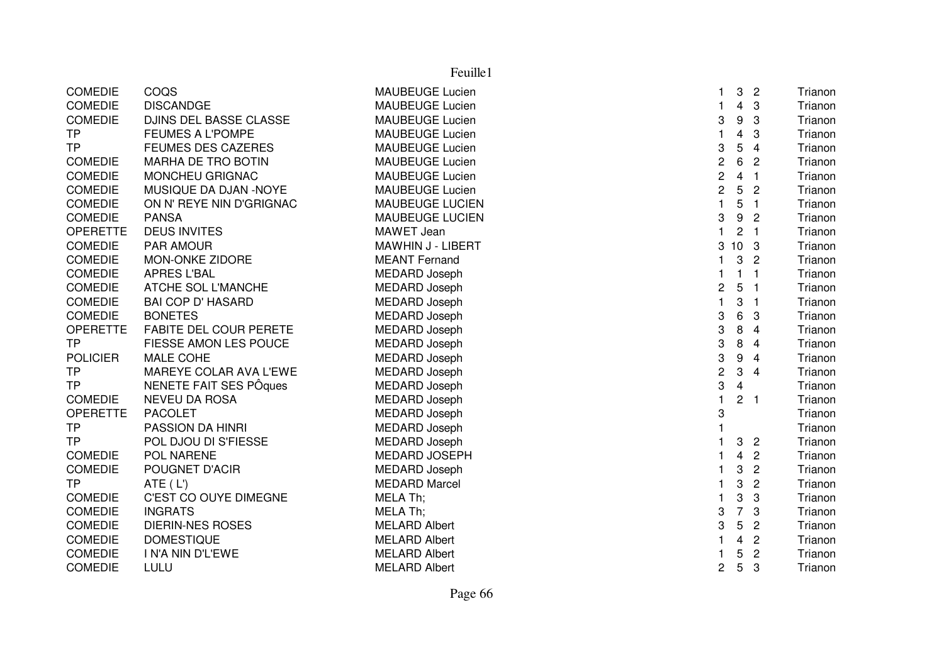| <b>COMEDIE</b><br>COQS<br><b>MAUBEUGE Lucien</b><br>3<br>$\overline{c}$<br>Trianon<br>1.<br>$\overline{4}$<br><b>COMEDIE</b><br><b>DISCANDGE</b><br><b>MAUBEUGE Lucien</b><br>3<br>Trianon<br>1.<br>3<br>9<br><b>COMEDIE</b><br>DJINS DEL BASSE CLASSE<br><b>MAUBEUGE Lucien</b><br>3<br>Trianon<br><b>TP</b><br><b>FEUMES A L'POMPE</b><br><b>MAUBEUGE Lucien</b><br>$\mathbf{1}$<br>4<br>3<br>Trianon<br><b>TP</b><br>3<br>5<br><b>FEUMES DES CAZERES</b><br><b>MAUBEUGE Lucien</b><br>$\overline{\mathbf{4}}$<br>Trianon<br>$\overline{\mathbf{c}}$<br>6<br><b>COMEDIE</b><br><b>MARHA DE TRO BOTIN</b><br>$\overline{2}$<br><b>MAUBEUGE Lucien</b><br>Trianon<br>$\overline{\mathbf{c}}$<br><b>COMEDIE</b><br>$\overline{4}$<br>$\mathbf{1}$<br>MONCHEU GRIGNAC<br><b>MAUBEUGE Lucien</b><br>Trianon<br>$\overline{c}$<br>5<br>$\overline{2}$<br><b>COMEDIE</b><br>MUSIQUE DA DJAN -NOYE<br><b>MAUBEUGE Lucien</b><br>Trianon<br>5<br>$\mathbf{1}$<br><b>COMEDIE</b><br>ON N' REYE NIN D'GRIGNAC<br>MAUBEUGE LUCIEN<br>Trianon<br>$\overline{1}$<br>3<br>9<br><b>COMEDIE</b><br><b>MAUBEUGE LUCIEN</b><br>Trianon<br><b>PANSA</b><br>$\overline{c}$<br>$\mathbf{1}$<br>$\mathbf{2}$<br><b>OPERETTE</b><br><b>DEUS INVITES</b><br>MAWET Jean<br>$\overline{1}$<br>Trianon<br><b>COMEDIE</b><br><b>PAR AMOUR</b><br>MAWHIN J - LIBERT<br>3<br>10<br>Trianon<br>3<br><b>COMEDIE</b><br>3<br><b>MON-ONKE ZIDORE</b><br><b>MEANT Fernand</b><br>1<br>$\overline{c}$<br>Trianon<br><b>COMEDIE</b><br><b>APRES L'BAL</b><br><b>MEDARD Joseph</b><br>$\mathbf{1}$<br>1<br>Trianon<br>$\mathbf{1}$<br>2<br>5<br><b>COMEDIE</b><br>ATCHE SOL L'MANCHE<br><b>MEDARD Joseph</b><br>Trianon<br>$\mathbf{1}$<br><b>COMEDIE</b><br><b>BAI COP D' HASARD</b><br>MEDARD Joseph<br>$\mathbf{1}$<br>3<br>Trianon<br>$\overline{1}$<br><b>BONETES</b><br><b>COMEDIE</b><br><b>MEDARD Joseph</b><br>3<br>6<br>3<br>Trianon<br>3<br><b>FABITE DEL COUR PERETE</b><br><b>OPERETTE</b><br><b>MEDARD Joseph</b><br>8<br>4<br>Trianon<br>FIESSE AMON LES POUCE<br>3<br>Trianon<br><b>TP</b><br><b>MEDARD Joseph</b><br>8<br>4<br><b>POLICIER</b><br>3<br>9<br><b>MALE COHE</b><br>MEDARD Joseph<br>$\overline{4}$<br>Trianon<br>$\overline{\mathbf{c}}$<br>MAREYE COLAR AVA L'EWE<br>3<br><b>TP</b><br>MEDARD Joseph<br>$\overline{\mathbf{4}}$<br>Trianon<br>NENETE FAIT SES PÔques<br>3<br><b>TP</b><br>MEDARD Joseph<br>$\overline{4}$<br>Trianon<br><b>COMEDIE</b><br><b>NEVEU DA ROSA</b><br><b>MEDARD Joseph</b><br>$\mathbf{1}$<br>$\overline{2}$<br>$\overline{1}$<br>Trianon<br>3<br><b>OPERETTE</b><br><b>PACOLET</b><br><b>MEDARD Joseph</b><br>Trianon<br><b>TP</b><br><b>PASSION DA HINRI</b><br>MEDARD Joseph<br>$\mathbf{1}$<br>Trianon<br>MEDARD Joseph<br><b>TP</b><br>POL DJOU DI S'FIESSE<br>$\mathbf{1}$<br>3<br>$\overline{c}$<br>Trianon<br><b>COMEDIE</b><br>POL NARENE<br><b>MEDARD JOSEPH</b><br>4<br>$\overline{c}$<br>Trianon<br><b>COMEDIE</b><br><b>MEDARD Joseph</b><br>3<br>$\overline{2}$<br>POUGNET D'ACIR<br>Trianon<br>1<br><b>TP</b><br>ATE (L')<br><b>MEDARD Marcel</b><br>3<br>$\overline{2}$<br>Trianon<br>1<br>C'EST CO OUYE DIMEGNE<br>MELA Th;<br>3<br>3<br><b>COMEDIE</b><br>1<br>Trianon<br>$\overline{7}$<br><b>COMEDIE</b><br><b>INGRATS</b><br>MELA Th;<br>3<br>3<br>Trianon<br>3<br>5<br><b>COMEDIE</b><br><b>DIERIN-NES ROSES</b><br><b>MELARD Albert</b><br>$\overline{c}$<br>Trianon<br><b>COMEDIE</b><br><b>DOMESTIQUE</b><br><b>MELARD Albert</b><br>4<br>$\overline{c}$<br>Trianon<br>1<br><b>COMEDIE</b><br><b>MELARD Albert</b><br>5<br>$\overline{c}$<br>I N'A NIN D'L'EWE<br>Trianon<br>1 |                |      | Feuille1             |                |   |   |         |
|-------------------------------------------------------------------------------------------------------------------------------------------------------------------------------------------------------------------------------------------------------------------------------------------------------------------------------------------------------------------------------------------------------------------------------------------------------------------------------------------------------------------------------------------------------------------------------------------------------------------------------------------------------------------------------------------------------------------------------------------------------------------------------------------------------------------------------------------------------------------------------------------------------------------------------------------------------------------------------------------------------------------------------------------------------------------------------------------------------------------------------------------------------------------------------------------------------------------------------------------------------------------------------------------------------------------------------------------------------------------------------------------------------------------------------------------------------------------------------------------------------------------------------------------------------------------------------------------------------------------------------------------------------------------------------------------------------------------------------------------------------------------------------------------------------------------------------------------------------------------------------------------------------------------------------------------------------------------------------------------------------------------------------------------------------------------------------------------------------------------------------------------------------------------------------------------------------------------------------------------------------------------------------------------------------------------------------------------------------------------------------------------------------------------------------------------------------------------------------------------------------------------------------------------------------------------------------------------------------------------------------------------------------------------------------------------------------------------------------------------------------------------------------------------------------------------------------------------------------------------------------------------------------------------------------------------------------------------------------------------------------------------------------------------------------------------------------------------------------------------------------------------------------------------------------------------------------------------------------------------------------------------------------------------------------------------------------------------------------------------------------------------------------------------------------------------------------------------------------------------------------------------------------------------------------------------------------------------------------------------------------|----------------|------|----------------------|----------------|---|---|---------|
|                                                                                                                                                                                                                                                                                                                                                                                                                                                                                                                                                                                                                                                                                                                                                                                                                                                                                                                                                                                                                                                                                                                                                                                                                                                                                                                                                                                                                                                                                                                                                                                                                                                                                                                                                                                                                                                                                                                                                                                                                                                                                                                                                                                                                                                                                                                                                                                                                                                                                                                                                                                                                                                                                                                                                                                                                                                                                                                                                                                                                                                                                                                                                                                                                                                                                                                                                                                                                                                                                                                                                                                                                               |                |      |                      |                |   |   |         |
|                                                                                                                                                                                                                                                                                                                                                                                                                                                                                                                                                                                                                                                                                                                                                                                                                                                                                                                                                                                                                                                                                                                                                                                                                                                                                                                                                                                                                                                                                                                                                                                                                                                                                                                                                                                                                                                                                                                                                                                                                                                                                                                                                                                                                                                                                                                                                                                                                                                                                                                                                                                                                                                                                                                                                                                                                                                                                                                                                                                                                                                                                                                                                                                                                                                                                                                                                                                                                                                                                                                                                                                                                               |                |      |                      |                |   |   |         |
|                                                                                                                                                                                                                                                                                                                                                                                                                                                                                                                                                                                                                                                                                                                                                                                                                                                                                                                                                                                                                                                                                                                                                                                                                                                                                                                                                                                                                                                                                                                                                                                                                                                                                                                                                                                                                                                                                                                                                                                                                                                                                                                                                                                                                                                                                                                                                                                                                                                                                                                                                                                                                                                                                                                                                                                                                                                                                                                                                                                                                                                                                                                                                                                                                                                                                                                                                                                                                                                                                                                                                                                                                               |                |      |                      |                |   |   |         |
|                                                                                                                                                                                                                                                                                                                                                                                                                                                                                                                                                                                                                                                                                                                                                                                                                                                                                                                                                                                                                                                                                                                                                                                                                                                                                                                                                                                                                                                                                                                                                                                                                                                                                                                                                                                                                                                                                                                                                                                                                                                                                                                                                                                                                                                                                                                                                                                                                                                                                                                                                                                                                                                                                                                                                                                                                                                                                                                                                                                                                                                                                                                                                                                                                                                                                                                                                                                                                                                                                                                                                                                                                               |                |      |                      |                |   |   |         |
|                                                                                                                                                                                                                                                                                                                                                                                                                                                                                                                                                                                                                                                                                                                                                                                                                                                                                                                                                                                                                                                                                                                                                                                                                                                                                                                                                                                                                                                                                                                                                                                                                                                                                                                                                                                                                                                                                                                                                                                                                                                                                                                                                                                                                                                                                                                                                                                                                                                                                                                                                                                                                                                                                                                                                                                                                                                                                                                                                                                                                                                                                                                                                                                                                                                                                                                                                                                                                                                                                                                                                                                                                               |                |      |                      |                |   |   |         |
|                                                                                                                                                                                                                                                                                                                                                                                                                                                                                                                                                                                                                                                                                                                                                                                                                                                                                                                                                                                                                                                                                                                                                                                                                                                                                                                                                                                                                                                                                                                                                                                                                                                                                                                                                                                                                                                                                                                                                                                                                                                                                                                                                                                                                                                                                                                                                                                                                                                                                                                                                                                                                                                                                                                                                                                                                                                                                                                                                                                                                                                                                                                                                                                                                                                                                                                                                                                                                                                                                                                                                                                                                               |                |      |                      |                |   |   |         |
|                                                                                                                                                                                                                                                                                                                                                                                                                                                                                                                                                                                                                                                                                                                                                                                                                                                                                                                                                                                                                                                                                                                                                                                                                                                                                                                                                                                                                                                                                                                                                                                                                                                                                                                                                                                                                                                                                                                                                                                                                                                                                                                                                                                                                                                                                                                                                                                                                                                                                                                                                                                                                                                                                                                                                                                                                                                                                                                                                                                                                                                                                                                                                                                                                                                                                                                                                                                                                                                                                                                                                                                                                               |                |      |                      |                |   |   |         |
|                                                                                                                                                                                                                                                                                                                                                                                                                                                                                                                                                                                                                                                                                                                                                                                                                                                                                                                                                                                                                                                                                                                                                                                                                                                                                                                                                                                                                                                                                                                                                                                                                                                                                                                                                                                                                                                                                                                                                                                                                                                                                                                                                                                                                                                                                                                                                                                                                                                                                                                                                                                                                                                                                                                                                                                                                                                                                                                                                                                                                                                                                                                                                                                                                                                                                                                                                                                                                                                                                                                                                                                                                               |                |      |                      |                |   |   |         |
|                                                                                                                                                                                                                                                                                                                                                                                                                                                                                                                                                                                                                                                                                                                                                                                                                                                                                                                                                                                                                                                                                                                                                                                                                                                                                                                                                                                                                                                                                                                                                                                                                                                                                                                                                                                                                                                                                                                                                                                                                                                                                                                                                                                                                                                                                                                                                                                                                                                                                                                                                                                                                                                                                                                                                                                                                                                                                                                                                                                                                                                                                                                                                                                                                                                                                                                                                                                                                                                                                                                                                                                                                               |                |      |                      |                |   |   |         |
|                                                                                                                                                                                                                                                                                                                                                                                                                                                                                                                                                                                                                                                                                                                                                                                                                                                                                                                                                                                                                                                                                                                                                                                                                                                                                                                                                                                                                                                                                                                                                                                                                                                                                                                                                                                                                                                                                                                                                                                                                                                                                                                                                                                                                                                                                                                                                                                                                                                                                                                                                                                                                                                                                                                                                                                                                                                                                                                                                                                                                                                                                                                                                                                                                                                                                                                                                                                                                                                                                                                                                                                                                               |                |      |                      |                |   |   |         |
|                                                                                                                                                                                                                                                                                                                                                                                                                                                                                                                                                                                                                                                                                                                                                                                                                                                                                                                                                                                                                                                                                                                                                                                                                                                                                                                                                                                                                                                                                                                                                                                                                                                                                                                                                                                                                                                                                                                                                                                                                                                                                                                                                                                                                                                                                                                                                                                                                                                                                                                                                                                                                                                                                                                                                                                                                                                                                                                                                                                                                                                                                                                                                                                                                                                                                                                                                                                                                                                                                                                                                                                                                               |                |      |                      |                |   |   |         |
|                                                                                                                                                                                                                                                                                                                                                                                                                                                                                                                                                                                                                                                                                                                                                                                                                                                                                                                                                                                                                                                                                                                                                                                                                                                                                                                                                                                                                                                                                                                                                                                                                                                                                                                                                                                                                                                                                                                                                                                                                                                                                                                                                                                                                                                                                                                                                                                                                                                                                                                                                                                                                                                                                                                                                                                                                                                                                                                                                                                                                                                                                                                                                                                                                                                                                                                                                                                                                                                                                                                                                                                                                               |                |      |                      |                |   |   |         |
|                                                                                                                                                                                                                                                                                                                                                                                                                                                                                                                                                                                                                                                                                                                                                                                                                                                                                                                                                                                                                                                                                                                                                                                                                                                                                                                                                                                                                                                                                                                                                                                                                                                                                                                                                                                                                                                                                                                                                                                                                                                                                                                                                                                                                                                                                                                                                                                                                                                                                                                                                                                                                                                                                                                                                                                                                                                                                                                                                                                                                                                                                                                                                                                                                                                                                                                                                                                                                                                                                                                                                                                                                               |                |      |                      |                |   |   |         |
|                                                                                                                                                                                                                                                                                                                                                                                                                                                                                                                                                                                                                                                                                                                                                                                                                                                                                                                                                                                                                                                                                                                                                                                                                                                                                                                                                                                                                                                                                                                                                                                                                                                                                                                                                                                                                                                                                                                                                                                                                                                                                                                                                                                                                                                                                                                                                                                                                                                                                                                                                                                                                                                                                                                                                                                                                                                                                                                                                                                                                                                                                                                                                                                                                                                                                                                                                                                                                                                                                                                                                                                                                               |                |      |                      |                |   |   |         |
|                                                                                                                                                                                                                                                                                                                                                                                                                                                                                                                                                                                                                                                                                                                                                                                                                                                                                                                                                                                                                                                                                                                                                                                                                                                                                                                                                                                                                                                                                                                                                                                                                                                                                                                                                                                                                                                                                                                                                                                                                                                                                                                                                                                                                                                                                                                                                                                                                                                                                                                                                                                                                                                                                                                                                                                                                                                                                                                                                                                                                                                                                                                                                                                                                                                                                                                                                                                                                                                                                                                                                                                                                               |                |      |                      |                |   |   |         |
|                                                                                                                                                                                                                                                                                                                                                                                                                                                                                                                                                                                                                                                                                                                                                                                                                                                                                                                                                                                                                                                                                                                                                                                                                                                                                                                                                                                                                                                                                                                                                                                                                                                                                                                                                                                                                                                                                                                                                                                                                                                                                                                                                                                                                                                                                                                                                                                                                                                                                                                                                                                                                                                                                                                                                                                                                                                                                                                                                                                                                                                                                                                                                                                                                                                                                                                                                                                                                                                                                                                                                                                                                               |                |      |                      |                |   |   |         |
|                                                                                                                                                                                                                                                                                                                                                                                                                                                                                                                                                                                                                                                                                                                                                                                                                                                                                                                                                                                                                                                                                                                                                                                                                                                                                                                                                                                                                                                                                                                                                                                                                                                                                                                                                                                                                                                                                                                                                                                                                                                                                                                                                                                                                                                                                                                                                                                                                                                                                                                                                                                                                                                                                                                                                                                                                                                                                                                                                                                                                                                                                                                                                                                                                                                                                                                                                                                                                                                                                                                                                                                                                               |                |      |                      |                |   |   |         |
|                                                                                                                                                                                                                                                                                                                                                                                                                                                                                                                                                                                                                                                                                                                                                                                                                                                                                                                                                                                                                                                                                                                                                                                                                                                                                                                                                                                                                                                                                                                                                                                                                                                                                                                                                                                                                                                                                                                                                                                                                                                                                                                                                                                                                                                                                                                                                                                                                                                                                                                                                                                                                                                                                                                                                                                                                                                                                                                                                                                                                                                                                                                                                                                                                                                                                                                                                                                                                                                                                                                                                                                                                               |                |      |                      |                |   |   |         |
|                                                                                                                                                                                                                                                                                                                                                                                                                                                                                                                                                                                                                                                                                                                                                                                                                                                                                                                                                                                                                                                                                                                                                                                                                                                                                                                                                                                                                                                                                                                                                                                                                                                                                                                                                                                                                                                                                                                                                                                                                                                                                                                                                                                                                                                                                                                                                                                                                                                                                                                                                                                                                                                                                                                                                                                                                                                                                                                                                                                                                                                                                                                                                                                                                                                                                                                                                                                                                                                                                                                                                                                                                               |                |      |                      |                |   |   |         |
|                                                                                                                                                                                                                                                                                                                                                                                                                                                                                                                                                                                                                                                                                                                                                                                                                                                                                                                                                                                                                                                                                                                                                                                                                                                                                                                                                                                                                                                                                                                                                                                                                                                                                                                                                                                                                                                                                                                                                                                                                                                                                                                                                                                                                                                                                                                                                                                                                                                                                                                                                                                                                                                                                                                                                                                                                                                                                                                                                                                                                                                                                                                                                                                                                                                                                                                                                                                                                                                                                                                                                                                                                               |                |      |                      |                |   |   |         |
|                                                                                                                                                                                                                                                                                                                                                                                                                                                                                                                                                                                                                                                                                                                                                                                                                                                                                                                                                                                                                                                                                                                                                                                                                                                                                                                                                                                                                                                                                                                                                                                                                                                                                                                                                                                                                                                                                                                                                                                                                                                                                                                                                                                                                                                                                                                                                                                                                                                                                                                                                                                                                                                                                                                                                                                                                                                                                                                                                                                                                                                                                                                                                                                                                                                                                                                                                                                                                                                                                                                                                                                                                               |                |      |                      |                |   |   |         |
|                                                                                                                                                                                                                                                                                                                                                                                                                                                                                                                                                                                                                                                                                                                                                                                                                                                                                                                                                                                                                                                                                                                                                                                                                                                                                                                                                                                                                                                                                                                                                                                                                                                                                                                                                                                                                                                                                                                                                                                                                                                                                                                                                                                                                                                                                                                                                                                                                                                                                                                                                                                                                                                                                                                                                                                                                                                                                                                                                                                                                                                                                                                                                                                                                                                                                                                                                                                                                                                                                                                                                                                                                               |                |      |                      |                |   |   |         |
|                                                                                                                                                                                                                                                                                                                                                                                                                                                                                                                                                                                                                                                                                                                                                                                                                                                                                                                                                                                                                                                                                                                                                                                                                                                                                                                                                                                                                                                                                                                                                                                                                                                                                                                                                                                                                                                                                                                                                                                                                                                                                                                                                                                                                                                                                                                                                                                                                                                                                                                                                                                                                                                                                                                                                                                                                                                                                                                                                                                                                                                                                                                                                                                                                                                                                                                                                                                                                                                                                                                                                                                                                               |                |      |                      |                |   |   |         |
|                                                                                                                                                                                                                                                                                                                                                                                                                                                                                                                                                                                                                                                                                                                                                                                                                                                                                                                                                                                                                                                                                                                                                                                                                                                                                                                                                                                                                                                                                                                                                                                                                                                                                                                                                                                                                                                                                                                                                                                                                                                                                                                                                                                                                                                                                                                                                                                                                                                                                                                                                                                                                                                                                                                                                                                                                                                                                                                                                                                                                                                                                                                                                                                                                                                                                                                                                                                                                                                                                                                                                                                                                               |                |      |                      |                |   |   |         |
|                                                                                                                                                                                                                                                                                                                                                                                                                                                                                                                                                                                                                                                                                                                                                                                                                                                                                                                                                                                                                                                                                                                                                                                                                                                                                                                                                                                                                                                                                                                                                                                                                                                                                                                                                                                                                                                                                                                                                                                                                                                                                                                                                                                                                                                                                                                                                                                                                                                                                                                                                                                                                                                                                                                                                                                                                                                                                                                                                                                                                                                                                                                                                                                                                                                                                                                                                                                                                                                                                                                                                                                                                               |                |      |                      |                |   |   |         |
|                                                                                                                                                                                                                                                                                                                                                                                                                                                                                                                                                                                                                                                                                                                                                                                                                                                                                                                                                                                                                                                                                                                                                                                                                                                                                                                                                                                                                                                                                                                                                                                                                                                                                                                                                                                                                                                                                                                                                                                                                                                                                                                                                                                                                                                                                                                                                                                                                                                                                                                                                                                                                                                                                                                                                                                                                                                                                                                                                                                                                                                                                                                                                                                                                                                                                                                                                                                                                                                                                                                                                                                                                               |                |      |                      |                |   |   |         |
|                                                                                                                                                                                                                                                                                                                                                                                                                                                                                                                                                                                                                                                                                                                                                                                                                                                                                                                                                                                                                                                                                                                                                                                                                                                                                                                                                                                                                                                                                                                                                                                                                                                                                                                                                                                                                                                                                                                                                                                                                                                                                                                                                                                                                                                                                                                                                                                                                                                                                                                                                                                                                                                                                                                                                                                                                                                                                                                                                                                                                                                                                                                                                                                                                                                                                                                                                                                                                                                                                                                                                                                                                               |                |      |                      |                |   |   |         |
|                                                                                                                                                                                                                                                                                                                                                                                                                                                                                                                                                                                                                                                                                                                                                                                                                                                                                                                                                                                                                                                                                                                                                                                                                                                                                                                                                                                                                                                                                                                                                                                                                                                                                                                                                                                                                                                                                                                                                                                                                                                                                                                                                                                                                                                                                                                                                                                                                                                                                                                                                                                                                                                                                                                                                                                                                                                                                                                                                                                                                                                                                                                                                                                                                                                                                                                                                                                                                                                                                                                                                                                                                               |                |      |                      |                |   |   |         |
|                                                                                                                                                                                                                                                                                                                                                                                                                                                                                                                                                                                                                                                                                                                                                                                                                                                                                                                                                                                                                                                                                                                                                                                                                                                                                                                                                                                                                                                                                                                                                                                                                                                                                                                                                                                                                                                                                                                                                                                                                                                                                                                                                                                                                                                                                                                                                                                                                                                                                                                                                                                                                                                                                                                                                                                                                                                                                                                                                                                                                                                                                                                                                                                                                                                                                                                                                                                                                                                                                                                                                                                                                               |                |      |                      |                |   |   |         |
|                                                                                                                                                                                                                                                                                                                                                                                                                                                                                                                                                                                                                                                                                                                                                                                                                                                                                                                                                                                                                                                                                                                                                                                                                                                                                                                                                                                                                                                                                                                                                                                                                                                                                                                                                                                                                                                                                                                                                                                                                                                                                                                                                                                                                                                                                                                                                                                                                                                                                                                                                                                                                                                                                                                                                                                                                                                                                                                                                                                                                                                                                                                                                                                                                                                                                                                                                                                                                                                                                                                                                                                                                               |                |      |                      |                |   |   |         |
|                                                                                                                                                                                                                                                                                                                                                                                                                                                                                                                                                                                                                                                                                                                                                                                                                                                                                                                                                                                                                                                                                                                                                                                                                                                                                                                                                                                                                                                                                                                                                                                                                                                                                                                                                                                                                                                                                                                                                                                                                                                                                                                                                                                                                                                                                                                                                                                                                                                                                                                                                                                                                                                                                                                                                                                                                                                                                                                                                                                                                                                                                                                                                                                                                                                                                                                                                                                                                                                                                                                                                                                                                               |                |      |                      |                |   |   |         |
|                                                                                                                                                                                                                                                                                                                                                                                                                                                                                                                                                                                                                                                                                                                                                                                                                                                                                                                                                                                                                                                                                                                                                                                                                                                                                                                                                                                                                                                                                                                                                                                                                                                                                                                                                                                                                                                                                                                                                                                                                                                                                                                                                                                                                                                                                                                                                                                                                                                                                                                                                                                                                                                                                                                                                                                                                                                                                                                                                                                                                                                                                                                                                                                                                                                                                                                                                                                                                                                                                                                                                                                                                               |                |      |                      |                |   |   |         |
|                                                                                                                                                                                                                                                                                                                                                                                                                                                                                                                                                                                                                                                                                                                                                                                                                                                                                                                                                                                                                                                                                                                                                                                                                                                                                                                                                                                                                                                                                                                                                                                                                                                                                                                                                                                                                                                                                                                                                                                                                                                                                                                                                                                                                                                                                                                                                                                                                                                                                                                                                                                                                                                                                                                                                                                                                                                                                                                                                                                                                                                                                                                                                                                                                                                                                                                                                                                                                                                                                                                                                                                                                               |                |      |                      |                |   |   |         |
|                                                                                                                                                                                                                                                                                                                                                                                                                                                                                                                                                                                                                                                                                                                                                                                                                                                                                                                                                                                                                                                                                                                                                                                                                                                                                                                                                                                                                                                                                                                                                                                                                                                                                                                                                                                                                                                                                                                                                                                                                                                                                                                                                                                                                                                                                                                                                                                                                                                                                                                                                                                                                                                                                                                                                                                                                                                                                                                                                                                                                                                                                                                                                                                                                                                                                                                                                                                                                                                                                                                                                                                                                               |                |      |                      |                |   |   |         |
|                                                                                                                                                                                                                                                                                                                                                                                                                                                                                                                                                                                                                                                                                                                                                                                                                                                                                                                                                                                                                                                                                                                                                                                                                                                                                                                                                                                                                                                                                                                                                                                                                                                                                                                                                                                                                                                                                                                                                                                                                                                                                                                                                                                                                                                                                                                                                                                                                                                                                                                                                                                                                                                                                                                                                                                                                                                                                                                                                                                                                                                                                                                                                                                                                                                                                                                                                                                                                                                                                                                                                                                                                               | <b>COMEDIE</b> | LULU | <b>MELARD Albert</b> | $\overline{c}$ | 5 | 3 | Trianon |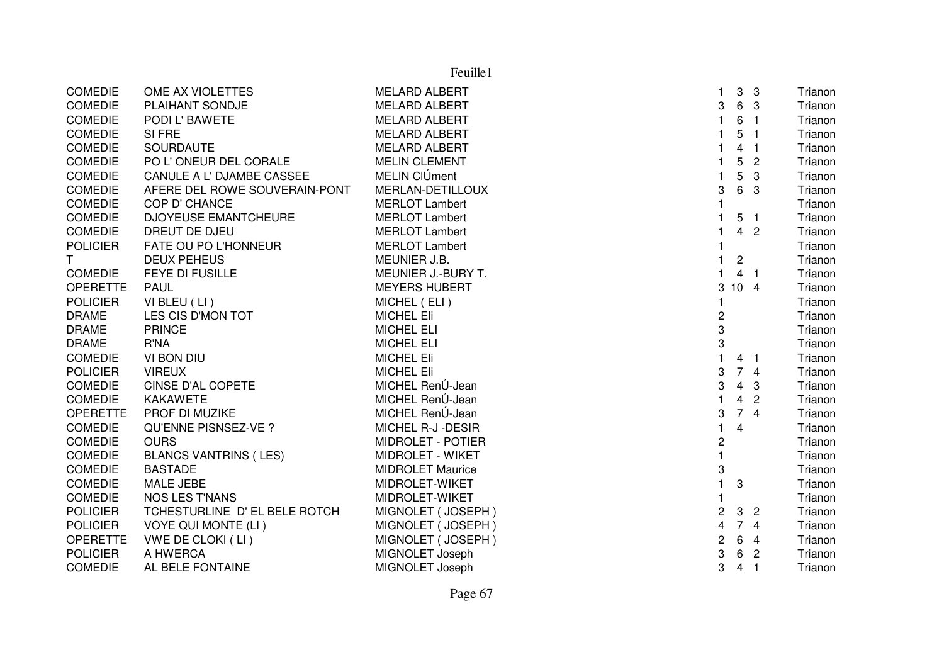|                 |                               | Feuille1                 |                         |                 |                            |         |
|-----------------|-------------------------------|--------------------------|-------------------------|-----------------|----------------------------|---------|
| <b>COMEDIE</b>  | OME AX VIOLETTES              | <b>MELARD ALBERT</b>     | 1                       |                 | 3 <sub>3</sub>             | Trianon |
| <b>COMEDIE</b>  | PLAIHANT SONDJE               | <b>MELARD ALBERT</b>     | 3                       | 6               | $\mathbf{3}$               | Trianon |
| <b>COMEDIE</b>  | PODI L' BAWETE                | <b>MELARD ALBERT</b>     | $\mathbf{1}$            | 6               | $\overline{1}$             | Trianon |
| <b>COMEDIE</b>  | SI FRE                        | <b>MELARD ALBERT</b>     | 1                       | 5               | $\overline{\phantom{0}}$   | Trianon |
| <b>COMEDIE</b>  | <b>SOURDAUTE</b>              | <b>MELARD ALBERT</b>     | 1                       | $\overline{4}$  | $\overline{\phantom{0}}$ 1 | Trianon |
| <b>COMEDIE</b>  | PO L'ONEUR DEL CORALE         | <b>MELIN CLEMENT</b>     | $\mathbf{1}$            | 5               | $\overline{c}$             | Trianon |
| <b>COMEDIE</b>  | CANULE A L' DJAMBE CASSEE     | MELIN CIÚment            | $\mathbf{1}$            | 5               | 3                          | Trianon |
| <b>COMEDIE</b>  | AFERE DEL ROWE SOUVERAIN-PONT | MERLAN-DETILLOUX         | 3                       | 6               | -3                         | Trianon |
| <b>COMEDIE</b>  | COP D' CHANCE                 | <b>MERLOT Lambert</b>    |                         |                 |                            | Trianon |
| <b>COMEDIE</b>  | <b>DJOYEUSE EMANTCHEURE</b>   | <b>MERLOT Lambert</b>    |                         |                 | 5 <sub>1</sub>             | Trianon |
| <b>COMEDIE</b>  | DREUT DE DJEU                 | <b>MERLOT Lambert</b>    |                         |                 | 4 <sub>2</sub>             | Trianon |
| <b>POLICIER</b> | FATE OU PO L'HONNEUR          | <b>MERLOT Lambert</b>    |                         |                 |                            | Trianon |
| T.              | <b>DEUX PEHEUS</b>            | MEUNIER J.B.             | 1.                      | $\overline{c}$  |                            | Trianon |
| <b>COMEDIE</b>  | FEYE DI FUSILLE               | MEUNIER J.-BURY T.       | 1                       |                 | 4 <sub>1</sub>             | Trianon |
| <b>OPERETTE</b> | <b>PAUL</b>                   | <b>MEYERS HUBERT</b>     | 3                       | 10 <sub>4</sub> |                            | Trianon |
| <b>POLICIER</b> | VI BLEU (LI)                  | MICHEL (ELI)             | 1                       |                 |                            | Trianon |
| <b>DRAME</b>    | LES CIS D'MON TOT             | <b>MICHEL Eli</b>        | 2                       |                 |                            | Trianon |
| <b>DRAME</b>    | <b>PRINCE</b>                 | <b>MICHEL ELI</b>        | 3                       |                 |                            | Trianon |
| <b>DRAME</b>    | R'NA                          | <b>MICHEL ELI</b>        | 3                       |                 |                            | Trianon |
| <b>COMEDIE</b>  | VI BON DIU                    | <b>MICHEL Eli</b>        | $\mathbf{1}$            |                 | 4 <sub>1</sub>             | Trianon |
| <b>POLICIER</b> | <b>VIREUX</b>                 | <b>MICHEL Eli</b>        | 3                       | 74              |                            | Trianon |
| <b>COMEDIE</b>  | <b>CINSE D'AL COPETE</b>      | MICHEL RenÚ-Jean         | 3                       | $\overline{4}$  | -3                         | Trianon |
| <b>COMEDIE</b>  | <b>KAKAWETE</b>               | MICHEL RenÚ-Jean         |                         | $\overline{4}$  | $\overline{2}$             | Trianon |
| <b>OPERETTE</b> | PROF DI MUZIKE                | MICHEL RenÚ-Jean         | 3                       | 74              |                            | Trianon |
| <b>COMEDIE</b>  | QU'ENNE PISNSEZ-VE ?          | MICHEL R-J -DESIR        | 1                       | $\overline{4}$  |                            | Trianon |
| <b>COMEDIE</b>  | <b>OURS</b>                   | <b>MIDROLET - POTIER</b> | $\overline{c}$          |                 |                            | Trianon |
| <b>COMEDIE</b>  | <b>BLANCS VANTRINS (LES)</b>  | <b>MIDROLET - WIKET</b>  | $\mathbf{1}$            |                 |                            | Trianon |
| <b>COMEDIE</b>  | <b>BASTADE</b>                | <b>MIDROLET Maurice</b>  | 3                       |                 |                            | Trianon |
| <b>COMEDIE</b>  | MALE JEBE                     | MIDROLET-WIKET           | $\mathbf{1}$            | 3               |                            | Trianon |
| <b>COMEDIE</b>  | <b>NOS LES T'NANS</b>         | MIDROLET-WIKET           | $\mathbf{1}$            |                 |                            | Trianon |
| <b>POLICIER</b> | TCHESTURLINE D' EL BELE ROTCH | MIGNOLET (JOSEPH)        | $\overline{\mathbf{c}}$ | $\mathbf{3}$    | $\overline{2}$             | Trianon |
| <b>POLICIER</b> | <b>VOYE QUI MONTE (LI)</b>    | MIGNOLET (JOSEPH)        | 4                       | 74              |                            | Trianon |
| <b>OPERETTE</b> | VWE DE CLOKI (LI)             | MIGNOLET (JOSEPH)        | 2                       | $6\phantom{a}$  | $\overline{4}$             | Trianon |
| <b>POLICIER</b> | A HWERCA                      | MIGNOLET Joseph          | 3                       | 6               | $\overline{2}$             | Trianon |
| <b>COMEDIE</b>  | AL BELE FONTAINE              | MIGNOLET Joseph          | 3                       | $\overline{4}$  | $\overline{\phantom{0}}$   | Trianon |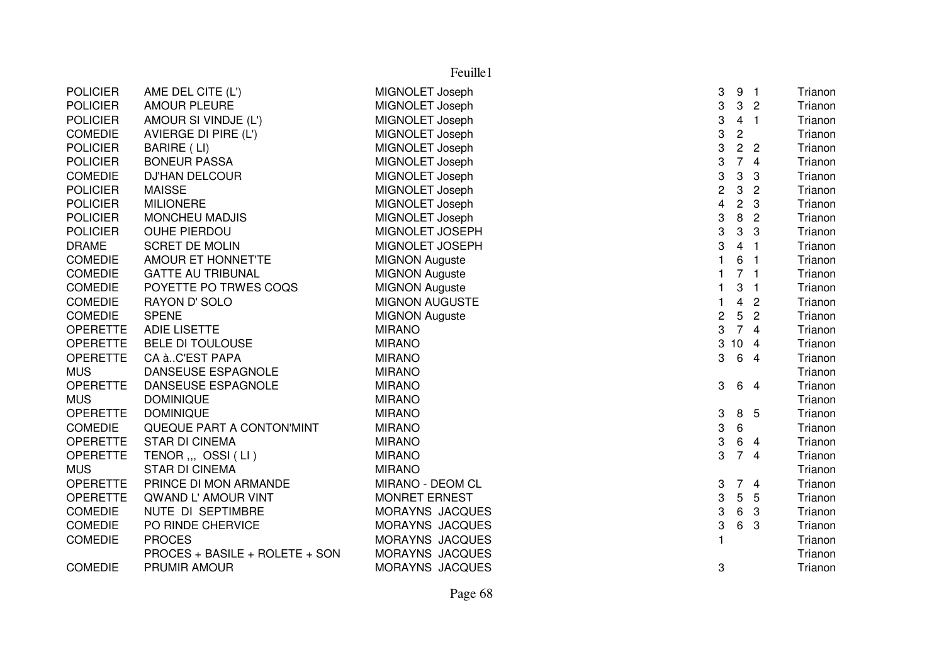|                 | Feuille1                       |                       |                         |                         |                |         |  |
|-----------------|--------------------------------|-----------------------|-------------------------|-------------------------|----------------|---------|--|
| <b>POLICIER</b> | AME DEL CITE (L')              | MIGNOLET Joseph       | 3                       | 9 <sub>1</sub>          |                | Trianon |  |
| <b>POLICIER</b> | <b>AMOUR PLEURE</b>            | MIGNOLET Joseph       | 3                       | 3                       | $\overline{2}$ | Trianon |  |
| <b>POLICIER</b> | AMOUR SI VINDJE (L')           | MIGNOLET Joseph       | 3                       | $\overline{4}$          | $\overline{1}$ | Trianon |  |
| <b>COMEDIE</b>  | AVIERGE DI PIRE (L')           | MIGNOLET Joseph       | 3                       | $\mathbf 2$             |                | Trianon |  |
| <b>POLICIER</b> | BARIRE (LI)                    | MIGNOLET Joseph       | 3                       | $\overline{c}$          | $\overline{2}$ | Trianon |  |
| <b>POLICIER</b> | <b>BONEUR PASSA</b>            | MIGNOLET Joseph       | 3                       | $\overline{7}$          | $\overline{4}$ | Trianon |  |
| <b>COMEDIE</b>  | <b>DJ'HAN DELCOUR</b>          | MIGNOLET Joseph       | 3                       | 3                       | 3              | Trianon |  |
| <b>POLICIER</b> | <b>MAISSE</b>                  | MIGNOLET Joseph       | $\overline{c}$          | 3                       | $\overline{c}$ | Trianon |  |
| <b>POLICIER</b> | <b>MILIONERE</b>               | MIGNOLET Joseph       | $\overline{\mathbf{4}}$ | $\overline{2}$          | 3              | Trianon |  |
| <b>POLICIER</b> | <b>MONCHEU MADJIS</b>          | MIGNOLET Joseph       | 3                       | 8                       | $\overline{2}$ | Trianon |  |
| <b>POLICIER</b> | <b>OUHE PIERDOU</b>            | MIGNOLET JOSEPH       | 3                       | 3                       | 3              | Trianon |  |
| <b>DRAME</b>    | <b>SCRET DE MOLIN</b>          | MIGNOLET JOSEPH       | 3                       | 4 <sub>1</sub>          |                | Trianon |  |
| <b>COMEDIE</b>  | AMOUR ET HONNET'TE             | <b>MIGNON Auguste</b> | $\mathbf{1}$            | 6                       | $\blacksquare$ | Trianon |  |
| <b>COMEDIE</b>  | <b>GATTE AU TRIBUNAL</b>       | <b>MIGNON Auguste</b> | 1                       | 7 <sub>1</sub>          |                | Trianon |  |
| <b>COMEDIE</b>  | POYETTE PO TRWES COQS          | <b>MIGNON Auguste</b> | 1                       | 3                       | $\overline{1}$ | Trianon |  |
| <b>COMEDIE</b>  | RAYON D' SOLO                  | <b>MIGNON AUGUSTE</b> | $\mathbf{1}$            | $\overline{\mathbf{4}}$ | $\overline{2}$ | Trianon |  |
| <b>COMEDIE</b>  | <b>SPENE</b>                   | <b>MIGNON Auguste</b> | $\overline{c}$          | 5                       | $\overline{2}$ | Trianon |  |
| <b>OPERETTE</b> | <b>ADIE LISETTE</b>            | <b>MIRANO</b>         | 3                       |                         | 74             | Trianon |  |
| <b>OPERETTE</b> | <b>BELE DI TOULOUSE</b>        | <b>MIRANO</b>         | 3                       | 10 <sub>4</sub>         |                | Trianon |  |
| <b>OPERETTE</b> | CA àC'EST PAPA                 | <b>MIRANO</b>         | 3                       | 6 4                     |                | Trianon |  |
| <b>MUS</b>      | DANSEUSE ESPAGNOLE             | <b>MIRANO</b>         |                         |                         |                | Trianon |  |
| <b>OPERETTE</b> | DANSEUSE ESPAGNOLE             | <b>MIRANO</b>         | 3                       |                         | 6 4            | Trianon |  |
| <b>MUS</b>      | <b>DOMINIQUE</b>               | <b>MIRANO</b>         |                         |                         |                | Trianon |  |
| <b>OPERETTE</b> | <b>DOMINIQUE</b>               | <b>MIRANO</b>         | 3                       | 8 5                     |                | Trianon |  |
| <b>COMEDIE</b>  | QUEQUE PART A CONTON'MINT      | <b>MIRANO</b>         | 3                       | 6                       |                | Trianon |  |
| <b>OPERETTE</b> | <b>STAR DI CINEMA</b>          | <b>MIRANO</b>         | 3                       | 6                       | $\overline{4}$ | Trianon |  |
| <b>OPERETTE</b> | TENOR ,,, OSSI (LI)            | <b>MIRANO</b>         | 3                       | $\overline{7}$          | $\overline{4}$ | Trianon |  |
| <b>MUS</b>      | <b>STAR DI CINEMA</b>          | <b>MIRANO</b>         |                         |                         |                | Trianon |  |
| <b>OPERETTE</b> | PRINCE DI MON ARMANDE          | MIRANO - DEOM CL      | 3                       | $\overline{7}$          | $\overline{4}$ | Trianon |  |
| <b>OPERETTE</b> | QWAND L' AMOUR VINT            | <b>MONRET ERNEST</b>  | 3                       | 5                       | 5              | Trianon |  |
| <b>COMEDIE</b>  | NUTE DI SEPTIMBRE              | MORAYNS JACQUES       | 3                       | 6                       | 3              | Trianon |  |
| <b>COMEDIE</b>  | PO RINDE CHERVICE              | MORAYNS JACQUES       | 3                       | 6                       | 3              | Trianon |  |
| <b>COMEDIE</b>  | <b>PROCES</b>                  | MORAYNS JACQUES       | 1                       |                         |                | Trianon |  |
|                 | PROCES + BASILE + ROLETE + SON | MORAYNS JACQUES       |                         |                         |                | Trianon |  |
| <b>COMEDIE</b>  | PRUMIR AMOUR                   | MORAYNS JACQUES       | 3                       |                         |                | Trianon |  |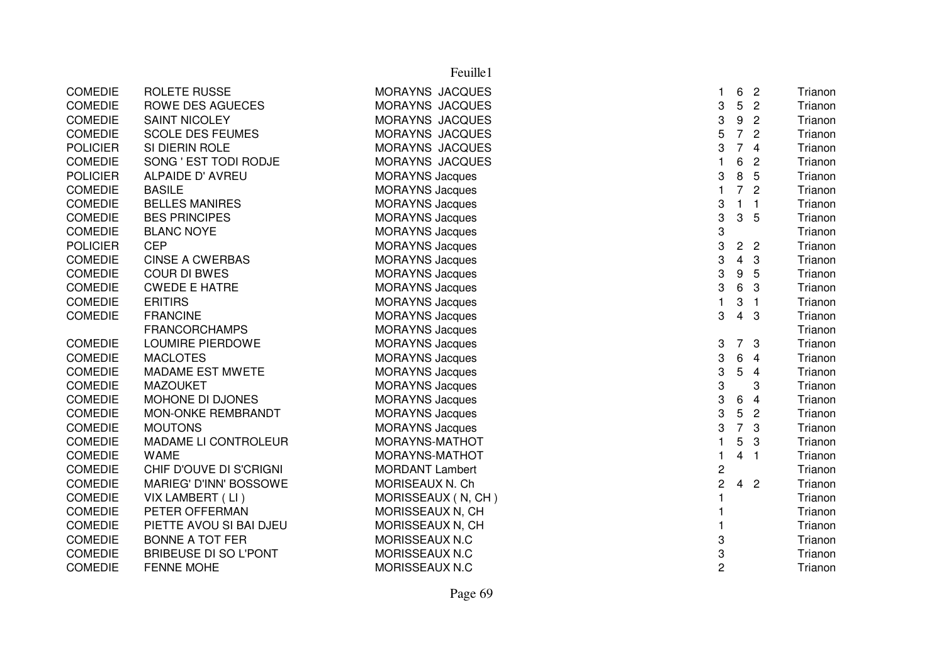|                 |                              | Feuille1               |                |                |                |         |
|-----------------|------------------------------|------------------------|----------------|----------------|----------------|---------|
| <b>COMEDIE</b>  | <b>ROLETE RUSSE</b>          | MORAYNS JACQUES        | 1.             | 6              | $\overline{2}$ | Trianon |
| <b>COMEDIE</b>  | <b>ROWE DES AGUECES</b>      | MORAYNS JACQUES        | 3              | 5              | $\overline{c}$ | Trianon |
| <b>COMEDIE</b>  | <b>SAINT NICOLEY</b>         | MORAYNS JACQUES        | 3              | 9              | $\overline{c}$ | Trianon |
| <b>COMEDIE</b>  | <b>SCOLE DES FEUMES</b>      | MORAYNS JACQUES        | 5              | $\overline{7}$ | $\overline{2}$ | Trianon |
| <b>POLICIER</b> | SI DIERIN ROLE               | MORAYNS JACQUES        | 3              | $\overline{7}$ | $\overline{4}$ | Trianon |
| <b>COMEDIE</b>  | SONG ' EST TODI RODJE        | MORAYNS JACQUES        | $\mathbf{1}$   | 6              | $\overline{2}$ | Trianon |
| <b>POLICIER</b> | ALPAIDE D' AVREU             | <b>MORAYNS Jacques</b> | 3              | 8              | 5              | Trianon |
| <b>COMEDIE</b>  | <b>BASILE</b>                | <b>MORAYNS Jacques</b> | $\mathbf{1}$   | $\overline{7}$ | $\overline{c}$ | Trianon |
| <b>COMEDIE</b>  | <b>BELLES MANIRES</b>        | <b>MORAYNS Jacques</b> | 3              | $\mathbf{1}$   | $\mathbf{1}$   | Trianon |
| <b>COMEDIE</b>  | <b>BES PRINCIPES</b>         | <b>MORAYNS Jacques</b> | 3              | 3              | 5              | Trianon |
| <b>COMEDIE</b>  | <b>BLANC NOYE</b>            | <b>MORAYNS Jacques</b> | 3              |                |                | Trianon |
| <b>POLICIER</b> | <b>CEP</b>                   | <b>MORAYNS Jacques</b> | 3              | $\overline{2}$ | $\overline{2}$ | Trianon |
| <b>COMEDIE</b>  | <b>CINSE A CWERBAS</b>       | <b>MORAYNS Jacques</b> | 3              | 4              | 3              | Trianon |
| <b>COMEDIE</b>  | <b>COUR DI BWES</b>          | <b>MORAYNS Jacques</b> | 3              | 9              | 5              | Trianon |
| <b>COMEDIE</b>  | <b>CWEDE E HATRE</b>         | <b>MORAYNS Jacques</b> | 3              | 6              | 3              | Trianon |
| <b>COMEDIE</b>  | <b>ERITIRS</b>               | <b>MORAYNS Jacques</b> | 1              | 3              | $\overline{1}$ | Trianon |
| <b>COMEDIE</b>  | <b>FRANCINE</b>              | <b>MORAYNS Jacques</b> | 3              | $\overline{4}$ | 3              | Trianon |
|                 | <b>FRANCORCHAMPS</b>         | <b>MORAYNS Jacques</b> |                |                |                | Trianon |
| <b>COMEDIE</b>  | LOUMIRE PIERDOWE             | <b>MORAYNS Jacques</b> | 3              | $\overline{7}$ | 3              | Trianon |
| <b>COMEDIE</b>  | <b>MACLOTES</b>              | <b>MORAYNS Jacques</b> | 3              | 6              | $\overline{4}$ | Trianon |
| <b>COMEDIE</b>  | MADAME EST MWETE             | <b>MORAYNS Jacques</b> | 3              | 5              | 4              | Trianon |
| <b>COMEDIE</b>  | <b>MAZOUKET</b>              | <b>MORAYNS Jacques</b> | 3              |                | 3              | Trianon |
| <b>COMEDIE</b>  | MOHONE DI DJONES             | <b>MORAYNS Jacques</b> | 3              | 6              | $\overline{4}$ | Trianon |
| <b>COMEDIE</b>  | MON-ONKE REMBRANDT           | <b>MORAYNS Jacques</b> | 3              | 5              | $\overline{c}$ | Trianon |
| COMEDIE         | <b>MOUTONS</b>               | <b>MORAYNS Jacques</b> | 3              | $\overline{7}$ | 3              | Trianon |
| <b>COMEDIE</b>  | MADAME LI CONTROLEUR         | MORAYNS-MATHOT         | 1              | 5              | 3              | Trianon |
| <b>COMEDIE</b>  | <b>WAME</b>                  | MORAYNS-MATHOT         | 1              | $\overline{4}$ | $\mathbf{1}$   | Trianon |
| <b>COMEDIE</b>  | CHIF D'OUVE DI S'CRIGNI      | <b>MORDANT Lambert</b> | $\overline{c}$ |                |                | Trianon |
| <b>COMEDIE</b>  | MARIEG' D'INN' BOSSOWE       | MORISEAUX N. Ch        | $\overline{c}$ | 4 <sup>2</sup> |                | Trianon |
| <b>COMEDIE</b>  | VIX LAMBERT (LI)             | MORISSEAUX (N, CH)     | 1              |                |                | Trianon |
| <b>COMEDIE</b>  | PETER OFFERMAN               | MORISSEAUX N, CH       | 1              |                |                | Trianon |
| <b>COMEDIE</b>  | PIETTE AVOU SI BAI DJEU      | MORISSEAUX N, CH       | 1              |                |                | Trianon |
| <b>COMEDIE</b>  | <b>BONNE A TOT FER</b>       | MORISSEAUX N.C         | 3              |                |                | Trianon |
| <b>COMEDIE</b>  | <b>BRIBEUSE DI SO L'PONT</b> | MORISSEAUX N.C         | 3              |                |                | Trianon |
| <b>COMEDIE</b>  | <b>FENNE MOHE</b>            | MORISSEAUX N.C         | $\overline{2}$ |                |                | Trianon |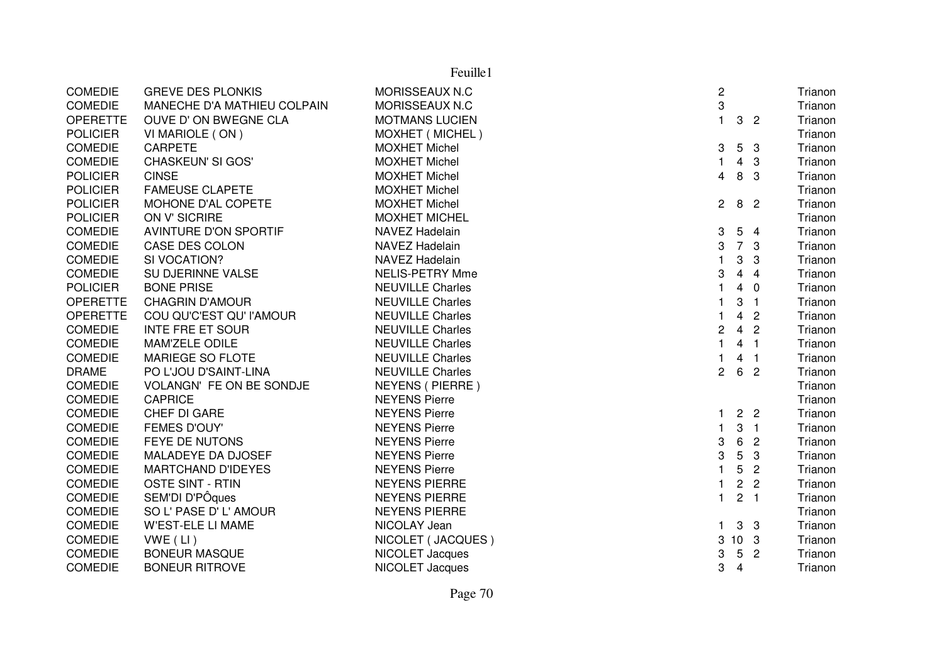| Feuille1        |                              |                         |                |                 |                  |  |         |
|-----------------|------------------------------|-------------------------|----------------|-----------------|------------------|--|---------|
| <b>COMEDIE</b>  | <b>GREVE DES PLONKIS</b>     | MORISSEAUX N.C          | $\overline{c}$ |                 |                  |  | Trianon |
| <b>COMEDIE</b>  | MANECHE D'A MATHIEU COLPAIN  | MORISSEAUX N.C          | 3              |                 |                  |  | Trianon |
| <b>OPERETTE</b> | OUVE D' ON BWEGNE CLA        | <b>MOTMANS LUCIEN</b>   | $\mathbf{1}$   |                 | 3 <sub>2</sub>   |  | Trianon |
| <b>POLICIER</b> | VI MARIOLE (ON)              | MOXHET (MICHEL)         |                |                 |                  |  | Trianon |
| <b>COMEDIE</b>  | <b>CARPETE</b>               | <b>MOXHET Michel</b>    | 3              | 5 <sub>3</sub>  |                  |  | Trianon |
| <b>COMEDIE</b>  | CHASKEUN' SI GOS'            | <b>MOXHET Michel</b>    | $\mathbf{1}$   |                 | $4 \quad 3$      |  | Trianon |
| <b>POLICIER</b> | <b>CINSE</b>                 | <b>MOXHET Michel</b>    | 4              | 8 3             |                  |  | Trianon |
| <b>POLICIER</b> | <b>FAMEUSE CLAPETE</b>       | <b>MOXHET Michel</b>    |                |                 |                  |  | Trianon |
| <b>POLICIER</b> | MOHONE D'AL COPETE           | <b>MOXHET Michel</b>    | $\overline{2}$ | 8 <sup>2</sup>  |                  |  | Trianon |
| <b>POLICIER</b> | ON V' SICRIRE                | <b>MOXHET MICHEL</b>    |                |                 |                  |  | Trianon |
| <b>COMEDIE</b>  | <b>AVINTURE D'ON SPORTIF</b> | <b>NAVEZ Hadelain</b>   | 3              | 5 <sub>4</sub>  |                  |  | Trianon |
| <b>COMEDIE</b>  | CASE DES COLON               | <b>NAVEZ Hadelain</b>   | 3              | 7 <sup>3</sup>  |                  |  | Trianon |
| <b>COMEDIE</b>  | SI VOCATION?                 | NAVEZ Hadelain          | $\mathbf{1}$   | 3               | 3                |  | Trianon |
| <b>COMEDIE</b>  | SU DJERINNE VALSE            | <b>NELIS-PETRY Mme</b>  | 3              | $\overline{4}$  | $\overline{4}$   |  | Trianon |
| <b>POLICIER</b> | <b>BONE PRISE</b>            | <b>NEUVILLE Charles</b> | $\mathbf{1}$   | $\overline{4}$  | $\overline{0}$   |  | Trianon |
| <b>OPERETTE</b> | <b>CHAGRIN D'AMOUR</b>       | <b>NEUVILLE Charles</b> | $\mathbf{1}$   | 3               | $\blacksquare$ 1 |  | Trianon |
| <b>OPERETTE</b> | COU QU'C'EST QU' l'AMOUR     | <b>NEUVILLE Charles</b> | $\mathbf{1}$   | 4               | $\overline{2}$   |  | Trianon |
| <b>COMEDIE</b>  | <b>INTE FRE ET SOUR</b>      | <b>NEUVILLE Charles</b> | $\overline{c}$ | $\overline{4}$  | $\overline{2}$   |  | Trianon |
| <b>COMEDIE</b>  | MAM'ZELE ODILE               | <b>NEUVILLE Charles</b> | $\mathbf{1}$   |                 | 4 <sub>1</sub>   |  | Trianon |
| <b>COMEDIE</b>  | <b>MARIEGE SO FLOTE</b>      | <b>NEUVILLE Charles</b> |                |                 | 4 <sub>1</sub>   |  | Trianon |
| <b>DRAME</b>    | PO L'JOU D'SAINT-LINA        | <b>NEUVILLE Charles</b> | 2              | 6               | $\overline{2}$   |  | Trianon |
| <b>COMEDIE</b>  | VOLANGN' FE ON BE SONDJE     | NEYENS ( PIERRE )       |                |                 |                  |  | Trianon |
| <b>COMEDIE</b>  | <b>CAPRICE</b>               | <b>NEYENS Pierre</b>    |                |                 |                  |  | Trianon |
| <b>COMEDIE</b>  | CHEF DI GARE                 | <b>NEYENS Pierre</b>    | 1              |                 | 2 <sub>2</sub>   |  | Trianon |
| <b>COMEDIE</b>  | FEMES D'OUY'                 | <b>NEYENS Pierre</b>    | 1              |                 | 3 <sub>1</sub>   |  | Trianon |
| <b>COMEDIE</b>  | <b>FEYE DE NUTONS</b>        | <b>NEYENS Pierre</b>    | 3              | 6               | $\overline{2}$   |  | Trianon |
| <b>COMEDIE</b>  | MALADEYE DA DJOSEF           | <b>NEYENS Pierre</b>    | 3              | $5\phantom{.0}$ | 3                |  | Trianon |
| <b>COMEDIE</b>  | <b>MARTCHAND D'IDEYES</b>    | <b>NEYENS Pierre</b>    | 1              | 5               | $\overline{2}$   |  | Trianon |
| <b>COMEDIE</b>  | <b>OSTE SINT - RTIN</b>      | <b>NEYENS PIERRE</b>    | 1              | $\overline{c}$  | $\overline{2}$   |  | Trianon |
| <b>COMEDIE</b>  | SEM'DI D'PÔques              | <b>NEYENS PIERRE</b>    | $\mathbf{1}$   |                 | 2 <sub>1</sub>   |  | Trianon |
| <b>COMEDIE</b>  | SO L' PASE D' L' AMOUR       | <b>NEYENS PIERRE</b>    |                |                 |                  |  | Trianon |
| <b>COMEDIE</b>  | <b>W'EST-ELE LI MAME</b>     | NICOLAY Jean            | 1.             | 3 <sub>3</sub>  |                  |  | Trianon |
| <b>COMEDIE</b>  | $VWE$ (LI)                   | NICOLET (JACQUES)       |                | 3 10 3          |                  |  | Trianon |
| <b>COMEDIE</b>  | <b>BONEUR MASQUE</b>         | NICOLET Jacques         | 3              | 5 <sub>2</sub>  |                  |  | Trianon |
| <b>COMEDIE</b>  | <b>BONEUR RITROVE</b>        | NICOLET Jacques         | 3              | $\overline{4}$  |                  |  | Trianon |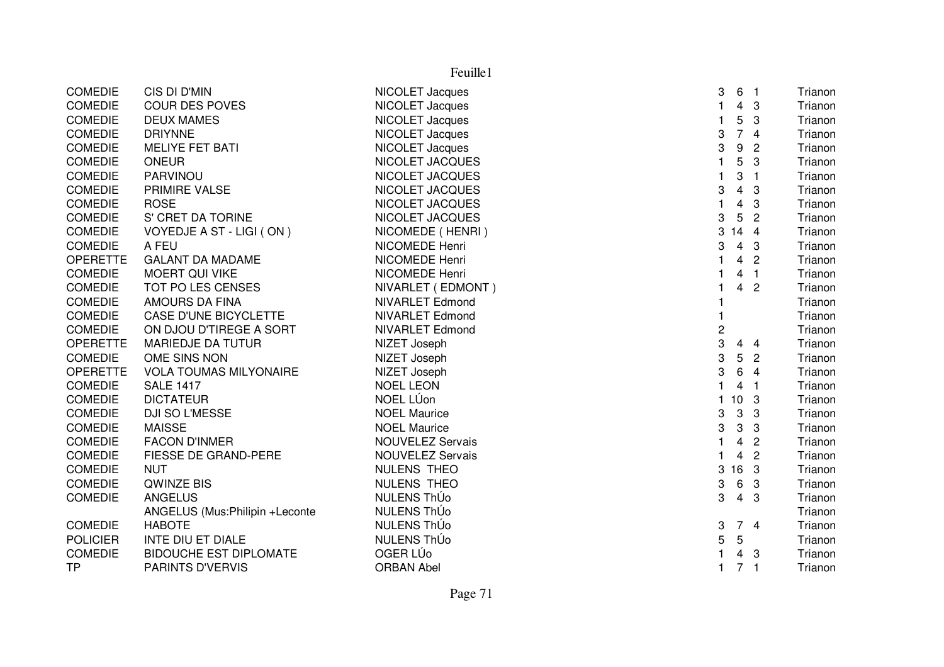|                 | Feuille1                       |                         |                                                  |         |  |  |  |
|-----------------|--------------------------------|-------------------------|--------------------------------------------------|---------|--|--|--|
| <b>COMEDIE</b>  | CIS DI D'MIN                   | NICOLET Jacques         | 3<br>6<br>$\blacksquare$ 1                       | Trianon |  |  |  |
| <b>COMEDIE</b>  | <b>COUR DES POVES</b>          | NICOLET Jacques         | $\mathbf{1}$<br>3<br>4                           | Trianon |  |  |  |
| <b>COMEDIE</b>  | <b>DEUX MAMES</b>              | NICOLET Jacques         | 5<br>$\mathbf{1}$<br>3                           | Trianon |  |  |  |
| <b>COMEDIE</b>  | <b>DRIYNNE</b>                 | NICOLET Jacques         | $\overline{7}$<br>3<br>$\overline{4}$            | Trianon |  |  |  |
| <b>COMEDIE</b>  | MELIYE FET BATI                | NICOLET Jacques         | 3<br>$\boldsymbol{9}$<br>$\overline{c}$          | Trianon |  |  |  |
| <b>COMEDIE</b>  | <b>ONEUR</b>                   | NICOLET JACQUES         | 5<br>3<br>1                                      | Trianon |  |  |  |
| <b>COMEDIE</b>  | PARVINOU                       | NICOLET JACQUES         | 3<br>1<br>$\overline{1}$                         | Trianon |  |  |  |
| <b>COMEDIE</b>  | PRIMIRE VALSE                  | NICOLET JACQUES         | 3<br>4<br>3                                      | Trianon |  |  |  |
| <b>COMEDIE</b>  | <b>ROSE</b>                    | NICOLET JACQUES         | 4<br>3                                           | Trianon |  |  |  |
| <b>COMEDIE</b>  | S' CRET DA TORINE              | NICOLET JACQUES         | 3<br>5<br>$\overline{c}$                         | Trianon |  |  |  |
| <b>COMEDIE</b>  | VOYEDJE A ST - LIGI (ON)       | NICOMEDE (HENRI)        | 3<br>$14 \quad 4$                                | Trianon |  |  |  |
| <b>COMEDIE</b>  | A FEU                          | NICOMEDE Henri          | 3<br>4<br>3                                      | Trianon |  |  |  |
| <b>OPERETTE</b> | <b>GALANT DA MADAME</b>        | NICOMEDE Henri          | $\overline{2}$<br>4                              | Trianon |  |  |  |
| <b>COMEDIE</b>  | <b>MOERT QUI VIKE</b>          | NICOMEDE Henri          | $\overline{1}$<br>4                              | Trianon |  |  |  |
| <b>COMEDIE</b>  | TOT PO LES CENSES              | NIVARLET (EDMONT)       | $\overline{2}$<br>4                              | Trianon |  |  |  |
| <b>COMEDIE</b>  | AMOURS DA FINA                 | <b>NIVARLET Edmond</b>  |                                                  | Trianon |  |  |  |
| <b>COMEDIE</b>  | <b>CASE D'UNE BICYCLETTE</b>   | <b>NIVARLET Edmond</b>  |                                                  | Trianon |  |  |  |
| <b>COMEDIE</b>  | ON DJOU D'TIREGE A SORT        | <b>NIVARLET Edmond</b>  | $\mathbf 2$                                      | Trianon |  |  |  |
| <b>OPERETTE</b> | <b>MARIEDJE DA TUTUR</b>       | NIZET Joseph            | 3<br>4<br>$\overline{4}$                         | Trianon |  |  |  |
| <b>COMEDIE</b>  | OME SINS NON                   | NIZET Joseph            | 3<br>5<br>$\overline{2}$                         | Trianon |  |  |  |
| <b>OPERETTE</b> | <b>VOLA TOUMAS MILYONAIRE</b>  | NIZET Joseph            | 3<br>6<br>$\overline{4}$                         | Trianon |  |  |  |
| <b>COMEDIE</b>  | <b>SALE 1417</b>               | <b>NOEL LEON</b>        | $\mathbf{1}$<br>4<br>$\overline{1}$              | Trianon |  |  |  |
| <b>COMEDIE</b>  | <b>DICTATEUR</b>               | NOEL LÚon               | 10 <sub>3</sub><br>$\overline{1}$                | Trianon |  |  |  |
| <b>COMEDIE</b>  | DJI SO L'MESSE                 | <b>NOEL Maurice</b>     | $\mathbf{3}$<br>3<br>3                           | Trianon |  |  |  |
| <b>COMEDIE</b>  | <b>MAISSE</b>                  | <b>NOEL Maurice</b>     | 3<br>$\mathbf{3}$<br>3                           | Trianon |  |  |  |
| <b>COMEDIE</b>  | <b>FACON D'INMER</b>           | <b>NOUVELEZ Servais</b> | $\overline{4}$<br>$\mathbf{1}$<br>$\overline{2}$ | Trianon |  |  |  |
| <b>COMEDIE</b>  | <b>FIESSE DE GRAND-PERE</b>    | <b>NOUVELEZ Servais</b> | 4<br>$\overline{2}$                              | Trianon |  |  |  |
| <b>COMEDIE</b>  | <b>NUT</b>                     | <b>NULENS THEO</b>      | 3<br>16 3                                        | Trianon |  |  |  |
| <b>COMEDIE</b>  | <b>QWINZE BIS</b>              | <b>NULENS THEO</b>      | 3<br>6 3                                         | Trianon |  |  |  |
| <b>COMEDIE</b>  | <b>ANGELUS</b>                 | NULENS ThÚo             | 3<br>$\overline{4}$<br>3                         | Trianon |  |  |  |
|                 | ANGELUS (Mus:Philipin +Leconte | NULENS ThÚo             |                                                  | Trianon |  |  |  |
| <b>COMEDIE</b>  | <b>HABOTE</b>                  | NULENS ThÚo             | 74<br>3                                          | Trianon |  |  |  |
| <b>POLICIER</b> | <b>INTE DIU ET DIALE</b>       | NULENS ThÚo             | 5<br>5                                           | Trianon |  |  |  |
| <b>COMEDIE</b>  | <b>BIDOUCHE EST DIPLOMATE</b>  | OGER LÚ <sub>0</sub>    | 3<br>4                                           | Trianon |  |  |  |
| <b>TP</b>       | <b>PARINTS D'VERVIS</b>        | <b>ORBAN Abel</b>       | 7 <sub>1</sub><br>$\mathbf{1}$                   | Trianon |  |  |  |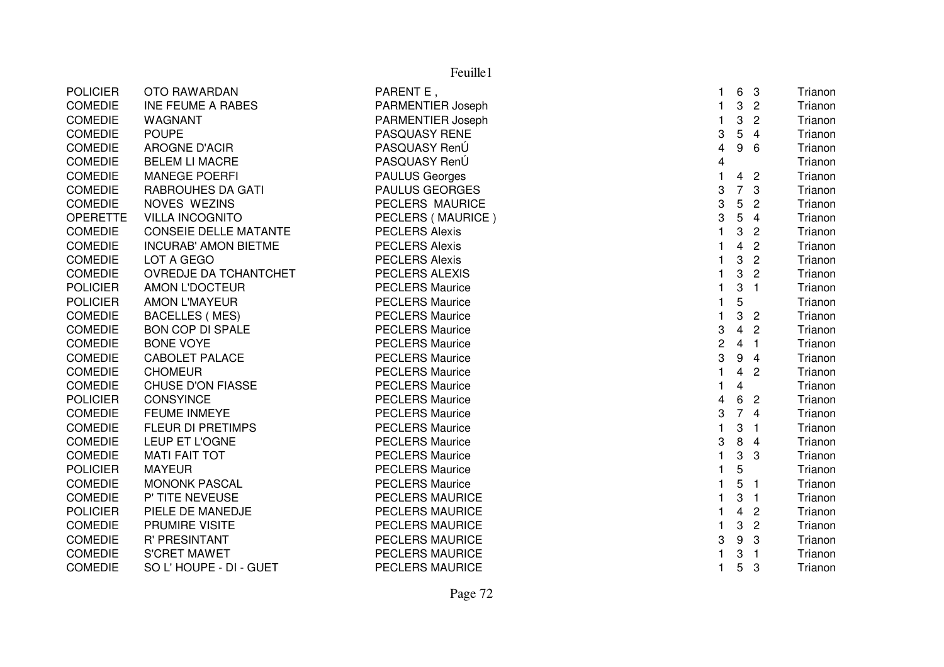|                              |                                                                                                                                                              | 1                                                                                                                                                                                                                                              |                | - 3                                               | Trianon                               |
|------------------------------|--------------------------------------------------------------------------------------------------------------------------------------------------------------|------------------------------------------------------------------------------------------------------------------------------------------------------------------------------------------------------------------------------------------------|----------------|---------------------------------------------------|---------------------------------------|
| <b>INE FEUME A RABES</b>     |                                                                                                                                                              | 1                                                                                                                                                                                                                                              | 3              | $\overline{c}$                                    | Trianon                               |
| WAGNANT                      | PARMENTIER Joseph                                                                                                                                            | 1                                                                                                                                                                                                                                              | 3              | $\overline{2}$                                    | Trianon                               |
| <b>POUPE</b>                 | PASQUASY RENE                                                                                                                                                | 3                                                                                                                                                                                                                                              | 5              | $\overline{4}$                                    | Trianon                               |
| AROGNE D'ACIR                | PASQUASY RenÚ                                                                                                                                                | 4                                                                                                                                                                                                                                              | 9              | 6                                                 | Trianon                               |
| <b>BELEM LI MACRE</b>        | PASQUASY RenÚ                                                                                                                                                | 4                                                                                                                                                                                                                                              |                |                                                   | Trianon                               |
| <b>MANEGE POERFI</b>         | <b>PAULUS Georges</b>                                                                                                                                        | $\mathbf 1$                                                                                                                                                                                                                                    | 4              | $\overline{c}$                                    | Trianon                               |
| <b>RABROUHES DA GATI</b>     | <b>PAULUS GEORGES</b>                                                                                                                                        | 3                                                                                                                                                                                                                                              | $\overline{7}$ | 3                                                 | Trianon                               |
| NOVES WEZINS                 | PECLERS MAURICE                                                                                                                                              | 3                                                                                                                                                                                                                                              | 5              | $\overline{c}$                                    | Trianon                               |
| <b>VILLA INCOGNITO</b>       | PECLERS (MAURICE)                                                                                                                                            | 3                                                                                                                                                                                                                                              | 5              | $\overline{4}$                                    | Trianon                               |
| <b>CONSEIE DELLE MATANTE</b> | <b>PECLERS Alexis</b>                                                                                                                                        | $\mathbf{1}$                                                                                                                                                                                                                                   | 3              | $\overline{c}$                                    | Trianon                               |
| <b>INCURAB' AMON BIETME</b>  | <b>PECLERS Alexis</b>                                                                                                                                        | 1                                                                                                                                                                                                                                              | 4              | $\overline{2}$                                    | Trianon                               |
| LOT A GEGO                   | <b>PECLERS Alexis</b>                                                                                                                                        |                                                                                                                                                                                                                                                | 3              | $\overline{2}$                                    | Trianon                               |
| OVREDJE DA TCHANTCHET        | PECLERS ALEXIS                                                                                                                                               |                                                                                                                                                                                                                                                | 3              | $\overline{2}$                                    | Trianon                               |
| <b>AMON L'DOCTEUR</b>        | <b>PECLERS Maurice</b>                                                                                                                                       |                                                                                                                                                                                                                                                | 3              | $\mathbf{1}$                                      | Trianon                               |
| <b>AMON L'MAYEUR</b>         | <b>PECLERS Maurice</b>                                                                                                                                       | 1                                                                                                                                                                                                                                              |                |                                                   | Trianon                               |
| <b>BACELLES (MES)</b>        | <b>PECLERS Maurice</b>                                                                                                                                       | 1                                                                                                                                                                                                                                              |                | $\overline{2}$                                    | Trianon                               |
|                              |                                                                                                                                                              | 3                                                                                                                                                                                                                                              |                | $\overline{c}$                                    | Trianon                               |
| <b>BONE VOYE</b>             | <b>PECLERS Maurice</b>                                                                                                                                       | $\overline{c}$                                                                                                                                                                                                                                 |                |                                                   | Trianon                               |
|                              |                                                                                                                                                              |                                                                                                                                                                                                                                                |                | $\overline{4}$                                    | Trianon                               |
|                              |                                                                                                                                                              | 1                                                                                                                                                                                                                                              | 4              | $\overline{2}$                                    | Trianon                               |
| <b>CHUSE D'ON FIASSE</b>     | <b>PECLERS Maurice</b>                                                                                                                                       | 1                                                                                                                                                                                                                                              | 4              |                                                   | Trianon                               |
| <b>CONSYINCE</b>             |                                                                                                                                                              | 4                                                                                                                                                                                                                                              | 6              | $\overline{2}$                                    | Trianon                               |
|                              |                                                                                                                                                              |                                                                                                                                                                                                                                                |                | $\overline{4}$                                    | Trianon                               |
| <b>FLEUR DI PRETIMPS</b>     |                                                                                                                                                              | 1                                                                                                                                                                                                                                              |                | $\overline{1}$                                    | Trianon                               |
| LEUP ET L'OGNE               |                                                                                                                                                              | 3                                                                                                                                                                                                                                              |                | $\overline{4}$                                    | Trianon                               |
|                              |                                                                                                                                                              | 1                                                                                                                                                                                                                                              |                | 3                                                 | Trianon                               |
| <b>MAYEUR</b>                | <b>PECLERS Maurice</b>                                                                                                                                       |                                                                                                                                                                                                                                                |                |                                                   | Trianon                               |
| <b>MONONK PASCAL</b>         | <b>PECLERS Maurice</b>                                                                                                                                       | 1                                                                                                                                                                                                                                              | 5              | $\mathbf 1$                                       | Trianon                               |
| P' TITE NEVEUSE              | <b>PECLERS MAURICE</b>                                                                                                                                       | 1                                                                                                                                                                                                                                              | 3              | $\overline{1}$                                    | Trianon                               |
|                              | <b>PECLERS MAURICE</b>                                                                                                                                       | 1                                                                                                                                                                                                                                              | 4              | $\overline{2}$                                    | Trianon                               |
| PRUMIRE VISITE               | <b>PECLERS MAURICE</b>                                                                                                                                       | 1                                                                                                                                                                                                                                              | 3              | $\overline{c}$                                    | Trianon                               |
| <b>R' PRESINTANT</b>         | <b>PECLERS MAURICE</b>                                                                                                                                       | 3                                                                                                                                                                                                                                              | 9              | 3                                                 | Trianon                               |
| <b>S'CRET MAWET</b>          | <b>PECLERS MAURICE</b>                                                                                                                                       |                                                                                                                                                                                                                                                | 3              | $\overline{1}$                                    | Trianon                               |
| SO L'HOUPE - DI - GUET       | <b>PECLERS MAURICE</b>                                                                                                                                       | 1                                                                                                                                                                                                                                              | 5              | 3                                                 | Trianon                               |
|                              | <b>OTO RAWARDAN</b><br><b>BON COP DI SPALE</b><br><b>CABOLET PALACE</b><br><b>CHOMEUR</b><br><b>FEUME INMEYE</b><br><b>MATI FAIT TOT</b><br>PIELE DE MANEDJE | PARENT E,<br>PARMENTIER Joseph<br><b>PECLERS Maurice</b><br><b>PECLERS Maurice</b><br><b>PECLERS Maurice</b><br><b>PECLERS Maurice</b><br><b>PECLERS Maurice</b><br><b>PECLERS Maurice</b><br><b>PECLERS Maurice</b><br><b>PECLERS Maurice</b> | 3<br>3         | 5<br>3<br>9<br>$\overline{7}$<br>3<br>8<br>3<br>5 | 6<br>$\overline{4}$<br>4 <sub>1</sub> |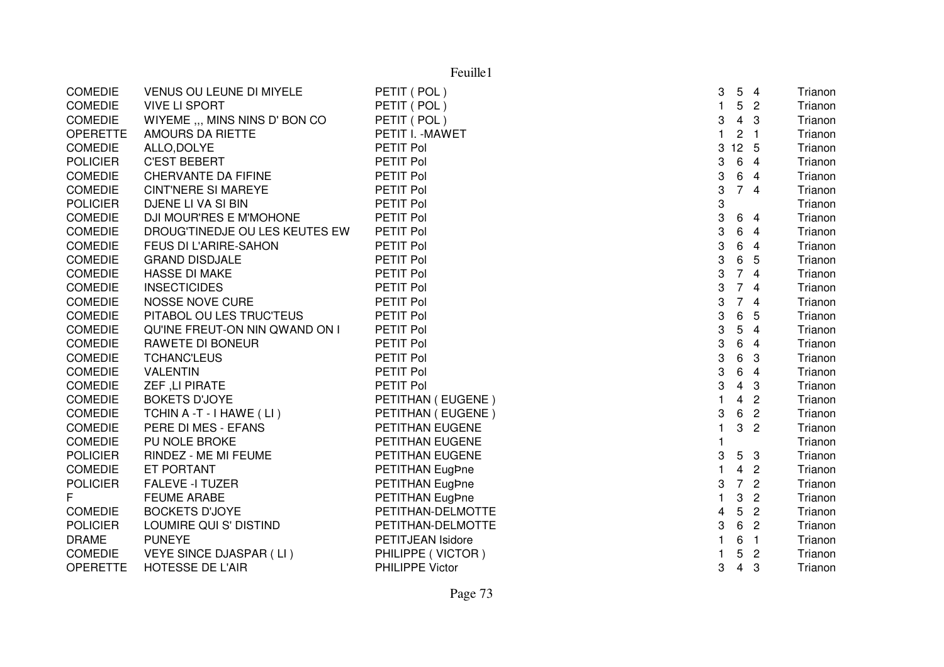|                 | Feuille1                       |                          |                           |                         |                |         |
|-----------------|--------------------------------|--------------------------|---------------------------|-------------------------|----------------|---------|
| <b>COMEDIE</b>  | VENUS OU LEUNE DI MIYELE       | PETIT (POL)              | 3                         | 5                       | $\overline{4}$ | Trianon |
| <b>COMEDIE</b>  | <b>VIVE LI SPORT</b>           | PETIT (POL)              | $\mathbf{1}$              | $5\phantom{.0}$         | $\overline{2}$ | Trianon |
| <b>COMEDIE</b>  | WIYEME ,,, MINS NINS D' BON CO | PETIT (POL)              | $\ensuremath{\mathsf{3}}$ | $\overline{4}$          | 3              | Trianon |
| <b>OPERETTE</b> | AMOURS DA RIETTE               | PETIT I. - MAWET         | $\mathbf{1}$              | $\overline{c}$          | $\overline{1}$ | Trianon |
| <b>COMEDIE</b>  | ALLO, DOLYE                    | PETIT Pol                | 3                         | $12 \quad 5$            |                | Trianon |
| <b>POLICIER</b> | <b>C'EST BEBERT</b>            | PETIT Pol                | 3                         | 6                       | $\overline{4}$ | Trianon |
| <b>COMEDIE</b>  | CHERVANTE DA FIFINE            | PETIT Pol                | 3                         | 6                       | 4              | Trianon |
| <b>COMEDIE</b>  | <b>CINT'NERE SI MAREYE</b>     | PETIT Pol                | 3                         | 74                      |                | Trianon |
| <b>POLICIER</b> | DJENE LI VA SI BIN             | PETIT Pol                | 3                         |                         |                | Trianon |
| COMEDIE         | DJI MOUR'RES E M'MOHONE        | PETIT Pol                | 3                         | 6                       | $\overline{4}$ | Trianon |
| <b>COMEDIE</b>  | DROUG'TINEDJE OU LES KEUTES EW | PETIT Pol                | 3                         | 6                       | 4              | Trianon |
| <b>COMEDIE</b>  | FEUS DI L'ARIRE-SAHON          | PETIT Pol                | 3                         | 6                       | $\overline{4}$ | Trianon |
| <b>COMEDIE</b>  | <b>GRAND DISDJALE</b>          | PETIT Pol                | 3                         | 6                       | 5              | Trianon |
| <b>COMEDIE</b>  | <b>HASSE DI MAKE</b>           | PETIT Pol                | 3                         | $\overline{7}$          | $\overline{4}$ | Trianon |
| <b>COMEDIE</b>  | <b>INSECTICIDES</b>            | PETIT Pol                | 3                         | $\overline{7}$          | $\overline{4}$ | Trianon |
| <b>COMEDIE</b>  | <b>NOSSE NOVE CURE</b>         | PETIT Pol                | 3                         | $\overline{7}$          | $\overline{4}$ | Trianon |
| <b>COMEDIE</b>  | PITABOL OU LES TRUC'TEUS       | PETIT Pol                | 3                         | 6                       | 5              | Trianon |
| <b>COMEDIE</b>  | QU'INE FREUT-ON NIN QWAND ON I | PETIT Pol                | 3                         | 5                       | $\overline{4}$ | Trianon |
| <b>COMEDIE</b>  | <b>RAWETE DI BONEUR</b>        | PETIT Pol                | 3                         | 6                       | $\overline{4}$ | Trianon |
| <b>COMEDIE</b>  | <b>TCHANC'LEUS</b>             | PETIT Pol                | $\ensuremath{\mathsf{3}}$ | 6                       | 3              | Trianon |
| <b>COMEDIE</b>  | <b>VALENTIN</b>                | PETIT Pol                | 3                         | 6                       | $\overline{4}$ | Trianon |
| <b>COMEDIE</b>  | ZEF, LI PIRATE                 | PETIT Pol                | 3                         | $\overline{\mathbf{4}}$ | 3              | Trianon |
| <b>COMEDIE</b>  | <b>BOKETS D'JOYE</b>           | PETITHAN (EUGENE)        | $\mathbf{1}$              | 4                       | $\overline{c}$ | Trianon |
| <b>COMEDIE</b>  | TCHIN A -T - I HAWE (LI)       | PETITHAN (EUGENE)        | 3                         | 6                       | $\overline{2}$ | Trianon |
| <b>COMEDIE</b>  | PERE DI MES - EFANS            | PETITHAN EUGENE          | $\mathbf{1}$              | 3                       | $\overline{2}$ | Trianon |
| <b>COMEDIE</b>  | PU NOLE BROKE                  | PETITHAN EUGENE          |                           |                         |                | Trianon |
| <b>POLICIER</b> | RINDEZ - ME MI FEUME           | PETITHAN EUGENE          | 3                         | 5                       | 3              | Trianon |
| <b>COMEDIE</b>  | ET PORTANT                     | PETITHAN EugPne          | 1                         | 4                       | $\overline{2}$ | Trianon |
| <b>POLICIER</b> | <b>FALEVE -I TUZER</b>         | PETITHAN EugPne          | 3                         | $\overline{7}$          | $\overline{2}$ | Trianon |
| F               | <b>FEUME ARABE</b>             | PETITHAN EugPne          | 1                         | 3                       | $\overline{2}$ | Trianon |
| <b>COMEDIE</b>  | <b>BOCKETS D'JOYE</b>          | PETITHAN-DELMOTTE        | 4                         | 5                       | $\overline{2}$ | Trianon |
| <b>POLICIER</b> | LOUMIRE QUI S' DISTIND         | PETITHAN-DELMOTTE        | 3                         | $6\phantom{.}6$         | $\overline{2}$ | Trianon |
| <b>DRAME</b>    | <b>PUNEYE</b>                  | <b>PETITJEAN Isidore</b> | 1                         | 6                       | $\overline{1}$ | Trianon |
| <b>COMEDIE</b>  | VEYE SINCE DJASPAR (LI)        | PHILIPPE (VICTOR)        |                           | 5                       | $\overline{2}$ | Trianon |
| <b>OPERETTE</b> | <b>HOTESSE DE L'AIR</b>        | <b>PHILIPPE Victor</b>   | 3                         | 4                       | 3              | Trianon |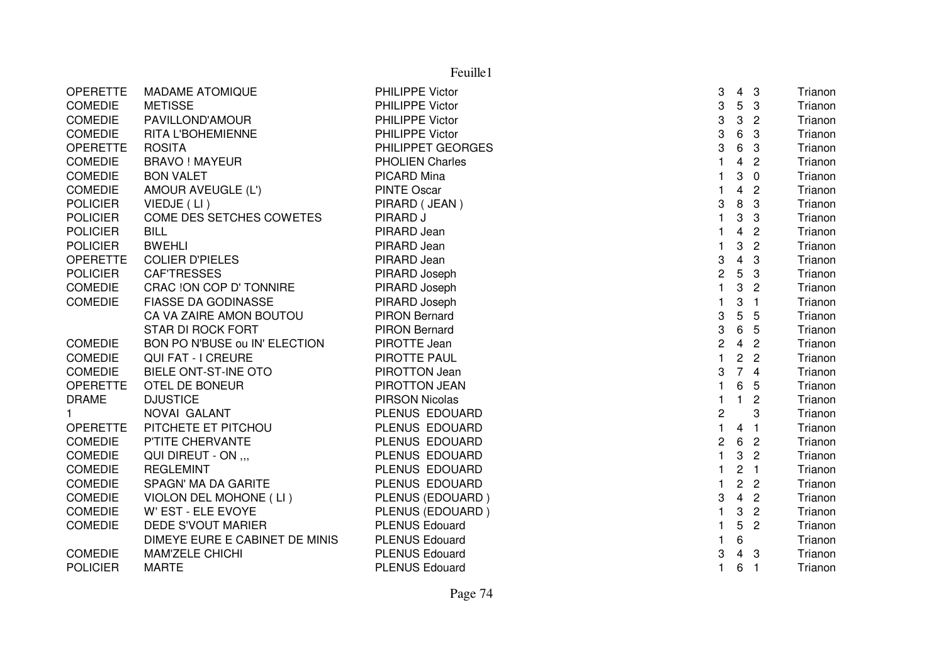|                 |                                | Feuille1               |                  |                         |                |         |
|-----------------|--------------------------------|------------------------|------------------|-------------------------|----------------|---------|
| <b>OPERETTE</b> | <b>MADAME ATOMIQUE</b>         | <b>PHILIPPE Victor</b> | 3                | 4                       | $\mathbf{3}$   | Trianon |
| <b>COMEDIE</b>  | <b>METISSE</b>                 | <b>PHILIPPE Victor</b> | 3                | $5\phantom{.0}$         | 3              | Trianon |
| <b>COMEDIE</b>  | PAVILLOND'AMOUR                | PHILIPPE Victor        | 3                | 3                       | $\overline{c}$ | Trianon |
| <b>COMEDIE</b>  | RITA L'BOHEMIENNE              | PHILIPPE Victor        | 3                | 6                       | 3              | Trianon |
| <b>OPERETTE</b> | <b>ROSITA</b>                  | PHILIPPET GEORGES      | 3                | 6                       | 3              | Trianon |
| <b>COMEDIE</b>  | <b>BRAVO ! MAYEUR</b>          | <b>PHOLIEN Charles</b> |                  | $\overline{\mathbf{4}}$ | $\overline{c}$ | Trianon |
| <b>COMEDIE</b>  | <b>BON VALET</b>               | PICARD Mina            |                  | 3                       | $\mathbf 0$    | Trianon |
| <b>COMEDIE</b>  | AMOUR AVEUGLE (L')             | <b>PINTE Oscar</b>     | 1                | $\overline{\mathbf{4}}$ | $\overline{c}$ | Trianon |
| <b>POLICIER</b> | VIEDJE (LI)                    | PIRARD (JEAN)          | 3                | 8                       | 3              | Trianon |
| <b>POLICIER</b> | COME DES SETCHES COWETES       | PIRARD J               | 1                | 3                       | 3              | Trianon |
| <b>POLICIER</b> | <b>BILL</b>                    | PIRARD Jean            |                  | $\overline{\mathbf{4}}$ | $\overline{2}$ | Trianon |
| <b>POLICIER</b> | <b>BWEHLI</b>                  | PIRARD Jean            |                  | 3                       | $\overline{2}$ | Trianon |
| <b>OPERETTE</b> | <b>COLIER D'PIELES</b>         | PIRARD Jean            | 3                | $\overline{\mathbf{4}}$ | 3              | Trianon |
| <b>POLICIER</b> | <b>CAFTRESSES</b>              | PIRARD Joseph          | $\overline{c}$   | 5                       | 3              | Trianon |
| <b>COMEDIE</b>  | CRAC !ON COP D' TONNIRE        | PIRARD Joseph          | $\mathbf{1}$     | 3                       | $\overline{2}$ | Trianon |
| <b>COMEDIE</b>  | <b>FIASSE DA GODINASSE</b>     | PIRARD Joseph          | $\mathbf{1}$     | 3                       | $\overline{1}$ | Trianon |
|                 | CA VA ZAIRE AMON BOUTOU        | <b>PIRON Bernard</b>   | 3                | 5                       | 5              | Trianon |
|                 | <b>STAR DI ROCK FORT</b>       | <b>PIRON Bernard</b>   | 3                | 6                       | 5              | Trianon |
| <b>COMEDIE</b>  | BON PO N'BUSE ou IN' ELECTION  | PIROTTE Jean           | $\boldsymbol{2}$ | $\overline{4}$          | $\overline{2}$ | Trianon |
| <b>COMEDIE</b>  | QUI FAT - I CREURE             | PIROTTE PAUL           | $\mathbf{1}$     | $\overline{c}$          | $\overline{2}$ | Trianon |
| <b>COMEDIE</b>  | <b>BIELE ONT-ST-INE OTO</b>    | PIROTTON Jean          | 3                | 74                      |                | Trianon |
| <b>OPERETTE</b> | OTEL DE BONEUR                 | PIROTTON JEAN          | 1                | 6                       | 5              | Trianon |
| <b>DRAME</b>    | <b>DJUSTICE</b>                | <b>PIRSON Nicolas</b>  | 1                | $\mathbf{1}$            | $\overline{c}$ | Trianon |
| $\mathbf{1}$    | NOVAI GALANT                   | PLENUS EDOUARD         | 2                |                         | 3              | Trianon |
| <b>OPERETTE</b> | PITCHETE ET PITCHOU            | PLENUS EDOUARD         | $\mathbf{1}$     | $\overline{4}$          | $\overline{1}$ | Trianon |
| <b>COMEDIE</b>  | P'TITE CHERVANTE               | PLENUS EDOUARD         | $\overline{c}$   | 6                       | $\overline{2}$ | Trianon |
| <b>COMEDIE</b>  | QUI DIREUT - ON                | PLENUS EDOUARD         |                  | 3                       | $\overline{2}$ | Trianon |
| <b>COMEDIE</b>  | <b>REGLEMINT</b>               | PLENUS EDOUARD         | 1                | $\overline{c}$          | $\overline{1}$ | Trianon |
| <b>COMEDIE</b>  | SPAGN' MA DA GARITE            | PLENUS EDOUARD         |                  | $\overline{c}$          | $\overline{c}$ | Trianon |
| <b>COMEDIE</b>  | VIOLON DEL MOHONE (LI)         | PLENUS (EDOUARD)       | 3                | $\overline{4}$          | $\overline{2}$ | Trianon |
| <b>COMEDIE</b>  | W' EST - ELE EVOYE             | PLENUS (EDOUARD)       | 1                | 3                       | $\overline{2}$ | Trianon |
| <b>COMEDIE</b>  | <b>DEDE S'VOUT MARIER</b>      | <b>PLENUS Edouard</b>  | 1                | 5                       | $\overline{2}$ | Trianon |
|                 | DIMEYE EURE E CABINET DE MINIS | <b>PLENUS Edouard</b>  | 1                | 6                       |                | Trianon |
| <b>COMEDIE</b>  | <b>MAM'ZELE CHICHI</b>         | <b>PLENUS Edouard</b>  | 3                | $\overline{\mathbf{4}}$ | 3              | Trianon |
| <b>POLICIER</b> | <b>MARTE</b>                   | <b>PLENUS Edouard</b>  | 1.               | 6                       | $\overline{1}$ | Trianon |
|                 |                                |                        |                  |                         |                |         |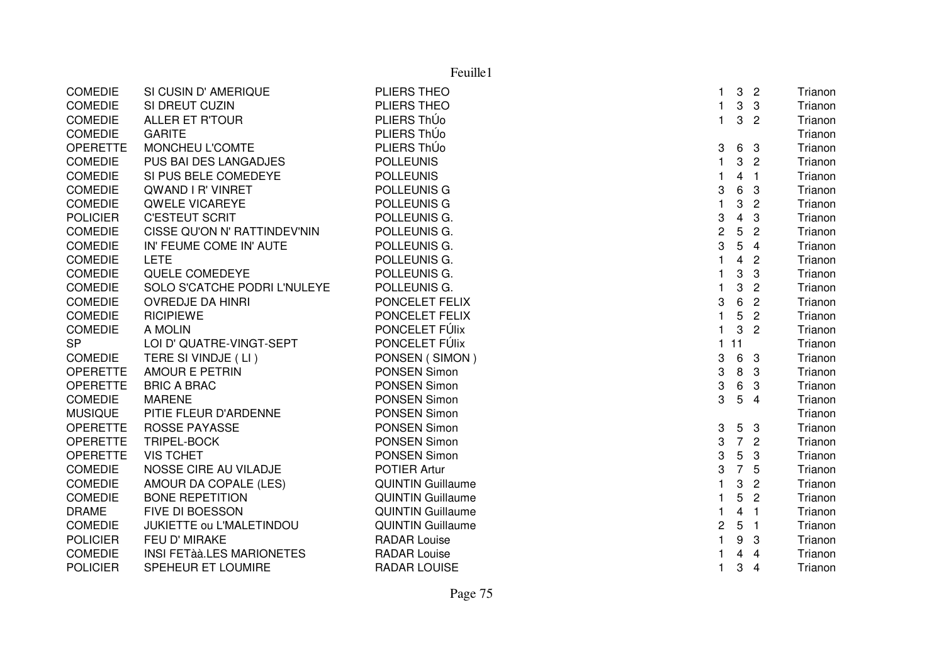| Feuille1        |                                  |                          |                |                         |                |         |
|-----------------|----------------------------------|--------------------------|----------------|-------------------------|----------------|---------|
| <b>COMEDIE</b>  | SI CUSIN D' AMERIQUE             | PLIERS THEO              | $\mathbf{1}$   | 3                       | $\overline{2}$ | Trianon |
| <b>COMEDIE</b>  | SI DREUT CUZIN                   | PLIERS THEO              | 1              | 3                       | 3              | Trianon |
| <b>COMEDIE</b>  | <b>ALLER ET R'TOUR</b>           | PLIERS ThÚo              | $\mathbf{1}$   | 3                       | $\overline{c}$ | Trianon |
| <b>COMEDIE</b>  | <b>GARITE</b>                    | PLIERS ThÚo              |                |                         |                | Trianon |
| <b>OPERETTE</b> | MONCHEU L'COMTE                  | PLIERS ThÚo              | 3              | 6                       | - 3            | Trianon |
| <b>COMEDIE</b>  | PUS BAI DES LANGADJES            | <b>POLLEUNIS</b>         | $\mathbf{1}$   | 3                       | $\overline{2}$ | Trianon |
| <b>COMEDIE</b>  | SI PUS BELE COMEDEYE             | <b>POLLEUNIS</b>         | $\mathbf{1}$   | $\overline{\mathbf{4}}$ | $\overline{1}$ | Trianon |
| <b>COMEDIE</b>  | <b>QWAND I R' VINRET</b>         | <b>POLLEUNIS G</b>       | 3              | 6                       | 3              | Trianon |
| <b>COMEDIE</b>  | <b>QWELE VICAREYE</b>            | <b>POLLEUNIS G</b>       | $\mathbf{1}$   | 3                       | $\overline{2}$ | Trianon |
| <b>POLICIER</b> | <b>C'ESTEUT SCRIT</b>            | POLLEUNIS G.             | 3              | 4                       | 3              | Trianon |
| <b>COMEDIE</b>  | CISSE QU'ON N' RATTINDEV'NIN     | POLLEUNIS G.             | $\overline{c}$ | 5                       | $\overline{2}$ | Trianon |
| <b>COMEDIE</b>  | IN' FEUME COME IN' AUTE          | POLLEUNIS G.             | 3              | 5                       | $\overline{4}$ | Trianon |
| <b>COMEDIE</b>  | <b>LETE</b>                      | POLLEUNIS G.             | $\mathbf{1}$   | $\overline{4}$          | $\overline{c}$ | Trianon |
| <b>COMEDIE</b>  | QUELE COMEDEYE                   | POLLEUNIS G.             | 1              | 3                       | 3              | Trianon |
| <b>COMEDIE</b>  | SOLO S'CATCHE PODRI L'NULEYE     | POLLEUNIS G.             | $\mathbf{1}$   | 3                       | $\overline{c}$ | Trianon |
| <b>COMEDIE</b>  | <b>OVREDJE DA HINRI</b>          | PONCELET FELIX           | 3              | 6                       | $\overline{c}$ | Trianon |
| <b>COMEDIE</b>  | <b>RICIPIEWE</b>                 | PONCELET FELIX           | $\mathbf{1}$   | 5                       | $\overline{2}$ | Trianon |
| <b>COMEDIE</b>  | A MOLIN                          | PONCELET FÚlix           | $\mathbf{1}$   | 3                       | $\overline{2}$ | Trianon |
| <b>SP</b>       | LOI D' QUATRE-VINGT-SEPT         | PONCELET FÚlix           | $\overline{1}$ | 11                      |                | Trianon |
| <b>COMEDIE</b>  | TERE SI VINDJE (LI)              | PONSEN (SIMON)           | 3              | 6                       | -3             | Trianon |
| <b>OPERETTE</b> | <b>AMOUR E PETRIN</b>            | <b>PONSEN Simon</b>      | 3              | 8                       | 3              | Trianon |
| <b>OPERETTE</b> | <b>BRIC A BRAC</b>               | <b>PONSEN Simon</b>      | 3              | 6                       | 3              | Trianon |
| <b>COMEDIE</b>  | <b>MARENE</b>                    | PONSEN Simon             | 3              | 5                       | $\overline{4}$ | Trianon |
| <b>MUSIQUE</b>  | PITIE FLEUR D'ARDENNE            | PONSEN Simon             |                |                         |                | Trianon |
| <b>OPERETTE</b> | <b>ROSSE PAYASSE</b>             | PONSEN Simon             | 3              | 5                       | 3              | Trianon |
| <b>OPERETTE</b> | <b>TRIPEL-BOCK</b>               | <b>PONSEN Simon</b>      | 3              | $\overline{7}$          | $\overline{2}$ | Trianon |
| <b>OPERETTE</b> | <b>VIS TCHET</b>                 | <b>PONSEN Simon</b>      | 3              | 5                       | 3              | Trianon |
| <b>COMEDIE</b>  | NOSSE CIRE AU VILADJE            | <b>POTIER Artur</b>      | 3              | $\overline{7}$          | 5              | Trianon |
| <b>COMEDIE</b>  | AMOUR DA COPALE (LES)            | <b>QUINTIN Guillaume</b> | 1              | 3                       | $\overline{c}$ | Trianon |
| <b>COMEDIE</b>  | <b>BONE REPETITION</b>           | <b>QUINTIN Guillaume</b> | 1              | 5                       | $\overline{2}$ | Trianon |
| <b>DRAME</b>    | FIVE DI BOESSON                  | <b>QUINTIN Guillaume</b> | 1              | $\overline{4}$          | $\overline{1}$ | Trianon |
| <b>COMEDIE</b>  | JUKIETTE ou L'MALETINDOU         | <b>QUINTIN Guillaume</b> | $\overline{c}$ | 5                       | $\overline{1}$ | Trianon |
| <b>POLICIER</b> | FEU D' MIRAKE                    | <b>RADAR Louise</b>      | $\mathbf{1}$   | 9                       | 3              | Trianon |
| <b>COMEDIE</b>  | <b>INSI FETÀÀ.LES MARIONETES</b> | <b>RADAR Louise</b>      | 1              | $\overline{4}$          | $\overline{4}$ | Trianon |
| <b>POLICIER</b> | SPEHEUR ET LOUMIRE               | <b>RADAR LOUISE</b>      | $\mathbf{1}$   | 3                       | $\overline{4}$ | Trianon |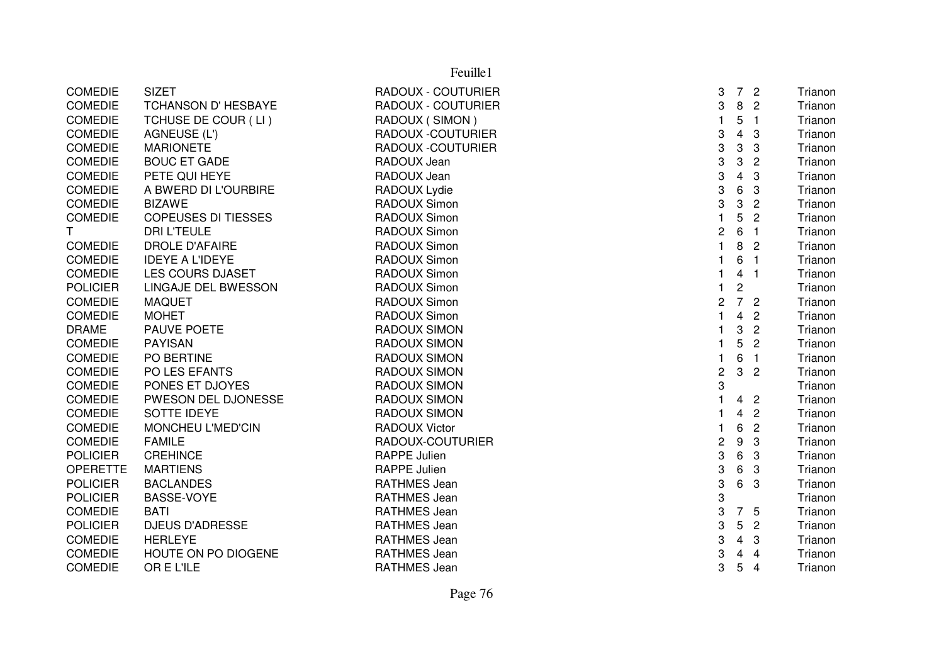|                 |                            | Feuille1                  |                  |                         |                |         |
|-----------------|----------------------------|---------------------------|------------------|-------------------------|----------------|---------|
| <b>COMEDIE</b>  | <b>SIZET</b>               | <b>RADOUX - COUTURIER</b> | 3                | $7^{\circ}$             | $\overline{2}$ | Trianon |
| <b>COMEDIE</b>  | TCHANSON D' HESBAYE        | RADOUX - COUTURIER        | 3                | 8                       | $\overline{c}$ | Trianon |
| <b>COMEDIE</b>  | TCHUSE DE COUR (LI)        | RADOUX (SIMON)            | $\mathbf{1}$     | 5                       | $\overline{1}$ | Trianon |
| <b>COMEDIE</b>  | AGNEUSE (L')               | RADOUX -COUTURIER         | 3                | $\overline{\mathbf{4}}$ | 3              | Trianon |
| <b>COMEDIE</b>  | <b>MARIONETE</b>           | <b>RADOUX -COUTURIER</b>  | 3                | 3                       | 3              | Trianon |
| <b>COMEDIE</b>  | <b>BOUC ET GADE</b>        | RADOUX Jean               | 3                | 3                       | $\overline{c}$ | Trianon |
| <b>COMEDIE</b>  | PETE QUI HEYE              | RADOUX Jean               | 3                | $\overline{\mathbf{4}}$ | 3              | Trianon |
| <b>COMEDIE</b>  | A BWERD DI L'OURBIRE       | RADOUX Lydie              | 3                | 6                       | 3              | Trianon |
| <b>COMEDIE</b>  | <b>BIZAWE</b>              | RADOUX Simon              | 3                | 3                       | $\overline{c}$ | Trianon |
| <b>COMEDIE</b>  | <b>COPEUSES DI TIESSES</b> | RADOUX Simon              | $\mathbf{1}$     | 5                       | $\overline{c}$ | Trianon |
| Τ               | <b>DRI L'TEULE</b>         | RADOUX Simon              | $\overline{c}$   | 6                       | $\overline{1}$ | Trianon |
| <b>COMEDIE</b>  | <b>DROLE D'AFAIRE</b>      | RADOUX Simon              | $\mathbf{1}$     | 8                       | $\overline{2}$ | Trianon |
| <b>COMEDIE</b>  | <b>IDEYE A L'IDEYE</b>     | RADOUX Simon              | $\mathbf{1}$     | 6                       | $\overline{1}$ | Trianon |
| <b>COMEDIE</b>  | LES COURS DJASET           | RADOUX Simon              | $\mathbf{1}$     | 4 <sub>1</sub>          |                | Trianon |
| <b>POLICIER</b> | LINGAJE DEL BWESSON        | RADOUX Simon              | $\mathbf{1}$     | $\mathbf 2$             |                | Trianon |
| <b>COMEDIE</b>  | <b>MAQUET</b>              | RADOUX Simon              | $\overline{2}$   |                         | 7 <sup>2</sup> | Trianon |
| <b>COMEDIE</b>  | <b>MOHET</b>               | RADOUX Simon              | $\mathbf{1}$     | $\overline{4}$          | $\overline{2}$ | Trianon |
| <b>DRAME</b>    | PAUVE POETE                | <b>RADOUX SIMON</b>       | 1                | 3                       | $\overline{c}$ | Trianon |
| <b>COMEDIE</b>  | <b>PAYISAN</b>             | <b>RADOUX SIMON</b>       | $\mathbf 1$      | 5                       | $\overline{c}$ | Trianon |
| <b>COMEDIE</b>  | PO BERTINE                 | <b>RADOUX SIMON</b>       | $\mathbf{1}$     | 6                       | $\overline{1}$ | Trianon |
| <b>COMEDIE</b>  | PO LES EFANTS              | <b>RADOUX SIMON</b>       | $\overline{c}$   | $\mathbf{3}$            | $\overline{2}$ | Trianon |
| <b>COMEDIE</b>  | PONES ET DJOYES            | <b>RADOUX SIMON</b>       | 3                |                         |                | Trianon |
| <b>COMEDIE</b>  | PWESON DEL DJONESSE        | <b>RADOUX SIMON</b>       | $\mathbf{1}$     | $\overline{4}$          | $\overline{c}$ | Trianon |
| <b>COMEDIE</b>  | <b>SOTTE IDEYE</b>         | <b>RADOUX SIMON</b>       | 1                | $\overline{4}$          | $\overline{2}$ | Trianon |
| <b>COMEDIE</b>  | MONCHEU L'MED'CIN          | <b>RADOUX Victor</b>      | 1                | 6                       | $\overline{2}$ | Trianon |
| <b>COMEDIE</b>  | <b>FAMILE</b>              | RADOUX-COUTURIER          | $\boldsymbol{2}$ | 9                       | 3              | Trianon |
| <b>POLICIER</b> | <b>CREHINCE</b>            | <b>RAPPE Julien</b>       | 3                | 6                       | 3              | Trianon |
| <b>OPERETTE</b> | <b>MARTIENS</b>            | <b>RAPPE Julien</b>       | 3                | 6                       | 3              | Trianon |
| <b>POLICIER</b> | <b>BACLANDES</b>           | <b>RATHMES Jean</b>       | 3                | 6                       | 3              | Trianon |
| <b>POLICIER</b> | <b>BASSE-VOYE</b>          | <b>RATHMES Jean</b>       | 3                |                         |                | Trianon |
| <b>COMEDIE</b>  | <b>BATI</b>                | <b>RATHMES Jean</b>       | 3                | $\overline{7}$          | 5              | Trianon |
| <b>POLICIER</b> | <b>DJEUS D'ADRESSE</b>     | <b>RATHMES Jean</b>       | 3                | 5                       | $\overline{2}$ | Trianon |
| <b>COMEDIE</b>  | <b>HERLEYE</b>             | <b>RATHMES Jean</b>       | 3                | 4                       | 3              | Trianon |
| <b>COMEDIE</b>  | HOUTE ON PO DIOGENE        | <b>RATHMES Jean</b>       | 3                | 4                       | $\overline{4}$ | Trianon |
| <b>COMEDIE</b>  | OR E L'ILE                 | <b>RATHMES Jean</b>       | 3                | 5                       | $\overline{4}$ | Trianon |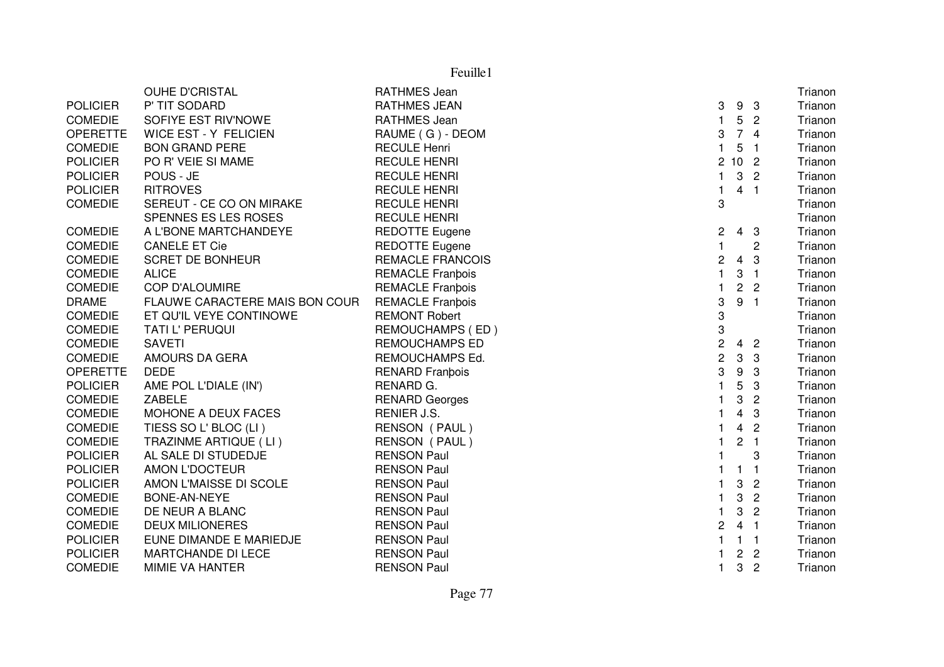|                 | OUHE D'CRISTAL                 | <b>RATHMES Jean</b>     |                |                         |                          | Trianon |
|-----------------|--------------------------------|-------------------------|----------------|-------------------------|--------------------------|---------|
| <b>POLICIER</b> | P' TIT SODARD                  | <b>RATHMES JEAN</b>     | 3              |                         | 9 <sub>3</sub>           | Trianon |
| <b>COMEDIE</b>  | SOFIYE EST RIV'NOWE            | RATHMES Jean            | 1              | 5                       | $\overline{\phantom{a}}$ | Trianon |
| <b>OPERETTE</b> | <b>WICE EST - Y FELICIEN</b>   | RAUME (G) - DEOM        | 3              |                         | 74                       | Trianon |
| <b>COMEDIE</b>  | <b>BON GRAND PERE</b>          | <b>RECULE Henri</b>     | $\mathbf{1}$   | 5                       | - 1                      | Trianon |
| <b>POLICIER</b> | PO R' VEIE SI MAME             | <b>RECULE HENRI</b>     |                | 2102                    |                          | Trianon |
| <b>POLICIER</b> | POUS - JE                      | <b>RECULE HENRI</b>     | $\mathbf{1}$   | $\mathbf{3}$            | $\overline{2}$           | Trianon |
| <b>POLICIER</b> | <b>RITROVES</b>                | <b>RECULE HENRI</b>     | 1              | 4 <sub>1</sub>          |                          | Trianon |
| <b>COMEDIE</b>  | SEREUT - CE CO ON MIRAKE       | <b>RECULE HENRI</b>     | 3              |                         |                          | Trianon |
|                 | SPENNES ES LES ROSES           | <b>RECULE HENRI</b>     |                |                         |                          | Trianon |
| <b>COMEDIE</b>  | A L'BONE MARTCHANDEYE          | <b>REDOTTE Eugene</b>   | 2              |                         | $4 \quad 3$              | Trianon |
| <b>COMEDIE</b>  | <b>CANELE ET Cie</b>           | <b>REDOTTE Eugene</b>   | $\mathbf{1}$   |                         | 2                        | Trianon |
| <b>COMEDIE</b>  | <b>SCRET DE BONHEUR</b>        | <b>REMACLE FRANCOIS</b> | 2              | 4 <sub>3</sub>          |                          | Trianon |
| <b>COMEDIE</b>  | <b>ALICE</b>                   | <b>REMACLE Franbois</b> | $\mathbf{1}$   | 3                       | $\blacksquare$           | Trianon |
| <b>COMEDIE</b>  | <b>COP D'ALOUMIRE</b>          | <b>REMACLE Franbois</b> | 1              |                         | 2 <sub>2</sub>           | Trianon |
| <b>DRAME</b>    | FLAUWE CARACTERE MAIS BON COUR | <b>REMACLE Franbois</b> | 3              | 9 <sub>1</sub>          |                          | Trianon |
| <b>COMEDIE</b>  | ET QU'IL VEYE CONTINOWE        | <b>REMONT Robert</b>    | 3              |                         |                          | Trianon |
| <b>COMEDIE</b>  | TATI L' PERUQUI                | REMOUCHAMPS (ED)        | 3              |                         |                          | Trianon |
| <b>COMEDIE</b>  | <b>SAVETI</b>                  | <b>REMOUCHAMPS ED</b>   | $\overline{c}$ |                         | 4 <sub>2</sub>           | Trianon |
| <b>COMEDIE</b>  | AMOURS DA GERA                 | REMOUCHAMPS Ed.         | $\overline{c}$ | $\mathbf{3}$            | -3                       | Trianon |
| <b>OPERETTE</b> | <b>DEDE</b>                    | <b>RENARD Franbois</b>  | 3              | 9                       | -3                       | Trianon |
| <b>POLICIER</b> | AME POL L'DIALE (IN')          | RENARD G.               | $\mathbf{1}$   | 5                       | 3                        | Trianon |
| <b>COMEDIE</b>  | <b>ZABELE</b>                  | <b>RENARD Georges</b>   | 1              | 3                       | $\overline{2}$           | Trianon |
| <b>COMEDIE</b>  | MOHONE A DEUX FACES            | RENIER J.S.             | 1              | 4                       | 3                        | Trianon |
| <b>COMEDIE</b>  | TIESS SO L' BLOC (LI)          | RENSON (PAUL)           | $\mathbf{1}$   | $\overline{4}$          | $\overline{2}$           | Trianon |
| <b>COMEDIE</b>  | TRAZINME ARTIQUE (LI)          | RENSON (PAUL)           | 1              | $\overline{2}$          | $\blacksquare$ 1         | Trianon |
| <b>POLICIER</b> | AL SALE DI STUDEDJE            | <b>RENSON Paul</b>      | 1              |                         | 3                        | Trianon |
| <b>POLICIER</b> | AMON L'DOCTEUR                 | <b>RENSON Paul</b>      |                | 1                       | $\overline{1}$           | Trianon |
| <b>POLICIER</b> | AMON L'MAISSE DI SCOLE         | <b>RENSON Paul</b>      | 1              | 3                       | $\overline{c}$           | Trianon |
| <b>COMEDIE</b>  | BONE-AN-NEYE                   | <b>RENSON Paul</b>      | 1              | 3                       | $\overline{2}$           | Trianon |
| <b>COMEDIE</b>  | DE NEUR A BLANC                | <b>RENSON Paul</b>      | 1              | 3                       | $\overline{2}$           | Trianon |
| <b>COMEDIE</b>  | <b>DEUX MILIONERES</b>         | <b>RENSON Paul</b>      | $\overline{2}$ | 4 <sub>1</sub>          |                          | Trianon |
| <b>POLICIER</b> | EUNE DIMANDE E MARIEDJE        | <b>RENSON Paul</b>      | 1              | $\mathbf{1}$            | $\overline{1}$           | Trianon |
| <b>POLICIER</b> | <b>MARTCHANDE DI LECE</b>      | <b>RENSON Paul</b>      | 1              | $\overline{\mathbf{c}}$ | $\overline{c}$           | Trianon |
| <b>COMEDIE</b>  | MIMIE VA HANTER                | <b>RENSON Paul</b>      | $\mathbf{1}$   | 3                       | $\overline{c}$           | Trianon |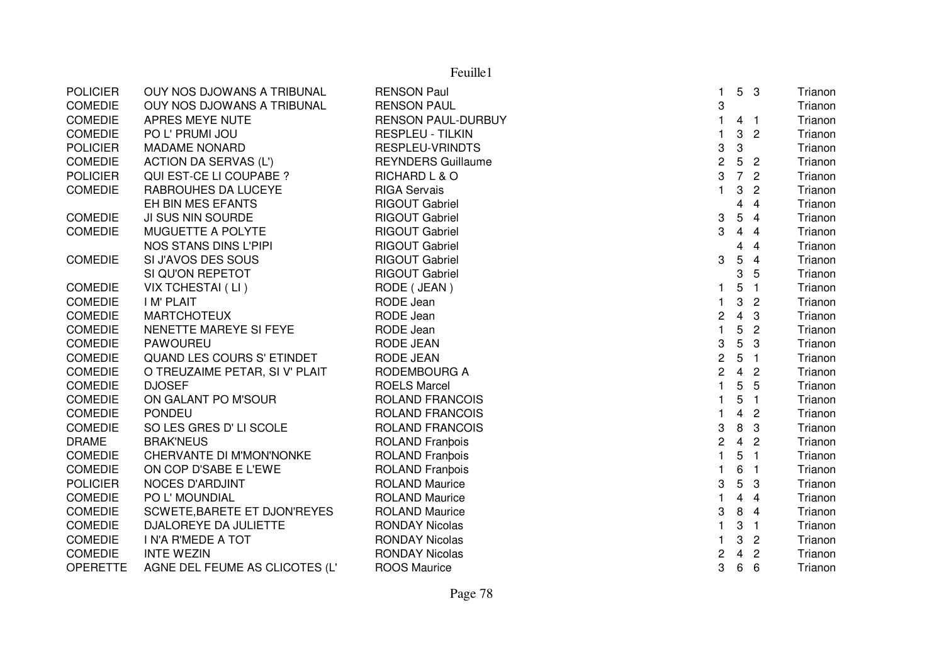| 3<br><b>COMEDIE</b><br>OUY NOS DJOWANS A TRIBUNAL<br><b>RENSON PAUL</b><br><b>COMEDIE</b><br>APRES MEYE NUTE<br><b>RENSON PAUL-DURBUY</b><br>4<br>- 1<br><b>COMEDIE</b><br>3<br>$\overline{2}$<br>PO L' PRUMI JOU<br><b>RESPLEU - TILKIN</b><br>3<br>3<br><b>POLICIER</b><br><b>RESPLEU-VRINDTS</b><br><b>MADAME NONARD</b><br>$\overline{c}$<br>5<br><b>COMEDIE</b><br><b>ACTION DA SERVAS (L')</b><br><b>REYNDERS Guillaume</b><br>$\overline{\phantom{a}}$<br>3<br>7 <sup>2</sup><br><b>POLICIER</b><br>QUI EST-CE LI COUPABE ?<br>RICHARD L & O<br>3<br><b>COMEDIE</b><br>RABROUHES DA LUCEYE<br><b>RIGA Servais</b><br>1<br>$\overline{2}$<br>EH BIN MES EFANTS<br>$\overline{4}$<br><b>RIGOUT Gabriel</b><br>4<br>5<br>3<br><b>COMEDIE</b><br>JI SUS NIN SOURDE<br><b>RIGOUT Gabriel</b><br>$\overline{4}$<br>3<br><b>COMEDIE</b><br>MUGUETTE A POLYTE<br><b>RIGOUT Gabriel</b><br>4<br>$\overline{4}$<br>NOS STANS DINS L'PIPI<br><b>RIGOUT Gabriel</b><br>$\overline{4}$<br>4<br><b>COMEDIE</b><br>SI J'AVOS DES SOUS<br><b>RIGOUT Gabriel</b><br>3<br>5<br>4<br>3<br>SI QU'ON REPETOT<br><b>RIGOUT Gabriel</b><br>5<br>VIX TCHESTAI (LI)<br>RODE (JEAN)<br>5<br><b>COMEDIE</b><br>$\overline{1}$<br>1<br>RODE Jean<br>3<br><b>COMEDIE</b><br><b>IM' PLAIT</b><br>$\overline{2}$<br>$\overline{4}$<br>RODE Jean<br>2<br>3<br><b>COMEDIE</b><br><b>MARTCHOTEUX</b><br>$\mathbf{1}$<br>5<br><b>COMEDIE</b><br>RODE Jean<br>$\overline{2}$<br>NENETTE MAREYE SI FEYE<br>$\overline{5}$<br>3<br><b>COMEDIE</b><br><b>PAWOUREU</b><br><b>RODE JEAN</b><br>3<br>$\overline{c}$<br>QUAND LES COURS S' ETINDET<br>5<br><b>COMEDIE</b><br><b>RODE JEAN</b><br>$\overline{\phantom{a}}$<br>$\overline{c}$<br>4 <sub>2</sub><br><b>COMEDIE</b><br>O TREUZAIME PETAR, SI V' PLAIT<br>RODEMBOURG A<br>5<br>$\mathbf{1}$<br><b>COMEDIE</b><br><b>DJOSEF</b><br><b>ROELS Marcel</b><br>5<br>5<br><b>COMEDIE</b><br>ON GALANT PO M'SOUR<br><b>ROLAND FRANCOIS</b><br>$\overline{1}$<br><b>COMEDIE</b><br><b>PONDEU</b><br><b>ROLAND FRANCOIS</b><br>4<br>$\overline{2}$<br>3<br>8<br><b>COMEDIE</b><br>SO LES GRES D' LI SCOLE<br><b>ROLAND FRANCOIS</b><br>3<br>2<br>4<br><b>DRAME</b><br><b>BRAK'NEUS</b><br><b>ROLAND Franbois</b><br>$\overline{2}$<br>$\mathbf{1}$<br>5<br><b>COMEDIE</b><br>CHERVANTE DI M'MON'NONKE<br><b>ROLAND Franbois</b><br>$\overline{\mathbf{1}}$<br>6<br><b>COMEDIE</b><br>ON COP D'SABE E L'EWE<br><b>ROLAND Franbois</b><br>-1<br><b>POLICIER</b><br><b>NOCES D'ARDJINT</b><br><b>ROLAND Maurice</b><br>3<br>5<br>3<br><b>COMEDIE</b><br>PO L' MOUNDIAL<br><b>ROLAND Maurice</b><br>4<br>$\overline{4}$<br>3<br>8<br><b>COMEDIE</b><br>SCWETE, BARETE ET DJON'REYES<br><b>ROLAND Maurice</b><br>$\overline{4}$ | Trianon |
|-----------------------------------------------------------------------------------------------------------------------------------------------------------------------------------------------------------------------------------------------------------------------------------------------------------------------------------------------------------------------------------------------------------------------------------------------------------------------------------------------------------------------------------------------------------------------------------------------------------------------------------------------------------------------------------------------------------------------------------------------------------------------------------------------------------------------------------------------------------------------------------------------------------------------------------------------------------------------------------------------------------------------------------------------------------------------------------------------------------------------------------------------------------------------------------------------------------------------------------------------------------------------------------------------------------------------------------------------------------------------------------------------------------------------------------------------------------------------------------------------------------------------------------------------------------------------------------------------------------------------------------------------------------------------------------------------------------------------------------------------------------------------------------------------------------------------------------------------------------------------------------------------------------------------------------------------------------------------------------------------------------------------------------------------------------------------------------------------------------------------------------------------------------------------------------------------------------------------------------------------------------------------------------------------------------------------------------------------------------------------------------------------------------------------------------------------------------------------------------------------------------------------------------------------------------------------------------------------------------------------------------------------------------------------------------------------------------------------------------------|---------|
|                                                                                                                                                                                                                                                                                                                                                                                                                                                                                                                                                                                                                                                                                                                                                                                                                                                                                                                                                                                                                                                                                                                                                                                                                                                                                                                                                                                                                                                                                                                                                                                                                                                                                                                                                                                                                                                                                                                                                                                                                                                                                                                                                                                                                                                                                                                                                                                                                                                                                                                                                                                                                                                                                                                                         | Trianon |
|                                                                                                                                                                                                                                                                                                                                                                                                                                                                                                                                                                                                                                                                                                                                                                                                                                                                                                                                                                                                                                                                                                                                                                                                                                                                                                                                                                                                                                                                                                                                                                                                                                                                                                                                                                                                                                                                                                                                                                                                                                                                                                                                                                                                                                                                                                                                                                                                                                                                                                                                                                                                                                                                                                                                         | Trianon |
|                                                                                                                                                                                                                                                                                                                                                                                                                                                                                                                                                                                                                                                                                                                                                                                                                                                                                                                                                                                                                                                                                                                                                                                                                                                                                                                                                                                                                                                                                                                                                                                                                                                                                                                                                                                                                                                                                                                                                                                                                                                                                                                                                                                                                                                                                                                                                                                                                                                                                                                                                                                                                                                                                                                                         | Trianon |
|                                                                                                                                                                                                                                                                                                                                                                                                                                                                                                                                                                                                                                                                                                                                                                                                                                                                                                                                                                                                                                                                                                                                                                                                                                                                                                                                                                                                                                                                                                                                                                                                                                                                                                                                                                                                                                                                                                                                                                                                                                                                                                                                                                                                                                                                                                                                                                                                                                                                                                                                                                                                                                                                                                                                         | Trianon |
|                                                                                                                                                                                                                                                                                                                                                                                                                                                                                                                                                                                                                                                                                                                                                                                                                                                                                                                                                                                                                                                                                                                                                                                                                                                                                                                                                                                                                                                                                                                                                                                                                                                                                                                                                                                                                                                                                                                                                                                                                                                                                                                                                                                                                                                                                                                                                                                                                                                                                                                                                                                                                                                                                                                                         | Trianon |
|                                                                                                                                                                                                                                                                                                                                                                                                                                                                                                                                                                                                                                                                                                                                                                                                                                                                                                                                                                                                                                                                                                                                                                                                                                                                                                                                                                                                                                                                                                                                                                                                                                                                                                                                                                                                                                                                                                                                                                                                                                                                                                                                                                                                                                                                                                                                                                                                                                                                                                                                                                                                                                                                                                                                         | Trianon |
|                                                                                                                                                                                                                                                                                                                                                                                                                                                                                                                                                                                                                                                                                                                                                                                                                                                                                                                                                                                                                                                                                                                                                                                                                                                                                                                                                                                                                                                                                                                                                                                                                                                                                                                                                                                                                                                                                                                                                                                                                                                                                                                                                                                                                                                                                                                                                                                                                                                                                                                                                                                                                                                                                                                                         | Trianon |
|                                                                                                                                                                                                                                                                                                                                                                                                                                                                                                                                                                                                                                                                                                                                                                                                                                                                                                                                                                                                                                                                                                                                                                                                                                                                                                                                                                                                                                                                                                                                                                                                                                                                                                                                                                                                                                                                                                                                                                                                                                                                                                                                                                                                                                                                                                                                                                                                                                                                                                                                                                                                                                                                                                                                         | Trianon |
|                                                                                                                                                                                                                                                                                                                                                                                                                                                                                                                                                                                                                                                                                                                                                                                                                                                                                                                                                                                                                                                                                                                                                                                                                                                                                                                                                                                                                                                                                                                                                                                                                                                                                                                                                                                                                                                                                                                                                                                                                                                                                                                                                                                                                                                                                                                                                                                                                                                                                                                                                                                                                                                                                                                                         | Trianon |
|                                                                                                                                                                                                                                                                                                                                                                                                                                                                                                                                                                                                                                                                                                                                                                                                                                                                                                                                                                                                                                                                                                                                                                                                                                                                                                                                                                                                                                                                                                                                                                                                                                                                                                                                                                                                                                                                                                                                                                                                                                                                                                                                                                                                                                                                                                                                                                                                                                                                                                                                                                                                                                                                                                                                         | Trianon |
|                                                                                                                                                                                                                                                                                                                                                                                                                                                                                                                                                                                                                                                                                                                                                                                                                                                                                                                                                                                                                                                                                                                                                                                                                                                                                                                                                                                                                                                                                                                                                                                                                                                                                                                                                                                                                                                                                                                                                                                                                                                                                                                                                                                                                                                                                                                                                                                                                                                                                                                                                                                                                                                                                                                                         | Trianon |
|                                                                                                                                                                                                                                                                                                                                                                                                                                                                                                                                                                                                                                                                                                                                                                                                                                                                                                                                                                                                                                                                                                                                                                                                                                                                                                                                                                                                                                                                                                                                                                                                                                                                                                                                                                                                                                                                                                                                                                                                                                                                                                                                                                                                                                                                                                                                                                                                                                                                                                                                                                                                                                                                                                                                         | Trianon |
|                                                                                                                                                                                                                                                                                                                                                                                                                                                                                                                                                                                                                                                                                                                                                                                                                                                                                                                                                                                                                                                                                                                                                                                                                                                                                                                                                                                                                                                                                                                                                                                                                                                                                                                                                                                                                                                                                                                                                                                                                                                                                                                                                                                                                                                                                                                                                                                                                                                                                                                                                                                                                                                                                                                                         | Trianon |
|                                                                                                                                                                                                                                                                                                                                                                                                                                                                                                                                                                                                                                                                                                                                                                                                                                                                                                                                                                                                                                                                                                                                                                                                                                                                                                                                                                                                                                                                                                                                                                                                                                                                                                                                                                                                                                                                                                                                                                                                                                                                                                                                                                                                                                                                                                                                                                                                                                                                                                                                                                                                                                                                                                                                         | Trianon |
|                                                                                                                                                                                                                                                                                                                                                                                                                                                                                                                                                                                                                                                                                                                                                                                                                                                                                                                                                                                                                                                                                                                                                                                                                                                                                                                                                                                                                                                                                                                                                                                                                                                                                                                                                                                                                                                                                                                                                                                                                                                                                                                                                                                                                                                                                                                                                                                                                                                                                                                                                                                                                                                                                                                                         | Trianon |
|                                                                                                                                                                                                                                                                                                                                                                                                                                                                                                                                                                                                                                                                                                                                                                                                                                                                                                                                                                                                                                                                                                                                                                                                                                                                                                                                                                                                                                                                                                                                                                                                                                                                                                                                                                                                                                                                                                                                                                                                                                                                                                                                                                                                                                                                                                                                                                                                                                                                                                                                                                                                                                                                                                                                         | Trianon |
|                                                                                                                                                                                                                                                                                                                                                                                                                                                                                                                                                                                                                                                                                                                                                                                                                                                                                                                                                                                                                                                                                                                                                                                                                                                                                                                                                                                                                                                                                                                                                                                                                                                                                                                                                                                                                                                                                                                                                                                                                                                                                                                                                                                                                                                                                                                                                                                                                                                                                                                                                                                                                                                                                                                                         | Trianon |
|                                                                                                                                                                                                                                                                                                                                                                                                                                                                                                                                                                                                                                                                                                                                                                                                                                                                                                                                                                                                                                                                                                                                                                                                                                                                                                                                                                                                                                                                                                                                                                                                                                                                                                                                                                                                                                                                                                                                                                                                                                                                                                                                                                                                                                                                                                                                                                                                                                                                                                                                                                                                                                                                                                                                         | Trianon |
|                                                                                                                                                                                                                                                                                                                                                                                                                                                                                                                                                                                                                                                                                                                                                                                                                                                                                                                                                                                                                                                                                                                                                                                                                                                                                                                                                                                                                                                                                                                                                                                                                                                                                                                                                                                                                                                                                                                                                                                                                                                                                                                                                                                                                                                                                                                                                                                                                                                                                                                                                                                                                                                                                                                                         | Trianon |
|                                                                                                                                                                                                                                                                                                                                                                                                                                                                                                                                                                                                                                                                                                                                                                                                                                                                                                                                                                                                                                                                                                                                                                                                                                                                                                                                                                                                                                                                                                                                                                                                                                                                                                                                                                                                                                                                                                                                                                                                                                                                                                                                                                                                                                                                                                                                                                                                                                                                                                                                                                                                                                                                                                                                         | Trianon |
|                                                                                                                                                                                                                                                                                                                                                                                                                                                                                                                                                                                                                                                                                                                                                                                                                                                                                                                                                                                                                                                                                                                                                                                                                                                                                                                                                                                                                                                                                                                                                                                                                                                                                                                                                                                                                                                                                                                                                                                                                                                                                                                                                                                                                                                                                                                                                                                                                                                                                                                                                                                                                                                                                                                                         | Trianon |
|                                                                                                                                                                                                                                                                                                                                                                                                                                                                                                                                                                                                                                                                                                                                                                                                                                                                                                                                                                                                                                                                                                                                                                                                                                                                                                                                                                                                                                                                                                                                                                                                                                                                                                                                                                                                                                                                                                                                                                                                                                                                                                                                                                                                                                                                                                                                                                                                                                                                                                                                                                                                                                                                                                                                         | Trianon |
|                                                                                                                                                                                                                                                                                                                                                                                                                                                                                                                                                                                                                                                                                                                                                                                                                                                                                                                                                                                                                                                                                                                                                                                                                                                                                                                                                                                                                                                                                                                                                                                                                                                                                                                                                                                                                                                                                                                                                                                                                                                                                                                                                                                                                                                                                                                                                                                                                                                                                                                                                                                                                                                                                                                                         | Trianon |
|                                                                                                                                                                                                                                                                                                                                                                                                                                                                                                                                                                                                                                                                                                                                                                                                                                                                                                                                                                                                                                                                                                                                                                                                                                                                                                                                                                                                                                                                                                                                                                                                                                                                                                                                                                                                                                                                                                                                                                                                                                                                                                                                                                                                                                                                                                                                                                                                                                                                                                                                                                                                                                                                                                                                         | Trianon |
|                                                                                                                                                                                                                                                                                                                                                                                                                                                                                                                                                                                                                                                                                                                                                                                                                                                                                                                                                                                                                                                                                                                                                                                                                                                                                                                                                                                                                                                                                                                                                                                                                                                                                                                                                                                                                                                                                                                                                                                                                                                                                                                                                                                                                                                                                                                                                                                                                                                                                                                                                                                                                                                                                                                                         | Trianon |
|                                                                                                                                                                                                                                                                                                                                                                                                                                                                                                                                                                                                                                                                                                                                                                                                                                                                                                                                                                                                                                                                                                                                                                                                                                                                                                                                                                                                                                                                                                                                                                                                                                                                                                                                                                                                                                                                                                                                                                                                                                                                                                                                                                                                                                                                                                                                                                                                                                                                                                                                                                                                                                                                                                                                         | Trianon |
|                                                                                                                                                                                                                                                                                                                                                                                                                                                                                                                                                                                                                                                                                                                                                                                                                                                                                                                                                                                                                                                                                                                                                                                                                                                                                                                                                                                                                                                                                                                                                                                                                                                                                                                                                                                                                                                                                                                                                                                                                                                                                                                                                                                                                                                                                                                                                                                                                                                                                                                                                                                                                                                                                                                                         | Trianon |
|                                                                                                                                                                                                                                                                                                                                                                                                                                                                                                                                                                                                                                                                                                                                                                                                                                                                                                                                                                                                                                                                                                                                                                                                                                                                                                                                                                                                                                                                                                                                                                                                                                                                                                                                                                                                                                                                                                                                                                                                                                                                                                                                                                                                                                                                                                                                                                                                                                                                                                                                                                                                                                                                                                                                         | Trianon |
|                                                                                                                                                                                                                                                                                                                                                                                                                                                                                                                                                                                                                                                                                                                                                                                                                                                                                                                                                                                                                                                                                                                                                                                                                                                                                                                                                                                                                                                                                                                                                                                                                                                                                                                                                                                                                                                                                                                                                                                                                                                                                                                                                                                                                                                                                                                                                                                                                                                                                                                                                                                                                                                                                                                                         | Trianon |
|                                                                                                                                                                                                                                                                                                                                                                                                                                                                                                                                                                                                                                                                                                                                                                                                                                                                                                                                                                                                                                                                                                                                                                                                                                                                                                                                                                                                                                                                                                                                                                                                                                                                                                                                                                                                                                                                                                                                                                                                                                                                                                                                                                                                                                                                                                                                                                                                                                                                                                                                                                                                                                                                                                                                         | Trianon |
| 3<br><b>COMEDIE</b><br>DJALOREYE DA JULIETTE<br><b>RONDAY Nicolas</b><br>$\blacksquare$                                                                                                                                                                                                                                                                                                                                                                                                                                                                                                                                                                                                                                                                                                                                                                                                                                                                                                                                                                                                                                                                                                                                                                                                                                                                                                                                                                                                                                                                                                                                                                                                                                                                                                                                                                                                                                                                                                                                                                                                                                                                                                                                                                                                                                                                                                                                                                                                                                                                                                                                                                                                                                                 | Trianon |
| COMEDIE<br><b>I N'A R'MEDE A TOT</b><br><b>RONDAY Nicolas</b><br>3<br>$\overline{c}$<br>1                                                                                                                                                                                                                                                                                                                                                                                                                                                                                                                                                                                                                                                                                                                                                                                                                                                                                                                                                                                                                                                                                                                                                                                                                                                                                                                                                                                                                                                                                                                                                                                                                                                                                                                                                                                                                                                                                                                                                                                                                                                                                                                                                                                                                                                                                                                                                                                                                                                                                                                                                                                                                                               | Trianon |
| <b>COMEDIE</b><br><b>INTE WEZIN</b><br><b>RONDAY Nicolas</b><br>2<br>4<br>$\overline{2}$                                                                                                                                                                                                                                                                                                                                                                                                                                                                                                                                                                                                                                                                                                                                                                                                                                                                                                                                                                                                                                                                                                                                                                                                                                                                                                                                                                                                                                                                                                                                                                                                                                                                                                                                                                                                                                                                                                                                                                                                                                                                                                                                                                                                                                                                                                                                                                                                                                                                                                                                                                                                                                                | Trianon |
| 3<br>6<br><b>OPERETTE</b><br>AGNE DEL FEUME AS CLICOTES (L'<br>6<br><b>ROOS Maurice</b>                                                                                                                                                                                                                                                                                                                                                                                                                                                                                                                                                                                                                                                                                                                                                                                                                                                                                                                                                                                                                                                                                                                                                                                                                                                                                                                                                                                                                                                                                                                                                                                                                                                                                                                                                                                                                                                                                                                                                                                                                                                                                                                                                                                                                                                                                                                                                                                                                                                                                                                                                                                                                                                 | Trianon |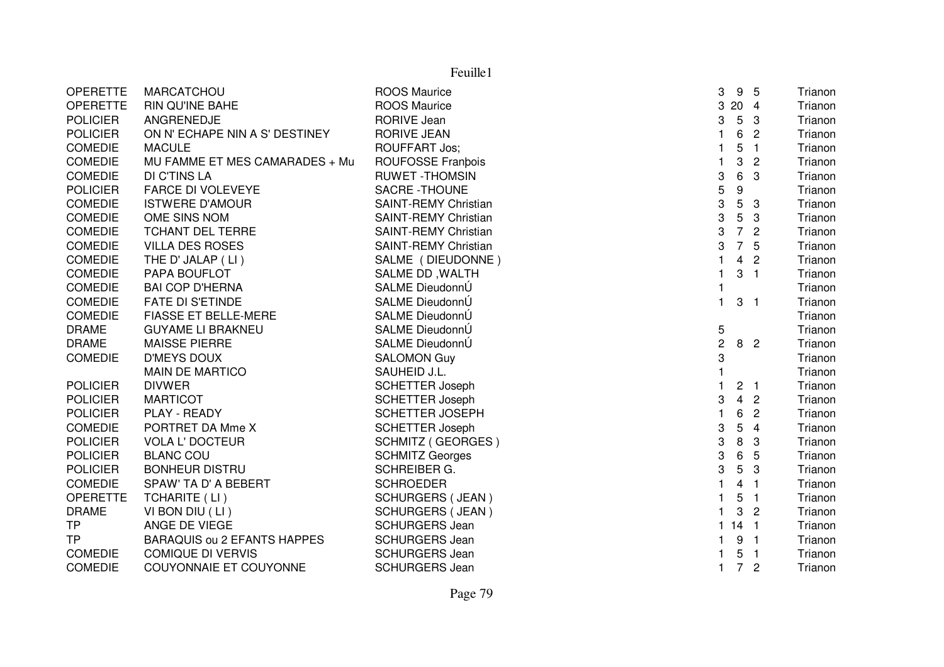|                 | Feuille1                           |                             |                      |                  |                          |         |  |
|-----------------|------------------------------------|-----------------------------|----------------------|------------------|--------------------------|---------|--|
| <b>OPERETTE</b> | MARCATCHOU                         | <b>ROOS Maurice</b>         | 3                    | 9                | 5                        | Trianon |  |
| <b>OPERETTE</b> | <b>RIN QU'INE BAHE</b>             | <b>ROOS Maurice</b>         | 3                    | 20 4             |                          | Trianon |  |
| <b>POLICIER</b> | ANGRENEDJE                         | <b>RORIVE Jean</b>          | 3                    | $5\phantom{.0}$  | 3                        | Trianon |  |
| <b>POLICIER</b> | ON N' ECHAPE NIN A S' DESTINEY     | <b>RORIVE JEAN</b>          |                      | 6                | $\overline{c}$           | Trianon |  |
| <b>COMEDIE</b>  | <b>MACULE</b>                      | <b>ROUFFART Jos;</b>        |                      | 5                | $\mathbf{1}$             | Trianon |  |
| <b>COMEDIE</b>  | MU FAMME ET MES CAMARADES + Mu     | ROUFOSSE Franbois           | $\mathbf{1}$         | 3                | $\overline{c}$           | Trianon |  |
| <b>COMEDIE</b>  | DI C'TINS LA                       | <b>RUWET-THOMSIN</b>        | 3                    | 6                | 3                        | Trianon |  |
| <b>POLICIER</b> | <b>FARCE DI VOLEVEYE</b>           | SACRE - THOUNE              | 5                    | $\boldsymbol{9}$ |                          | Trianon |  |
| <b>COMEDIE</b>  | <b>ISTWERE D'AMOUR</b>             | <b>SAINT-REMY Christian</b> | 3                    | $\overline{5}$   | 3                        | Trianon |  |
| <b>COMEDIE</b>  | OME SINS NOM                       | <b>SAINT-REMY Christian</b> | 3                    | $\sqrt{5}$       | 3                        | Trianon |  |
| <b>COMEDIE</b>  | <b>TCHANT DEL TERRE</b>            | <b>SAINT-REMY Christian</b> | 3                    | $\overline{7}$   | $\overline{c}$           | Trianon |  |
| <b>COMEDIE</b>  | <b>VILLA DES ROSES</b>             | <b>SAINT-REMY Christian</b> | 3                    | $\overline{7}$   | 5                        | Trianon |  |
| <b>COMEDIE</b>  | THE D' JALAP (LI)                  | SALME (DIEUDONNE)           | $\blacktriangleleft$ | 4                | $\overline{c}$           | Trianon |  |
| <b>COMEDIE</b>  | PAPA BOUFLOT                       | SALME DD, WALTH             | 1                    | 3                | $\overline{1}$           | Trianon |  |
| <b>COMEDIE</b>  | <b>BAI COP D'HERNA</b>             | SALME DieudonnÚ             | 1                    |                  |                          | Trianon |  |
| <b>COMEDIE</b>  | <b>FATE DI S'ETINDE</b>            | SALME DieudonnÚ             | 1.                   | 3                | $\overline{1}$           | Trianon |  |
| <b>COMEDIE</b>  | <b>FIASSE ET BELLE-MERE</b>        | SALME DieudonnÚ             |                      |                  |                          | Trianon |  |
| <b>DRAME</b>    | <b>GUYAME LI BRAKNEU</b>           | SALME DieudonnÚ             | 5                    |                  |                          | Trianon |  |
| <b>DRAME</b>    | <b>MAISSE PIERRE</b>               | SALME DieudonnÚ             | $\overline{c}$       |                  | 8 <sub>2</sub>           | Trianon |  |
| <b>COMEDIE</b>  | <b>D'MEYS DOUX</b>                 | <b>SALOMON Guy</b>          | 3                    |                  |                          | Trianon |  |
|                 | MAIN DE MARTICO                    | SAUHEID J.L.                |                      |                  |                          | Trianon |  |
| <b>POLICIER</b> | <b>DIVWER</b>                      | <b>SCHETTER Joseph</b>      |                      | 2 <sub>1</sub>   |                          | Trianon |  |
| <b>POLICIER</b> | <b>MARTICOT</b>                    | <b>SCHETTER Joseph</b>      | 3                    | $\overline{4}$   | $\overline{c}$           | Trianon |  |
| <b>POLICIER</b> | PLAY - READY                       | <b>SCHETTER JOSEPH</b>      | 1                    | 6                | $\overline{2}$           | Trianon |  |
| <b>COMEDIE</b>  | PORTRET DA Mme X                   | <b>SCHETTER Joseph</b>      | 3                    | 5                | $\overline{4}$           | Trianon |  |
| <b>POLICIER</b> | <b>VOLA L' DOCTEUR</b>             | <b>SCHMITZ (GEORGES)</b>    | 3                    | 8                | 3                        | Trianon |  |
| <b>POLICIER</b> | <b>BLANC COU</b>                   | <b>SCHMITZ Georges</b>      | 3                    | 6                | 5                        | Trianon |  |
| <b>POLICIER</b> | <b>BONHEUR DISTRU</b>              | <b>SCHREIBER G.</b>         | 3                    | 5                | 3                        | Trianon |  |
| <b>COMEDIE</b>  | SPAW' TA D' A BEBERT               | <b>SCHROEDER</b>            |                      | 4                | $\mathbf{1}$             | Trianon |  |
| <b>OPERETTE</b> | TCHARITE (LI)                      | <b>SCHURGERS (JEAN)</b>     | 1                    | 5                | $\overline{1}$           | Trianon |  |
| <b>DRAME</b>    | VI BON DIU (LI)                    | <b>SCHURGERS (JEAN)</b>     | 1                    | 3                | $\overline{2}$           | Trianon |  |
| <b>TP</b>       | ANGE DE VIEGE                      | <b>SCHURGERS Jean</b>       | 1.                   | $14 \quad 1$     |                          | Trianon |  |
| <b>TP</b>       | <b>BARAQUIS ou 2 EFANTS HAPPES</b> | <b>SCHURGERS Jean</b>       |                      | 9                | $\overline{1}$           | Trianon |  |
| <b>COMEDIE</b>  | <b>COMIQUE DI VERVIS</b>           | <b>SCHURGERS Jean</b>       |                      | 5                | $\overline{\phantom{0}}$ | Trianon |  |
| <b>COMEDIE</b>  | <b>COUYONNAIE ET COUYONNE</b>      | <b>SCHURGERS Jean</b>       | 1.                   |                  | 7 <sub>2</sub>           | Trianon |  |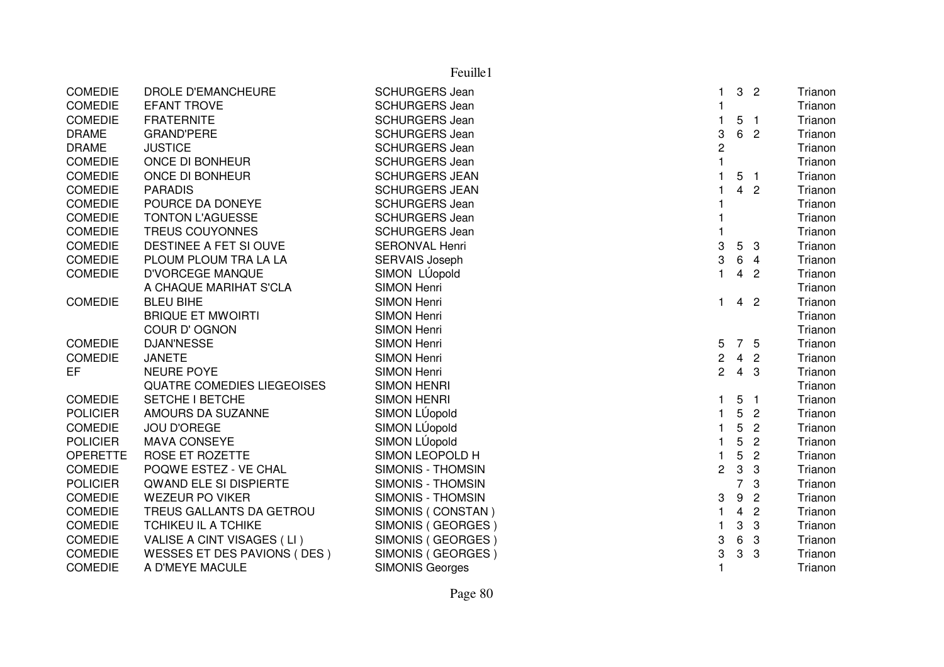|                 |                                   | Feuille1                 |                         |                         |                  |                  |         |
|-----------------|-----------------------------------|--------------------------|-------------------------|-------------------------|------------------|------------------|---------|
| <b>COMEDIE</b>  | DROLE D'EMANCHEURE                | <b>SCHURGERS Jean</b>    | 1                       | 3 <sup>1</sup>          |                  | $\overline{2}$   | Trianon |
| <b>COMEDIE</b>  | <b>EFANT TROVE</b>                | <b>SCHURGERS Jean</b>    |                         |                         |                  |                  | Trianon |
| <b>COMEDIE</b>  | <b>FRATERNITE</b>                 | <b>SCHURGERS Jean</b>    |                         | 5                       | $\blacksquare$ 1 |                  | Trianon |
| <b>DRAME</b>    | <b>GRAND'PERE</b>                 | <b>SCHURGERS Jean</b>    | 3                       | 6                       |                  | $\overline{c}$   | Trianon |
| <b>DRAME</b>    | <b>JUSTICE</b>                    | <b>SCHURGERS Jean</b>    | $\overline{c}$          |                         |                  |                  | Trianon |
| <b>COMEDIE</b>  | ONCE DI BONHEUR                   | <b>SCHURGERS Jean</b>    |                         |                         |                  |                  | Trianon |
| <b>COMEDIE</b>  | ONCE DI BONHEUR                   | <b>SCHURGERS JEAN</b>    |                         | 5 <sub>1</sub>          |                  |                  | Trianon |
| <b>COMEDIE</b>  | <b>PARADIS</b>                    | <b>SCHURGERS JEAN</b>    |                         | $\overline{4}$          |                  | $\overline{c}$   | Trianon |
| <b>COMEDIE</b>  | POURCE DA DONEYE                  | <b>SCHURGERS Jean</b>    |                         |                         |                  |                  | Trianon |
| <b>COMEDIE</b>  | <b>TONTON L'AGUESSE</b>           | <b>SCHURGERS Jean</b>    |                         |                         |                  |                  | Trianon |
| <b>COMEDIE</b>  | TREUS COUYONNES                   | <b>SCHURGERS Jean</b>    |                         |                         |                  |                  | Trianon |
| <b>COMEDIE</b>  | DESTINEE A FET SI OUVE            | <b>SERONVAL Henri</b>    | 3                       | 5                       |                  | 3                | Trianon |
| <b>COMEDIE</b>  | PLOUM PLOUM TRA LA LA             | <b>SERVAIS Joseph</b>    | 3                       | $6\phantom{1}$          | $\overline{4}$   |                  | Trianon |
| <b>COMEDIE</b>  | <b>D'VORCEGE MANQUE</b>           | SIMON LÚopold            | $\blacksquare$          | $\overline{4}$          |                  | $\overline{2}$   | Trianon |
|                 | A CHAQUE MARIHAT S'CLA            | SIMON Henri              |                         |                         |                  |                  | Trianon |
| <b>COMEDIE</b>  | <b>BLEU BIHE</b>                  | <b>SIMON Henri</b>       | $\blacksquare$          | $\overline{4}$          |                  | $\overline{2}$   | Trianon |
|                 | <b>BRIQUE ET MWOIRTI</b>          | <b>SIMON Henri</b>       |                         |                         |                  |                  | Trianon |
|                 | <b>COUR D'OGNON</b>               | <b>SIMON Henri</b>       |                         |                         |                  |                  | Trianon |
| <b>COMEDIE</b>  | <b>DJAN'NESSE</b>                 | <b>SIMON Henri</b>       | 5                       | 7 5                     |                  |                  | Trianon |
| <b>COMEDIE</b>  | <b>JANETE</b>                     | <b>SIMON Henri</b>       | $\overline{\mathbf{c}}$ | $\overline{4}$          |                  | $\overline{2}$   | Trianon |
| EF              | <b>NEURE POYE</b>                 | <b>SIMON Henri</b>       | $\overline{2}$          | $4 \quad 3$             |                  |                  | Trianon |
|                 | <b>QUATRE COMEDIES LIEGEOISES</b> | <b>SIMON HENRI</b>       |                         |                         |                  |                  | Trianon |
| <b>COMEDIE</b>  | <b>SETCHE I BETCHE</b>            | <b>SIMON HENRI</b>       | 1                       | 5                       | $\overline{1}$   |                  | Trianon |
| <b>POLICIER</b> | AMOURS DA SUZANNE                 | SIMON LÚopold            |                         | 5                       |                  | $\overline{2}$   | Trianon |
| <b>COMEDIE</b>  | <b>JOU D'OREGE</b>                | SIMON LÚopold            | $\mathbf{1}$            | 5                       |                  | $\overline{c}$   | Trianon |
| <b>POLICIER</b> | <b>MAVA CONSEYE</b>               | SIMON LÚopold            |                         | 5                       |                  | $\overline{2}$   | Trianon |
| <b>OPERETTE</b> | ROSE ET ROZETTE                   | SIMON LEOPOLD H          |                         | 5                       |                  | $\overline{2}$   | Trianon |
| <b>COMEDIE</b>  | POQWE ESTEZ - VE CHAL             | SIMONIS - THOMSIN        | $\overline{c}$          | $\sqrt{3}$              |                  | 3                | Trianon |
| <b>POLICIER</b> | <b>QWAND ELE SI DISPIERTE</b>     | <b>SIMONIS - THOMSIN</b> |                         | $\overline{7}$          |                  | 3                | Trianon |
| <b>COMEDIE</b>  | <b>WEZEUR PO VIKER</b>            | SIMONIS - THOMSIN        | 3                       | $\boldsymbol{9}$        |                  | $\overline{2}$   | Trianon |
| <b>COMEDIE</b>  | TREUS GALLANTS DA GETROU          | SIMONIS (CONSTAN)        | 1                       | $\overline{\mathbf{4}}$ |                  | $\overline{2}$   | Trianon |
| <b>COMEDIE</b>  | <b>TCHIKEU IL A TCHIKE</b>        | SIMONIS (GEORGES)        |                         | 3                       |                  | $\boldsymbol{3}$ | Trianon |
| <b>COMEDIE</b>  | VALISE A CINT VISAGES (LI)        | SIMONIS (GEORGES)        | 3                       | 6                       |                  | 3                | Trianon |
| <b>COMEDIE</b>  | WESSES ET DES PAVIONS (DES)       | SIMONIS (GEORGES)        | 3                       | 3                       |                  | 3                | Trianon |
| <b>COMEDIE</b>  | A D'MEYE MACULE                   | <b>SIMONIS Georges</b>   |                         |                         |                  |                  | Trianon |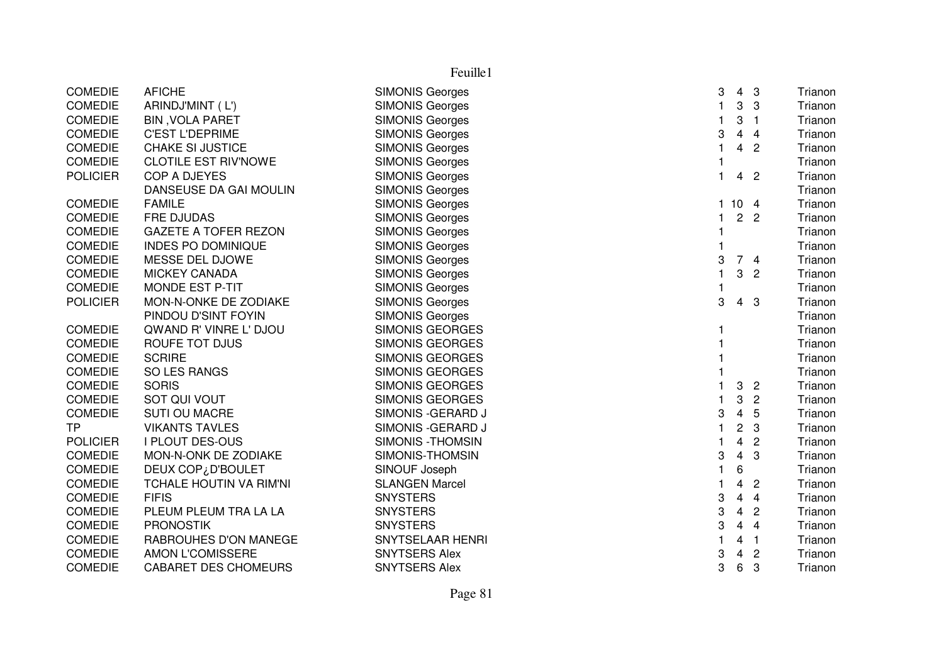| Feuille1        |                             |                          |                |                 |                |         |
|-----------------|-----------------------------|--------------------------|----------------|-----------------|----------------|---------|
| <b>COMEDIE</b>  | <b>AFICHE</b>               | <b>SIMONIS Georges</b>   | 3              | $\overline{4}$  | 3              | Trianon |
| <b>COMEDIE</b>  | ARINDJ'MINT (L')            | <b>SIMONIS Georges</b>   | $\mathbf{1}$   | 3               | 3              | Trianon |
| <b>COMEDIE</b>  | <b>BIN, VOLA PARET</b>      | <b>SIMONIS Georges</b>   | $\mathbf{1}$   | 3               | $\overline{1}$ | Trianon |
| <b>COMEDIE</b>  | <b>C'EST L'DEPRIME</b>      | <b>SIMONIS Georges</b>   | 3              | $\overline{4}$  | $\overline{4}$ | Trianon |
| <b>COMEDIE</b>  | <b>CHAKE SI JUSTICE</b>     | <b>SIMONIS Georges</b>   | $\overline{1}$ | 4               | $\overline{2}$ | Trianon |
| <b>COMEDIE</b>  | <b>CLOTILE EST RIV'NOWE</b> | <b>SIMONIS Georges</b>   |                |                 |                | Trianon |
| <b>POLICIER</b> | COP A DJEYES                | <b>SIMONIS Georges</b>   | $\mathbf{1}$   | 4               | $\overline{2}$ | Trianon |
|                 | DANSEUSE DA GAI MOULIN      | <b>SIMONIS Georges</b>   |                |                 |                | Trianon |
| <b>COMEDIE</b>  | <b>FAMILE</b>               | <b>SIMONIS Georges</b>   | $\mathbf{1}$   | 10 <sub>4</sub> |                | Trianon |
| <b>COMEDIE</b>  | <b>FRE DJUDAS</b>           | <b>SIMONIS Georges</b>   | $\mathbf{1}$   |                 | 2 <sub>2</sub> | Trianon |
| <b>COMEDIE</b>  | <b>GAZETE A TOFER REZON</b> | <b>SIMONIS Georges</b>   |                |                 |                | Trianon |
| <b>COMEDIE</b>  | <b>INDES PO DOMINIQUE</b>   | <b>SIMONIS Georges</b>   |                |                 |                | Trianon |
| <b>COMEDIE</b>  | MESSE DEL DJOWE             | <b>SIMONIS Georges</b>   | 3              |                 | 74             | Trianon |
| <b>COMEDIE</b>  | <b>MICKEY CANADA</b>        | <b>SIMONIS Georges</b>   | $\mathbf{1}$   | 3               | $\overline{2}$ | Trianon |
| <b>COMEDIE</b>  | <b>MONDE EST P-TIT</b>      | <b>SIMONIS Georges</b>   | 1              |                 |                | Trianon |
| <b>POLICIER</b> | MON-N-ONKE DE ZODIAKE       | <b>SIMONIS Georges</b>   | 3              | $\overline{4}$  | 3              | Trianon |
|                 | PINDOU D'SINT FOYIN         | <b>SIMONIS Georges</b>   |                |                 |                | Trianon |
| <b>COMEDIE</b>  | QWAND R' VINRE L' DJOU      | <b>SIMONIS GEORGES</b>   |                |                 |                | Trianon |
| <b>COMEDIE</b>  | ROUFE TOT DJUS              | <b>SIMONIS GEORGES</b>   |                |                 |                | Trianon |
| <b>COMEDIE</b>  | <b>SCRIRE</b>               | <b>SIMONIS GEORGES</b>   |                |                 |                | Trianon |
| <b>COMEDIE</b>  | SO LES RANGS                | <b>SIMONIS GEORGES</b>   |                |                 |                | Trianon |
| <b>COMEDIE</b>  | <b>SORIS</b>                | <b>SIMONIS GEORGES</b>   | 1              | 3               | $\overline{2}$ | Trianon |
| <b>COMEDIE</b>  | SOT QUI VOUT                | <b>SIMONIS GEORGES</b>   | 1              | 3               | $\overline{2}$ | Trianon |
| <b>COMEDIE</b>  | <b>SUTI OU MACRE</b>        | SIMONIS - GERARD J       | 3              | $\overline{4}$  | 5              | Trianon |
| <b>TP</b>       | <b>VIKANTS TAVLES</b>       | SIMONIS - GERARD J       | $\mathbf{1}$   | $\overline{c}$  | 3              | Trianon |
| <b>POLICIER</b> | <b>I PLOUT DES-OUS</b>      | <b>SIMONIS - THOMSIN</b> | 1              | 4               | $\overline{2}$ | Trianon |
| <b>COMEDIE</b>  | MON-N-ONK DE ZODIAKE        | SIMONIS-THOMSIN          | 3              | $\overline{4}$  | 3              | Trianon |
| <b>COMEDIE</b>  | DEUX COP¿D'BOULET           | SINOUF Joseph            | $\mathbf{1}$   | 6               |                | Trianon |
| <b>COMEDIE</b>  | TCHALE HOUTIN VA RIM'NI     | <b>SLANGEN Marcel</b>    | 1              | 4               | $\overline{2}$ | Trianon |
| <b>COMEDIE</b>  | <b>FIFIS</b>                | <b>SNYSTERS</b>          | 3              | 4               | $\overline{4}$ | Trianon |
| <b>COMEDIE</b>  | PLEUM PLEUM TRA LA LA       | <b>SNYSTERS</b>          | 3              | $\overline{4}$  | $\overline{2}$ | Trianon |
| <b>COMEDIE</b>  | <b>PRONOSTIK</b>            | <b>SNYSTERS</b>          | 3              | $\overline{4}$  | $\overline{4}$ | Trianon |
| <b>COMEDIE</b>  | RABROUHES D'ON MANEGE       | <b>SNYTSELAAR HENRI</b>  |                | 4               | $\overline{1}$ | Trianon |
| <b>COMEDIE</b>  | AMON L'COMISSERE            | <b>SNYTSERS Alex</b>     | 3              | 4               | $\overline{c}$ | Trianon |
| <b>COMEDIE</b>  | <b>CABARET DES CHOMEURS</b> | <b>SNYTSERS Alex</b>     | 3              | 6               | 3              | Trianon |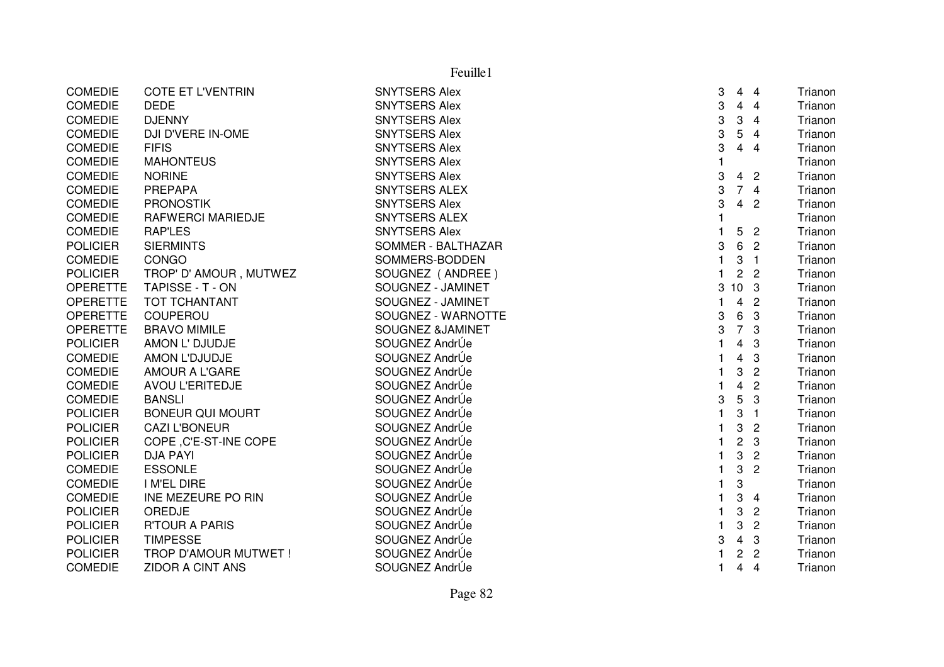|                 |                             | Feuille1             |   |                           |                |         |
|-----------------|-----------------------------|----------------------|---|---------------------------|----------------|---------|
| <b>COMEDIE</b>  | <b>COTE ET L'VENTRIN</b>    | <b>SNYTSERS Alex</b> | 3 | 4                         | $\overline{4}$ | Trianon |
| <b>COMEDIE</b>  | <b>DEDE</b>                 | <b>SNYTSERS Alex</b> | 3 | $\overline{4}$            | $\overline{4}$ | Trianon |
| <b>COMEDIE</b>  | <b>DJENNY</b>               | <b>SNYTSERS Alex</b> | 3 | 3                         | $\overline{4}$ | Trianon |
| <b>COMEDIE</b>  | DJI D'VERE IN-OME           | <b>SNYTSERS Alex</b> | 3 | 5                         | $\overline{4}$ | Trianon |
| COMEDIE         | <b>FIFIS</b>                | <b>SNYTSERS Alex</b> | 3 | $\overline{\mathbf{4}}$   | $\overline{4}$ | Trianon |
| <b>COMEDIE</b>  | <b>MAHONTEUS</b>            | <b>SNYTSERS Alex</b> |   |                           |                | Trianon |
| <b>COMEDIE</b>  | <b>NORINE</b>               | <b>SNYTSERS Alex</b> | 3 | $\overline{4}$            | $\overline{2}$ | Trianon |
| <b>COMEDIE</b>  | <b>PREPAPA</b>              | <b>SNYTSERS ALEX</b> | 3 |                           | 74             | Trianon |
| <b>COMEDIE</b>  | <b>PRONOSTIK</b>            | <b>SNYTSERS Alex</b> | 3 | $\overline{4}$            | $\overline{c}$ | Trianon |
| <b>COMEDIE</b>  | <b>RAFWERCI MARIEDJE</b>    | <b>SNYTSERS ALEX</b> |   |                           |                | Trianon |
| <b>COMEDIE</b>  | <b>RAP'LES</b>              | <b>SNYTSERS Alex</b> |   | 5                         | $\overline{c}$ | Trianon |
| <b>POLICIER</b> | <b>SIERMINTS</b>            | SOMMER - BALTHAZAR   | 3 | 6                         | $\overline{2}$ | Trianon |
| <b>COMEDIE</b>  | CONGO                       | SOMMERS-BODDEN       |   | 3                         | $\overline{1}$ | Trianon |
| <b>POLICIER</b> | TROP' D' AMOUR, MUTWEZ      | SOUGNEZ (ANDREE)     | 1 | $\overline{c}$            | $\overline{c}$ | Trianon |
| <b>OPERETTE</b> | TAPISSE - T - ON            | SOUGNEZ - JAMINET    | 3 | 10 <sub>3</sub>           |                | Trianon |
| <b>OPERETTE</b> | <b>TOT TCHANTANT</b>        | SOUGNEZ - JAMINET    | 1 | $\overline{4}$            | $\overline{2}$ | Trianon |
| <b>OPERETTE</b> | COUPEROU                    | SOUGNEZ - WARNOTTE   | 3 | 6                         | 3              | Trianon |
| <b>OPERETTE</b> | <b>BRAVO MIMILE</b>         | SOUGNEZ &JAMINET     | 3 | $\overline{7}$            | 3              | Trianon |
| <b>POLICIER</b> | AMON L' DJUDJE              | SOUGNEZ AndrÚe       |   | $\overline{\mathbf{4}}$   | 3              | Trianon |
| <b>COMEDIE</b>  | AMON L'DJUDJE               | SOUGNEZ AndrÚe       |   | 4                         | 3              | Trianon |
| <b>COMEDIE</b>  | <b>AMOUR A L'GARE</b>       | SOUGNEZ AndrÚe       | 1 | 3                         | $\overline{c}$ | Trianon |
| <b>COMEDIE</b>  | <b>AVOU L'ERITEDJE</b>      | SOUGNEZ AndrÚe       |   | $\overline{\mathbf{4}}$   | $\overline{2}$ | Trianon |
| <b>COMEDIE</b>  | <b>BANSLI</b>               | SOUGNEZ AndrÚe       | 3 | 5                         | 3              | Trianon |
| <b>POLICIER</b> | <b>BONEUR QUI MOURT</b>     | SOUGNEZ AndrÚe       |   | $\ensuremath{\mathsf{3}}$ | $\overline{1}$ | Trianon |
| <b>POLICIER</b> | <b>CAZI L'BONEUR</b>        | SOUGNEZ AndrÚe       |   | 3                         | $\overline{2}$ | Trianon |
| <b>POLICIER</b> | COPE, C'E-ST-INE COPE       | SOUGNEZ AndrÚe       |   | $\overline{c}$            | 3              | Trianon |
| <b>POLICIER</b> | <b>DJA PAYI</b>             | SOUGNEZ AndrÚe       |   | 3                         | $\mathbf{2}$   | Trianon |
| <b>COMEDIE</b>  | <b>ESSONLE</b>              | SOUGNEZ AndrÚe       | 1 | 3                         | 2              | Trianon |
| <b>COMEDIE</b>  | I M'EL DIRE                 | SOUGNEZ AndrÚe       | 1 | 3                         |                | Trianon |
| <b>COMEDIE</b>  | INE MEZEURE PO RIN          | SOUGNEZ AndrÚe       | 1 | 3                         | 4              | Trianon |
| <b>POLICIER</b> | OREDJE                      | SOUGNEZ AndrÚe       |   | 3                         | $\overline{c}$ | Trianon |
| <b>POLICIER</b> | <b>R'TOUR A PARIS</b>       | SOUGNEZ AndrÚe       |   | 3                         | $\overline{2}$ | Trianon |
| <b>POLICIER</b> | <b>TIMPESSE</b>             | SOUGNEZ AndrÚe       | 3 | $\overline{\mathbf{4}}$   | $\sqrt{3}$     | Trianon |
| <b>POLICIER</b> | <b>TROP D'AMOUR MUTWET!</b> | SOUGNEZ AndrÚe       |   | $\overline{c}$            | $\overline{2}$ | Trianon |
| <b>COMEDIE</b>  | <b>ZIDOR A CINT ANS</b>     | SOUGNEZ AndrÚe       | 1 | 4                         | 4              | Trianon |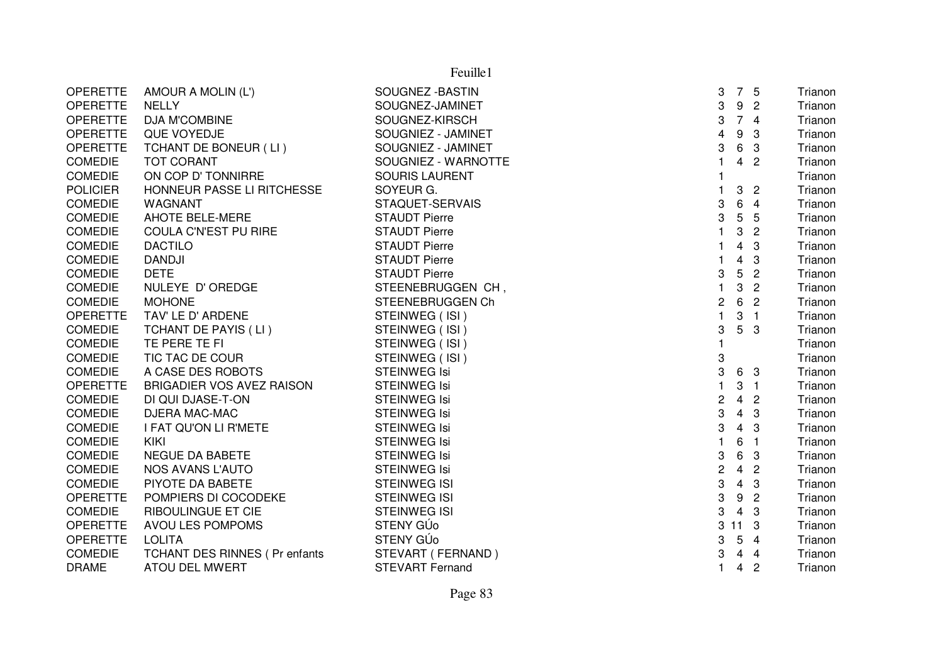| AMOUR A MOLIN (L')               | SOUGNEZ - BASTIN       | 3                       |                               |                | Trianon                                        |
|----------------------------------|------------------------|-------------------------|-------------------------------|----------------|------------------------------------------------|
| <b>NELLY</b>                     | SOUGNEZ-JAMINET        | 3                       | 9                             | $\overline{c}$ | Trianon                                        |
| DJA M'COMBINE                    | SOUGNEZ-KIRSCH         | 3                       | $\overline{7}$                | -4             | Trianon                                        |
| QUE VOYEDJE                      | SOUGNIEZ - JAMINET     | 4                       | 9                             | 3              | Trianon                                        |
| TCHANT DE BONEUR (LI)            | SOUGNIEZ - JAMINET     | 3                       | 6                             | 3              | Trianon                                        |
| <b>TOT CORANT</b>                | SOUGNIEZ - WARNOTTE    | 1                       | 4                             | $\overline{c}$ | Trianon                                        |
| ON COP D' TONNIRRE               | <b>SOURIS LAURENT</b>  | $\mathbf{1}$            |                               |                | Trianon                                        |
| HONNEUR PASSE LI RITCHESSE       | SOYEUR G.              | 1                       | 3                             | $\overline{2}$ | Trianon                                        |
| WAGNANT                          | STAQUET-SERVAIS        | 3                       | 6                             | $\overline{4}$ | Trianon                                        |
| <b>AHOTE BELE-MERE</b>           | <b>STAUDT Pierre</b>   | 3                       | 5                             | 5              | Trianon                                        |
| COULA C'N'EST PU RIRE            | <b>STAUDT Pierre</b>   | $\mathbf{1}$            | 3                             | $\overline{c}$ | Trianon                                        |
| <b>DACTILO</b>                   | <b>STAUDT Pierre</b>   |                         | 4                             | 3              | Trianon                                        |
| <b>DANDJI</b>                    | <b>STAUDT Pierre</b>   | 1                       | 4                             | 3              | Trianon                                        |
| <b>DETE</b>                      | <b>STAUDT Pierre</b>   | 3                       | 5                             | $\overline{2}$ | Trianon                                        |
| NULEYE D' OREDGE                 | STEENEBRUGGEN CH,      | 1                       | 3                             | $\overline{c}$ | Trianon                                        |
| <b>MOHONE</b>                    | STEENEBRUGGEN Ch       | $\boldsymbol{2}$        | 6                             | $\overline{2}$ | Trianon                                        |
| TAV' LE D' ARDENE                | STEINWEG (ISI)         | $\mathbf{1}$            | 3                             | $\overline{1}$ | Trianon                                        |
| TCHANT DE PAYIS (LI)             | STEINWEG (ISI)         | 3                       | 5                             | -3             | Trianon                                        |
| TE PERE TE FI                    | STEINWEG (ISI)         | 1                       |                               |                | Trianon                                        |
| TIC TAC DE COUR                  |                        | 3                       |                               |                | Trianon                                        |
| A CASE DES ROBOTS                | <b>STEINWEG Isi</b>    |                         | 6                             |                | Trianon                                        |
| <b>BRIGADIER VOS AVEZ RAISON</b> | <b>STEINWEG Isi</b>    | 1                       | 3                             |                | Trianon                                        |
| DI QUI DJASE-T-ON                | <b>STEINWEG Isi</b>    | $\overline{\mathbf{c}}$ |                               | $\overline{2}$ | Trianon                                        |
| DJERA MAC-MAC                    | <b>STEINWEG Isi</b>    |                         | 4                             | 3              | Trianon                                        |
| I FAT QU'ON LI R'METE            | <b>STEINWEG Isi</b>    |                         | $\overline{4}$                | 3              | Trianon                                        |
| <b>KIKI</b>                      | <b>STEINWEG Isi</b>    | 1                       | 6                             | $\overline{1}$ | Trianon                                        |
| NEGUE DA BABETE                  | <b>STEINWEG Isi</b>    | 3                       | 6                             | 3              | Trianon                                        |
| NOS AVANS L'AUTO                 | <b>STEINWEG Isi</b>    |                         | $\overline{4}$                | $\overline{c}$ | Trianon                                        |
| PIYOTE DA BABETE                 | <b>STEINWEG ISI</b>    | 3                       | 4                             | 3              | Trianon                                        |
| POMPIERS DI COCODEKE             | <b>STEINWEG ISI</b>    | 3                       | 9                             | $\overline{2}$ | Trianon                                        |
| <b>RIBOULINGUE ET CIE</b>        | <b>STEINWEG ISI</b>    | 3                       | $\overline{4}$                | 3              | Trianon                                        |
| AVOU LES POMPOMS                 | STENY GÚ <sub>o</sub>  |                         |                               | 3              | Trianon                                        |
| <b>LOLITA</b>                    | STENY GÚ <sub>o</sub>  | 3                       | 5                             | $\overline{4}$ | Trianon                                        |
| TCHANT DES RINNES ( Pr enfants   | STEVART (FERNAND)      | 3                       | 4                             | $\overline{4}$ | Trianon                                        |
| <b>ATOU DEL MWERT</b>            | <b>STEVART Fernand</b> | $\mathbf{1}$            | 4                             | $\overline{c}$ | Trianon                                        |
|                                  |                        | STEINWEG (ISI)          | 3<br>3<br>3<br>$\overline{c}$ | $3$ 11         | 7 5<br>- 3<br>$\overline{1}$<br>$\overline{4}$ |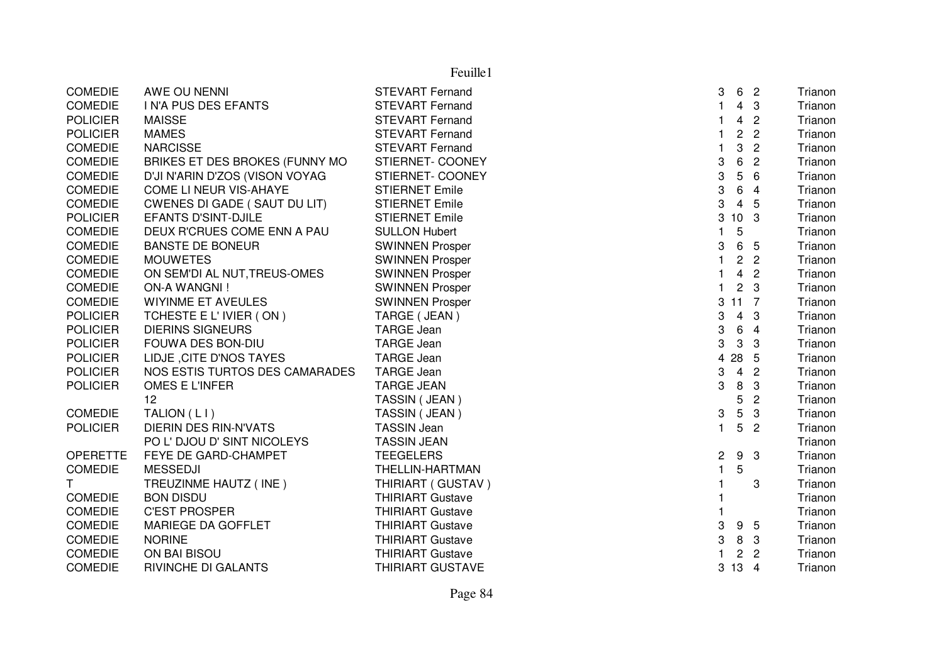|                 |                                     | Feuille1                |                           |                 |                |         |
|-----------------|-------------------------------------|-------------------------|---------------------------|-----------------|----------------|---------|
| <b>COMEDIE</b>  | AWE OU NENNI                        | <b>STEVART Fernand</b>  | 3                         |                 | 6 2            | Trianon |
| <b>COMEDIE</b>  | I N'A PUS DES EFANTS                | <b>STEVART Fernand</b>  | $\mathbf{1}$              | $\overline{4}$  | $\mathbf{3}$   | Trianon |
| <b>POLICIER</b> | <b>MAISSE</b>                       | <b>STEVART Fernand</b>  | $\mathbf{1}$              | $\overline{4}$  | $\overline{2}$ | Trianon |
| <b>POLICIER</b> | <b>MAMES</b>                        | <b>STEVART Fernand</b>  | $\mathbf{1}$              | $\overline{2}$  | $\overline{c}$ | Trianon |
| <b>COMEDIE</b>  | <b>NARCISSE</b>                     | <b>STEVART Fernand</b>  | $\mathbf{1}$              | 3               | $\overline{2}$ | Trianon |
| <b>COMEDIE</b>  | BRIKES ET DES BROKES (FUNNY MO      | STIERNET- COONEY        | $\ensuremath{\mathsf{3}}$ | $\,6\,$         | $\overline{2}$ | Trianon |
| <b>COMEDIE</b>  | D'JI N'ARIN D'ZOS (VISON VOYAG      | STIERNET- COONEY        | 3                         | 5               | 6              | Trianon |
| <b>COMEDIE</b>  | COME LI NEUR VIS-AHAYE              | <b>STIERNET Emile</b>   | $\ensuremath{\mathsf{3}}$ | 6               | $\overline{4}$ | Trianon |
| <b>COMEDIE</b>  | <b>CWENES DI GADE (SAUT DU LIT)</b> | <b>STIERNET Emile</b>   | 3                         | $\overline{4}$  | 5              | Trianon |
| <b>POLICIER</b> | <b>EFANTS D'SINT-DJILE</b>          | <b>STIERNET Emile</b>   | 3                         | 10 <sub>3</sub> |                | Trianon |
| <b>COMEDIE</b>  | DEUX R'CRUES COME ENN A PAU         | <b>SULLON Hubert</b>    | $\mathbf{1}$              | 5               |                | Trianon |
| <b>COMEDIE</b>  | <b>BANSTE DE BONEUR</b>             | <b>SWINNEN Prosper</b>  | $\ensuremath{\mathsf{3}}$ |                 | 6 5            | Trianon |
| <b>COMEDIE</b>  | <b>MOUWETES</b>                     | <b>SWINNEN Prosper</b>  | $\mathbf{1}$              |                 | 2 <sub>2</sub> | Trianon |
| <b>COMEDIE</b>  | ON SEM'DI AL NUT, TREUS-OMES        | <b>SWINNEN Prosper</b>  | $\mathbf{1}$              | $\overline{4}$  | $\overline{2}$ | Trianon |
| <b>COMEDIE</b>  | <b>ON-A WANGNI!</b>                 | <b>SWINNEN Prosper</b>  | $\mathbf{1}$              |                 | 2 <sub>3</sub> | Trianon |
| <b>COMEDIE</b>  | <b>WIYINME ET AVEULES</b>           | <b>SWINNEN Prosper</b>  | $\boldsymbol{3}$          | $11 \quad 7$    |                | Trianon |
| <b>POLICIER</b> | TCHESTE E L'IVIER (ON)              | TARGE (JEAN)            | 3                         |                 | 4 <sub>3</sub> | Trianon |
| <b>POLICIER</b> | <b>DIERINS SIGNEURS</b>             | <b>TARGE Jean</b>       | $\boldsymbol{3}$          |                 | 6 4            | Trianon |
| <b>POLICIER</b> | FOUWA DES BON-DIU                   | <b>TARGE Jean</b>       | 3                         | $\mathbf{3}$    | $\mathbf{3}$   | Trianon |
| <b>POLICIER</b> | LIDJE, CITE D'NOS TAYES             | <b>TARGE Jean</b>       | $\overline{\mathbf{4}}$   | 28 5            |                | Trianon |
| <b>POLICIER</b> | NOS ESTIS TURTOS DES CAMARADES      | <b>TARGE Jean</b>       | 3                         | $\overline{4}$  | $\overline{2}$ | Trianon |
| <b>POLICIER</b> | OMES E L'INFER                      | <b>TARGE JEAN</b>       | 3                         | 8               | $\mathbf{3}$   | Trianon |
|                 | 12                                  | TASSIN (JEAN)           |                           | 5               | $\overline{2}$ | Trianon |
| <b>COMEDIE</b>  | TALION (LI)                         | TASSIN (JEAN)           | $\boldsymbol{3}$          | $5\phantom{.0}$ | $\mathbf{3}$   | Trianon |
| <b>POLICIER</b> | <b>DIERIN DES RIN-N'VATS</b>        | <b>TASSIN Jean</b>      | $\mathbf{1}$              | 5               | $\overline{2}$ | Trianon |
|                 | PO L' DJOU D' SINT NICOLEYS         | <b>TASSIN JEAN</b>      |                           |                 |                | Trianon |
| <b>OPERETTE</b> | FEYE DE GARD-CHAMPET                | <b>TEEGELERS</b>        | $\overline{c}$            |                 | 9 <sub>3</sub> | Trianon |
| <b>COMEDIE</b>  | <b>MESSEDJI</b>                     | THELLIN-HARTMAN         | $\mathbf{1}$              | 5               |                | Trianon |
| T.              | TREUZINME HAUTZ (INE)               | THIRIART (GUSTAV)       | $\mathbf{1}$              |                 | 3              | Trianon |
| <b>COMEDIE</b>  | <b>BON DISDU</b>                    | <b>THIRIART Gustave</b> | $\mathbf{1}$              |                 |                | Trianon |
| <b>COMEDIE</b>  | <b>C'EST PROSPER</b>                | <b>THIRIART Gustave</b> | $\mathbf{1}$              |                 |                | Trianon |
| <b>COMEDIE</b>  | MARIEGE DA GOFFLET                  | <b>THIRIART Gustave</b> | 3                         |                 | 9 <sub>5</sub> | Trianon |
| <b>COMEDIE</b>  | <b>NORINE</b>                       | <b>THIRIART Gustave</b> | $\boldsymbol{3}$          |                 | 8 3            | Trianon |
| <b>COMEDIE</b>  | ON BAI BISOU                        | <b>THIRIART Gustave</b> | 1                         | $\overline{c}$  | $\overline{2}$ | Trianon |
| <b>COMEDIE</b>  | <b>RIVINCHE DI GALANTS</b>          | <b>THIRIART GUSTAVE</b> |                           | 3 13 4          |                | Trianon |
|                 |                                     |                         |                           |                 |                |         |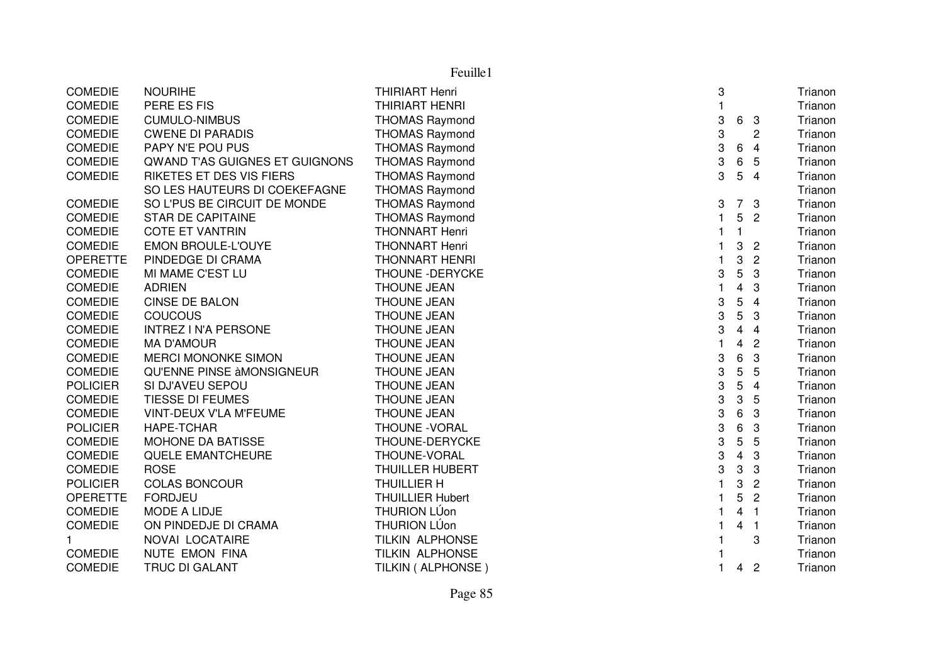| Feuille1        |                                |                         |              |                |                |         |
|-----------------|--------------------------------|-------------------------|--------------|----------------|----------------|---------|
| <b>COMEDIE</b>  | <b>NOURIHE</b>                 | <b>THIRIART Henri</b>   | 3            |                |                | Trianon |
| <b>COMEDIE</b>  | PERE ES FIS                    | <b>THIRIART HENRI</b>   | $\mathbf{1}$ |                |                | Trianon |
| <b>COMEDIE</b>  | <b>CUMULO-NIMBUS</b>           | <b>THOMAS Raymond</b>   | 3            | 6              | $\mathbf{3}$   | Trianon |
| <b>COMEDIE</b>  | <b>CWENE DI PARADIS</b>        | <b>THOMAS Raymond</b>   | 3            |                | $\overline{c}$ | Trianon |
| <b>COMEDIE</b>  | PAPY N'E POU PUS               | <b>THOMAS Raymond</b>   | 3            | $\,6\,$        | $\overline{4}$ | Trianon |
| <b>COMEDIE</b>  | QWAND T'AS GUIGNES ET GUIGNONS | <b>THOMAS Raymond</b>   | 3            | 6              | 5              | Trianon |
| <b>COMEDIE</b>  | RIKETES ET DES VIS FIERS       | <b>THOMAS Raymond</b>   | 3            | 5              | $\overline{4}$ | Trianon |
|                 | SO LES HAUTEURS DI COEKEFAGNE  | <b>THOMAS Raymond</b>   |              |                |                | Trianon |
| <b>COMEDIE</b>  | SO L'PUS BE CIRCUIT DE MONDE   | <b>THOMAS Raymond</b>   | 3            |                | 7 <sub>3</sub> | Trianon |
| <b>COMEDIE</b>  | <b>STAR DE CAPITAINE</b>       | <b>THOMAS Raymond</b>   | 1            | 5              | $\overline{2}$ | Trianon |
| <b>COMEDIE</b>  | <b>COTE ET VANTRIN</b>         | <b>THONNART Henri</b>   | 1            | 1              |                | Trianon |
| <b>COMEDIE</b>  | <b>EMON BROULE-L'OUYE</b>      | <b>THONNART Henri</b>   | 1            | 3              | $\overline{2}$ | Trianon |
| <b>OPERETTE</b> | PINDEDGE DI CRAMA              | <b>THONNART HENRI</b>   | 1            | 3              | $\overline{2}$ | Trianon |
| <b>COMEDIE</b>  | MI MAME C'EST LU               | THOUNE - DERYCKE        | 3            | 5              | 3              | Trianon |
| <b>COMEDIE</b>  | <b>ADRIEN</b>                  | <b>THOUNE JEAN</b>      | 1            | 4              | 3              | Trianon |
| <b>COMEDIE</b>  | CINSE DE BALON                 | <b>THOUNE JEAN</b>      | 3            | 5              | $\overline{4}$ | Trianon |
| <b>COMEDIE</b>  | COUCOUS                        | <b>THOUNE JEAN</b>      | 3            | 5              | 3              | Trianon |
| <b>COMEDIE</b>  | <b>INTREZ I N'A PERSONE</b>    | THOUNE JEAN             | 3            | 4              | $\overline{4}$ | Trianon |
| <b>COMEDIE</b>  | <b>MA D'AMOUR</b>              | <b>THOUNE JEAN</b>      | $\mathbf 1$  | 4              | $\overline{2}$ | Trianon |
| <b>COMEDIE</b>  | <b>MERCI MONONKE SIMON</b>     | <b>THOUNE JEAN</b>      | 3            | 6              | 3              | Trianon |
| <b>COMEDIE</b>  | QU'ENNE PINSE àMONSIGNEUR      | <b>THOUNE JEAN</b>      | 3            | 5              | 5              | Trianon |
| <b>POLICIER</b> | SI DJ'AVEU SEPOU               | <b>THOUNE JEAN</b>      | 3            | 5              | $\overline{4}$ | Trianon |
| <b>COMEDIE</b>  | TIESSE DI FEUMES               | <b>THOUNE JEAN</b>      | 3            | 3              | 5              | Trianon |
| <b>COMEDIE</b>  | VINT-DEUX V'LA M'FEUME         | <b>THOUNE JEAN</b>      | 3            | 6              | 3              | Trianon |
| <b>POLICIER</b> | HAPE-TCHAR                     | THOUNE - VORAL          | 3            | 6              | 3              | Trianon |
| <b>COMEDIE</b>  | MOHONE DA BATISSE              | THOUNE-DERYCKE          | 3            | 5              | 5              | Trianon |
| <b>COMEDIE</b>  | QUELE EMANTCHEURE              | THOUNE-VORAL            | 3            | $\overline{4}$ | 3              | Trianon |
| <b>COMEDIE</b>  | <b>ROSE</b>                    | <b>THUILLER HUBERT</b>  | 3            | 3              | 3              | Trianon |
| <b>POLICIER</b> | <b>COLAS BONCOUR</b>           | <b>THUILLIER H</b>      |              | 3              | $\overline{c}$ | Trianon |
| <b>OPERETTE</b> | <b>FORDJEU</b>                 | <b>THUILLIER Hubert</b> |              | 5              | $\overline{2}$ | Trianon |
| <b>COMEDIE</b>  | <b>MODE A LIDJE</b>            | <b>THURION LÚon</b>     | 1            | 4              | $\overline{1}$ | Trianon |
| <b>COMEDIE</b>  | ON PINDEDJE DI CRAMA           | <b>THURION LÚon</b>     | 1            | 4              | $\overline{1}$ | Trianon |
| 1               | NOVAI LOCATAIRE                | <b>TILKIN ALPHONSE</b>  |              |                | 3              | Trianon |
| <b>COMEDIE</b>  | NUTE EMON FINA                 | <b>TILKIN ALPHONSE</b>  |              |                |                | Trianon |
| <b>COMEDIE</b>  | <b>TRUC DI GALANT</b>          | TILKIN ( ALPHONSE )     | $\mathbf{1}$ | $\overline{4}$ | $\overline{c}$ | Trianon |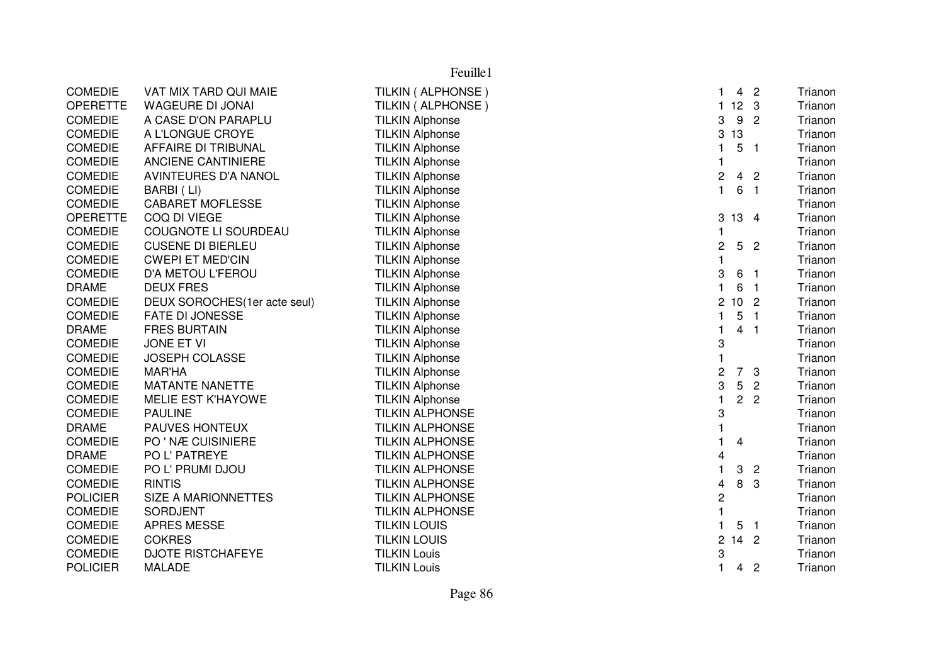|                 | Feuille1                     |                        |                         |                 |                          |         |  |
|-----------------|------------------------------|------------------------|-------------------------|-----------------|--------------------------|---------|--|
| <b>COMEDIE</b>  | VAT MIX TARD QUI MAIE        | TILKIN ( ALPHONSE )    | 1.                      | 4 <sub>2</sub>  |                          | Trianon |  |
| <b>OPERETTE</b> | WAGEURE DI JONAI             | TILKIN ( ALPHONSE )    | 1123                    |                 |                          | Trianon |  |
| <b>COMEDIE</b>  | A CASE D'ON PARAPLU          | <b>TILKIN Alphonse</b> | 3                       | 9               | $\overline{2}$           | Trianon |  |
| <b>COMEDIE</b>  | A L'LONGUE CROYE             | <b>TILKIN Alphonse</b> | 3                       | 13              |                          | Trianon |  |
| <b>COMEDIE</b>  | AFFAIRE DI TRIBUNAL          | <b>TILKIN Alphonse</b> | 1                       | 5               | -1                       | Trianon |  |
| <b>COMEDIE</b>  | ANCIENE CANTINIERE           | <b>TILKIN Alphonse</b> | $\mathbf{1}$            |                 |                          | Trianon |  |
| <b>COMEDIE</b>  | <b>AVINTEURES D'A NANOL</b>  | <b>TILKIN Alphonse</b> | 2                       | 4               | $\overline{c}$           | Trianon |  |
| <b>COMEDIE</b>  | BARBI (LI)                   | <b>TILKIN Alphonse</b> | $\mathbf{1}$            | 6               | $\overline{1}$           | Trianon |  |
| <b>COMEDIE</b>  | <b>CABARET MOFLESSE</b>      | <b>TILKIN Alphonse</b> |                         |                 |                          | Trianon |  |
| <b>OPERETTE</b> | COQ DI VIEGE                 | <b>TILKIN Alphonse</b> | 3                       | 13 4            |                          | Trianon |  |
| <b>COMEDIE</b>  | COUGNOTE LI SOURDEAU         | <b>TILKIN Alphonse</b> |                         |                 |                          | Trianon |  |
| <b>COMEDIE</b>  | <b>CUSENE DI BIERLEU</b>     | <b>TILKIN Alphonse</b> | $\overline{c}$          | 5 <sub>2</sub>  |                          | Trianon |  |
| <b>COMEDIE</b>  | <b>CWEPI ET MED'CIN</b>      | <b>TILKIN Alphonse</b> | $\mathbf{1}$            |                 |                          | Trianon |  |
| <b>COMEDIE</b>  | D'A METOU L'FEROU            | <b>TILKIN Alphonse</b> | 3                       | 6               | - 1                      | Trianon |  |
| <b>DRAME</b>    | <b>DEUX FRES</b>             | <b>TILKIN Alphonse</b> | 1                       | 6               | - 1                      | Trianon |  |
| <b>COMEDIE</b>  | DEUX SOROCHES(1er acte seul) | <b>TILKIN Alphonse</b> | $\overline{\mathbf{c}}$ | 10 <sub>2</sub> |                          | Trianon |  |
| <b>COMEDIE</b>  | <b>FATE DI JONESSE</b>       | <b>TILKIN Alphonse</b> | 1                       | 5               | $\overline{\phantom{a}}$ | Trianon |  |
| <b>DRAME</b>    | <b>FRES BURTAIN</b>          | <b>TILKIN Alphonse</b> | 1                       | 4               | -1                       | Trianon |  |
| <b>COMEDIE</b>  | JONE ET VI                   | <b>TILKIN Alphonse</b> | 3                       |                 |                          | Trianon |  |
| <b>COMEDIE</b>  | JOSEPH COLASSE               | <b>TILKIN Alphonse</b> |                         |                 |                          | Trianon |  |
| <b>COMEDIE</b>  | <b>MAR'HA</b>                | <b>TILKIN Alphonse</b> | 2                       | $\overline{7}$  | 3                        | Trianon |  |
| <b>COMEDIE</b>  | <b>MATANTE NANETTE</b>       | <b>TILKIN Alphonse</b> | 3                       | 5               | $\overline{2}$           | Trianon |  |
| <b>COMEDIE</b>  | MELIE EST K'HAYOWE           | <b>TILKIN Alphonse</b> | $\mathbf{1}$            | 2 <sup>1</sup>  | $\overline{2}$           | Trianon |  |
| <b>COMEDIE</b>  | <b>PAULINE</b>               | <b>TILKIN ALPHONSE</b> | 3                       |                 |                          | Trianon |  |
| <b>DRAME</b>    | PAUVES HONTEUX               | <b>TILKIN ALPHONSE</b> |                         |                 |                          | Trianon |  |
| <b>COMEDIE</b>  | PO ' NÆ CUISINIERE           | <b>TILKIN ALPHONSE</b> |                         | 4               |                          | Trianon |  |
| <b>DRAME</b>    | PO L' PATREYE                | <b>TILKIN ALPHONSE</b> | 4                       |                 |                          | Trianon |  |
| <b>COMEDIE</b>  | PO L' PRUMI DJOU             | <b>TILKIN ALPHONSE</b> | 1                       | 3               | $\overline{2}$           | Trianon |  |
| <b>COMEDIE</b>  | <b>RINTIS</b>                | <b>TILKIN ALPHONSE</b> | 4                       | 8               | 3                        | Trianon |  |
| <b>POLICIER</b> | SIZE A MARIONNETTES          | <b>TILKIN ALPHONSE</b> | 2                       |                 |                          | Trianon |  |
| <b>COMEDIE</b>  | <b>SORDJENT</b>              | <b>TILKIN ALPHONSE</b> | $\mathbf{1}$            |                 |                          | Trianon |  |
| <b>COMEDIE</b>  | <b>APRES MESSE</b>           | <b>TILKIN LOUIS</b>    | $\mathbf{1}$            | 5               | $\overline{1}$           | Trianon |  |
| <b>COMEDIE</b>  | <b>COKRES</b>                | <b>TILKIN LOUIS</b>    | $\overline{c}$<br>1     | $\overline{4}$  | $\overline{2}$           | Trianon |  |
| <b>COMEDIE</b>  | <b>DJOTE RISTCHAFEYE</b>     | <b>TILKIN Louis</b>    | 3                       |                 |                          | Trianon |  |
| <b>POLICIER</b> | <b>MALADE</b>                | <b>TILKIN Louis</b>    | $\mathbf{1}$            | 4               | $\overline{c}$           | Trianon |  |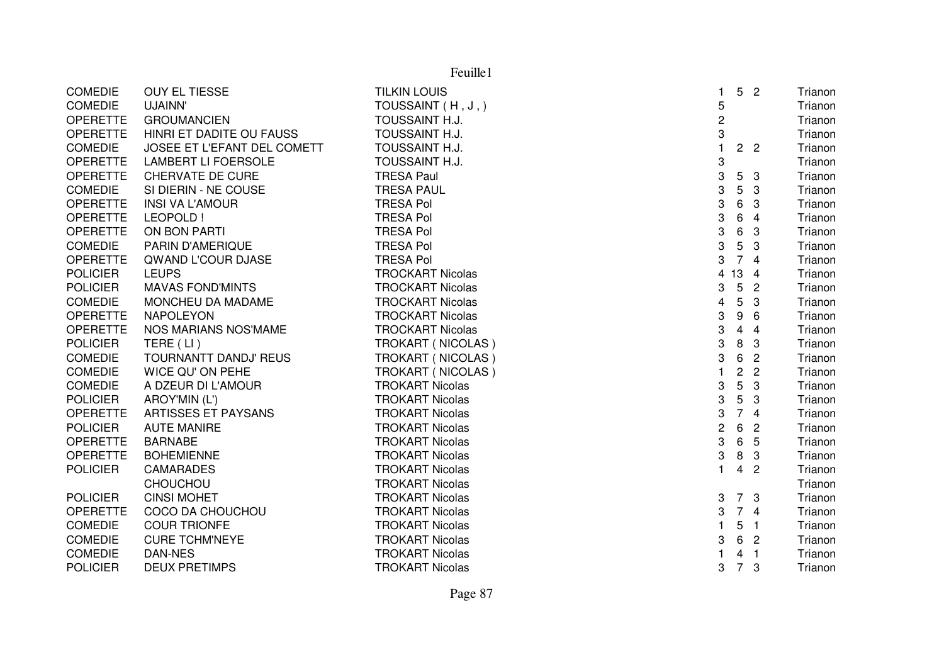| <b>COMEDIE</b>  | <b>OUY EL TIESSE</b>        | <b>TILKIN LOUIS</b>     | 1              | 5 <sub>2</sub> |                | Trianon |
|-----------------|-----------------------------|-------------------------|----------------|----------------|----------------|---------|
| <b>COMEDIE</b>  | UJAINN'                     | TOUSSAINT (H, J,)       | 5              |                |                | Trianon |
| <b>OPERETTE</b> | <b>GROUMANCIEN</b>          | TOUSSAINT H.J.          | $\overline{c}$ |                |                | Trianon |
| <b>OPERETTE</b> | HINRI ET DADITE OU FAUSS    | TOUSSAINT H.J.          | 3              |                |                | Trianon |
| <b>COMEDIE</b>  | JOSEE ET L'EFANT DEL COMETT | TOUSSAINT H.J.          | $\mathbf{1}$   | 2 <sub>2</sub> |                | Trianon |
| <b>OPERETTE</b> | <b>LAMBERT LI FOERSOLE</b>  | TOUSSAINT H.J.          | 3              |                |                | Trianon |
| <b>OPERETTE</b> | <b>CHERVATE DE CURE</b>     | <b>TRESA Paul</b>       | 3              | 5              | 3              | Trianon |
| <b>COMEDIE</b>  | SI DIERIN - NE COUSE        | <b>TRESA PAUL</b>       | 3              | 5              | 3              | Trianon |
| <b>OPERETTE</b> | <b>INSI VA L'AMOUR</b>      | <b>TRESA Pol</b>        | 3              | 6              | 3              | Trianon |
| <b>OPERETTE</b> | LEOPOLD !                   | <b>TRESA Pol</b>        | 3              | 6              | 4              | Trianon |
| OPERETTE        | ON BON PARTI                | <b>TRESA Pol</b>        | 3              | 6              | 3              | Trianon |
| <b>COMEDIE</b>  | PARIN D'AMERIQUE            | <b>TRESA Pol</b>        | 3              | 5              | 3              | Trianon |
| <b>OPERETTE</b> | QWAND L'COUR DJASE          | <b>TRESA Pol</b>        | 3              | $\overline{7}$ | $\overline{4}$ | Trianon |
| <b>POLICIER</b> | <b>LEUPS</b>                | <b>TROCKART Nicolas</b> |                | 4 13           | $\overline{4}$ | Trianon |
| <b>POLICIER</b> | <b>MAVAS FOND'MINTS</b>     | <b>TROCKART Nicolas</b> | 3              | 5              | $\overline{2}$ | Trianon |
| <b>COMEDIE</b>  | MONCHEU DA MADAME           | <b>TROCKART Nicolas</b> | 4              | 5              | 3              | Trianon |
| OPERETTE        | <b>NAPOLEYON</b>            | <b>TROCKART Nicolas</b> | 3              | 9              | 6              | Trianon |
| <b>OPERETTE</b> | NOS MARIANS NOS'MAME        | <b>TROCKART Nicolas</b> | 3              | 4              | $\overline{4}$ | Trianon |
| <b>POLICIER</b> | TERE (LI)                   | TROKART (NICOLAS)       | 3              | 8              | 3              | Trianon |
| <b>COMEDIE</b>  | TOURNANTT DANDJ' REUS       | TROKART (NICOLAS)       | 3              | 6              | $\overline{2}$ | Trianon |
| <b>COMEDIE</b>  | WICE QU' ON PEHE            | TROKART (NICOLAS)       | 1              | $\overline{c}$ | $\overline{2}$ | Trianon |
| <b>COMEDIE</b>  | A DZEUR DI L'AMOUR          | <b>TROKART Nicolas</b>  | 3              | 5              | $\sqrt{3}$     | Trianon |
| <b>POLICIER</b> | AROY'MIN (L')               | <b>TROKART Nicolas</b>  | 3              | 5              | 3              | Trianon |
| <b>OPERETTE</b> | ARTISSES ET PAYSANS         | <b>TROKART Nicolas</b>  | 3              | $\overline{7}$ | $\overline{4}$ | Trianon |
| <b>POLICIER</b> | <b>AUTE MANIRE</b>          | <b>TROKART Nicolas</b>  | 2              | 6              | $\overline{c}$ | Trianon |
| <b>OPERETTE</b> | <b>BARNABE</b>              | <b>TROKART Nicolas</b>  | 3              | 6              | 5              | Trianon |
| <b>OPERETTE</b> | <b>BOHEMIENNE</b>           | <b>TROKART Nicolas</b>  | 3              | 8              | 3              | Trianon |
| <b>POLICIER</b> | <b>CAMARADES</b>            | <b>TROKART Nicolas</b>  | $\mathbf{1}$   | 4 <sub>2</sub> |                | Trianon |
|                 | <b>CHOUCHOU</b>             | <b>TROKART Nicolas</b>  |                |                |                | Trianon |
| <b>POLICIER</b> | <b>CINSI MOHET</b>          | <b>TROKART Nicolas</b>  | 3              | 7 <sup>3</sup> |                | Trianon |
| <b>OPERETTE</b> | COCO DA CHOUCHOU            | <b>TROKART Nicolas</b>  | 3              | 74             |                | Trianon |
| <b>COMEDIE</b>  | <b>COUR TRIONFE</b>         | <b>TROKART Nicolas</b>  | 1              | 5              | $\overline{1}$ | Trianon |
| <b>COMEDIE</b>  | <b>CURE TCHM'NEYE</b>       | <b>TROKART Nicolas</b>  | 3              | 6              | $\overline{c}$ | Trianon |
| <b>COMEDIE</b>  | DAN-NES                     | <b>TROKART Nicolas</b>  |                | 4              | -1             | Trianon |
| <b>POLICIER</b> | <b>DEUX PRETIMPS</b>        | <b>TROKART Nicolas</b>  | 3              | $\overline{7}$ | 3              | Trianon |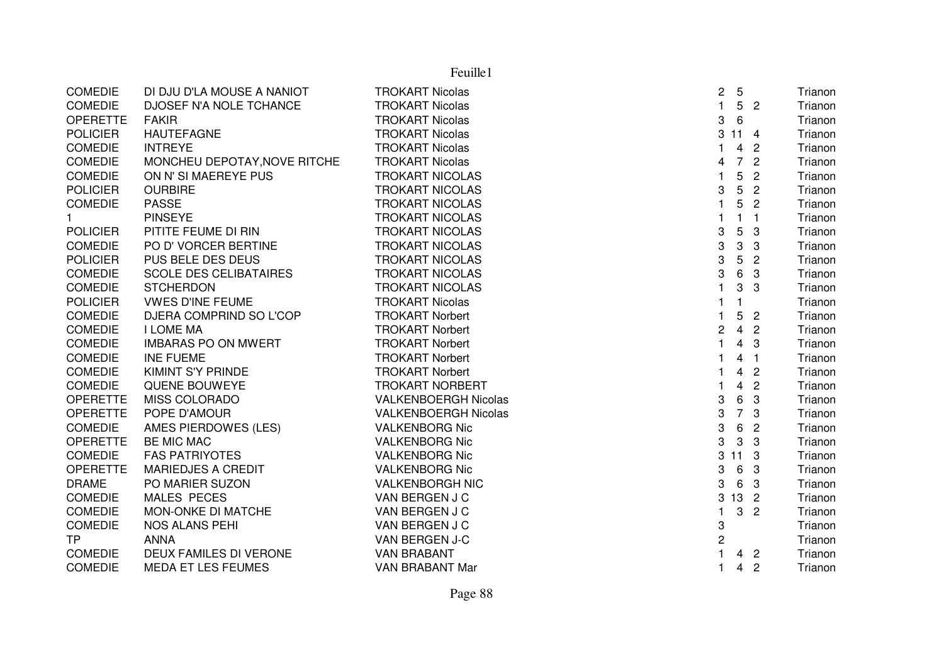|                 |                               | Feuille1                    |                                            |                           |
|-----------------|-------------------------------|-----------------------------|--------------------------------------------|---------------------------|
| <b>COMEDIE</b>  | DI DJU D'LA MOUSE A NANIOT    | <b>TROKART Nicolas</b>      | $5\phantom{.0}$<br>$\overline{\mathbf{c}}$ | Trianon                   |
| <b>COMEDIE</b>  | DJOSEF N'A NOLE TCHANCE       | <b>TROKART Nicolas</b>      | $\mathbf{1}$<br>5 <sub>2</sub>             | Trianon                   |
| <b>OPERETTE</b> | <b>FAKIR</b>                  | <b>TROKART Nicolas</b>      | 6<br>3                                     | Trianon                   |
| <b>POLICIER</b> | <b>HAUTEFAGNE</b>             | <b>TROKART Nicolas</b>      | 3<br>$11 \quad 4$                          | Trianon                   |
| COMEDIE         | <b>INTREYE</b>                | <b>TROKART Nicolas</b>      | $\overline{4}$<br>1                        | $\overline{2}$<br>Trianon |
| <b>COMEDIE</b>  | MONCHEU DEPOTAY, NOVE RITCHE  | <b>TROKART Nicolas</b>      | $\overline{7}$<br>4                        | $\overline{2}$<br>Trianon |
| <b>COMEDIE</b>  | ON N' SI MAEREYE PUS          | <b>TROKART NICOLAS</b>      | 5<br>1                                     | $\overline{2}$<br>Trianon |
| <b>POLICIER</b> | <b>OURBIRE</b>                | <b>TROKART NICOLAS</b>      | 5<br>3                                     | $\overline{2}$<br>Trianon |
| <b>COMEDIE</b>  | <b>PASSE</b>                  | <b>TROKART NICOLAS</b>      | 5                                          | $\overline{2}$<br>Trianon |
| $\mathbf{1}$    | <b>PINSEYE</b>                | <b>TROKART NICOLAS</b>      | $\mathbf{1}$                               | $\overline{1}$<br>Trianon |
| <b>POLICIER</b> | PITITE FEUME DI RIN           | <b>TROKART NICOLAS</b>      | 5<br>3                                     | 3<br>Trianon              |
| <b>COMEDIE</b>  | PO D' VORCER BERTINE          | <b>TROKART NICOLAS</b>      | 3<br>3                                     | 3<br>Trianon              |
| <b>POLICIER</b> | PUS BELE DES DEUS             | <b>TROKART NICOLAS</b>      | 3<br>5                                     | $\overline{c}$<br>Trianon |
| <b>COMEDIE</b>  | <b>SCOLE DES CELIBATAIRES</b> | <b>TROKART NICOLAS</b>      | 6<br>3                                     | 3<br>Trianon              |
| <b>COMEDIE</b>  | <b>STCHERDON</b>              | <b>TROKART NICOLAS</b>      | 3<br>1                                     | 3<br>Trianon              |
| <b>POLICIER</b> | <b>VWES D'INE FEUME</b>       | <b>TROKART Nicolas</b>      | $\mathbf{1}$<br>$\mathbf{1}$               | Trianon                   |
| <b>COMEDIE</b>  | DJERA COMPRIND SO L'COP       | <b>TROKART Norbert</b>      | 5                                          | $\overline{2}$<br>Trianon |
| <b>COMEDIE</b>  | <b>I LOME MA</b>              | <b>TROKART Norbert</b>      | $\overline{4}$<br>2                        | $\overline{2}$<br>Trianon |
| <b>COMEDIE</b>  | <b>IMBARAS PO ON MWERT</b>    | <b>TROKART Norbert</b>      | $\overline{4}$                             | 3<br>Trianon              |
| <b>COMEDIE</b>  | <b>INE FUEME</b>              | <b>TROKART Norbert</b>      | $\overline{\mathbf{4}}$                    | Trianon<br>$\overline{1}$ |
| <b>COMEDIE</b>  | <b>KIMINT S'Y PRINDE</b>      | <b>TROKART Norbert</b>      | $\overline{\mathbf{4}}$<br>1               | $\overline{2}$<br>Trianon |
| <b>COMEDIE</b>  | QUENE BOUWEYE                 | <b>TROKART NORBERT</b>      | $\overline{\mathbf{4}}$                    | $\overline{2}$<br>Trianon |
| <b>OPERETTE</b> | <b>MISS COLORADO</b>          | <b>VALKENBOERGH Nicolas</b> | $\,6$<br>3                                 | $\mathbf{3}$<br>Trianon   |
| <b>OPERETTE</b> | POPE D'AMOUR                  | <b>VALKENBOERGH Nicolas</b> | $\overline{7}$<br>3                        | 3<br>Trianon              |
| <b>COMEDIE</b>  | AMES PIERDOWES (LES)          | <b>VALKENBORG Nic</b>       | 6<br>3                                     | $\overline{2}$<br>Trianon |
| <b>OPERETTE</b> | <b>BE MIC MAC</b>             | <b>VALKENBORG Nic</b>       | $\mathbf 3$<br>3                           | 3<br>Trianon              |
| <b>COMEDIE</b>  | <b>FAS PATRIYOTES</b>         | <b>VALKENBORG Nic</b>       | 3<br>11                                    | -3<br>Trianon             |
| <b>OPERETTE</b> | <b>MARIEDJES A CREDIT</b>     | <b>VALKENBORG Nic</b>       | $\,6\,$<br>3                               | 3<br>Trianon              |
| <b>DRAME</b>    | PO MARIER SUZON               | <b>VALKENBORGH NIC</b>      | 6<br>3                                     | 3<br>Trianon              |
| <b>COMEDIE</b>  | <b>MALES PECES</b>            | VAN BERGEN J C              | 13 2<br>3                                  | Trianon                   |
| <b>COMEDIE</b>  | MON-ONKE DI MATCHE            | VAN BERGEN J C              | 3<br>1                                     | $\overline{2}$<br>Trianon |
| COMEDIE         | NOS ALANS PEHI                | VAN BERGEN J C              | 3                                          | Trianon                   |
| <b>TP</b>       | <b>ANNA</b>                   | VAN BERGEN J-C              | 2                                          | Trianon                   |
| <b>COMEDIE</b>  | DEUX FAMILES DI VERONE        | <b>VAN BRABANT</b>          | $\overline{4}$                             | $\overline{2}$<br>Trianon |
| <b>COMEDIE</b>  | <b>MEDA ET LES FEUMES</b>     | <b>VAN BRABANT Mar</b>      | $\mathbf{1}$<br>$\overline{4}$             | $\overline{c}$<br>Trianon |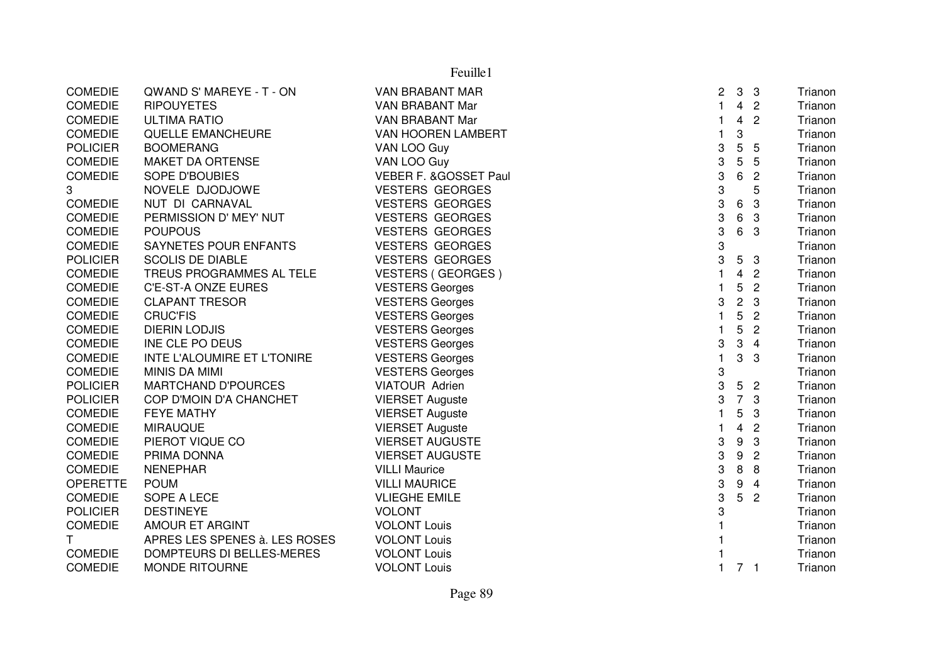| $\overline{4}$<br><b>COMEDIE</b><br>1<br>$\overline{c}$<br><b>RIPOUYETES</b><br>VAN BRABANT Mar<br>$\overline{2}$<br><b>COMEDIE</b><br>VAN BRABANT Mar<br>4<br><b>ULTIMA RATIO</b><br>1<br>3<br><b>COMEDIE</b><br>QUELLE EMANCHEURE<br>VAN HOOREN LAMBERT<br>1<br>5<br><b>POLICIER</b><br><b>BOOMERANG</b><br>3<br>VAN LOO Guy<br>5<br>3<br>VAN LOO Guy<br>5<br>5<br><b>COMEDIE</b><br><b>MAKET DA ORTENSE</b><br>3<br>6<br>$\overline{2}$<br><b>COMEDIE</b><br><b>SOPE D'BOUBIES</b><br>VEBER F. & GOSSET Paul<br>3<br>3<br>5<br>NOVELE DJODJOWE<br><b>VESTERS GEORGES</b><br>3<br>3<br><b>COMEDIE</b><br>NUT DI CARNAVAL<br><b>VESTERS GEORGES</b><br>6<br>3<br>6<br><b>VESTERS GEORGES</b><br><b>COMEDIE</b><br>PERMISSION D' MEY' NUT<br>3<br>3<br>6<br><b>COMEDIE</b><br><b>VESTERS GEORGES</b><br>3<br><b>POUPOUS</b><br>3<br><b>COMEDIE</b><br>SAYNETES POUR ENFANTS<br><b>VESTERS GEORGES</b><br>3<br><b>POLICIER</b><br><b>SCOLIS DE DIABLE</b><br><b>VESTERS GEORGES</b><br>5<br>3<br><b>COMEDIE</b><br>TREUS PROGRAMMES AL TELE<br><b>VESTERS (GEORGES)</b><br>1<br>4<br>$\overline{2}$<br>5<br><b>COMEDIE</b><br>C'E-ST-A ONZE EURES<br>$\overline{c}$<br><b>VESTERS Georges</b><br>$\overline{c}$<br><b>COMEDIE</b><br><b>CLAPANT TRESOR</b><br><b>VESTERS Georges</b><br>3<br>3<br>5<br><b>CRUC'FIS</b><br>$\overline{c}$<br><b>COMEDIE</b><br><b>VESTERS Georges</b><br>1<br>5<br>$\overline{2}$<br><b>COMEDIE</b><br><b>DIERIN LODJIS</b><br><b>VESTERS Georges</b><br>1<br>3<br>3<br><b>COMEDIE</b><br>INE CLE PO DEUS<br><b>VESTERS Georges</b><br>$\overline{4}$<br><b>VESTERS Georges</b><br>3<br><b>COMEDIE</b><br>INTE L'ALOUMIRE ET L'TONIRE<br>3<br>3<br><b>COMEDIE</b><br><b>VESTERS Georges</b><br>MINIS DA MIMI<br>3<br>5<br><b>POLICIER</b><br><b>MARTCHAND D'POURCES</b><br><b>VIATOUR Adrien</b><br>$\overline{2}$<br>3<br>$\overline{7}$<br><b>POLICIER</b><br>COP D'MOIN D'A CHANCHET<br><b>VIERSET Auguste</b><br>3<br>5<br>3<br><b>COMEDIE</b><br>FEYE MATHY<br><b>VIERSET Auguste</b><br>4<br><b>COMEDIE</b><br>$\overline{c}$<br><b>MIRAUQUE</b><br><b>VIERSET Auguste</b><br>1<br>3<br>9<br><b>COMEDIE</b><br>PIEROT VIQUE CO<br><b>VIERSET AUGUSTE</b><br>3<br>3<br>9<br><b>COMEDIE</b><br>2<br>PRIMA DONNA<br><b>VIERSET AUGUSTE</b><br>3<br>8<br><b>COMEDIE</b><br><b>NENEPHAR</b><br>8<br><b>VILLI Maurice</b><br>3<br><b>OPERETTE</b><br><b>POUM</b><br><b>VILLI MAURICE</b><br>9<br>4<br>3<br>5<br><b>COMEDIE</b><br>SOPE A LECE<br><b>VLIEGHE EMILE</b><br>$\overline{2}$<br>3<br><b>POLICIER</b><br><b>DESTINEYE</b><br><b>VOLONT</b><br><b>COMEDIE</b><br>AMOUR ET ARGINT<br><b>VOLONT Louis</b><br>T.<br>APRES LES SPENES à. LES ROSES<br><b>VOLONT Louis</b><br><b>COMEDIE</b><br>DOMPTEURS DI BELLES-MERES<br><b>VOLONT Louis</b><br>7 <sub>1</sub><br><b>COMEDIE</b><br><b>MONDE RITOURNE</b><br><b>VOLONT Louis</b> | <b>COMEDIE</b> | QWAND S' MAREYE - T - ON | VAN BRABANT MAR | 2 | 3 | 3 | Trianon |
|------------------------------------------------------------------------------------------------------------------------------------------------------------------------------------------------------------------------------------------------------------------------------------------------------------------------------------------------------------------------------------------------------------------------------------------------------------------------------------------------------------------------------------------------------------------------------------------------------------------------------------------------------------------------------------------------------------------------------------------------------------------------------------------------------------------------------------------------------------------------------------------------------------------------------------------------------------------------------------------------------------------------------------------------------------------------------------------------------------------------------------------------------------------------------------------------------------------------------------------------------------------------------------------------------------------------------------------------------------------------------------------------------------------------------------------------------------------------------------------------------------------------------------------------------------------------------------------------------------------------------------------------------------------------------------------------------------------------------------------------------------------------------------------------------------------------------------------------------------------------------------------------------------------------------------------------------------------------------------------------------------------------------------------------------------------------------------------------------------------------------------------------------------------------------------------------------------------------------------------------------------------------------------------------------------------------------------------------------------------------------------------------------------------------------------------------------------------------------------------------------------------------------------------------------------------------------------------------------------------------------------------------------------------------------------------------------------------------------------------------------------------------------------------------------------------------------------------------------------------------|----------------|--------------------------|-----------------|---|---|---|---------|
|                                                                                                                                                                                                                                                                                                                                                                                                                                                                                                                                                                                                                                                                                                                                                                                                                                                                                                                                                                                                                                                                                                                                                                                                                                                                                                                                                                                                                                                                                                                                                                                                                                                                                                                                                                                                                                                                                                                                                                                                                                                                                                                                                                                                                                                                                                                                                                                                                                                                                                                                                                                                                                                                                                                                                                                                                                                                        |                |                          |                 |   |   |   | Trianon |
|                                                                                                                                                                                                                                                                                                                                                                                                                                                                                                                                                                                                                                                                                                                                                                                                                                                                                                                                                                                                                                                                                                                                                                                                                                                                                                                                                                                                                                                                                                                                                                                                                                                                                                                                                                                                                                                                                                                                                                                                                                                                                                                                                                                                                                                                                                                                                                                                                                                                                                                                                                                                                                                                                                                                                                                                                                                                        |                |                          |                 |   |   |   | Trianon |
|                                                                                                                                                                                                                                                                                                                                                                                                                                                                                                                                                                                                                                                                                                                                                                                                                                                                                                                                                                                                                                                                                                                                                                                                                                                                                                                                                                                                                                                                                                                                                                                                                                                                                                                                                                                                                                                                                                                                                                                                                                                                                                                                                                                                                                                                                                                                                                                                                                                                                                                                                                                                                                                                                                                                                                                                                                                                        |                |                          |                 |   |   |   | Trianon |
|                                                                                                                                                                                                                                                                                                                                                                                                                                                                                                                                                                                                                                                                                                                                                                                                                                                                                                                                                                                                                                                                                                                                                                                                                                                                                                                                                                                                                                                                                                                                                                                                                                                                                                                                                                                                                                                                                                                                                                                                                                                                                                                                                                                                                                                                                                                                                                                                                                                                                                                                                                                                                                                                                                                                                                                                                                                                        |                |                          |                 |   |   |   | Trianon |
|                                                                                                                                                                                                                                                                                                                                                                                                                                                                                                                                                                                                                                                                                                                                                                                                                                                                                                                                                                                                                                                                                                                                                                                                                                                                                                                                                                                                                                                                                                                                                                                                                                                                                                                                                                                                                                                                                                                                                                                                                                                                                                                                                                                                                                                                                                                                                                                                                                                                                                                                                                                                                                                                                                                                                                                                                                                                        |                |                          |                 |   |   |   | Trianon |
|                                                                                                                                                                                                                                                                                                                                                                                                                                                                                                                                                                                                                                                                                                                                                                                                                                                                                                                                                                                                                                                                                                                                                                                                                                                                                                                                                                                                                                                                                                                                                                                                                                                                                                                                                                                                                                                                                                                                                                                                                                                                                                                                                                                                                                                                                                                                                                                                                                                                                                                                                                                                                                                                                                                                                                                                                                                                        |                |                          |                 |   |   |   | Trianon |
|                                                                                                                                                                                                                                                                                                                                                                                                                                                                                                                                                                                                                                                                                                                                                                                                                                                                                                                                                                                                                                                                                                                                                                                                                                                                                                                                                                                                                                                                                                                                                                                                                                                                                                                                                                                                                                                                                                                                                                                                                                                                                                                                                                                                                                                                                                                                                                                                                                                                                                                                                                                                                                                                                                                                                                                                                                                                        |                |                          |                 |   |   |   | Trianon |
|                                                                                                                                                                                                                                                                                                                                                                                                                                                                                                                                                                                                                                                                                                                                                                                                                                                                                                                                                                                                                                                                                                                                                                                                                                                                                                                                                                                                                                                                                                                                                                                                                                                                                                                                                                                                                                                                                                                                                                                                                                                                                                                                                                                                                                                                                                                                                                                                                                                                                                                                                                                                                                                                                                                                                                                                                                                                        |                |                          |                 |   |   |   | Trianon |
|                                                                                                                                                                                                                                                                                                                                                                                                                                                                                                                                                                                                                                                                                                                                                                                                                                                                                                                                                                                                                                                                                                                                                                                                                                                                                                                                                                                                                                                                                                                                                                                                                                                                                                                                                                                                                                                                                                                                                                                                                                                                                                                                                                                                                                                                                                                                                                                                                                                                                                                                                                                                                                                                                                                                                                                                                                                                        |                |                          |                 |   |   |   | Trianon |
|                                                                                                                                                                                                                                                                                                                                                                                                                                                                                                                                                                                                                                                                                                                                                                                                                                                                                                                                                                                                                                                                                                                                                                                                                                                                                                                                                                                                                                                                                                                                                                                                                                                                                                                                                                                                                                                                                                                                                                                                                                                                                                                                                                                                                                                                                                                                                                                                                                                                                                                                                                                                                                                                                                                                                                                                                                                                        |                |                          |                 |   |   |   | Trianon |
|                                                                                                                                                                                                                                                                                                                                                                                                                                                                                                                                                                                                                                                                                                                                                                                                                                                                                                                                                                                                                                                                                                                                                                                                                                                                                                                                                                                                                                                                                                                                                                                                                                                                                                                                                                                                                                                                                                                                                                                                                                                                                                                                                                                                                                                                                                                                                                                                                                                                                                                                                                                                                                                                                                                                                                                                                                                                        |                |                          |                 |   |   |   | Trianon |
|                                                                                                                                                                                                                                                                                                                                                                                                                                                                                                                                                                                                                                                                                                                                                                                                                                                                                                                                                                                                                                                                                                                                                                                                                                                                                                                                                                                                                                                                                                                                                                                                                                                                                                                                                                                                                                                                                                                                                                                                                                                                                                                                                                                                                                                                                                                                                                                                                                                                                                                                                                                                                                                                                                                                                                                                                                                                        |                |                          |                 |   |   |   | Trianon |
|                                                                                                                                                                                                                                                                                                                                                                                                                                                                                                                                                                                                                                                                                                                                                                                                                                                                                                                                                                                                                                                                                                                                                                                                                                                                                                                                                                                                                                                                                                                                                                                                                                                                                                                                                                                                                                                                                                                                                                                                                                                                                                                                                                                                                                                                                                                                                                                                                                                                                                                                                                                                                                                                                                                                                                                                                                                                        |                |                          |                 |   |   |   | Trianon |
|                                                                                                                                                                                                                                                                                                                                                                                                                                                                                                                                                                                                                                                                                                                                                                                                                                                                                                                                                                                                                                                                                                                                                                                                                                                                                                                                                                                                                                                                                                                                                                                                                                                                                                                                                                                                                                                                                                                                                                                                                                                                                                                                                                                                                                                                                                                                                                                                                                                                                                                                                                                                                                                                                                                                                                                                                                                                        |                |                          |                 |   |   |   | Trianon |
|                                                                                                                                                                                                                                                                                                                                                                                                                                                                                                                                                                                                                                                                                                                                                                                                                                                                                                                                                                                                                                                                                                                                                                                                                                                                                                                                                                                                                                                                                                                                                                                                                                                                                                                                                                                                                                                                                                                                                                                                                                                                                                                                                                                                                                                                                                                                                                                                                                                                                                                                                                                                                                                                                                                                                                                                                                                                        |                |                          |                 |   |   |   | Trianon |
|                                                                                                                                                                                                                                                                                                                                                                                                                                                                                                                                                                                                                                                                                                                                                                                                                                                                                                                                                                                                                                                                                                                                                                                                                                                                                                                                                                                                                                                                                                                                                                                                                                                                                                                                                                                                                                                                                                                                                                                                                                                                                                                                                                                                                                                                                                                                                                                                                                                                                                                                                                                                                                                                                                                                                                                                                                                                        |                |                          |                 |   |   |   | Trianon |
|                                                                                                                                                                                                                                                                                                                                                                                                                                                                                                                                                                                                                                                                                                                                                                                                                                                                                                                                                                                                                                                                                                                                                                                                                                                                                                                                                                                                                                                                                                                                                                                                                                                                                                                                                                                                                                                                                                                                                                                                                                                                                                                                                                                                                                                                                                                                                                                                                                                                                                                                                                                                                                                                                                                                                                                                                                                                        |                |                          |                 |   |   |   | Trianon |
|                                                                                                                                                                                                                                                                                                                                                                                                                                                                                                                                                                                                                                                                                                                                                                                                                                                                                                                                                                                                                                                                                                                                                                                                                                                                                                                                                                                                                                                                                                                                                                                                                                                                                                                                                                                                                                                                                                                                                                                                                                                                                                                                                                                                                                                                                                                                                                                                                                                                                                                                                                                                                                                                                                                                                                                                                                                                        |                |                          |                 |   |   |   | Trianon |
|                                                                                                                                                                                                                                                                                                                                                                                                                                                                                                                                                                                                                                                                                                                                                                                                                                                                                                                                                                                                                                                                                                                                                                                                                                                                                                                                                                                                                                                                                                                                                                                                                                                                                                                                                                                                                                                                                                                                                                                                                                                                                                                                                                                                                                                                                                                                                                                                                                                                                                                                                                                                                                                                                                                                                                                                                                                                        |                |                          |                 |   |   |   | Trianon |
|                                                                                                                                                                                                                                                                                                                                                                                                                                                                                                                                                                                                                                                                                                                                                                                                                                                                                                                                                                                                                                                                                                                                                                                                                                                                                                                                                                                                                                                                                                                                                                                                                                                                                                                                                                                                                                                                                                                                                                                                                                                                                                                                                                                                                                                                                                                                                                                                                                                                                                                                                                                                                                                                                                                                                                                                                                                                        |                |                          |                 |   |   |   | Trianon |
|                                                                                                                                                                                                                                                                                                                                                                                                                                                                                                                                                                                                                                                                                                                                                                                                                                                                                                                                                                                                                                                                                                                                                                                                                                                                                                                                                                                                                                                                                                                                                                                                                                                                                                                                                                                                                                                                                                                                                                                                                                                                                                                                                                                                                                                                                                                                                                                                                                                                                                                                                                                                                                                                                                                                                                                                                                                                        |                |                          |                 |   |   |   | Trianon |
|                                                                                                                                                                                                                                                                                                                                                                                                                                                                                                                                                                                                                                                                                                                                                                                                                                                                                                                                                                                                                                                                                                                                                                                                                                                                                                                                                                                                                                                                                                                                                                                                                                                                                                                                                                                                                                                                                                                                                                                                                                                                                                                                                                                                                                                                                                                                                                                                                                                                                                                                                                                                                                                                                                                                                                                                                                                                        |                |                          |                 |   |   |   | Trianon |
|                                                                                                                                                                                                                                                                                                                                                                                                                                                                                                                                                                                                                                                                                                                                                                                                                                                                                                                                                                                                                                                                                                                                                                                                                                                                                                                                                                                                                                                                                                                                                                                                                                                                                                                                                                                                                                                                                                                                                                                                                                                                                                                                                                                                                                                                                                                                                                                                                                                                                                                                                                                                                                                                                                                                                                                                                                                                        |                |                          |                 |   |   |   | Trianon |
|                                                                                                                                                                                                                                                                                                                                                                                                                                                                                                                                                                                                                                                                                                                                                                                                                                                                                                                                                                                                                                                                                                                                                                                                                                                                                                                                                                                                                                                                                                                                                                                                                                                                                                                                                                                                                                                                                                                                                                                                                                                                                                                                                                                                                                                                                                                                                                                                                                                                                                                                                                                                                                                                                                                                                                                                                                                                        |                |                          |                 |   |   |   | Trianon |
|                                                                                                                                                                                                                                                                                                                                                                                                                                                                                                                                                                                                                                                                                                                                                                                                                                                                                                                                                                                                                                                                                                                                                                                                                                                                                                                                                                                                                                                                                                                                                                                                                                                                                                                                                                                                                                                                                                                                                                                                                                                                                                                                                                                                                                                                                                                                                                                                                                                                                                                                                                                                                                                                                                                                                                                                                                                                        |                |                          |                 |   |   |   | Trianon |
|                                                                                                                                                                                                                                                                                                                                                                                                                                                                                                                                                                                                                                                                                                                                                                                                                                                                                                                                                                                                                                                                                                                                                                                                                                                                                                                                                                                                                                                                                                                                                                                                                                                                                                                                                                                                                                                                                                                                                                                                                                                                                                                                                                                                                                                                                                                                                                                                                                                                                                                                                                                                                                                                                                                                                                                                                                                                        |                |                          |                 |   |   |   | Trianon |
|                                                                                                                                                                                                                                                                                                                                                                                                                                                                                                                                                                                                                                                                                                                                                                                                                                                                                                                                                                                                                                                                                                                                                                                                                                                                                                                                                                                                                                                                                                                                                                                                                                                                                                                                                                                                                                                                                                                                                                                                                                                                                                                                                                                                                                                                                                                                                                                                                                                                                                                                                                                                                                                                                                                                                                                                                                                                        |                |                          |                 |   |   |   | Trianon |
|                                                                                                                                                                                                                                                                                                                                                                                                                                                                                                                                                                                                                                                                                                                                                                                                                                                                                                                                                                                                                                                                                                                                                                                                                                                                                                                                                                                                                                                                                                                                                                                                                                                                                                                                                                                                                                                                                                                                                                                                                                                                                                                                                                                                                                                                                                                                                                                                                                                                                                                                                                                                                                                                                                                                                                                                                                                                        |                |                          |                 |   |   |   | Trianon |
|                                                                                                                                                                                                                                                                                                                                                                                                                                                                                                                                                                                                                                                                                                                                                                                                                                                                                                                                                                                                                                                                                                                                                                                                                                                                                                                                                                                                                                                                                                                                                                                                                                                                                                                                                                                                                                                                                                                                                                                                                                                                                                                                                                                                                                                                                                                                                                                                                                                                                                                                                                                                                                                                                                                                                                                                                                                                        |                |                          |                 |   |   |   | Trianon |
|                                                                                                                                                                                                                                                                                                                                                                                                                                                                                                                                                                                                                                                                                                                                                                                                                                                                                                                                                                                                                                                                                                                                                                                                                                                                                                                                                                                                                                                                                                                                                                                                                                                                                                                                                                                                                                                                                                                                                                                                                                                                                                                                                                                                                                                                                                                                                                                                                                                                                                                                                                                                                                                                                                                                                                                                                                                                        |                |                          |                 |   |   |   | Trianon |
|                                                                                                                                                                                                                                                                                                                                                                                                                                                                                                                                                                                                                                                                                                                                                                                                                                                                                                                                                                                                                                                                                                                                                                                                                                                                                                                                                                                                                                                                                                                                                                                                                                                                                                                                                                                                                                                                                                                                                                                                                                                                                                                                                                                                                                                                                                                                                                                                                                                                                                                                                                                                                                                                                                                                                                                                                                                                        |                |                          |                 |   |   |   | Trianon |
|                                                                                                                                                                                                                                                                                                                                                                                                                                                                                                                                                                                                                                                                                                                                                                                                                                                                                                                                                                                                                                                                                                                                                                                                                                                                                                                                                                                                                                                                                                                                                                                                                                                                                                                                                                                                                                                                                                                                                                                                                                                                                                                                                                                                                                                                                                                                                                                                                                                                                                                                                                                                                                                                                                                                                                                                                                                                        |                |                          |                 |   |   |   | Trianon |
|                                                                                                                                                                                                                                                                                                                                                                                                                                                                                                                                                                                                                                                                                                                                                                                                                                                                                                                                                                                                                                                                                                                                                                                                                                                                                                                                                                                                                                                                                                                                                                                                                                                                                                                                                                                                                                                                                                                                                                                                                                                                                                                                                                                                                                                                                                                                                                                                                                                                                                                                                                                                                                                                                                                                                                                                                                                                        |                |                          |                 |   |   |   | Trianon |
|                                                                                                                                                                                                                                                                                                                                                                                                                                                                                                                                                                                                                                                                                                                                                                                                                                                                                                                                                                                                                                                                                                                                                                                                                                                                                                                                                                                                                                                                                                                                                                                                                                                                                                                                                                                                                                                                                                                                                                                                                                                                                                                                                                                                                                                                                                                                                                                                                                                                                                                                                                                                                                                                                                                                                                                                                                                                        |                |                          |                 |   |   |   | Trianon |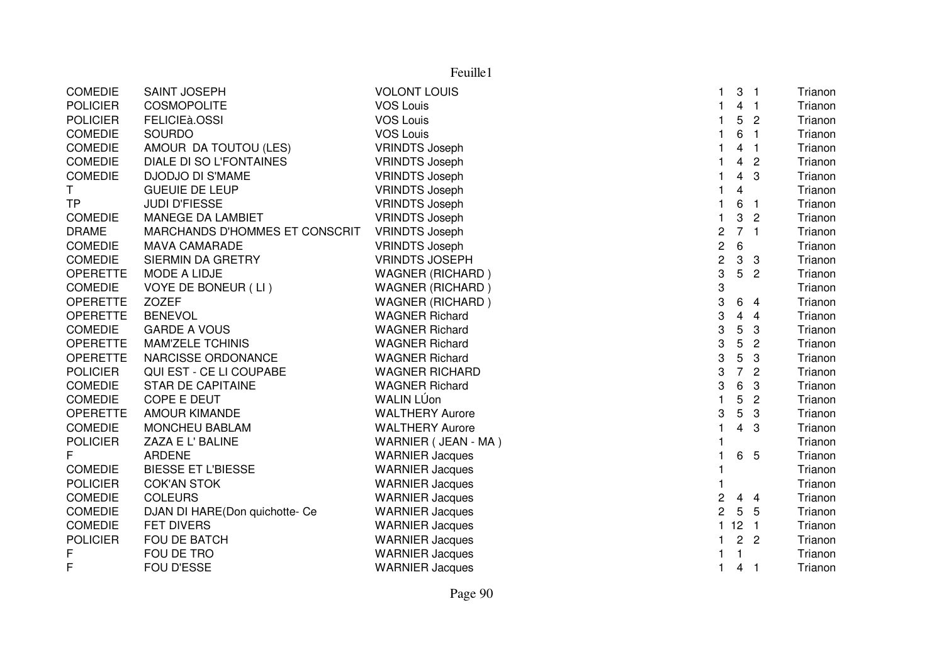| Feuille1        |                                |                         |                |                         |                         |         |
|-----------------|--------------------------------|-------------------------|----------------|-------------------------|-------------------------|---------|
| <b>COMEDIE</b>  | <b>SAINT JOSEPH</b>            | <b>VOLONT LOUIS</b>     | 1              | 3                       | - 1                     | Trianon |
| <b>POLICIER</b> | <b>COSMOPOLITE</b>             | VOS Louis               | $\mathbf{1}$   | $\overline{4}$          | $\overline{1}$          | Trianon |
| <b>POLICIER</b> | FELICIEà.OSSI                  | <b>VOS Louis</b>        | $\mathbf{1}$   | 5                       | $\overline{2}$          | Trianon |
| <b>COMEDIE</b>  | <b>SOURDO</b>                  | <b>VOS Louis</b>        | 1              | 6                       | $\overline{1}$          | Trianon |
| <b>COMEDIE</b>  | AMOUR DA TOUTOU (LES)          | <b>VRINDTS Joseph</b>   | 1              | 4                       | $\overline{\mathbf{1}}$ | Trianon |
| <b>COMEDIE</b>  | <b>DIALE DI SO L'FONTAINES</b> | <b>VRINDTS Joseph</b>   |                | 4                       | $\overline{2}$          | Trianon |
| <b>COMEDIE</b>  | <b>DJODJO DI S'MAME</b>        | <b>VRINDTS Joseph</b>   | 1              | 4                       | 3                       | Trianon |
| T.              | <b>GUEUIE DE LEUP</b>          | <b>VRINDTS Joseph</b>   |                | 4                       |                         | Trianon |
| <b>TP</b>       | <b>JUDI D'FIESSE</b>           | <b>VRINDTS Joseph</b>   | $\mathbf{1}$   | 6                       | $\overline{1}$          | Trianon |
| <b>COMEDIE</b>  | MANEGE DA LAMBIET              | <b>VRINDTS Joseph</b>   | $\mathbf{1}$   | 3                       | $\overline{2}$          | Trianon |
| <b>DRAME</b>    | MARCHANDS D'HOMMES ET CONSCRIT | <b>VRINDTS Joseph</b>   | $\sqrt{2}$     | $\overline{7}$          | $\overline{1}$          | Trianon |
| COMEDIE         | <b>MAVA CAMARADE</b>           | <b>VRINDTS Joseph</b>   | $\sqrt{2}$     | 6                       |                         | Trianon |
| <b>COMEDIE</b>  | SIERMIN DA GRETRY              | <b>VRINDTS JOSEPH</b>   | $\overline{c}$ | 3                       | $\mathbf{3}$            | Trianon |
| <b>OPERETTE</b> | MODE A LIDJE                   | <b>WAGNER (RICHARD)</b> | 3              | 5                       | $\overline{2}$          | Trianon |
| <b>COMEDIE</b>  | VOYE DE BONEUR (LI)            | <b>WAGNER (RICHARD)</b> | 3              |                         |                         | Trianon |
| <b>OPERETTE</b> | <b>ZOZEF</b>                   | <b>WAGNER (RICHARD)</b> | 3              | 6                       | $\overline{4}$          | Trianon |
| <b>OPERETTE</b> | <b>BENEVOL</b>                 | <b>WAGNER Richard</b>   | 3              | $\overline{\mathbf{4}}$ | $\overline{4}$          | Trianon |
| <b>COMEDIE</b>  | <b>GARDE A VOUS</b>            | <b>WAGNER Richard</b>   | 3              | 5                       | 3                       | Trianon |
| <b>OPERETTE</b> | <b>MAM'ZELE TCHINIS</b>        | <b>WAGNER Richard</b>   | 3              | 5                       | $\overline{c}$          | Trianon |
| <b>OPERETTE</b> | NARCISSE ORDONANCE             | <b>WAGNER Richard</b>   | 3              | $\mathbf 5$             | 3                       | Trianon |
| <b>POLICIER</b> | QUI EST - CE LI COUPABE        | <b>WAGNER RICHARD</b>   | 3              | $\overline{7}$          | $\overline{2}$          | Trianon |
| <b>COMEDIE</b>  | <b>STAR DE CAPITAINE</b>       | <b>WAGNER Richard</b>   | 3              | 6                       | 3                       | Trianon |
| <b>COMEDIE</b>  | COPE E DEUT                    | <b>WALIN LÚon</b>       | $\mathbf{1}$   | 5                       | $\overline{2}$          | Trianon |
| <b>OPERETTE</b> | <b>AMOUR KIMANDE</b>           | <b>WALTHERY Aurore</b>  | 3              | 5                       | 3                       | Trianon |
| <b>COMEDIE</b>  | MONCHEU BABLAM                 | <b>WALTHERY Aurore</b>  | $\mathbf 1$    | 4                       | 3                       | Trianon |
| <b>POLICIER</b> | ZAZA E L' BALINE               | WARNIER (JEAN - MA)     |                |                         |                         | Trianon |
| F               | <b>ARDENE</b>                  | <b>WARNIER Jacques</b>  | 1              | 6                       | 5                       | Trianon |
| <b>COMEDIE</b>  | <b>BIESSE ET L'BIESSE</b>      | <b>WARNIER Jacques</b>  | $\mathbf 1$    |                         |                         | Trianon |
| <b>POLICIER</b> | <b>COK'AN STOK</b>             | <b>WARNIER Jacques</b>  |                |                         |                         | Trianon |
| <b>COMEDIE</b>  | <b>COLEURS</b>                 | <b>WARNIER Jacques</b>  | $\overline{c}$ | 4                       | -4                      | Trianon |
| <b>COMEDIE</b>  | DJAN DI HARE(Don quichotte- Ce | <b>WARNIER Jacques</b>  | $\overline{2}$ | $5\phantom{.0}$         | 5                       | Trianon |
| <b>COMEDIE</b>  | FET DIVERS                     | <b>WARNIER Jacques</b>  | $\mathbf{1}$   | 12 <sub>1</sub>         |                         | Trianon |
| <b>POLICIER</b> | FOU DE BATCH                   | <b>WARNIER Jacques</b>  | 1              |                         | 2 <sub>2</sub>          | Trianon |
| F               | FOU DE TRO                     | <b>WARNIER Jacques</b>  |                | 1                       |                         | Trianon |
| F               | <b>FOU D'ESSE</b>              | <b>WARNIER Jacques</b>  | 1              | 4                       | - 1                     | Trianon |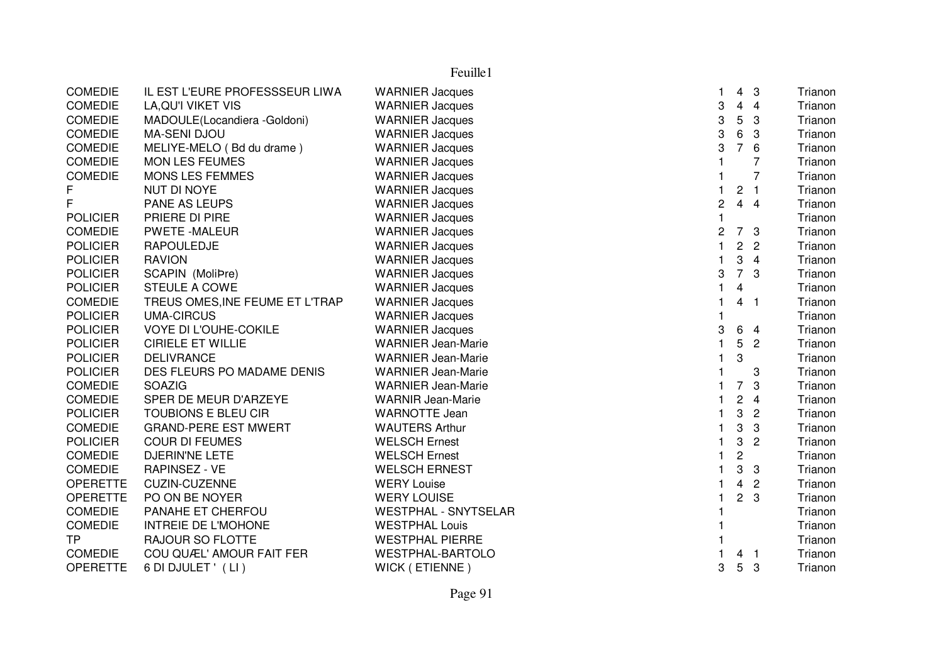COMEDIE IL EST L'EURE PROFESSSEUR LIWA WARNIER Jacquess and the set of the set of the set of the set of the set of the set of the set of the set of the set of the s Trianon COMEDIE LA,QU'I VIKET VIS WARNIER Jacques <sup>3</sup> <sup>4</sup> <sup>4</sup> TrianonTrianon COMEDIE MADOULE(Locandiera -Goldoni) WARNIER Jacques <sup>3</sup> <sup>5</sup> <sup>3</sup> TrianonTrianon COMEDIE MA-SENI DJOU WARNIER Jacques <sup>3</sup> <sup>6</sup> <sup>3</sup> TrianonTrianon COMEDIE MELIYE-MELO ( Bd du drame ) WARNIER Jacques <sup>3</sup> <sup>7</sup> <sup>6</sup> TrianonTrianon COMEDIE MON LES FEUMES WARNIER Jacques s and the set of the set of the set of the set of the set of the set of the set of the set of the set of the s Trianon COMEDIE MONS LES FEMMES WARNIER Jacques s and the set of the set of the set of the set of the set of the set of the set of the set of the set of the s Trianon F NUT DI NOYE WARNIER Jacquess and the set of the set of the set of the set of the set of the set of the set of the set of the set of the s Trianon F PANE AS LEUPS WARNIER Jacques <sup>2</sup> <sup>4</sup> <sup>4</sup> TrianonTrianon POLICIER PRIERE DI PIRE WARNIER Jacquess and the contract of the contract of the contract of the contract of the contract of the contract of the contract of the contract of the contract of the contract of the contract of the contract of the contract of the cont Trianon COMEDIE PWETE -MALEUR WARNIER Jacques <sup>2</sup> <sup>7</sup> <sup>3</sup> TrianonTrianon POLICIER RAPOULEDJE WARNIER Jacques <sup>1</sup> <sup>2</sup> <sup>2</sup> TrianonTrianon POLICIER RAVION WARNIER Jacques <sup>1</sup> <sup>3</sup> <sup>4</sup> Trianon POLICIER SCAPIN (MoliÞre) WARNIER Jacques <sup>3</sup> <sup>7</sup> <sup>3</sup> TrianonTrianon POLICIER STEULE A COWE<br>COMEDIE TREUS OMES.INE FEUME ET L'TRAP WARNIER Jacques s and the contract of the contract of the contract of the contract of the contract of the contract of the contract of the contract of the contract of the contract of the contract of the contract of the contract of the cont Trianon COMEDIE TREUS OMES, INE FEUME ET L'TRAP s and the set of the set of the set of the set of the set of the set of the set of the set of the set of the s Trianon POLICIER UMA-CIRCUS WARNIER Jacquess and the contract of the contract of the contract of the contract of the contract of the contract of the contract of the contract of the contract of the contract of the contract of the contract of the contract of the cont Trianon POLICIER VOYE DI L'OUHE-COKILE WARNIER Jacques <sup>3</sup> <sup>6</sup> <sup>4</sup> TrianonTrianon POLICIER CIRIELE ET WILLIE WARNIER Jean-Mariee 1 5 2 Trianon POLICIER DELIVRANCE WARNIER Jean-Mariee 1 3 Trianon POLICIER DES FLEURS PO MADAME DENIS WARNIER Jean-Marie<br>COMEDIE SOAZIG <sup>1</sup> <sup>3</sup> Trianon COMEDIE SOAZIG WARNIER Jean-Marie <sup>1</sup> <sup>7</sup> <sup>3</sup> Trianon COMEDIE SPER DE MEUR D'ARZEYE WARNIR Jean-Mariee 1 2 4 Trianon POLICIER TOUBIONS E BLEU CIR WARNOTTE Jeann 1982 - Trianon 1982 - Trianon 1982 - Trianon 1982 - Trianon 1982 - Trianon 1982 - Trianon 1992 - Trianon 199<br>District a contract of the contract of the contract of the contract of the contract of the contract of the con COMEDIE GRAND-PERE EST MWERT WAUTERS Arthurr 1 3 3 Trianon Trianon POLICIER COUR DI FEUMES WELSCH Ernest <sup>1</sup> 3 <sup>2</sup> TrianonTrianon COMEDIE DJERIN'NE LETE WELSCH Ernest <sup>1</sup> <sup>2</sup> TrianonTrianon COMEDIE RAPINSEZ - VE WELSCH ERNEST <sup>1</sup> <sup>3</sup> <sup>3</sup> Trianon OPERETTE CUZIN-CUZENNE WERY Louisee 1 4 2 Trianon OPERETTE PO ON BE NOYER WERY LOUISE <sup>1</sup> <sup>2</sup> <sup>3</sup> Trianon COMEDIE PANAHE ET CHERFOU WESTPHAL - SNYTSELAR <sup>1</sup> Trianon COMEDIE INTREIE DE L'MOHONE WESTPHAL Louiss and the contract of the contract of the contract of the contract of the contract of the contract of the contract of the contract of the contract of the contract of the contract of the contract of the contract of the cont Trianon RAJOUR SO FLOTTE WESTPHAL PIERRE <sup>1</sup> Trianon COMEDIE COU QUÆL' AMOUR FAIT FER WESTPHAL-BARTOLO <sup>1</sup> <sup>4</sup> <sup>1</sup> Trianon OPERETTE 6 DI DJULET ' (LI ) WICK ( ETIENNE ) <sup>3</sup> <sup>5</sup> <sup>3</sup> Trianon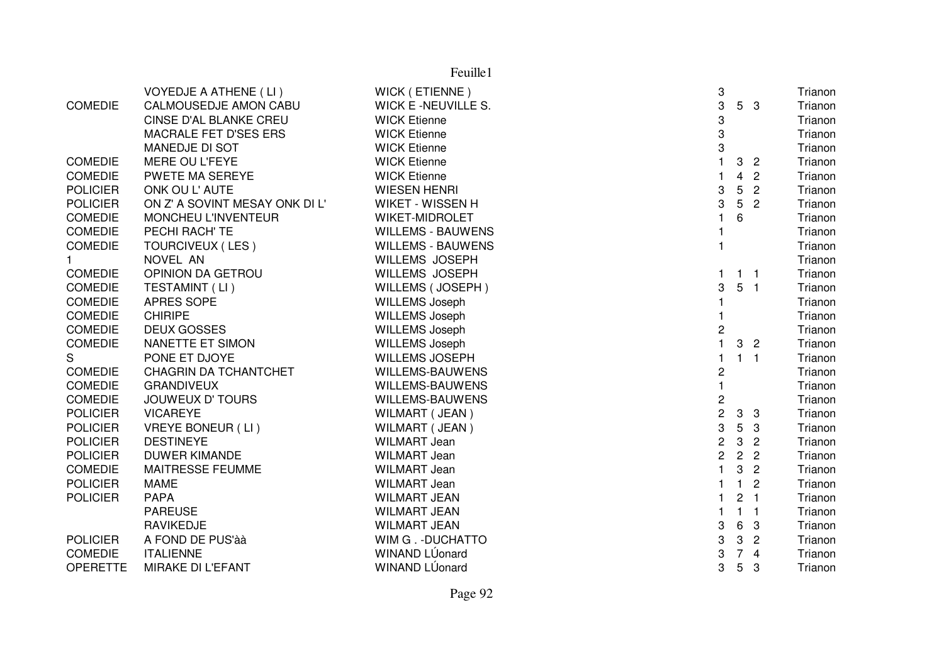| Feuille1        |                                |                            |                                         |                 |                |         |
|-----------------|--------------------------------|----------------------------|-----------------------------------------|-----------------|----------------|---------|
|                 | <b>VOYEDJE A ATHENE (LI)</b>   | WICK (ETIENNE)             | 3                                       |                 |                | Trianon |
| <b>COMEDIE</b>  | <b>CALMOUSEDJE AMON CABU</b>   | <b>WICK E -NEUVILLE S.</b> | 3                                       |                 | 5 <sub>3</sub> | Trianon |
|                 | CINSE D'AL BLANKE CREU         | <b>WICK Etienne</b>        | 3                                       |                 |                | Trianon |
|                 | MACRALE FET D'SES ERS          | <b>WICK Etienne</b>        | 3                                       |                 |                | Trianon |
|                 | MANEDJE DI SOT                 | <b>WICK Etienne</b>        | 3                                       |                 |                | Trianon |
| <b>COMEDIE</b>  | MERE OU L'FEYE                 | <b>WICK Etienne</b>        | $\mathbf{1}$                            | 3               | $\overline{2}$ | Trianon |
| <b>COMEDIE</b>  | PWETE MA SEREYE                | <b>WICK Etienne</b>        | 1                                       | 4               | $\overline{2}$ | Trianon |
| <b>POLICIER</b> | ONK OU L'AUTE                  | <b>WIESEN HENRI</b>        | 3                                       | $5\phantom{.0}$ | $\overline{2}$ | Trianon |
| <b>POLICIER</b> | ON Z' A SOVINT MESAY ONK DI L' | WIKET - WISSEN H           | 3                                       | $5\phantom{.0}$ | $\overline{2}$ | Trianon |
| <b>COMEDIE</b>  | MONCHEU L'INVENTEUR            | <b>WIKET-MIDROLET</b>      |                                         | 6               |                | Trianon |
| <b>COMEDIE</b>  | PECHI RACH' TE                 | <b>WILLEMS - BAUWENS</b>   |                                         |                 |                | Trianon |
| <b>COMEDIE</b>  | TOURCIVEUX (LES)               | <b>WILLEMS - BAUWENS</b>   |                                         |                 |                | Trianon |
| $\mathbf{1}$    | NOVEL AN                       | <b>WILLEMS JOSEPH</b>      |                                         |                 |                | Trianon |
| <b>COMEDIE</b>  | OPINION DA GETROU              | <b>WILLEMS JOSEPH</b>      | 1                                       |                 | $1 \quad 1$    | Trianon |
| <b>COMEDIE</b>  | TESTAMINT (LI)                 | WILLEMS (JOSEPH)           | 3                                       |                 | 5 <sub>1</sub> | Trianon |
| <b>COMEDIE</b>  | APRES SOPE                     | <b>WILLEMS Joseph</b>      |                                         |                 |                | Trianon |
| <b>COMEDIE</b>  | <b>CHIRIPE</b>                 | <b>WILLEMS Joseph</b>      |                                         |                 |                | Trianon |
| <b>COMEDIE</b>  | <b>DEUX GOSSES</b>             | <b>WILLEMS Joseph</b>      | $\overline{c}$                          |                 |                | Trianon |
| <b>COMEDIE</b>  | NANETTE ET SIMON               | <b>WILLEMS Joseph</b>      | $\mathbf{1}$                            |                 | 3 <sub>2</sub> | Trianon |
| S               | PONE ET DJOYE                  | <b>WILLEMS JOSEPH</b>      |                                         |                 | $1 \quad 1$    | Trianon |
| <b>COMEDIE</b>  | <b>CHAGRIN DA TCHANTCHET</b>   | WILLEMS-BAUWENS            | 2                                       |                 |                | Trianon |
| <b>COMEDIE</b>  | <b>GRANDIVEUX</b>              | WILLEMS-BAUWENS            | $\mathbf{1}$                            |                 |                | Trianon |
| <b>COMEDIE</b>  | <b>JOUWEUX D' TOURS</b>        | <b>WILLEMS-BAUWENS</b>     |                                         |                 |                | Trianon |
| <b>POLICIER</b> | <b>VICAREYE</b>                | WILMART (JEAN)             | $\begin{array}{c}\n2 \\ 2\n\end{array}$ |                 | 3 <sub>3</sub> | Trianon |
| <b>POLICIER</b> | <b>VREYE BONEUR (LI)</b>       | WILMART (JEAN)             | 3                                       |                 | 5 <sub>3</sub> | Trianon |
| <b>POLICIER</b> | <b>DESTINEYE</b>               | <b>WILMART Jean</b>        | $\overline{c}$                          | $\mathbf{3}$    | $\overline{c}$ | Trianon |
| <b>POLICIER</b> | <b>DUWER KIMANDE</b>           | <b>WILMART Jean</b>        | $\overline{c}$                          | $\overline{2}$  | $\overline{c}$ | Trianon |
| <b>COMEDIE</b>  | MAITRESSE FEUMME               | <b>WILMART Jean</b>        |                                         | 3               | $\overline{2}$ | Trianon |
| <b>POLICIER</b> | <b>MAME</b>                    | <b>WILMART Jean</b>        |                                         | $\mathbf{1}$    | $\overline{2}$ | Trianon |
| <b>POLICIER</b> | <b>PAPA</b>                    | <b>WILMART JEAN</b>        |                                         | $\overline{2}$  | $\blacksquare$ | Trianon |
|                 | <b>PAREUSE</b>                 | <b>WILMART JEAN</b>        |                                         | $\mathbf{1}$    | $\blacksquare$ | Trianon |
|                 | <b>RAVIKEDJE</b>               | <b>WILMART JEAN</b>        | 3                                       | 6               | 3              | Trianon |
| <b>POLICIER</b> | A FOND DE PUS'à à              | WIM G. - DUCHATTO          | 3                                       | 3               | $\overline{2}$ | Trianon |
| <b>COMEDIE</b>  | <b>ITALIENNE</b>               | WINAND LÚonard             | 3                                       | 7 <sup>7</sup>  | $\overline{4}$ | Trianon |
| <b>OPERETTE</b> | MIRAKE DI L'EFANT              | WINAND LÚonard             | 3                                       | 5               | 3              | Trianon |